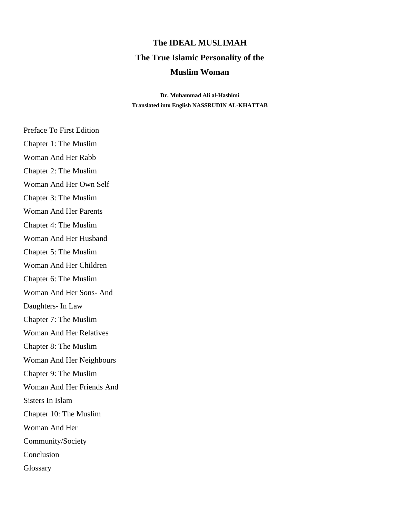# **The IDEAL MUSLIMAH The True Islamic Personality of the Muslim Woman**

**Dr. Muhammad Ali al-Hashimi Translated into English NASSRUDIN AL-KHATTAB** 

Preface To First Edition Chapter 1: The Muslim Woman And Her Rabb Chapter 2: The Muslim Woman And Her Own Self Chapter 3: The Muslim Woman And Her Parents Chapter 4: The Muslim Woman And Her Husband Chapter 5: The Muslim Woman And Her Children Chapter 6: The Muslim Woman And Her Sons- And Daughters- In Law Chapter 7: The Muslim Woman And Her Relatives Chapter 8: The Muslim Woman And Her Neighbours Chapter 9: The Muslim Woman And Her Friends And Sisters In Islam Chapter 10: The Muslim Woman And Her Community/Society Conclusion **Glossary**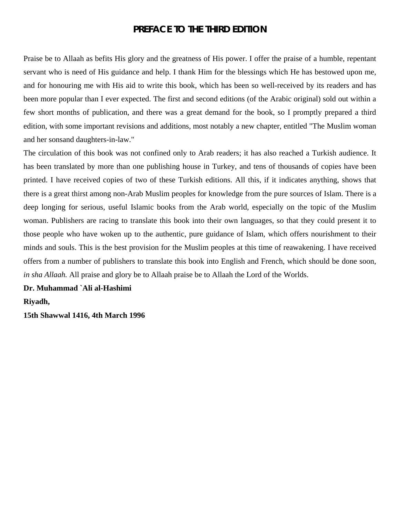# **PREFACE TO THE THIRD EDITION**

Praise be to Allaah as befits His glory and the greatness of His power. I offer the praise of a humble, repentant servant who is need of His guidance and help. I thank Him for the blessings which He has bestowed upon me, and for honouring me with His aid to write this book, which has been so well-received by its readers and has been more popular than I ever expected. The first and second editions (of the Arabic original) sold out within a few short months of publication, and there was a great demand for the book, so I promptly prepared a third edition, with some important revisions and additions, most notably a new chapter, entitled "The Muslim woman and her sonsand daughters-in-law."

The circulation of this book was not confined only to Arab readers; it has also reached a Turkish audience. It has been translated by more than one publishing house in Turkey, and tens of thousands of copies have been printed. I have received copies of two of these Turkish editions. All this, if it indicates anything, shows that there is a great thirst among non-Arab Muslim peoples for knowledge from the pure sources of Islam. There is a deep longing for serious, useful Islamic books from the Arab world, especially on the topic of the Muslim woman. Publishers are racing to translate this book into their own languages, so that they could present it to those people who have woken up to the authentic, pure guidance of Islam, which offers nourishment to their minds and souls. This is the best provision for the Muslim peoples at this time of reawakening. I have received offers from a number of publishers to translate this book into English and French, which should be done soon, *in sha Allaah.* All praise and glory be to Allaah praise be to Allaah the Lord of the Worlds.

# **Dr. Muhammad `Ali al-Hashimi**

**Riyadh,** 

**15th Shawwal 1416, 4th March 1996**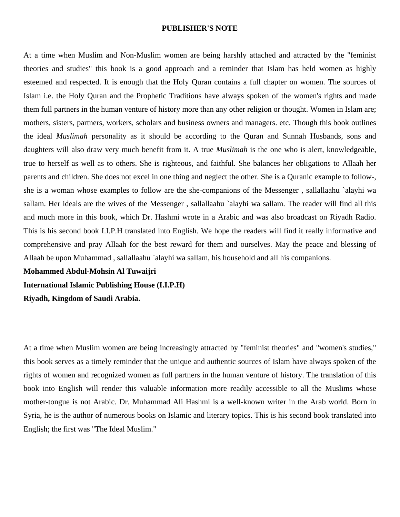#### **PUBLISHER'S NOTE**

At a time when Muslim and Non-Muslim women are being harshly attached and attracted by the "feminist theories and studies" this book is a good approach and a reminder that Islam has held women as highly esteemed and respected. It is enough that the Holy Quran contains a full chapter on women. The sources of Islam i.e. the Holy Quran and the Prophetic Traditions have always spoken of the women's rights and made them full partners in the human venture of history more than any other religion or thought. Women in Islam are; mothers, sisters, partners, workers, scholars and business owners and managers. etc. Though this book outlines the ideal *Muslimah* personality as it should be according to the Quran and Sunnah Husbands, sons and daughters will also draw very much benefit from it. A true *Muslimah* is the one who is alert, knowledgeable, true to herself as well as to others. She is righteous, and faithful. She balances her obligations to Allaah her parents and children. She does not excel in one thing and neglect the other. She is a Quranic example to follow-, she is a woman whose examples to follow are the she-companions of the Messenger , sallallaahu `alayhi wa sallam. Her ideals are the wives of the Messenger, sallallaahu `alayhi wa sallam. The reader will find all this and much more in this book, which Dr. Hashmi wrote in a Arabic and was also broadcast on Riyadh Radio. This is his second book I.I.P.H translated into English. We hope the readers will find it really informative and comprehensive and pray Allaah for the best reward for them and ourselves. May the peace and blessing of Allaah be upon Muhammad, sallallaahu `alayhi wa sallam, his household and all his companions.

## **Mohammed Abdul-Mohsin Al Tuwaijri**

**International Islamic Publishing House (I.I.P.H)** 

**Riyadh, Kingdom of Saudi Arabia.** 

At a time when Muslim women are being increasingly attracted by "feminist theories" and "women's studies," this book serves as a timely reminder that the unique and authentic sources of Islam have always spoken of the rights of women and recognized women as full partners in the human venture of history. The translation of this book into English will render this valuable information more readily accessible to all the Muslims whose mother-tongue is not Arabic. Dr. Muhammad Ali Hashmi is a well-known writer in the Arab world. Born in Syria, he is the author of numerous books on Islamic and literary topics. This is his second book translated into English; the first was "The Ideal Muslim."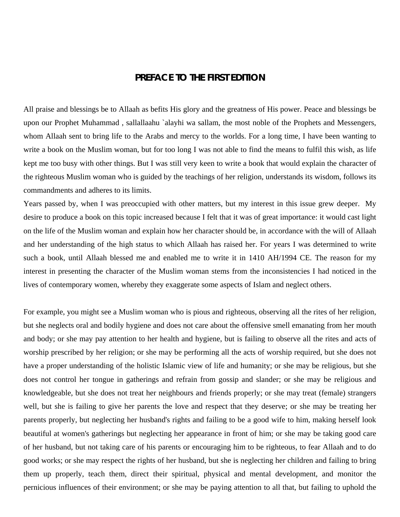# **PREFACE TO THE FIRST EDITION**

All praise and blessings be to Allaah as befits His glory and the greatness of His power. Peace and blessings be upon our Prophet Muhammad , sallallaahu `alayhi wa sallam, the most noble of the Prophets and Messengers, whom Allaah sent to bring life to the Arabs and mercy to the worlds. For a long time, I have been wanting to write a book on the Muslim woman, but for too long I was not able to find the means to fulfil this wish, as life kept me too busy with other things. But I was still very keen to write a book that would explain the character of the righteous Muslim woman who is guided by the teachings of her religion, understands its wisdom, follows its commandments and adheres to its limits.

Years passed by, when I was preoccupied with other matters, but my interest in this issue grew deeper. My desire to produce a book on this topic increased because I felt that it was of great importance: it would cast light on the life of the Muslim woman and explain how her character should be, in accordance with the will of Allaah and her understanding of the high status to which Allaah has raised her. For years I was determined to write such a book, until Allaah blessed me and enabled me to write it in 1410 AH/1994 CE. The reason for my interest in presenting the character of the Muslim woman stems from the inconsistencies I had noticed in the lives of contemporary women, whereby they exaggerate some aspects of Islam and neglect others.

For example, you might see a Muslim woman who is pious and righteous, observing all the rites of her religion, but she neglects oral and bodily hygiene and does not care about the offensive smell emanating from her mouth and body; or she may pay attention to her health and hygiene, but is failing to observe all the rites and acts of worship prescribed by her religion; or she may be performing all the acts of worship required, but she does not have a proper understanding of the holistic Islamic view of life and humanity; or she may be religious, but she does not control her tongue in gatherings and refrain from gossip and slander; or she may be religious and knowledgeable, but she does not treat her neighbours and friends properly; or she may treat (female) strangers well, but she is failing to give her parents the love and respect that they deserve; or she may be treating her parents properly, but neglecting her husband's rights and failing to be a good wife to him, making herself look beautiful at women's gatherings but neglecting her appearance in front of him; or she may be taking good care of her husband, but not taking care of his parents or encouraging him to be righteous, to fear Allaah and to do good works; or she may respect the rights of her husband, but she is neglecting her children and failing to bring them up properly, teach them, direct their spiritual, physical and mental development, and monitor the pernicious influences of their environment; or she may be paying attention to all that, but failing to uphold the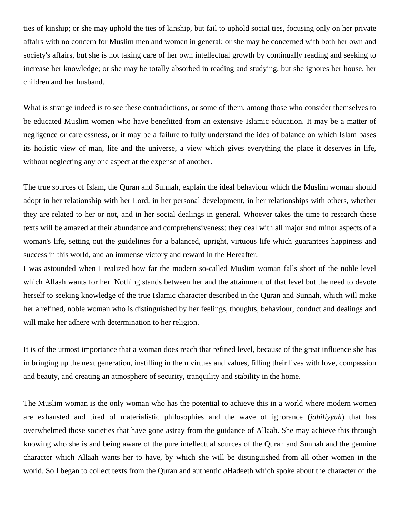ties of kinship; or she may uphold the ties of kinship, but fail to uphold social ties, focusing only on her private affairs with no concern for Muslim men and women in general; or she may be concerned with both her own and society's affairs, but she is not taking care of her own intellectual growth by continually reading and seeking to increase her knowledge; or she may be totally absorbed in reading and studying, but she ignores her house, her children and her husband.

What is strange indeed is to see these contradictions, or some of them, among those who consider themselves to be educated Muslim women who have benefitted from an extensive Islamic education. It may be a matter of negligence or carelessness, or it may be a failure to fully understand the idea of balance on which Islam bases its holistic view of man, life and the universe, a view which gives everything the place it deserves in life, without neglecting any one aspect at the expense of another.

The true sources of Islam, the Quran and Sunnah, explain the ideal behaviour which the Muslim woman should adopt in her relationship with her Lord, in her personal development, in her relationships with others, whether they are related to her or not, and in her social dealings in general. Whoever takes the time to research these texts will be amazed at their abundance and comprehensiveness: they deal with all major and minor aspects of a woman's life, setting out the guidelines for a balanced, upright, virtuous life which guarantees happiness and success in this world, and an immense victory and reward in the Hereafter.

I was astounded when I realized how far the modern so-called Muslim woman falls short of the noble level which Allaah wants for her. Nothing stands between her and the attainment of that level but the need to devote herself to seeking knowledge of the true Islamic character described in the Quran and Sunnah, which will make her a refined, noble woman who is distinguished by her feelings, thoughts, behaviour, conduct and dealings and will make her adhere with determination to her religion.

It is of the utmost importance that a woman does reach that refined level, because of the great influence she has in bringing up the next generation, instilling in them virtues and values, filling their lives with love, compassion and beauty, and creating an atmosphere of security, tranquility and stability in the home.

The Muslim woman is the only woman who has the potential to achieve this in a world where modern women are exhausted and tired of materialistic philosophies and the wave of ignorance (*jahiliyyah*) that has overwhelmed those societies that have gone astray from the guidance of Allaah. She may achieve this through knowing who she is and being aware of the pure intellectual sources of the Quran and Sunnah and the genuine character which Allaah wants her to have, by which she will be distinguished from all other women in the world. So I began to collect texts from the Quran and authentic *a*Hadeeth which spoke about the character of the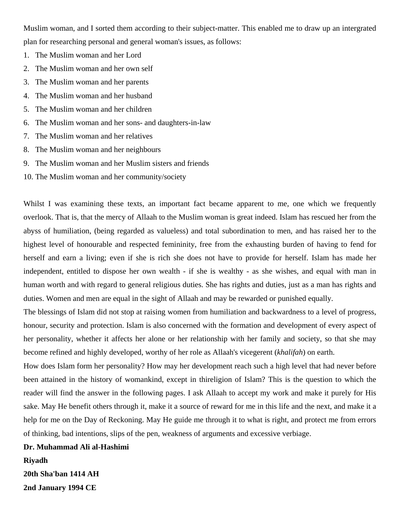Muslim woman, and I sorted them according to their subject-matter. This enabled me to draw up an intergrated plan for researching personal and general woman's issues, as follows:

- 1. The Muslim woman and her Lord
- 2. The Muslim woman and her own self
- 3. The Muslim woman and her parents
- 4. The Muslim woman and her husband
- 5. The Muslim woman and her children
- 6. The Muslim woman and her sons- and daughters-in-law
- 7. The Muslim woman and her relatives
- 8. The Muslim woman and her neighbours
- 9. The Muslim woman and her Muslim sisters and friends
- 10. The Muslim woman and her community/society

Whilst I was examining these texts, an important fact became apparent to me, one which we frequently overlook. That is, that the mercy of Allaah to the Muslim woman is great indeed. Islam has rescued her from the abyss of humiliation, (being regarded as valueless) and total subordination to men, and has raised her to the highest level of honourable and respected femininity, free from the exhausting burden of having to fend for herself and earn a living; even if she is rich she does not have to provide for herself. Islam has made her independent, entitled to dispose her own wealth - if she is wealthy - as she wishes, and equal with man in human worth and with regard to general religious duties. She has rights and duties, just as a man has rights and duties. Women and men are equal in the sight of Allaah and may be rewarded or punished equally.

The blessings of Islam did not stop at raising women from humiliation and backwardness to a level of progress, honour, security and protection. Islam is also concerned with the formation and development of every aspect of her personality, whether it affects her alone or her relationship with her family and society, so that she may become refined and highly developed, worthy of her role as Allaah's vicegerent (*khalifah*) on earth.

How does Islam form her personality? How may her development reach such a high level that had never before been attained in the history of womankind, except in thireligion of Islam? This is the question to which the reader will find the answer in the following pages. I ask Allaah to accept my work and make it purely for His sake. May He benefit others through it, make it a source of reward for me in this life and the next, and make it a help for me on the Day of Reckoning. May He guide me through it to what is right, and protect me from errors of thinking, bad intentions, slips of the pen, weakness of arguments and excessive verbiage.

# **Dr. Muhammad Ali al-Hashimi**

**Riyadh** 

**20th Sha'ban 1414 AH 2nd January 1994 CE**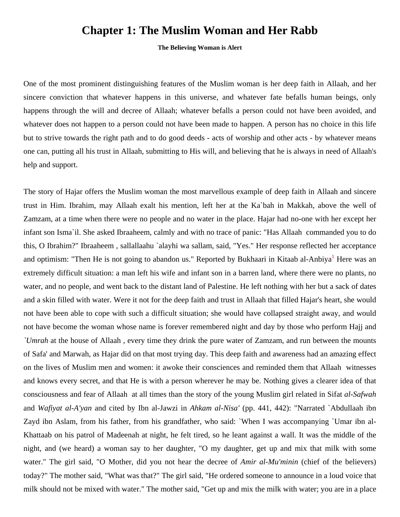# **Chapter 1: The Muslim Woman and Her Rabb**

**The Believing Woman is Alert** 

One of the most prominent distinguishing features of the Muslim woman is her deep faith in Allaah, and her sincere conviction that whatever happens in this universe, and whatever fate befalls human beings, only happens through the will and decree of Allaah; whatever befalls a person could not have been avoided, and whatever does not happen to a person could not have been made to happen. A person has no choice in this life but to strive towards the right path and to do good deeds - acts of worship and other acts - by whatever means one can, putting all his trust in Allaah, submitting to His will, and believing that he is always in need of Allaah's help and support.

The story of Hajar offers the Muslim woman the most marvellous example of deep faith in Allaah and sincere trust in Him. Ibrahim, may Allaah exalt his mention, left her at the Ka`bah in Makkah, above the well of Zamzam, at a time when there were no people and no water in the place. Hajar had no-one with her except her infant son Isma`il. She asked Ibraaheem, calmly and with no trace of panic: "Has Allaah commanded you to do this, O Ibrahim?" Ibraaheem , sallallaahu `alayhi wa sallam, said, "Yes." Her response reflected her acceptance and optimism: "Then He is not going to abandon us." Reported by Bukhaari in Kitaab al-Anbiya<sup>1</sup> Here was an extremely difficult situation: a man left his wife and infant son in a barren land, where there were no plants, no water, and no people, and went back to the distant land of Palestine. He left nothing with her but a sack of dates and a skin filled with water. Were it not for the deep faith and trust in Allaah that filled Hajar's heart, she would not have been able to cope with such a difficult situation; she would have collapsed straight away, and would not have become the woman whose name is forever remembered night and day by those who perform Hajj and *`Umrah* at the house of Allaah , every time they drink the pure water of Zamzam, and run between the mounts of Safa' and Marwah, as Hajar did on that most trying day. This deep faith and awareness had an amazing effect on the lives of Muslim men and women: it awoke their consciences and reminded them that Allaah witnesses and knows every secret, and that He is with a person wherever he may be. Nothing gives a clearer idea of that consciousness and fear of Allaah at all times than the story of the young Muslim girl related in Sifat *al-Safwah*  and *Wafiyat al-A'yan* and cited by Ibn al-Jawzi in *Ahkam al-Nisa'* (pp. 441, 442): "Narrated `Abdullaah ibn Zayd ibn Aslam, from his father, from his grandfather, who said: `When I was accompanying `Umar ibn al-Khattaab on his patrol of Madeenah at night, he felt tired, so he leant against a wall. It was the middle of the night, and (we heard) a woman say to her daughter, "O my daughter, get up and mix that milk with some water." The girl said, "O Mother, did you not hear the decree of *Amir al-Mu'minin* (chief of the believers) today?" The mother said, "What was that?" The girl said, "He ordered someone to announce in a loud voice that milk should not be mixed with water." The mother said, "Get up and mix the milk with water; you are in a place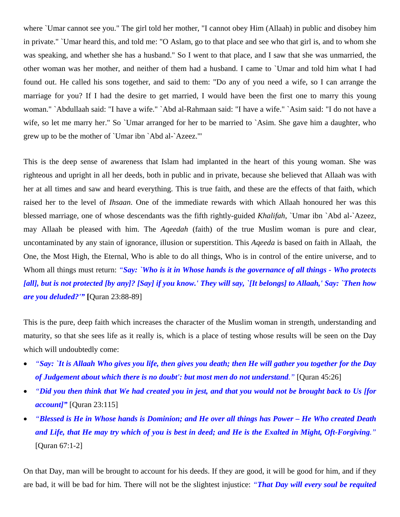where `Umar cannot see you." The girl told her mother, "I cannot obey Him (Allaah) in public and disobey him in private." `Umar heard this, and told me: "O Aslam, go to that place and see who that girl is, and to whom she was speaking, and whether she has a husband." So I went to that place, and I saw that she was unmarried, the other woman was her mother, and neither of them had a husband. I came to `Umar and told him what I had found out. He called his sons together, and said to them: "Do any of you need a wife, so I can arrange the marriage for you? If I had the desire to get married, I would have been the first one to marry this young woman." `Abdullaah said: "I have a wife." `Abd al-Rahmaan said: "I have a wife." `Asim said: "I do not have a wife, so let me marry her." So `Umar arranged for her to be married to `Asim. She gave him a daughter, who grew up to be the mother of `Umar ibn `Abd al-`Azeez.'"

This is the deep sense of awareness that Islam had implanted in the heart of this young woman. She was righteous and upright in all her deeds, both in public and in private, because she believed that Allaah was with her at all times and saw and heard everything. This is true faith, and these are the effects of that faith, which raised her to the level of *Ihsaan*. One of the immediate rewards with which Allaah honoured her was this blessed marriage, one of whose descendants was the fifth rightly-guided *Khalifah*, `Umar ibn `Abd al-`Azeez, may Allaah be pleased with him. The *Aqeedah* (faith) of the true Muslim woman is pure and clear, uncontaminated by any stain of ignorance, illusion or superstition. This *Aqeeda* is based on faith in Allaah, the One, the Most High, the Eternal, Who is able to do all things, Who is in control of the entire universe, and to Whom all things must return: *"Say: `Who is it in Whose hands is the governance of all things - Who protects [all], but is not protected [by any]? [Say] if you know.' They will say, `[It belongs] to Allaah,' Say: `Then how are you deluded?'"* **[**Quran 23:88-89]

This is the pure, deep faith which increases the character of the Muslim woman in strength, understanding and maturity, so that she sees life as it really is, which is a place of testing whose results will be seen on the Day which will undoubtedly come:

- *"Say: `It is Allaah Who gives you life, then gives you death; then He will gather you together for the Day of Judgement about which there is no doubt': but most men do not understand."* [Quran 45:26]
- *"Did you then think that We had created you in jest, and that you would not be brought back to Us [for account]"* [Quran 23:115]
- *"Blessed is He in Whose hands is Dominion; and He over all things has Power He Who created Death and Life, that He may try which of you is best in deed; and He is the Exalted in Might, Oft-Forgiving."*  [Quran 67:1-2]

On that Day, man will be brought to account for his deeds. If they are good, it will be good for him, and if they are bad, it will be bad for him. There will not be the slightest injustice: *"That Day will every soul be requited*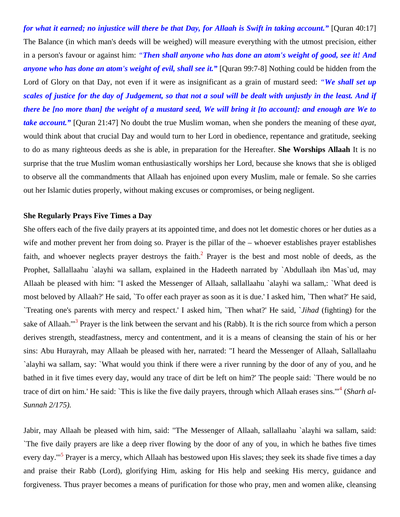*for what it earned; no injustice will there be that Day, for Allaah is Swift in taking account."* [Quran 40:17] The Balance (in which man's deeds will be weighed) will measure everything with the utmost precision, either in a person's favour or against him: *"Then shall anyone who has done an atom's weight of good, see it! And anyone who has done an atom's weight of evil, shall see it."* [Quran 99:7-8] Nothing could be hidden from the Lord of Glory on that Day, not even if it were as insignificant as a grain of mustard seed: *"We shall set up scales of justice for the day of Judgement, so that not a soul will be dealt with unjustly in the least. And if there be [no more than] the weight of a mustard seed, We will bring it [to account]: and enough are We to take account."* [Quran 21:47] No doubt the true Muslim woman, when she ponders the meaning of these *ayat*, would think about that crucial Day and would turn to her Lord in obedience, repentance and gratitude, seeking to do as many righteous deeds as she is able, in preparation for the Hereafter. **She Worships Allaah** It is no surprise that the true Muslim woman enthusiastically worships her Lord, because she knows that she is obliged to observe all the commandments that Allaah has enjoined upon every Muslim, male or female. So she carries out her Islamic duties properly, without making excuses or compromises, or being negligent.

# **She Regularly Prays Five Times a Day**

She offers each of the five daily prayers at its appointed time, and does not let domestic chores or her duties as a wife and mother prevent her from doing so. Prayer is the pillar of the – whoever establishes prayer establishes faith, and whoever neglects prayer destroys the faith.<sup>2</sup> Prayer is the best and most noble of deeds, as the Prophet, Sallallaahu `alayhi wa sallam, explained in the Hadeeth narrated by `Abdullaah ibn Mas`ud, may Allaah be pleased with him: "I asked the Messenger of Allaah, sallallaahu `alayhi wa sallam,: `What deed is most beloved by Allaah?' He said, `To offer each prayer as soon as it is due.' I asked him, `Then what?' He said, `Treating one's parents with mercy and respect.' I asked him, `Then what?' He said, `*Jihad* (fighting) for the sake of Allaah.<sup>"3</sup> Prayer is the link between the servant and his (Rabb). It is the rich source from which a person derives strength, steadfastness, mercy and contentment, and it is a means of cleansing the stain of his or her sins: Abu Hurayrah, may Allaah be pleased with her, narrated: "I heard the Messenger of Allaah, Sallallaahu `alayhi wa sallam, say: `What would you think if there were a river running by the door of any of you, and he bathed in it five times every day, would any trace of dirt be left on him?' The people said: `There would be no trace of dirt on him.' He said: `This is like the five daily prayers, through which Allaah erases sins.'"<sup>4</sup> (Sharh al-*Sunnah 2/175).*

Jabir, may Allaah be pleased with him, said: "The Messenger of Allaah, sallallaahu `alayhi wa sallam, said: `The five daily prayers are like a deep river flowing by the door of any of you, in which he bathes five times every day."<sup>5</sup> Prayer is a mercy, which Allaah has bestowed upon His slaves; they seek its shade five times a day and praise their Rabb (Lord), glorifying Him, asking for His help and seeking His mercy, guidance and forgiveness. Thus prayer becomes a means of purification for those who pray, men and women alike, cleansing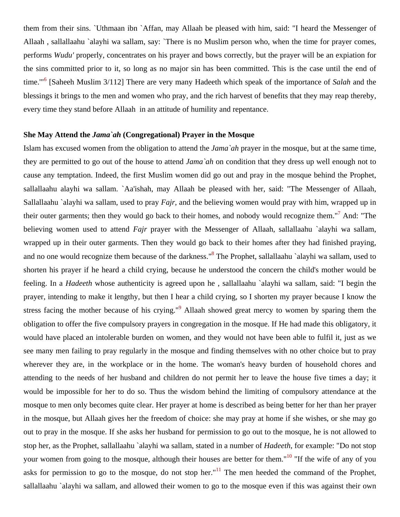them from their sins. `Uthmaan ibn `Affan, may Allaah be pleased with him, said: "I heard the Messenger of Allaah , sallallaahu `alayhi wa sallam, say: `There is no Muslim person who, when the time for prayer comes, performs *Wudu'* properly, concentrates on his prayer and bows correctly, but the prayer will be an expiation for the sins committed prior to it, so long as no major sin has been committed. This is the case until the end of time.'"<sup>6</sup> [Saheeh Muslim 3/112] There are very many Hadeeth which speak of the importance of *Salah* and the blessings it brings to the men and women who pray, and the rich harvest of benefits that they may reap thereby, every time they stand before Allaah in an attitude of humility and repentance.

#### **She May Attend the** *Jama`ah* **(Congregational) Prayer in the Mosque**

Islam has excused women from the obligation to attend the *Jama`ah* prayer in the mosque, but at the same time, they are permitted to go out of the house to attend *Jama`ah* on condition that they dress up well enough not to cause any temptation. Indeed, the first Muslim women did go out and pray in the mosque behind the Prophet, sallallaahu alayhi wa sallam. `Aa'ishah, may Allaah be pleased with her, said: "The Messenger of Allaah, Sallallaahu `alayhi wa sallam, used to pray *Fajr*, and the believing women would pray with him, wrapped up in their outer garments; then they would go back to their homes, and nobody would recognize them."<sup>7</sup> And: "The believing women used to attend *Fajr* prayer with the Messenger of Allaah, sallallaahu `alayhi wa sallam, wrapped up in their outer garments. Then they would go back to their homes after they had finished praying, and no one would recognize them because of the darkness."<sup>8</sup> The Prophet, sallallaahu `alayhi wa sallam, used to shorten his prayer if he heard a child crying, because he understood the concern the child's mother would be feeling. In a *Hadeeth* whose authenticity is agreed upon he , sallallaahu `alayhi wa sallam, said: "I begin the prayer, intending to make it lengthy, but then I hear a child crying, so I shorten my prayer because I know the stress facing the mother because of his crying."<sup>9</sup> Allaah showed great mercy to women by sparing them the obligation to offer the five compulsory prayers in congregation in the mosque. If He had made this obligatory, it would have placed an intolerable burden on women, and they would not have been able to fulfil it, just as we see many men failing to pray regularly in the mosque and finding themselves with no other choice but to pray wherever they are, in the workplace or in the home. The woman's heavy burden of household chores and attending to the needs of her husband and children do not permit her to leave the house five times a day; it would be impossible for her to do so. Thus the wisdom behind the limiting of compulsory attendance at the mosque to men only becomes quite clear. Her prayer at home is described as being better for her than her prayer in the mosque, but Allaah gives her the freedom of choice: she may pray at home if she wishes, or she may go out to pray in the mosque. If she asks her husband for permission to go out to the mosque, he is not allowed to stop her, as the Prophet, sallallaahu `alayhi wa sallam, stated in a number of *Hadeeth*, for example: "Do not stop your women from going to the mosque, although their houses are better for them."<sup>10</sup> "If the wife of any of you asks for permission to go to the mosque, do not stop her."<sup>11</sup> The men heeded the command of the Prophet, sallallaahu `alayhi wa sallam, and allowed their women to go to the mosque even if this was against their own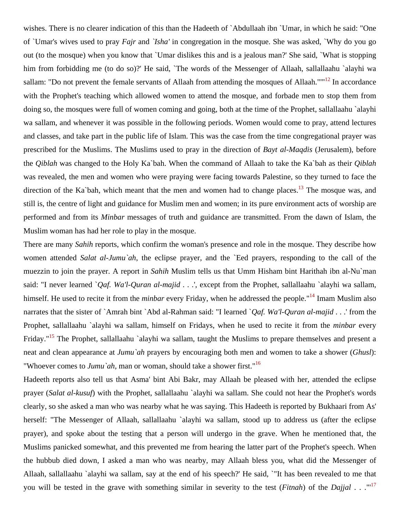wishes. There is no clearer indication of this than the Hadeeth of `Abdullaah ibn `Umar, in which he said: "One of `Umar's wives used to pray *Fajr* and *`Isha'* in congregation in the mosque. She was asked, `Why do you go out (to the mosque) when you know that `Umar dislikes this and is a jealous man?' She said, `What is stopping him from forbidding me (to do so)?' He said, 'The words of the Messenger of Allaah, sallallaahu 'alayhi wa sallam: "Do not prevent the female servants of Allaah from attending the mosques of Allaah.""<sup>12</sup> In accordance with the Prophet's teaching which allowed women to attend the mosque, and forbade men to stop them from doing so, the mosques were full of women coming and going, both at the time of the Prophet, sallallaahu `alayhi wa sallam, and whenever it was possible in the following periods. Women would come to pray, attend lectures and classes, and take part in the public life of Islam. This was the case from the time congregational prayer was prescribed for the Muslims. The Muslims used to pray in the direction of *Bayt al-Maqdis* (Jerusalem), before the *Qiblah* was changed to the Holy Ka`bah. When the command of Allaah to take the Ka`bah as their *Qiblah*  was revealed, the men and women who were praying were facing towards Palestine, so they turned to face the direction of the Ka`bah, which meant that the men and women had to change places.<sup>13</sup> The mosque was, and still is, the centre of light and guidance for Muslim men and women; in its pure environment acts of worship are performed and from its *Minbar* messages of truth and guidance are transmitted. From the dawn of Islam, the Muslim woman has had her role to play in the mosque.

There are many *Sahih* reports, which confirm the woman's presence and role in the mosque. They describe how women attended *Salat al-Jumu`ah*, the eclipse prayer, and the `Eed prayers, responding to the call of the muezzin to join the prayer. A report in *Sahih* Muslim tells us that Umm Hisham bint Harithah ibn al-Nu`man said: "I never learned `*Qaf. Wa'l-Quran al-majid . . .*', except from the Prophet, sallallaahu `alayhi wa sallam, himself. He used to recite it from the *minbar* every Friday, when he addressed the people."14 Imam Muslim also narrates that the sister of `Amrah bint `Abd al-Rahman said: "I learned `*Qaf. Wa'l-Quran al-majid* . . .' from the Prophet, sallallaahu `alayhi wa sallam, himself on Fridays, when he used to recite it from the *minbar* every Friday."<sup>15</sup> The Prophet, sallallaahu `alayhi wa sallam, taught the Muslims to prepare themselves and present a neat and clean appearance at *Jumu`ah* prayers by encouraging both men and women to take a shower (*Ghusl*): "Whoever comes to *Jumu`ah*, man or woman, should take a shower first."<sup>16</sup>

Hadeeth reports also tell us that Asma' bint Abi Bakr, may Allaah be pleased with her, attended the eclipse prayer (*Salat al-kusuf*) with the Prophet, sallallaahu `alayhi wa sallam. She could not hear the Prophet's words clearly, so she asked a man who was nearby what he was saying. This Hadeeth is reported by Bukhaari from As' herself: "The Messenger of Allaah, sallallaahu `alayhi wa sallam, stood up to address us (after the eclipse prayer), and spoke about the testing that a person will undergo in the grave. When he mentioned that, the Muslims panicked somewhat, and this prevented me from hearing the latter part of the Prophet's speech. When the hubbub died down, I asked a man who was nearby, may Allaah bless you, what did the Messenger of Allaah, sallallaahu `alayhi wa sallam, say at the end of his speech?' He said, `"It has been revealed to me that you will be tested in the grave with something similar in severity to the test (*Fitnah*) of the *Dajjal* . . ."'<sup>17</sup>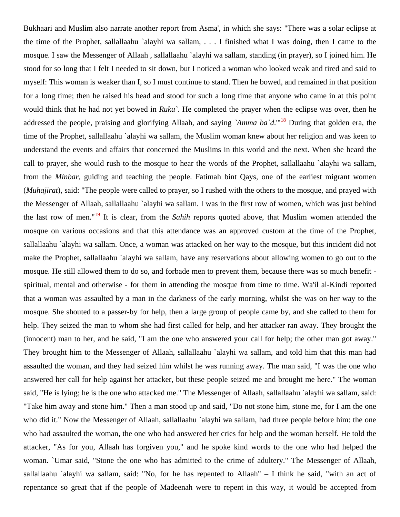Bukhaari and Muslim also narrate another report from Asma', in which she says: "There was a solar eclipse at the time of the Prophet, sallallaahu `alayhi wa sallam, . . . I finished what I was doing, then I came to the mosque. I saw the Messenger of Allaah , sallallaahu `alayhi wa sallam, standing (in prayer), so I joined him. He stood for so long that I felt I needed to sit down, but I noticed a woman who looked weak and tired and said to myself: This woman is weaker than I, so I must continue to stand. Then he bowed, and remained in that position for a long time; then he raised his head and stood for such a long time that anyone who came in at this point would think that he had not yet bowed in *Ruku`*. He completed the prayer when the eclipse was over, then he addressed the people, praising and glorifying Allaah, and saying *`Amma ba`d*.'"18 During that golden era, the time of the Prophet, sallallaahu `alayhi wa sallam, the Muslim woman knew about her religion and was keen to understand the events and affairs that concerned the Muslims in this world and the next. When she heard the call to prayer, she would rush to the mosque to hear the words of the Prophet, sallallaahu `alayhi wa sallam, from the *Minbar*, guiding and teaching the people. Fatimah bint Qays, one of the earliest migrant women (*Muhajirat*), said: "The people were called to prayer, so I rushed with the others to the mosque, and prayed with the Messenger of Allaah, sallallaahu `alayhi wa sallam. I was in the first row of women, which was just behind the last row of men."19 It is clear, from the *Sahih* reports quoted above, that Muslim women attended the mosque on various occasions and that this attendance was an approved custom at the time of the Prophet, sallallaahu `alayhi wa sallam. Once, a woman was attacked on her way to the mosque, but this incident did not make the Prophet, sallallaahu `alayhi wa sallam, have any reservations about allowing women to go out to the mosque. He still allowed them to do so, and forbade men to prevent them, because there was so much benefit spiritual, mental and otherwise - for them in attending the mosque from time to time. Wa'il al-Kindi reported that a woman was assaulted by a man in the darkness of the early morning, whilst she was on her way to the mosque. She shouted to a passer-by for help, then a large group of people came by, and she called to them for help. They seized the man to whom she had first called for help, and her attacker ran away. They brought the (innocent) man to her, and he said, "I am the one who answered your call for help; the other man got away." They brought him to the Messenger of Allaah, sallallaahu `alayhi wa sallam, and told him that this man had assaulted the woman, and they had seized him whilst he was running away. The man said, "I was the one who answered her call for help against her attacker, but these people seized me and brought me here." The woman said, "He is lying; he is the one who attacked me." The Messenger of Allaah, sallallaahu `alayhi wa sallam, said: "Take him away and stone him." Then a man stood up and said, "Do not stone him, stone me, for I am the one who did it." Now the Messenger of Allaah, sallallaahu `alayhi wa sallam, had three people before him: the one who had assaulted the woman, the one who had answered her cries for help and the woman herself. He told the attacker, "As for you, Allaah has forgiven you," and he spoke kind words to the one who had helped the woman. `Umar said, "Stone the one who has admitted to the crime of adultery." The Messenger of Allaah, sallallaahu `alayhi wa sallam, said: "No, for he has repented to Allaah" – I think he said, "with an act of repentance so great that if the people of Madeenah were to repent in this way, it would be accepted from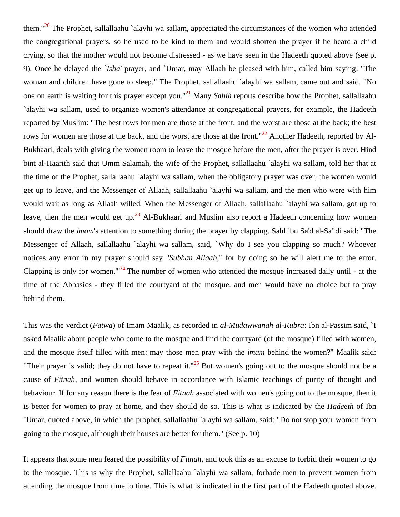them."<sup>20</sup> The Prophet, sallallaahu `alayhi wa sallam, appreciated the circumstances of the women who attended the congregational prayers, so he used to be kind to them and would shorten the prayer if he heard a child crying, so that the mother would not become distressed - as we have seen in the Hadeeth quoted above (see p. 9). Once he delayed the *`Isha'* prayer, and `Umar, may Allaah be pleased with him, called him saying: "The woman and children have gone to sleep." The Prophet, sallallaahu `alayhi wa sallam, came out and said, "No one on earth is waiting for this prayer except you."21 Many *Sahih* reports describe how the Prophet, sallallaahu `alayhi wa sallam, used to organize women's attendance at congregational prayers, for example, the Hadeeth reported by Muslim: "The best rows for men are those at the front, and the worst are those at the back; the best rows for women are those at the back, and the worst are those at the front."<sup>22</sup> Another Hadeeth, reported by Al-Bukhaari, deals with giving the women room to leave the mosque before the men, after the prayer is over. Hind bint al-Haarith said that Umm Salamah, the wife of the Prophet, sallallaahu `alayhi wa sallam, told her that at the time of the Prophet, sallallaahu `alayhi wa sallam, when the obligatory prayer was over, the women would get up to leave, and the Messenger of Allaah, sallallaahu `alayhi wa sallam, and the men who were with him would wait as long as Allaah willed. When the Messenger of Allaah, sallallaahu `alayhi wa sallam, got up to leave, then the men would get up.<sup>23</sup> Al-Bukhaari and Muslim also report a Hadeeth concerning how women should draw the *imam*'s attention to something during the prayer by clapping. Sahl ibn Sa'd al-Sa'idi said: "The Messenger of Allaah, sallallaahu `alayhi wa sallam, said, `Why do I see you clapping so much? Whoever notices any error in my prayer should say "*Subhan Allaah*," for by doing so he will alert me to the error. Clapping is only for women."<sup>24</sup> The number of women who attended the mosque increased daily until - at the time of the Abbasids - they filled the courtyard of the mosque, and men would have no choice but to pray behind them.

This was the verdict (*Fatwa*) of Imam Maalik, as recorded in *al-Mudawwanah al-Kubra*: Ibn al-Passim said, `I asked Maalik about people who come to the mosque and find the courtyard (of the mosque) filled with women, and the mosque itself filled with men: may those men pray with the *imam* behind the women?" Maalik said: "Their prayer is valid; they do not have to repeat it."<sup>25</sup> But women's going out to the mosque should not be a cause of *Fitnah*, and women should behave in accordance with Islamic teachings of purity of thought and behaviour. If for any reason there is the fear of *Fitnah* associated with women's going out to the mosque, then it is better for women to pray at home, and they should do so. This is what is indicated by the *Hadeeth* of Ibn `Umar, quoted above, in which the prophet, sallallaahu `alayhi wa sallam, said: "Do not stop your women from going to the mosque, although their houses are better for them." (See p. 10)

It appears that some men feared the possibility of *Fitnah*, and took this as an excuse to forbid their women to go to the mosque. This is why the Prophet, sallallaahu `alayhi wa sallam, forbade men to prevent women from attending the mosque from time to time. This is what is indicated in the first part of the Hadeeth quoted above.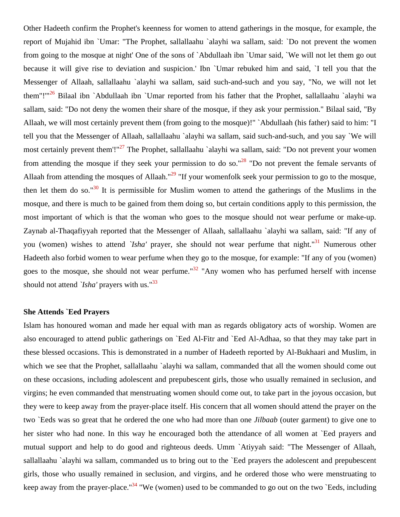Other Hadeeth confirm the Prophet's keenness for women to attend gatherings in the mosque, for example, the report of Mujahid ibn `Umar: "The Prophet, sallallaahu `alayhi wa sallam, said: `Do not prevent the women from going to the mosque at night' One of the sons of `Abdullaah ibn `Umar said, `We will not let them go out because it will give rise to deviation and suspicion.' Ibn `Umar rebuked him and said, `I tell you that the Messenger of Allaah, sallallaahu `alayhi wa sallam, said such-and-such and you say, "No, we will not let them"!'"26 Bilaal ibn `Abdullaah ibn `Umar reported from his father that the Prophet, sallallaahu `alayhi wa sallam, said: "Do not deny the women their share of the mosque, if they ask your permission." Bilaal said, "By Allaah, we will most certainly prevent them (from going to the mosque)!" `Abdullaah (his father) said to him: "I tell you that the Messenger of Allaah, sallallaahu `alayhi wa sallam, said such-and-such, and you say `We will most certainly prevent them'!"<sup>27</sup> The Prophet, sallallaahu `alayhi wa sallam, said: "Do not prevent your women from attending the mosque if they seek your permission to do so."28 "Do not prevent the female servants of Allaah from attending the mosques of Allaah."<sup>29</sup> "If your womenfolk seek your permission to go to the mosque, then let them do so." $30$  It is permissible for Muslim women to attend the gatherings of the Muslims in the mosque, and there is much to be gained from them doing so, but certain conditions apply to this permission, the most important of which is that the woman who goes to the mosque should not wear perfume or make-up. Zaynab al-Thaqafiyyah reported that the Messenger of Allaah, sallallaahu `alayhi wa sallam, said: "If any of you (women) wishes to attend *`Isha'* prayer, she should not wear perfume that night."<sup>31</sup> Numerous other Hadeeth also forbid women to wear perfume when they go to the mosque, for example: "If any of you (women) goes to the mosque, she should not wear perfume."<sup>32</sup> "Any women who has perfumed herself with incense should not attend *`Isha'* prayers with us."<sup>33</sup>

## **She Attends `Eed Prayers**

Islam has honoured woman and made her equal with man as regards obligatory acts of worship. Women are also encouraged to attend public gatherings on `Eed Al-Fitr and `Eed Al-Adhaa, so that they may take part in these blessed occasions. This is demonstrated in a number of Hadeeth reported by Al-Bukhaari and Muslim, in which we see that the Prophet, sallallaahu `alayhi wa sallam, commanded that all the women should come out on these occasions, including adolescent and prepubescent girls, those who usually remained in seclusion, and virgins; he even commanded that menstruating women should come out, to take part in the joyous occasion, but they were to keep away from the prayer-place itself. His concern that all women should attend the prayer on the two `Eeds was so great that he ordered the one who had more than one *Jilbaab* (outer garment) to give one to her sister who had none. In this way he encouraged both the attendance of all women at `Eed prayers and mutual support and help to do good and righteous deeds. Umm `Atiyyah said: "The Messenger of Allaah, sallallaahu `alayhi wa sallam, commanded us to bring out to the `Eed prayers the adolescent and prepubescent girls, those who usually remained in seclusion, and virgins, and he ordered those who were menstruating to keep away from the prayer-place."34 "We (women) used to be commanded to go out on the two `Eeds, including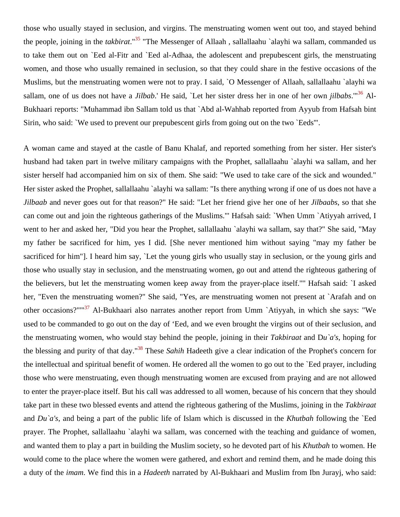those who usually stayed in seclusion, and virgins. The menstruating women went out too, and stayed behind the people, joining in the *takbirat*."35 "The Messenger of Allaah , sallallaahu `alayhi wa sallam, commanded us to take them out on `Eed al-Fitr and `Eed al-Adhaa, the adolescent and prepubescent girls, the menstruating women, and those who usually remained in seclusion, so that they could share in the festive occasions of the Muslims, but the menstruating women were not to pray. I said, `O Messenger of Allaah, sallallaahu `alayhi wa sallam, one of us does not have a *Jilbab*.' He said, `Let her sister dress her in one of her own *jilbabs*.'"36 Al-Bukhaari reports: "Muhammad ibn Sallam told us that `Abd al-Wahhab reported from Ayyub from Hafsah bint Sirin, who said: `We used to prevent our prepubescent girls from going out on the two `Eeds'".

A woman came and stayed at the castle of Banu Khalaf, and reported something from her sister. Her sister's husband had taken part in twelve military campaigns with the Prophet, sallallaahu `alayhi wa sallam, and her sister herself had accompanied him on six of them. She said: "We used to take care of the sick and wounded." Her sister asked the Prophet, sallallaahu `alayhi wa sallam: "Is there anything wrong if one of us does not have a *Jilbaab* and never goes out for that reason?" He said: "Let her friend give her one of her *Jilbaabs*, so that she can come out and join the righteous gatherings of the Muslims."' Hafsah said: `When Umm `Atiyyah arrived, I went to her and asked her, "Did you hear the Prophet, sallallaahu `alayhi wa sallam, say that?" She said, "May my father be sacrificed for him, yes I did. [She never mentioned him without saying "may my father be sacrificed for him"]. I heard him say, `Let the young girls who usually stay in seclusion, or the young girls and those who usually stay in seclusion, and the menstruating women, go out and attend the righteous gathering of the believers, but let the menstruating women keep away from the prayer-place itself.'"' Hafsah said: `I asked her, "Even the menstruating women?" She said, "Yes, are menstruating women not present at `Arafah and on other occasions?""<sup>37</sup> Al-Bukhaari also narrates another report from Umm `Atiyyah, in which she says: "We used to be commanded to go out on the day of 'Eed, and we even brought the virgins out of their seclusion, and the menstruating women, who would stay behind the people, joining in their *Takbiraat* and D*u`a's*, hoping for the blessing and purity of that day."38 These *Sahih* Hadeeth give a clear indication of the Prophet's concern for the intellectual and spiritual benefit of women. He ordered all the women to go out to the `Eed prayer, including those who were menstruating, even though menstruating women are excused from praying and are not allowed to enter the prayer-place itself. But his call was addressed to all women, because of his concern that they should take part in these two blessed events and attend the righteous gathering of the Muslims, joining in the *Takbiraat*  and *Du`a's*, and being a part of the public life of Islam which is discussed in the *Khutbah* following the `Eed prayer. The Prophet, sallallaahu `alayhi wa sallam, was concerned with the teaching and guidance of women, and wanted them to play a part in building the Muslim society, so he devoted part of his *Khutbah* to women. He would come to the place where the women were gathered, and exhort and remind them, and he made doing this a duty of the *imam*. We find this in a *Hadeeth* narrated by Al-Bukhaari and Muslim from Ibn Jurayj, who said: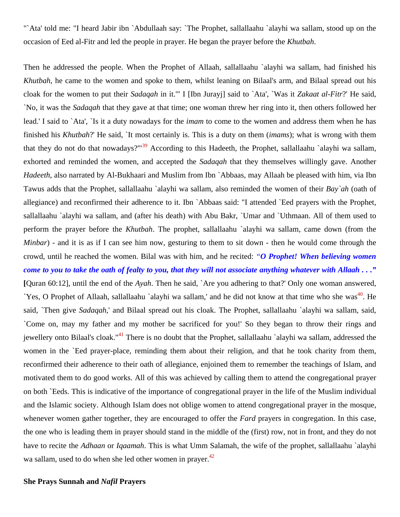"`Ata' told me: "I heard Jabir ibn `Abdullaah say: `The Prophet, sallallaahu `alayhi wa sallam, stood up on the occasion of Eed al-Fitr and led the people in prayer. He began the prayer before the *Khutbah*.

Then he addressed the people. When the Prophet of Allaah, sallallaahu `alayhi wa sallam, had finished his *Khutbah*, he came to the women and spoke to them, whilst leaning on Bilaal's arm, and Bilaal spread out his cloak for the women to put their *Sadaqah* in it.'" I [Ibn Jurayj] said to `Ata', `Was it *Zakaat al-Fitr*?' He said, `No, it was the *Sadaqah* that they gave at that time; one woman threw her ring into it, then others followed her lead.' I said to `Ata', `Is it a duty nowadays for the *imam* to come to the women and address them when he has finished his *Khutbah*?' He said, `It most certainly is. This is a duty on them (*imams*); what is wrong with them that they do not do that nowadays?'"39 According to this Hadeeth, the Prophet, sallallaahu `alayhi wa sallam, exhorted and reminded the women, and accepted the *Sadaqah* that they themselves willingly gave. Another *Hadeeth*, also narrated by Al-Bukhaari and Muslim from Ibn `Abbaas, may Allaah be pleased with him, via Ibn Tawus adds that the Prophet, sallallaahu `alayhi wa sallam, also reminded the women of their *Bay`ah* (oath of allegiance) and reconfirmed their adherence to it. Ibn `Abbaas said: "I attended `Eed prayers with the Prophet, sallallaahu `alayhi wa sallam, and (after his death) with Abu Bakr, `Umar and `Uthmaan. All of them used to perform the prayer before the *Khutbah*. The prophet, sallallaahu `alayhi wa sallam, came down (from the *Minbar*) - and it is as if I can see him now, gesturing to them to sit down - then he would come through the crowd, until he reached the women. Bilal was with him, and he recited: *"O Prophet! When believing women come to you to take the oath of fealty to you, that they will not associate anything whatever with Allaah . . ."*  **[**Quran 60:12], until the end of the *Ayah*. Then he said, `Are you adhering to that?' Only one woman answered, `Yes, O Prophet of Allaah, sallallaahu `alayhi wa sallam,' and he did not know at that time who she was<sup>40</sup>. He said, `Then give *Sadaqah*,' and Bilaal spread out his cloak. The Prophet, sallallaahu `alayhi wa sallam, said, `Come on, may my father and my mother be sacrificed for you!' So they began to throw their rings and jewellery onto Bilaal's cloak."<sup>41</sup> There is no doubt that the Prophet, sallallaahu `alayhi wa sallam, addressed the women in the `Eed prayer-place, reminding them about their religion, and that he took charity from them, reconfirmed their adherence to their oath of allegiance, enjoined them to remember the teachings of Islam, and motivated them to do good works. All of this was achieved by calling them to attend the congregational prayer on both **`**Eeds. This is indicative of the importance of congregational prayer in the life of the Muslim individual and the Islamic society. Although Islam does not oblige women to attend congregational prayer in the mosque, whenever women gather together, they are encouraged to offer the *Fard* prayers in congregation. In this case, the one who is leading them in prayer should stand in the middle of the (first) row, not in front, and they do not have to recite the *Adhaan* or *Iqaamah*. This is what Umm Salamah, the wife of the prophet, sallallaahu `alayhi wa sallam, used to do when she led other women in prayer.<sup>42</sup>

# **She Prays Sunnah and** *Nafil* **Prayers**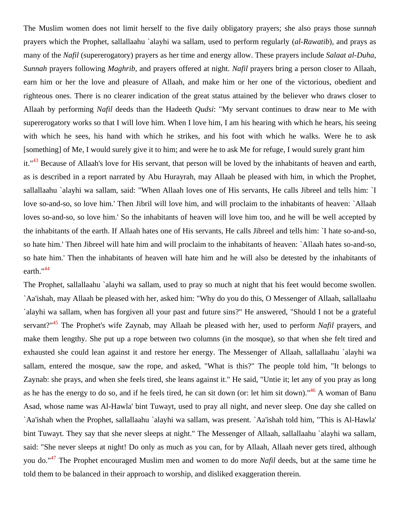The Muslim women does not limit herself to the five daily obligatory prayers; she also prays those *sunnah*  prayers which the Prophet, sallallaahu `alayhi wa sallam, used to perform regularly (*al-Rawatib*), and prays as many of the *Nafil* (supererogatory) prayers as her time and energy allow. These prayers include *Salaat al-Duha*, *Sunnah* prayers following *Maghrib*, and prayers offered at night. *Nafil* prayers bring a person closer to Allaah, earn him or her the love and pleasure of Allaah, and make him or her one of the victorious, obedient and righteous ones. There is no clearer indication of the great status attained by the believer who draws closer to Allaah by performing *Nafil* deeds than the Hadeeth *Qudsi*: "My servant continues to draw near to Me with supererogatory works so that I will love him. When I love him, I am his hearing with which he hears, his seeing with which he sees, his hand with which he strikes, and his foot with which he walks. Were he to ask [something] of Me, I would surely give it to him; and were he to ask Me for refuge, I would surely grant him it."<sup>43</sup> Because of Allaah's love for His servant, that person will be loved by the inhabitants of heaven and earth, as is described in a report narrated by Abu Hurayrah, may Allaah be pleased with him, in which the Prophet, sallallaahu `alayhi wa sallam, said: "When Allaah loves one of His servants, He calls Jibreel and tells him: `I love so-and-so, so love him.' Then Jibril will love him, and will proclaim to the inhabitants of heaven: `Allaah loves so-and-so, so love him.' So the inhabitants of heaven will love him too, and he will be well accepted by the inhabitants of the earth. If Allaah hates one of His servants, He calls Jibreel and tells him: `I hate so-and-so, so hate him.' Then Jibreel will hate him and will proclaim to the inhabitants of heaven: `Allaah hates so-and-so, so hate him.' Then the inhabitants of heaven will hate him and he will also be detested by the inhabitants of earth."<sup>44</sup>

The Prophet, sallallaahu `alayhi wa sallam, used to pray so much at night that his feet would become swollen. `Aa'ishah, may Allaah be pleased with her, asked him: "Why do you do this, O Messenger of Allaah, sallallaahu `alayhi wa sallam, when has forgiven all your past and future sins?" He answered, "Should I not be a grateful servant?"45 The Prophet's wife Zaynab, may Allaah be pleased with her, used to perform *Nafil* prayers, and make them lengthy. She put up a rope between two columns (in the mosque), so that when she felt tired and exhausted she could lean against it and restore her energy. The Messenger of Allaah, sallallaahu `alayhi wa sallam, entered the mosque, saw the rope, and asked, "What is this?" The people told him, "It belongs to Zaynab: she prays, and when she feels tired, she leans against it." He said, "Untie it; let any of you pray as long as he has the energy to do so, and if he feels tired, he can sit down (or: let him sit down)."<sup>46</sup> A woman of Banu Asad, whose name was Al-Hawla' bint Tuwayt, used to pray all night, and never sleep. One day she called on `Aa'ishah when the Prophet, sallallaahu `alayhi wa sallam, was present. `Aa'ishah told him, "This is Al-Hawla' bint Tuwayt. They say that she never sleeps at night." The Messenger of Allaah, sallallaahu `alayhi wa sallam, said: "She never sleeps at night! Do only as much as you can, for by Allaah, Allaah never gets tired, although you do."47 The Prophet encouraged Muslim men and women to do more *Nafil* deeds, but at the same time he told them to be balanced in their approach to worship, and disliked exaggeration therein.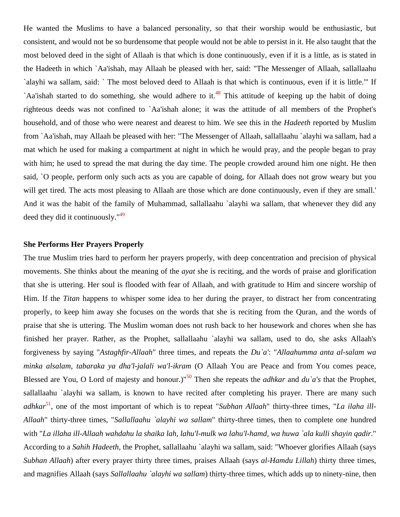He wanted the Muslims to have a balanced personality, so that their worship would be enthusiastic, but consistent, and would not be so burdensome that people would not be able to persist in it. He also taught that the most beloved deed in the sight of Allaah is that which is done continuously, even if it is a little, as is stated in the Hadeeth in which `Aa'ishah, may Allaah be pleased with her, said: "The Messenger of Allaah, sallallaahu `alayhi wa sallam, said: ` The most beloved deed to Allaah is that which is continuous, even if it is little.'" If `Aa'ishah started to do something, she would adhere to it.<sup>48</sup> This attitude of keeping up the habit of doing righteous deeds was not confined to `Aa'ishah alone; it was the attitude of all members of the Prophet's household, and of those who were nearest and dearest to him. We see this in the *Hadeeth* reported by Muslim from `Aa'ishah, may Allaah be pleased with her: "The Messenger of Allaah, sallallaahu `alayhi wa sallam, had a mat which he used for making a compartment at night in which he would pray, and the people began to pray with him; he used to spread the mat during the day time. The people crowded around him one night. He then said, `O people, perform only such acts as you are capable of doing, for Allaah does not grow weary but you will get tired. The acts most pleasing to Allaah are those which are done continuously, even if they are small.' And it was the habit of the family of Muhammad, sallallaahu `alayhi wa sallam, that whenever they did any deed they did it continuously."<sup>49</sup>

# **She Performs Her Prayers Properly**

The true Muslim tries hard to perform her prayers properly, with deep concentration and precision of physical movements. She thinks about the meaning of the *ayat* she is reciting, and the words of praise and glorification that she is uttering. Her soul is flooded with fear of Allaah, and with gratitude to Him and sincere worship of Him. If the *Titan* happens to whisper some idea to her during the prayer, to distract her from concentrating properly, to keep him away she focuses on the words that she is reciting from the Quran, and the words of praise that she is uttering. The Muslim woman does not rush back to her housework and chores when she has finished her prayer. Rather, as the Prophet, sallallaahu `alayhi wa sallam, used to do, she asks Allaah's forgiveness by saying "*Astaghfir-Allaah*" three times, and repeats the *Du`a'*: "*Allaahumma anta al-salam wa minka alsalam, tabaraka ya dha'l-jalali wa'l-ikram* (O Allaah You are Peace and from You comes peace, Blessed are You, O Lord of majesty and honour.)"50 Then she repeats the *adhkar* and *du`a's* that the Prophet, sallallaahu `alayhi wa sallam, is known to have recited after completing his prayer. There are many such *adhkar*51, one of the most important of which is to repeat "*Subhan Allaah*" thirty-three times, "*La ilaha ill-Allaah*" thirty-three times, "*Sallallaahu `alayhi wa sallam*" thirty-three times, then to complete one hundred with "*La illaha ill-Allaah wahdahu la shaika lah, lahu'l-mulk wa lahu'l-hamd, wa huwa `ala kulli shayin qadir*." According to a *Sahih Hadeeth*, the Prophet, sallallaahu `alayhi wa sallam, said: "Whoever glorifies Allaah (says *Subhan Allaah*) after every prayer thirty three times, praises Allaah (says *al-Hamdu Lillah*) thirty three times, and magnifies Allaah (says *Sallallaahu `alayhi wa sallam*) thirty-three times, which adds up to ninety-nine, then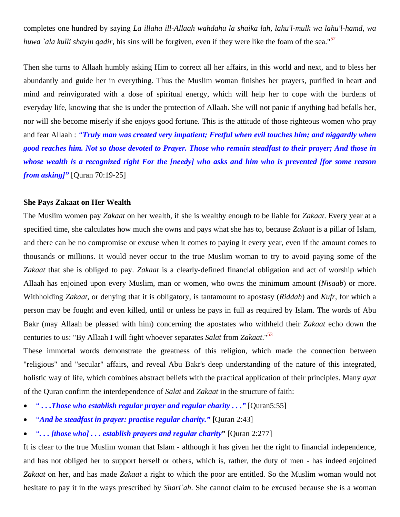completes one hundred by saying *La illaha ill-Allaah wahdahu la shaika lah, lahu'l-mulk wa lahu'l-hamd, wa huwa `ala kulli shayin qadir*, his sins will be forgiven, even if they were like the foam of the sea."<sup>52</sup>

Then she turns to Allaah humbly asking Him to correct all her affairs, in this world and next, and to bless her abundantly and guide her in everything. Thus the Muslim woman finishes her prayers, purified in heart and mind and reinvigorated with a dose of spiritual energy, which will help her to cope with the burdens of everyday life, knowing that she is under the protection of Allaah. She will not panic if anything bad befalls her, nor will she become miserly if she enjoys good fortune. This is the attitude of those righteous women who pray and fear Allaah : *"Truly man was created very impatient; Fretful when evil touches him; and niggardly when good reaches him. Not so those devoted to Prayer. Those who remain steadfast to their prayer; And those in whose wealth is a recognized right For the [needy] who asks and him who is prevented [for some reason from asking]"* [Quran 70:19-25]

## **She Pays Zakaat on Her Wealth**

The Muslim women pay *Zakaat* on her wealth, if she is wealthy enough to be liable for *Zakaat*. Every year at a specified time, she calculates how much she owns and pays what she has to, because *Zakaat* is a pillar of Islam, and there can be no compromise or excuse when it comes to paying it every year, even if the amount comes to thousands or millions. It would never occur to the true Muslim woman to try to avoid paying some of the *Zakaat* that she is obliged to pay. *Zakaat* is a clearly-defined financial obligation and act of worship which Allaah has enjoined upon every Muslim, man or women, who owns the minimum amount (*Nisaab*) or more. Withholding *Zakaat*, or denying that it is obligatory, is tantamount to apostasy (*Riddah*) and *Kufr*, for which a person may be fought and even killed, until or unless he pays in full as required by Islam. The words of Abu Bakr (may Allaah be pleased with him) concerning the apostates who withheld their *Zakaat* echo down the centuries to us: "By Allaah I will fight whoever separates *Salat* from *Zakaat*."<sup>53</sup>

These immortal words demonstrate the greatness of this religion, which made the connection between "religious" and "secular" affairs, and reveal Abu Bakr's deep understanding of the nature of this integrated, holistic way of life, which combines abstract beliefs with the practical application of their principles. Many *ayat*  of the Quran confirm the interdependence of *Salat* and *Zakaat* in the structure of faith:

- *" . . .Those who establish regular prayer and regular charity . . ."* [Quran5:55]
- *"And be steadfast in prayer: practise regular charity."* **[**Quran 2:43]
- *". . . [those who] . . . establish prayers and regular charity***"** [Quran 2:277]

It is clear to the true Muslim woman that Islam - although it has given her the right to financial independence, and has not obliged her to support herself or others, which is, rather, the duty of men - has indeed enjoined *Zakaat* on her, and has made *Zakaat* a right to which the poor are entitled. So the Muslim woman would not hesitate to pay it in the ways prescribed by *Shari`ah*. She cannot claim to be excused because she is a woman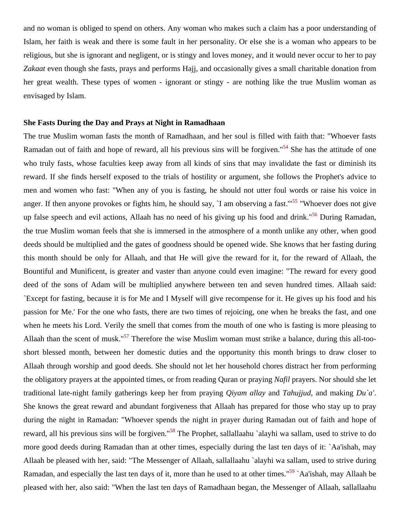and no woman is obliged to spend on others. Any woman who makes such a claim has a poor understanding of Islam, her faith is weak and there is some fault in her personality. Or else she is a woman who appears to be religious, but she is ignorant and negligent, or is stingy and loves money, and it would never occur to her to pay *Zakaat* even though she fasts, prays and performs Hajj, and occasionally gives a small charitable donation from her great wealth. These types of women - ignorant or stingy - are nothing like the true Muslim woman as envisaged by Islam.

#### **She Fasts During the Day and Prays at Night in Ramadhaan**

The true Muslim woman fasts the month of Ramadhaan, and her soul is filled with faith that: "Whoever fasts Ramadan out of faith and hope of reward, all his previous sins will be forgiven."<sup>54</sup> She has the attitude of one who truly fasts, whose faculties keep away from all kinds of sins that may invalidate the fast or diminish its reward. If she finds herself exposed to the trials of hostility or argument, she follows the Prophet's advice to men and women who fast: "When any of you is fasting, he should not utter foul words or raise his voice in anger. If then anyone provokes or fights him, he should say, `I am observing a fast."<sup>55</sup> "Whoever does not give up false speech and evil actions, Allaah has no need of his giving up his food and drink."56 During Ramadan, the true Muslim woman feels that she is immersed in the atmosphere of a month unlike any other, when good deeds should be multiplied and the gates of goodness should be opened wide. She knows that her fasting during this month should be only for Allaah, and that He will give the reward for it, for the reward of Allaah, the Bountiful and Munificent, is greater and vaster than anyone could even imagine: "The reward for every good deed of the sons of Adam will be multiplied anywhere between ten and seven hundred times. Allaah said: `Except for fasting, because it is for Me and I Myself will give recompense for it. He gives up his food and his passion for Me.' For the one who fasts, there are two times of rejoicing, one when he breaks the fast, and one when he meets his Lord. Verily the smell that comes from the mouth of one who is fasting is more pleasing to Allaah than the scent of musk."<sup>57</sup> Therefore the wise Muslim woman must strike a balance, during this all-tooshort blessed month, between her domestic duties and the opportunity this month brings to draw closer to Allaah through worship and good deeds. She should not let her household chores distract her from performing the obligatory prayers at the appointed times, or from reading Quran or praying *Nafil* prayers. Nor should she let traditional late-night family gatherings keep her from praying *Qiyam allay* and *Tahujjud*, and making *Du`a'*. She knows the great reward and abundant forgiveness that Allaah has prepared for those who stay up to pray during the night in Ramadan: "Whoever spends the night in prayer during Ramadan out of faith and hope of reward, all his previous sins will be forgiven."58 The Prophet, sallallaahu `alayhi wa sallam, used to strive to do more good deeds during Ramadan than at other times, especially during the last ten days of it: `Aa'ishah, may Allaah be pleased with her, said: "The Messenger of Allaah, sallallaahu `alayhi wa sallam, used to strive during Ramadan, and especially the last ten days of it, more than he used to at other times."59 `Aa'ishah, may Allaah be pleased with her, also said: "When the last ten days of Ramadhaan began, the Messenger of Allaah, sallallaahu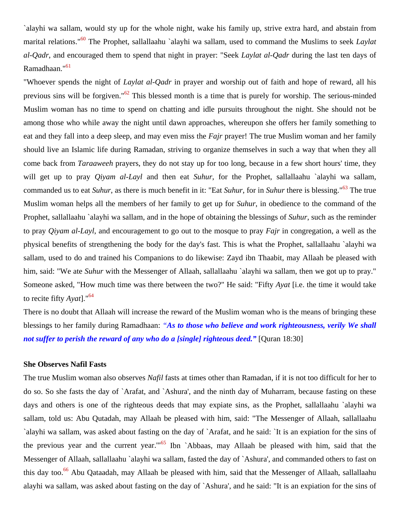`alayhi wa sallam, would sty up for the whole night, wake his family up, strive extra hard, and abstain from marital relations."60 The Prophet, sallallaahu `alayhi wa sallam, used to command the Muslims to seek *Laylat al-Qadr*, and encouraged them to spend that night in prayer: "Seek *Laylat al-Qadr* during the last ten days of Ramadhaan."<sup>61</sup>

"Whoever spends the night of *Laylat al-Qadr* in prayer and worship out of faith and hope of reward, all his previous sins will be forgiven."62 This blessed month is a time that is purely for worship. The serious-minded Muslim woman has no time to spend on chatting and idle pursuits throughout the night. She should not be among those who while away the night until dawn approaches, whereupon she offers her family something to eat and they fall into a deep sleep, and may even miss the *Fajr* prayer! The true Muslim woman and her family should live an Islamic life during Ramadan, striving to organize themselves in such a way that when they all come back from *Taraaweeh* prayers, they do not stay up for too long, because in a few short hours' time, they will get up to pray *Qiyam al-Layl* and then eat *Suhur*, for the Prophet, sallallaahu `alayhi wa sallam, commanded us to eat *Suhur*, as there is much benefit in it: "Eat *Suhur*, for in *Suhur* there is blessing."63 The true Muslim woman helps all the members of her family to get up for *Suhur*, in obedience to the command of the Prophet, sallallaahu `alayhi wa sallam, and in the hope of obtaining the blessings of *Suhur*, such as the reminder to pray *Qiyam al-Layl*, and encouragement to go out to the mosque to pray *Fajr* in congregation, a well as the physical benefits of strengthening the body for the day's fast. This is what the Prophet, sallallaahu `alayhi wa sallam, used to do and trained his Companions to do likewise: Zayd ibn Thaabit, may Allaah be pleased with him, said: "We ate *Suhur* with the Messenger of Allaah, sallallaahu `alayhi wa sallam, then we got up to pray." Someone asked, "How much time was there between the two?" He said: "Fifty *Ayat* [i.e. the time it would take to recite fifty *Ayat*]."<sup>64</sup>

There is no doubt that Allaah will increase the reward of the Muslim woman who is the means of bringing these blessings to her family during Ramadhaan: *"As to those who believe and work righteousness, verily We shall not suffer to perish the reward of any who do a [single] righteous deed."* [Quran 18:30]

# **She Observes Nafil Fasts**

The true Muslim woman also observes *Nafil* fasts at times other than Ramadan, if it is not too difficult for her to do so. So she fasts the day of `Arafat, and `Ashura', and the ninth day of Muharram, because fasting on these days and others is one of the righteous deeds that may expiate sins, as the Prophet, sallallaahu `alayhi wa sallam, told us: Abu Qutadah, may Allaah be pleased with him, said: "The Messenger of Allaah, sallallaahu `alayhi wa sallam, was asked about fasting on the day of `Arafat, and he said: `It is an expiation for the sins of the previous year and the current year.'"65 Ibn `Abbaas, may Allaah be pleased with him, said that the Messenger of Allaah, sallallaahu `alayhi wa sallam, fasted the day of `Ashura', and commanded others to fast on this day too.<sup>66</sup> Abu Qataadah, may Allaah be pleased with him, said that the Messenger of Allaah, sallallaahu alayhi wa sallam, was asked about fasting on the day of `Ashura', and he said: "It is an expiation for the sins of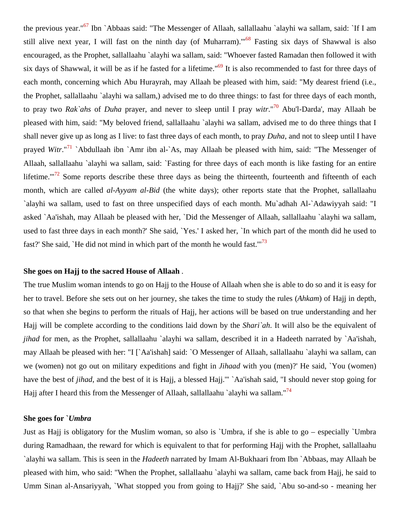the previous year."<sup>67</sup> Ibn `Abbaas said: "The Messenger of Allaah, sallallaahu `alayhi wa sallam, said: `If I am still alive next year, I will fast on the ninth day (of Muharram)."<sup>68</sup> Fasting six days of Shawwal is also encouraged, as the Prophet, sallallaahu `alayhi wa sallam, said: "Whoever fasted Ramadan then followed it with six days of Shawwal, it will be as if he fasted for a lifetime."<sup>69</sup> It is also recommended to fast for three days of each month, concerning which Abu Hurayrah, may Allaah be pleased with him, said: "My dearest friend (i.e., the Prophet, sallallaahu `alayhi wa sallam,) advised me to do three things: to fast for three days of each month, to pray two *Rak`ahs* of *Duha* prayer, and never to sleep until I pray *witr*."70 Abu'l-Darda', may Allaah be pleased with him, said: "My beloved friend, sallallaahu `alayhi wa sallam, advised me to do three things that I shall never give up as long as I live: to fast three days of each month, to pray *Duha*, and not to sleep until I have prayed *Witr*."71 `Abdullaah ibn `Amr ibn al-`As, may Allaah be pleased with him, said: "The Messenger of Allaah, sallallaahu `alayhi wa sallam, said: `Fasting for three days of each month is like fasting for an entire lifetime. $17^{2}$  Some reports describe these three days as being the thirteenth, fourteenth and fifteenth of each month, which are called *al-Ayyam al-Bid* (the white days); other reports state that the Prophet, sallallaahu `alayhi wa sallam, used to fast on three unspecified days of each month. Mu`adhah Al-`Adawiyyah said: "I asked `Aa'ishah, may Allaah be pleased with her, `Did the Messenger of Allaah, sallallaahu `alayhi wa sallam, used to fast three days in each month?' She said, `Yes.' I asked her, `In which part of the month did he used to fast?' She said, `He did not mind in which part of the month he would fast.''<sup>73</sup>

## **She goes on Hajj to the sacred House of Allaah** .

The true Muslim woman intends to go on Hajj to the House of Allaah when she is able to do so and it is easy for her to travel. Before she sets out on her journey, she takes the time to study the rules (*Ahkam*) of Hajj in depth, so that when she begins to perform the rituals of Hajj, her actions will be based on true understanding and her Hajj will be complete according to the conditions laid down by the *Shari`ah*. It will also be the equivalent of *jihad* for men, as the Prophet, sallallaahu `alayhi wa sallam, described it in a Hadeeth narrated by `Aa'ishah, may Allaah be pleased with her: "I [`Aa'ishah] said: `O Messenger of Allaah, sallallaahu `alayhi wa sallam, can we (women) not go out on military expeditions and fight in *Jihaad* with you (men)?' He said, `You (women) have the best of *jihad*, and the best of it is Hajj, a blessed Hajj.'" `Aa'ishah said, "I should never stop going for Hajj after I heard this from the Messenger of Allaah, sallallaahu `alayhi wa sallam."<sup>74</sup>

## **She goes for `***Umbra*

Just as Hajj is obligatory for the Muslim woman, so also is `Umbra, if she is able to go – especially `Umbra during Ramadhaan, the reward for which is equivalent to that for performing Hajj with the Prophet, sallallaahu `alayhi wa sallam. This is seen in the *Hadeeth* narrated by Imam Al-Bukhaari from Ibn `Abbaas, may Allaah be pleased with him, who said: "When the Prophet, sallallaahu `alayhi wa sallam, came back from Hajj, he said to Umm Sinan al-Ansariyyah, `What stopped you from going to Hajj?' She said, `Abu so-and-so - meaning her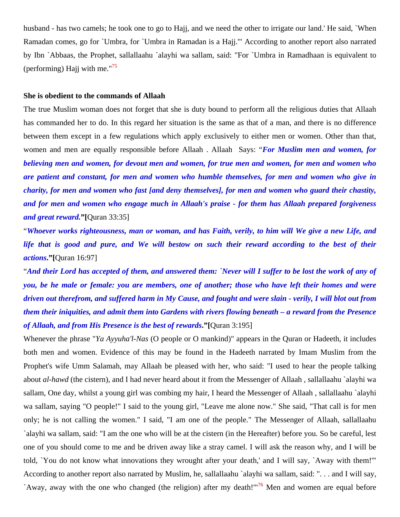husband - has two camels; he took one to go to Hajj, and we need the other to irrigate our land.' He said, `When Ramadan comes, go for `Umbra, for `Umbra in Ramadan is a Hajj.'" According to another report also narrated by Ibn `Abbaas, the Prophet, sallallaahu `alayhi wa sallam, said: "For `Umbra in Ramadhaan is equivalent to (performing) Hajj with me."<sup>75</sup>

#### **She is obedient to the commands of Allaah**

The true Muslim woman does not forget that she is duty bound to perform all the religious duties that Allaah has commanded her to do. In this regard her situation is the same as that of a man, and there is no difference between them except in a few regulations which apply exclusively to either men or women. Other than that, women and men are equally responsible before Allaah . Allaah Says: "*For Muslim men and women, for believing men and women, for devout men and women, for true men and women, for men and women who are patient and constant, for men and women who humble themselves, for men and women who give in charity, for men and women who fast [and deny themselves], for men and women who guard their chastity, and for men and women who engage much in Allaah's praise - for them has Allaah prepared forgiveness and great reward.***"[**Quran 33:35]

"*Whoever works righteousness, man or woman, and has Faith, verily, to him will We give a new Life, and life that is good and pure, and We will bestow on such their reward according to the best of their actions***."[**Quran 16:97]

"*And their Lord has accepted of them, and answered them: `Never will I suffer to be lost the work of any of you, be he male or female: you are members, one of another; those who have left their homes and were driven out therefrom, and suffered harm in My Cause, and fought and were slain - verily, I will blot out from them their iniquities, and admit them into Gardens with rivers flowing beneath – a reward from the Presence of Allaah, and from His Presence is the best of rewards***."[**Quran 3:195]

Whenever the phrase "*Ya Ayyuha'l-Nas* (O people or O mankind)" appears in the Quran or Hadeeth, it includes both men and women. Evidence of this may be found in the Hadeeth narrated by Imam Muslim from the Prophet's wife Umm Salamah, may Allaah be pleased with her, who said: "I used to hear the people talking about *al-hawd* (the cistern), and I had never heard about it from the Messenger of Allaah , sallallaahu `alayhi wa sallam, One day, whilst a young girl was combing my hair, I heard the Messenger of Allaah, sallallaahu `alayhi wa sallam, saying "O people!" I said to the young girl, "Leave me alone now." She said, "That call is for men only; he is not calling the women." I said, "I am one of the people." The Messenger of Allaah, sallallaahu `alayhi wa sallam, said: "I am the one who will be at the cistern (in the Hereafter) before you. So be careful, lest one of you should come to me and be driven away like a stray camel. I will ask the reason why, and I will be told, `You do not know what innovations they wrought after your death,' and I will say, `Away with them!'" According to another report also narrated by Muslim, he, sallallaahu `alayhi wa sallam, said: ". . . and I will say, `Away, away with the one who changed (the religion) after my death!"<sup>76</sup> Men and women are equal before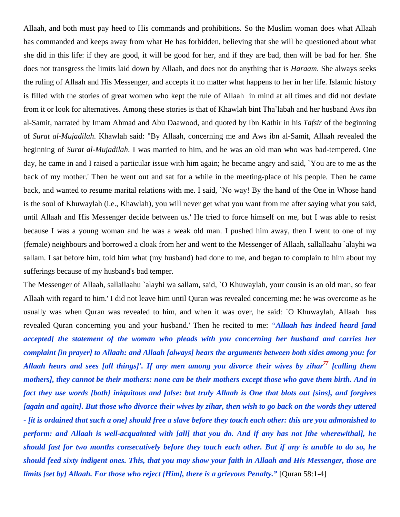Allaah, and both must pay heed to His commands and prohibitions. So the Muslim woman does what Allaah has commanded and keeps away from what He has forbidden, believing that she will be questioned about what she did in this life: if they are good, it will be good for her, and if they are bad, then will be bad for her. She does not transgress the limits laid down by Allaah, and does not do anything that is *Haraam*. She always seeks the ruling of Allaah and His Messenger, and accepts it no matter what happens to her in her life. Islamic history is filled with the stories of great women who kept the rule of Allaah in mind at all times and did not deviate from it or look for alternatives. Among these stories is that of Khawlah bint Tha`labah and her husband Aws ibn al-Samit, narrated by Imam Ahmad and Abu Daawood, and quoted by Ibn Kathir in his *Tafsir* of the beginning of *Surat al-Mujadilah*. Khawlah said: "By Allaah, concerning me and Aws ibn al-Samit, Allaah revealed the beginning of *Surat al-Mujadilah*. I was married to him, and he was an old man who was bad-tempered. One day, he came in and I raised a particular issue with him again; he became angry and said, `You are to me as the back of my mother.' Then he went out and sat for a while in the meeting-place of his people. Then he came back, and wanted to resume marital relations with me. I said, `No way! By the hand of the One in Whose hand is the soul of Khuwaylah (i.e., Khawlah), you will never get what you want from me after saying what you said, until Allaah and His Messenger decide between us.' He tried to force himself on me, but I was able to resist because I was a young woman and he was a weak old man. I pushed him away, then I went to one of my (female) neighbours and borrowed a cloak from her and went to the Messenger of Allaah, sallallaahu `alayhi wa sallam. I sat before him, told him what (my husband) had done to me, and began to complain to him about my sufferings because of my husband's bad temper.

The Messenger of Allaah, sallallaahu `alayhi wa sallam, said, `O Khuwaylah, your cousin is an old man, so fear Allaah with regard to him.' I did not leave him until Quran was revealed concerning me: he was overcome as he usually was when Quran was revealed to him, and when it was over, he said: `O Khuwaylah, Allaah has revealed Quran concerning you and your husband.' Then he recited to me: *"Allaah has indeed heard [and accepted] the statement of the woman who pleads with you concerning her husband and carries her complaint [in prayer] to Allaah: and Allaah [always] hears the arguments between both sides among you: for Allaah hears and sees [all things]'. If any men among you divorce their wives by zihar*<sup>77</sup> *[calling them mothers], they cannot be their mothers: none can be their mothers except those who gave them birth. And in fact they use words [both] iniquitous and false: but truly Allaah is One that blots out [sins], and forgives [again and again]. But those who divorce their wives by zihar, then wish to go back on the words they uttered - [it is ordained that such a one] should free a slave before they touch each other: this are you admonished to perform: and Allaah is well-acquainted with [all] that you do. And if any has not [the wherewithal], he should fast for two months consecutively before they touch each other. But if any is unable to do so, he should feed sixty indigent ones. This, that you may show your faith in Allaah and His Messenger, those are limits [set by] Allaah. For those who reject [Him], there is a grievous Penalty.*" [Quran 58:1-4]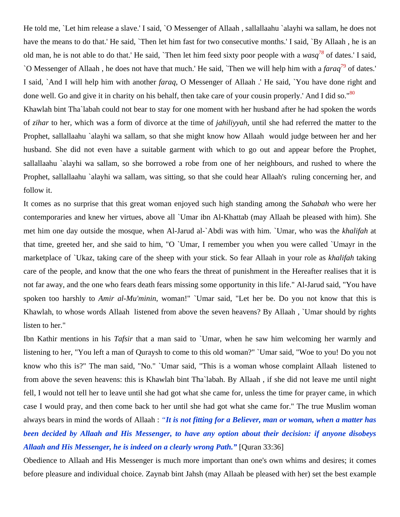He told me, `Let him release a slave.' I said, `O Messenger of Allaah , sallallaahu `alayhi wa sallam, he does not have the means to do that.' He said, 'Then let him fast for two consecutive months.' I said, 'By Allaah , he is an old man, he is not able to do that.' He said, `Then let him feed sixty poor people with a *wasq <sup>78</sup>* of dates.' I said, `O Messenger of Allaah , he does not have that much.' He said, `Then we will help him with a *faraq*79 of dates.' I said, `And I will help him with another *faraq*, O Messenger of Allaah .' He said, `You have done right and done well. Go and give it in charity on his behalf, then take care of your cousin properly.' And I did so."<sup>80</sup> Khawlah bint Tha`labah could not bear to stay for one moment with her husband after he had spoken the words

of *zihar* to her, which was a form of divorce at the time of *jahiliyyah*, until she had referred the matter to the Prophet, sallallaahu `alayhi wa sallam, so that she might know how Allaah would judge between her and her husband. She did not even have a suitable garment with which to go out and appear before the Prophet, sallallaahu `alayhi wa sallam, so she borrowed a robe from one of her neighbours, and rushed to where the Prophet, sallallaahu `alayhi wa sallam, was sitting, so that she could hear Allaah's ruling concerning her, and follow it.

It comes as no surprise that this great woman enjoyed such high standing among the *Sahabah* who were her contemporaries and knew her virtues, above all `Umar ibn Al-Khattab (may Allaah be pleased with him). She met him one day outside the mosque, when Al-Jarud al-`Abdi was with him. `Umar, who was the *khalifah* at that time, greeted her, and she said to him, "O `Umar, I remember you when you were called `Umayr in the marketplace of `Ukaz, taking care of the sheep with your stick. So fear Allaah in your role as *khalifah* taking care of the people, and know that the one who fears the threat of punishment in the Hereafter realises that it is not far away, and the one who fears death fears missing some opportunity in this life." Al-Jarud said, "You have spoken too harshly to *Amir al-Mu'minin*, woman!" `Umar said, "Let her be. Do you not know that this is Khawlah, to whose words Allaah listened from above the seven heavens? By Allaah , `Umar should by rights listen to her."

Ibn Kathir mentions in his *Tafsir* that a man said to `Umar, when he saw him welcoming her warmly and listening to her, "You left a man of Quraysh to come to this old woman?" `Umar said, "Woe to you! Do you not know who this is?" The man said, "No." `Umar said, "This is a woman whose complaint Allaah listened to from above the seven heavens: this is Khawlah bint Tha`labah. By Allaah , if she did not leave me until night fell, I would not tell her to leave until she had got what she came for, unless the time for prayer came, in which case I would pray, and then come back to her until she had got what she came for." The true Muslim woman always bears in mind the words of Allaah : *"It is not fitting for a Believer, man or woman, when a matter has been decided by Allaah and His Messenger, to have any option about their decision: if anyone disobeys Allaah and His Messenger, he is indeed on a clearly wrong Path.*" [Quran 33:36]

Obedience to Allaah and His Messenger is much more important than one's own whims and desires; it comes before pleasure and individual choice. Zaynab bint Jahsh (may Allaah be pleased with her) set the best example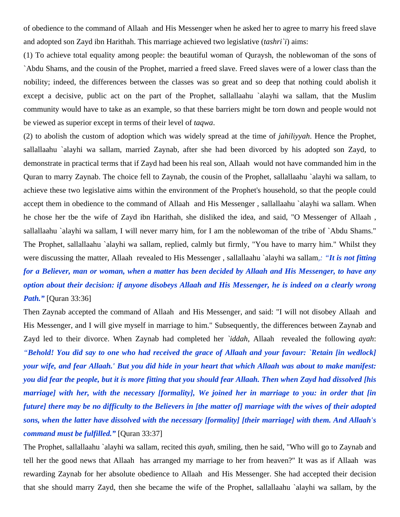of obedience to the command of Allaah and His Messenger when he asked her to agree to marry his freed slave and adopted son Zayd ibn Harithah. This marriage achieved two legislative (*tashri`i*) aims:

(1) To achieve total equality among people: the beautiful woman of Quraysh, the noblewoman of the sons of `Abdu Shams, and the cousin of the Prophet, married a freed slave. Freed slaves were of a lower class than the nobility; indeed, the differences between the classes was so great and so deep that nothing could abolish it except a decisive, public act on the part of the Prophet, sallallaahu `alayhi wa sallam, that the Muslim community would have to take as an example, so that these barriers might be torn down and people would not be viewed as superior except in terms of their level of *taqwa*.

(2) to abolish the custom of adoption which was widely spread at the time of *jahiliyyah*. Hence the Prophet, sallallaahu `alayhi wa sallam, married Zaynab, after she had been divorced by his adopted son Zayd, to demonstrate in practical terms that if Zayd had been his real son, Allaah would not have commanded him in the Quran to marry Zaynab. The choice fell to Zaynab, the cousin of the Prophet, sallallaahu `alayhi wa sallam, to achieve these two legislative aims within the environment of the Prophet's household, so that the people could accept them in obedience to the command of Allaah and His Messenger , sallallaahu `alayhi wa sallam. When he chose her tbe the wife of Zayd ibn Harithah, she disliked the idea, and said, "O Messenger of Allaah , sallallaahu `alayhi wa sallam, I will never marry him, for I am the noblewoman of the tribe of `Abdu Shams." The Prophet, sallallaahu `alayhi wa sallam, replied, calmly but firmly, "You have to marry him." Whilst they were discussing the matter, Allaah revealed to His Messenger , sallallaahu `alayhi wa sallam*,: "It is not fitting for a Believer, man or woman, when a matter has been decided by Allaah and His Messenger, to have any option about their decision: if anyone disobeys Allaah and His Messenger, he is indeed on a clearly wrong Path.*" [Quran 33:36]

Then Zaynab accepted the command of Allaah and His Messenger, and said: "I will not disobey Allaah and His Messenger, and I will give myself in marriage to him." Subsequently, the differences between Zaynab and Zayd led to their divorce. When Zaynab had completed her *`iddah*, Allaah revealed the following *ayah*: *"Behold! You did say to one who had received the grace of Allaah and your favour: `Retain [in wedlock] your wife, and fear Allaah.' But you did hide in your heart that which Allaah was about to make manifest: you did fear the people, but it is more fitting that you should fear Allaah. Then when Zayd had dissolved [his marriage] with her, with the necessary [formality], We joined her in marriage to you: in order that [in future] there may be no difficulty to the Believers in [the matter of] marriage with the wives of their adopted sons, when the latter have dissolved with the necessary [formality] [their marriage] with them. And Allaah's command must be fulfilled."* [Quran 33:37]

The Prophet, sallallaahu `alayhi wa sallam, recited this *ayah*, smiling, then he said, "Who will go to Zaynab and tell her the good news that Allaah has arranged my marriage to her from heaven?" It was as if Allaah was rewarding Zaynab for her absolute obedience to Allaah and His Messenger. She had accepted their decision that she should marry Zayd, then she became the wife of the Prophet, sallallaahu `alayhi wa sallam, by the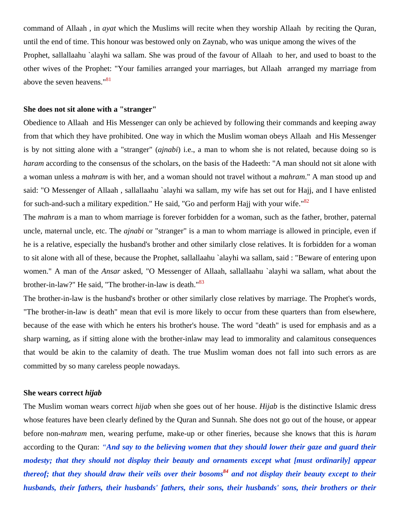command of Allaah , in *ayat* which the Muslims will recite when they worship Allaah by reciting the Quran, until the end of time. This honour was bestowed only on Zaynab, who was unique among the wives of the Prophet, sallallaahu `alayhi wa sallam. She was proud of the favour of Allaah to her, and used to boast to the other wives of the Prophet: "Your families arranged your marriages, but Allaah arranged my marriage from above the seven heavens."81

#### **She does not sit alone with a "stranger"**

Obedience to Allaah and His Messenger can only be achieved by following their commands and keeping away from that which they have prohibited. One way in which the Muslim woman obeys Allaah and His Messenger is by not sitting alone with a "stranger" (*ajnabi*) i.e., a man to whom she is not related, because doing so is *haram* according to the consensus of the scholars, on the basis of the Hadeeth: "A man should not sit alone with a woman unless a *mahram* is with her, and a woman should not travel without a *mahram*." A man stood up and said: "O Messenger of Allaah, sallallaahu `alayhi wa sallam, my wife has set out for Hajj, and I have enlisted for such-and-such a military expedition." He said, "Go and perform Hajj with your wife." $82$ 

The *mahram* is a man to whom marriage is forever forbidden for a woman, such as the father, brother, paternal uncle, maternal uncle, etc. The *ajnabi* or "stranger" is a man to whom marriage is allowed in principle, even if he is a relative, especially the husband's brother and other similarly close relatives. It is forbidden for a woman to sit alone with all of these, because the Prophet, sallallaahu `alayhi wa sallam, said : "Beware of entering upon women." A man of the *Ansar* asked, "O Messenger of Allaah, sallallaahu `alayhi wa sallam, what about the brother-in-law?" He said, "The brother-in-law is death."<sup>83</sup>

The brother-in-law is the husband's brother or other similarly close relatives by marriage. The Prophet's words, "The brother-in-law is death" mean that evil is more likely to occur from these quarters than from elsewhere, because of the ease with which he enters his brother's house. The word "death" is used for emphasis and as a sharp warning, as if sitting alone with the brother-inlaw may lead to immorality and calamitous consequences that would be akin to the calamity of death. The true Muslim woman does not fall into such errors as are committed by so many careless people nowadays.

#### **She wears correct** *hijab*

The Muslim woman wears correct *hijab* when she goes out of her house. *Hijab* is the distinctive Islamic dress whose features have been clearly defined by the Quran and Sunnah. She does not go out of the house, or appear before non-*mahram* men, wearing perfume, make-up or other fineries, because she knows that this is *haram*  according to the Quran: *"And say to the believing women that they should lower their gaze and guard their modesty; that they should not display their beauty and ornaments except what [must ordinarily] appear thereof; that they should draw their veils over their bosoms84 and not display their beauty except to their husbands, their fathers, their husbands' fathers, their sons, their husbands' sons, their brothers or their*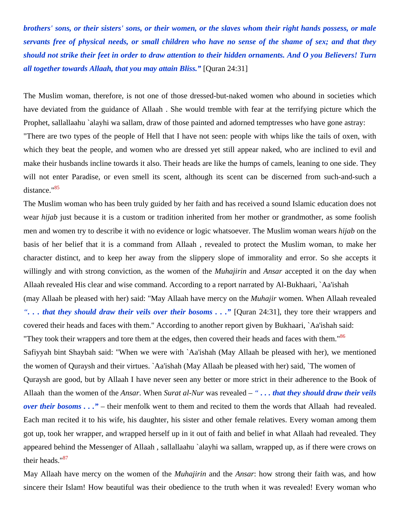*brothers' sons, or their sisters' sons, or their women, or the slaves whom their right hands possess, or male servants free of physical needs, or small children who have no sense of the shame of sex; and that they should not strike their feet in order to draw attention to their hidden ornaments. And O you Believers! Turn all together towards Allaah, that you may attain Bliss."* [Quran 24:31]

The Muslim woman, therefore, is not one of those dressed-but-naked women who abound in societies which have deviated from the guidance of Allaah . She would tremble with fear at the terrifying picture which the Prophet, sallallaahu `alayhi wa sallam, draw of those painted and adorned temptresses who have gone astray: "There are two types of the people of Hell that I have not seen: people with whips like the tails of oxen, with which they beat the people, and women who are dressed yet still appear naked, who are inclined to evil and make their husbands incline towards it also. Their heads are like the humps of camels, leaning to one side. They will not enter Paradise, or even smell its scent, although its scent can be discerned from such-and-such a distance."<sup>85</sup>

The Muslim woman who has been truly guided by her faith and has received a sound Islamic education does not wear *hijab* just because it is a custom or tradition inherited from her mother or grandmother, as some foolish men and women try to describe it with no evidence or logic whatsoever. The Muslim woman wears *hijab* on the basis of her belief that it is a command from Allaah , revealed to protect the Muslim woman, to make her character distinct, and to keep her away from the slippery slope of immorality and error. So she accepts it willingly and with strong conviction, as the women of the *Muhajirin* and *Ansar* accepted it on the day when Allaah revealed His clear and wise command. According to a report narrated by Al-Bukhaari, `Aa'ishah (may Allaah be pleased with her) said: "May Allaah have mercy on the *Muhajir* women. When Allaah revealed *". . . that they should draw their veils over their bosoms . . ."* [Quran 24:31], they tore their wrappers and covered their heads and faces with them." According to another report given by Bukhaari, `Aa'ishah said: "They took their wrappers and tore them at the edges, then covered their heads and faces with them."<sup>86</sup> Safiyyah bint Shaybah said: "When we were with `Aa'ishah (May Allaah be pleased with her), we mentioned the women of Quraysh and their virtues. `Aa'ishah (May Allaah be pleased with her) said, `The women of Quraysh are good, but by Allaah I have never seen any better or more strict in their adherence to the Book of Allaah than the women of the *Ansar*. When *Surat al-Nur* was revealed – *" . . . that they should draw their veils over their bosoms ...*" – their menfolk went to them and recited to them the words that Allaah had revealed. Each man recited it to his wife, his daughter, his sister and other female relatives. Every woman among them got up, took her wrapper, and wrapped herself up in it out of faith and belief in what Allaah had revealed. They appeared behind the Messenger of Allaah , sallallaahu `alayhi wa sallam, wrapped up, as if there were crows on their heads."87

May Allaah have mercy on the women of the *Muhajirin* and the *Ansar*: how strong their faith was, and how sincere their Islam! How beautiful was their obedience to the truth when it was revealed! Every woman who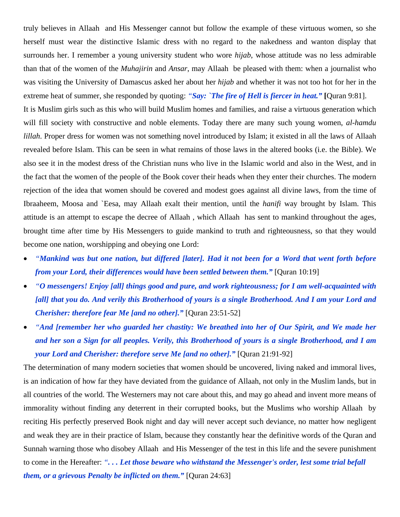truly believes in Allaah and His Messenger cannot but follow the example of these virtuous women, so she herself must wear the distinctive Islamic dress with no regard to the nakedness and wanton display that surrounds her. I remember a young university student who wore *hijab*, whose attitude was no less admirable than that of the women of the *Muhajirin* and *Ansar*, may Allaah be pleased with them: when a journalist who was visiting the University of Damascus asked her about her *hijab* and whether it was not too hot for her in the extreme heat of summer, she responded by quoting: *"Say: `The fire of Hell is fiercer in heat."* **[**Quran 9:81]. It is Muslim girls such as this who will build Muslim homes and families, and raise a virtuous generation which will fill society with constructive and noble elements. Today there are many such young women, *al-hamdu lillah*. Proper dress for women was not something novel introduced by Islam; it existed in all the laws of Allaah revealed before Islam. This can be seen in what remains of those laws in the altered books (i.e. the Bible). We also see it in the modest dress of the Christian nuns who live in the Islamic world and also in the West, and in the fact that the women of the people of the Book cover their heads when they enter their churches. The modern rejection of the idea that women should be covered and modest goes against all divine laws, from the time of Ibraaheem, Moosa and `Eesa, may Allaah exalt their mention, until the *hanifi* way brought by Islam. This attitude is an attempt to escape the decree of Allaah , which Allaah has sent to mankind throughout the ages, brought time after time by His Messengers to guide mankind to truth and righteousness, so that they would become one nation, worshipping and obeying one Lord:

- *"Mankind was but one nation, but differed [later]. Had it not been for a Word that went forth before from your Lord, their differences would have been settled between them."* [Quran 10:19]
- *"O messengers! Enjoy [all] things good and pure, and work righteousness; for I am well-acquainted with [all] that you do. And verily this Brotherhood of yours is a single Brotherhood. And I am your Lord and Cherisher: therefore fear Me [and no other]."* [Quran 23:51-52]
- *"And [remember her who guarded her chastity: We breathed into her of Our Spirit, and We made her and her son a Sign for all peoples. Verily, this Brotherhood of yours is a single Brotherhood, and I am your Lord and Cherisher: therefore serve Me [and no other]."* [Quran 21:91-92]

The determination of many modern societies that women should be uncovered, living naked and immoral lives, is an indication of how far they have deviated from the guidance of Allaah, not only in the Muslim lands, but in all countries of the world. The Westerners may not care about this, and may go ahead and invent more means of immorality without finding any deterrent in their corrupted books, but the Muslims who worship Allaah by reciting His perfectly preserved Book night and day will never accept such deviance, no matter how negligent and weak they are in their practice of Islam, because they constantly hear the definitive words of the Quran and Sunnah warning those who disobey Allaah and His Messenger of the test in this life and the severe punishment to come in the Hereafter: *". . . Let those beware who withstand the Messenger's order, lest some trial befall them, or a grievous Penalty be inflicted on them."* [Quran 24:63]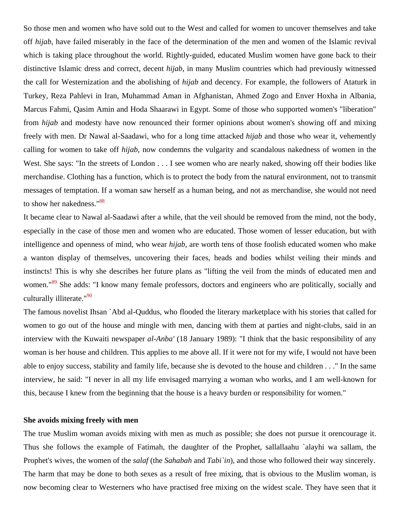So those men and women who have sold out to the West and called for women to uncover themselves and take off *hijab*, have failed miserably in the face of the determination of the men and women of the Islamic revival which is taking place throughout the world. Rightly-guided, educated Muslim women have gone back to their distinctive Islamic dress and correct, decent *hijab*, in many Muslim countries which had previously witnessed the call for Westernization and the abolishing of *hijab* and decency. For example, the followers of Ataturk in Turkey, Reza Pahlevi in Iran, Muhammad Aman in Afghanistan, Ahmed Zogo and Enver Hoxha in Albania, Marcus Fahmi, Qasim Amin and Hoda Shaarawi in Egypt. Some of those who supported women's "liberation" from *hijab* and modesty have now renounced their former opinions about women's showing off and mixing freely with men. Dr Nawal al-Saadawi, who for a long time attacked *hijab* and those who wear it, vehemently calling for women to take off *hijab*, now condemns the vulgarity and scandalous nakedness of women in the West. She says: "In the streets of London . . . I see women who are nearly naked, showing off their bodies like merchandise. Clothing has a function, which is to protect the body from the natural environment, not to transmit messages of temptation. If a woman saw herself as a human being, and not as merchandise, she would not need to show her nakedness."<sup>88</sup>

It became clear to Nawal al-Saadawi after a while, that the veil should be removed from the mind, not the body, especially in the case of those men and women who are educated. Those women of lesser education, but with intelligence and openness of mind, who wear *hijab*, are worth tens of those foolish educated women who make a wanton display of themselves, uncovering their faces, heads and bodies whilst veiling their minds and instincts! This is why she describes her future plans as "lifting the veil from the minds of educated men and women."<sup>89</sup> She adds: "I know many female professors, doctors and engineers who are politically, socially and culturally illiterate."<sup>90</sup>

The famous novelist Ihsan `Abd al-Quddus, who flooded the literary marketplace with his stories that called for women to go out of the house and mingle with men, dancing with them at parties and night-clubs, said in an interview with the Kuwaiti newspaper *al-Anba'* (18 January 1989): "I think that the basic responsibility of any woman is her house and children. This applies to me above all. If it were not for my wife, I would not have been able to enjoy success, stability and family life, because she is devoted to the house and children . . ." In the same interview, he said: "I never in all my life envisaged marrying a woman who works, and I am well-known for this, because I knew from the beginning that the house is a heavy burden or responsibility for women."

# **She avoids mixing freely with men**

The true Muslim woman avoids mixing with men as much as possible; she does not pursue it orencourage it. Thus she follows the example of Fatimah, the daughter of the Prophet, sallallaahu `alayhi wa sallam, the Prophet's wives, the women of the *salaf* (the *Sahabah* and *Tabi`in*), and those who followed their way sincerely. The harm that may be done to both sexes as a result of free mixing, that is obvious to the Muslim woman, is now becoming clear to Westerners who have practised free mixing on the widest scale. They have seen that it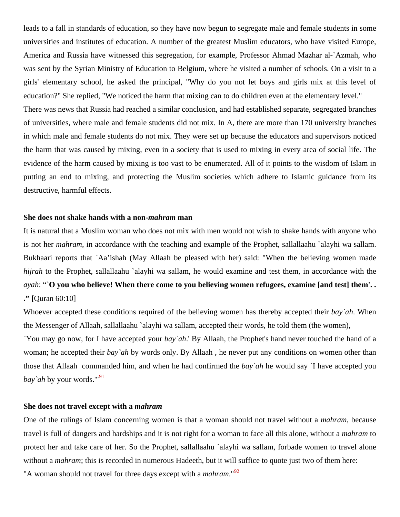leads to a fall in standards of education, so they have now begun to segregate male and female students in some universities and institutes of education. A number of the greatest Muslim educators, who have visited Europe, America and Russia have witnessed this segregation, for example, Professor Ahmad Mazhar al-`Azmah, who was sent by the Syrian Ministry of Education to Belgium, where he visited a number of schools. On a visit to a girls' elementary school, he asked the principal, "Why do you not let boys and girls mix at this level of education?" She replied, "We noticed the harm that mixing can to do children even at the elementary level." There was news that Russia had reached a similar conclusion, and had established separate, segregated branches of universities, where male and female students did not mix. In A, there are more than 170 university branches in which male and female students do not mix. They were set up because the educators and supervisors noticed the harm that was caused by mixing, even in a society that is used to mixing in every area of social life. The evidence of the harm caused by mixing is too vast to be enumerated. All of it points to the wisdom of Islam in putting an end to mixing, and protecting the Muslim societies which adhere to Islamic guidance from its destructive, harmful effects.

#### **She does not shake hands with a non-***mahram* **man**

It is natural that a Muslim woman who does not mix with men would not wish to shake hands with anyone who is not her *mahram*, in accordance with the teaching and example of the Prophet, sallallaahu `alayhi wa sallam. Bukhaari reports that `Aa'ishah (May Allaah be pleased with her) said: "When the believing women made *hijrah* to the Prophet, sallallaahu `alayhi wa sallam, he would examine and test them, in accordance with the *ayah*: "**`O you who believe! When there come to you believing women refugees, examine [and test] them'. . ." [**Quran 60:10]

Whoever accepted these conditions required of the believing women has thereby accepted their *bay`ah*. When the Messenger of Allaah, sallallaahu `alayhi wa sallam, accepted their words, he told them (the women),

`You may go now, for I have accepted your *bay`ah*.' By Allaah, the Prophet's hand never touched the hand of a woman; he accepted their *bay`ah* by words only. By Allaah , he never put any conditions on women other than those that Allaah commanded him, and when he had confirmed the *bay`ah* he would say `I have accepted you *bay`ah* by your words."<sup>91</sup>

#### **She does not travel except with a** *mahram*

One of the rulings of Islam concerning women is that a woman should not travel without a *mahram*, because travel is full of dangers and hardships and it is not right for a woman to face all this alone, without a *mahram* to protect her and take care of her. So the Prophet, sallallaahu `alayhi wa sallam, forbade women to travel alone without a *mahram*; this is recorded in numerous Hadeeth, but it will suffice to quote just two of them here:

"A woman should not travel for three days except with a *mahram*."<sup>92</sup>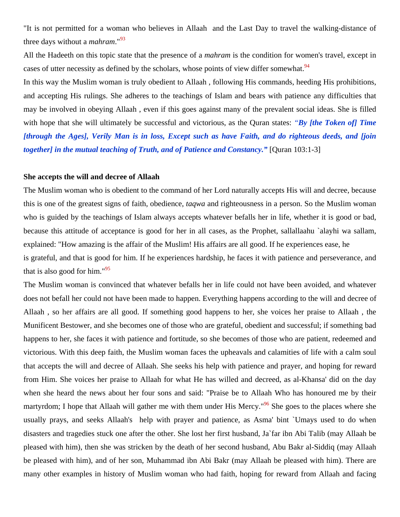"It is not permitted for a woman who believes in Allaah and the Last Day to travel the walking-distance of three days without a *mahram*."<sup>93</sup>

All the Hadeeth on this topic state that the presence of a *mahram* is the condition for women's travel, except in cases of utter necessity as defined by the scholars, whose points of view differ somewhat.  $94$ 

In this way the Muslim woman is truly obedient to Allaah , following His commands, heeding His prohibitions, and accepting His rulings. She adheres to the teachings of Islam and bears with patience any difficulties that may be involved in obeying Allaah , even if this goes against many of the prevalent social ideas. She is filled with hope that she will ultimately be successful and victorious, as the Quran states: *"By [the Token of] Time [through the Ages], Verily Man is in loss, Except such as have Faith, and do righteous deeds, and [join together] in the mutual teaching of Truth, and of Patience and Constancy."* [Quran 103:1-3]

# **She accepts the will and decree of Allaah**

The Muslim woman who is obedient to the command of her Lord naturally accepts His will and decree, because this is one of the greatest signs of faith, obedience, *taqwa* and righteousness in a person. So the Muslim woman who is guided by the teachings of Islam always accepts whatever befalls her in life, whether it is good or bad, because this attitude of acceptance is good for her in all cases, as the Prophet, sallallaahu `alayhi wa sallam, explained: "How amazing is the affair of the Muslim! His affairs are all good. If he experiences ease, he is grateful, and that is good for him. If he experiences hardship, he faces it with patience and perseverance, and that is also good for him." $95$ 

The Muslim woman is convinced that whatever befalls her in life could not have been avoided, and whatever does not befall her could not have been made to happen. Everything happens according to the will and decree of Allaah , so her affairs are all good. If something good happens to her, she voices her praise to Allaah , the Munificent Bestower, and she becomes one of those who are grateful, obedient and successful; if something bad happens to her, she faces it with patience and fortitude, so she becomes of those who are patient, redeemed and victorious. With this deep faith, the Muslim woman faces the upheavals and calamities of life with a calm soul that accepts the will and decree of Allaah. She seeks his help with patience and prayer, and hoping for reward from Him. She voices her praise to Allaah for what He has willed and decreed, as al-Khansa' did on the day when she heard the news about her four sons and said: "Praise be to Allaah Who has honoured me by their martyrdom; I hope that Allaah will gather me with them under His Mercy."<sup>96</sup> She goes to the places where she usually prays, and seeks Allaah's help with prayer and patience, as Asma' bint `Umays used to do when disasters and tragedies stuck one after the other. She lost her first husband, Ja`far ibn Abi Talib (may Allaah be pleased with him), then she was stricken by the death of her second husband, Abu Bakr al-Siddiq (may Allaah be pleased with him), and of her son, Muhammad ibn Abi Bakr (may Allaah be pleased with him). There are many other examples in history of Muslim woman who had faith, hoping for reward from Allaah and facing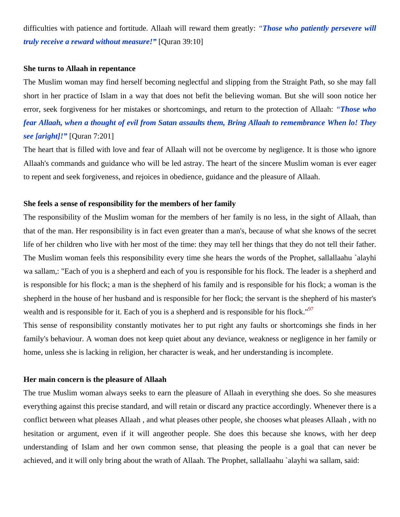difficulties with patience and fortitude. Allaah will reward them greatly: *"Those who patiently persevere will truly receive a reward without measure!"* [Quran 39:10]

#### **She turns to Allaah in repentance**

The Muslim woman may find herself becoming neglectful and slipping from the Straight Path, so she may fall short in her practice of Islam in a way that does not befit the believing woman. But she will soon notice her error, seek forgiveness for her mistakes or shortcomings, and return to the protection of Allaah: *"Those who fear Allaah, when a thought of evil from Satan assaults them, Bring Allaah to remembrance When lo! They see [aright]!"* [Quran 7:201]

The heart that is filled with love and fear of Allaah will not be overcome by negligence. It is those who ignore Allaah's commands and guidance who will be led astray. The heart of the sincere Muslim woman is ever eager to repent and seek forgiveness, and rejoices in obedience, guidance and the pleasure of Allaah.

### **She feels a sense of responsibility for the members of her family**

The responsibility of the Muslim woman for the members of her family is no less, in the sight of Allaah, than that of the man. Her responsibility is in fact even greater than a man's, because of what she knows of the secret life of her children who live with her most of the time: they may tell her things that they do not tell their father. The Muslim woman feels this responsibility every time she hears the words of the Prophet, sallallaahu `alayhi wa sallam,: "Each of you is a shepherd and each of you is responsible for his flock. The leader is a shepherd and is responsible for his flock; a man is the shepherd of his family and is responsible for his flock; a woman is the shepherd in the house of her husband and is responsible for her flock; the servant is the shepherd of his master's wealth and is responsible for it. Each of you is a shepherd and is responsible for his flock."<sup>97</sup>

This sense of responsibility constantly motivates her to put right any faults or shortcomings she finds in her family's behaviour. A woman does not keep quiet about any deviance, weakness or negligence in her family or home, unless she is lacking in religion, her character is weak, and her understanding is incomplete.

#### **Her main concern is the pleasure of Allaah**

The true Muslim woman always seeks to earn the pleasure of Allaah in everything she does. So she measures everything against this precise standard, and will retain or discard any practice accordingly. Whenever there is a conflict between what pleases Allaah , and what pleases other people, she chooses what pleases Allaah , with no hesitation or argument, even if it will angeother people. She does this because she knows, with her deep understanding of Islam and her own common sense, that pleasing the people is a goal that can never be achieved, and it will only bring about the wrath of Allaah. The Prophet, sallallaahu `alayhi wa sallam, said: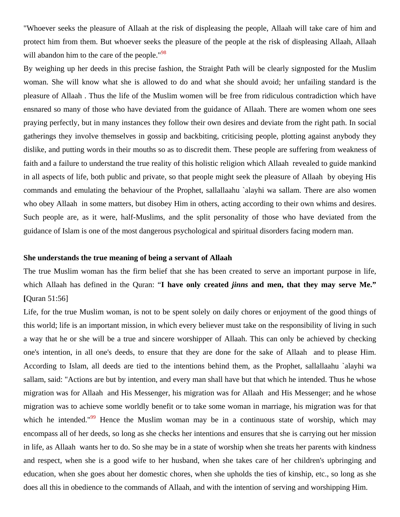"Whoever seeks the pleasure of Allaah at the risk of displeasing the people, Allaah will take care of him and protect him from them. But whoever seeks the pleasure of the people at the risk of displeasing Allaah, Allaah will abandon him to the care of the people."<sup>98</sup>

By weighing up her deeds in this precise fashion, the Straight Path will be clearly signposted for the Muslim woman. She will know what she is allowed to do and what she should avoid; her unfailing standard is the pleasure of Allaah . Thus the life of the Muslim women will be free from ridiculous contradiction which have ensnared so many of those who have deviated from the guidance of Allaah. There are women whom one sees praying perfectly, but in many instances they follow their own desires and deviate from the right path. In social gatherings they involve themselves in gossip and backbiting, criticising people, plotting against anybody they dislike, and putting words in their mouths so as to discredit them. These people are suffering from weakness of faith and a failure to understand the true reality of this holistic religion which Allaah revealed to guide mankind in all aspects of life, both public and private, so that people might seek the pleasure of Allaah by obeying His commands and emulating the behaviour of the Prophet, sallallaahu `alayhi wa sallam. There are also women who obey Allaah in some matters, but disobey Him in others, acting according to their own whims and desires. Such people are, as it were, half-Muslims, and the split personality of those who have deviated from the guidance of Islam is one of the most dangerous psychological and spiritual disorders facing modern man.

## **She understands the true meaning of being a servant of Allaah**

The true Muslim woman has the firm belief that she has been created to serve an important purpose in life, which Allaah has defined in the Quran: "**I have only created** *jinns* **and men, that they may serve Me." [**Quran 51:56]

Life, for the true Muslim woman, is not to be spent solely on daily chores or enjoyment of the good things of this world; life is an important mission, in which every believer must take on the responsibility of living in such a way that he or she will be a true and sincere worshipper of Allaah. This can only be achieved by checking one's intention, in all one's deeds, to ensure that they are done for the sake of Allaah and to please Him. According to Islam, all deeds are tied to the intentions behind them, as the Prophet, sallallaahu `alayhi wa sallam, said: "Actions are but by intention, and every man shall have but that which he intended. Thus he whose migration was for Allaah and His Messenger, his migration was for Allaah and His Messenger; and he whose migration was to achieve some worldly benefit or to take some woman in marriage, his migration was for that which he intended."<sup>99</sup> Hence the Muslim woman may be in a continuous state of worship, which may encompass all of her deeds, so long as she checks her intentions and ensures that she is carrying out her mission in life, as Allaah wants her to do. So she may be in a state of worship when she treats her parents with kindness and respect, when she is a good wife to her husband, when she takes care of her children's upbringing and education, when she goes about her domestic chores, when she upholds the ties of kinship, etc., so long as she does all this in obedience to the commands of Allaah, and with the intention of serving and worshipping Him.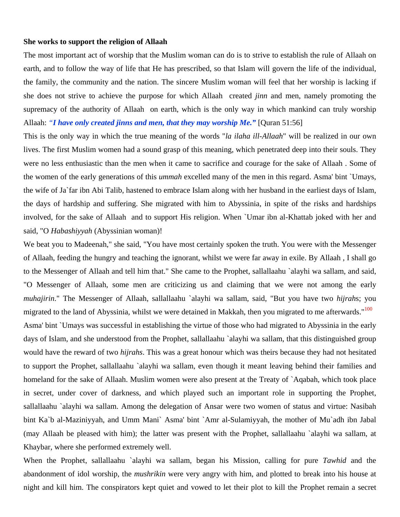#### **She works to support the religion of Allaah**

The most important act of worship that the Muslim woman can do is to strive to establish the rule of Allaah on earth, and to follow the way of life that He has prescribed, so that Islam will govern the life of the individual, the family, the community and the nation. The sincere Muslim woman will feel that her worship is lacking if she does not strive to achieve the purpose for which Allaah created *jinn* and men, namely promoting the supremacy of the authority of Allaah on earth, which is the only way in which mankind can truly worship Allaah: *"I have only created jinns and men, that they may worship Me."* [Quran 51:56]

This is the only way in which the true meaning of the words "*la ilaha ill-Allaah*" will be realized in our own lives. The first Muslim women had a sound grasp of this meaning, which penetrated deep into their souls. They were no less enthusiastic than the men when it came to sacrifice and courage for the sake of Allaah . Some of the women of the early generations of this *ummah* excelled many of the men in this regard. Asma' bint `Umays, the wife of Ja`far ibn Abi Talib, hastened to embrace Islam along with her husband in the earliest days of Islam, the days of hardship and suffering. She migrated with him to Abyssinia, in spite of the risks and hardships involved, for the sake of Allaah and to support His religion. When `Umar ibn al-Khattab joked with her and said, "O *Habashiyyah* (Abyssinian woman)!

We beat you to Madeenah," she said, "You have most certainly spoken the truth. You were with the Messenger of Allaah, feeding the hungry and teaching the ignorant, whilst we were far away in exile. By Allaah , I shall go to the Messenger of Allaah and tell him that." She came to the Prophet, sallallaahu `alayhi wa sallam, and said, "O Messenger of Allaah, some men are criticizing us and claiming that we were not among the early *muhajirin*." The Messenger of Allaah, sallallaahu `alayhi wa sallam, said, "But you have two *hijrah*s; you migrated to the land of Abyssinia, whilst we were detained in Makkah, then you migrated to me afterwards."<sup>100</sup>

Asma' bint `Umays was successful in establishing the virtue of those who had migrated to Abyssinia in the early days of Islam, and she understood from the Prophet, sallallaahu `alayhi wa sallam, that this distinguished group would have the reward of two *hijrahs*. This was a great honour which was theirs because they had not hesitated to support the Prophet, sallallaahu `alayhi wa sallam, even though it meant leaving behind their families and homeland for the sake of Allaah. Muslim women were also present at the Treaty of `Aqabah, which took place in secret, under cover of darkness, and which played such an important role in supporting the Prophet, sallallaahu `alayhi wa sallam. Among the delegation of Ansar were two women of status and virtue: Nasibah bint Ka`b al-Maziniyyah, and Umm Mani` Asma' bint `Amr al-Sulamiyyah, the mother of Mu`adh ibn Jabal (may Allaah be pleased with him); the latter was present with the Prophet, sallallaahu `alayhi wa sallam, at Khaybar, where she performed extremely well.

When the Prophet, sallallaahu `alayhi wa sallam, began his Mission, calling for pure *Tawhid* and the abandonment of idol worship, the *mushrikin* were very angry with him, and plotted to break into his house at night and kill him. The conspirators kept quiet and vowed to let their plot to kill the Prophet remain a secret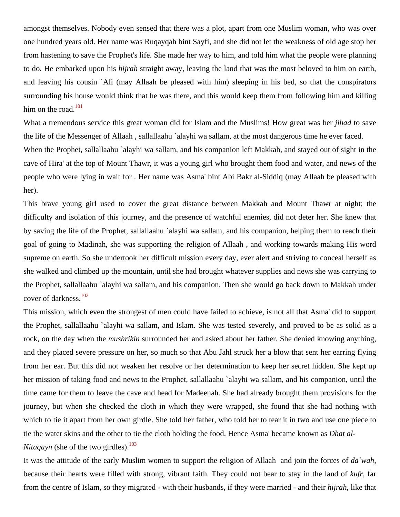amongst themselves. Nobody even sensed that there was a plot, apart from one Muslim woman, who was over one hundred years old. Her name was Ruqayqah bint Sayfi, and she did not let the weakness of old age stop her from hastening to save the Prophet's life. She made her way to him, and told him what the people were planning to do. He embarked upon his *hijrah* straight away, leaving the land that was the most beloved to him on earth, and leaving his cousin `Ali (may Allaah be pleased with him) sleeping in his bed, so that the conspirators surrounding his house would think that he was there, and this would keep them from following him and killing him on the road.<sup>101</sup>

What a tremendous service this great woman did for Islam and the Muslims! How great was her *jihad* to save the life of the Messenger of Allaah , sallallaahu `alayhi wa sallam, at the most dangerous time he ever faced. When the Prophet, sallallaahu `alayhi wa sallam, and his companion left Makkah, and stayed out of sight in the cave of Hira' at the top of Mount Thawr, it was a young girl who brought them food and water, and news of the people who were lying in wait for . Her name was Asma' bint Abi Bakr al-Siddiq (may Allaah be pleased with her).

This brave young girl used to cover the great distance between Makkah and Mount Thawr at night; the difficulty and isolation of this journey, and the presence of watchful enemies, did not deter her. She knew that by saving the life of the Prophet, sallallaahu `alayhi wa sallam, and his companion, helping them to reach their goal of going to Madinah, she was supporting the religion of Allaah , and working towards making His word supreme on earth. So she undertook her difficult mission every day, ever alert and striving to conceal herself as she walked and climbed up the mountain, until she had brought whatever supplies and news she was carrying to the Prophet, sallallaahu `alayhi wa sallam, and his companion. Then she would go back down to Makkah under cover of darkness.<sup>102</sup>

This mission, which even the strongest of men could have failed to achieve, is not all that Asma' did to support the Prophet, sallallaahu `alayhi wa sallam, and Islam. She was tested severely, and proved to be as solid as a rock, on the day when the *mushrikin* surrounded her and asked about her father. She denied knowing anything, and they placed severe pressure on her, so much so that Abu Jahl struck her a blow that sent her earring flying from her ear. But this did not weaken her resolve or her determination to keep her secret hidden. She kept up her mission of taking food and news to the Prophet, sallallaahu `alayhi wa sallam, and his companion, until the time came for them to leave the cave and head for Madeenah. She had already brought them provisions for the journey, but when she checked the cloth in which they were wrapped, she found that she had nothing with which to tie it apart from her own girdle. She told her father, who told her to tear it in two and use one piece to tie the water skins and the other to tie the cloth holding the food. Hence Asma' became known as *Dhat al-Nitagayn* (she of the two girdles).<sup>103</sup>

It was the attitude of the early Muslim women to support the religion of Allaah and join the forces of *da`wah*, because their hearts were filled with strong, vibrant faith. They could not bear to stay in the land of *kufr*, far from the centre of Islam, so they migrated - with their husbands, if they were married - and their *hijrah*, like that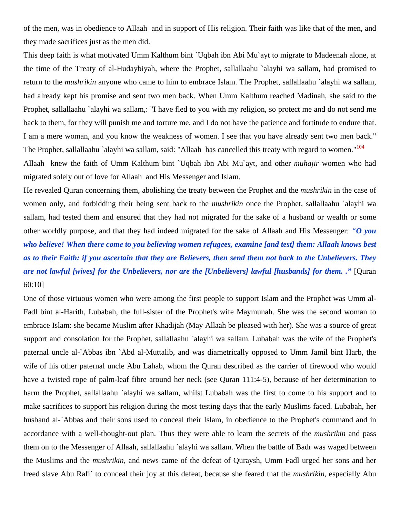of the men, was in obedience to Allaah and in support of His religion. Their faith was like that of the men, and they made sacrifices just as the men did.

This deep faith is what motivated Umm Kalthum bint `Uqbah ibn Abi Mu`ayt to migrate to Madeenah alone, at the time of the Treaty of al-Hudaybiyah, where the Prophet, sallallaahu `alayhi wa sallam, had promised to return to the *mushrikin* anyone who came to him to embrace Islam. The Prophet, sallallaahu `alayhi wa sallam, had already kept his promise and sent two men back. When Umm Kalthum reached Madinah, she said to the Prophet, sallallaahu `alayhi wa sallam,: "I have fled to you with my religion, so protect me and do not send me back to them, for they will punish me and torture me, and I do not have the patience and fortitude to endure that. I am a mere woman, and you know the weakness of women. I see that you have already sent two men back." The Prophet, sallallaahu `alayhi wa sallam, said: "Allaah has cancelled this treaty with regard to women."<sup>104</sup>

Allaah knew the faith of Umm Kalthum bint `Uqbah ibn Abi Mu`ayt, and other *muhajir* women who had migrated solely out of love for Allaah and His Messenger and Islam.

He revealed Quran concerning them, abolishing the treaty between the Prophet and the *mushrikin* in the case of women only, and forbidding their being sent back to the *mushrikin* once the Prophet, sallallaahu `alayhi wa sallam, had tested them and ensured that they had not migrated for the sake of a husband or wealth or some other worldly purpose, and that they had indeed migrated for the sake of Allaah and His Messenger: *"O you who believe! When there come to you believing women refugees, examine [and test] them: Allaah knows best as to their Faith: if you ascertain that they are Believers, then send them not back to the Unbelievers. They are not lawful [wives] for the Unbelievers, nor are the [Unbelievers] lawful [husbands] for them. ."* [Quran 60:10]

One of those virtuous women who were among the first people to support Islam and the Prophet was Umm al-Fadl bint al-Harith, Lubabah, the full-sister of the Prophet's wife Maymunah. She was the second woman to embrace Islam: she became Muslim after Khadijah (May Allaah be pleased with her). She was a source of great support and consolation for the Prophet, sallallaahu `alayhi wa sallam. Lubabah was the wife of the Prophet's paternal uncle al-`Abbas ibn `Abd al-Muttalib, and was diametrically opposed to Umm Jamil bint Harb, the wife of his other paternal uncle Abu Lahab, whom the Quran described as the carrier of firewood who would have a twisted rope of palm-leaf fibre around her neck (see Quran 111:4-5), because of her determination to harm the Prophet, sallallaahu `alayhi wa sallam, whilst Lubabah was the first to come to his support and to make sacrifices to support his religion during the most testing days that the early Muslims faced. Lubabah, her husband al-`Abbas and their sons used to conceal their Islam, in obedience to the Prophet's command and in accordance with a well-thought-out plan. Thus they were able to learn the secrets of the *mushrikin* and pass them on to the Messenger of Allaah, sallallaahu `alayhi wa sallam. When the battle of Badr was waged between the Muslims and the *mushrikin*, and news came of the defeat of Quraysh, Umm Fadl urged her sons and her freed slave Abu Rafi` to conceal their joy at this defeat, because she feared that the *mushrikin*, especially Abu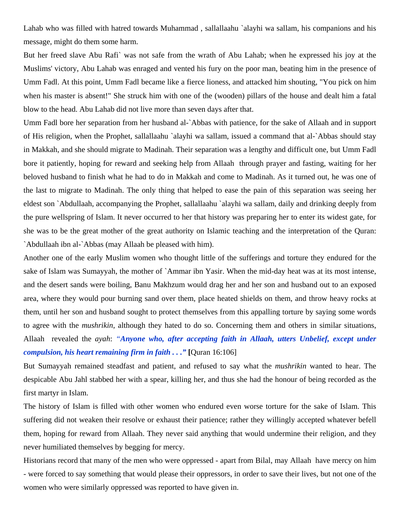Lahab who was filled with hatred towards Muhammad , sallallaahu `alayhi wa sallam, his companions and his message, might do them some harm.

But her freed slave Abu Rafi` was not safe from the wrath of Abu Lahab; when he expressed his joy at the Muslims' victory, Abu Lahab was enraged and vented his fury on the poor man, beating him in the presence of Umm Fadl. At this point, Umm Fadl became like a fierce lioness, and attacked him shouting, "You pick on him when his master is absent!" She struck him with one of the (wooden) pillars of the house and dealt him a fatal blow to the head. Abu Lahab did not live more than seven days after that.

Umm Fadl bore her separation from her husband al-`Abbas with patience, for the sake of Allaah and in support of His religion, when the Prophet, sallallaahu `alayhi wa sallam, issued a command that al-`Abbas should stay in Makkah, and she should migrate to Madinah. Their separation was a lengthy and difficult one, but Umm Fadl bore it patiently, hoping for reward and seeking help from Allaah through prayer and fasting, waiting for her beloved husband to finish what he had to do in Makkah and come to Madinah. As it turned out, he was one of the last to migrate to Madinah. The only thing that helped to ease the pain of this separation was seeing her eldest son `Abdullaah, accompanying the Prophet, sallallaahu `alayhi wa sallam, daily and drinking deeply from the pure wellspring of Islam. It never occurred to her that history was preparing her to enter its widest gate, for she was to be the great mother of the great authority on Islamic teaching and the interpretation of the Quran: `Abdullaah ibn al-`Abbas (may Allaah be pleased with him).

Another one of the early Muslim women who thought little of the sufferings and torture they endured for the sake of Islam was Sumayyah, the mother of `Ammar ibn Yasir. When the mid-day heat was at its most intense, and the desert sands were boiling, Banu Makhzum would drag her and her son and husband out to an exposed area, where they would pour burning sand over them, place heated shields on them, and throw heavy rocks at them, until her son and husband sought to protect themselves from this appalling torture by saying some words to agree with the *mushrikin*, although they hated to do so. Concerning them and others in similar situations, Allaah revealed the *ayah*: "*Anyone who, after accepting faith in Allaah, utters Unbelief, except under compulsion, his heart remaining firm in faith . . ."* [Quran 16:106]

But Sumayyah remained steadfast and patient, and refused to say what the *mushrikin* wanted to hear. The despicable Abu Jahl stabbed her with a spear, killing her, and thus she had the honour of being recorded as the first martyr in Islam.

The history of Islam is filled with other women who endured even worse torture for the sake of Islam. This suffering did not weaken their resolve or exhaust their patience; rather they willingly accepted whatever befell them, hoping for reward from Allaah. They never said anything that would undermine their religion, and they never humiliated themselves by begging for mercy.

Historians record that many of the men who were oppressed - apart from Bilal, may Allaah have mercy on him - were forced to say something that would please their oppressors, in order to save their lives, but not one of the women who were similarly oppressed was reported to have given in.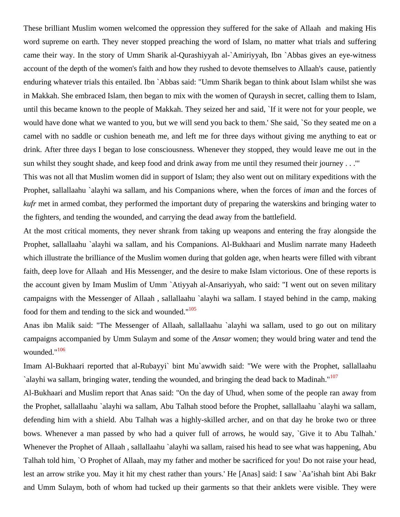These brilliant Muslim women welcomed the oppression they suffered for the sake of Allaah and making His word supreme on earth. They never stopped preaching the word of Islam, no matter what trials and suffering came their way. In the story of Umm Sharik al-Qurashiyyah al-`Amiriyyah, Ibn `Abbas gives an eye-witness account of the depth of the women's faith and how they rushed to devote themselves to Allaah's cause, patiently enduring whatever trials this entailed. Ibn `Abbas said: "Umm Sharik began to think about Islam whilst she was in Makkah. She embraced Islam, then began to mix with the women of Quraysh in secret, calling them to Islam, until this became known to the people of Makkah. They seized her and said, `If it were not for your people, we would have done what we wanted to you, but we will send you back to them.' She said, `So they seated me on a camel with no saddle or cushion beneath me, and left me for three days without giving me anything to eat or drink. After three days I began to lose consciousness. Whenever they stopped, they would leave me out in the sun whilst they sought shade, and keep food and drink away from me until they resumed their journey . . .'"

This was not all that Muslim women did in support of Islam; they also went out on military expeditions with the Prophet, sallallaahu `alayhi wa sallam, and his Companions where, when the forces of *iman* and the forces of *kufr* met in armed combat, they performed the important duty of preparing the waterskins and bringing water to the fighters, and tending the wounded, and carrying the dead away from the battlefield.

At the most critical moments, they never shrank from taking up weapons and entering the fray alongside the Prophet, sallallaahu `alayhi wa sallam, and his Companions. Al-Bukhaari and Muslim narrate many Hadeeth which illustrate the brilliance of the Muslim women during that golden age, when hearts were filled with vibrant faith, deep love for Allaah and His Messenger, and the desire to make Islam victorious. One of these reports is the account given by Imam Muslim of Umm `Atiyyah al-Ansariyyah, who said: "I went out on seven military campaigns with the Messenger of Allaah , sallallaahu `alayhi wa sallam. I stayed behind in the camp, making food for them and tending to the sick and wounded." $105$ 

Anas ibn Malik said: "The Messenger of Allaah, sallallaahu `alayhi wa sallam, used to go out on military campaigns accompanied by Umm Sulaym and some of the *Ansar* women; they would bring water and tend the wounded."<sup>106</sup>

Imam Al-Bukhaari reported that al-Rubayyi` bint Mu`awwidh said: "We were with the Prophet, sallallaahu 'alayhi wa sallam, bringing water, tending the wounded, and bringing the dead back to Madinah."<sup>107</sup>

Al-Bukhaari and Muslim report that Anas said: "On the day of Uhud, when some of the people ran away from the Prophet, sallallaahu `alayhi wa sallam, Abu Talhah stood before the Prophet, sallallaahu `alayhi wa sallam, defending him with a shield. Abu Talhah was a highly-skilled archer, and on that day he broke two or three bows. Whenever a man passed by who had a quiver full of arrows, he would say, `Give it to Abu Talhah.' Whenever the Prophet of Allaah, sallallaahu `alayhi wa sallam, raised his head to see what was happening, Abu Talhah told him, `O Prophet of Allaah, may my father and mother be sacrificed for you! Do not raise your head, lest an arrow strike you. May it hit my chest rather than yours.' He [Anas] said: I saw `Aa'ishah bint Abi Bakr and Umm Sulaym, both of whom had tucked up their garments so that their anklets were visible. They were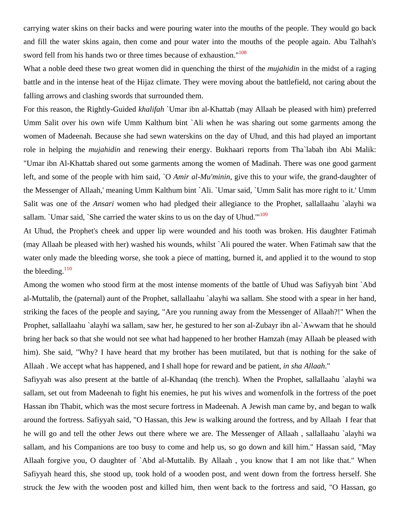carrying water skins on their backs and were pouring water into the mouths of the people. They would go back and fill the water skins again, then come and pour water into the mouths of the people again. Abu Talhah's sword fell from his hands two or three times because of exhaustion."<sup>108</sup>

What a noble deed these two great women did in quenching the thirst of the *mujahidin* in the midst of a raging battle and in the intense heat of the Hijaz climate. They were moving about the battlefield, not caring about the falling arrows and clashing swords that surrounded them.

For this reason, the Rightly-Guided *khalifah* `Umar ibn al-Khattab (may Allaah be pleased with him) preferred Umm Salit over his own wife Umm Kalthum bint `Ali when he was sharing out some garments among the women of Madeenah. Because she had sewn waterskins on the day of Uhud, and this had played an important role in helping the *mujahidin* and renewing their energy. Bukhaari reports from Tha`labah ibn Abi Malik: "Umar ibn Al-Khattab shared out some garments among the women of Madinah. There was one good garment left, and some of the people with him said, `O *Amir al-Mu'minin*, give this to your wife, the grand-daughter of the Messenger of Allaah,' meaning Umm Kalthum bint `Ali. `Umar said, `Umm Salit has more right to it.' Umm Salit was one of the *Ansari* women who had pledged their allegiance to the Prophet, sallallaahu `alayhi wa sallam. `Umar said, `She carried the water skins to us on the day of Uhud.'" $109$ 

At Uhud, the Prophet's cheek and upper lip were wounded and his tooth was broken. His daughter Fatimah (may Allaah be pleased with her) washed his wounds, whilst `Ali poured the water. When Fatimah saw that the water only made the bleeding worse, she took a piece of matting, burned it, and applied it to the wound to stop the bleeding. $110$ 

Among the women who stood firm at the most intense moments of the battle of Uhud was Safiyyah bint `Abd al-Muttalib, the (paternal) aunt of the Prophet, sallallaahu `alayhi wa sallam. She stood with a spear in her hand, striking the faces of the people and saying, "Are you running away from the Messenger of Allaah?!" When the Prophet, sallallaahu `alayhi wa sallam, saw her, he gestured to her son al-Zubayr ibn al-`Awwam that he should bring her back so that she would not see what had happened to her brother Hamzah (may Allaah be pleased with him). She said, "Why? I have heard that my brother has been mutilated, but that is nothing for the sake of Allaah . We accept what has happened, and I shall hope for reward and be patient, *in sha Allaah*."

Safiyyah was also present at the battle of al-Khandaq (the trench). When the Prophet, sallallaahu `alayhi wa sallam, set out from Madeenah to fight his enemies, he put his wives and womenfolk in the fortress of the poet Hassan ibn Thabit, which was the most secure fortress in Madeenah. A Jewish man came by, and began to walk around the fortress. Safiyyah said, "O Hassan, this Jew is walking around the fortress, and by Allaah I fear that he will go and tell the other Jews out there where we are. The Messenger of Allaah , sallallaahu `alayhi wa sallam, and his Companions are too busy to come and help us, so go down and kill him." Hassan said, "May Allaah forgive you, O daughter of `Abd al-Muttalib. By Allaah , you know that I am not like that." When Safiyyah heard this, she stood up, took hold of a wooden post, and went down from the fortress herself. She struck the Jew with the wooden post and killed him, then went back to the fortress and said, "O Hassan, go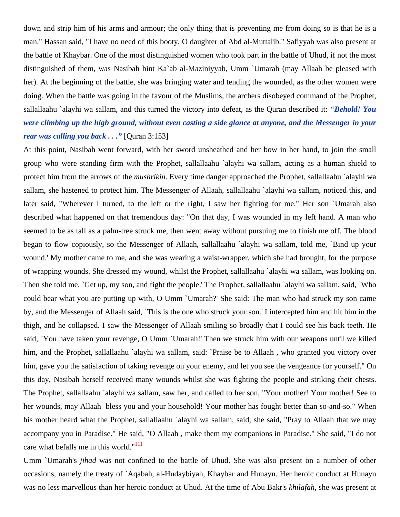down and strip him of his arms and armour; the only thing that is preventing me from doing so is that he is a man." Hassan said, "I have no need of this booty, O daughter of Abd al-Muttalib." Safiyyah was also present at the battle of Khaybar. One of the most distinguished women who took part in the battle of Uhud, if not the most distinguished of them, was Nasibah bint Ka`ab al-Maziniyyah, Umm `Umarah (may Allaah be pleased with her). At the beginning of the battle, she was bringing water and tending the wounded, as the other women were doing. When the battle was going in the favour of the Muslims, the archers disobeyed command of the Prophet, sallallaahu `alayhi wa sallam, and this turned the victory into defeat, as the Quran described it: *"Behold! You were climbing up the high ground, without even casting a side glance at anyone, and the Messenger in your rear was calling you back . . ."* [Quran 3:153]

At this point, Nasibah went forward, with her sword unsheathed and her bow in her hand, to join the small group who were standing firm with the Prophet, sallallaahu `alayhi wa sallam, acting as a human shield to protect him from the arrows of the *mushrikin*. Every time danger approached the Prophet, sallallaahu `alayhi wa sallam, she hastened to protect him. The Messenger of Allaah, sallallaahu `alayhi wa sallam, noticed this, and later said, "Wherever I turned, to the left or the right, I saw her fighting for me." Her son `Umarah also described what happened on that tremendous day: "On that day, I was wounded in my left hand. A man who seemed to be as tall as a palm-tree struck me, then went away without pursuing me to finish me off. The blood began to flow copiously, so the Messenger of Allaah, sallallaahu `alayhi wa sallam, told me, `Bind up your wound.' My mother came to me, and she was wearing a waist-wrapper, which she had brought, for the purpose of wrapping wounds. She dressed my wound, whilst the Prophet, sallallaahu `alayhi wa sallam, was looking on. Then she told me, `Get up, my son, and fight the people.' The Prophet, sallallaahu `alayhi wa sallam, said, `Who could bear what you are putting up with, O Umm `Umarah?' She said: The man who had struck my son came by, and the Messenger of Allaah said, `This is the one who struck your son.' I intercepted him and hit him in the thigh, and he collapsed. I saw the Messenger of Allaah smiling so broadly that I could see his back teeth. He said, `You have taken your revenge, O Umm `Umarah!' Then we struck him with our weapons until we killed him, and the Prophet, sallallaahu `alayhi wa sallam, said: `Praise be to Allaah , who granted you victory over him, gave you the satisfaction of taking revenge on your enemy, and let you see the vengeance for yourself." On this day, Nasibah herself received many wounds whilst she was fighting the people and striking their chests. The Prophet, sallallaahu `alayhi wa sallam, saw her, and called to her son, "Your mother! Your mother! See to her wounds, may Allaah bless you and your household! Your mother has fought better than so-and-so." When his mother heard what the Prophet, sallallaahu `alayhi wa sallam, said, she said, "Pray to Allaah that we may accompany you in Paradise." He said, "O Allaah , make them my companions in Paradise." She said, "I do not care what befalls me in this world."<sup>111</sup>

Umm `Umarah's *jihad* was not confined to the battle of Uhud. She was also present on a number of other occasions, namely the treaty of `Aqabah, al-Hudaybiyah, Khaybar and Hunayn. Her heroic conduct at Hunayn was no less marvellous than her heroic conduct at Uhud. At the time of Abu Bakr's *khilafah*, she was present at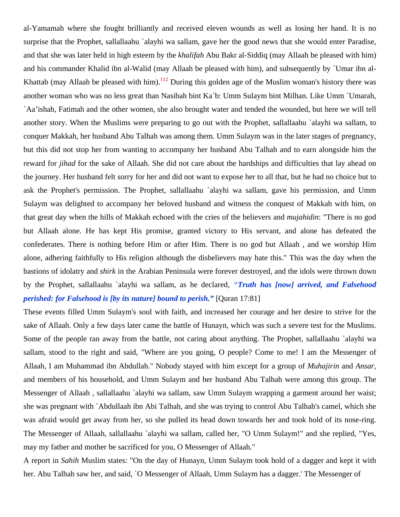al-Yamamah where she fought brilliantly and received eleven wounds as well as losing her hand. It is no surprise that the Prophet, sallallaahu `alayhi wa sallam, gave her the good news that she would enter Paradise, and that she was later held in high esteem by the *khalifah* Abu Bakr al-Siddiq (may Allaah be pleased with him) and his commander Khalid ibn al-Walid (may Allaah be pleased with him), and subsequently by `Umar ibn al-Khattab (may Allaah be pleased with him).<sup>112</sup> During this golden age of the Muslim woman's history there was another woman who was no less great than Nasibah bint Ka`b: Umm Sulaym bint Milhan. Like Umm `Umarah, `Aa'ishah, Fatimah and the other women, she also brought water and tended the wounded, but here we will tell another story. When the Muslims were preparing to go out with the Prophet, sallallaahu `alayhi wa sallam, to conquer Makkah, her husband Abu Talhah was among them. Umm Sulaym was in the later stages of pregnancy, but this did not stop her from wanting to accompany her husband Abu Talhah and to earn alongside him the reward for *jihad* for the sake of Allaah. She did not care about the hardships and difficulties that lay ahead on the journey. Her husband felt sorry for her and did not want to expose her to all that, but he had no choice but to ask the Prophet's permission. The Prophet, sallallaahu `alayhi wa sallam, gave his permission, and Umm Sulaym was delighted to accompany her beloved husband and witness the conquest of Makkah with him, on that great day when the hills of Makkah echoed with the cries of the believers and *mujahidin*: "There is no god but Allaah alone. He has kept His promise, granted victory to His servant, and alone has defeated the confederates. There is nothing before Him or after Him. There is no god but Allaah , and we worship Him alone, adhering faithfully to His religion although the disbelievers may hate this." This was the day when the bastions of idolatry and *shirk* in the Arabian Peninsula were forever destroyed, and the idols were thrown down by the Prophet, sallallaahu `alayhi wa sallam, as he declared, *"Truth has [now] arrived, and Falsehood perished: for Falsehood is [by its nature] bound to perish."* [Quran 17:81]

These events filled Umm Sulaym's soul with faith, and increased her courage and her desire to strive for the sake of Allaah. Only a few days later came the battle of Hunayn, which was such a severe test for the Muslims. Some of the people ran away from the battle, not caring about anything. The Prophet, sallallaahu `alayhi wa sallam, stood to the right and said, "Where are you going, O people? Come to me! I am the Messenger of Allaah, I am Muhammad ibn Abdullah." Nobody stayed with him except for a group of *Muhajirin* and *Ansar*, and members of his household, and Umm Sulaym and her husband Abu Talhah were among this group. The Messenger of Allaah , sallallaahu `alayhi wa sallam, saw Umm Sulaym wrapping a garment around her waist; she was pregnant with `Abdullaah ibn Abi Talhah, and she was trying to control Abu Talhah's camel, which she was afraid would get away from her, so she pulled its head down towards her and took hold of its nose-ring. The Messenger of Allaah, sallallaahu `alayhi wa sallam, called her, "O Umm Sulaym!" and she replied, "Yes, may my father and mother be sacrificed for you, O Messenger of Allaah."

A report in *Sahih* Muslim states: "On the day of Hunayn, Umm Sulaym took hold of a dagger and kept it with her. Abu Talhah saw her, and said, `O Messenger of Allaah, Umm Sulaym has a dagger.' The Messenger of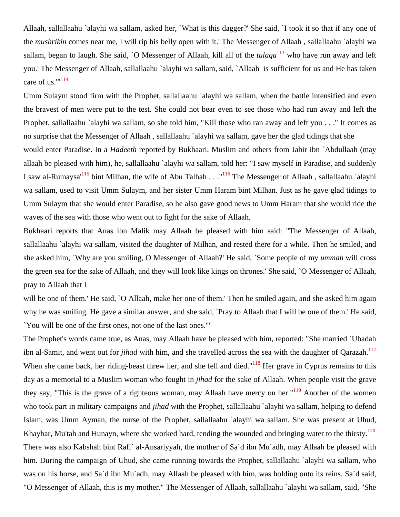Allaah, sallallaahu `alayhi wa sallam, asked her, `What is this dagger?' She said, `I took it so that if any one of the *mushrikin* comes near me, I will rip his belly open with it.' The Messenger of Allaah , sallallaahu `alayhi wa sallam, began to laugh. She said, `O Messenger of Allaah, kill all of the *tulaga*<sup>113</sup> who have run away and left you.' The Messenger of Allaah, sallallaahu `alayhi wa sallam, said, `Allaah is sufficient for us and He has taken care of us."<sup>114</sup>

Umm Sulaym stood firm with the Prophet, sallallaahu `alayhi wa sallam, when the battle intensified and even the bravest of men were put to the test. She could not bear even to see those who had run away and left the Prophet, sallallaahu `alayhi wa sallam, so she told him, "Kill those who ran away and left you . . ." It comes as no surprise that the Messenger of Allaah , sallallaahu `alayhi wa sallam, gave her the glad tidings that she would enter Paradise. In a *Hadeeth* reported by Bukhaari, Muslim and others from Jabir ibn `Abdullaah (may allaah be pleased with him), he, sallallaahu `alayhi wa sallam, told her: "I saw myself in Paradise, and suddenly I saw al-Rumaysa'115 bint Milhan, the wife of Abu Talhah . . ."116 The Messenger of Allaah , sallallaahu `alayhi wa sallam, used to visit Umm Sulaym, and her sister Umm Haram bint Milhan. Just as he gave glad tidings to Umm Sulaym that she would enter Paradise, so he also gave good news to Umm Haram that she would ride the waves of the sea with those who went out to fight for the sake of Allaah.

Bukhaari reports that Anas ibn Malik may Allaah be pleased with him said: "The Messenger of Allaah, sallallaahu `alayhi wa sallam, visited the daughter of Milhan, and rested there for a while. Then he smiled, and she asked him, `Why are you smiling, O Messenger of Allaah?' He said, `Some people of my *ummah* will cross the green sea for the sake of Allaah, and they will look like kings on thrones.' She said, `O Messenger of Allaah, pray to Allaah that I

will be one of them.' He said, `O Allaah, make her one of them.' Then he smiled again, and she asked him again why he was smiling. He gave a similar answer, and she said, `Pray to Allaah that I will be one of them.' He said, `You will be one of the first ones, not one of the last ones.'"

The Prophet's words came true, as Anas, may Allaah have be pleased with him, reported: "She married `Ubadah ibn al-Samit, and went out for *jihad* with him, and she travelled across the sea with the daughter of Qarazah.<sup>117</sup> When she came back, her riding-beast threw her, and she fell and died."<sup>118</sup> Her grave in Cyprus remains to this day as a memorial to a Muslim woman who fought in *jihad* for the sake of Allaah. When people visit the grave they say, "This is the grave of a righteous woman, may Allaah have mercy on her."<sup>119</sup> Another of the women who took part in military campaigns and *jihad* with the Prophet, sallallaahu `alayhi wa sallam, helping to defend Islam, was Umm Ayman, the nurse of the Prophet, sallallaahu `alayhi wa sallam. She was present at Uhud, Khaybar, Mu'tah and Hunayn, where she worked hard, tending the wounded and bringing water to the thirsty.<sup>120</sup> There was also Kabshah bint Rafi` al-Ansariyyah, the mother of Sa`d ibn Mu`adh, may Allaah be pleased with him. During the campaign of Uhud, she came running towards the Prophet, sallallaahu `alayhi wa sallam, who was on his horse, and Sa`d ibn Mu`adh, may Allaah be pleased with him, was holding onto its reins. Sa`d said, "O Messenger of Allaah, this is my mother." The Messenger of Allaah, sallallaahu `alayhi wa sallam, said, "She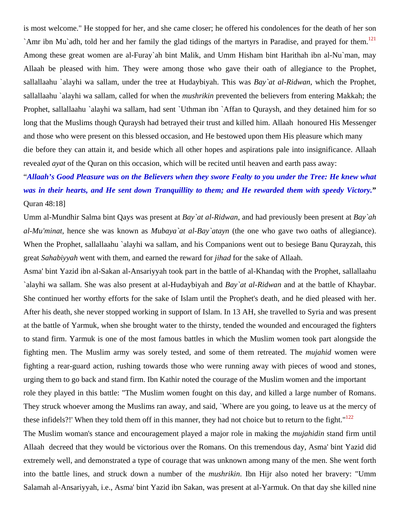is most welcome." He stopped for her, and she came closer; he offered his condolences for the death of her son `Amr ibn Mu`adh, told her and her family the glad tidings of the martyrs in Paradise, and prayed for them.<sup>121</sup> Among these great women are al-Furay`ah bint Malik, and Umm Hisham bint Harithah ibn al-Nu`man, may Allaah be pleased with him. They were among those who gave their oath of allegiance to the Prophet, sallallaahu `alayhi wa sallam, under the tree at Hudaybiyah. This was *Bay`at al-Ridwan*, which the Prophet, sallallaahu `alayhi wa sallam, called for when the *mushrikin* prevented the believers from entering Makkah; the Prophet, sallallaahu `alayhi wa sallam, had sent `Uthman ibn `Affan to Quraysh, and they detained him for so long that the Muslims though Quraysh had betrayed their trust and killed him. Allaah honoured His Messenger and those who were present on this blessed occasion, and He bestowed upon them His pleasure which many die before they can attain it, and beside which all other hopes and aspirations pale into insignificance. Allaah revealed *ayat* of the Quran on this occasion, which will be recited until heaven and earth pass away:

# "*Allaah's Good Pleasure was on the Believers when they swore Fealty to you under the Tree: He knew what was in their hearts, and He sent down Tranquillity to them; and He rewarded them with speedy Victory.***"**  Quran 48:18]

Umm al-Mundhir Salma bint Qays was present at *Bay`at al-Ridwan*, and had previously been present at *Bay`ah al-Mu'minat*, hence she was known as *Mubaya`at al-Bay`atayn* (the one who gave two oaths of allegiance). When the Prophet, sallallaahu `alayhi wa sallam, and his Companions went out to besiege Banu Qurayzah, this great *Sahabiyyah* went with them, and earned the reward for *jihad* for the sake of Allaah.

Asma' bint Yazid ibn al-Sakan al-Ansariyyah took part in the battle of al-Khandaq with the Prophet, sallallaahu `alayhi wa sallam. She was also present at al-Hudaybiyah and *Bay`at al-Ridwan* and at the battle of Khaybar. She continued her worthy efforts for the sake of Islam until the Prophet's death, and he died pleased with her. After his death, she never stopped working in support of Islam. In 13 AH, she travelled to Syria and was present at the battle of Yarmuk, when she brought water to the thirsty, tended the wounded and encouraged the fighters to stand firm. Yarmuk is one of the most famous battles in which the Muslim women took part alongside the fighting men. The Muslim army was sorely tested, and some of them retreated. The *mujahid* women were fighting a rear-guard action, rushing towards those who were running away with pieces of wood and stones, urging them to go back and stand firm. Ibn Kathir noted the courage of the Muslim women and the important role they played in this battle: "The Muslim women fought on this day, and killed a large number of Romans. They struck whoever among the Muslims ran away, and said, `Where are you going, to leave us at the mercy of these infidels?!' When they told them off in this manner, they had not choice but to return to the fight."<sup>122</sup>

The Muslim woman's stance and encouragement played a major role in making the *mujahidin* stand firm until Allaah decreed that they would be victorious over the Romans. On this tremendous day, Asma' bint Yazid did extremely well, and demonstrated a type of courage that was unknown among many of the men. She went forth into the battle lines, and struck down a number of the *mushrikin*. Ibn Hijr also noted her bravery: "Umm Salamah al-Ansariyyah, i.e., Asma' bint Yazid ibn Sakan, was present at al-Yarmuk. On that day she killed nine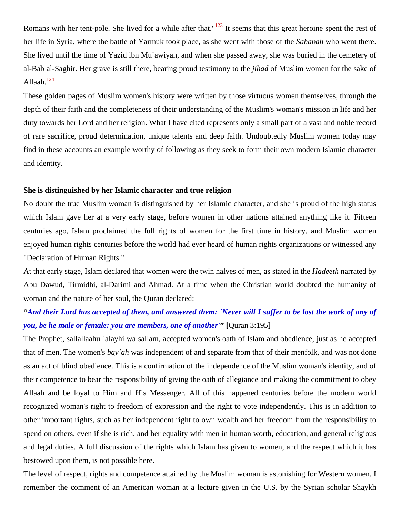Romans with her tent-pole. She lived for a while after that."<sup>123</sup> It seems that this great heroine spent the rest of her life in Syria, where the battle of Yarmuk took place, as she went with those of the *Sahabah* who went there. She lived until the time of Yazid ibn Mu`awiyah, and when she passed away, she was buried in the cemetery of al-Bab al-Saghir. Her grave is still there, bearing proud testimony to the *jihad* of Muslim women for the sake of Allaah. $124$ 

These golden pages of Muslim women's history were written by those virtuous women themselves, through the depth of their faith and the completeness of their understanding of the Muslim's woman's mission in life and her duty towards her Lord and her religion. What I have cited represents only a small part of a vast and noble record of rare sacrifice, proud determination, unique talents and deep faith. Undoubtedly Muslim women today may find in these accounts an example worthy of following as they seek to form their own modern Islamic character and identity.

# **She is distinguished by her Islamic character and true religion**

No doubt the true Muslim woman is distinguished by her Islamic character, and she is proud of the high status which Islam gave her at a very early stage, before women in other nations attained anything like it. Fifteen centuries ago, Islam proclaimed the full rights of women for the first time in history, and Muslim women enjoyed human rights centuries before the world had ever heard of human rights organizations or witnessed any "Declaration of Human Rights."

At that early stage, Islam declared that women were the twin halves of men, as stated in the *Hadeeth* narrated by Abu Dawud, Tirmidhi, al-Darimi and Ahmad. At a time when the Christian world doubted the humanity of woman and the nature of her soul, the Quran declared:

# **"***And their Lord has accepted of them, and answered them: `Never will I suffer to be lost the work of any of you, be he male or female: you are members, one of another'***" [**Quran 3:195]

The Prophet, sallallaahu `alayhi wa sallam, accepted women's oath of Islam and obedience, just as he accepted that of men. The women's *bay`ah* was independent of and separate from that of their menfolk, and was not done as an act of blind obedience. This is a confirmation of the independence of the Muslim woman's identity, and of their competence to bear the responsibility of giving the oath of allegiance and making the commitment to obey Allaah and be loyal to Him and His Messenger. All of this happened centuries before the modern world recognized woman's right to freedom of expression and the right to vote independently. This is in addition to other important rights, such as her independent right to own wealth and her freedom from the responsibility to spend on others, even if she is rich, and her equality with men in human worth, education, and general religious and legal duties. A full discussion of the rights which Islam has given to women, and the respect which it has bestowed upon them, is not possible here.

The level of respect, rights and competence attained by the Muslim woman is astonishing for Western women. I remember the comment of an American woman at a lecture given in the U.S. by the Syrian scholar Shaykh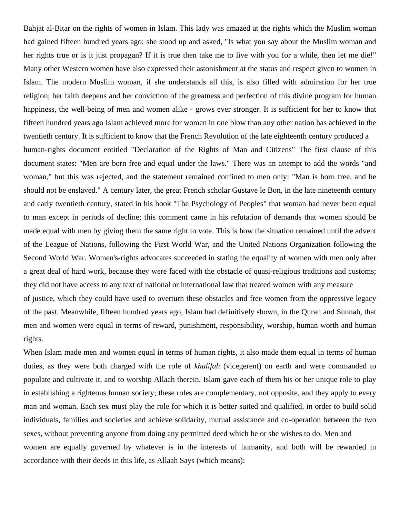Bahjat al-Bitar on the rights of women in Islam. This lady was amazed at the rights which the Muslim woman had gained fifteen hundred years ago; she stood up and asked, "Is what you say about the Muslim woman and her rights true or is it just propagan? If it is true then take me to live with you for a while, then let me die!" Many other Western women have also expressed their astonishment at the status and respect given to women in Islam. The modern Muslim woman, if she understands all this, is also filled with admiration for her true religion; her faith deepens and her conviction of the greatness and perfection of this divine program for human happiness, the well-being of men and women alike - grows ever stronger. It is sufficient for her to know that fifteen hundred years ago Islam achieved more for women in one blow than any other nation has achieved in the twentieth century. It is sufficient to know that the French Revolution of the late eighteenth century produced a human-rights document entitled "Declaration of the Rights of Man and Citizens" The first clause of this document states: "Men are born free and equal under the laws." There was an attempt to add the words "and woman," but this was rejected, and the statement remained confined to men only: "Man is born free, and he should not be enslaved." A century later, the great French scholar Gustave le Bon, in the late nineteenth century and early twentieth century, stated in his book "The Psychology of Peoples" that woman had never been equal to man except in periods of decline; this comment came in his refutation of demands that women should be made equal with men by giving them the same right to vote. This is how the situation remained until the advent of the League of Nations, following the First World War, and the United Nations Organization following the Second World War. Women's-rights advocates succeeded in stating the equality of women with men only after a great deal of hard work, because they were faced with the obstacle of quasi-religious traditions and customs; they did not have access to any text of national or international law that treated women with any measure of justice, which they could have used to overturn these obstacles and free women from the oppressive legacy of the past. Meanwhile, fifteen hundred years ago, Islam had definitively shown, in the Quran and Sunnah, that

rights.

When Islam made men and women equal in terms of human rights, it also made them equal in terms of human duties, as they were both charged with the role of *khalifah* (vicegerent) on earth and were commanded to populate and cultivate it, and to worship Allaah therein. Islam gave each of them his or her unique role to play in establishing a righteous human society; these roles are complementary, not opposite, and they apply to every man and woman. Each sex must play the role for which it is better suited and qualified, in order to build solid individuals, families and societies and achieve solidarity, mutual assistance and co-operation between the two sexes, without preventing anyone from doing any permitted deed which he or she wishes to do. Men and women are equally governed by whatever is in the interests of humanity, and both will be rewarded in accordance with their deeds in this life, as Allaah Says (which means):

men and women were equal in terms of reward, punishment, responsibility, worship, human worth and human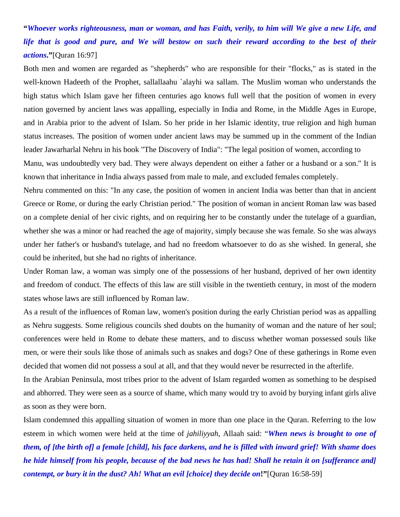# **"***Whoever works righteousness, man or woman, and has Faith, verily, to him will We give a new Life, and life that is good and pure, and We will bestow on such their reward according to the best of their actions***."**[Quran 16:97]

Both men and women are regarded as "shepherds" who are responsible for their "flocks," as is stated in the well-known Hadeeth of the Prophet, sallallaahu `alayhi wa sallam. The Muslim woman who understands the high status which Islam gave her fifteen centuries ago knows full well that the position of women in every nation governed by ancient laws was appalling, especially in India and Rome, in the Middle Ages in Europe, and in Arabia prior to the advent of Islam. So her pride in her Islamic identity, true religion and high human status increases. The position of women under ancient laws may be summed up in the comment of the Indian leader Jawarharlal Nehru in his book "The Discovery of India": "The legal position of women, according to Manu, was undoubtedly very bad. They were always dependent on either a father or a husband or a son." It is known that inheritance in India always passed from male to male, and excluded females completely.

Nehru commented on this: "In any case, the position of women in ancient India was better than that in ancient Greece or Rome, or during the early Christian period." The position of woman in ancient Roman law was based on a complete denial of her civic rights, and on requiring her to be constantly under the tutelage of a guardian, whether she was a minor or had reached the age of majority, simply because she was female. So she was always under her father's or husband's tutelage, and had no freedom whatsoever to do as she wished. In general, she could be inherited, but she had no rights of inheritance.

Under Roman law, a woman was simply one of the possessions of her husband, deprived of her own identity and freedom of conduct. The effects of this law are still visible in the twentieth century, in most of the modern states whose laws are still influenced by Roman law.

As a result of the influences of Roman law, women's position during the early Christian period was as appalling as Nehru suggests. Some religious councils shed doubts on the humanity of woman and the nature of her soul; conferences were held in Rome to debate these matters, and to discuss whether woman possessed souls like men, or were their souls like those of animals such as snakes and dogs? One of these gatherings in Rome even decided that women did not possess a soul at all, and that they would never be resurrected in the afterlife.

In the Arabian Peninsula, most tribes prior to the advent of Islam regarded women as something to be despised and abhorred. They were seen as a source of shame, which many would try to avoid by burying infant girls alive as soon as they were born.

Islam condemned this appalling situation of women in more than one place in the Quran. Referring to the low esteem in which women were held at the time of *jahiliyyah*, Allaah said: "*When news is brought to one of them, of [the birth of] a female [child], his face darkens, and he is filled with inward grief! With shame does he hide himself from his people, because of the bad news he has had! Shall he retain it on [sufferance and] contempt, or bury it in the dust? Ah! What an evil [choice] they decide on***!"**[Quran 16:58-59]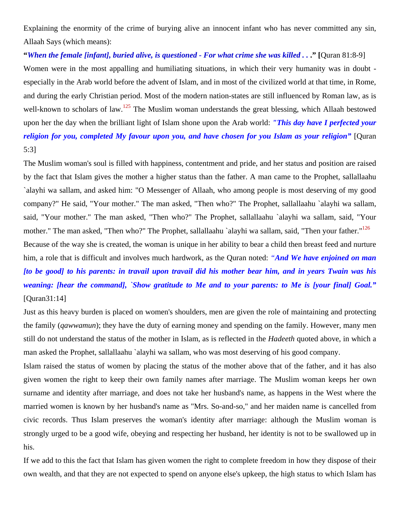Explaining the enormity of the crime of burying alive an innocent infant who has never committed any sin, Allaah Says (which means):

**"***When the female [infant], buried alive, is questioned - For what crime she was killed . .* **." [**Quran 81:8-9] Women were in the most appalling and humiliating situations, in which their very humanity was in doubt especially in the Arab world before the advent of Islam, and in most of the civilized world at that time, in Rome, and during the early Christian period. Most of the modern nation-states are still influenced by Roman law, as is well-known to scholars of law.<sup>125</sup> The Muslim woman understands the great blessing, which Allaah bestowed upon her the day when the brilliant light of Islam shone upon the Arab world: *"This day have I perfected your religion for you, completed My favour upon you, and have chosen for you Islam as your religion"* [Quran 5:3]

The Muslim woman's soul is filled with happiness, contentment and pride, and her status and position are raised by the fact that Islam gives the mother a higher status than the father. A man came to the Prophet, sallallaahu `alayhi wa sallam, and asked him: "O Messenger of Allaah, who among people is most deserving of my good company?" He said, "Your mother." The man asked, "Then who?" The Prophet, sallallaahu `alayhi wa sallam, said, "Your mother." The man asked, "Then who?" The Prophet, sallallaahu `alayhi wa sallam, said, "Your mother." The man asked, "Then who?" The Prophet, sallallaahu `alayhi wa sallam, said, "Then your father."<sup>126</sup>

Because of the way she is created, the woman is unique in her ability to bear a child then breast feed and nurture him, a role that is difficult and involves much hardwork, as the Quran noted: *"And We have enjoined on man [to be good] to his parents: in travail upon travail did his mother bear him, and in years Twain was his weaning: [hear the command], `Show gratitude to Me and to your parents: to Me is [your final] Goal."* [Quran31:14]

Just as this heavy burden is placed on women's shoulders, men are given the role of maintaining and protecting the family (*qawwamun*); they have the duty of earning money and spending on the family. However, many men still do not understand the status of the mother in Islam, as is reflected in the *Hadeeth* quoted above, in which a man asked the Prophet, sallallaahu `alayhi wa sallam, who was most deserving of his good company.

Islam raised the status of women by placing the status of the mother above that of the father, and it has also given women the right to keep their own family names after marriage. The Muslim woman keeps her own surname and identity after marriage, and does not take her husband's name, as happens in the West where the married women is known by her husband's name as "Mrs. So-and-so," and her maiden name is cancelled from civic records. Thus Islam preserves the woman's identity after marriage: although the Muslim woman is strongly urged to be a good wife, obeying and respecting her husband, her identity is not to be swallowed up in his.

If we add to this the fact that Islam has given women the right to complete freedom in how they dispose of their own wealth, and that they are not expected to spend on anyone else's upkeep, the high status to which Islam has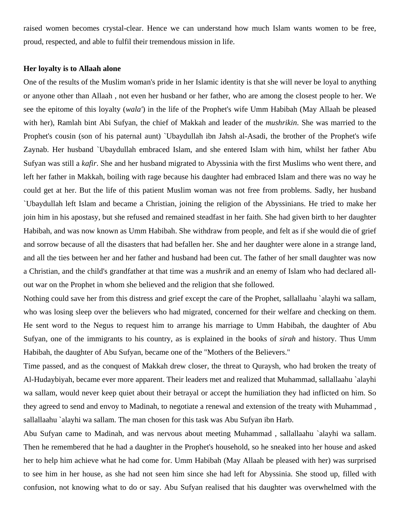raised women becomes crystal-clear. Hence we can understand how much Islam wants women to be free, proud, respected, and able to fulfil their tremendous mission in life.

#### **Her loyalty is to Allaah alone**

One of the results of the Muslim woman's pride in her Islamic identity is that she will never be loyal to anything or anyone other than Allaah , not even her husband or her father, who are among the closest people to her. We see the epitome of this loyalty (*wala'*) in the life of the Prophet's wife Umm Habibah (May Allaah be pleased with her), Ramlah bint Abi Sufyan, the chief of Makkah and leader of the *mushrikin*. She was married to the Prophet's cousin (son of his paternal aunt) `Ubaydullah ibn Jahsh al-Asadi, the brother of the Prophet's wife Zaynab. Her husband `Ubaydullah embraced Islam, and she entered Islam with him, whilst her father Abu Sufyan was still a *kafir*. She and her husband migrated to Abyssinia with the first Muslims who went there, and left her father in Makkah, boiling with rage because his daughter had embraced Islam and there was no way he could get at her. But the life of this patient Muslim woman was not free from problems. Sadly, her husband `Ubaydullah left Islam and became a Christian, joining the religion of the Abyssinians. He tried to make her join him in his apostasy, but she refused and remained steadfast in her faith. She had given birth to her daughter Habibah, and was now known as Umm Habibah. She withdraw from people, and felt as if she would die of grief and sorrow because of all the disasters that had befallen her. She and her daughter were alone in a strange land, and all the ties between her and her father and husband had been cut. The father of her small daughter was now a Christian, and the child's grandfather at that time was a *mushrik* and an enemy of Islam who had declared allout war on the Prophet in whom she believed and the religion that she followed.

Nothing could save her from this distress and grief except the care of the Prophet, sallallaahu `alayhi wa sallam, who was losing sleep over the believers who had migrated, concerned for their welfare and checking on them. He sent word to the Negus to request him to arrange his marriage to Umm Habibah, the daughter of Abu Sufyan, one of the immigrants to his country, as is explained in the books of *sirah* and history. Thus Umm Habibah, the daughter of Abu Sufyan, became one of the "Mothers of the Believers."

Time passed, and as the conquest of Makkah drew closer, the threat to Quraysh, who had broken the treaty of Al-Hudaybiyah, became ever more apparent. Their leaders met and realized that Muhammad, sallallaahu `alayhi wa sallam, would never keep quiet about their betrayal or accept the humiliation they had inflicted on him. So they agreed to send and envoy to Madinah, to negotiate a renewal and extension of the treaty with Muhammad , sallallaahu `alayhi wa sallam. The man chosen for this task was Abu Sufyan ibn Harb.

Abu Sufyan came to Madinah, and was nervous about meeting Muhammad , sallallaahu `alayhi wa sallam. Then he remembered that he had a daughter in the Prophet's household, so he sneaked into her house and asked her to help him achieve what he had come for. Umm Habibah (May Allaah be pleased with her) was surprised to see him in her house, as she had not seen him since she had left for Abyssinia. She stood up, filled with confusion, not knowing what to do or say. Abu Sufyan realised that his daughter was overwhelmed with the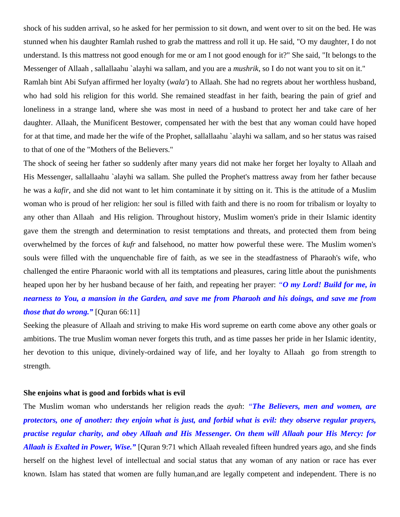shock of his sudden arrival, so he asked for her permission to sit down, and went over to sit on the bed. He was stunned when his daughter Ramlah rushed to grab the mattress and roll it up. He said, "O my daughter, I do not understand. Is this mattress not good enough for me or am I not good enough for it?" She said, "It belongs to the Messenger of Allaah, sallallaahu `alayhi wa sallam, and you are a *mushrik*, so I do not want you to sit on it." Ramlah bint Abi Sufyan affirmed her loyalty (*wala'*) to Allaah. She had no regrets about her worthless husband, who had sold his religion for this world. She remained steadfast in her faith, bearing the pain of grief and loneliness in a strange land, where she was most in need of a husband to protect her and take care of her daughter. Allaah, the Munificent Bestower, compensated her with the best that any woman could have hoped for at that time, and made her the wife of the Prophet, sallallaahu `alayhi wa sallam, and so her status was raised to that of one of the "Mothers of the Believers."

The shock of seeing her father so suddenly after many years did not make her forget her loyalty to Allaah and His Messenger, sallallaahu `alayhi wa sallam. She pulled the Prophet's mattress away from her father because he was a *kafir*, and she did not want to let him contaminate it by sitting on it. This is the attitude of a Muslim woman who is proud of her religion: her soul is filled with faith and there is no room for tribalism or loyalty to any other than Allaah and His religion. Throughout history, Muslim women's pride in their Islamic identity gave them the strength and determination to resist temptations and threats, and protected them from being overwhelmed by the forces of *kufr* and falsehood, no matter how powerful these were. The Muslim women's souls were filled with the unquenchable fire of faith, as we see in the steadfastness of Pharaoh's wife, who challenged the entire Pharaonic world with all its temptations and pleasures, caring little about the punishments heaped upon her by her husband because of her faith, and repeating her prayer: *"O my Lord! Build for me, in nearness to You, a mansion in the Garden, and save me from Pharaoh and his doings, and save me from those that do wrong.*" [Quran 66:11]

Seeking the pleasure of Allaah and striving to make His word supreme on earth come above any other goals or ambitions. The true Muslim woman never forgets this truth, and as time passes her pride in her Islamic identity, her devotion to this unique, divinely-ordained way of life, and her loyalty to Allaah go from strength to strength.

## **She enjoins what is good and forbids what is evil**

The Muslim woman who understands her religion reads the *ayah*: *"The Believers, men and women, are protectors, one of another: they enjoin what is just, and forbid what is evil: they observe regular prayers, practise regular charity, and obey Allaah and His Messenger. On them will Allaah pour His Mercy: for Allaah is Exalted in Power, Wise."* [Quran 9:71 which Allaah revealed fifteen hundred years ago, and she finds herself on the highest level of intellectual and social status that any woman of any nation or race has ever known. Islam has stated that women are fully human,and are legally competent and independent. There is no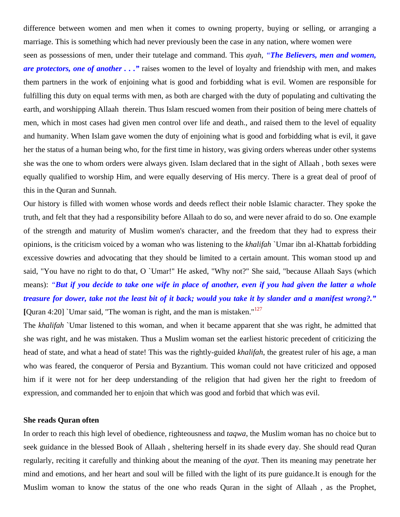difference between women and men when it comes to owning property, buying or selling, or arranging a marriage. This is something which had never previously been the case in any nation, where women were

seen as possessions of men, under their tutelage and command. This *ayah*, *"The Believers, men and women, are protectors, one of another . . ."* raises women to the level of loyalty and friendship with men, and makes them partners in the work of enjoining what is good and forbidding what is evil. Women are responsible for fulfilling this duty on equal terms with men, as both are charged with the duty of populating and cultivating the earth, and worshipping Allaah therein. Thus Islam rescued women from their position of being mere chattels of men, which in most cases had given men control over life and death., and raised them to the level of equality and humanity. When Islam gave women the duty of enjoining what is good and forbidding what is evil, it gave her the status of a human being who, for the first time in history, was giving orders whereas under other systems she was the one to whom orders were always given. Islam declared that in the sight of Allaah , both sexes were equally qualified to worship Him, and were equally deserving of His mercy. There is a great deal of proof of this in the Quran and Sunnah.

Our history is filled with women whose words and deeds reflect their noble Islamic character. They spoke the truth, and felt that they had a responsibility before Allaah to do so, and were never afraid to do so. One example of the strength and maturity of Muslim women's character, and the freedom that they had to express their opinions, is the criticism voiced by a woman who was listening to the *khalifah* `Umar ibn al-Khattab forbidding excessive dowries and advocating that they should be limited to a certain amount. This woman stood up and said, "You have no right to do that, O 'Umar!" He asked, "Why not?" She said, "because Allaah Says (which means): "But if you decide to take one wife in place of another, even if you had given the latter a whole *treasure for dower, take not the least bit of it back; would you take it by slander and a manifest wrong?."*  **[**Quran 4:20] `Umar said, "The woman is right, and the man is mistaken."<sup>127</sup>

The *khalifah* `Umar listened to this woman, and when it became apparent that she was right, he admitted that she was right, and he was mistaken. Thus a Muslim woman set the earliest historic precedent of criticizing the head of state, and what a head of state! This was the rightly-guided *khalifah*, the greatest ruler of his age, a man who was feared, the conqueror of Persia and Byzantium. This woman could not have criticized and opposed him if it were not for her deep understanding of the religion that had given her the right to freedom of expression, and commanded her to enjoin that which was good and forbid that which was evil.

# **She reads Quran often**

In order to reach this high level of obedience, righteousness and *taqwa*, the Muslim woman has no choice but to seek guidance in the blessed Book of Allaah , sheltering herself in its shade every day. She should read Quran regularly, reciting it carefully and thinking about the meaning of the *ayat*. Then its meaning may penetrate her mind and emotions, and her heart and soul will be filled with the light of its pure guidance.It is enough for the Muslim woman to know the status of the one who reads Quran in the sight of Allaah , as the Prophet,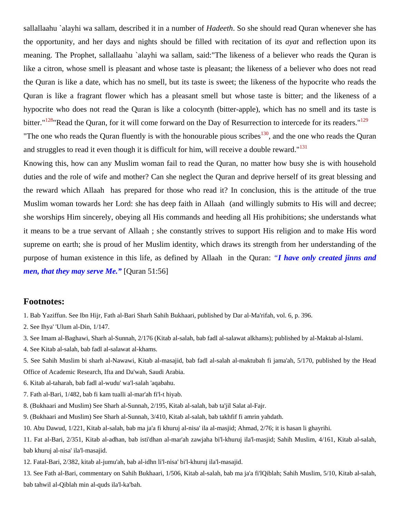sallallaahu `alayhi wa sallam, described it in a number of *Hadeeth*. So she should read Quran whenever she has the opportunity, and her days and nights should be filled with recitation of its *ayat* and reflection upon its meaning. The Prophet, sallallaahu `alayhi wa sallam, said:"The likeness of a believer who reads the Quran is like a citron, whose smell is pleasant and whose taste is pleasant; the likeness of a believer who does not read the Quran is like a date, which has no smell, but its taste is sweet; the likeness of the hypocrite who reads the Quran is like a fragrant flower which has a pleasant smell but whose taste is bitter; and the likeness of a hypocrite who does not read the Quran is like a colocynth (bitter-apple), which has no smell and its taste is bitter."<sup>128</sup>"Read the Quran, for it will come forward on the Day of Resurrection to intercede for its readers."<sup>129</sup> "The one who reads the Quran fluently is with the honourable pious scribes $^{130}$ , and the one who reads the Quran

Knowing this, how can any Muslim woman fail to read the Quran, no matter how busy she is with household duties and the role of wife and mother? Can she neglect the Quran and deprive herself of its great blessing and the reward which Allaah has prepared for those who read it? In conclusion, this is the attitude of the true Muslim woman towards her Lord: she has deep faith in Allaah (and willingly submits to His will and decree; she worships Him sincerely, obeying all His commands and heeding all His prohibitions; she understands what it means to be a true servant of Allaah ; she constantly strives to support His religion and to make His word supreme on earth; she is proud of her Muslim identity, which draws its strength from her understanding of the purpose of human existence in this life, as defined by Allaah in the Quran: *"I have only created jinns and men, that they may serve Me."* [Quran 51:56]

# **Footnotes:**

1. Bab Yaziffun. See Ibn Hijr, Fath al-Bari Sharh Sahih Bukhaari, published by Dar al-Ma'rifah, vol. 6, p. 396.

and struggles to read it even though it is difficult for him, will receive a double reward."<sup>131</sup>

- 2. See Ihya' 'Ulum al-Din, 1/147.
- 3. See Imam al-Baghawi, Sharh al-Sunnah, 2/176 (Kitab al-salah, bab fadl al-salawat alkhams); published by al-Maktab al-Islami.
- 4. See Kitab al-salah, bab fadl al-salawat al-khams.
- 5. See Sahih Muslim bi sharh al-Nawawi, Kitab al-masajid, bab fadl al-salah al-maktubah fi jama'ah, 5/170, published by the Head Office of Academic Research, Ifta and Da'wah, Saudi Arabia.
- 6. Kitab al-taharah, bab fadl al-wudu' wa'l-salah 'aqabahu.
- 7. Fath al-Bari, 1/482, bab fi kam tualli al-mar'ah fi'l-t hiyab.
- 8. (Bukhaari and Muslim) See Sharh al-Sunnah, 2/195, Kitab al-salah, bab ta'jil Salat al-Fajr.
- 9. (Bukhaari and Muslim) See Sharh al-Sunnah, 3/410, Kitab al-salah, bab takhfif fi amrin yahdath.
- 10. Abu Dawud, 1/221, Kitab al-salah, bab ma ja'a fi khuruj al-nisa' ila al-masjid; Ahmad, 2/76; it is hasan li ghayrihi.
- 11. Fat al-Bari, 2/351, Kitab al-adhan, bab isti'dhan al-mar'ah zawjaha bi'l-khuruj ila'l-masjid; Sahih Muslim, 4/161, Kitab al-salah, bab khuruj al-nisa' ila'l-masajid.
- 12. Fatal-Bari, 2/382, kitab al-jumu'ah, bab al-idhn li'l-nisa' bi'l-khuruj ila'l-masajid.
- 13. See Fath al-Bari, commentary on Sahih Bukhaari, 1/506, Kitab al-salah, bab ma ja'a fi'lQiblah; Sahih Muslim, 5/10, Kitab al-salah, bab tahwil al-Qiblah min al-quds ila'l-ka'bah.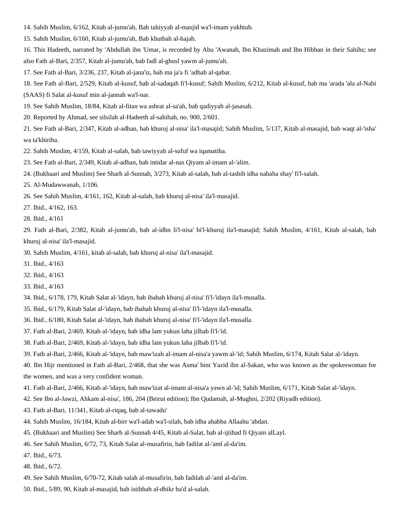- 14. Sahih Muslim, 6/162, Kitab al-jumu'ah, Bab tahiyyah al-masjid wa'l-imam yukhtub.
- 15. Sahih Muslim, 6/160, Kitab al-jumu'ah, Bab khutbah al-hajah.
- 16. This Hadeeth, narrated by 'Abdullah ibn 'Umar, is recorded by Abu 'Awanah, Ibn Khazimah and Ibn Hibban in their Sahihs; see also Fath al-Bari, 2/357, Kitab al-jumu'ah, bab fadl al-ghusl yawm al-jumu'ah.
- 17. See Fath al-Bari, 3/236, 237, Kitab al-jana'iz, bab ma ja'a fi 'adhab al-qabar.
- 18. See Fath al-Bari, 2/529, Kitab al-kusuf, bab al-sadaqah fi'l-kusuf; Sahih Muslim, 6/212, Kitab al-kusuf, bab ma 'arada 'ala al-Nabi
- (SAAS) fi Salat al-kusuf min al-jannah wa'l-nar.
- 19. See Sahih Muslim, 18/84, Kitab al-fitan wa ashrat al-sa'ah, bab qadiyyah al-jasasah.
- 20. Reported by Ahmad, see silsilah al-Hadeeth al-sahihah, no. 900, 2/601.
- 21. See Fath al-Bari, 2/347, Kitab al-adhan, bab khuruj al-nisa' ila'l-masajid; Sahih Muslim, 5/137, Kitab al-masajid, bab waqt al-'isha' wa ta'khiriha.
- 22. Sahih Muslim, 4/159, Kitab al-salah, bab tawiyyah al-sufuf wa iqamatiha.
- 23. See Fath al-Bari, 2/349, Kitab al-adhan, bab intidar al-nas Qiyam al-imam al-'alim.
- 24. (Bukhaari and Muslim) See Sharh al-Sunnah, 3/273, Kitab al-salah, bab al-tasbih idha nabaha shay' fi'l-salah.
- 25. Al-Mudawwanah, 1/106.
- 26. See Sahih Muslim, 4/161, 162, Kitab al-salah, bab khuruj al-nisa' ila'l-masajid.
- 27. Ibid., 4/162, 163.
- 28. Ibid., 4/161

29. Fath al-Bari, 2/382, Kitab al-jumu'ah, bab al-idhn li'l-nisa' bi'l-khuruj ila'l-masajid; Sahih Muslim, 4/161, Kitab al-salah, bab khuruj al-nisa' ila'l-masajid.

30. Sahih Muslim, 4/161, kitab al-salah, bab khuruj al-nisa' ila'l-masajid.

- 31. Ibid., 4/163
- 32. Ibid., 4/163
- 33. Ibid., 4/163
- 34. Ibid., 6/178, 179, Kitab Salat al-'idayn, bab ibahah khuruj al-nisa' fi'l-'idayn ila'l-musalla.
- 35. Ibid., 6/179, Kitab Salat al-'idayn, bab ibahah khuruj al-nisa' fi'l-'idayn ila'l-musalla.
- 36. Ibid., 6/180, Kitab Salat al-'idayn, bab ibahah khuruj al-nisa' fi'l-'idayn ila'l-musalla.
- 37. Fath al-Bari, 2/469, Kitab al-'idayn, bab idha lam yukun laha jilbab fi'l-'id.
- 38. Fath al-Bari, 2/469, Kitab al-'idayn, bab idha lam yukun laha jilbab fi'l-'id.
- 39. Fath al-Bari, 2/466, Kitab al-'idayn, bab maw'izah al-imam al-nisa'a yawm al-'id; Sahih Muslim, 6/174, Kitab Salat al-'idayn.
- 40. Ibn Hijr mentioned in Fath al-Bari, 2/468, that she was Asma' bint Yazid ibn al-Sakan, who was known as the spokeswoman for the women, and was a very confident woman.
- 41. Fath al-Bari, 2/466, Kitab al-'idayn, bab maw'izat al-imam al-nisa'a yawn al-'id; Sahih Muslim, 6/171, Kitab Salat al-'idayn.
- 42. See Ibn al-Jawzi, Ahkam al-nisa', 186, 204 (Beirut edition); Ibn Qudamah, al-Mughni, 2/202 (Riyadh edition).
- 43. Fath al-Bari, 11/341, Kitab al-riqaq, bab al-tawadu'
- 44. Sahih Muslim, 16/184, Kitab al-birr wa'l-adab wa'l-silah, bab idha ahabba Allaahu 'abdan.
- 45. (Bukhaari and Muslim) See Sharh al-Sunnah 4/45, Kitab al-Salat, bab al-ijtihad fi Qiyam alLayl.
- 46. See Sahih Muslim, 6/72, 73, Kitab Salat al-musafirin, bab fadilat al-'aml al-da'im.
- 47. Ibid., 6/73.
- 48. Ibid., 6/72.
- 49. See Sahih Muslim, 6/70-72, Kitab salah al-musafirin, bab fadilah al-'aml al-da'im.
- 50. Ibid., 5/89, 90, Kitab al-masajid, bab istihbab al-dhikr ba'd al-salah.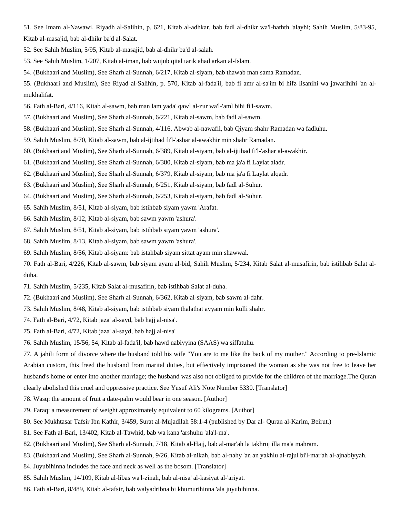51. See Imam al-Nawawi, Riyadh al-Salihin, p. 621, Kitab al-adhkar, bab fadl al-dhikr wa'l-hathth 'alayhi; Sahih Muslim, 5/83-95, Kitab al-masajid, bab al-dhikr ba'd al-Salat.

- 52. See Sahih Muslim, 5/95, Kitab al-masajid, bab al-dhikr ba'd al-salah.
- 53. See Sahih Muslim, 1/207, Kitab al-iman, bab wujub qital tarik ahad arkan al-Islam.
- 54. (Bukhaari and Muslim), See Sharh al-Sunnah, 6/217, Kitab al-siyam, bab thawab man sama Ramadan.
- 55. (Bukhaari and Muslim), See Riyad al-Salihin, p. 570, Kitab al-fada'il, bab fi amr al-sa'im bi hifz lisanihi wa jawarihihi 'an almukhalifat.
- 56. Fath al-Bari, 4/116, Kitab al-sawm, bab man lam yada' qawl al-zur wa'l-'aml bihi fi'l-sawm.
- 57. (Bukhaari and Muslim), See Sharh al-Sunnah, 6/221, Kitab al-sawm, bab fadl al-sawm.
- 58. (Bukhaari and Muslim), See Sharh al-Sunnah, 4/116, Abwab al-nawafil, bab Qiyam shahr Ramadan wa fadluhu.
- 59. Sahih Muslim, 8/70, Kitab al-sawm, bab al-ijtihad fi'l-'ashar al-awakhir min shahr Ramadan.
- 60. (Bukhaari and Muslim), See Sharh al-Sunnah, 6/389, Kitab al-siyam, bab al-ijtihad fi'l-'ashar al-awakhir.
- 61. (Bukhaari and Muslim), See Sharh al-Sunnah, 6/380, Kitab al-siyam, bab ma ja'a fi Laylat aladr.
- 62. (Bukhaari and Muslim), See Sharh al-Sunnah, 6/379, Kitab al-siyam, bab ma ja'a fi Laylat alqadr.
- 63. (Bukhaari and Muslim), See Sharh al-Sunnah, 6/251, Kitab al-siyam, bab fadl al-Suhur.
- 64. (Bukhaari and Muslim), See Sharh al-Sunnah, 6/253, Kitab al-siyam, bab fadl al-Suhur.
- 65. Sahih Muslim, 8/51, Kitab al-siyam, bab istihbab siyam yawm 'Arafat.
- 66. Sahih Muslim, 8/12, Kitab al-siyam, bab sawm yawm 'ashura'.
- 67. Sahih Muslim, 8/51, Kitab al-siyam, bab istihbab siyam yawm 'ashura'.
- 68. Sahih Muslim, 8/13, Kitab al-siyam, bab sawm yawm 'ashura'.
- 69. Sahih Muslim, 8/56, Kitab al-siyam: bab istahbab siyam sittat ayam min shawwal.
- 70. Fath al-Bari, 4/226, Kitab al-sawm, bab siyam ayam al-bid; Sahih Muslim, 5/234, Kitab Salat al-musafirin, bab istihbab Salat alduha.
- 71. Sahih Muslim, 5/235, Kitab Salat al-musafirin, bab istihbab Salat al-duha.
- 72. (Bukhaari and Muslim), See Sharh al-Sunnah, 6/362, Kitab al-siyam, bab sawm al-dahr.
- 73. Sahih Muslim, 8/48, Kitab al-siyam, bab istihbab siyam thalathat ayyam min kulli shahr.
- 74. Fath al-Bari, 4/72, Kitab jaza' al-sayd, bab hajj al-nisa'.
- 75. Fath al-Bari, 4/72, Kitab jaza' al-sayd, bab hajj al-nisa'
- 76. Sahih Muslim, 15/56, 54, Kitab al-fada'il, bab hawd nabiyyina (SAAS) wa siffatuhu.

77. A jahili form of divorce where the husband told his wife "You are to me like the back of my mother." According to pre-Islamic Arabian custom, this freed the husband from marital duties, but effectively imprisoned the woman as she was not free to leave her husband's home or enter into another marriage; the husband was also not obliged to provide for the children of the marriage.The Quran clearly abolished this cruel and oppressive practice. See Yusuf Ali's Note Number 5330. [Translator]

- 78. Wasq: the amount of fruit a date-palm would bear in one season. [Author]
- 79. Faraq: a measurement of weight approximately equivalent to 60 kilograms. [Author]
- 80. See Mukhtasar Tafsir Ibn Kathir, 3/459, Surat al-Mujadilah 58:1-4 (published by Dar al- Quran al-Karim, Beirut.)
- 81. See Fath al-Bari, 13/402, Kitab al-Tawhid, bab wa kana 'arshuhu 'ala'l-ma'.
- 82. (Bukhaari and Muslim), See Sharh al-Sunnah, 7/18, Kitab al-Hajj, bab al-mar'ah la takhruj illa ma'a mahram.
- 83. (Bukhaari and Muslim), See Sharh al-Sunnah, 9/26, Kitab al-nikah, bab al-nahy 'an an yakhlu al-rajul bi'l-mar'ah al-ajnabiyyah.
- 84. Juyubihinna includes the face and neck as well as the bosom. [Translator]
- 85. Sahih Muslim, 14/109, Kitab al-libas wa'l-zinah, bab al-nisa' al-kasiyat al-'ariyat.
- 86. Fath al-Bari, 8/489, Kitab al-tafsir, bab walyadribna bi khumurihinna 'ala juyubihinna.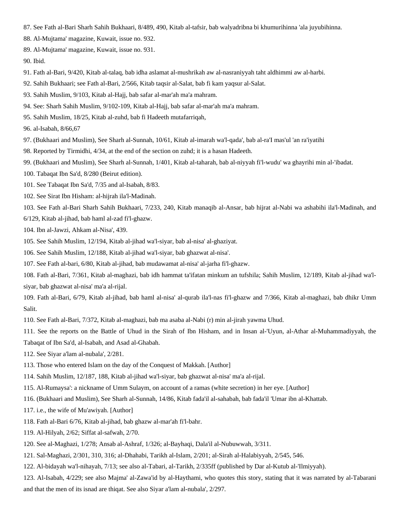- 87. See Fath al-Bari Sharh Sahih Bukhaari, 8/489, 490, Kitab al-tafsir, bab walyadribna bi khumurihinna 'ala juyubihinna.
- 88. Al-Mujtama' magazine, Kuwait, issue no. 932.
- 89. Al-Mujtama' magazine, Kuwait, issue no. 931.

90. Ibid.

- 91. Fath al-Bari, 9/420, Kitab al-talaq, bab idha aslamat al-mushrikah aw al-nasraniyyah taht aldhimmi aw al-harbi.
- 92. Sahih Bukhaari; see Fath al-Bari, 2/566, Kitab taqsir al-Salat, bab fi kam yaqsur al-Salat.
- 93. Sahih Muslim, 9/103, Kitab al-Hajj, bab safar al-mar'ah ma'a mahram.
- 94. See: Sharh Sahih Muslim, 9/102-109, Kitab al-Hajj, bab safar al-mar'ah ma'a mahram.
- 95. Sahih Muslim, 18/25, Kitab al-zuhd, bab fi Hadeeth mutafarriqah,
- 96. al-Isabah, 8/66,67
- 97. (Bukhaari and Muslim), See Sharh al-Sunnah, 10/61, Kitab al-imarah wa'l-qada', bab al-ra'I mas'ul 'an ra'iyatihi
- 98. Reported by Tirmidhi, 4/34, at the end of the section on zuhd; it is a hasan Hadeeth.
- 99. (Bukhaari and Muslim), See Sharh al-Sunnah, 1/401, Kitab al-taharah, bab al-niyyah fi'l-wudu' wa ghayrihi min al-'ibadat.
- 100. Tabaqat Ibn Sa'd, 8/280 (Beirut edition).
- 101. See Tabaqat Ibn Sa'd, 7/35 and al-Isabah, 8/83.
- 102. See Sirat Ibn Hisham: al-hijrah ila'l-Madinah.

103. See Fath al-Bari Sharh Sahih Bukhaari, 7/233, 240, Kitab manaqib al-Ansar, bab hijrat al-Nabi wa ashabihi ila'l-Madinah, and 6/129, Kitab al-jihad, bab haml al-zad fi'l-ghazw.

- 104. Ibn al-Jawzi, Ahkam al-Nisa', 439.
- 105. See Sahih Muslim, 12/194, Kitab al-jihad wa'l-siyar, bab al-nisa' al-ghaziyat.
- 106. See Sahih Muslim, 12/188, Kitab al-jihad wa'l-siyar, bab ghazwat al-nisa'.
- 107. See Fath al-bari, 6/80, Kitab al-jihad, bab mudawamat al-nisa' al-jarha fi'l-ghazw.
- 108. Fath al-Bari, 7/361, Kitab al-maghazi, bab idh hammat ta'ifatan minkum an tufshila; Sahih Muslim, 12/189, Kitab al-jihad wa'lsiyar, bab ghazwat al-nisa' ma'a al-rijal.

109. Fath al-Bari, 6/79, Kitab al-jihad, bab haml al-nisa' al-qurab ila'l-nas fi'l-ghazw and 7/366, Kitab al-maghazi, bab dhikr Umm Salit.

110. See Fath al-Bari, 7/372, Kitab al-maghazi, bab ma asaba al-Nabi (r) min al-jirah yawma Uhud.

111. See the reports on the Battle of Uhud in the Sirah of Ibn Hisham, and in Insan al-'Uyun, al-Athar al-Muhammadiyyah, the Tabaqat of Ibn Sa'd, al-Isabah, and Asad al-Ghabah.

- 112. See Siyar a'lam al-nubala', 2/281.
- 113. Those who entered Islam on the day of the Conquest of Makkah. [Author]
- 114. Sahih Muslim, 12/187, 188, Kitab al-jihad wa'l-siyar, bab ghazwat al-nisa' ma'a al-rijal.
- 115. Al-Rumaysa': a nickname of Umm Sulaym, on account of a ramas (white secretion) in her eye. [Author]
- 116. (Bukhaari and Muslim), See Sharh al-Sunnah, 14/86, Kitab fada'il al-sahabah, bab fada'il 'Umar ibn al-Khattab.
- 117. i.e., the wife of Mu'awiyah. [Author]
- 118. Fath al-Bari 6/76, Kitab al-jihad, bab ghazw al-mar'ah fi'l-bahr.
- 119. Al-Hilyah, 2/62; Siffat al-safwah, 2/70.
- 120. See al-Maghazi, 1/278; Ansab al-Ashraf, 1/326; al-Bayhaqi, Dala'il al-Nubuwwah, 3/311.
- 121. Sal-Maghazi, 2/301, 310, 316; al-Dhahabi, Tarikh al-Islam, 2/201; al-Sirah al-Halabiyyah, 2/545, 546.
- 122. Al-bidayah wa'l-nihayah, 7/13; see also al-Tabari, al-Tarikh, 2/335ff (published by Dar al-Kutub al-'Ilmiyyah).
- 123. Al-Isabah, 4/229; see also Majma' al-Zawa'id by al-Haythami, who quotes this story, stating that it was narrated by al-Tabarani and that the men of its isnad are thiqat. See also Siyar a'lam al-nubala', 2/297.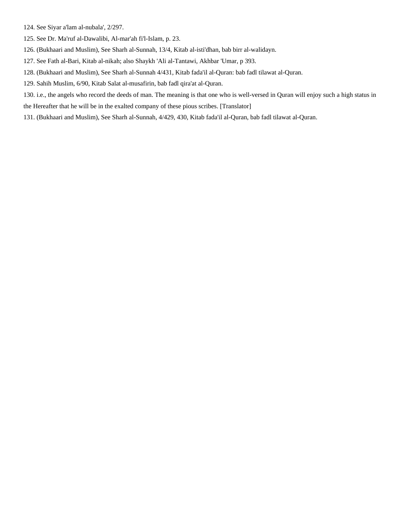- 124. See Siyar a'lam al-nubala', 2/297.
- 125. See Dr. Ma'ruf al-Dawalibi, Al-mar'ah fi'l-Islam, p. 23.
- 126. (Bukhaari and Muslim), See Sharh al-Sunnah, 13/4, Kitab al-isti'dhan, bab birr al-walidayn.
- 127. See Fath al-Bari, Kitab al-nikah; also Shaykh 'Ali al-Tantawi, Akhbar 'Umar, p 393.
- 128. (Bukhaari and Muslim), See Sharh al-Sunnah 4/431, Kitab fada'il al-Quran: bab fadl tilawat al-Quran.
- 129. Sahih Muslim, 6/90, Kitab Salat al-musafirin, bab fadl qira'at al-Quran.
- 130. i.e., the angels who record the deeds of man. The meaning is that one who is well-versed in Quran will enjoy such a high status in
- the Hereafter that he will be in the exalted company of these pious scribes. [Translator]
- 131. (Bukhaari and Muslim), See Sharh al-Sunnah, 4/429, 430, Kitab fada'il al-Quran, bab fadl tilawat al-Quran.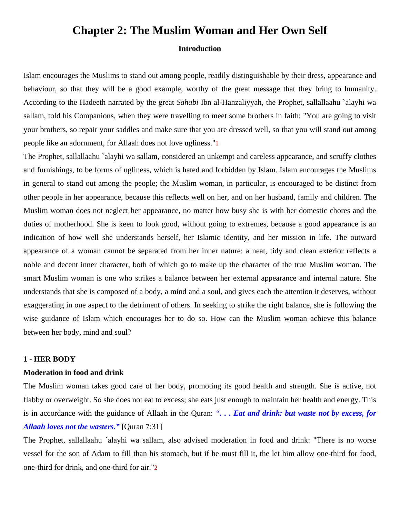# **Chapter 2: The Muslim Woman and Her Own Self**

**Introduction** 

Islam encourages the Muslims to stand out among people, readily distinguishable by their dress, appearance and behaviour, so that they will be a good example, worthy of the great message that they bring to humanity. According to the Hadeeth narrated by the great *Sahabi* Ibn al-Hanzaliyyah, the Prophet, sallallaahu `alayhi wa sallam, told his Companions, when they were travelling to meet some brothers in faith: "You are going to visit your brothers, so repair your saddles and make sure that you are dressed well, so that you will stand out among people like an adornment, for Allaah does not love ugliness."1

The Prophet, sallallaahu `alayhi wa sallam, considered an unkempt and careless appearance, and scruffy clothes and furnishings, to be forms of ugliness, which is hated and forbidden by Islam. Islam encourages the Muslims in general to stand out among the people; the Muslim woman, in particular, is encouraged to be distinct from other people in her appearance, because this reflects well on her, and on her husband, family and children. The Muslim woman does not neglect her appearance, no matter how busy she is with her domestic chores and the duties of motherhood. She is keen to look good, without going to extremes, because a good appearance is an indication of how well she understands herself, her Islamic identity, and her mission in life. The outward appearance of a woman cannot be separated from her inner nature: a neat, tidy and clean exterior reflects a noble and decent inner character, both of which go to make up the character of the true Muslim woman. The smart Muslim woman is one who strikes a balance between her external appearance and internal nature. She understands that she is composed of a body, a mind and a soul, and gives each the attention it deserves, without exaggerating in one aspect to the detriment of others. In seeking to strike the right balance, she is following the wise guidance of Islam which encourages her to do so. How can the Muslim woman achieve this balance between her body, mind and soul?

# **1 - HER BODY**

#### **Moderation in food and drink**

The Muslim woman takes good care of her body, promoting its good health and strength. She is active, not flabby or overweight. So she does not eat to excess; she eats just enough to maintain her health and energy. This is in accordance with the guidance of Allaah in the Quran: *". . . Eat and drink: but waste not by excess, for Allaah loves not the wasters."* [Quran 7:31]

The Prophet, sallallaahu `alayhi wa sallam, also advised moderation in food and drink: "There is no worse vessel for the son of Adam to fill than his stomach, but if he must fill it, the let him allow one-third for food, one-third for drink, and one-third for air."2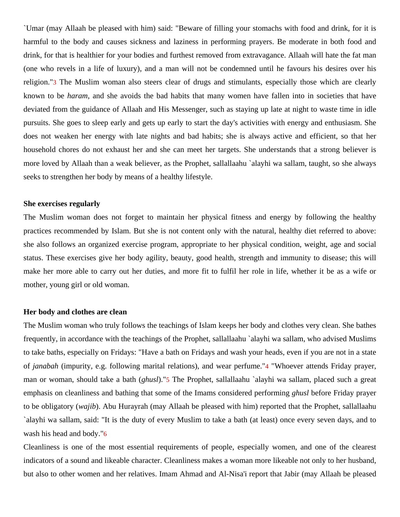`Umar (may Allaah be pleased with him) said: "Beware of filling your stomachs with food and drink, for it is harmful to the body and causes sickness and laziness in performing prayers. Be moderate in both food and drink, for that is healthier for your bodies and furthest removed from extravagance. Allaah will hate the fat man (one who revels in a life of luxury), and a man will not be condemned until he favours his desires over his religion."3 The Muslim woman also steers clear of drugs and stimulants, especially those which are clearly known to be *haram*, and she avoids the bad habits that many women have fallen into in societies that have deviated from the guidance of Allaah and His Messenger, such as staying up late at night to waste time in idle pursuits. She goes to sleep early and gets up early to start the day's activities with energy and enthusiasm. She does not weaken her energy with late nights and bad habits; she is always active and efficient, so that her household chores do not exhaust her and she can meet her targets. She understands that a strong believer is more loved by Allaah than a weak believer, as the Prophet, sallallaahu `alayhi wa sallam, taught, so she always seeks to strengthen her body by means of a healthy lifestyle.

#### **She exercises regularly**

The Muslim woman does not forget to maintain her physical fitness and energy by following the healthy practices recommended by Islam. But she is not content only with the natural, healthy diet referred to above: she also follows an organized exercise program, appropriate to her physical condition, weight, age and social status. These exercises give her body agility, beauty, good health, strength and immunity to disease; this will make her more able to carry out her duties, and more fit to fulfil her role in life, whether it be as a wife or mother, young girl or old woman.

## **Her body and clothes are clean**

The Muslim woman who truly follows the teachings of Islam keeps her body and clothes very clean. She bathes frequently, in accordance with the teachings of the Prophet, sallallaahu `alayhi wa sallam, who advised Muslims to take baths, especially on Fridays: "Have a bath on Fridays and wash your heads, even if you are not in a state of *janabah* (impurity, e.g. following marital relations), and wear perfume."4 "Whoever attends Friday prayer, man or woman, should take a bath (*ghusl*)."5 The Prophet, sallallaahu `alayhi wa sallam, placed such a great emphasis on cleanliness and bathing that some of the Imams considered performing *ghusl* before Friday prayer to be obligatory (*wajib*). Abu Hurayrah (may Allaah be pleased with him) reported that the Prophet, sallallaahu `alayhi wa sallam, said: "It is the duty of every Muslim to take a bath (at least) once every seven days, and to wash his head and body."6

Cleanliness is one of the most essential requirements of people, especially women, and one of the clearest indicators of a sound and likeable character. Cleanliness makes a woman more likeable not only to her husband, but also to other women and her relatives. Imam Ahmad and Al-Nisa'i report that Jabir (may Allaah be pleased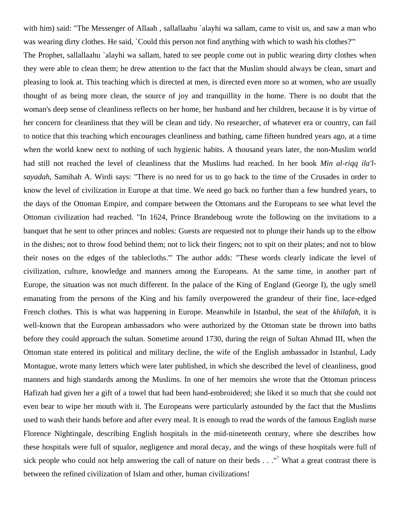with him) said: "The Messenger of Allaah, sallallaahu `alayhi wa sallam, came to visit us, and saw a man who was wearing dirty clothes. He said, `Could this person not find anything with which to wash his clothes?'"

The Prophet, sallallaahu `alayhi wa sallam, hated to see people come out in public wearing dirty clothes when they were able to clean them; he drew attention to the fact that the Muslim should always be clean, smart and pleasing to look at. This teaching which is directed at men, is directed even more so at women, who are usually thought of as being more clean, the source of joy and tranquillity in the home. There is no doubt that the woman's deep sense of cleanliness reflects on her home, her husband and her children, because it is by virtue of her concern for cleanliness that they will be clean and tidy. No researcher, of whatever era or country, can fail to notice that this teaching which encourages cleanliness and bathing, came fifteen hundred years ago, at a time when the world knew next to nothing of such hygienic habits. A thousand years later, the non-Muslim world had still not reached the level of cleanliness that the Muslims had reached. In her book *Min al-riqq ila'lsayadah*, Samihah A. Wirdi says: "There is no need for us to go back to the time of the Crusades in order to know the level of civilization in Europe at that time. We need go back no further than a few hundred years, to the days of the Ottoman Empire, and compare between the Ottomans and the Europeans to see what level the Ottoman civilization had reached. "In 1624, Prince Brandeboug wrote the following on the invitations to a banquet that he sent to other princes and nobles: Guests are requested not to plunge their hands up to the elbow in the dishes; not to throw food behind them; not to lick their fingers; not to spit on their plates; and not to blow their noses on the edges of the tablecloths.'" The author adds: "These words clearly indicate the level of civilization, culture, knowledge and manners among the Europeans. At the same time, in another part of Europe, the situation was not much different. In the palace of the King of England (George I), the ugly smell emanating from the persons of the King and his family overpowered the grandeur of their fine, lace-edged French clothes. This is what was happening in Europe. Meanwhile in Istanbul, the seat of the *khilafah*, it is well-known that the European ambassadors who were authorized by the Ottoman state be thrown into baths before they could approach the sultan. Sometime around 1730, during the reign of Sultan Ahmad III, when the Ottoman state entered its political and military decline, the wife of the English ambassador in Istanbul, Lady Montague, wrote many letters which were later published, in which she described the level of cleanliness, good manners and high standards among the Muslims. In one of her memoirs she wrote that the Ottoman princess Hafizah had given her a gift of a towel that had been hand-embroidered; she liked it so much that she could not even bear to wipe her mouth with it. The Europeans were particularly astounded by the fact that the Muslims used to wash their hands before and after every meal. It is enough to read the words of the famous English nurse Florence Nightingale, describing English hospitals in the mid-nineteenth century, where she describes how these hospitals were full of squalor, negligence and moral decay, and the wings of these hospitals were full of sick people who could not help answering the call of nature on their beds  $\ldots$  <sup>7</sup> What a great contrast there is between the refined civilization of Islam and other, human civilizations!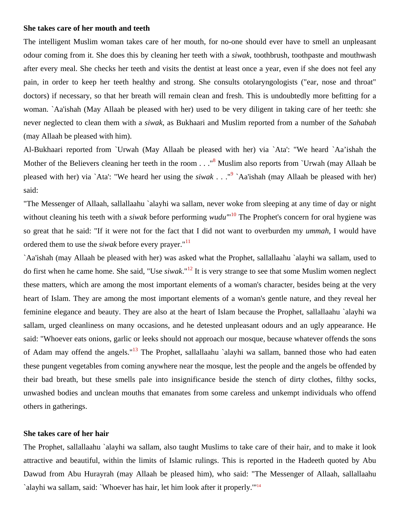#### **She takes care of her mouth and teeth**

The intelligent Muslim woman takes care of her mouth, for no-one should ever have to smell an unpleasant odour coming from it. She does this by cleaning her teeth with a *siwak*, toothbrush, toothpaste and mouthwash after every meal. She checks her teeth and visits the dentist at least once a year, even if she does not feel any pain, in order to keep her teeth healthy and strong. She consults otolaryngologists ("ear, nose and throat" doctors) if necessary, so that her breath will remain clean and fresh. This is undoubtedly more befitting for a woman. `Aa'ishah (May Allaah be pleased with her) used to be very diligent in taking care of her teeth: she never neglected to clean them with a *siwak*, as Bukhaari and Muslim reported from a number of the *Sahabah*  (may Allaah be pleased with him).

Al-Bukhaari reported from `Urwah (May Allaah be pleased with her) via `Ata': "We heard `Aa'ishah the Mother of the Believers cleaning her teeth in the room . . ."<sup>8</sup> Muslim also reports from `Urwah (may Allaah be pleased with her) via `Ata': "We heard her using the *siwak* . . ."<sup>9</sup> `Aa'ishah (may Allaah be pleased with her) said:

"The Messenger of Allaah, sallallaahu `alayhi wa sallam, never woke from sleeping at any time of day or night without cleaning his teeth with a *siwak* before performing *wudu*<sup>"10</sup> The Prophet's concern for oral hygiene was so great that he said: "If it were not for the fact that I did not want to overburden my *ummah*, I would have ordered them to use the *siwak* before every prayer."11

`Aa'ishah (may Allaah be pleased with her) was asked what the Prophet, sallallaahu `alayhi wa sallam, used to do first when he came home. She said, "Use *siwak*."12 It is very strange to see that some Muslim women neglect these matters, which are among the most important elements of a woman's character, besides being at the very heart of Islam. They are among the most important elements of a woman's gentle nature, and they reveal her feminine elegance and beauty. They are also at the heart of Islam because the Prophet, sallallaahu `alayhi wa sallam, urged cleanliness on many occasions, and he detested unpleasant odours and an ugly appearance. He said: "Whoever eats onions, garlic or leeks should not approach our mosque, because whatever offends the sons of Adam may offend the angels."<sup>13</sup> The Prophet, sallallaahu `alayhi wa sallam, banned those who had eaten these pungent vegetables from coming anywhere near the mosque, lest the people and the angels be offended by their bad breath, but these smells pale into insignificance beside the stench of dirty clothes, filthy socks, unwashed bodies and unclean mouths that emanates from some careless and unkempt individuals who offend others in gatherings.

#### **She takes care of her hair**

The Prophet, sallallaahu `alayhi wa sallam, also taught Muslims to take care of their hair, and to make it look attractive and beautiful, within the limits of Islamic rulings. This is reported in the Hadeeth quoted by Abu Dawud from Abu Hurayrah (may Allaah be pleased him), who said: "The Messenger of Allaah, sallallaahu `alayhi wa sallam, said: `Whoever has hair, let him look after it properly.'"14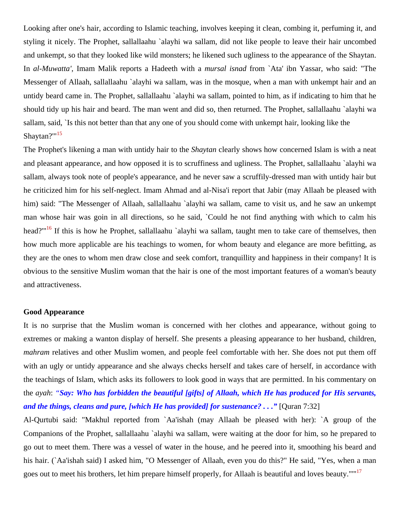Looking after one's hair, according to Islamic teaching, involves keeping it clean, combing it, perfuming it, and styling it nicely. The Prophet, sallallaahu `alayhi wa sallam, did not like people to leave their hair uncombed and unkempt, so that they looked like wild monsters; he likened such ugliness to the appearance of the Shaytan. In *al-Muwatta'*, Imam Malik reports a Hadeeth with a *mursal isnad* from `Ata' ibn Yassar, who said: "The Messenger of Allaah, sallallaahu `alayhi wa sallam, was in the mosque, when a man with unkempt hair and an untidy beard came in. The Prophet, sallallaahu `alayhi wa sallam, pointed to him, as if indicating to him that he should tidy up his hair and beard. The man went and did so, then returned. The Prophet, sallallaahu `alayhi wa sallam, said, `Is this not better than that any one of you should come with unkempt hair, looking like the Shaytan?"<sup>15</sup>

The Prophet's likening a man with untidy hair to the *Shaytan* clearly shows how concerned Islam is with a neat and pleasant appearance, and how opposed it is to scruffiness and ugliness. The Prophet, sallallaahu `alayhi wa sallam, always took note of people's appearance, and he never saw a scruffily-dressed man with untidy hair but he criticized him for his self-neglect. Imam Ahmad and al-Nisa'i report that Jabir (may Allaah be pleased with him) said: "The Messenger of Allaah, sallallaahu `alayhi wa sallam, came to visit us, and he saw an unkempt man whose hair was goin in all directions, so he said, `Could he not find anything with which to calm his head?"<sup>16</sup> If this is how he Prophet, sallallaahu `alayhi wa sallam, taught men to take care of themselves, then how much more applicable are his teachings to women, for whom beauty and elegance are more befitting, as they are the ones to whom men draw close and seek comfort, tranquillity and happiness in their company! It is obvious to the sensitive Muslim woman that the hair is one of the most important features of a woman's beauty and attractiveness.

## **Good Appearance**

It is no surprise that the Muslim woman is concerned with her clothes and appearance, without going to extremes or making a wanton display of herself. She presents a pleasing appearance to her husband, children, *mahram* relatives and other Muslim women, and people feel comfortable with her. She does not put them off with an ugly or untidy appearance and she always checks herself and takes care of herself, in accordance with the teachings of Islam, which asks its followers to look good in ways that are permitted. In his commentary on the *ayah*: *"Say: Who has forbidden the beautiful [gifts] of Allaah, which He has produced for His servants, and the things, cleans and pure, [which He has provided] for sustenance?...*" [Ouran 7:32]

Al-Qurtubi said: "Makhul reported from `Aa'ishah (may Allaah be pleased with her): `A group of the Companions of the Prophet, sallallaahu `alayhi wa sallam, were waiting at the door for him, so he prepared to go out to meet them. There was a vessel of water in the house, and he peered into it, smoothing his beard and his hair. (`Aa'ishah said) I asked him, "O Messenger of Allaah, even you do this?" He said, "Yes, when a man goes out to meet his brothers, let him prepare himself properly, for Allaah is beautiful and loves beauty.""<sup>17</sup>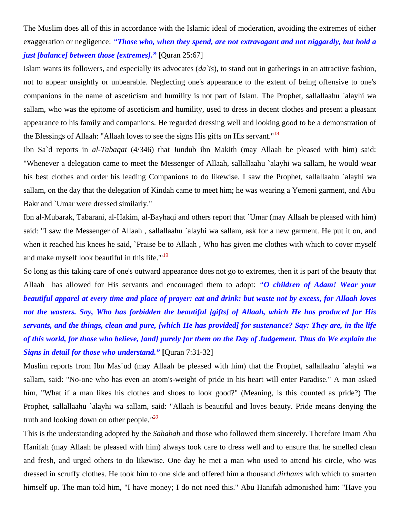The Muslim does all of this in accordance with the Islamic ideal of moderation, avoiding the extremes of either exaggeration or negligence: *"Those who, when they spend, are not extravagant and not niggardly, but hold a just [balance] between those [extremes]."* **[**Quran 25:67]

Islam wants its followers, and especially its advocates (*da`is*), to stand out in gatherings in an attractive fashion, not to appear unsightly or unbearable. Neglecting one's appearance to the extent of being offensive to one's companions in the name of asceticism and humility is not part of Islam. The Prophet, sallallaahu `alayhi wa sallam, who was the epitome of asceticism and humility, used to dress in decent clothes and present a pleasant appearance to his family and companions. He regarded dressing well and looking good to be a demonstration of the Blessings of Allaah: "Allaah loves to see the signs His gifts on His servant."18

Ibn Sa`d reports in *al-Tabaqat* (4/346) that Jundub ibn Makith (may Allaah be pleased with him) said: "Whenever a delegation came to meet the Messenger of Allaah, sallallaahu `alayhi wa sallam, he would wear his best clothes and order his leading Companions to do likewise. I saw the Prophet, sallallaahu `alayhi wa sallam, on the day that the delegation of Kindah came to meet him; he was wearing a Yemeni garment, and Abu Bakr and `Umar were dressed similarly."

Ibn al-Mubarak, Tabarani, al-Hakim, al-Bayhaqi and others report that `Umar (may Allaah be pleased with him) said: "I saw the Messenger of Allaah, sallallaahu `alayhi wa sallam, ask for a new garment. He put it on, and when it reached his knees he said, `Praise be to Allaah , Who has given me clothes with which to cover myself and make myself look beautiful in this life. $^{\prime\prime\prime}$ <sup>19</sup>

So long as this taking care of one's outward appearance does not go to extremes, then it is part of the beauty that Allaah has allowed for His servants and encouraged them to adopt: *"O children of Adam! Wear your beautiful apparel at every time and place of prayer: eat and drink: but waste not by excess, for Allaah loves not the wasters. Say, Who has forbidden the beautiful [gifts] of Allaah, which He has produced for His servants, and the things, clean and pure, [which He has provided] for sustenance? Say: They are, in the life of this world, for those who believe, [and] purely for them on the Day of Judgement. Thus do We explain the*  **Signs in detail for those who understand."** [Quran 7:31-32]

Muslim reports from Ibn Mas`ud (may Allaah be pleased with him) that the Prophet, sallallaahu `alayhi wa sallam, said: "No-one who has even an atom's-weight of pride in his heart will enter Paradise." A man asked him, "What if a man likes his clothes and shoes to look good?" (Meaning, is this counted as pride?) The Prophet, sallallaahu `alayhi wa sallam, said: "Allaah is beautiful and loves beauty. Pride means denying the truth and looking down on other people.*" 20*

This is the understanding adopted by the *Sahabah* and those who followed them sincerely. Therefore Imam Abu Hanifah (may Allaah be pleased with him) always took care to dress well and to ensure that he smelled clean and fresh, and urged others to do likewise. One day he met a man who used to attend his circle, who was dressed in scruffy clothes. He took him to one side and offered him a thousand *dirhams* with which to smarten himself up. The man told him, "I have money; I do not need this." Abu Hanifah admonished him: "Have you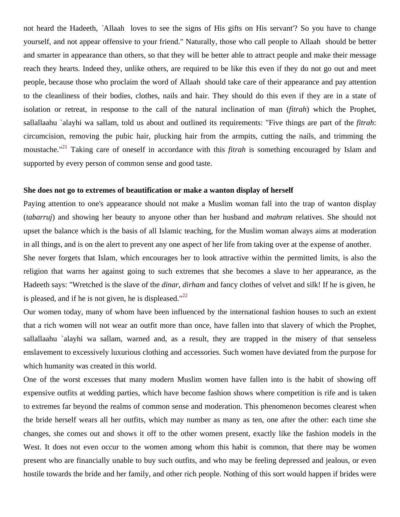not heard the Hadeeth, *`*Allaah loves to see the signs of His gifts on His servant'? So you have to change yourself, and not appear offensive to your friend." Naturally, those who call people to Allaah should be better and smarter in appearance than others, so that they will be better able to attract people and make their message reach they hearts. Indeed they, unlike others, are required to be like this even if they do not go out and meet people, because those who proclaim the word of Allaah should take care of their appearance and pay attention to the cleanliness of their bodies, clothes, nails and hair. They should do this even if they are in a state of isolation or retreat, in response to the call of the natural inclination of man (*fitrah*) which the Prophet, sallallaahu `alayhi wa sallam, told us about and outlined its requirements: "Five things are part of the *fitrah*: circumcision, removing the pubic hair, plucking hair from the armpits, cutting the nails, and trimming the moustache."21 Taking care of oneself in accordance with this *fitrah* is something encouraged by Islam and supported by every person of common sense and good taste.

# **She does not go to extremes of beautification or make a wanton display of herself**

Paying attention to one's appearance should not make a Muslim woman fall into the trap of wanton display (*tabarruj*) and showing her beauty to anyone other than her husband and *mahram* relatives. She should not upset the balance which is the basis of all Islamic teaching, for the Muslim woman always aims at moderation in all things, and is on the alert to prevent any one aspect of her life from taking over at the expense of another.

She never forgets that Islam, which encourages her to look attractive within the permitted limits, is also the religion that warns her against going to such extremes that she becomes a slave to her appearance, as the Hadeeth says: "Wretched is the slave of the *dinar, dirham* and fancy clothes of velvet and silk! If he is given, he is pleased, and if he is not given, he is displeased." $^{22}$ 

Our women today, many of whom have been influenced by the international fashion houses to such an extent that a rich women will not wear an outfit more than once, have fallen into that slavery of which the Prophet, sallallaahu `alayhi wa sallam, warned and, as a result, they are trapped in the misery of that senseless enslavement to excessively luxurious clothing and accessories. Such women have deviated from the purpose for which humanity was created in this world.

One of the worst excesses that many modern Muslim women have fallen into is the habit of showing off expensive outfits at wedding parties, which have become fashion shows where competition is rife and is taken to extremes far beyond the realms of common sense and moderation. This phenomenon becomes clearest when the bride herself wears all her outfits, which may number as many as ten, one after the other: each time she changes, she comes out and shows it off to the other women present, exactly like the fashion models in the West. It does not even occur to the women among whom this habit is common, that there may be women present who are financially unable to buy such outfits, and who may be feeling depressed and jealous, or even hostile towards the bride and her family, and other rich people. Nothing of this sort would happen if brides were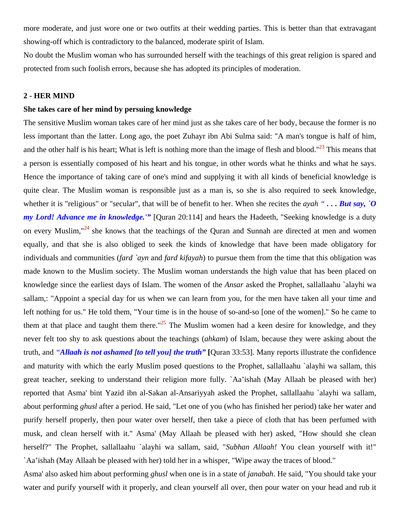more moderate, and just wore one or two outfits at their wedding parties. This is better than that extravagant showing-off which is contradictory to the balanced, moderate spirit of Islam.

No doubt the Muslim woman who has surrounded herself with the teachings of this great religion is spared and protected from such foolish errors, because she has adopted its principles of moderation.

#### **2 - HER MIND**

# **She takes care of her mind by persuing knowledge**

The sensitive Muslim woman takes care of her mind just as she takes care of her body, because the former is no less important than the latter. Long ago, the poet Zuhayr ibn Abi Sulma said: "A man's tongue is half of him, and the other half is his heart; What is left is nothing more than the image of flesh and blood."<sup>23</sup> This means that a person is essentially composed of his heart and his tongue, in other words what he thinks and what he says. Hence the importance of taking care of one's mind and supplying it with all kinds of beneficial knowledge is quite clear. The Muslim woman is responsible just as a man is, so she is also required to seek knowledge, whether it is "religious" or "secular", that will be of benefit to her. When she recites the *ayah* "... **But say, `O** *my Lord! Advance me in knowledge.'"* [Quran 20:114] and hears the Hadeeth, "Seeking knowledge is a duty on every Muslim,"<sup>24</sup> she knows that the teachings of the Ouran and Sunnah are directed at men and women equally, and that she is also obliged to seek the kinds of knowledge that have been made obligatory for individuals and communities (*fard `ayn* and *fard kifayah*) to pursue them from the time that this obligation was made known to the Muslim society. The Muslim woman understands the high value that has been placed on knowledge since the earliest days of Islam. The women of the *Ansar* asked the Prophet, sallallaahu `alayhi wa sallam,: "Appoint a special day for us when we can learn from you, for the men have taken all your time and left nothing for us." He told them, "Your time is in the house of so-and-so [one of the women]." So he came to them at that place and taught them there."<sup>25</sup> The Muslim women had a keen desire for knowledge, and they never felt too shy to ask questions about the teachings (*ahkam*) of Islam, because they were asking about the truth, and *"Allaah is not ashamed [to tell you] the truth"* **[**Quran 33:53]. Many reports illustrate the confidence and maturity with which the early Muslim posed questions to the Prophet, sallallaahu `alayhi wa sallam, this great teacher, seeking to understand their religion more fully. `Aa'ishah (May Allaah be pleased with her) reported that Asma' bint Yazid ibn al-Sakan al-Ansariyyah asked the Prophet, sallallaahu `alayhi wa sallam, about performing *ghusl* after a period. He said, "Let one of you (who has finished her period) take her water and purify herself properly, then pour water over herself, then take a piece of cloth that has been perfumed with musk, and clean herself with it." Asma' (May Allaah be pleased with her) asked, "How should she clean herself?" The Prophet, sallallaahu `alayhi wa sallam, said, "*Subhan Allaah!* You clean yourself with it!" `Aa'ishah (May Allaah be pleased with her) told her in a whisper, "Wipe away the traces of blood."

Asma' also asked him about performing *ghusl* when one is in a state of *janabah*. He said, "You should take your water and purify yourself with it properly, and clean yourself all over, then pour water on your head and rub it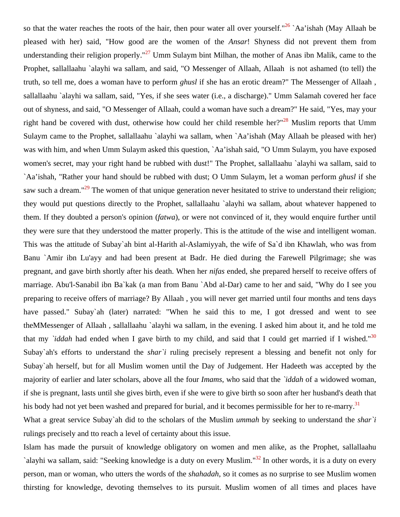so that the water reaches the roots of the hair, then pour water all over yourself."<sup>26</sup> `Aa'ishah (May Allaah be pleased with her) said, "How good are the women of the *Ansar*! Shyness did not prevent them from understanding their religion properly."<sup>27</sup> Umm Sulaym bint Milhan, the mother of Anas ibn Malik, came to the Prophet, sallallaahu `alayhi wa sallam, and said, "O Messenger of Allaah, Allaah is not ashamed (to tell) the truth, so tell me, does a woman have to perform *ghusl* if she has an erotic dream?" The Messenger of Allaah , sallallaahu `alayhi wa sallam, said, "Yes, if she sees water (i.e., a discharge)." Umm Salamah covered her face out of shyness, and said, "O Messenger of Allaah, could a woman have such a dream?" He said, "Yes, may your right hand be covered with dust, otherwise how could her child resemble her?"28 Muslim reports that Umm Sulaym came to the Prophet, sallallaahu `alayhi wa sallam, when `Aa'ishah (May Allaah be pleased with her) was with him, and when Umm Sulaym asked this question, `Aa'ishah said, "O Umm Sulaym, you have exposed women's secret, may your right hand be rubbed with dust!" The Prophet, sallallaahu `alayhi wa sallam, said to `Aa'ishah, "Rather your hand should be rubbed with dust; O Umm Sulaym, let a woman perform *ghusl* if she saw such a dream."<sup>29</sup> The women of that unique generation never hesitated to strive to understand their religion; they would put questions directly to the Prophet, sallallaahu `alayhi wa sallam, about whatever happened to them. If they doubted a person's opinion (*fatwa*), or were not convinced of it, they would enquire further until they were sure that they understood the matter properly. This is the attitude of the wise and intelligent woman. This was the attitude of Subay`ah bint al-Harith al-Aslamiyyah, the wife of Sa`d ibn Khawlah, who was from Banu `Amir ibn Lu'ayy and had been present at Badr. He died during the Farewell Pilgrimage; she was pregnant, and gave birth shortly after his death. When her *nifas* ended, she prepared herself to receive offers of marriage. Abu'l-Sanabil ibn Ba`kak (a man from Banu `Abd al-Dar) came to her and said, "Why do I see you preparing to receive offers of marriage? By Allaah , you will never get married until four months and tens days have passed." Subay`ah (later) narrated: "When he said this to me, I got dressed and went to see theMMessenger of Allaah , sallallaahu `alayhi wa sallam, in the evening. I asked him about it, and he told me that my *`iddah* had ended when I gave birth to my child, and said that I could get married if I wished."30 Subay`ah's efforts to understand the *shar`i* ruling precisely represent a blessing and benefit not only for Subay`ah herself, but for all Muslim women until the Day of Judgement. Her Hadeeth was accepted by the majority of earlier and later scholars, above all the four *Imams*, who said that the *`iddah* of a widowed woman, if she is pregnant, lasts until she gives birth, even if she were to give birth so soon after her husband's death that his body had not yet been washed and prepared for burial, and it becomes permissible for her to re-marry.<sup>31</sup>

What a great service Subay`ah did to the scholars of the Muslim *ummah* by seeking to understand the *shar`i*  rulings precisely and tto reach a level of certainty about this issue.

Islam has made the pursuit of knowledge obligatory on women and men alike, as the Prophet, sallallaahu `alayhi wa sallam, said: "Seeking knowledge is a duty on every Muslim." $^{32}$  In other words, it is a duty on every person, man or woman, who utters the words of the *shahadah*, so it comes as no surprise to see Muslim women thirsting for knowledge, devoting themselves to its pursuit. Muslim women of all times and places have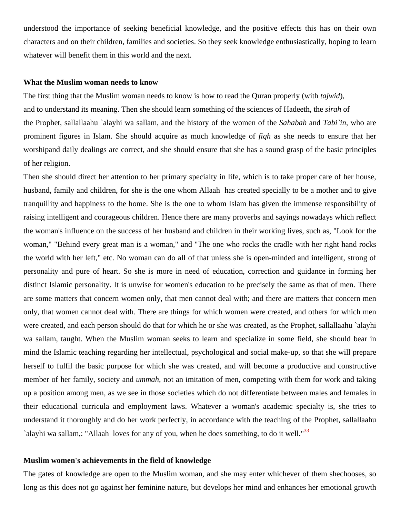understood the importance of seeking beneficial knowledge, and the positive effects this has on their own characters and on their children, families and societies. So they seek knowledge enthusiastically, hoping to learn whatever will benefit them in this world and the next.

#### **What the Muslim woman needs to know**

The first thing that the Muslim woman needs to know is how to read the Quran properly (with *tajwid*), and to understand its meaning. Then she should learn something of the sciences of Hadeeth, the *sirah* of the Prophet, sallallaahu `alayhi wa sallam, and the history of the women of the *Sahabah* and *Tabi`in*, who are prominent figures in Islam. She should acquire as much knowledge of *fiqh* as she needs to ensure that her worshipand daily dealings are correct, and she should ensure that she has a sound grasp of the basic principles of her religion.

Then she should direct her attention to her primary specialty in life, which is to take proper care of her house, husband, family and children, for she is the one whom Allaah has created specially to be a mother and to give tranquillity and happiness to the home. She is the one to whom Islam has given the immense responsibility of raising intelligent and courageous children. Hence there are many proverbs and sayings nowadays which reflect the woman's influence on the success of her husband and children in their working lives, such as, "Look for the woman," "Behind every great man is a woman," and "The one who rocks the cradle with her right hand rocks the world with her left," etc. No woman can do all of that unless she is open-minded and intelligent, strong of personality and pure of heart. So she is more in need of education, correction and guidance in forming her distinct Islamic personality. It is unwise for women's education to be precisely the same as that of men. There are some matters that concern women only, that men cannot deal with; and there are matters that concern men only, that women cannot deal with. There are things for which women were created, and others for which men were created, and each person should do that for which he or she was created, as the Prophet, sallallaahu `alayhi wa sallam, taught. When the Muslim woman seeks to learn and specialize in some field, she should bear in mind the Islamic teaching regarding her intellectual, psychological and social make-up, so that she will prepare herself to fulfil the basic purpose for which she was created, and will become a productive and constructive member of her family, society and *ummah*, not an imitation of men, competing with them for work and taking up a position among men, as we see in those societies which do not differentiate between males and females in their educational curricula and employment laws. Whatever a woman's academic specialty is, she tries to understand it thoroughly and do her work perfectly, in accordance with the teaching of the Prophet, sallallaahu `alayhi wa sallam,: "Allaah loves for any of you, when he does something, to do it well."33

# **Muslim women's achievements in the field of knowledge**

The gates of knowledge are open to the Muslim woman, and she may enter whichever of them shechooses, so long as this does not go against her feminine nature, but develops her mind and enhances her emotional growth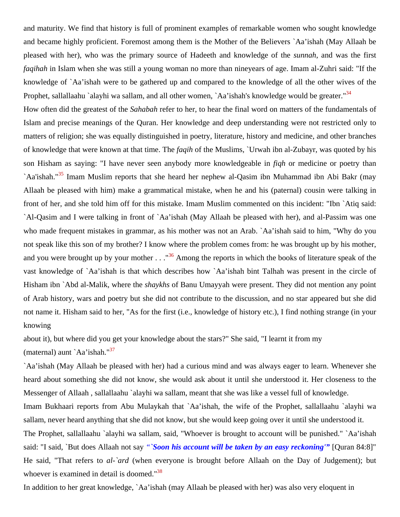and maturity. We find that history is full of prominent examples of remarkable women who sought knowledge and became highly proficient. Foremost among them is the Mother of the Believers `Aa'ishah (May Allaah be pleased with her), who was the primary source of Hadeeth and knowledge of the *sunnah*, and was the first *faqihah* in Islam when she was still a young woman no more than nineyears of age. Imam al-Zuhri said: "If the knowledge of `Aa'ishah were to be gathered up and compared to the knowledge of all the other wives of the Prophet, sallallaahu `alayhi wa sallam, and all other women, `Aa'ishah's knowledge would be greater."<sup>34</sup>

How often did the greatest of the *Sahabah* refer to her, to hear the final word on matters of the fundamentals of Islam and precise meanings of the Quran. Her knowledge and deep understanding were not restricted only to matters of religion; she was equally distinguished in poetry, literature, history and medicine, and other branches of knowledge that were known at that time. The *faqih* of the Muslims, `Urwah ibn al-Zubayr, was quoted by his son Hisham as saying: "I have never seen anybody more knowledgeable in *fiqh* or medicine or poetry than `Aa'ishah."<sup>35</sup> Imam Muslim reports that she heard her nephew al-Qasim ibn Muhammad ibn Abi Bakr (may Allaah be pleased with him) make a grammatical mistake, when he and his (paternal) cousin were talking in front of her, and she told him off for this mistake. Imam Muslim commented on this incident: "Ibn `Atiq said: `Al-Qasim and I were talking in front of `Aa'ishah (May Allaah be pleased with her), and al-Passim was one who made frequent mistakes in grammar, as his mother was not an Arab. `Aa'ishah said to him, "Why do you not speak like this son of my brother? I know where the problem comes from: he was brought up by his mother, and you were brought up by your mother  $\ldots$   $\frac{36}{3}$  Among the reports in which the books of literature speak of the vast knowledge of `Aa'ishah is that which describes how `Aa'ishah bint Talhah was present in the circle of Hisham ibn `Abd al-Malik, where the *shaykhs* of Banu Umayyah were present. They did not mention any point of Arab history, wars and poetry but she did not contribute to the discussion, and no star appeared but she did not name it. Hisham said to her, "As for the first (i.e., knowledge of history etc.), I find nothing strange (in your knowing

about it), but where did you get your knowledge about the stars?" She said, "I learnt it from my (maternal) aunt `Aa'ishah."<sup>37</sup>

`Aa'ishah (May Allaah be pleased with her) had a curious mind and was always eager to learn. Whenever she heard about something she did not know, she would ask about it until she understood it. Her closeness to the Messenger of Allaah, sallallaahu `alayhi wa sallam, meant that she was like a vessel full of knowledge.

Imam Bukhaari reports from Abu Mulaykah that `Aa'ishah, the wife of the Prophet, sallallaahu `alayhi wa sallam, never heard anything that she did not know, but she would keep going over it until she understood it.

The Prophet, sallallaahu `alayhi wa sallam, said, "Whoever is brought to account will be punished." `Aa'ishah said: "I said, `But does Allaah not say *"`Soon his account will be taken by an easy reckoning'"* [Quran 84:8]" He said, "That refers to *al-`ard* (when everyone is brought before Allaah on the Day of Judgement); but whoever is examined in detail is doomed."<sup>38</sup>

In addition to her great knowledge, `Aa'ishah (may Allaah be pleased with her) was also very eloquent in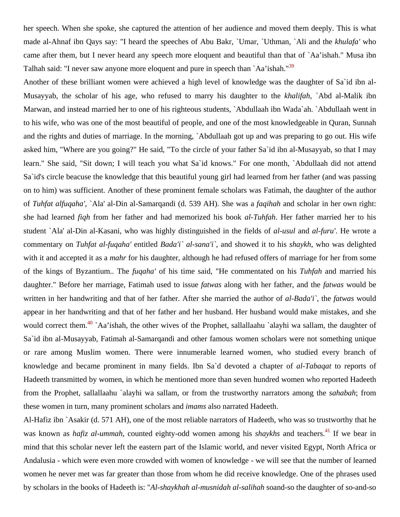her speech. When she spoke, she captured the attention of her audience and moved them deeply. This is what made al-Ahnaf ibn Qays say: "I heard the speeches of Abu Bakr, `Umar, `Uthman, `Ali and the *khulafa'* who came after them, but I never heard any speech more eloquent and beautiful than that of `Aa'ishah." Musa ibn Talhah said: "I never saw anyone more eloquent and pure in speech than `Aa'ishah."<sup>39</sup>

Another of these brilliant women were achieved a high level of knowledge was the daughter of Sa`id ibn al-Musayyab, the scholar of his age, who refused to marry his daughter to the *khalifah*, `Abd al-Malik ibn Marwan, and instead married her to one of his righteous students, `Abdullaah ibn Wada`ah. `Abdullaah went in to his wife, who was one of the most beautiful of people, and one of the most knowledgeable in Quran, Sunnah and the rights and duties of marriage. In the morning, `Abdullaah got up and was preparing to go out. His wife asked him, "Where are you going?" He said, "To the circle of your father Sa`id ibn al-Musayyab, so that I may learn." She said, "Sit down; I will teach you what Sa`id knows." For one month, `Abdullaah did not attend Sa`id's circle beacuse the knowledge that this beautiful young girl had learned from her father (and was passing on to him) was sufficient. Another of these prominent female scholars was Fatimah, the daughter of the author of *Tuhfat alfuqaha'*, `Ala' al-Din al-Samarqandi (d. 539 AH). She was a *faqihah* and scholar in her own right: she had learned *fiqh* from her father and had memorized his book *al-Tuhfah*. Her father married her to his student `Ala' al-Din al-Kasani, who was highly distinguished in the fields of *al-usul* and *al-furu'*. He wrote a commentary on *Tuhfat al-fuqaha'* entitled *Bada'i` al-sana'i`*, and showed it to his *shaykh*, who was delighted with it and accepted it as a *mahr* for his daughter, although he had refused offers of marriage for her from some of the kings of Byzantium.. The *fuqaha'* of his time said, "He commentated on his *Tuhfah* and married his daughter." Before her marriage, Fatimah used to issue *fatwas* along with her father, and the *fatwas* would be written in her handwriting and that of her father. After she married the author of *al-Bada'i`*, the *fatwas* would appear in her handwriting and that of her father and her husband. Her husband would make mistakes, and she would correct them.<sup>40</sup> `Aa'ishah, the other wives of the Prophet, sallallaahu `alayhi wa sallam, the daughter of Sa`id ibn al-Musayyab, Fatimah al-Samarqandi and other famous women scholars were not something unique or rare among Muslim women. There were innumerable learned women, who studied every branch of knowledge and became prominent in many fields. Ibn Sa`d devoted a chapter of *al-Tabaqat* to reports of Hadeeth transmitted by women, in which he mentioned more than seven hundred women who reported Hadeeth from the Prophet, sallallaahu `alayhi wa sallam, or from the trustworthy narrators among the *sahabah*; from these women in turn, many prominent scholars and *imams* also narrated Hadeeth.

Al-Hafiz ibn `Asakir (d. 571 AH), one of the most reliable narrators of Hadeeth, who was so trustworthy that he was known as *hafiz al-ummah*, counted eighty-odd women among his *shaykhs* and teachers.<sup>41</sup> If we bear in mind that this scholar never left the eastern part of the Islamic world, and never visited Egypt, North Africa or Andalusia - which were even more crowded with women of knowledge - we will see that the number of learned women he never met was far greater than those from whom he did receive knowledge. One of the phrases used by scholars in the books of Hadeeth is: "*Al-shaykhah al-musnidah al-salihah* soand-so the daughter of so-and-so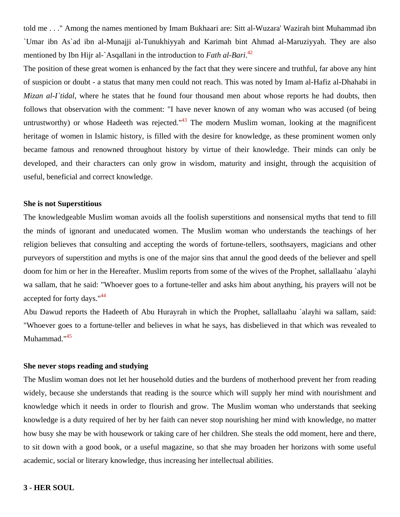told me . . ." Among the names mentioned by Imam Bukhaari are: Sitt al-Wuzara' Wazirah bint Muhammad ibn `Umar ibn As`ad ibn al-Munajji al-Tunukhiyyah and Karimah bint Ahmad al-Maruziyyah. They are also mentioned by Ibn Hijr al-`Asqallani in the introduction to *Fath al-Bari*. 42

The position of these great women is enhanced by the fact that they were sincere and truthful, far above any hint of suspicion or doubt - a status that many men could not reach. This was noted by Imam al-Hafiz al-Dhahabi in *Mizan al-I`tidal*, where he states that he found four thousand men about whose reports he had doubts, then follows that observation with the comment: "I have never known of any woman who was accused (of being untrustworthy) or whose Hadeeth was rejected."<sup>43</sup> The modern Muslim woman, looking at the magnificent heritage of women in Islamic history, is filled with the desire for knowledge, as these prominent women only became famous and renowned throughout history by virtue of their knowledge. Their minds can only be developed, and their characters can only grow in wisdom, maturity and insight, through the acquisition of useful, beneficial and correct knowledge.

#### **She is not Superstitious**

The knowledgeable Muslim woman avoids all the foolish superstitions and nonsensical myths that tend to fill the minds of ignorant and uneducated women. The Muslim woman who understands the teachings of her religion believes that consulting and accepting the words of fortune-tellers, soothsayers, magicians and other purveyors of superstition and myths is one of the major sins that annul the good deeds of the believer and spell doom for him or her in the Hereafter. Muslim reports from some of the wives of the Prophet, sallallaahu `alayhi wa sallam, that he said: "Whoever goes to a fortune-teller and asks him about anything, his prayers will not be accepted for forty days."44

Abu Dawud reports the Hadeeth of Abu Hurayrah in which the Prophet, sallallaahu `alayhi wa sallam, said: "Whoever goes to a fortune-teller and believes in what he says, has disbelieved in that which was revealed to Muhammad."<sup>45</sup>

# **She never stops reading and studying**

The Muslim woman does not let her household duties and the burdens of motherhood prevent her from reading widely, because she understands that reading is the source which will supply her mind with nourishment and knowledge which it needs in order to flourish and grow. The Muslim woman who understands that seeking knowledge is a duty required of her by her faith can never stop nourishing her mind with knowledge, no matter how busy she may be with housework or taking care of her children. She steals the odd moment, here and there, to sit down with a good book, or a useful magazine, so that she may broaden her horizons with some useful academic, social or literary knowledge, thus increasing her intellectual abilities.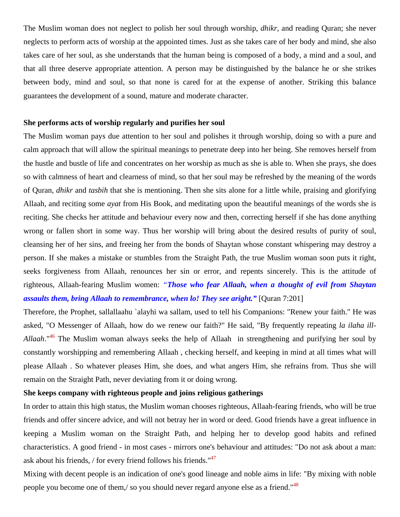The Muslim woman does not neglect to polish her soul through worship, *dhikr*, and reading Quran; she never neglects to perform acts of worship at the appointed times. Just as she takes care of her body and mind, she also takes care of her soul, as she understands that the human being is composed of a body, a mind and a soul, and that all three deserve appropriate attention. A person may be distinguished by the balance he or she strikes between body, mind and soul, so that none is cared for at the expense of another. Striking this balance guarantees the development of a sound, mature and moderate character.

#### **She performs acts of worship regularly and purifies her soul**

The Muslim woman pays due attention to her soul and polishes it through worship, doing so with a pure and calm approach that will allow the spiritual meanings to penetrate deep into her being. She removes herself from the hustle and bustle of life and concentrates on her worship as much as she is able to. When she prays, she does so with calmness of heart and clearness of mind, so that her soul may be refreshed by the meaning of the words of Quran, *dhikr* and *tasbih* that she is mentioning. Then she sits alone for a little while, praising and glorifying Allaah, and reciting some *ayat* from His Book, and meditating upon the beautiful meanings of the words she is reciting. She checks her attitude and behaviour every now and then, correcting herself if she has done anything wrong or fallen short in some way. Thus her worship will bring about the desired results of purity of soul, cleansing her of her sins, and freeing her from the bonds of Shaytan whose constant whispering may destroy a person. If she makes a mistake or stumbles from the Straight Path, the true Muslim woman soon puts it right, seeks forgiveness from Allaah, renounces her sin or error, and repents sincerely. This is the attitude of righteous, Allaah-fearing Muslim women: *"Those who fear Allaah, when a thought of evil from Shaytan assaults them, bring Allaah to remembrance, when lo! They see aright."* [Quran 7:201]

Therefore, the Prophet, sallallaahu `alayhi wa sallam, used to tell his Companions: "Renew your faith." He was asked, "O Messenger of Allaah, how do we renew our faith?" He said, "By frequently repeating *la ilaha ill-Allaah*."46 The Muslim woman always seeks the help of Allaah in strengthening and purifying her soul by constantly worshipping and remembering Allaah , checking herself, and keeping in mind at all times what will please Allaah . So whatever pleases Him, she does, and what angers Him, she refrains from. Thus she will remain on the Straight Path, never deviating from it or doing wrong.

# **She keeps company with righteous people and joins religious gatherings**

In order to attain this high status, the Muslim woman chooses righteous, Allaah-fearing friends, who will be true friends and offer sincere advice, and will not betray her in word or deed. Good friends have a great influence in keeping a Muslim woman on the Straight Path, and helping her to develop good habits and refined characteristics. A good friend - in most cases - mirrors one's behaviour and attitudes: "Do not ask about a man: ask about his friends, / for every friend follows his friends."47

Mixing with decent people is an indication of one's good lineage and noble aims in life: "By mixing with noble people you become one of them,/ so you should never regard anyone else as a friend."<sup>48</sup>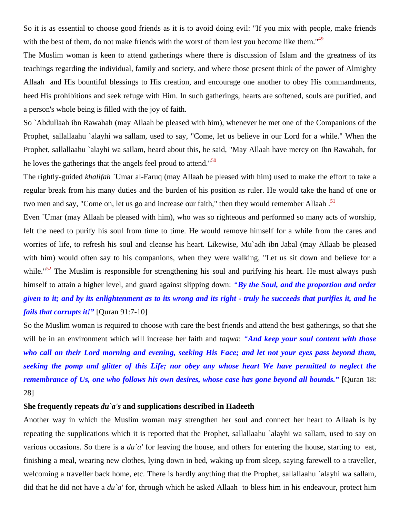So it is as essential to choose good friends as it is to avoid doing evil: "If you mix with people, make friends with the best of them, do not make friends with the worst of them lest you become like them."<sup>49</sup>

The Muslim woman is keen to attend gatherings where there is discussion of Islam and the greatness of its teachings regarding the individual, family and society, and where those present think of the power of Almighty Allaah and His bountiful blessings to His creation, and encourage one another to obey His commandments, heed His prohibitions and seek refuge with Him. In such gatherings, hearts are softened, souls are purified, and a person's whole being is filled with the joy of faith.

So `Abdullaah ibn Rawahah (may Allaah be pleased with him), whenever he met one of the Companions of the Prophet, sallallaahu `alayhi wa sallam, used to say, "Come, let us believe in our Lord for a while." When the Prophet, sallallaahu `alayhi wa sallam, heard about this, he said, "May Allaah have mercy on Ibn Rawahah, for he loves the gatherings that the angels feel proud to attend."<sup>50</sup>

The rightly-guided *khalifah* `Umar al-Faruq (may Allaah be pleased with him) used to make the effort to take a regular break from his many duties and the burden of his position as ruler. He would take the hand of one or two men and say, "Come on, let us go and increase our faith," then they would remember Allaah.<sup>51</sup>

Even `Umar (may Allaah be pleased with him), who was so righteous and performed so many acts of worship, felt the need to purify his soul from time to time. He would remove himself for a while from the cares and worries of life, to refresh his soul and cleanse his heart. Likewise, Mu`adh ibn Jabal (may Allaab be pleased with him) would often say to his companions, when they were walking, "Let us sit down and believe for a while."<sup>52</sup> The Muslim is responsible for strengthening his soul and purifying his heart. He must always push himself to attain a higher level, and guard against slipping down: *"By the Soul, and the proportion and order given to it; and by its enlightenment as to its wrong and its right - truly he succeeds that purifies it, and he fails that corrupts it!"* [Quran 91:7-10]

So the Muslim woman is required to choose with care the best friends and attend the best gatherings, so that she will be in an environment which will increase her faith and *taqwa*: *"And keep your soul content with those who call on their Lord morning and evening, seeking His Face; and let not your eyes pass beyond them, seeking the pomp and glitter of this Life; nor obey any whose heart We have permitted to neglect the remembrance of Us, one who follows his own desires, whose case has gone beyond all bounds."* [Quran 18: 28]

# **She frequently repeats** *du`a's* **and supplications described in Hadeeth**

Another way in which the Muslim woman may strengthen her soul and connect her heart to Allaah is by repeating the supplications which it is reported that the Prophet, sallallaahu `alayhi wa sallam, used to say on various occasions. So there is a *du`a'* for leaving the house, and others for entering the house, starting to eat, finishing a meal, wearing new clothes, lying down in bed, waking up from sleep, saying farewell to a traveller, welcoming a traveller back home, etc. There is hardly anything that the Prophet, sallallaahu `alayhi wa sallam, did that he did not have a *du`a'* for, through which he asked Allaah to bless him in his endeavour, protect him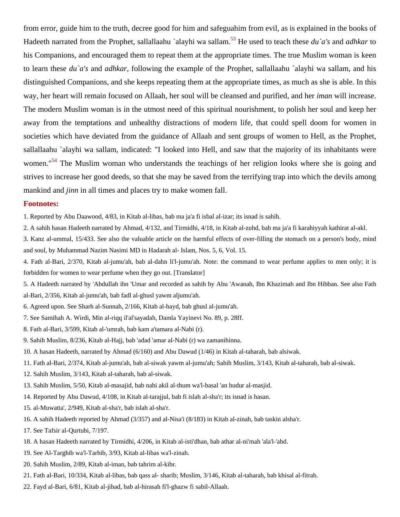from error, guide him to the truth, decree good for him and safeguahim from evil, as is explained in the books of Hadeeth narrated from the Prophet, sallallaahu `alayhi wa sallam.53 He used to teach these *du`a's* and *adhkar* to his Companions, and encouraged them to repeat them at the appropriate times. The true Muslim woman is keen to learn these *du`a's* and *adhkar*, following the example of the Prophet, sallallaahu `alayhi wa sallam, and his distinguished Companions, and she keeps repeating them at the appropriate times, as much as she is able. In this way, her heart will remain focused on Allaah, her soul will be cleansed and purified, and her *iman* will increase. The modern Muslim woman is in the utmost need of this spiritual nourishment, to polish her soul and keep her away from the temptations and unhealthy distractions of modern life, that could spell doom for women in societies which have deviated from the guidance of Allaah and sent groups of women to Hell, as the Prophet, sallallaahu `alayhi wa sallam, indicated: "I looked into Hell, and saw that the majority of its inhabitants were women."<sup>54</sup> The Muslim woman who understands the teachings of her religion looks where she is going and strives to increase her good deeds, so that she may be saved from the terrifying trap into which the devils among mankind and *jinn* in all times and places try to make women fall.

#### **Footnotes:**

- 1. Reported by Abu Daawood, 4/83, in Kitab al-libas, bab ma ja'a fi isbal al-izar; its isnad is sahih.
- 2. A sahih hasan Hadeeth narrated by Ahmad, 4/132, and Tirmidhi, 4/18, in Kitab al-zuhd, bab ma ja'a fi karahiyyah kathirat al-akl.
- 3. Kanz al-ummal, 15/433. See also the valuable article on the harmful effects of over-filling the stomach on a person's body, mind and soul, by Muhammad Nazim Nasimi MD in Hadarah al- Islam, Nos. 5, 6, Vol. 15.
- 4. Fath al-Bari, 2/370, Kitab al-jumu'ah, bab al-dahn li'l-jumu'ah. Note: the command to wear perfume applies to men only; it is forbidden for women to wear perfume when they go out. [Translator]
- 5. A Hadeeth narrated by 'Abdullah ibn 'Umar and recorded as sahih by Abu 'Awanah, Ibn Khazimah and Ibn Hibban. See also Fath al-Bari, 2/356, Kitab al-jumu'ah, bab fadl al-ghusl yawm aljumu'ah.
- 6. Agreed upon. See Sharh al-Sunnah, 2/166, Kitab al-hayd, bab ghusl al-jumu'ah.
- 7. See Samihah A. Wirdi, Min al-riqq il'al'sayadah, Damla Yayinevi No. 89, p. 28ff.
- 8. Fath al-Bari, 3/599, Kitab al-'umrah, bab kam a'tamara al-Nabi (r).
- 9. Sahih Muslim, 8/236, Kitab al-Hajj, bab 'adad 'amar al-Nabi (r) wa zamanihinna.
- 10. A hasan Hadeeth, narrated by Ahmad (6/160) and Abu Dawud (1/46) in Kitab al-taharah, bab alsiwak.
- 11. Fath al-Bari, 2/374, Kitab al-jumu'ah, bab al-siwak yawm al-jumu'ah; Sahih Muslim, 3/143, Kitab al-taharah, bab al-siwak.
- 12. Sahih Muslim, 3/143, Kitab al-taharah, bab al-siwak.
- 13. Sahih Muslim, 5/50, Kitab al-masajid, bab nahi akil al-thum wa'l-basal 'an hudur al-masjid.
- 14. Reported by Abu Dawud, 4/108, in Kitab al-tarajjul, bab fi islah al-sha'r; its isnad is hasan.
- 15. al-Muwatta', 2/949, Kitab al-sha'r, bab islah al-sha'r.
- 16. A sahih Hadeeth reported by Ahmad (3/357) and al-Nisa'i (8/183) in Kitab al-zinah, bab taskin alsha'r.
- 17. See Tafsir al-Qurtubi, 7/197.
- 18. A hasan Hadeeth narrated by Tirmidhi, 4/206, in Kitab al-isti'dhan, bab athar al-ni'mah 'ala'l-'abd.
- 19. See Al-Targhib wa'l-Tarhib, 3/93, Kitab al-libas wa'l-zinah.
- 20. Sahih Muslim, 2/89, Kitab al-iman, bab tahrim al-kibr.
- 21. Fath al-Bari, 10/334, Kitab al-libas, bab qass al- sharib; Muslim, 3/146, Kitab al-taharah, bab khisal al-fitrah.
- 22. Fayd al-Bari, 6/81, Kitab al-jihad, bab al-hirasah fi'l-ghazw fi sabil-Allaah.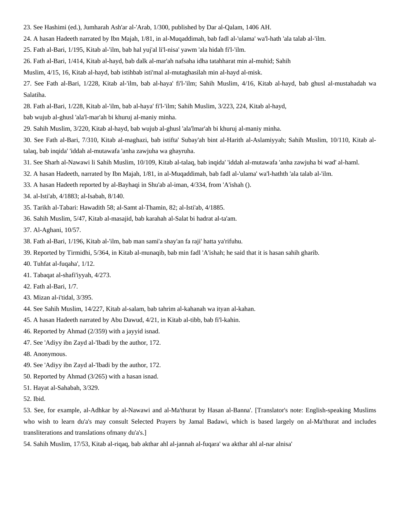- 23. See Hashimi (ed.), Jumharah Ash'ar al-'Arab, 1/300, published by Dar al-Qalam, 1406 AH.
- 24. A hasan Hadeeth narrated by Ibn Majah, 1/81, in al-Muqaddimah, bab fadl al-'ulama' wa'l-hath 'ala talab al-'ilm.
- 25. Fath al-Bari, 1/195, Kitab al-'ilm, bab hal yuj'al li'l-nisa' yawm 'ala hidah fi'l-'ilm.
- 26. Fath al-Bari, 1/414, Kitab al-hayd, bab dalk al-mar'ah nafsaha idha tatahharat min al-muhid; Sahih

Muslim, 4/15, 16, Kitab al-hayd, bab istihbab isti'mal al-mutaghasilah min al-hayd al-misk.

27. See Fath al-Bari, 1/228, Kitab al-'ilm, bab al-haya' fi'l-'ilm; Sahih Muslim, 4/16, Kitab al-hayd, bab ghusl al-mustahadah wa Salatiha.

- 28. Fath al-Bari, 1/228, Kitab al-'ilm, bab al-haya' fi'l-'ilm; Sahih Muslim, 3/223, 224, Kitab al-hayd,
- bab wujub al-ghusl 'ala'l-mar'ah bi khuruj al-maniy minha.
- 29. Sahih Muslim, 3/220, Kitab al-hayd, bab wujub al-ghusl 'ala'lmar'ah bi khuruj al-maniy minha.
- 30. See Fath al-Bari, 7/310, Kitab al-maghazi, bab istifta' Subay'ah bint al-Harith al-Aslamiyyah; Sahih Muslim, 10/110, Kitab altalaq, bab inqida' 'iddah al-mutawafa 'anha zawjuha wa ghayruha.
- 31. See Sharh al-Nawawi li Sahih Muslim, 10/109, Kitab al-talaq, bab inqida' 'iddah al-mutawafa 'anha zawjuha bi wad' al-haml.
- 32. A hasan Hadeeth, narrated by Ibn Majah, 1/81, in al-Muqaddimah, bab fadl al-'ulama' wa'l-hathth 'ala talab al-'ilm.
- 33. A hasan Hadeeth reported by al-Bayhaqi in Shu'ab al-iman, 4/334, from 'A'ishah ().
- 34. al-Isti'ab, 4/1883; al-Isabah, 8/140.
- 35. Tarikh al-Tabari: Hawadith 58; al-Samt al-Thamin, 82; al-Isti'ab, 4/1885.
- 36. Sahih Muslim, 5/47, Kitab al-masajid, bab karahah al-Salat bi hadrat al-ta'am.
- 37. Al-Aghani, 10/57.
- 38. Fath al-Bari, 1/196, Kitab al-'ilm, bab man sami'a shay'an fa raji' hatta ya'rifuhu.
- 39. Reported by Tirmidhi, 5/364, in Kitab al-munaqib, bab min fadl 'A'ishah; he said that it is hasan sahih gharib.
- 40. Tuhfat al-fuqaha', 1/12.
- 41. Tabaqat al-shafi'iyyah, 4/273.
- 42. Fath al-Bari, 1/7.
- 43. Mizan al-i'tidal, 3/395.
- 44. See Sahih Muslim, 14/227, Kitab al-salam, bab tahrim al-kahanah wa ityan al-kahan.
- 45. A hasan Hadeeth narrated by Abu Dawud, 4/21, in Kitab al-tibb, bab fi'l-kahin.
- 46. Reported by Ahmad (2/359) with a jayyid isnad.
- 47. See 'Adiyy ibn Zayd al-'Ibadi by the author, 172.
- 48. Anonymous.
- 49. See 'Adiyy ibn Zayd al-'Ibadi by the author, 172.
- 50. Reported by Ahmad (3/265) with a hasan isnad.
- 51. Hayat al-Sahabah, 3/329.
- 52. Ibid.

53. See, for example, al-Adhkar by al-Nawawi and al-Ma'thurat by Hasan al-Banna'. [Translator's note: English-speaking Muslims who wish to learn du'a's may consult Selected Prayers by Jamal Badawi, which is based largely on al-Ma'thurat and includes transliterations and translations ofmany du'a's.]

54. Sahih Muslim, 17/53, Kitab al-riqaq, bab akthar ahl al-jannah al-fuqara' wa akthar ahl al-nar alnisa'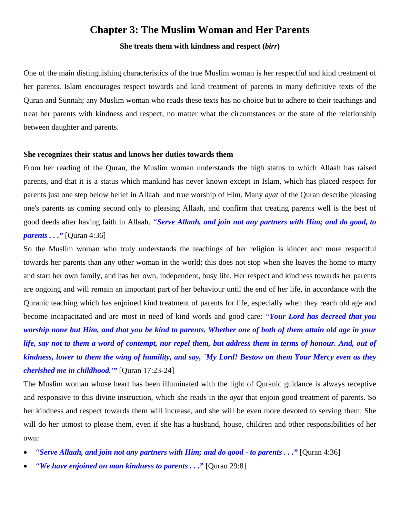# **Chapter 3: The Muslim Woman and Her Parents**

**She treats them with kindness and respect (***birr***)** 

One of the main distinguishing characteristics of the true Muslim woman is her respectful and kind treatment of her parents. Islam encourages respect towards and kind treatment of parents in many definitive texts of the Quran and Sunnah; any Muslim woman who reads these texts has no choice but to adhere to their teachings and treat her parents with kindness and respect, no matter what the circumstances or the state of the relationship between daughter and parents.

### **She recognizes their status and knows her duties towards them**

From her reading of the Quran, the Muslim woman understands the high status to which Allaah has raised parents, and that it is a status which mankind has never known except in Islam, which has placed respect for parents just one step below belief in Allaah and true worship of Him. Many *ayat* of the Quran describe pleasing one's parents as coming second only to pleasing Allaah, and confirm that treating parents well is the best of good deeds after having faith in Allaah. *"Serve Allaah, and join not any partners with Him; and do good, to parents . . ."* [Quran 4:36]

So the Muslim woman who truly understands the teachings of her religion is kinder and more respectful towards her parents than any other woman in the world; this does not stop when she leaves the home to marry and start her own family, and has her own, independent, busy life. Her respect and kindness towards her parents are ongoing and will remain an important part of her behaviour until the end of her life, in accordance with the Quranic teaching which has enjoined kind treatment of parents for life, especially when they reach old age and become incapacitated and are most in need of kind words and good care: *"Your Lord has decreed that you worship none but Him, and that you be kind to parents. Whether one of both of them attain old age in your life, say not to them a word of contempt, nor repel them, but address them in terms of honour. And, out of kindness, lower to them the wing of humility, and say, `My Lord! Bestow on them Your Mercy even as they cherished me in childhood.'"* [Quran 17:23-24]

The Muslim woman whose heart has been illuminated with the light of Quranic guidance is always receptive and responsive to this divine instruction, which she reads in the *ayat* that enjoin good treatment of parents. So her kindness and respect towards them will increase, and she will be even more devoted to serving them. She will do her utmost to please them, even if she has a husband, house, children and other responsibilities of her own:

- *"Serve Allaah, and join not any partners with Him; and do good to parents . . ."* [Quran 4:36]
- *"We have enjoined on man kindness to parents . . ."* **[**Quran 29:8]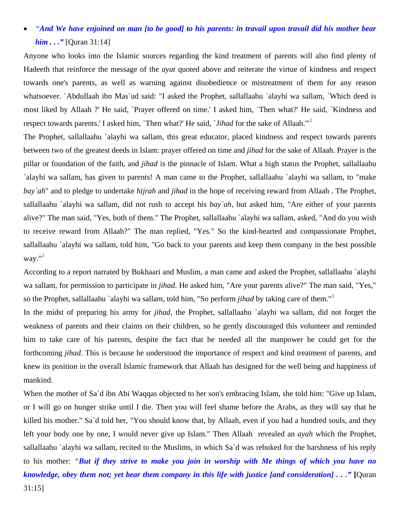# • *"And We have enjoined on man [to be good] to his parents: in travail upon travail did his mother bear him . . ."* [Quran 31:14]

Anyone who looks into the Islamic sources regarding the kind treatment of parents will also find plenty of Hadeeth that reinforce the message of the *ayat* quoted above and reiterate the virtue of kindness and respect towards one's parents, as well as warning against disobedience or mistreatment of them for any reason whatsoever. `Abdullaah ibn Mas`ud said: "I asked the Prophet, sallallaahu `alayhi wa sallam, `Which deed is most liked by Allaah ?' He said, `Prayer offered on time.' I asked him, `Then what?' He said, `Kindness and respect towards parents.' I asked him, `Then what?' He said, `*Jihad* for the sake of Allaah.'"<sup>1</sup>

The Prophet, sallallaahu `alayhi wa sallam, this great educator, placed kindness and respect towards parents between two of the greatest deeds in Islam: prayer offered on time and *jihad* for the sake of Allaah. Prayer is the pillar or foundation of the faith, and *jihad* is the pinnacle of Islam. What a high status the Prophet, sallallaahu `alayhi wa sallam, has given to parents! A man came to the Prophet, sallallaahu `alayhi wa sallam, to "make *bay`ah*" and to pledge to undertake *hijrah* and *jihad* in the hope of receiving reward from Allaah . The Prophet, sallallaahu `alayhi wa sallam, did not rush to accept his *bay`ah*, but asked him, "Are either of your parents alive?" The man said, "Yes, both of them." The Prophet, sallallaahu `alayhi wa sallam, asked, "And do you wish to receive reward from Allaah?" The man replied, "Yes." So the kind-hearted and compassionate Prophet, sallallaahu `alayhi wa sallam, told him, "Go back to your parents and keep them company in the best possible way."<sup>2</sup>

According to a report narrated by Bukhaari and Muslim, a man came and asked the Prophet, sallallaahu `alayhi wa sallam, for permission to participate in *jihad*. He asked him, "Are your parents alive?" The man said, "Yes," so the Prophet, sallallaahu `alayhi wa sallam, told him, "So perform *jihad* by taking care of them."3

In the midst of preparing his army for *jihad*, the Prophet, sallallaahu `alayhi wa sallam, did not forget the weakness of parents and their claims on their children, so he gently discouraged this volunteer and reminded him to take care of his parents, despite the fact that he needed all the manpower he could get for the forthcoming *jihad*. This is because he understood the importance of respect and kind treatment of parents, and knew its position in the overall Islamic framework that Allaah has designed for the well being and happiness of mankind.

When the mother of Sa`d ibn Abi Waqqas objected to her son's embracing Islam, she told him: "Give up Islam, or I will go on hunger strike until I die. Then you will feel shame before the Arabs, as they will say that he killed his mother." Sa`d told her, "You should know that, by Allaah, even if you had a hundred souls, and they left your body one by one, I would never give up Islam." Then Allaah revealed an *ayah* which the Prophet, sallallaahu `alayhi wa sallam, recited to the Muslims, in which Sa`d was rebuked for the harshness of his reply to his mother: *"But if they strive to make you join in worship with Me things of which you have no knowledge, obey them not; yet bear them company in this life with justice [and consideration] . . ."* **[**Quran 31:15]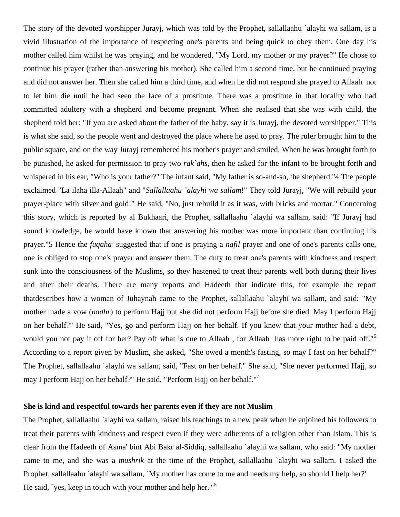The story of the devoted worshipper Jurayj, which was told by the Prophet, sallallaahu `alayhi wa sallam, is a vivid illustration of the importance of respecting one's parents and being quick to obey them. One day his mother called him whilst he was praying, and he wondered, "My Lord, my mother or my prayer?" He chose to continue his prayer (rather than answering his mother). She called him a second time, but he continued praying and did not answer her. Then she called him a third time, and when he did not respond she prayed to Allaah not to let him die until he had seen the face of a prostitute. There was a prostitute in that locality who had committed adultery with a shepherd and become pregnant. When she realised that she was with child, the shepherd told her: "If you are asked about the father of the baby, say it is Jurayj, the devoted worshipper." This is what she said, so the people went and destroyed the place where he used to pray. The ruler brought him to the public square, and on the way Jurayj remembered his mother's prayer and smiled. When he was brought forth to be punished, he asked for permission to pray two *rak`ahs*, then he asked for the infant to be brought forth and whispered in his ear, "Who is your father?" The infant said, "My father is so-and-so, the shepherd."4 The people exclaimed "La ilaha illa-Allaah" and "*Sallallaahu `alayhi wa sallam*!" They told Jurayj, "We will rebuild your prayer-place with silver and gold!" He said, "No, just rebuild it as it was, with bricks and mortar." Concerning this story, which is reported by al Bukhaari, the Prophet, sallallaahu `alayhi wa sallam, said: "If Jurayj had sound knowledge, he would have known that answering his mother was more important than continuing his prayer."5 Hence the *fuqaha'* suggested that if one is praying a *nafil* prayer and one of one's parents calls one, one is obliged to stop one's prayer and answer them. The duty to treat one's parents with kindness and respect sunk into the consciousness of the Muslims, so they hastened to treat their parents well both during their lives and after their deaths. There are many reports and Hadeeth that indicate this, for example the report thatdescribes how a woman of Juhaynah came to the Prophet, sallallaahu `alayhi wa sallam, and said: "My mother made a vow (*nadhr*) to perform Hajj but she did not perform Hajj before she died. May I perform Hajj on her behalf?" He said, "Yes, go and perform Hajj on her behalf. If you knew that your mother had a debt, would you not pay it off for her? Pay off what is due to Allaah, for Allaah has more right to be paid off."<sup>6</sup> According to a report given by Muslim, she asked, "She owed a month's fasting, so may I fast on her behalf?" The Prophet, sallallaahu `alayhi wa sallam, said, "Fast on her behalf." She said, "She never performed Hajj, so may I perform Hajj on her behalf?" He said, "Perform Hajj on her behalf."<sup>7</sup>

## **She is kind and respectful towards her parents even if they are not Muslim**

The Prophet, sallallaahu `alayhi wa sallam, raised his teachings to a new peak when he enjoined his followers to treat their parents with kindness and respect even if they were adherents of a religion other than Islam. This is clear from the Hadeeth of Asma' bint Abi Bakr al-Siddiq, sallallaahu `alayhi wa sallam, who said: "My mother came to me, and she was a *mushrik* at the time of the Prophet, sallallaahu `alayhi wa sallam. I asked the Prophet, sallallaahu `alayhi wa sallam, `My mother has come to me and needs my help, so should I help her?' He said, `yes, keep in touch with your mother and help her."<sup>8</sup>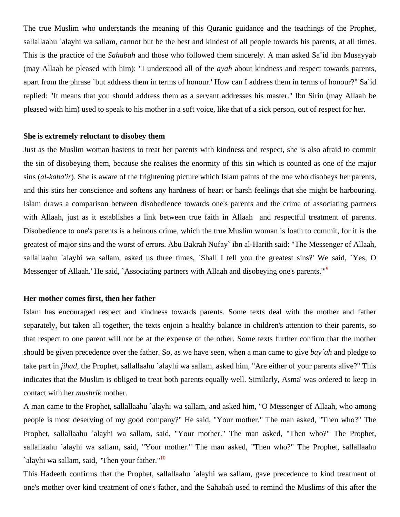The true Muslim who understands the meaning of this Quranic guidance and the teachings of the Prophet, sallallaahu `alayhi wa sallam, cannot but be the best and kindest of all people towards his parents, at all times. This is the practice of the *Sahabah* and those who followed them sincerely. A man asked Sa`id ibn Musayyab (may Allaah be pleased with him): "I understood all of the *ayah* about kindness and respect towards parents, apart from the phrase `but address them in terms of honour.' How can I address them in terms of honour?" Sa`id replied: "It means that you should address them as a servant addresses his master." Ibn Sirin (may Allaah be pleased with him) used to speak to his mother in a soft voice, like that of a sick person, out of respect for her.

## **She is extremely reluctant to disobey them**

Just as the Muslim woman hastens to treat her parents with kindness and respect, she is also afraid to commit the sin of disobeying them, because she realises the enormity of this sin which is counted as one of the major sins (*al-kaba'ir*). She is aware of the frightening picture which Islam paints of the one who disobeys her parents, and this stirs her conscience and softens any hardness of heart or harsh feelings that she might be harbouring. Islam draws a comparison between disobedience towards one's parents and the crime of associating partners with Allaah, just as it establishes a link between true faith in Allaah and respectful treatment of parents. Disobedience to one's parents is a heinous crime, which the true Muslim woman is loath to commit, for it is the greatest of major sins and the worst of errors. Abu Bakrah Nufay` ibn al-Harith said: "The Messenger of Allaah, sallallaahu `alayhi wa sallam, asked us three times, `Shall I tell you the greatest sins?' We said, `Yes, O Messenger of Allaah.' He said, `Associating partners with Allaah and disobeying one's parents.'"<sup>9</sup>

# **Her mother comes first, then her father**

Islam has encouraged respect and kindness towards parents. Some texts deal with the mother and father separately, but taken all together, the texts enjoin a healthy balance in children's attention to their parents, so that respect to one parent will not be at the expense of the other. Some texts further confirm that the mother should be given precedence over the father. So, as we have seen, when a man came to give *bay`ah* and pledge to take part in *jihad*, the Prophet, sallallaahu `alayhi wa sallam, asked him, "Are either of your parents alive?" This indicates that the Muslim is obliged to treat both parents equally well. Similarly, Asma' was ordered to keep in contact with her *mushrik* mother.

A man came to the Prophet, sallallaahu `alayhi wa sallam, and asked him, "O Messenger of Allaah, who among people is most deserving of my good company?" He said, "Your mother." The man asked, "Then who?" The Prophet, sallallaahu `alayhi wa sallam, said, "Your mother." The man asked, "Then who?" The Prophet, sallallaahu `alayhi wa sallam, said, "Your mother." The man asked, "Then who?" The Prophet, sallallaahu `alayhi wa sallam, said, "Then your father."<sup>10</sup>

This Hadeeth confirms that the Prophet, sallallaahu `alayhi wa sallam, gave precedence to kind treatment of one's mother over kind treatment of one's father, and the Sahabah used to remind the Muslims of this after the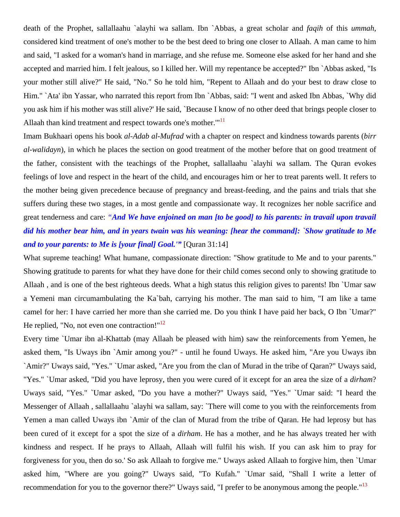death of the Prophet, sallallaahu `alayhi wa sallam. Ibn `Abbas, a great scholar and *faqih* of this *ummah*, considered kind treatment of one's mother to be the best deed to bring one closer to Allaah. A man came to him and said, "I asked for a woman's hand in marriage, and she refuse me. Someone else asked for her hand and she accepted and married him. I felt jealous, so I killed her. Will my repentance be accepted?" Ibn `Abbas asked, "Is your mother still alive?" He said, "No." So he told him, "Repent to Allaah and do your best to draw close to Him." `Ata' ibn Yassar, who narrated this report from Ibn `Abbas, said: "I went and asked Ibn Abbas, `Why did you ask him if his mother was still alive?' He said, `Because I know of no other deed that brings people closer to Allaah than kind treatment and respect towards one's mother."<sup>11</sup>

Imam Bukhaari opens his book *al-Adab al-Mufrad* with a chapter on respect and kindness towards parents (*birr al-walidayn*), in which he places the section on good treatment of the mother before that on good treatment of the father, consistent with the teachings of the Prophet, sallallaahu `alayhi wa sallam. The Quran evokes feelings of love and respect in the heart of the child, and encourages him or her to treat parents well. It refers to the mother being given precedence because of pregnancy and breast-feeding, and the pains and trials that she suffers during these two stages, in a most gentle and compassionate way. It recognizes her noble sacrifice and great tenderness and care: *"And We have enjoined on man [to be good] to his parents: in travail upon travail did his mother bear him, and in years twain was his weaning: [hear the command]: `Show gratitude to Me and to your parents: to Me is [your final] Goal.'"* [Quran 31:14]

What supreme teaching! What humane, compassionate direction: "Show gratitude to Me and to your parents." Showing gratitude to parents for what they have done for their child comes second only to showing gratitude to Allaah , and is one of the best righteous deeds. What a high status this religion gives to parents! Ibn `Umar saw a Yemeni man circumambulating the Ka`bah, carrying his mother. The man said to him, "I am like a tame camel for her: I have carried her more than she carried me. Do you think I have paid her back, O Ibn `Umar?" He replied, "No, not even one contraction!"<sup>12</sup>

Every time `Umar ibn al-Khattab (may Allaah be pleased with him) saw the reinforcements from Yemen, he asked them, "Is Uways ibn `Amir among you?" - until he found Uways. He asked him, "Are you Uways ibn `Amir?" Uways said, "Yes." `Umar asked, "Are you from the clan of Murad in the tribe of Qaran?" Uways said, "Yes." `Umar asked, "Did you have leprosy, then you were cured of it except for an area the size of a *dirham*? Uways said, "Yes." `Umar asked, "Do you have a mother?" Uways said, "Yes." `Umar said: "I heard the Messenger of Allaah , sallallaahu `alayhi wa sallam, say: `There will come to you with the reinforcements from Yemen a man called Uways ibn `Amir of the clan of Murad from the tribe of Qaran. He had leprosy but has been cured of it except for a spot the size of a *dirham*. He has a mother, and he has always treated her with kindness and respect. If he prays to Allaah, Allaah will fulfil his wish. If you can ask him to pray for forgiveness for you, then do so.' So ask Allaah to forgive me." Uways asked Allaah to forgive him, then `Umar asked him, "Where are you going?" Uways said, "To Kufah." `Umar said, "Shall I write a letter of recommendation for you to the governor there?" Uways said, "I prefer to be anonymous among the people."<sup>13</sup>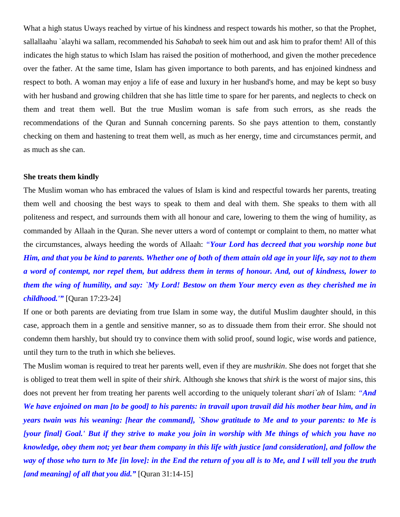What a high status Uways reached by virtue of his kindness and respect towards his mother, so that the Prophet, sallallaahu `alayhi wa sallam, recommended his *Sahabah* to seek him out and ask him to prafor them! All of this indicates the high status to which Islam has raised the position of motherhood, and given the mother precedence over the father. At the same time, Islam has given importance to both parents, and has enjoined kindness and respect to both. A woman may enjoy a life of ease and luxury in her husband's home, and may be kept so busy with her husband and growing children that she has little time to spare for her parents, and neglects to check on them and treat them well. But the true Muslim woman is safe from such errors, as she reads the recommendations of the Quran and Sunnah concerning parents. So she pays attention to them, constantly checking on them and hastening to treat them well, as much as her energy, time and circumstances permit, and as much as she can.

## **She treats them kindly**

The Muslim woman who has embraced the values of Islam is kind and respectful towards her parents, treating them well and choosing the best ways to speak to them and deal with them. She speaks to them with all politeness and respect, and surrounds them with all honour and care, lowering to them the wing of humility, as commanded by Allaah in the Quran. She never utters a word of contempt or complaint to them, no matter what the circumstances, always heeding the words of Allaah: *"Your Lord has decreed that you worship none but Him, and that you be kind to parents. Whether one of both of them attain old age in your life, say not to them a word of contempt, nor repel them, but address them in terms of honour. And, out of kindness, lower to them the wing of humility, and say: `My Lord! Bestow on them Your mercy even as they cherished me in childhood.'"* [Quran 17:23-24]

If one or both parents are deviating from true Islam in some way, the dutiful Muslim daughter should, in this case, approach them in a gentle and sensitive manner, so as to dissuade them from their error. She should not condemn them harshly, but should try to convince them with solid proof, sound logic, wise words and patience, until they turn to the truth in which she believes.

The Muslim woman is required to treat her parents well, even if they are *mushrikin*. She does not forget that she is obliged to treat them well in spite of their *shirk*. Although she knows that *shirk* is the worst of major sins, this does not prevent her from treating her parents well according to the uniquely tolerant *shari`ah* of Islam: *"And We have enjoined on man [to be good] to his parents: in travail upon travail did his mother bear him, and in years twain was his weaning: [hear the command], `Show gratitude to Me and to your parents: to Me is [your final] Goal.' But if they strive to make you join in worship with Me things of which you have no knowledge, obey them not; yet bear them company in this life with justice [and consideration], and follow the way of those who turn to Me [in love]: in the End the return of you all is to Me, and I will tell you the truth [and meaning] of all that you did."* [Quran 31:14-15]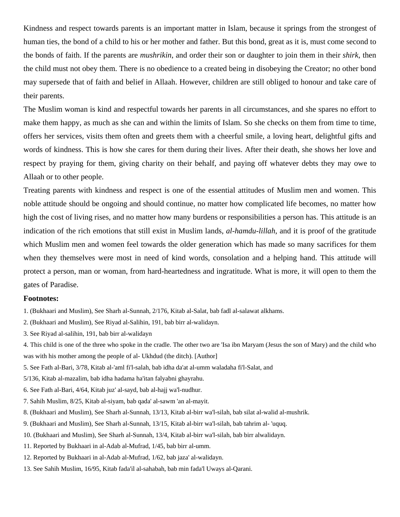Kindness and respect towards parents is an important matter in Islam, because it springs from the strongest of human ties, the bond of a child to his or her mother and father. But this bond, great as it is, must come second to the bonds of faith. If the parents are *mushrikin*, and order their son or daughter to join them in their *shirk*, then the child must not obey them. There is no obedience to a created being in disobeying the Creator; no other bond may supersede that of faith and belief in Allaah. However, children are still obliged to honour and take care of their parents.

The Muslim woman is kind and respectful towards her parents in all circumstances, and she spares no effort to make them happy, as much as she can and within the limits of Islam. So she checks on them from time to time, offers her services, visits them often and greets them with a cheerful smile, a loving heart, delightful gifts and words of kindness. This is how she cares for them during their lives. After their death, she shows her love and respect by praying for them, giving charity on their behalf, and paying off whatever debts they may owe to Allaah or to other people.

Treating parents with kindness and respect is one of the essential attitudes of Muslim men and women. This noble attitude should be ongoing and should continue, no matter how complicated life becomes, no matter how high the cost of living rises, and no matter how many burdens or responsibilities a person has. This attitude is an indication of the rich emotions that still exist in Muslim lands, *al-hamdu-lillah*, and it is proof of the gratitude which Muslim men and women feel towards the older generation which has made so many sacrifices for them when they themselves were most in need of kind words, consolation and a helping hand. This attitude will protect a person, man or woman, from hard-heartedness and ingratitude. What is more, it will open to them the gates of Paradise.

#### **Footnotes:**

- 1. (Bukhaari and Muslim), See Sharh al-Sunnah, 2/176, Kitab al-Salat, bab fadl al-salawat alkhams.
- 2. (Bukhaari and Muslim), See Riyad al-Salihin, 191, bab birr al-walidayn.
- 3. See Riyad al-salihin, 191, bab birr al-walidayn
- 4. This child is one of the three who spoke in the cradle. The other two are 'Isa ibn Maryam (Jesus the son of Mary) and the child who was with his mother among the people of al- Ukhdud (the ditch). [Author]
- 5. See Fath al-Bari, 3/78, Kitab al-'aml fi'l-salah, bab idha da'at al-umm waladaha fi'l-Salat, and
- 5/136, Kitab al-mazalim, bab idha hadama ha'itan falyabni ghayrahu.
- 6. See Fath al-Bari, 4/64, Kitab juz' al-sayd, bab al-hajj wa'l-nudhur.
- 7. Sahih Muslim, 8/25, Kitab al-siyam, bab qada' al-sawm 'an al-mayit.
- 8. (Bukhaari and Muslim), See Sharh al-Sunnah, 13/13, Kitab al-birr wa'l-silah, bab silat al-walid al-mushrik.
- 9. (Bukhaari and Muslim), See Sharh al-Sunnah, 13/15, Kitab al-birr wa'l-silah, bab tahrim al- 'uquq.
- 10. (Bukhaari and Muslim), See Sharh al-Sunnah, 13/4, Kitab al-birr wa'l-silah, bab birr alwalidayn.
- 11. Reported by Bukhaari in al-Adab al-Mufrad, 1/45, bab birr al-umm.
- 12. Reported by Bukhaari in al-Adab al-Mufrad, 1/62, bab jaza' al-walidayn.
- 13. See Sahih Muslim, 16/95, Kitab fada'il al-sahabah, bab min fada'l Uways al-Qarani.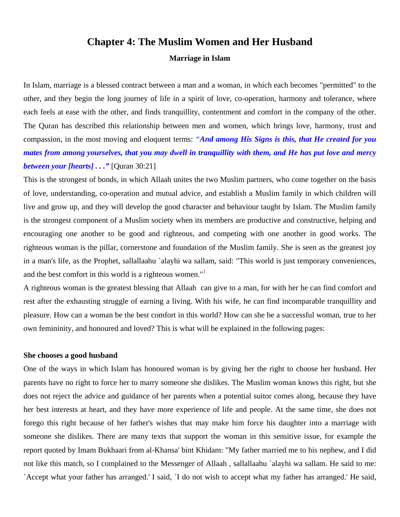# **Chapter 4: The Muslim Women and Her Husband**

## **Marriage in Islam**

In Islam, marriage is a blessed contract between a man and a woman, in which each becomes "permitted" to the other, and they begin the long journey of life in a spirit of love, co-operation, harmony and tolerance, where each feels at ease with the other, and finds tranquillity, contentment and comfort in the company of the other. The Quran has described this relationship between men and women, which brings love, harmony, trust and compassion, in the most moving and eloquent terms: *"And among His Signs is this, that He created for you mates from among yourselves, that you may dwell in tranquillity with them, and He has put love and mercy between your [hearts] . . ."* [Quran 30:21]

This is the strongest of bonds, in which Allaah unites the two Muslim partners, who come together on the basis of love, understanding, co-operation and mutual advice, and establish a Muslim family in which children will live and grow up, and they will develop the good character and behaviour taught by Islam. The Muslim family is the strongest component of a Muslim society when its members are productive and constructive, helping and encouraging one another to be good and righteous, and competing with one another in good works. The righteous woman is the pillar, cornerstone and foundation of the Muslim family. She is seen as the greatest joy in a man's life, as the Prophet, sallallaahu `alayhi wa sallam, said: "This world is just temporary conveniences, and the best comfort in this world is a righteous women."<sup>1</sup>

A righteous woman is the greatest blessing that Allaah can give to a man, for with her he can find comfort and rest after the exhausting struggle of earning a living. With his wife, he can find incomparable tranquillity and pleasure. How can a woman be the best comfort in this world? How can she be a successful woman, true to her own femininity, and honoured and loved? This is what will be explained in the following pages:

## **She chooses a good husband**

One of the ways in which Islam has honoured woman is by giving her the right to choose her husband. Her parents have no right to force her to marry someone she dislikes. The Muslim woman knows this right, but she does not reject the advice and guidance of her parents when a potential suitor comes along, because they have her best interests at heart, and they have more experience of life and people. At the same time, she does not forego this right because of her father's wishes that may make him force his daughter into a marriage with someone she dislikes. There are many texts that support the woman in this sensitive issue, for example the report quoted by Imam Bukhaari from al-Khansa' bint Khidam: "My father married me to his nephew, and I did not like this match, so I complained to the Messenger of Allaah , sallallaahu `alayhi wa sallam. He said to me: `Accept what your father has arranged.' I said, `I do not wish to accept what my father has arranged.' He said,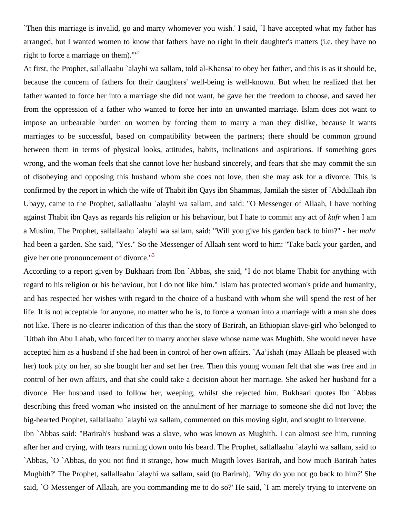`Then this marriage is invalid, go and marry whomever you wish.' I said, `I have accepted what my father has arranged, but I wanted women to know that fathers have no right in their daughter's matters (i.e. they have no right to force a marriage on them). $^{\prime\prime\prime}$ 

At first, the Prophet, sallallaahu `alayhi wa sallam, told al-Khansa' to obey her father, and this is as it should be, because the concern of fathers for their daughters' well-being is well-known. But when he realized that her father wanted to force her into a marriage she did not want, he gave her the freedom to choose, and saved her from the oppression of a father who wanted to force her into an unwanted marriage. Islam does not want to impose an unbearable burden on women by forcing them to marry a man they dislike, because it wants marriages to be successful, based on compatibility between the partners; there should be common ground between them in terms of physical looks, attitudes, habits, inclinations and aspirations. If something goes wrong, and the woman feels that she cannot love her husband sincerely, and fears that she may commit the sin of disobeying and opposing this husband whom she does not love, then she may ask for a divorce. This is confirmed by the report in which the wife of Thabit ibn Qays ibn Shammas, Jamilah the sister of `Abdullaah ibn Ubayy, came to the Prophet, sallallaahu `alayhi wa sallam, and said: "O Messenger of Allaah, I have nothing against Thabit ibn Qays as regards his religion or his behaviour, but I hate to commit any act of *kufr* when I am a Muslim. The Prophet, sallallaahu `alayhi wa sallam, said: "Will you give his garden back to him?" - her *mahr*  had been a garden. She said, "Yes." So the Messenger of Allaah sent word to him: "Take back your garden, and give her one pronouncement of divorce."<sup>3</sup>

According to a report given by Bukhaari from Ibn `Abbas, she said, "I do not blame Thabit for anything with regard to his religion or his behaviour, but I do not like him." Islam has protected woman's pride and humanity, and has respected her wishes with regard to the choice of a husband with whom she will spend the rest of her life. It is not acceptable for anyone, no matter who he is, to force a woman into a marriage with a man she does not like. There is no clearer indication of this than the story of Barirah, an Ethiopian slave-girl who belonged to `Utbah ibn Abu Lahab, who forced her to marry another slave whose name was Mughith. She would never have accepted him as a husband if she had been in control of her own affairs. `Aa'ishah (may Allaah be pleased with her) took pity on her, so she bought her and set her free. Then this young woman felt that she was free and in control of her own affairs, and that she could take a decision about her marriage. She asked her husband for a divorce. Her husband used to follow her, weeping, whilst she rejected him. Bukhaari quotes Ibn `Abbas describing this freed woman who insisted on the annulment of her marriage to someone she did not love; the big-hearted Prophet, sallallaahu `alayhi wa sallam, commented on this moving sight, and sought to intervene.

Ibn `Abbas said: "Barirah's husband was a slave, who was known as Mughith. I can almost see him, running after her and crying, with tears running down onto his beard. The Prophet, sallallaahu `alayhi wa sallam, said to `Abbas, `O `Abbas, do you not find it strange, how much Mugith loves Barirah, and how much Barirah hates Mughith?' The Prophet, sallallaahu `alayhi wa sallam, said (to Barirah), `Why do you not go back to him?' She said, `O Messenger of Allaah, are you commanding me to do so?' He said, `I am merely trying to intervene on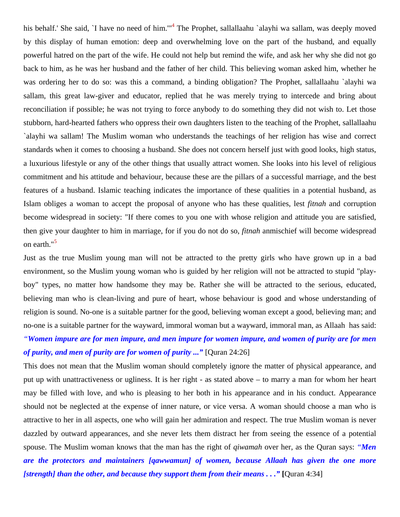his behalf.' She said, `I have no need of him.'"<sup>4</sup> The Prophet, sallallaahu `alayhi wa sallam, was deeply moved by this display of human emotion: deep and overwhelming love on the part of the husband, and equally powerful hatred on the part of the wife. He could not help but remind the wife, and ask her why she did not go back to him, as he was her husband and the father of her child. This believing woman asked him, whether he was ordering her to do so: was this a command, a binding obligation? The Prophet, sallallaahu `alayhi wa sallam, this great law-giver and educator, replied that he was merely trying to intercede and bring about reconciliation if possible; he was not trying to force anybody to do something they did not wish to. Let those stubborn, hard-hearted fathers who oppress their own daughters listen to the teaching of the Prophet, sallallaahu `alayhi wa sallam! The Muslim woman who understands the teachings of her religion has wise and correct standards when it comes to choosing a husband. She does not concern herself just with good looks, high status, a luxurious lifestyle or any of the other things that usually attract women. She looks into his level of religious commitment and his attitude and behaviour, because these are the pillars of a successful marriage, and the best features of a husband. Islamic teaching indicates the importance of these qualities in a potential husband, as Islam obliges a woman to accept the proposal of anyone who has these qualities, lest *fitnah* and corruption become widespread in society: "If there comes to you one with whose religion and attitude you are satisfied, then give your daughter to him in marriage, for if you do not do so, *fitnah* anmischief will become widespread on earth."<sup>5</sup>

Just as the true Muslim young man will not be attracted to the pretty girls who have grown up in a bad environment, so the Muslim young woman who is guided by her religion will not be attracted to stupid "playboy" types, no matter how handsome they may be. Rather she will be attracted to the serious, educated, believing man who is clean-living and pure of heart, whose behaviour is good and whose understanding of religion is sound. No-one is a suitable partner for the good, believing woman except a good, believing man; and no-one is a suitable partner for the wayward, immoral woman but a wayward, immoral man, as Allaah has said:

# *"Women impure are for men impure, and men impure for women impure, and women of purity are for men of purity, and men of purity are for women of purity ..."* [Quran 24:26]

This does not mean that the Muslim woman should completely ignore the matter of physical appearance, and put up with unattractiveness or ugliness. It is her right - as stated above – to marry a man for whom her heart may be filled with love, and who is pleasing to her both in his appearance and in his conduct. Appearance should not be neglected at the expense of inner nature, or vice versa. A woman should choose a man who is attractive to her in all aspects, one who will gain her admiration and respect. The true Muslim woman is never dazzled by outward appearances, and she never lets them distract her from seeing the essence of a potential spouse. The Muslim woman knows that the man has the right of *qiwamah* over her, as the Quran says: *"Men are the protectors and maintainers [qawwamun] of women, because Allaah has given the one more [strength] than the other, and because they support them from their means . . ."* **[**Quran 4:34]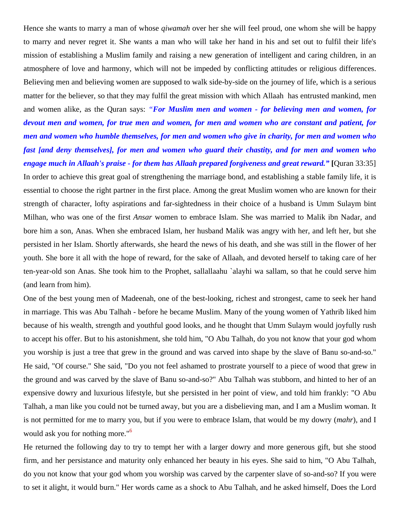Hence she wants to marry a man of whose *qiwamah* over her she will feel proud, one whom she will be happy to marry and never regret it. She wants a man who will take her hand in his and set out to fulfil their life's mission of establishing a Muslim family and raising a new generation of intelligent and caring children, in an atmosphere of love and harmony, which will not be impeded by conflicting attitudes or religious differences. Believing men and believing women are supposed to walk side-by-side on the journey of life, which is a serious matter for the believer, so that they may fulfil the great mission with which Allaah has entrusted mankind, men and women alike, as the Quran says: *"For Muslim men and women - for believing men and women, for devout men and women, for true men and women, for men and women who are constant and patient, for men and women who humble themselves, for men and women who give in charity, for men and women who fast [and deny themselves], for men and women who guard their chastity, and for men and women who engage much in Allaah's praise - for them has Allaah prepared forgiveness and great reward."* **[**Quran 33:35] In order to achieve this great goal of strengthening the marriage bond, and establishing a stable family life, it is essential to choose the right partner in the first place. Among the great Muslim women who are known for their strength of character, lofty aspirations and far-sightedness in their choice of a husband is Umm Sulaym bint Milhan, who was one of the first *Ansar* women to embrace Islam. She was married to Malik ibn Nadar, and bore him a son, Anas. When she embraced Islam, her husband Malik was angry with her, and left her, but she persisted in her Islam. Shortly afterwards, she heard the news of his death, and she was still in the flower of her youth. She bore it all with the hope of reward, for the sake of Allaah, and devoted herself to taking care of her ten-year-old son Anas. She took him to the Prophet, sallallaahu `alayhi wa sallam, so that he could serve him (and learn from him).

One of the best young men of Madeenah, one of the best-looking, richest and strongest, came to seek her hand in marriage. This was Abu Talhah - before he became Muslim. Many of the young women of Yathrib liked him because of his wealth, strength and youthful good looks, and he thought that Umm Sulaym would joyfully rush to accept his offer. But to his astonishment, she told him, "O Abu Talhah, do you not know that your god whom you worship is just a tree that grew in the ground and was carved into shape by the slave of Banu so-and-so." He said, "Of course." She said, "Do you not feel ashamed to prostrate yourself to a piece of wood that grew in the ground and was carved by the slave of Banu so-and-so?" Abu Talhah was stubborn, and hinted to her of an expensive dowry and luxurious lifestyle, but she persisted in her point of view, and told him frankly: "O Abu Talhah, a man like you could not be turned away, but you are a disbelieving man, and I am a Muslim woman. It is not permitted for me to marry you, but if you were to embrace Islam, that would be my dowry (*mahr*), and I would ask you for nothing more."6

He returned the following day to try to tempt her with a larger dowry and more generous gift, but she stood firm, and her persistance and maturity only enhanced her beauty in his eyes. She said to him, "O Abu Talhah, do you not know that your god whom you worship was carved by the carpenter slave of so-and-so? If you were to set it alight, it would burn." Her words came as a shock to Abu Talhah, and he asked himself, Does the Lord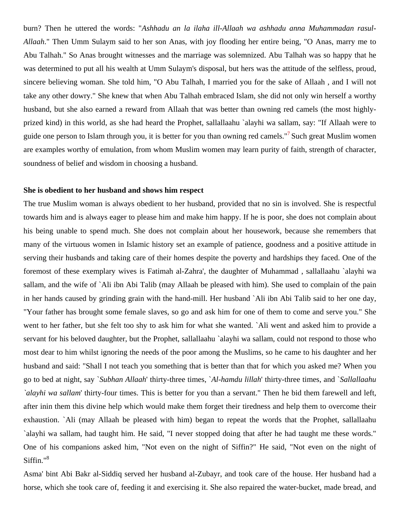burn? Then he uttered the words: "*Ashhadu an la ilaha ill-Allaah wa ashhadu anna Muhammadan rasul-Allaah*." Then Umm Sulaym said to her son Anas, with joy flooding her entire being, "O Anas, marry me to Abu Talhah." So Anas brought witnesses and the marriage was solemnized. Abu Talhah was so happy that he was determined to put all his wealth at Umm Sulaym's disposal, but hers was the attitude of the selfless, proud, sincere believing woman. She told him, "O Abu Talhah, I married you for the sake of Allaah , and I will not take any other dowry." She knew that when Abu Talhah embraced Islam, she did not only win herself a worthy husband, but she also earned a reward from Allaah that was better than owning red camels (the most highlyprized kind) in this world, as she had heard the Prophet, sallallaahu `alayhi wa sallam, say: "If Allaah were to guide one person to Islam through you, it is better for you than owning red camels."7 Such great Muslim women are examples worthy of emulation, from whom Muslim women may learn purity of faith, strength of character, soundness of belief and wisdom in choosing a husband.

## **She is obedient to her husband and shows him respect**

The true Muslim woman is always obedient to her husband, provided that no sin is involved. She is respectful towards him and is always eager to please him and make him happy. If he is poor, she does not complain about his being unable to spend much. She does not complain about her housework, because she remembers that many of the virtuous women in Islamic history set an example of patience, goodness and a positive attitude in serving their husbands and taking care of their homes despite the poverty and hardships they faced. One of the foremost of these exemplary wives is Fatimah al-Zahra', the daughter of Muhammad , sallallaahu `alayhi wa sallam, and the wife of `Ali ibn Abi Talib (may Allaah be pleased with him). She used to complain of the pain in her hands caused by grinding grain with the hand-mill. Her husband `Ali ibn Abi Talib said to her one day, "Your father has brought some female slaves, so go and ask him for one of them to come and serve you." She went to her father, but she felt too shy to ask him for what she wanted. `Ali went and asked him to provide a servant for his beloved daughter, but the Prophet, sallallaahu `alayhi wa sallam, could not respond to those who most dear to him whilst ignoring the needs of the poor among the Muslims, so he came to his daughter and her husband and said: "Shall I not teach you something that is better than that for which you asked me? When you go to bed at night, say `*Subhan Allaah*' thirty-three times, `*Al-hamdu lillah*' thirty-three times, and `*Sallallaahu `alayhi wa sallam*' thirty-four times. This is better for you than a servant." Then he bid them farewell and left, after inin them this divine help which would make them forget their tiredness and help them to overcome their exhaustion. `Ali (may Allaah be pleased with him) began to repeat the words that the Prophet, sallallaahu `alayhi wa sallam, had taught him. He said, "I never stopped doing that after he had taught me these words." One of his companions asked him, "Not even on the night of Siffin?" He said, "Not even on the night of Siffin."<sup>8</sup>

Asma' bint Abi Bakr al-Siddiq served her husband al-Zubayr, and took care of the house. Her husband had a horse, which she took care of, feeding it and exercising it. She also repaired the water-bucket, made bread, and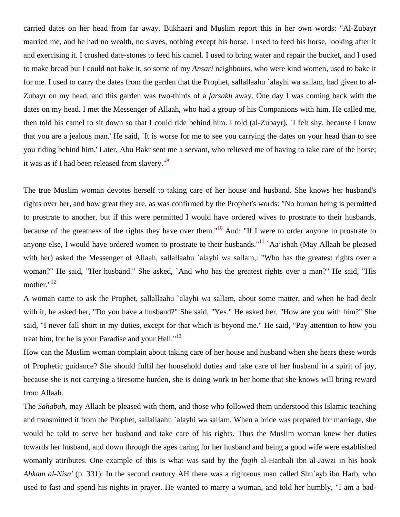carried dates on her head from far away. Bukhaari and Muslim report this in her own words: "Al-Zubayr married me, and he had no wealth, no slaves, nothing except his horse. I used to feed his horse, looking after it and exercising it. I crushed date-stones to feed his camel. I used to bring water and repair the bucket, and I used to make bread but I could not bake it, so some of my *Ansari* neighbours, who were kind women, used to bake it for me. I used to carry the dates from the garden that the Prophet, sallallaahu `alayhi wa sallam, had given to al-Zubayr on my head, and this garden was two-thirds of a *farsakh* away. One day I was coming back with the dates on my head. I met the Messenger of Allaah, who had a group of his Companions with him. He called me, then told his camel to sit down so that I could ride behind him. I told (al-Zubayr), `I felt shy, because I know that you are a jealous man.' He said, `It is worse for me to see you carrying the dates on your head than to see you riding behind him.' Later, Abu Bakr sent me a servant, who relieved me of having to take care of the horse; it was as if I had been released from slavery."<sup>9</sup>

The true Muslim woman devotes herself to taking care of her house and husband. She knows her husband's rights over her, and how great they are, as was confirmed by the Prophet's words: "No human being is permitted to prostrate to another, but if this were permitted I would have ordered wives to prostrate to their husbands, because of the greatness of the rights they have over them."<sup>10</sup> And: "If I were to order anyone to prostrate to anyone else, I would have ordered women to prostrate to their husbands."<sup>11</sup> `Aa'ishah (May Allaah be pleased with her) asked the Messenger of Allaah, sallallaahu `alayhi wa sallam,: "Who has the greatest rights over a woman?" He said, "Her husband." She asked, `And who has the greatest rights over a man?" He said, "His mother."<sup>12</sup>

A woman came to ask the Prophet, sallallaahu `alayhi wa sallam, about some matter, and when he had dealt with it, he asked her, "Do you have a husband?" She said, "Yes." He asked her, "How are you with him?" She said, "I never fall short in my duties, except for that which is beyond me." He said, "Pay attention to how you treat him, for he is your Paradise and your Hell." $13$ 

How can the Muslim woman complain about taking care of her house and husband when she hears these words of Prophetic guidance? She should fulfil her household duties and take care of her husband in a spirit of joy, because she is not carrying a tiresome burden, she is doing work in her home that she knows will bring reward from Allaah.

The *Sahabah*, may Allaah be pleased with them, and those who followed them understood this Islamic teaching and transmitted it from the Prophet, sallallaahu `alayhi wa sallam. When a bride was prepared for marriage, she would be told to serve her husband and take care of his rights. Thus the Muslim woman knew her duties towards her husband, and down through the ages caring for her husband and being a good wife were established womanly attributes. One example of this is what was said by the *faqih* al-Hanbali ibn al-Jawzi in his book *Ahkam al-Nisa'* (p. 331): In the second century AH there was a righteous man called Shu`ayb ibn Harb, who used to fast and spend his nights in prayer. He wanted to marry a woman, and told her humbly, "I am a bad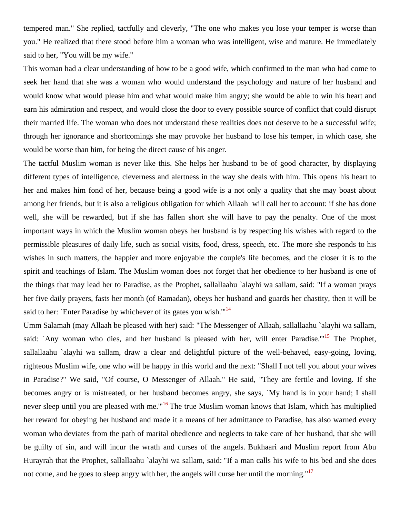tempered man." She replied, tactfully and cleverly, "The one who makes you lose your temper is worse than you." He realized that there stood before him a woman who was intelligent, wise and mature. He immediately said to her, "You will be my wife."

This woman had a clear understanding of how to be a good wife, which confirmed to the man who had come to seek her hand that she was a woman who would understand the psychology and nature of her husband and would know what would please him and what would make him angry; she would be able to win his heart and earn his admiration and respect, and would close the door to every possible source of conflict that could disrupt their married life. The woman who does not understand these realities does not deserve to be a successful wife; through her ignorance and shortcomings she may provoke her husband to lose his temper, in which case, she would be worse than him, for being the direct cause of his anger.

The tactful Muslim woman is never like this. She helps her husband to be of good character, by displaying different types of intelligence, cleverness and alertness in the way she deals with him. This opens his heart to her and makes him fond of her, because being a good wife is a not only a quality that she may boast about among her friends, but it is also a religious obligation for which Allaah will call her to account: if she has done well, she will be rewarded, but if she has fallen short she will have to pay the penalty. One of the most important ways in which the Muslim woman obeys her husband is by respecting his wishes with regard to the permissible pleasures of daily life, such as social visits, food, dress, speech, etc. The more she responds to his wishes in such matters, the happier and more enjoyable the couple's life becomes, and the closer it is to the spirit and teachings of Islam. The Muslim woman does not forget that her obedience to her husband is one of the things that may lead her to Paradise, as the Prophet, sallallaahu `alayhi wa sallam, said: "If a woman prays her five daily prayers, fasts her month (of Ramadan), obeys her husband and guards her chastity, then it will be said to her: `Enter Paradise by whichever of its gates you wish.''<sup>14</sup>

Umm Salamah (may Allaah be pleased with her) said: "The Messenger of Allaah, sallallaahu `alayhi wa sallam, said: `Any woman who dies, and her husband is pleased with her, will enter Paradise.'"<sup>15</sup> The Prophet, sallallaahu `alayhi wa sallam, draw a clear and delightful picture of the well-behaved, easy-going, loving, righteous Muslim wife, one who will be happy in this world and the next: "Shall I not tell you about your wives in Paradise?" We said, "Of course, O Messenger of Allaah." He said, "They are fertile and loving. If she becomes angry or is mistreated, or her husband becomes angry, she says, `My hand is in your hand; I shall never sleep until you are pleased with me.'"16 The true Muslim woman knows that Islam, which has multiplied her reward for obeying her husband and made it a means of her admittance to Paradise, has also warned every woman who deviates from the path of marital obedience and neglects to take care of her husband, that she will be guilty of sin, and will incur the wrath and curses of the angels. Bukhaari and Muslim report from Abu Hurayrah that the Prophet, sallallaahu `alayhi wa sallam, said: "If a man calls his wife to his bed and she does not come, and he goes to sleep angry with her, the angels will curse her until the morning."<sup>17</sup>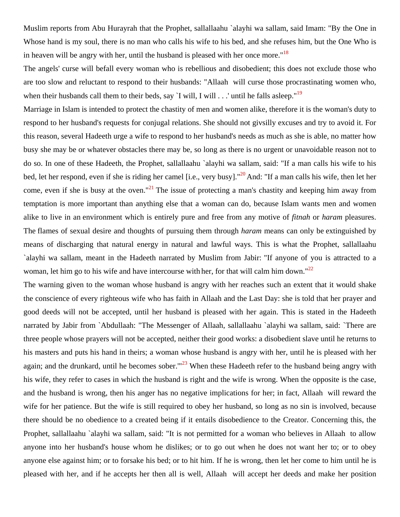Muslim reports from Abu Hurayrah that the Prophet, sallallaahu `alayhi wa sallam, said Imam: "By the One in Whose hand is my soul, there is no man who calls his wife to his bed, and she refuses him, but the One Who is in heaven will be angry with her, until the husband is pleased with her once more."18

The angels' curse will befall every woman who is rebellious and disobedient; this does not exclude those who are too slow and reluctant to respond to their husbands: "Allaah will curse those procrastinating women who, when their husbands call them to their beds, say `I will, I will  $\ldots$ ' until he falls asleep."<sup>19</sup>

Marriage in Islam is intended to protect the chastity of men and women alike, therefore it is the woman's duty to respond to her husband's requests for conjugal relations. She should not givsilly excuses and try to avoid it. For this reason, several Hadeeth urge a wife to respond to her husband's needs as much as she is able, no matter how busy she may be or whatever obstacles there may be, so long as there is no urgent or unavoidable reason not to do so. In one of these Hadeeth, the Prophet, sallallaahu `alayhi wa sallam, said: "If a man calls his wife to his bed, let her respond, even if she is riding her camel [i.e., very busy]."<sup>20</sup> And: "If a man calls his wife, then let her come, even if she is busy at the oven."<sup>21</sup> The issue of protecting a man's chastity and keeping him away from temptation is more important than anything else that a woman can do, because Islam wants men and women alike to live in an environment which is entirely pure and free from any motive of *fitnah* or *haram* pleasures. The flames of sexual desire and thoughts of pursuing them through *haram* means can only be extinguished by means of discharging that natural energy in natural and lawful ways. This is what the Prophet, sallallaahu `alayhi wa sallam, meant in the Hadeeth narrated by Muslim from Jabir: "If anyone of you is attracted to a woman, let him go to his wife and have intercourse with her, for that will calm him down." $^{22}$ 

The warning given to the woman whose husband is angry with her reaches such an extent that it would shake the conscience of every righteous wife who has faith in Allaah and the Last Day: she is told that her prayer and good deeds will not be accepted, until her husband is pleased with her again. This is stated in the Hadeeth narrated by Jabir from `Abdullaah: "The Messenger of Allaah, sallallaahu `alayhi wa sallam, said: `There are three people whose prayers will not be accepted, neither their good works: a disobedient slave until he returns to his masters and puts his hand in theirs; a woman whose husband is angry with her, until he is pleased with her again; and the drunkard, until he becomes sober."<sup>23</sup> When these Hadeeth refer to the husband being angry with his wife, they refer to cases in which the husband is right and the wife is wrong. When the opposite is the case, and the husband is wrong, then his anger has no negative implications for her; in fact, Allaah will reward the wife for her patience. But the wife is still required to obey her husband, so long as no sin is involved, because there should be no obedience to a created being if it entails disobedience to the Creator. Concerning this, the Prophet, sallallaahu `alayhi wa sallam, said: "It is not permitted for a woman who believes in Allaah to allow anyone into her husband's house whom he dislikes; or to go out when he does not want her to; or to obey anyone else against him; or to forsake his bed; or to hit him. If he is wrong, then let her come to him until he is pleased with her, and if he accepts her then all is well, Allaah will accept her deeds and make her position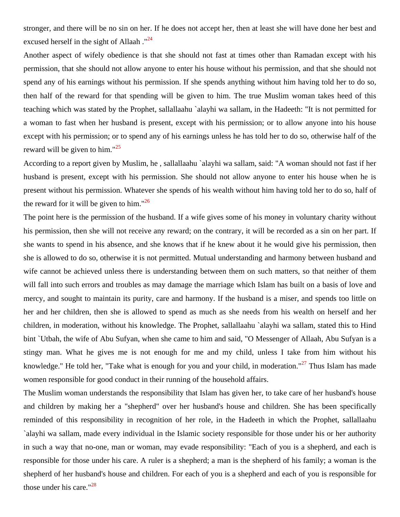stronger, and there will be no sin on her. If he does not accept her, then at least she will have done her best and excused herself in the sight of Allaah. $124$ 

Another aspect of wifely obedience is that she should not fast at times other than Ramadan except with his permission, that she should not allow anyone to enter his house without his permission, and that she should not spend any of his earnings without his permission. If she spends anything without him having told her to do so, then half of the reward for that spending will be given to him. The true Muslim woman takes heed of this teaching which was stated by the Prophet, sallallaahu `alayhi wa sallam, in the Hadeeth: "It is not permitted for a woman to fast when her husband is present, except with his permission; or to allow anyone into his house except with his permission; or to spend any of his earnings unless he has told her to do so, otherwise half of the reward will be given to him."<sup>25</sup>

According to a report given by Muslim, he , sallallaahu `alayhi wa sallam, said: "A woman should not fast if her husband is present, except with his permission. She should not allow anyone to enter his house when he is present without his permission. Whatever she spends of his wealth without him having told her to do so, half of the reward for it will be given to him." $^{26}$ 

The point here is the permission of the husband. If a wife gives some of his money in voluntary charity without his permission, then she will not receive any reward; on the contrary, it will be recorded as a sin on her part. If she wants to spend in his absence, and she knows that if he knew about it he would give his permission, then she is allowed to do so, otherwise it is not permitted. Mutual understanding and harmony between husband and wife cannot be achieved unless there is understanding between them on such matters, so that neither of them will fall into such errors and troubles as may damage the marriage which Islam has built on a basis of love and mercy, and sought to maintain its purity, care and harmony. If the husband is a miser, and spends too little on her and her children, then she is allowed to spend as much as she needs from his wealth on herself and her children, in moderation, without his knowledge. The Prophet, sallallaahu `alayhi wa sallam, stated this to Hind bint `Utbah, the wife of Abu Sufyan, when she came to him and said, "O Messenger of Allaah, Abu Sufyan is a stingy man. What he gives me is not enough for me and my child, unless I take from him without his knowledge." He told her, "Take what is enough for you and your child, in moderation."<sup>27</sup> Thus Islam has made women responsible for good conduct in their running of the household affairs.

The Muslim woman understands the responsibility that Islam has given her, to take care of her husband's house and children by making her a "shepherd" over her husband's house and children. She has been specifically reminded of this responsibility in recognition of her role, in the Hadeeth in which the Prophet, sallallaahu `alayhi wa sallam, made every individual in the Islamic society responsible for those under his or her authority in such a way that no-one, man or woman, may evade responsibility: "Each of you is a shepherd, and each is responsible for those under his care. A ruler is a shepherd; a man is the shepherd of his family; a woman is the shepherd of her husband's house and children. For each of you is a shepherd and each of you is responsible for those under his care." $^{28}$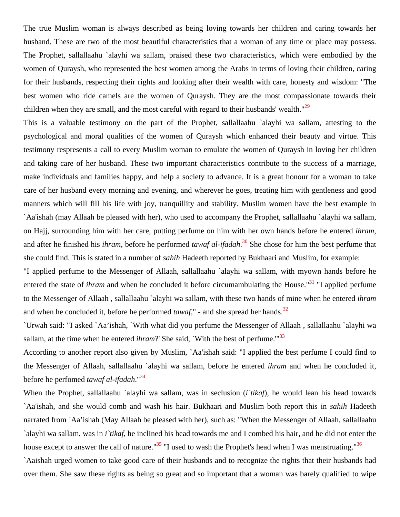The true Muslim woman is always described as being loving towards her children and caring towards her husband. These are two of the most beautiful characteristics that a woman of any time or place may possess. The Prophet, sallallaahu `alayhi wa sallam, praised these two characteristics, which were embodied by the women of Quraysh, who represented the best women among the Arabs in terms of loving their children, caring for their husbands, respecting their rights and looking after their wealth with care, honesty and wisdom: "The best women who ride camels are the women of Quraysh. They are the most compassionate towards their children when they are small, and the most careful with regard to their husbands' wealth."<sup>29</sup>

This is a valuable testimony on the part of the Prophet, sallallaahu `alayhi wa sallam, attesting to the psychological and moral qualities of the women of Quraysh which enhanced their beauty and virtue. This testimony respresents a call to every Muslim woman to emulate the women of Quraysh in loving her children and taking care of her husband. These two important characteristics contribute to the success of a marriage, make individuals and families happy, and help a society to advance. It is a great honour for a woman to take care of her husband every morning and evening, and wherever he goes, treating him with gentleness and good manners which will fill his life with joy, tranquillity and stability. Muslim women have the best example in `Aa'ishah (may Allaah be pleased with her), who used to accompany the Prophet, sallallaahu `alayhi wa sallam, on Hajj, surrounding him with her care, putting perfume on him with her own hands before he entered *ihram*, and after he finished his *ihram*, before he performed *tawaf al-ifadah*. 30 She chose for him the best perfume that she could find. This is stated in a number of *sahih* Hadeeth reported by Bukhaari and Muslim, for example:

"I applied perfume to the Messenger of Allaah, sallallaahu `alayhi wa sallam, with myown hands before he entered the state of *ihram* and when he concluded it before circumambulating the House.<sup>"31</sup> "I applied perfume to the Messenger of Allaah , sallallaahu `alayhi wa sallam, with these two hands of mine when he entered *ihram*  and when he concluded it, before he performed  $tawaf$ ," - and she spread her hands.<sup>32</sup>

`Urwah said: "I asked `Aa'ishah, `With what did you perfume the Messenger of Allaah , sallallaahu `alayhi wa sallam, at the time when he entered *ihram*?' She said, `With the best of perfume.'"<sup>33</sup>

According to another report also given by Muslim, `Aa'ishah said: "I applied the best perfume I could find to the Messenger of Allaah, sallallaahu `alayhi wa sallam, before he entered *ihram* and when he concluded it, before he perfomed *tawaf al-ifadah*."34

When the Prophet, sallallaahu `alayhi wa sallam, was in seclusion (*i`tikaf*), he would lean his head towards `Aa'ishah, and she would comb and wash his hair. Bukhaari and Muslim both report this in *sahih* Hadeeth narrated from `Aa'ishah (May Allaah be pleased with her), such as: "When the Messenger of Allaah, sallallaahu `alayhi wa sallam, was in *i`tikaf*, he inclined his head towards me and I combed his hair, and he did not enter the house except to answer the call of nature."<sup>35</sup> "I used to wash the Prophet's head when I was menstruating."<sup>36</sup>

`Aaishah urged women to take good care of their husbands and to recognize the rights that their husbands had over them. She saw these rights as being so great and so important that a woman was barely qualified to wipe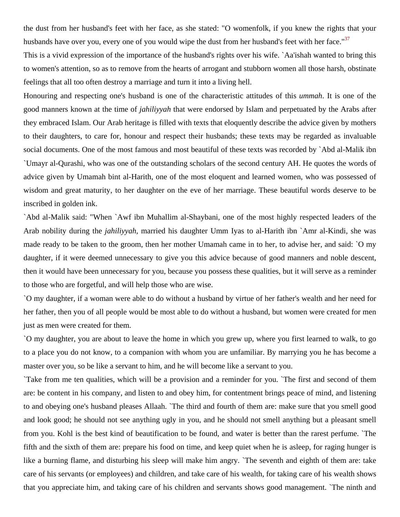the dust from her husband's feet with her face, as she stated: "O womenfolk, if you knew the rights that your husbands have over you, every one of you would wipe the dust from her husband's feet with her face."<sup>37</sup>

This is a vivid expression of the importance of the husband's rights over his wife. `Aa'ishah wanted to bring this to women's attention, so as to remove from the hearts of arrogant and stubborn women all those harsh, obstinate feelings that all too often destroy a marriage and turn it into a living hell.

Honouring and respecting one's husband is one of the characteristic attitudes of this *ummah*. It is one of the good manners known at the time of *jahiliyyah* that were endorsed by Islam and perpetuated by the Arabs after they embraced Islam. Our Arab heritage is filled with texts that eloquently describe the advice given by mothers to their daughters, to care for, honour and respect their husbands; these texts may be regarded as invaluable social documents. One of the most famous and most beautiful of these texts was recorded by `Abd al-Malik ibn `Umayr al-Qurashi, who was one of the outstanding scholars of the second century AH. He quotes the words of advice given by Umamah bint al-Harith, one of the most eloquent and learned women, who was possessed of wisdom and great maturity, to her daughter on the eve of her marriage. These beautiful words deserve to be inscribed in golden ink.

`Abd al-Malik said: "When `Awf ibn Muhallim al-Shaybani, one of the most highly respected leaders of the Arab nobility during the *jahiliyyah*, married his daughter Umm Iyas to al-Harith ibn `Amr al-Kindi, she was made ready to be taken to the groom, then her mother Umamah came in to her, to advise her, and said: `O my daughter, if it were deemed unnecessary to give you this advice because of good manners and noble descent, then it would have been unnecessary for you, because you possess these qualities, but it will serve as a reminder to those who are forgetful, and will help those who are wise.

`O my daughter, if a woman were able to do without a husband by virtue of her father's wealth and her need for her father, then you of all people would be most able to do without a husband, but women were created for men just as men were created for them.

`O my daughter, you are about to leave the home in which you grew up, where you first learned to walk, to go to a place you do not know, to a companion with whom you are unfamiliar. By marrying you he has become a master over you, so be like a servant to him, and he will become like a servant to you.

`Take from me ten qualities, which will be a provision and a reminder for you. `The first and second of them are: be content in his company, and listen to and obey him, for contentment brings peace of mind, and listening to and obeying one's husband pleases Allaah. `The third and fourth of them are: make sure that you smell good and look good; he should not see anything ugly in you, and he should not smell anything but a pleasant smell from you. Kohl is the best kind of beautification to be found, and water is better than the rarest perfume. `The fifth and the sixth of them are: prepare his food on time, and keep quiet when he is asleep, for raging hunger is like a burning flame, and disturbing his sleep will make him angry. `The seventh and eighth of them are: take care of his servants (or employees) and children, and take care of his wealth, for taking care of his wealth shows that you appreciate him, and taking care of his children and servants shows good management. `The ninth and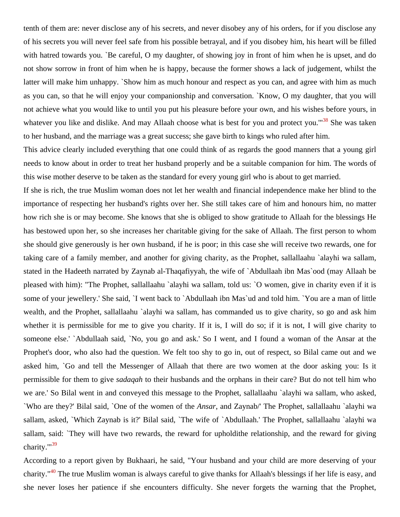tenth of them are: never disclose any of his secrets, and never disobey any of his orders, for if you disclose any of his secrets you will never feel safe from his possible betrayal, and if you disobey him, his heart will be filled with hatred towards you. `Be careful, O my daughter, of showing joy in front of him when he is upset, and do not show sorrow in front of him when he is happy, because the former shows a lack of judgement, whilst the latter will make him unhappy. `Show him as much honour and respect as you can, and agree with him as much as you can, so that he will enjoy your companionship and conversation. `Know, O my daughter, that you will not achieve what you would like to until you put his pleasure before your own, and his wishes before yours, in whatever you like and dislike. And may Allaah choose what is best for you and protect you."<sup>38</sup> She was taken to her husband, and the marriage was a great success; she gave birth to kings who ruled after him.

This advice clearly included everything that one could think of as regards the good manners that a young girl needs to know about in order to treat her husband properly and be a suitable companion for him. The words of this wise mother deserve to be taken as the standard for every young girl who is about to get married.

If she is rich, the true Muslim woman does not let her wealth and financial independence make her blind to the importance of respecting her husband's rights over her. She still takes care of him and honours him, no matter how rich she is or may become. She knows that she is obliged to show gratitude to Allaah for the blessings He has bestowed upon her, so she increases her charitable giving for the sake of Allaah. The first person to whom she should give generously is her own husband, if he is poor; in this case she will receive two rewards, one for taking care of a family member, and another for giving charity, as the Prophet, sallallaahu `alayhi wa sallam, stated in the Hadeeth narrated by Zaynab al-Thaqafiyyah, the wife of `Abdullaah ibn Mas`ood (may Allaah be pleased with him): "The Prophet, sallallaahu `alayhi wa sallam, told us: `O women, give in charity even if it is some of your jewellery.' She said, `I went back to `Abdullaah ibn Mas`ud and told him. `You are a man of little wealth, and the Prophet, sallallaahu `alayhi wa sallam, has commanded us to give charity, so go and ask him whether it is permissible for me to give you charity. If it is, I will do so; if it is not, I will give charity to someone else.' `Abdullaah said, `No, you go and ask.' So I went, and I found a woman of the Ansar at the Prophet's door, who also had the question. We felt too shy to go in, out of respect, so Bilal came out and we asked him, `Go and tell the Messenger of Allaah that there are two women at the door asking you: Is it permissible for them to give *sadaqah* to their husbands and the orphans in their care? But do not tell him who we are.' So Bilal went in and conveyed this message to the Prophet, sallallaahu `alayhi wa sallam, who asked, `Who are they?' Bilal said, `One of the women of the *Ansar*, and Zaynab/' The Prophet, sallallaahu `alayhi wa sallam, asked, `Which Zaynab is it?' Bilal said, `The wife of `Abdullaah.' The Prophet, sallallaahu `alayhi wa sallam, said: `They will have two rewards, the reward for upholdithe relationship, and the reward for giving charity.'"<sup>39</sup>

According to a report given by Bukhaari, he said, "Your husband and your child are more deserving of your charity."40 The true Muslim woman is always careful to give thanks for Allaah's blessings if her life is easy, and she never loses her patience if she encounters difficulty. She never forgets the warning that the Prophet,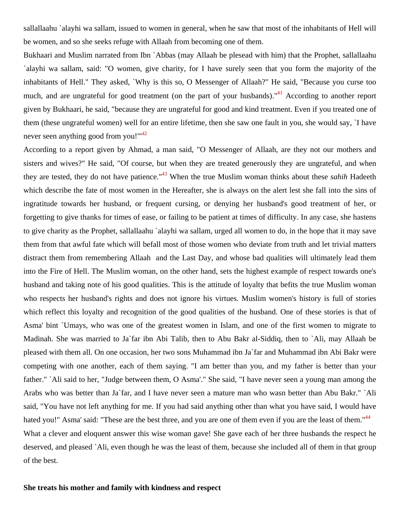sallallaahu `alayhi wa sallam, issued to women in general, when he saw that most of the inhabitants of Hell will be women, and so she seeks refuge with Allaah from becoming one of them.

Bukhaari and Muslim narrated from Ibn `Abbas (may Allaah be plesead with him) that the Prophet, sallallaahu `alayhi wa sallam, said: "O women, give charity, for I have surely seen that you form the majority of the inhabitants of Hell." They asked, `Why is this so, O Messenger of Allaah?" He said, "Because you curse too much, and are ungrateful for good treatment (on the part of your husbands)."<sup>41</sup> According to another report given by Bukhaari, he said, "because they are ungrateful for good and kind treatment. Even if you treated one of them (these ungrateful women) well for an entire lifetime, then she saw one fault in you, she would say, `I have never seen anything good from you!"<sup>42</sup>

According to a report given by Ahmad, a man said, "O Messenger of Allaah, are they not our mothers and sisters and wives?" He said, "Of course, but when they are treated generously they are ungrateful, and when they are tested, they do not have patience."43 When the true Muslim woman thinks about these *sahih* Hadeeth which describe the fate of most women in the Hereafter, she is always on the alert lest she fall into the sins of ingratitude towards her husband, or frequent cursing, or denying her husband's good treatment of her, or forgetting to give thanks for times of ease, or failing to be patient at times of difficulty. In any case, she hastens to give charity as the Prophet, sallallaahu `alayhi wa sallam, urged all women to do, in the hope that it may save them from that awful fate which will befall most of those women who deviate from truth and let trivial matters distract them from remembering Allaah and the Last Day, and whose bad qualities will ultimately lead them into the Fire of Hell. The Muslim woman, on the other hand, sets the highest example of respect towards one's husband and taking note of his good qualities. This is the attitude of loyalty that befits the true Muslim woman who respects her husband's rights and does not ignore his virtues. Muslim women's history is full of stories which reflect this loyalty and recognition of the good qualities of the husband. One of these stories is that of Asma' bint `Umays, who was one of the greatest women in Islam, and one of the first women to migrate to Madinah. She was married to Ja`far ibn Abi Talib, then to Abu Bakr al-Siddiq, then to `Ali, may Allaah be pleased with them all. On one occasion, her two sons Muhammad ibn Ja`far and Muhammad ibn Abi Bakr were competing with one another, each of them saying. "I am better than you, and my father is better than your father." `Ali said to her, "Judge between them, O Asma'." She said, "I have never seen a young man among the Arabs who was better than Ja`far, and I have never seen a mature man who wasn better than Abu Bakr." `Ali said, "You have not left anything for me. If you had said anything other than what you have said, I would have hated you!" Asma' said: "These are the best three, and you are one of them even if you are the least of them."<sup>44</sup> What a clever and eloquent answer this wise woman gave! She gave each of her three husbands the respect he deserved, and pleased `Ali, even though he was the least of them, because she included all of them in that group of the best.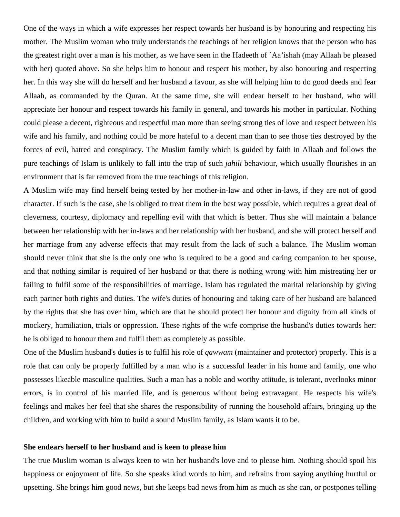One of the ways in which a wife expresses her respect towards her husband is by honouring and respecting his mother. The Muslim woman who truly understands the teachings of her religion knows that the person who has the greatest right over a man is his mother, as we have seen in the Hadeeth of `Aa'ishah (may Allaah be pleased with her) quoted above. So she helps him to honour and respect his mother, by also honouring and respecting her. In this way she will do herself and her husband a favour, as she will helping him to do good deeds and fear Allaah, as commanded by the Quran. At the same time, she will endear herself to her husband, who will appreciate her honour and respect towards his family in general, and towards his mother in particular. Nothing could please a decent, righteous and respectful man more than seeing strong ties of love and respect between his wife and his family, and nothing could be more hateful to a decent man than to see those ties destroyed by the forces of evil, hatred and conspiracy. The Muslim family which is guided by faith in Allaah and follows the pure teachings of Islam is unlikely to fall into the trap of such *jahili* behaviour, which usually flourishes in an environment that is far removed from the true teachings of this religion.

A Muslim wife may find herself being tested by her mother-in-law and other in-laws, if they are not of good character. If such is the case, she is obliged to treat them in the best way possible, which requires a great deal of cleverness, courtesy, diplomacy and repelling evil with that which is better. Thus she will maintain a balance between her relationship with her in-laws and her relationship with her husband, and she will protect herself and her marriage from any adverse effects that may result from the lack of such a balance. The Muslim woman should never think that she is the only one who is required to be a good and caring companion to her spouse, and that nothing similar is required of her husband or that there is nothing wrong with him mistreating her or failing to fulfil some of the responsibilities of marriage. Islam has regulated the marital relationship by giving each partner both rights and duties. The wife's duties of honouring and taking care of her husband are balanced by the rights that she has over him, which are that he should protect her honour and dignity from all kinds of mockery, humiliation, trials or oppression. These rights of the wife comprise the husband's duties towards her: he is obliged to honour them and fulfil them as completely as possible.

One of the Muslim husband's duties is to fulfil his role of *qawwam* (maintainer and protector) properly. This is a role that can only be properly fulfilled by a man who is a successful leader in his home and family, one who possesses likeable masculine qualities. Such a man has a noble and worthy attitude, is tolerant, overlooks minor errors, is in control of his married life, and is generous without being extravagant. He respects his wife's feelings and makes her feel that she shares the responsibility of running the household affairs, bringing up the children, and working with him to build a sound Muslim family, as Islam wants it to be.

## **She endears herself to her husband and is keen to please him**

The true Muslim woman is always keen to win her husband's love and to please him. Nothing should spoil his happiness or enjoyment of life. So she speaks kind words to him, and refrains from saying anything hurtful or upsetting. She brings him good news, but she keeps bad news from him as much as she can, or postpones telling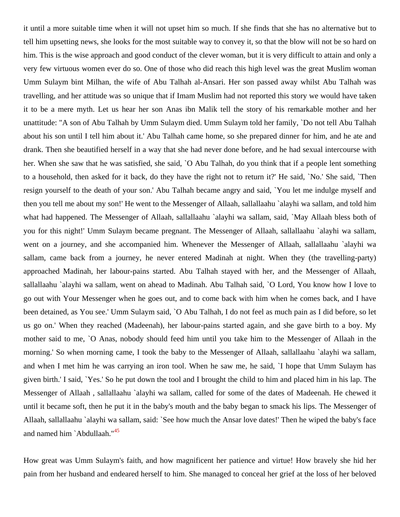it until a more suitable time when it will not upset him so much. If she finds that she has no alternative but to tell him upsetting news, she looks for the most suitable way to convey it, so that the blow will not be so hard on him. This is the wise approach and good conduct of the clever woman, but it is very difficult to attain and only a very few virtuous women ever do so. One of those who did reach this high level was the great Muslim woman Umm Sulaym bint Milhan, the wife of Abu Talhah al-Ansari. Her son passed away whilst Abu Talhah was travelling, and her attitude was so unique that if Imam Muslim had not reported this story we would have taken it to be a mere myth. Let us hear her son Anas ibn Malik tell the story of his remarkable mother and her unattitude: "A son of Abu Talhah by Umm Sulaym died. Umm Sulaym told her family, `Do not tell Abu Talhah about his son until I tell him about it.' Abu Talhah came home, so she prepared dinner for him, and he ate and drank. Then she beautified herself in a way that she had never done before, and he had sexual intercourse with her. When she saw that he was satisfied, she said, `O Abu Talhah, do you think that if a people lent something to a household, then asked for it back, do they have the right not to return it?' He said, `No.' She said, `Then resign yourself to the death of your son.' Abu Talhah became angry and said, `You let me indulge myself and then you tell me about my son!' He went to the Messenger of Allaah, sallallaahu `alayhi wa sallam, and told him what had happened. The Messenger of Allaah, sallallaahu `alayhi wa sallam, said, `May Allaah bless both of you for this night!' Umm Sulaym became pregnant. The Messenger of Allaah, sallallaahu `alayhi wa sallam, went on a journey, and she accompanied him. Whenever the Messenger of Allaah, sallallaahu `alayhi wa sallam, came back from a journey, he never entered Madinah at night. When they (the travelling-party) approached Madinah, her labour-pains started. Abu Talhah stayed with her, and the Messenger of Allaah, sallallaahu `alayhi wa sallam, went on ahead to Madinah. Abu Talhah said, `O Lord, You know how I love to go out with Your Messenger when he goes out, and to come back with him when he comes back, and I have been detained, as You see.' Umm Sulaym said, `O Abu Talhah, I do not feel as much pain as I did before, so let us go on.' When they reached (Madeenah), her labour-pains started again, and she gave birth to a boy. My mother said to me, `O Anas, nobody should feed him until you take him to the Messenger of Allaah in the morning.' So when morning came, I took the baby to the Messenger of Allaah, sallallaahu `alayhi wa sallam, and when I met him he was carrying an iron tool. When he saw me, he said, `I hope that Umm Sulaym has given birth.' I said, `Yes.' So he put down the tool and I brought the child to him and placed him in his lap. The Messenger of Allaah, sallallaahu `alayhi wa sallam, called for some of the dates of Madeenah. He chewed it until it became soft, then he put it in the baby's mouth and the baby began to smack his lips. The Messenger of Allaah, sallallaahu `alayhi wa sallam, said: `See how much the Ansar love dates!' Then he wiped the baby's face and named him `Abdullaah."<sup>45</sup>

How great was Umm Sulaym's faith, and how magnificent her patience and virtue! How bravely she hid her pain from her husband and endeared herself to him. She managed to conceal her grief at the loss of her beloved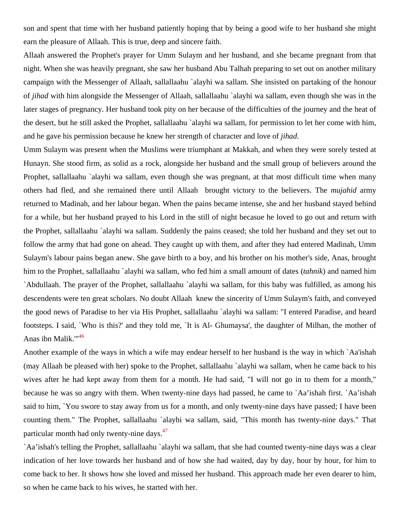son and spent that time with her husband patiently hoping that by being a good wife to her husband she might earn the pleasure of Allaah. This is true, deep and sincere faith.

Allaah answered the Prophet's prayer for Umm Sulaym and her husband, and she became pregnant from that night. When she was heavily pregnant, she saw her husband Abu Talhah preparing to set out on another military campaign with the Messenger of Allaah, sallallaahu `alayhi wa sallam. She insisted on partaking of the honour of *jihad* with him alongside the Messenger of Allaah, sallallaahu `alayhi wa sallam, even though she was in the later stages of pregnancy. Her husband took pity on her because of the difficulties of the journey and the heat of the desert, but he still asked the Prophet, sallallaahu `alayhi wa sallam, for permission to let her come with him, and he gave his permission because he knew her strength of character and love of *jihad*.

Umm Sulaym was present when the Muslims were triumphant at Makkah, and when they were sorely tested at Hunayn. She stood firm, as solid as a rock, alongside her husband and the small group of believers around the Prophet, sallallaahu `alayhi wa sallam, even though she was pregnant, at that most difficult time when many others had fled, and she remained there until Allaah brought victory to the believers. The *mujahid* army returned to Madinah, and her labour began. When the pains became intense, she and her husband stayed behind for a while, but her husband prayed to his Lord in the still of night becasue he loved to go out and return with the Prophet, sallallaahu `alayhi wa sallam. Suddenly the pains ceased; she told her husband and they set out to follow the army that had gone on ahead. They caught up with them, and after they had entered Madinah, Umm Sulaym's labour pains began anew. She gave birth to a boy, and his brother on his mother's side, Anas, brought him to the Prophet, sallallaahu `alayhi wa sallam, who fed him a small amount of dates (*tahnik*) and named him `Abdullaah. The prayer of the Prophet, sallallaahu `alayhi wa sallam, for this baby was fulfilled, as among his descendents were ten great scholars. No doubt Allaah knew the sincerity of Umm Sulaym's faith, and conveyed the good news of Paradise to her via His Prophet, sallallaahu `alayhi wa sallam: "I entered Paradise, and heard footsteps. I said, `Who is this?' and they told me, `It is Al- Ghumaysa', the daughter of Milhan, the mother of Anas ibn Malik.'"<sup>46</sup>

Another example of the ways in which a wife may endear herself to her husband is the way in which `Aa'ishah (may Allaah be pleased with her) spoke to the Prophet, sallallaahu `alayhi wa sallam, when he came back to his wives after he had kept away from them for a month. He had said, "I will not go in to them for a month," because he was so angry with them. When twenty-nine days had passed, he came to `Aa'ishah first. `Aa'ishah said to him, `You swore to stay away from us for a month, and only twenty-nine days have passed; I have been counting them." The Prophet, sallallaahu `alayhi wa sallam, said, "This month has twenty-nine days." That particular month had only twenty-nine days.47

`Aa'ishah's telling the Prophet, sallallaahu `alayhi wa sallam, that she had counted twenty-nine days was a clear indication of her love towards her husband and of how she had waited, day by day, hour by hour, for him to come back to her. It shows how she loved and missed her husband. This approach made her even dearer to him, so when he came back to his wives, he started with her.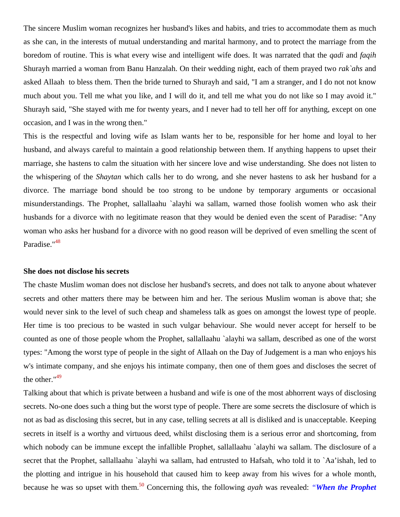The sincere Muslim woman recognizes her husband's likes and habits, and tries to accommodate them as much as she can, in the interests of mutual understanding and marital harmony, and to protect the marriage from the boredom of routine. This is what every wise and intelligent wife does. It was narrated that the *qadi* and *faqih*  Shurayh married a woman from Banu Hanzalah. On their wedding night, each of them prayed two *rak`ahs* and asked Allaah to bless them. Then the bride turned to Shurayh and said, "I am a stranger, and I do not not know much about you. Tell me what you like, and I will do it, and tell me what you do not like so I may avoid it." Shurayh said, "She stayed with me for twenty years, and I never had to tell her off for anything, except on one occasion, and I was in the wrong then."

This is the respectful and loving wife as Islam wants her to be, responsible for her home and loyal to her husband, and always careful to maintain a good relationship between them. If anything happens to upset their marriage, she hastens to calm the situation with her sincere love and wise understanding. She does not listen to the whispering of the *Shaytan* which calls her to do wrong, and she never hastens to ask her husband for a divorce. The marriage bond should be too strong to be undone by temporary arguments or occasional misunderstandings. The Prophet, sallallaahu `alayhi wa sallam, warned those foolish women who ask their husbands for a divorce with no legitimate reason that they would be denied even the scent of Paradise: "Any woman who asks her husband for a divorce with no good reason will be deprived of even smelling the scent of Paradise."<sup>48</sup>

### **She does not disclose his secrets**

The chaste Muslim woman does not disclose her husband's secrets, and does not talk to anyone about whatever secrets and other matters there may be between him and her. The serious Muslim woman is above that; she would never sink to the level of such cheap and shameless talk as goes on amongst the lowest type of people. Her time is too precious to be wasted in such vulgar behaviour. She would never accept for herself to be counted as one of those people whom the Prophet, sallallaahu `alayhi wa sallam, described as one of the worst types: "Among the worst type of people in the sight of Allaah on the Day of Judgement is a man who enjoys his w's intimate company, and she enjoys his intimate company, then one of them goes and discloses the secret of the other."<sup>49</sup>

Talking about that which is private between a husband and wife is one of the most abhorrent ways of disclosing secrets. No-one does such a thing but the worst type of people. There are some secrets the disclosure of which is not as bad as disclosing this secret, but in any case, telling secrets at all is disliked and is unacceptable. Keeping secrets in itself is a worthy and virtuous deed, whilst disclosing them is a serious error and shortcoming, from which nobody can be immune except the infallible Prophet, sallallaahu `alayhi wa sallam. The disclosure of a secret that the Prophet, sallallaahu `alayhi wa sallam, had entrusted to Hafsah, who told it to `Aa'ishah, led to the plotting and intrigue in his household that caused him to keep away from his wives for a whole month, because he was so upset with them.50 Concerning this, the following *ayah* was revealed: *"When the Prophet*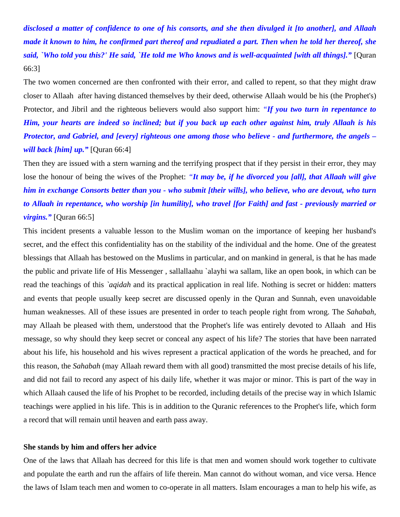*disclosed a matter of confidence to one of his consorts, and she then divulged it [to another], and Allaah made it known to him, he confirmed part thereof and repudiated a part. Then when he told her thereof, she said, `Who told you this?' He said, `He told me Who knows and is well-acquainted [with all things]."* [Quran 66:3]

The two women concerned are then confronted with their error, and called to repent, so that they might draw closer to Allaah after having distanced themselves by their deed, otherwise Allaah would be his (the Prophet's) Protector, and Jibril and the righteous believers would also support him: *"If you two turn in repentance to Him, your hearts are indeed so inclined; but if you back up each other against him, truly Allaah is his Protector, and Gabriel, and [every] righteous one among those who believe - and furthermore, the angels – will back [him] up."* [Quran 66:4]

Then they are issued with a stern warning and the terrifying prospect that if they persist in their error, they may lose the honour of being the wives of the Prophet: *"It may be, if he divorced you [all], that Allaah will give him in exchange Consorts better than you - who submit [their wills], who believe, who are devout, who turn to Allaah in repentance, who worship [in humility], who travel [for Faith] and fast - previously married or virgins."* [Quran 66:5]

This incident presents a valuable lesson to the Muslim woman on the importance of keeping her husband's secret, and the effect this confidentiality has on the stability of the individual and the home. One of the greatest blessings that Allaah has bestowed on the Muslims in particular, and on mankind in general, is that he has made the public and private life of His Messenger , sallallaahu `alayhi wa sallam, like an open book, in which can be read the teachings of this *`aqidah* and its practical application in real life. Nothing is secret or hidden: matters and events that people usually keep secret are discussed openly in the Quran and Sunnah, even unavoidable human weaknesses. All of these issues are presented in order to teach people right from wrong. The *Sahabah*, may Allaah be pleased with them, understood that the Prophet's life was entirely devoted to Allaah and His message, so why should they keep secret or conceal any aspect of his life? The stories that have been narrated about his life, his household and his wives represent a practical application of the words he preached, and for this reason, the *Sahabah* (may Allaah reward them with all good) transmitted the most precise details of his life, and did not fail to record any aspect of his daily life, whether it was major or minor. This is part of the way in which Allaah caused the life of his Prophet to be recorded, including details of the precise way in which Islamic teachings were applied in his life. This is in addition to the Quranic references to the Prophet's life, which form a record that will remain until heaven and earth pass away.

### **She stands by him and offers her advice**

One of the laws that Allaah has decreed for this life is that men and women should work together to cultivate and populate the earth and run the affairs of life therein. Man cannot do without woman, and vice versa. Hence the laws of Islam teach men and women to co-operate in all matters. Islam encourages a man to help his wife, as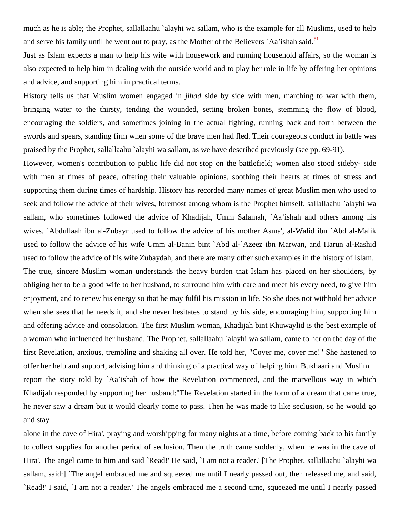much as he is able; the Prophet, sallallaahu `alayhi wa sallam, who is the example for all Muslims, used to help and serve his family until he went out to pray, as the Mother of the Believers `Aa'ishah said.<sup>51</sup>

Just as Islam expects a man to help his wife with housework and running household affairs, so the woman is also expected to help him in dealing with the outside world and to play her role in life by offering her opinions and advice, and supporting him in practical terms.

History tells us that Muslim women engaged in *jihad* side by side with men, marching to war with them, bringing water to the thirsty, tending the wounded, setting broken bones, stemming the flow of blood, encouraging the soldiers, and sometimes joining in the actual fighting, running back and forth between the swords and spears, standing firm when some of the brave men had fled. Their courageous conduct in battle was praised by the Prophet, sallallaahu `alayhi wa sallam, as we have described previously (see pp. 69-91).

However, women's contribution to public life did not stop on the battlefield; women also stood sideby- side with men at times of peace, offering their valuable opinions, soothing their hearts at times of stress and supporting them during times of hardship. History has recorded many names of great Muslim men who used to seek and follow the advice of their wives, foremost among whom is the Prophet himself, sallallaahu `alayhi wa sallam, who sometimes followed the advice of Khadijah, Umm Salamah, `Aa'ishah and others among his wives. `Abdullaah ibn al-Zubayr used to follow the advice of his mother Asma', al-Walid ibn `Abd al-Malik used to follow the advice of his wife Umm al-Banin bint `Abd al-`Azeez ibn Marwan, and Harun al-Rashid used to follow the advice of his wife Zubaydah, and there are many other such examples in the history of Islam. The true, sincere Muslim woman understands the heavy burden that Islam has placed on her shoulders, by obliging her to be a good wife to her husband, to surround him with care and meet his every need, to give him enjoyment, and to renew his energy so that he may fulfil his mission in life. So she does not withhold her advice when she sees that he needs it, and she never hesitates to stand by his side, encouraging him, supporting him and offering advice and consolation. The first Muslim woman, Khadijah bint Khuwaylid is the best example of a woman who influenced her husband. The Prophet, sallallaahu `alayhi wa sallam, came to her on the day of the first Revelation, anxious, trembling and shaking all over. He told her, "Cover me, cover me!" She hastened to offer her help and support, advising him and thinking of a practical way of helping him. Bukhaari and Muslim report the story told by `Aa'ishah of how the Revelation commenced, and the marvellous way in which Khadijah responded by supporting her husband:"The Revelation started in the form of a dream that came true, he never saw a dream but it would clearly come to pass. Then he was made to like seclusion, so he would go and stay

alone in the cave of Hira', praying and worshipping for many nights at a time, before coming back to his family to collect supplies for another period of seclusion. Then the truth came suddenly, when he was in the cave of Hira'. The angel came to him and said `Read!' He said, `I am not a reader.' [The Prophet, sallallaahu `alayhi wa sallam, said:] `The angel embraced me and squeezed me until I nearly passed out, then released me, and said, `Read!' I said, `I am not a reader.' The angels embraced me a second time, squeezed me until I nearly passed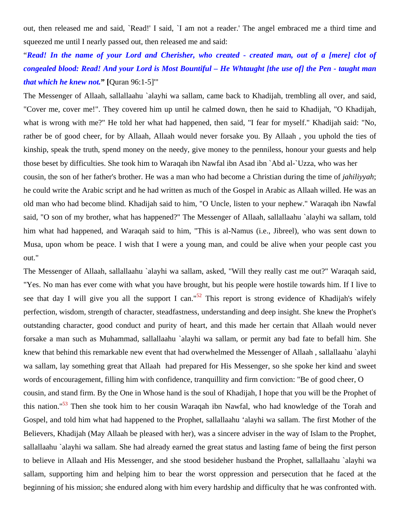out, then released me and said, `Read!' I said, `I am not a reader.' The angel embraced me a third time and squeezed me until I nearly passed out, then released me and said:

"*Read! In the name of your Lord and Cherisher, who created - created man, out of a [mere] clot of congealed blood: Read! And your Lord is Most Bountiful – He Whtaught [the use of] the Pen - taught man that which he knew not.***" [**Quran 96:1-5]'"

The Messenger of Allaah, sallallaahu `alayhi wa sallam, came back to Khadijah, trembling all over, and said, "Cover me, cover me!". They covered him up until he calmed down, then he said to Khadijah, "O Khadijah, what is wrong with me?" He told her what had happened, then said, "I fear for myself." Khadijah said: "No, rather be of good cheer, for by Allaah, Allaah would never forsake you. By Allaah , you uphold the ties of kinship, speak the truth, spend money on the needy, give money to the penniless, honour your guests and help those beset by difficulties. She took him to Waraqah ibn Nawfal ibn Asad ibn `Abd al-`Uzza, who was her cousin, the son of her father's brother. He was a man who had become a Christian during the time of *jahiliyyah*; he could write the Arabic script and he had written as much of the Gospel in Arabic as Allaah willed. He was an old man who had become blind. Khadijah said to him, "O Uncle, listen to your nephew." Waraqah ibn Nawfal said, "O son of my brother, what has happened?" The Messenger of Allaah, sallallaahu `alayhi wa sallam, told him what had happened, and Waraqah said to him, "This is al-Namus (i.e., Jibreel), who was sent down to Musa, upon whom be peace. I wish that I were a young man, and could be alive when your people cast you out."

The Messenger of Allaah, sallallaahu `alayhi wa sallam, asked, "Will they really cast me out?" Waraqah said, "Yes. No man has ever come with what you have brought, but his people were hostile towards him. If I live to see that day I will give you all the support I can."<sup>52</sup> This report is strong evidence of Khadijah's wifely perfection, wisdom, strength of character, steadfastness, understanding and deep insight. She knew the Prophet's outstanding character, good conduct and purity of heart, and this made her certain that Allaah would never forsake a man such as Muhammad, sallallaahu `alayhi wa sallam, or permit any bad fate to befall him. She knew that behind this remarkable new event that had overwhelmed the Messenger of Allaah , sallallaahu `alayhi wa sallam, lay something great that Allaah had prepared for His Messenger, so she spoke her kind and sweet words of encouragement, filling him with confidence, tranquillity and firm conviction: "Be of good cheer, O cousin, and stand firm. By the One in Whose hand is the soul of Khadijah, I hope that you will be the Prophet of this nation."<sup>53</sup> Then she took him to her cousin Waraqah ibn Nawfal, who had knowledge of the Torah and Gospel, and told him what had happened to the Prophet, sallallaahu 'alayhi wa sallam. The first Mother of the Believers, Khadijah (May Allaah be pleased with her), was a sincere adviser in the way of Islam to the Prophet, sallallaahu `alayhi wa sallam. She had already earned the great status and lasting fame of being the first person to believe in Allaah and His Messenger, and she stood besideher husband the Prophet, sallallaahu `alayhi wa sallam, supporting him and helping him to bear the worst oppression and persecution that he faced at the beginning of his mission; she endured along with him every hardship and difficulty that he was confronted with.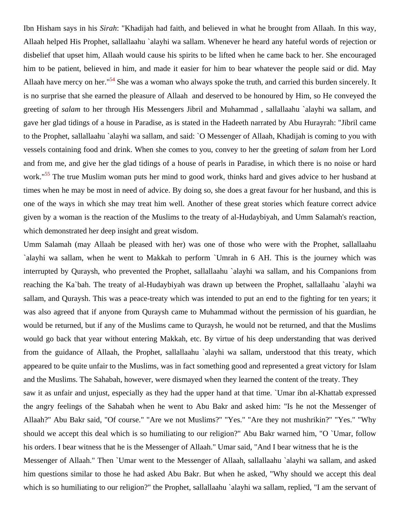Ibn Hisham says in his *Sirah*: "Khadijah had faith, and believed in what he brought from Allaah. In this way, Allaah helped His Prophet, sallallaahu `alayhi wa sallam. Whenever he heard any hateful words of rejection or disbelief that upset him, Allaah would cause his spirits to be lifted when he came back to her. She encouraged him to be patient, believed in him, and made it easier for him to bear whatever the people said or did. May Allaah have mercy on her."<sup>54</sup> She was a woman who always spoke the truth, and carried this burden sincerely. It is no surprise that she earned the pleasure of Allaah and deserved to be honoured by Him, so He conveyed the greeting of *salam* to her through His Messengers Jibril and Muhammad , sallallaahu `alayhi wa sallam, and gave her glad tidings of a house in Paradise, as is stated in the Hadeeth narrated by Abu Hurayrah: "Jibril came to the Prophet, sallallaahu `alayhi wa sallam, and said: `O Messenger of Allaah, Khadijah is coming to you with vessels containing food and drink. When she comes to you, convey to her the greeting of *salam* from her Lord and from me, and give her the glad tidings of a house of pearls in Paradise, in which there is no noise or hard work."<sup>55</sup> The true Muslim woman puts her mind to good work, thinks hard and gives advice to her husband at times when he may be most in need of advice. By doing so, she does a great favour for her husband, and this is one of the ways in which she may treat him well. Another of these great stories which feature correct advice given by a woman is the reaction of the Muslims to the treaty of al-Hudaybiyah, and Umm Salamah's reaction, which demonstrated her deep insight and great wisdom.

Umm Salamah (may Allaah be pleased with her) was one of those who were with the Prophet, sallallaahu `alayhi wa sallam, when he went to Makkah to perform `Umrah in 6 AH. This is the journey which was interrupted by Quraysh, who prevented the Prophet, sallallaahu `alayhi wa sallam, and his Companions from reaching the Ka`bah. The treaty of al-Hudaybiyah was drawn up between the Prophet, sallallaahu `alayhi wa sallam, and Quraysh. This was a peace-treaty which was intended to put an end to the fighting for ten years; it was also agreed that if anyone from Quraysh came to Muhammad without the permission of his guardian, he would be returned, but if any of the Muslims came to Quraysh, he would not be returned, and that the Muslims would go back that year without entering Makkah, etc. By virtue of his deep understanding that was derived from the guidance of Allaah, the Prophet, sallallaahu `alayhi wa sallam, understood that this treaty, which appeared to be quite unfair to the Muslims, was in fact something good and represented a great victory for Islam and the Muslims. The Sahabah, however, were dismayed when they learned the content of the treaty. They saw it as unfair and unjust, especially as they had the upper hand at that time. `Umar ibn al-Khattab expressed the angry feelings of the Sahabah when he went to Abu Bakr and asked him: "Is he not the Messenger of Allaah?" Abu Bakr said, "Of course." "Are we not Muslims?" "Yes." "Are they not mushrikin?" "Yes." "Why should we accept this deal which is so humiliating to our religion?" Abu Bakr warned him, "O `Umar, follow his orders. I bear witness that he is the Messenger of Allaah." Umar said, "And I bear witness that he is the Messenger of Allaah." Then `Umar went to the Messenger of Allaah, sallallaahu `alayhi wa sallam, and asked him questions similar to those he had asked Abu Bakr. But when he asked, "Why should we accept this deal which is so humiliating to our religion?" the Prophet, sallallaahu `alayhi wa sallam, replied, "I am the servant of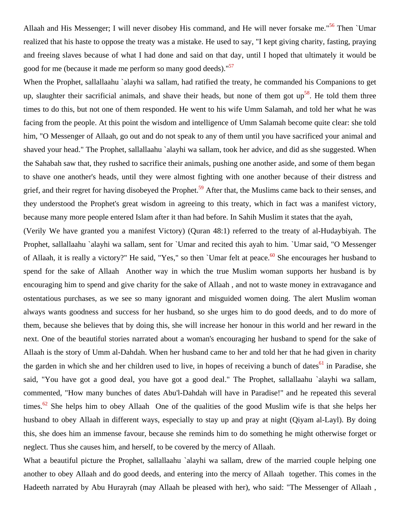Allaah and His Messenger; I will never disobey His command, and He will never forsake me."56 Then `Umar realized that his haste to oppose the treaty was a mistake. He used to say, "I kept giving charity, fasting, praying and freeing slaves because of what I had done and said on that day, until I hoped that ultimately it would be good for me (because it made me perform so many good deeds)."<sup>57</sup>

When the Prophet, sallallaahu `alayhi wa sallam, had ratified the treaty, he commanded his Companions to get up, slaughter their sacrificial animals, and shave their heads, but none of them got up<sup>58</sup>. He told them three times to do this, but not one of them responded. He went to his wife Umm Salamah, and told her what he was facing from the people. At this point the wisdom and intelligence of Umm Salamah become quite clear: she told him, "O Messenger of Allaah, go out and do not speak to any of them until you have sacrificed your animal and shaved your head." The Prophet, sallallaahu `alayhi wa sallam, took her advice, and did as she suggested. When the Sahabah saw that, they rushed to sacrifice their animals, pushing one another aside, and some of them began to shave one another's heads, until they were almost fighting with one another because of their distress and grief, and their regret for having disobeyed the Prophet.<sup>59</sup> After that, the Muslims came back to their senses, and they understood the Prophet's great wisdom in agreeing to this treaty, which in fact was a manifest victory, because many more people entered Islam after it than had before. In Sahih Muslim it states that the ayah,

(Verily We have granted you a manifest Victory) (Quran 48:1) referred to the treaty of al-Hudaybiyah. The Prophet, sallallaahu `alayhi wa sallam, sent for `Umar and recited this ayah to him. `Umar said, "O Messenger of Allaah, it is really a victory?" He said, "Yes," so then `Umar felt at peace. $60$  She encourages her husband to spend for the sake of Allaah Another way in which the true Muslim woman supports her husband is by encouraging him to spend and give charity for the sake of Allaah , and not to waste money in extravagance and ostentatious purchases, as we see so many ignorant and misguided women doing. The alert Muslim woman always wants goodness and success for her husband, so she urges him to do good deeds, and to do more of them, because she believes that by doing this, she will increase her honour in this world and her reward in the next. One of the beautiful stories narrated about a woman's encouraging her husband to spend for the sake of Allaah is the story of Umm al-Dahdah. When her husband came to her and told her that he had given in charity the garden in which she and her children used to live, in hopes of receiving a bunch of dates<sup>61</sup> in Paradise, she said, "You have got a good deal, you have got a good deal." The Prophet, sallallaahu `alayhi wa sallam, commented, "How many bunches of dates Abu'l-Dahdah will have in Paradise!" and he repeated this several times.<sup>62</sup> She helps him to obey Allaah One of the qualities of the good Muslim wife is that she helps her husband to obey Allaah in different ways, especially to stay up and pray at night (Qiyam al-Layl). By doing this, she does him an immense favour, because she reminds him to do something he might otherwise forget or neglect. Thus she causes him, and herself, to be covered by the mercy of Allaah.

What a beautiful picture the Prophet, sallallaahu `alayhi wa sallam, drew of the married couple helping one another to obey Allaah and do good deeds, and entering into the mercy of Allaah together. This comes in the Hadeeth narrated by Abu Hurayrah (may Allaah be pleased with her), who said: "The Messenger of Allaah ,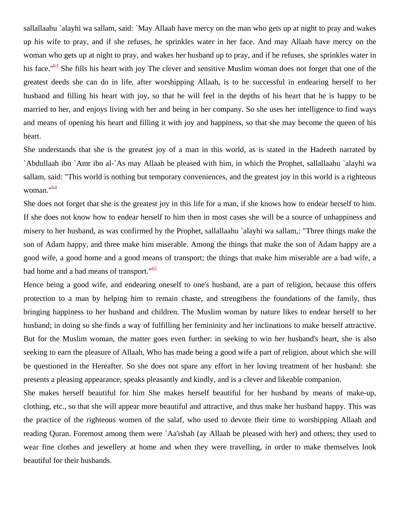sallallaahu `alayhi wa sallam, said: `May Allaah have mercy on the man who gets up at night to pray and wakes up his wife to pray, and if she refuses, he sprinkles water in her face. And may Allaah have mercy on the woman who gets up at night to pray, and wakes her husband up to pray, and if he refuses, she sprinkles water in his face."<sup>63</sup> She fills his heart with joy The clever and sensitive Muslim woman does not forget that one of the greatest deeds she can do in life, after worshipping Allaah, is to be successful in endearing herself to her husband and filling his heart with joy, so that he will feel in the depths of his heart that he is happy to be married to her, and enjoys living with her and being in her company. So she uses her intelligence to find ways and means of opening his heart and filling it with joy and happiness, so that she may become the queen of his heart.

She understands that she is the greatest joy of a man in this world, as is stated in the Hadeeth narrated by `Abdullaah ibn `Amr ibn al-`As may Allaah be pleased with him, in which the Prophet, sallallaahu `alayhi wa sallam, said: "This world is nothing but temporary conveniences, and the greatest joy in this world is a righteous woman."<sup>64</sup>

She does not forget that she is the greatest joy in this life for a man, if she knows how to endear herself to him. If she does not know how to endear herself to him then in most cases she will be a source of unhappiness and misery to her husband, as was confirmed by the Prophet, sallallaahu `alayhi wa sallam,: "Three things make the son of Adam happy, and three make him miserable. Among the things that make the son of Adam happy are a good wife, a good home and a good means of transport; the things that make him miserable are a bad wife, a bad home and a bad means of transport."65

Hence being a good wife, and endearing oneself to one's husband, are a part of religion, because this offers protection to a man by helping him to remain chaste, and strengthens the foundations of the family, thus bringing happiness to her husband and children. The Muslim woman by nature likes to endear herself to her husband; in doing so she finds a way of fulfilling her femininity and her inclinations to make herself attractive. But for the Muslim woman, the matter goes even further: in seeking to win her husband's heart, she is also seeking to earn the pleasure of Allaah, Who has made being a good wife a part of religion, about which she will be questioned in the Hereafter. So she does not spare any effort in her loving treatment of her husband: she presents a pleasing appearance, speaks pleasantly and kindly, and is a clever and likeable companion.

She makes herself beautiful for him She makes herself beautiful for her husband by means of make-up, clothing, etc., so that she will appear more beautiful and attractive, and thus make her husband happy. This was the practice of the righteous women of the salaf, who used to devote their time to worshipping Allaah and reading Quran. Foremost among them were `Aa'ishah (ay Allaah be pleased with her) and others; they used to wear fine clothes and jewellery at home and when they were travelling, in order to make themselves look beautiful for their husbands.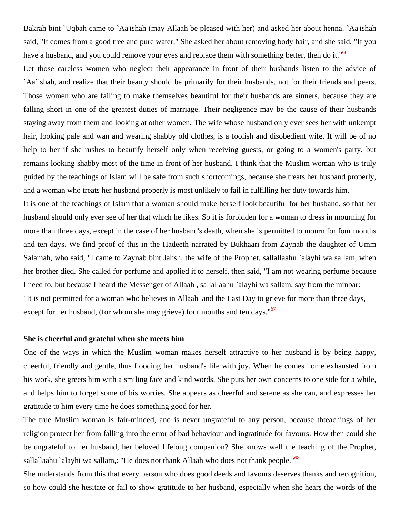Bakrah bint `Uqbah came to `Aa'ishah (may Allaah be pleased with her) and asked her about henna. `Aa'ishah said, "It comes from a good tree and pure water." She asked her about removing body hair, and she said, "If you have a husband, and you could remove your eyes and replace them with something better, then do it."<sup>66</sup>

Let those careless women who neglect their appearance in front of their husbands listen to the advice of `Aa'ishah, and realize that their beauty should be primarily for their husbands, not for their friends and peers. Those women who are failing to make themselves beautiful for their husbands are sinners, because they are falling short in one of the greatest duties of marriage. Their negligence may be the cause of their husbands staying away from them and looking at other women. The wife whose husband only ever sees her with unkempt hair, looking pale and wan and wearing shabby old clothes, is a foolish and disobedient wife. It will be of no help to her if she rushes to beautify herself only when receiving guests, or going to a women's party, but remains looking shabby most of the time in front of her husband. I think that the Muslim woman who is truly guided by the teachings of Islam will be safe from such shortcomings, because she treats her husband properly, and a woman who treats her husband properly is most unlikely to fail in fulfilling her duty towards him.

It is one of the teachings of Islam that a woman should make herself look beautiful for her husband, so that her husband should only ever see of her that which he likes. So it is forbidden for a woman to dress in mourning for more than three days, except in the case of her husband's death, when she is permitted to mourn for four months and ten days. We find proof of this in the Hadeeth narrated by Bukhaari from Zaynab the daughter of Umm Salamah, who said, "I came to Zaynab bint Jahsh, the wife of the Prophet, sallallaahu `alayhi wa sallam, when her brother died. She called for perfume and applied it to herself, then said, "I am not wearing perfume because I need to, but because I heard the Messenger of Allaah , sallallaahu `alayhi wa sallam, say from the minbar: "It is not permitted for a woman who believes in Allaah and the Last Day to grieve for more than three days, except for her husband, (for whom she may grieve) four months and ten days."<sup>67</sup>

## **She is cheerful and grateful when she meets him**

One of the ways in which the Muslim woman makes herself attractive to her husband is by being happy, cheerful, friendly and gentle, thus flooding her husband's life with joy. When he comes home exhausted from his work, she greets him with a smiling face and kind words. She puts her own concerns to one side for a while, and helps him to forget some of his worries. She appears as cheerful and serene as she can, and expresses her gratitude to him every time he does something good for her.

The true Muslim woman is fair-minded, and is never ungrateful to any person, because thteachings of her religion protect her from falling into the error of bad behaviour and ingratitude for favours. How then could she be ungrateful to her husband, her beloved lifelong companion? She knows well the teaching of the Prophet, sallallaahu `alayhi wa sallam,: "He does not thank Allaah who does not thank people."<sup>68</sup>

She understands from this that every person who does good deeds and favours deserves thanks and recognition, so how could she hesitate or fail to show gratitude to her husband, especially when she hears the words of the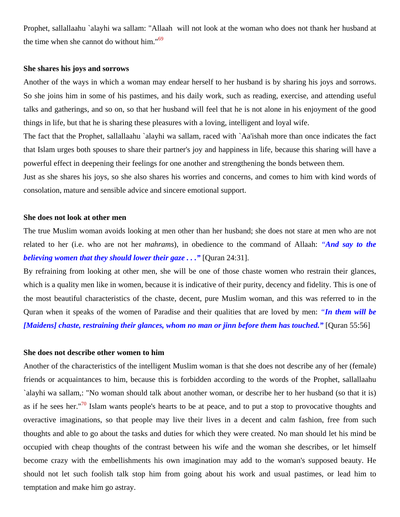Prophet, sallallaahu `alayhi wa sallam: "Allaah will not look at the woman who does not thank her husband at the time when she cannot do without him."69

### **She shares his joys and sorrows**

Another of the ways in which a woman may endear herself to her husband is by sharing his joys and sorrows. So she joins him in some of his pastimes, and his daily work, such as reading, exercise, and attending useful talks and gatherings, and so on, so that her husband will feel that he is not alone in his enjoyment of the good things in life, but that he is sharing these pleasures with a loving, intelligent and loyal wife.

The fact that the Prophet, sallallaahu `alayhi wa sallam, raced with `Aa'ishah more than once indicates the fact that Islam urges both spouses to share their partner's joy and happiness in life, because this sharing will have a powerful effect in deepening their feelings for one another and strengthening the bonds between them.

Just as she shares his joys, so she also shares his worries and concerns, and comes to him with kind words of consolation, mature and sensible advice and sincere emotional support.

#### **She does not look at other men**

The true Muslim woman avoids looking at men other than her husband; she does not stare at men who are not related to her (i.e. who are not her *mahrams*), in obedience to the command of Allaah: *"And say to the believing women that they should lower their gaze . . ."* [Quran 24:31].

By refraining from looking at other men, she will be one of those chaste women who restrain their glances, which is a quality men like in women, because it is indicative of their purity, decency and fidelity. This is one of the most beautiful characteristics of the chaste, decent, pure Muslim woman, and this was referred to in the Quran when it speaks of the women of Paradise and their qualities that are loved by men: *"In them will be [Maidens] chaste, restraining their glances, whom no man or jinn before them has touched."* [Quran 55:56]

#### **She does not describe other women to him**

Another of the characteristics of the intelligent Muslim woman is that she does not describe any of her (female) friends or acquaintances to him, because this is forbidden according to the words of the Prophet, sallallaahu `alayhi wa sallam,: "No woman should talk about another woman, or describe her to her husband (so that it is) as if he sees her."<sup>70</sup> Islam wants people's hearts to be at peace, and to put a stop to provocative thoughts and overactive imaginations, so that people may live their lives in a decent and calm fashion, free from such thoughts and able to go about the tasks and duties for which they were created. No man should let his mind be occupied with cheap thoughts of the contrast between his wife and the woman she describes, or let himself become crazy with the embellishments his own imagination may add to the woman's supposed beauty. He should not let such foolish talk stop him from going about his work and usual pastimes, or lead him to temptation and make him go astray.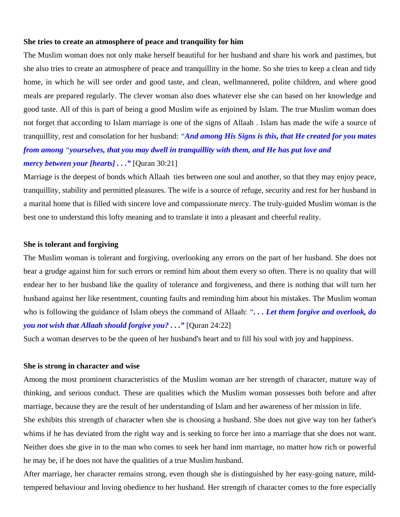## **She tries to create an atmosphere of peace and tranquility for him**

The Muslim woman does not only make herself beautiful for her husband and share his work and pastimes, but she also tries to create an atmosphere of peace and tranquillity in the home. So she tries to keep a clean and tidy home, in which he will see order and good taste, and clean, wellmannered, polite children, and where good meals are prepared regularly. The clever woman also does whatever else she can based on her knowledge and good taste. All of this is part of being a good Muslim wife as enjoined by Islam. The true Muslim woman does not forget that according to Islam marriage is one of the signs of Allaah . Islam has made the wife a source of tranquillity, rest and consolation for her husband: *"And among His Signs is this, that He created for you mates from among "yourselves, that you may dwell in tranquillity with them, and He has put love and mercy between your [hearts] . . ."* [Quran 30:21]

Marriage is the deepest of bonds which Allaah ties between one soul and another, so that they may enjoy peace, tranquillity, stability and permitted pleasures. The wife is a source of refuge, security and rest for her husband in a marital home that is filled with sincere love and compassionate mercy. The truly-guided Muslim woman is the best one to understand this lofty meaning and to translate it into a pleasant and cheerful reality.

## **She is tolerant and forgiving**

The Muslim woman is tolerant and forgiving, overlooking any errors on the part of her husband. She does not bear a grudge against him for such errors or remind him about them every so often. There is no quality that will endear her to her husband like the quality of tolerance and forgiveness, and there is nothing that will turn her husband against her like resentment, counting faults and reminding him about his mistakes. The Muslim woman who is following the guidance of Islam obeys the command of Allaah: *". . . Let them forgive and overlook, do you not wish that Allaah should forgive you?...*" [Quran 24:22]

Such a woman deserves to be the queen of her husband's heart and to fill his soul with joy and happiness.

## **She is strong in character and wise**

Among the most prominent characteristics of the Muslim woman are her strength of character, mature way of thinking, and serious conduct. These are qualities which the Muslim woman possesses both before and after marriage, because they are the result of her understanding of Islam and her awareness of her mission in life.

She exhibits this strength of character when she is choosing a husband. She does not give way ton her father's whims if he has deviated from the right way and is seeking to force her into a marriage that she does not want. Neither does she give in to the man who comes to seek her hand inm marriage, no matter how rich or powerful he may be, if he does not have the qualities of a true Muslim husband.

After marriage, her character remains strong, even though she is distinguished by her easy-going nature, mildtempered behaviour and loving obedience to her husband. Her strength of character comes to the fore especially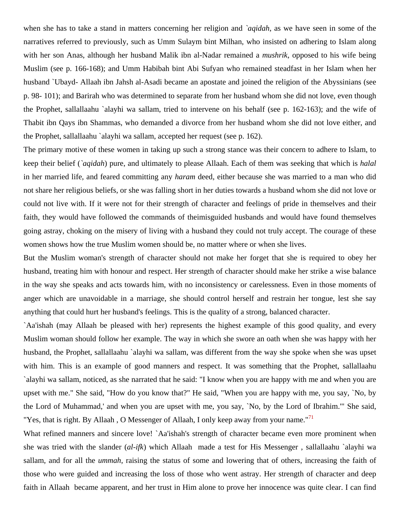when she has to take a stand in matters concerning her religion and *`aqidah*, as we have seen in some of the narratives referred to previously, such as Umm Sulaym bint Milhan, who insisted on adhering to Islam along with her son Anas, although her husband Malik ibn al-Nadar remained a *mushrik*, opposed to his wife being Muslim (see p. 166-168); and Umm Habibah bint Abi Sufyan who remained steadfast in her Islam when her husband `Ubayd- Allaah ibn Jahsh al-Asadi became an apostate and joined the religion of the Abyssinians (see p. 98- 101); and Barirah who was determined to separate from her husband whom she did not love, even though the Prophet, sallallaahu `alayhi wa sallam, tried to intervene on his behalf (see p. 162-163); and the wife of Thabit ibn Qays ibn Shammas, who demanded a divorce from her husband whom she did not love either, and the Prophet, sallallaahu `alayhi wa sallam, accepted her request (see p. 162).

The primary motive of these women in taking up such a strong stance was their concern to adhere to Islam, to keep their belief (*`aqidah*) pure, and ultimately to please Allaah. Each of them was seeking that which is *halal*  in her married life, and feared committing any *haram* deed, either because she was married to a man who did not share her religious beliefs, or she was falling short in her duties towards a husband whom she did not love or could not live with. If it were not for their strength of character and feelings of pride in themselves and their faith, they would have followed the commands of theimisguided husbands and would have found themselves going astray, choking on the misery of living with a husband they could not truly accept. The courage of these women shows how the true Muslim women should be, no matter where or when she lives.

But the Muslim woman's strength of character should not make her forget that she is required to obey her husband, treating him with honour and respect. Her strength of character should make her strike a wise balance in the way she speaks and acts towards him, with no inconsistency or carelessness. Even in those moments of anger which are unavoidable in a marriage, she should control herself and restrain her tongue, lest she say anything that could hurt her husband's feelings. This is the quality of a strong, balanced character.

`Aa'ishah (may Allaah be pleased with her) represents the highest example of this good quality, and every Muslim woman should follow her example. The way in which she swore an oath when she was happy with her husband, the Prophet, sallallaahu `alayhi wa sallam, was different from the way she spoke when she was upset with him. This is an example of good manners and respect. It was something that the Prophet, sallallaahu `alayhi wa sallam, noticed, as she narrated that he said: "I know when you are happy with me and when you are upset with me." She said, "How do you know that?" He said, "When you are happy with me, you say, `No, by the Lord of Muhammad,' and when you are upset with me, you say, `No, by the Lord of Ibrahim.'" She said, "Yes, that is right. By Allaah, O Messenger of Allaah, I only keep away from your name."<sup>71</sup>

What refined manners and sincere love! `Aa'ishah's strength of character became even more prominent when she was tried with the slander (*al-ifk*) which Allaah made a test for His Messenger , sallallaahu `alayhi wa sallam, and for all the *ummah*, raising the status of some and lowering that of others, increasing the faith of those who were guided and increasing the loss of those who went astray. Her strength of character and deep faith in Allaah became apparent, and her trust in Him alone to prove her innocence was quite clear. I can find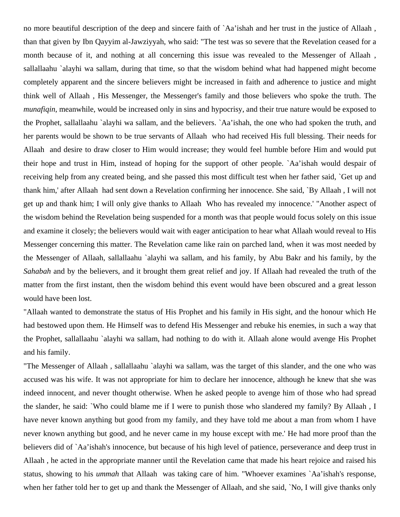no more beautiful description of the deep and sincere faith of `Aa'ishah and her trust in the justice of Allaah, than that given by Ibn Qayyim al-Jawziyyah, who said: "The test was so severe that the Revelation ceased for a month because of it, and nothing at all concerning this issue was revealed to the Messenger of Allaah , sallallaahu `alayhi wa sallam, during that time, so that the wisdom behind what had happened might become completely apparent and the sincere believers might be increased in faith and adherence to justice and might think well of Allaah , His Messenger, the Messenger's family and those believers who spoke the truth. The *munafiqin*, meanwhile, would be increased only in sins and hypocrisy, and their true nature would be exposed to the Prophet, sallallaahu `alayhi wa sallam, and the believers. `Aa'ishah, the one who had spoken the truth, and her parents would be shown to be true servants of Allaah who had received His full blessing. Their needs for Allaah and desire to draw closer to Him would increase; they would feel humble before Him and would put their hope and trust in Him, instead of hoping for the support of other people. `Aa'ishah would despair of receiving help from any created being, and she passed this most difficult test when her father said, `Get up and thank him,' after Allaah had sent down a Revelation confirming her innocence. She said, `By Allaah , I will not get up and thank him; I will only give thanks to Allaah Who has revealed my innocence.' "Another aspect of the wisdom behind the Revelation being suspended for a month was that people would focus solely on this issue and examine it closely; the believers would wait with eager anticipation to hear what Allaah would reveal to His Messenger concerning this matter. The Revelation came like rain on parched land, when it was most needed by the Messenger of Allaah, sallallaahu `alayhi wa sallam, and his family, by Abu Bakr and his family, by the *Sahabah* and by the believers, and it brought them great relief and joy. If Allaah had revealed the truth of the matter from the first instant, then the wisdom behind this event would have been obscured and a great lesson would have been lost.

"Allaah wanted to demonstrate the status of His Prophet and his family in His sight, and the honour which He had bestowed upon them. He Himself was to defend His Messenger and rebuke his enemies, in such a way that the Prophet, sallallaahu `alayhi wa sallam, had nothing to do with it. Allaah alone would avenge His Prophet and his family.

"The Messenger of Allaah, sallallaahu `alayhi wa sallam, was the target of this slander, and the one who was accused was his wife. It was not appropriate for him to declare her innocence, although he knew that she was indeed innocent, and never thought otherwise. When he asked people to avenge him of those who had spread the slander, he said: `Who could blame me if I were to punish those who slandered my family? By Allaah , I have never known anything but good from my family, and they have told me about a man from whom I have never known anything but good, and he never came in my house except with me.' He had more proof than the believers did of `Aa'ishah's innocence, but because of his high level of patience, perseverance and deep trust in Allaah , he acted in the appropriate manner until the Revelation came that made his heart rejoice and raised his status, showing to his *ummah* that Allaah was taking care of him. "Whoever examines `Aa'ishah's response, when her father told her to get up and thank the Messenger of Allaah, and she said, `No, I will give thanks only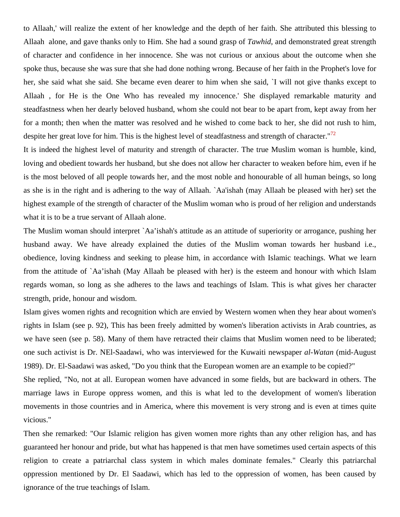to Allaah,' will realize the extent of her knowledge and the depth of her faith. She attributed this blessing to Allaah alone, and gave thanks only to Him. She had a sound grasp of *Tawhid*, and demonstrated great strength of character and confidence in her innocence. She was not curious or anxious about the outcome when she spoke thus, because she was sure that she had done nothing wrong. Because of her faith in the Prophet's love for her, she said what she said. She became even dearer to him when she said, `I will not give thanks except to Allaah , for He is the One Who has revealed my innocence.' She displayed remarkable maturity and steadfastness when her dearly beloved husband, whom she could not bear to be apart from, kept away from her for a month; then when the matter was resolved and he wished to come back to her, she did not rush to him, despite her great love for him. This is the highest level of steadfastness and strength of character." $\sqrt{2}$ 

It is indeed the highest level of maturity and strength of character. The true Muslim woman is humble, kind, loving and obedient towards her husband, but she does not allow her character to weaken before him, even if he is the most beloved of all people towards her, and the most noble and honourable of all human beings, so long as she is in the right and is adhering to the way of Allaah. `Aa'ishah (may Allaah be pleased with her) set the highest example of the strength of character of the Muslim woman who is proud of her religion and understands what it is to be a true servant of Allaah alone.

The Muslim woman should interpret `Aa'ishah's attitude as an attitude of superiority or arrogance, pushing her husband away. We have already explained the duties of the Muslim woman towards her husband i.e., obedience, loving kindness and seeking to please him, in accordance with Islamic teachings. What we learn from the attitude of `Aa'ishah (May Allaah be pleased with her) is the esteem and honour with which Islam regards woman, so long as she adheres to the laws and teachings of Islam. This is what gives her character strength, pride, honour and wisdom.

Islam gives women rights and recognition which are envied by Western women when they hear about women's rights in Islam (see p. 92), This has been freely admitted by women's liberation activists in Arab countries, as we have seen (see p. 58). Many of them have retracted their claims that Muslim women need to be liberated; one such activist is Dr. NEl-Saadawi, who was interviewed for the Kuwaiti newspaper *al-Watan* (mid-August 1989). Dr. El-Saadawi was asked, "Do you think that the European women are an example to be copied?"

She replied, "No, not at all. European women have advanced in some fields, but are backward in others. The marriage laws in Europe oppress women, and this is what led to the development of women's liberation movements in those countries and in America, where this movement is very strong and is even at times quite vicious."

Then she remarked: "Our Islamic religion has given women more rights than any other religion has, and has guaranteed her honour and pride, but what has happened is that men have sometimes used certain aspects of this religion to create a patriarchal class system in which males dominate females." Clearly this patriarchal oppression mentioned by Dr. El Saadawi, which has led to the oppression of women, has been caused by ignorance of the true teachings of Islam.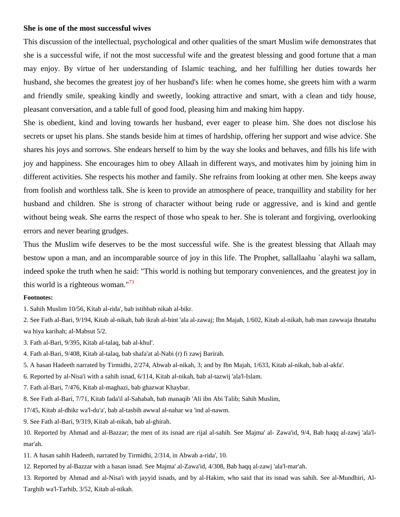### **She is one of the most successful wives**

This discussion of the intellectual, psychological and other qualities of the smart Muslim wife demonstrates that she is a successful wife, if not the most successful wife and the greatest blessing and good fortune that a man may enjoy. By virtue of her understanding of Islamic teaching, and her fulfilling her duties towards her husband, she becomes the greatest joy of her husband's life: when he comes home, she greets him with a warm and friendly smile, speaking kindly and sweetly, looking attractive and smart, with a clean and tidy house, pleasant conversation, and a table full of good food, pleasing him and making him happy.

She is obedient, kind and loving towards her husband, ever eager to please him. She does not disclose his secrets or upset his plans. She stands beside him at times of hardship, offering her support and wise advice. She shares his joys and sorrows. She endears herself to him by the way she looks and behaves, and fills his life with joy and happiness. She encourages him to obey Allaah in different ways, and motivates him by joining him in different activities. She respects his mother and family. She refrains from looking at other men. She keeps away from foolish and worthless talk. She is keen to provide an atmosphere of peace, tranquillity and stability for her husband and children. She is strong of character without being rude or aggressive, and is kind and gentle without being weak. She earns the respect of those who speak to her. She is tolerant and forgiving, overlooking errors and never bearing grudges.

Thus the Muslim wife deserves to be the most successful wife. She is the greatest blessing that Allaah may bestow upon a man, and an incomparable source of joy in this life. The Prophet, sallallaahu `alayhi wa sallam, indeed spoke the truth when he said: "This world is nothing but temporary conveniences, and the greatest joy in this world is a righteous woman."<sup>73</sup>

#### **Footnotes:**

- 1. Sahih Muslim 10/56, Kitab al-rida', bab istihbab nikah al-bikr.
- 2. See Fath al-Bari, 9/194, Kitab al-nikah, bab ikrah al-bint 'ala al-zawaj; Ibn Majah, 1/602, Kitab al-nikah, bab man zawwaja ibnatahu wa hiya karihah; al-Mabsut 5/2.
- 3. Fath al-Bari, 9/395, Kitab al-talaq, bab al-khul'.
- 4. Fath al-Bari, 9/408, Kitab al-talaq, bab shafa'at al-Nabi (r) fi zawj Barirah.
- 5. A hasan Hadeeth narrated by Tirmidhi, 2/274, Abwab al-nikah, 3; and by Ibn Majah, 1/633, Kitab al-nikah, bab al-akfa'.
- 6. Reported by al-Nisa'i with a sahih isnad, 6/114, Kitab al-nikah, bab al-tazwij 'ala'l-Islam.
- 7. Fath al-Bari, 7/476, Kitab al-maghazi, bab ghazwat Khaybar.
- 8. See Fath al-Bari, 7/71, Kitab fada'il al-Sahabah, bab manaqib 'Ali ibn Abi Talib; Sahih Muslim,
- 17/45, Kitab al-dhikr wa'l-du'a', bab al-tasbih awwal al-nahar wa 'ind al-nawm.
- 9. See Fath al-Bari, 9/319, Kitab al-nikah, bab al-ghirah.

10. Reported by Ahmad and al-Bazzar; the men of its isnad are rijal al-sahih. See Majma' al- Zawa'id, 9/4, Bab haqq al-zawj 'ala'lmar'ah.

- 11. A hasan sahih Hadeeth, narrated by Tirmidhi, 2/314, in Abwab a-rida', 10.
- 12. Reported by al-Bazzar with a hasan isnad. See Majma' al-Zawa'id, 4/308, Bab haqq al-zawj 'ala'l-mar'ah.

13. Reported by Ahmad and al-Nisa'i with jayyid isnads, and by al-Hakim, who said that its isnad was sahih. See al-Mundhiri, Al-Targhib wa'l-Tarhib, 3/52, Kitab al-nikah.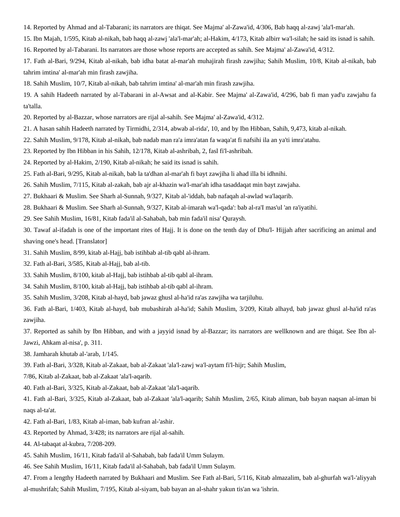- 14. Reported by Ahmad and al-Tabarani; its narrators are thiqat. See Majma' al-Zawa'id, 4/306, Bab haqq al-zawj 'ala'l-mar'ah.
- 15. Ibn Majah, 1/595, Kitab al-nikah, bab haqq al-zawj 'ala'l-mar'ah; al-Hakim, 4/173, Kitab albirr wa'l-silah; he said its isnad is sahih.
- 16. Reported by al-Tabarani. Its narrators are those whose reports are accepted as sahih. See Majma' al-Zawa'id, 4/312.

17. Fath al-Bari, 9/294, Kitab al-nikah, bab idha batat al-mar'ah muhajirah firash zawjiha; Sahih Muslim, 10/8, Kitab al-nikah, bab tahrim imtina' al-mar'ah min firash zawjiha.

18. Sahih Muslim, 10/7, Kitab al-nikah, bab tahrim imtina' al-mar'ah min firash zawjiha.

19. A sahih Hadeeth narrated by al-Tabarani in al-Awsat and al-Kabir. See Majma' al-Zawa'id, 4/296, bab fi man yad'u zawjahu fa ta'talla.

- 20. Reported by al-Bazzar, whose narrators are rijal al-sahih. See Majma' al-Zawa'id, 4/312.
- 21. A hasan sahih Hadeeth narrated by Tirmidhi, 2/314, abwab al-rida', 10, and by Ibn Hibban, Sahih, 9,473, kitab al-nikah.
- 22. Sahih Muslim, 9/178, Kitab al-nikah, bab nadab man ra'a imra'atan fa waqa'at fi nafsihi ila an ya'ti imra'atahu.
- 23. Reported by Ibn Hibban in his Sahih, 12/178, Kitab al-ashribah, 2, fasl fi'l-ashribah.
- 24. Reported by al-Hakim, 2/190, Kitab al-nikah; he said its isnad is sahih.
- 25. Fath al-Bari, 9/295, Kitab al-nikah, bab la ta'dhan al-mar'ah fi bayt zawjiha li ahad illa bi idhnihi.
- 26. Sahih Muslim, 7/115, Kitab al-zakah, bab ajr al-khazin wa'l-mar'ah idha tasaddaqat min bayt zawjaha.
- 27. Bukhaari & Muslim. See Sharh al-Sunnah, 9/327, Kitab al-'iddah, bab nafaqah al-awlad wa'laqarib.
- 28. Bukhaari & Muslim. See Sharh al-Sunnah, 9/327, Kitab al-imarah wa'l-qada': bab al-ra'I mas'ul 'an ra'iyatihi.
- 29. See Sahih Muslim, 16/81, Kitab fada'il al-Sahabah, bab min fada'il nisa' Quraysh.
- 30. Tawaf al-ifadah is one of the important rites of Hajj. It is done on the tenth day of Dhu'l- Hijjah after sacrificing an animal and shaving one's head. [Translator]
- 31. Sahih Muslim, 8/99, kitab al-Hajj, bab istihbab al-tib qabl al-ihram.
- 32. Fath al-Bari, 3/585, Kitab al-Hajj, bab al-tib.
- 33. Sahih Muslim, 8/100, kitab al-Hajj, bab istihbab al-tib qabl al-ihram.
- 34. Sahih Muslim, 8/100, kitab al-Hajj, bab istihbab al-tib qabl al-ihram.
- 35. Sahih Muslim, 3/208, Kitab al-hayd, bab jawaz ghusl al-ha'id ra'as zawjiha wa tarjiluhu.
- 36. Fath al-Bari, 1/403, Kitab al-hayd, bab mubashirah al-ha'id; Sahih Muslim, 3/209, Kitab alhayd, bab jawaz ghusl al-ha'id ra'as zawjiha.

37. Reported as sahih by Ibn Hibban, and with a jayyid isnad by al-Bazzar; its narrators are wellknown and are thiqat. See Ibn al-Jawzi, Ahkam al-nisa', p. 311.

- 38. Jamharah khutab al-'arab, 1/145.
- 39. Fath al-Bari, 3/328, Kitab al-Zakaat, bab al-Zakaat 'ala'l-zawj wa'l-aytam fi'l-hijr; Sahih Muslim,
- 7/86, Kitab al-Zakaat, bab al-Zakaat 'ala'l-aqarib.
- 40. Fath al-Bari, 3/325, Kitab al-Zakaat, bab al-Zakaat 'ala'l-aqarib.

41. Fath al-Bari, 3/325, Kitab al-Zakaat, bab al-Zakaat 'ala'l-aqarib; Sahih Muslim, 2/65, Kitab aliman, bab bayan naqsan al-iman bi naqs al-ta'at.

- 42. Fath al-Bari, 1/83, Kitab al-iman, bab kufran al-'ashir.
- 43. Reported by Ahmad, 3/428; its narrators are rijal al-sahih.
- 44. Al-tabaqat al-kubra, 7/208-209.
- 45. Sahih Muslim, 16/11, Kitab fada'il al-Sahabah, bab fada'il Umm Sulaym.
- 46. See Sahih Muslim, 16/11, Kitab fada'il al-Sahabah, bab fada'il Umm Sulaym.
- 47. From a lengthy Hadeeth narrated by Bukhaari and Muslim. See Fath al-Bari, 5/116, Kitab almazalim, bab al-ghurfah wa'l-'aliyyah al-mushrifah; Sahih Muslim, 7/195, Kitab al-siyam, bab bayan an al-shahr yakun tis'an wa 'ishrin.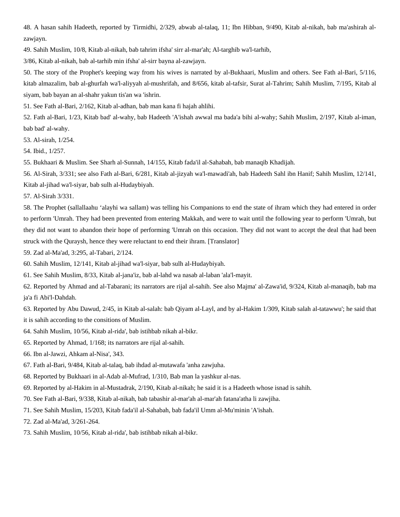48. A hasan sahih Hadeeth, reported by Tirmidhi, 2/329, abwab al-talaq, 11; Ibn Hibban, 9/490, Kitab al-nikah, bab ma'ashirah alzawjayn.

49. Sahih Muslim, 10/8, Kitab al-nikah, bab tahrim ifsha' sirr al-mar'ah; Al-targhib wa'l-tarhib,

3/86, Kitab al-nikah, bab al-tarhib min ifsha' al-sirr bayna al-zawjayn.

50. The story of the Prophet's keeping way from his wives is narrated by al-Bukhaari, Muslim and others. See Fath al-Bari, 5/116, kitab almazalim, bab al-ghurfah wa'l-aliyyah al-mushrifah, and 8/656, kitab al-tafsir, Surat al-Tahrim; Sahih Muslim, 7/195, Kitab al siyam, bab bayan an al-shahr yakun tis'an wa 'ishrin.

51. See Fath al-Bari, 2/162, Kitab al-adhan, bab man kana fi hajah ahlihi.

52. Fath al-Bari, 1/23, Kitab bad' al-wahy, bab Hadeeth 'A'ishah awwal ma bada'a bihi al-wahy; Sahih Muslim, 2/197, Kitab al-iman, bab bad' al-wahy.

53. Al-sirah, 1/254.

54. Ibid., 1/257.

55. Bukhaari & Muslim. See Sharh al-Sunnah, 14/155, Kitab fada'il al-Sahabah, bab manaqib Khadijah.

56. Al-Sirah, 3/331; see also Fath al-Bari, 6/281, Kitab al-jizyah wa'l-mawadi'ah, bab Hadeeth Sahl ibn Hanif; Sahih Muslim, 12/141, Kitab al-jihad wa'l-siyar, bab sulh al-Hudaybiyah.

57. Al-Sirah 3/331.

58. The Prophet (sallallaahu 'alayhi wa sallam) was telling his Companions to end the state of ihram which they had entered in order to perform 'Umrah. They had been prevented from entering Makkah, and were to wait until the following year to perform 'Umrah, but they did not want to abandon their hope of performing 'Umrah on this occasion. They did not want to accept the deal that had been struck with the Quraysh, hence they were reluctant to end their ihram. [Translator]

59. Zad al-Ma'ad, 3:295, al-Tabari, 2/124.

60. Sahih Muslim, 12/141, Kitab al-jihad wa'l-siyar, bab sulh al-Hudaybiyah.

61. See Sahih Muslim, 8/33, Kitab al-jana'iz, bab al-lahd wa nasab al-laban 'ala'l-mayit.

62. Reported by Ahmad and al-Tabarani; its narrators are rijal al-sahih. See also Majma' al-Zawa'id, 9/324, Kitab al-manaqib, bab ma ja'a fi Abi'l-Dahdah.

63. Reported by Abu Dawud, 2/45, in Kitab al-salah: bab Qiyam al-Layl, and by al-Hakim 1/309, Kitab salah al-tatawwu'; he said that it is sahih according to the consitions of Muslim.

- 64. Sahih Muslim, 10/56, Kitab al-rida', bab istihbab nikah al-bikr.
- 65. Reported by Ahmad, 1/168; its narrators are rijal al-sahih.
- 66. Ibn al-Jawzi, Ahkam al-Nisa', 343.

67. Fath al-Bari, 9/484, Kitab al-talaq, bab ihdad al-mutawafa 'anha zawjuha.

68. Reported by Bukhaari in al-Adab al-Mufrad, 1/310, Bab man la yashkur al-nas.

69. Reported by al-Hakim in al-Mustadrak, 2/190, Kitab al-nikah; he said it is a Hadeeth whose isnad is sahih.

70. See Fath al-Bari, 9/338, Kitab al-nikah, bab tabashir al-mar'ah al-mar'ah fatana'atha li zawjiha.

71. See Sahih Muslim, 15/203, Kitab fada'il al-Sahabah, bab fada'il Umm al-Mu'minin 'A'ishah.

72. Zad al-Ma'ad, 3/261-264.

73. Sahih Muslim, 10/56, Kitab al-rida', bab istihbab nikah al-bikr.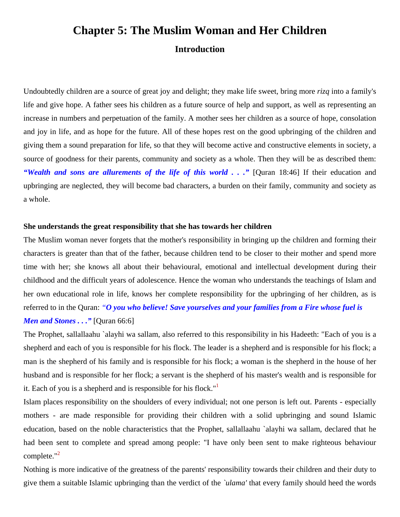## **Chapter 5: The Muslim Woman and Her Children Introduction**

Undoubtedly children are a source of great joy and delight; they make life sweet, bring more *rizq* into a family's life and give hope. A father sees his children as a future source of help and support, as well as representing an increase in numbers and perpetuation of the family. A mother sees her children as a source of hope, consolation and joy in life, and as hope for the future. All of these hopes rest on the good upbringing of the children and giving them a sound preparation for life, so that they will become active and constructive elements in society, a source of goodness for their parents, community and society as a whole. Then they will be as described them: *"Wealth and sons are allurements of the life of this world . . ."* [Quran 18:46] If their education and upbringing are neglected, they will become bad characters, a burden on their family, community and society as a whole.

### **She understands the great responsibility that she has towards her children**

The Muslim woman never forgets that the mother's responsibility in bringing up the children and forming their characters is greater than that of the father, because children tend to be closer to their mother and spend more time with her; she knows all about their behavioural, emotional and intellectual development during their childhood and the difficult years of adolescence. Hence the woman who understands the teachings of Islam and her own educational role in life, knows her complete responsibility for the upbringing of her children, as is referred to in the Quran: *"O you who believe! Save yourselves and your families from a Fire whose fuel is Men and Stones . . .*" [Quran 66:6]

The Prophet, sallallaahu `alayhi wa sallam, also referred to this responsibility in his Hadeeth: "Each of you is a shepherd and each of you is responsible for his flock. The leader is a shepherd and is responsible for his flock; a man is the shepherd of his family and is responsible for his flock; a woman is the shepherd in the house of her husband and is responsible for her flock; a servant is the shepherd of his master's wealth and is responsible for it. Each of you is a shepherd and is responsible for his flock."<sup>1</sup>

Islam places responsibility on the shoulders of every individual; not one person is left out. Parents - especially mothers - are made responsible for providing their children with a solid upbringing and sound Islamic education, based on the noble characteristics that the Prophet, sallallaahu `alayhi wa sallam, declared that he had been sent to complete and spread among people: "I have only been sent to make righteous behaviour complete."<sup>2</sup>

Nothing is more indicative of the greatness of the parents' responsibility towards their children and their duty to give them a suitable Islamic upbringing than the verdict of the *`ulama'* that every family should heed the words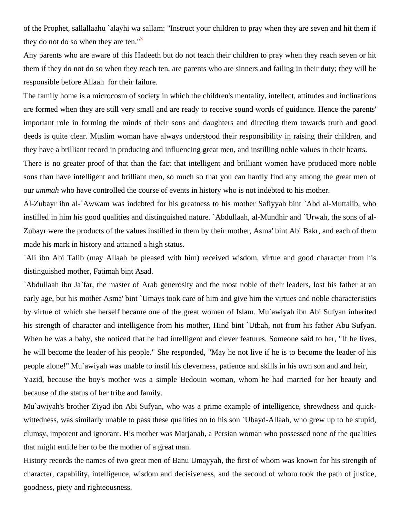of the Prophet, sallallaahu `alayhi wa sallam: "Instruct your children to pray when they are seven and hit them if they do not do so when they are ten."<sup>3</sup>

Any parents who are aware of this Hadeeth but do not teach their children to pray when they reach seven or hit them if they do not do so when they reach ten, are parents who are sinners and failing in their duty; they will be responsible before Allaah for their failure.

The family home is a microcosm of society in which the children's mentality, intellect, attitudes and inclinations are formed when they are still very small and are ready to receive sound words of guidance. Hence the parents' important role in forming the minds of their sons and daughters and directing them towards truth and good deeds is quite clear. Muslim woman have always understood their responsibility in raising their children, and they have a brilliant record in producing and influencing great men, and instilling noble values in their hearts.

There is no greater proof of that than the fact that intelligent and brilliant women have produced more noble sons than have intelligent and brilliant men, so much so that you can hardly find any among the great men of our *ummah* who have controlled the course of events in history who is not indebted to his mother.

Al-Zubayr ibn al-`Awwam was indebted for his greatness to his mother Safiyyah bint `Abd al-Muttalib, who instilled in him his good qualities and distinguished nature. `Abdullaah, al-Mundhir and `Urwah, the sons of al-Zubayr were the products of the values instilled in them by their mother, Asma' bint Abi Bakr, and each of them made his mark in history and attained a high status.

`Ali ibn Abi Talib (may Allaah be pleased with him) received wisdom, virtue and good character from his distinguished mother, Fatimah bint Asad.

`Abdullaah ibn Ja`far, the master of Arab generosity and the most noble of their leaders, lost his father at an early age, but his mother Asma' bint `Umays took care of him and give him the virtues and noble characteristics by virtue of which she herself became one of the great women of Islam. Mu`awiyah ibn Abi Sufyan inherited his strength of character and intelligence from his mother, Hind bint `Utbah, not from his father Abu Sufyan. When he was a baby, she noticed that he had intelligent and clever features. Someone said to her, "If he lives, he will become the leader of his people." She responded, "May he not live if he is to become the leader of his people alone!" Mu`awiyah was unable to instil his cleverness, patience and skills in his own son and and heir, Yazid, because the boy's mother was a simple Bedouin woman, whom he had married for her beauty and because of the status of her tribe and family.

Mu`awiyah's brother Ziyad ibn Abi Sufyan, who was a prime example of intelligence, shrewdness and quickwittedness, was similarly unable to pass these qualities on to his son `Ubayd-Allaah, who grew up to be stupid, clumsy, impotent and ignorant. His mother was Marjanah, a Persian woman who possessed none of the qualities that might entitle her to be the mother of a great man.

History records the names of two great men of Banu Umayyah, the first of whom was known for his strength of character, capability, intelligence, wisdom and decisiveness, and the second of whom took the path of justice, goodness, piety and righteousness.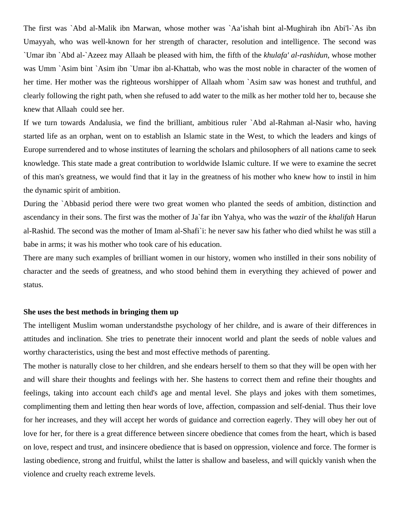The first was `Abd al-Malik ibn Marwan, whose mother was `Aa'ishah bint al-Mughirah ibn Abi'l-`As ibn Umayyah, who was well-known for her strength of character, resolution and intelligence. The second was `Umar ibn `Abd al-`Azeez may Allaah be pleased with him, the fifth of the *khulafa' al-rashidun*, whose mother was Umm `Asim bint `Asim ibn `Umar ibn al-Khattab, who was the most noble in character of the women of her time. Her mother was the righteous worshipper of Allaah whom `Asim saw was honest and truthful, and clearly following the right path, when she refused to add water to the milk as her mother told her to, because she knew that Allaah could see her.

If we turn towards Andalusia, we find the brilliant, ambitious ruler `Abd al-Rahman al-Nasir who, having started life as an orphan, went on to establish an Islamic state in the West, to which the leaders and kings of Europe surrendered and to whose institutes of learning the scholars and philosophers of all nations came to seek knowledge. This state made a great contribution to worldwide Islamic culture. If we were to examine the secret of this man's greatness, we would find that it lay in the greatness of his mother who knew how to instil in him the dynamic spirit of ambition.

During the `Abbasid period there were two great women who planted the seeds of ambition, distinction and ascendancy in their sons. The first was the mother of Ja`far ibn Yahya, who was the *wazir* of the *khalifah* Harun al-Rashid. The second was the mother of Imam al-Shafi`i: he never saw his father who died whilst he was still a babe in arms; it was his mother who took care of his education.

There are many such examples of brilliant women in our history, women who instilled in their sons nobility of character and the seeds of greatness, and who stood behind them in everything they achieved of power and status.

### **She uses the best methods in bringing them up**

The intelligent Muslim woman understandsthe psychology of her childre, and is aware of their differences in attitudes and inclination. She tries to penetrate their innocent world and plant the seeds of noble values and worthy characteristics, using the best and most effective methods of parenting.

The mother is naturally close to her children, and she endears herself to them so that they will be open with her and will share their thoughts and feelings with her. She hastens to correct them and refine their thoughts and feelings, taking into account each child's age and mental level. She plays and jokes with them sometimes, complimenting them and letting then hear words of love, affection, compassion and self-denial. Thus their love for her increases, and they will accept her words of guidance and correction eagerly. They will obey her out of love for her, for there is a great difference between sincere obedience that comes from the heart, which is based on love, respect and trust, and insincere obedience that is based on oppression, violence and force. The former is lasting obedience, strong and fruitful, whilst the latter is shallow and baseless, and will quickly vanish when the violence and cruelty reach extreme levels.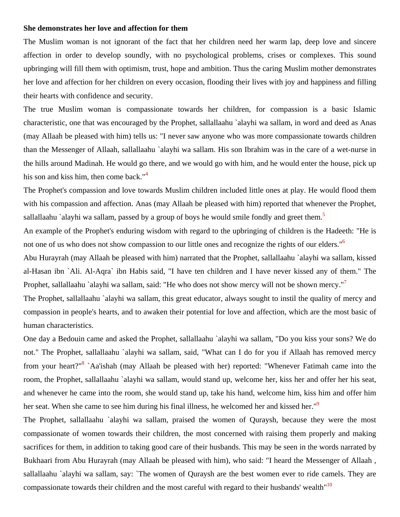### **She demonstrates her love and affection for them**

The Muslim woman is not ignorant of the fact that her children need her warm lap, deep love and sincere affection in order to develop soundly, with no psychological problems, crises or complexes. This sound upbringing will fill them with optimism, trust, hope and ambition. Thus the caring Muslim mother demonstrates her love and affection for her children on every occasion, flooding their lives with joy and happiness and filling their hearts with confidence and security.

The true Muslim woman is compassionate towards her children, for compassion is a basic Islamic characteristic, one that was encouraged by the Prophet, sallallaahu `alayhi wa sallam, in word and deed as Anas (may Allaah be pleased with him) tells us: "I never saw anyone who was more compassionate towards children than the Messenger of Allaah, sallallaahu `alayhi wa sallam. His son Ibrahim was in the care of a wet-nurse in the hills around Madinah. He would go there, and we would go with him, and he would enter the house, pick up his son and kiss him, then come back."<sup>4</sup>

The Prophet's compassion and love towards Muslim children included little ones at play. He would flood them with his compassion and affection. Anas (may Allaah be pleased with him) reported that whenever the Prophet, sallallaahu `alayhi wa sallam, passed by a group of boys he would smile fondly and greet them.<sup>5</sup>

An example of the Prophet's enduring wisdom with regard to the upbringing of children is the Hadeeth: "He is not one of us who does not show compassion to our little ones and recognize the rights of our elders."<sup>6</sup>

Abu Hurayrah (may Allaah be pleased with him) narrated that the Prophet, sallallaahu `alayhi wa sallam, kissed al-Hasan ibn `Ali. Al-Aqra` ibn Habis said, "I have ten children and I have never kissed any of them." The Prophet, sallallaahu `alayhi wa sallam, said: "He who does not show mercy will not be shown mercy."<sup>7</sup>

The Prophet, sallallaahu `alayhi wa sallam, this great educator, always sought to instil the quality of mercy and compassion in people's hearts, and to awaken their potential for love and affection, which are the most basic of human characteristics.

One day a Bedouin came and asked the Prophet, sallallaahu `alayhi wa sallam, "Do you kiss your sons? We do not." The Prophet, sallallaahu `alayhi wa sallam, said, "What can I do for you if Allaah has removed mercy from your heart?"<sup>8</sup> `Aa'ishah (may Allaah be pleased with her) reported: "Whenever Fatimah came into the room, the Prophet, sallallaahu `alayhi wa sallam, would stand up, welcome her, kiss her and offer her his seat, and whenever he came into the room, she would stand up, take his hand, welcome him, kiss him and offer him her seat. When she came to see him during his final illness, he welcomed her and kissed her."<sup>9</sup>

The Prophet, sallallaahu `alayhi wa sallam, praised the women of Quraysh, because they were the most compassionate of women towards their children, the most concerned with raising them properly and making sacrifices for them, in addition to taking good care of their husbands. This may be seen in the words narrated by Bukhaari from Abu Hurayrah (may Allaah be pleased with him), who said: "I heard the Messenger of Allaah , sallallaahu `alayhi wa sallam, say: `The women of Quraysh are the best women ever to ride camels. They are compassionate towards their children and the most careful with regard to their husbands' wealth<sup>"10</sup>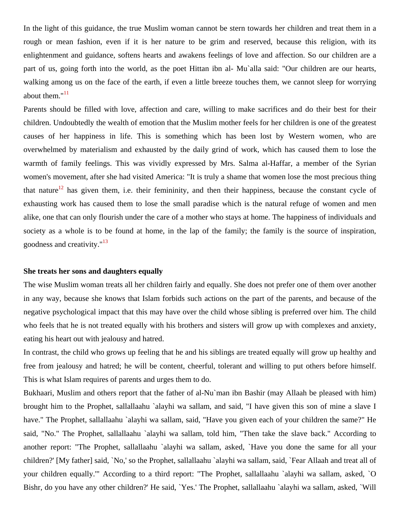In the light of this guidance, the true Muslim woman cannot be stern towards her children and treat them in a rough or mean fashion, even if it is her nature to be grim and reserved, because this religion, with its enlightenment and guidance, softens hearts and awakens feelings of love and affection. So our children are a part of us, going forth into the world, as the poet Hittan ibn al- Mu`alla said: "Our children are our hearts, walking among us on the face of the earth, if even a little breeze touches them, we cannot sleep for worrying about them."<sup>11</sup>

Parents should be filled with love, affection and care, willing to make sacrifices and do their best for their children. Undoubtedly the wealth of emotion that the Muslim mother feels for her children is one of the greatest causes of her happiness in life. This is something which has been lost by Western women, who are overwhelmed by materialism and exhausted by the daily grind of work, which has caused them to lose the warmth of family feelings. This was vividly expressed by Mrs. Salma al-Haffar, a member of the Syrian women's movement, after she had visited America: "It is truly a shame that women lose the most precious thing that nature<sup>12</sup> has given them, i.e. their femininity, and then their happiness, because the constant cycle of exhausting work has caused them to lose the small paradise which is the natural refuge of women and men alike, one that can only flourish under the care of a mother who stays at home. The happiness of individuals and society as a whole is to be found at home, in the lap of the family; the family is the source of inspiration, goodness and creativity."<sup>13</sup>

### **She treats her sons and daughters equally**

The wise Muslim woman treats all her children fairly and equally. She does not prefer one of them over another in any way, because she knows that Islam forbids such actions on the part of the parents, and because of the negative psychological impact that this may have over the child whose sibling is preferred over him. The child who feels that he is not treated equally with his brothers and sisters will grow up with complexes and anxiety, eating his heart out with jealousy and hatred.

In contrast, the child who grows up feeling that he and his siblings are treated equally will grow up healthy and free from jealousy and hatred; he will be content, cheerful, tolerant and willing to put others before himself. This is what Islam requires of parents and urges them to do.

Bukhaari, Muslim and others report that the father of al-Nu`man ibn Bashir (may Allaah be pleased with him) brought him to the Prophet, sallallaahu `alayhi wa sallam, and said, "I have given this son of mine a slave I have." The Prophet, sallallaahu `alayhi wa sallam, said, "Have you given each of your children the same?" He said, "No." The Prophet, sallallaahu `alayhi wa sallam, told him, "Then take the slave back." According to another report: "The Prophet, sallallaahu `alayhi wa sallam, asked, `Have you done the same for all your children?' [My father] said, `No,' so the Prophet, sallallaahu `alayhi wa sallam, said, `Fear Allaah and treat all of your children equally.'" According to a third report: "The Prophet, sallallaahu `alayhi wa sallam, asked, `O Bishr, do you have any other children?' He said, `Yes.' The Prophet, sallallaahu `alayhi wa sallam, asked, `Will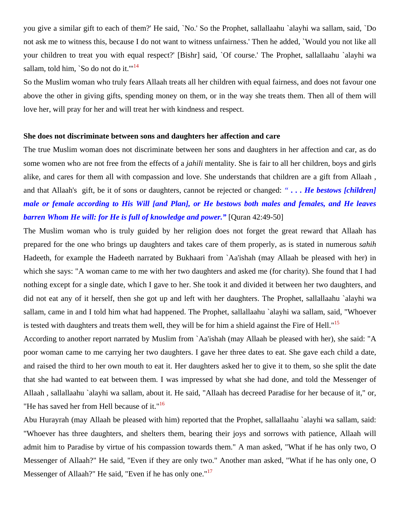you give a similar gift to each of them?' He said, `No.' So the Prophet, sallallaahu `alayhi wa sallam, said, `Do not ask me to witness this, because I do not want to witness unfairness.' Then he added, `Would you not like all your children to treat you with equal respect?' [Bishr] said, `Of course.' The Prophet, sallallaahu `alayhi wa sallam, told him, `So do not do it.'"<sup>14</sup>

So the Muslim woman who truly fears Allaah treats all her children with equal fairness, and does not favour one above the other in giving gifts, spending money on them, or in the way she treats them. Then all of them will love her, will pray for her and will treat her with kindness and respect.

### **She does not discriminate between sons and daughters her affection and care**

The true Muslim woman does not discriminate between her sons and daughters in her affection and car, as do some women who are not free from the effects of a *jahili* mentality. She is fair to all her children, boys and girls alike, and cares for them all with compassion and love. She understands that children are a gift from Allaah , and that Allaah's gift, be it of sons or daughters, cannot be rejected or changed: *" . . . He bestows [children] male or female according to His Will [and Plan], or He bestows both males and females, and He leaves barren Whom He will: for He is full of knowledge and power."* [Quran 42:49-50]

The Muslim woman who is truly guided by her religion does not forget the great reward that Allaah has prepared for the one who brings up daughters and takes care of them properly, as is stated in numerous *sahih*  Hadeeth, for example the Hadeeth narrated by Bukhaari from `Aa'ishah (may Allaah be pleased with her) in which she says: "A woman came to me with her two daughters and asked me (for charity). She found that I had nothing except for a single date, which I gave to her. She took it and divided it between her two daughters, and did not eat any of it herself, then she got up and left with her daughters. The Prophet, sallallaahu `alayhi wa sallam, came in and I told him what had happened. The Prophet, sallallaahu `alayhi wa sallam, said, "Whoever is tested with daughters and treats them well, they will be for him a shield against the Fire of Hell."<sup>15</sup>

According to another report narrated by Muslim from `Aa'ishah (may Allaah be pleased with her), she said: "A poor woman came to me carrying her two daughters. I gave her three dates to eat. She gave each child a date, and raised the third to her own mouth to eat it. Her daughters asked her to give it to them, so she split the date that she had wanted to eat between them. I was impressed by what she had done, and told the Messenger of Allaah, sallallaahu `alayhi wa sallam, about it. He said, "Allaah has decreed Paradise for her because of it," or, "He has saved her from Hell because of it."<sup>16</sup>

Abu Hurayrah (may Allaah be pleased with him) reported that the Prophet, sallallaahu `alayhi wa sallam, said: "Whoever has three daughters, and shelters them, bearing their joys and sorrows with patience, Allaah will admit him to Paradise by virtue of his compassion towards them." A man asked, "What if he has only two, O Messenger of Allaah?" He said, "Even if they are only two." Another man asked, "What if he has only one, O Messenger of Allaah?" He said, "Even if he has only one."<sup>17</sup>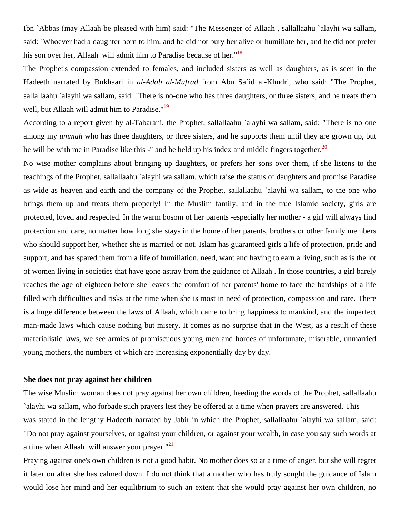Ibn `Abbas (may Allaah be pleased with him) said: "The Messenger of Allaah , sallallaahu `alayhi wa sallam, said: `Whoever had a daughter born to him, and he did not bury her alive or humiliate her, and he did not prefer his son over her, Allaah will admit him to Paradise because of her."<sup>18</sup>

The Prophet's compassion extended to females, and included sisters as well as daughters, as is seen in the Hadeeth narrated by Bukhaari in *al-Adab al-Mufrad* from Abu Sa`id al-Khudri, who said: "The Prophet, sallallaahu `alayhi wa sallam, said: `There is no-one who has three daughters, or three sisters, and he treats them well, but Allaah will admit him to Paradise."<sup>19</sup>

According to a report given by al-Tabarani, the Prophet, sallallaahu `alayhi wa sallam, said: "There is no one among my *ummah* who has three daughters, or three sisters, and he supports them until they are grown up, but he will be with me in Paradise like this  $-$ " and he held up his index and middle fingers together.<sup>20</sup>

No wise mother complains about bringing up daughters, or prefers her sons over them, if she listens to the teachings of the Prophet, sallallaahu `alayhi wa sallam, which raise the status of daughters and promise Paradise as wide as heaven and earth and the company of the Prophet, sallallaahu `alayhi wa sallam, to the one who brings them up and treats them properly! In the Muslim family, and in the true Islamic society, girls are protected, loved and respected. In the warm bosom of her parents -especially her mother - a girl will always find protection and care, no matter how long she stays in the home of her parents, brothers or other family members who should support her, whether she is married or not. Islam has guaranteed girls a life of protection, pride and support, and has spared them from a life of humiliation, need, want and having to earn a living, such as is the lot of women living in societies that have gone astray from the guidance of Allaah . In those countries, a girl barely reaches the age of eighteen before she leaves the comfort of her parents' home to face the hardships of a life filled with difficulties and risks at the time when she is most in need of protection, compassion and care. There is a huge difference between the laws of Allaah, which came to bring happiness to mankind, and the imperfect man-made laws which cause nothing but misery. It comes as no surprise that in the West, as a result of these materialistic laws, we see armies of promiscuous young men and hordes of unfortunate, miserable, unmarried young mothers, the numbers of which are increasing exponentially day by day.

### **She does not pray against her children**

The wise Muslim woman does not pray against her own children, heeding the words of the Prophet, sallallaahu `alayhi wa sallam, who forbade such prayers lest they be offered at a time when prayers are answered. This was stated in the lengthy Hadeeth narrated by Jabir in which the Prophet, sallallaahu `alayhi wa sallam, said: "Do not pray against yourselves, or against your children, or against your wealth, in case you say such words at a time when Allaah will answer your prayer."<sup>21</sup>

Praying against one's own children is not a good habit. No mother does so at a time of anger, but she will regret it later on after she has calmed down. I do not think that a mother who has truly sought the guidance of Islam would lose her mind and her equilibrium to such an extent that she would pray against her own children, no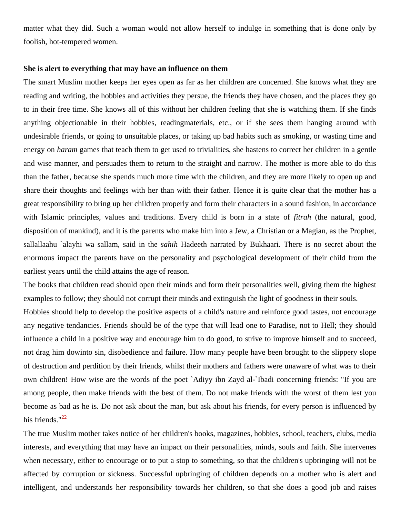matter what they did. Such a woman would not allow herself to indulge in something that is done only by foolish, hot-tempered women.

### **She is alert to everything that may have an influence on them**

The smart Muslim mother keeps her eyes open as far as her children are concerned. She knows what they are reading and writing, the hobbies and activities they persue, the friends they have chosen, and the places they go to in their free time. She knows all of this without her children feeling that she is watching them. If she finds anything objectionable in their hobbies, readingmaterials, etc., or if she sees them hanging around with undesirable friends, or going to unsuitable places, or taking up bad habits such as smoking, or wasting time and energy on *haram* games that teach them to get used to trivialities, she hastens to correct her children in a gentle and wise manner, and persuades them to return to the straight and narrow. The mother is more able to do this than the father, because she spends much more time with the children, and they are more likely to open up and share their thoughts and feelings with her than with their father. Hence it is quite clear that the mother has a great responsibility to bring up her children properly and form their characters in a sound fashion, in accordance with Islamic principles, values and traditions. Every child is born in a state of *fitrah* (the natural, good, disposition of mankind), and it is the parents who make him into a Jew, a Christian or a Magian, as the Prophet, sallallaahu `alayhi wa sallam, said in the *sahih* Hadeeth narrated by Bukhaari. There is no secret about the enormous impact the parents have on the personality and psychological development of their child from the earliest years until the child attains the age of reason.

The books that children read should open their minds and form their personalities well, giving them the highest examples to follow; they should not corrupt their minds and extinguish the light of goodness in their souls.

Hobbies should help to develop the positive aspects of a child's nature and reinforce good tastes, not encourage any negative tendancies. Friends should be of the type that will lead one to Paradise, not to Hell; they should influence a child in a positive way and encourage him to do good, to strive to improve himself and to succeed, not drag him dowinto sin, disobedience and failure. How many people have been brought to the slippery slope of destruction and perdition by their friends, whilst their mothers and fathers were unaware of what was to their own children! How wise are the words of the poet `Adiyy ibn Zayd al-`Ibadi concerning friends: "If you are among people, then make friends with the best of them. Do not make friends with the worst of them lest you become as bad as he is. Do not ask about the man, but ask about his friends, for every person is influenced by his friends." $^{22}$ 

The true Muslim mother takes notice of her children's books, magazines, hobbies, school, teachers, clubs, media interests, and everything that may have an impact on their personalities, minds, souls and faith. She intervenes when necessary, either to encourage or to put a stop to something, so that the children's upbringing will not be affected by corruption or sickness. Successful upbringing of children depends on a mother who is alert and intelligent, and understands her responsibility towards her children, so that she does a good job and raises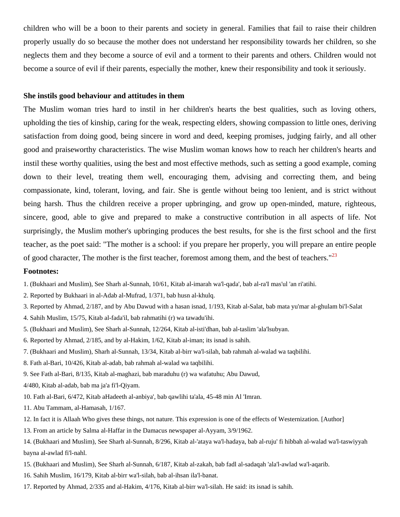children who will be a boon to their parents and society in general. Families that fail to raise their children properly usually do so because the mother does not understand her responsibility towards her children, so she neglects them and they become a source of evil and a torment to their parents and others. Children would not become a source of evil if their parents, especially the mother, knew their responsibility and took it seriously.

### **She instils good behaviour and attitudes in them**

The Muslim woman tries hard to instil in her children's hearts the best qualities, such as loving others, upholding the ties of kinship, caring for the weak, respecting elders, showing compassion to little ones, deriving satisfaction from doing good, being sincere in word and deed, keeping promises, judging fairly, and all other good and praiseworthy characteristics. The wise Muslim woman knows how to reach her children's hearts and instil these worthy qualities, using the best and most effective methods, such as setting a good example, coming down to their level, treating them well, encouraging them, advising and correcting them, and being compassionate, kind, tolerant, loving, and fair. She is gentle without being too lenient, and is strict without being harsh. Thus the children receive a proper upbringing, and grow up open-minded, mature, righteous, sincere, good, able to give and prepared to make a constructive contribution in all aspects of life. Not surprisingly, the Muslim mother's upbringing produces the best results, for she is the first school and the first teacher, as the poet said: "The mother is a school: if you prepare her properly, you will prepare an entire people of good character, The mother is the first teacher, foremost among them, and the best of teachers."<sup>23</sup>

### **Footnotes:**

- 1. (Bukhaari and Muslim), See Sharh al-Sunnah, 10/61, Kitab al-imarah wa'l-qada', bab al-ra'I mas'ul 'an ri'atihi.
- 2. Reported by Bukhaari in al-Adab al-Mufrad, 1/371, bab husn al-khulq.
- 3. Reported by Ahmad, 2/187, and by Abu Dawud with a hasan isnad, 1/193, Kitab al-Salat, bab mata yu'mar al-ghulam bi'l-Salat
- 4. Sahih Muslim, 15/75, Kitab al-fada'il, bab rahmatihi (r) wa tawadu'ihi.
- 5. (Bukhaari and Muslim), See Sharh al-Sunnah, 12/264, Kitab al-isti'dhan, bab al-taslim 'ala'lsubyan.
- 6. Reported by Ahmad, 2/185, and by al-Hakim, 1/62, Kitab al-iman; its isnad is sahih.
- 7. (Bukhaari and Muslim), Sharh al-Sunnah, 13/34, Kitab al-birr wa'l-silah, bab rahmah al-walad wa taqbilihi.
- 8. Fath al-Bari, 10/426, Kitab al-adab, bab rahmah al-walad wa taqbilihi.
- 9. See Fath al-Bari, 8/135, Kitab al-maghazi, bab maraduhu (r) wa wafatuhu; Abu Dawud,
- 4/480, Kitab al-adab, bab ma ja'a fi'l-Qiyam.
- 10. Fath al-Bari, 6/472, Kitab aHadeeth al-anbiya', bab qawlihi ta'ala, 45-48 min Al 'Imran.
- 11. Abu Tammam, al-Hamasah, 1/167.
- 12. In fact it is Allaah Who gives these things, not nature. This expression is one of the effects of Westernization. [Author]
- 13. From an article by Salma al-Haffar in the Damacus newspaper al-Ayyam, 3/9/1962.
- 14. (Bukhaari and Muslim), See Sharh al-Sunnah, 8/296, Kitab al-'ataya wa'l-hadaya, bab al-ruju' fi hibbah al-walad wa'l-taswiyyah bayna al-awlad fi'l-nahl.
- 15. (Bukhaari and Muslim), See Sharh al-Sunnah, 6/187, Kitab al-zakah, bab fadl al-sadaqah 'ala'l-awlad wa'l-aqarib.
- 16. Sahih Muslim, 16/179, Kitab al-birr wa'l-silah, bab al-ihsan ila'l-banat.
- 17. Reported by Ahmad, 2/335 and al-Hakim, 4/176, Kitab al-birr wa'l-silah. He said: its isnad is sahih.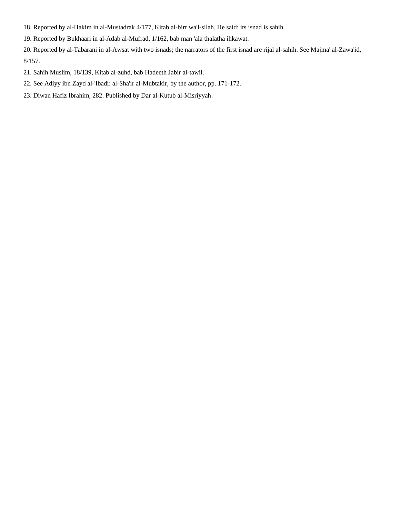- 18. Reported by al-Hakim in al-Mustadrak 4/177, Kitab al-birr wa'l-silah. He said: its isnad is sahih.
- 19. Reported by Bukhaari in al-Adab al-Mufrad, 1/162, bab man 'ala thalatha ihkawat.

20. Reported by al-Tabarani in al-Awsat with two isnads; the narrators of the first isnad are rijal al-sahih. See Majma' al-Zawa'id, 8/157.

- 21. Sahih Muslim, 18/139, Kitab al-zuhd, bab Hadeeth Jabir al-tawil.
- 22. See Adiyy ibn Zayd al-'Ibadi: al-Sha'ir al-Mubtakir, by the author, pp. 171-172.
- 23. Diwan Hafiz Ibrahim, 282. Published by Dar al-Kutub al-Misriyyah.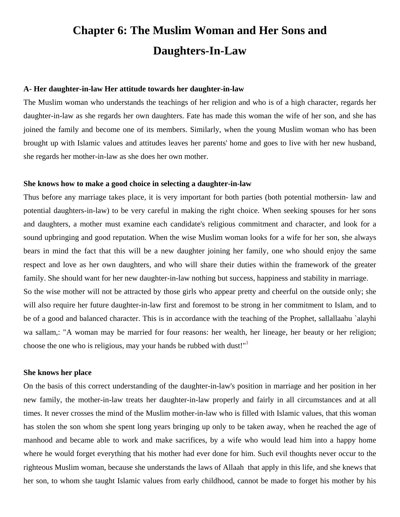# **Chapter 6: The Muslim Woman and Her Sons and Daughters-In-Law**

### **A- Her daughter-in-law Her attitude towards her daughter-in-law**

The Muslim woman who understands the teachings of her religion and who is of a high character, regards her daughter-in-law as she regards her own daughters. Fate has made this woman the wife of her son, and she has joined the family and become one of its members. Similarly, when the young Muslim woman who has been brought up with Islamic values and attitudes leaves her parents' home and goes to live with her new husband, she regards her mother-in-law as she does her own mother.

### **She knows how to make a good choice in selecting a daughter-in-law**

choose the one who is religious, may your hands be rubbed with dust!"

Thus before any marriage takes place, it is very important for both parties (both potential mothersin- law and potential daughters-in-law) to be very careful in making the right choice. When seeking spouses for her sons and daughters, a mother must examine each candidate's religious commitment and character, and look for a sound upbringing and good reputation. When the wise Muslim woman looks for a wife for her son, she always bears in mind the fact that this will be a new daughter joining her family, one who should enjoy the same respect and love as her own daughters, and who will share their duties within the framework of the greater family. She should want for her new daughter-in-law nothing but success, happiness and stability in marriage. So the wise mother will not be attracted by those girls who appear pretty and cheerful on the outside only; she will also require her future daughter-in-law first and foremost to be strong in her commitment to Islam, and to be of a good and balanced character. This is in accordance with the teaching of the Prophet, sallallaahu `alayhi wa sallam,: "A woman may be married for four reasons: her wealth, her lineage, her beauty or her religion;

### **She knows her place**

On the basis of this correct understanding of the daughter-in-law's position in marriage and her position in her new family, the mother-in-law treats her daughter-in-law properly and fairly in all circumstances and at all times. It never crosses the mind of the Muslim mother-in-law who is filled with Islamic values, that this woman has stolen the son whom she spent long years bringing up only to be taken away, when he reached the age of manhood and became able to work and make sacrifices, by a wife who would lead him into a happy home where he would forget everything that his mother had ever done for him. Such evil thoughts never occur to the righteous Muslim woman, because she understands the laws of Allaah that apply in this life, and she knews that her son, to whom she taught Islamic values from early childhood, cannot be made to forget his mother by his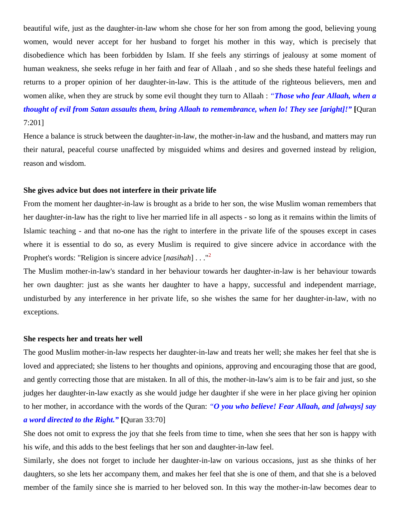beautiful wife, just as the daughter-in-law whom she chose for her son from among the good, believing young women, would never accept for her husband to forget his mother in this way, which is precisely that disobedience which has been forbidden by Islam. If she feels any stirrings of jealousy at some moment of human weakness, she seeks refuge in her faith and fear of Allaah , and so she sheds these hateful feelings and returns to a proper opinion of her daughter-in-law. This is the attitude of the righteous believers, men and women alike, when they are struck by some evil thought they turn to Allaah : *"Those who fear Allaah, when a thought of evil from Satan assaults them, bring Allaah to remembrance, when lo! They see [aright]!"* **[**Quran 7:201]

Hence a balance is struck between the daughter-in-law, the mother-in-law and the husband, and matters may run their natural, peaceful course unaffected by misguided whims and desires and governed instead by religion, reason and wisdom.

### **She gives advice but does not interfere in their private life**

From the moment her daughter-in-law is brought as a bride to her son, the wise Muslim woman remembers that her daughter-in-law has the right to live her married life in all aspects - so long as it remains within the limits of Islamic teaching - and that no-one has the right to interfere in the private life of the spouses except in cases where it is essential to do so, as every Muslim is required to give sincere advice in accordance with the Prophet's words: "Religion is sincere advice [*nasihah*] . . ."<sup>2</sup>

The Muslim mother-in-law's standard in her behaviour towards her daughter-in-law is her behaviour towards her own daughter: just as she wants her daughter to have a happy, successful and independent marriage, undisturbed by any interference in her private life, so she wishes the same for her daughter-in-law, with no exceptions.

### **She respects her and treats her well**

The good Muslim mother-in-law respects her daughter-in-law and treats her well; she makes her feel that she is loved and appreciated; she listens to her thoughts and opinions, approving and encouraging those that are good, and gently correcting those that are mistaken. In all of this, the mother-in-law's aim is to be fair and just, so she judges her daughter-in-law exactly as she would judge her daughter if she were in her place giving her opinion to her mother, in accordance with the words of the Quran: *"O you who believe! Fear Allaah, and [always] say a word directed to the Right."* **[**Quran 33:70]

She does not omit to express the joy that she feels from time to time, when she sees that her son is happy with his wife, and this adds to the best feelings that her son and daughter-in-law feel.

Similarly, she does not forget to include her daughter-in-law on various occasions, just as she thinks of her daughters, so she lets her accompany them, and makes her feel that she is one of them, and that she is a beloved member of the family since she is married to her beloved son. In this way the mother-in-law becomes dear to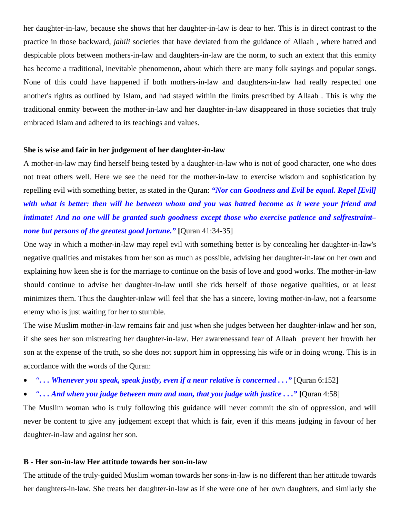her daughter-in-law, because she shows that her daughter-in-law is dear to her. This is in direct contrast to the practice in those backward, *jahili* societies that have deviated from the guidance of Allaah , where hatred and despicable plots between mothers-in-law and daughters-in-law are the norm, to such an extent that this enmity has become a traditional, inevitable phenomenon, about which there are many folk sayings and popular songs. None of this could have happened if both mothers-in-law and daughters-in-law had really respected one another's rights as outlined by Islam, and had stayed within the limits prescribed by Allaah . This is why the traditional enmity between the mother-in-law and her daughter-in-law disappeared in those societies that truly embraced Islam and adhered to its teachings and values.

### **She is wise and fair in her judgement of her daughter-in-law**

A mother-in-law may find herself being tested by a daughter-in-law who is not of good character, one who does not treat others well. Here we see the need for the mother-in-law to exercise wisdom and sophistication by repelling evil with something better, as stated in the Quran: *"Nor can Goodness and Evil be equal. Repel [Evil] with what is better: then will he between whom and you was hatred become as it were your friend and intimate! And no one will be granted such goodness except those who exercise patience and selfrestraint– none but persons of the greatest good fortune."* **[**Quran 41:34-35]

One way in which a mother-in-law may repel evil with something better is by concealing her daughter-in-law's negative qualities and mistakes from her son as much as possible, advising her daughter-in-law on her own and explaining how keen she is for the marriage to continue on the basis of love and good works. The mother-in-law should continue to advise her daughter-in-law until she rids herself of those negative qualities, or at least minimizes them. Thus the daughter-inlaw will feel that she has a sincere, loving mother-in-law, not a fearsome enemy who is just waiting for her to stumble.

The wise Muslim mother-in-law remains fair and just when she judges between her daughter-inlaw and her son, if she sees her son mistreating her daughter-in-law. Her awarenessand fear of Allaah prevent her frowith her son at the expense of the truth, so she does not support him in oppressing his wife or in doing wrong. This is in accordance with the words of the Quran:

- *". . . Whenever you speak, speak justly, even if a near relative is concerned . . ."* [Quran 6:152]
- *". . . And when you judge between man and man, that you judge with justice . . ."* **[**Quran 4:58]

The Muslim woman who is truly following this guidance will never commit the sin of oppression, and will never be content to give any judgement except that which is fair, even if this means judging in favour of her daughter-in-law and against her son.

### **B - Her son-in-law Her attitude towards her son-in-law**

The attitude of the truly-guided Muslim woman towards her sons-in-law is no different than her attitude towards her daughters-in-law. She treats her daughter-in-law as if she were one of her own daughters, and similarly she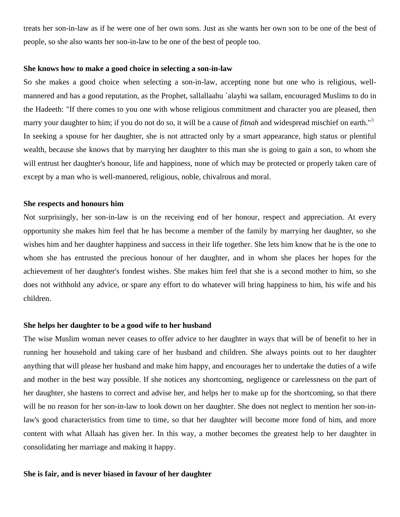treats her son-in-law as if he were one of her own sons. Just as she wants her own son to be one of the best of people, so she also wants her son-in-law to be one of the best of people too.

### **She knows how to make a good choice in selecting a son-in-law**

So she makes a good choice when selecting a son-in-law, accepting none but one who is religious, wellmannered and has a good reputation, as the Prophet, sallallaahu `alayhi wa sallam, encouraged Muslims to do in the Hadeeth: "If there comes to you one with whose religious commitment and character you are pleased, then marry your daughter to him; if you do not do so, it will be a cause of *fitnah* and widespread mischief on earth."<sup>3</sup> In seeking a spouse for her daughter, she is not attracted only by a smart appearance, high status or plentiful wealth, because she knows that by marrying her daughter to this man she is going to gain a son, to whom she will entrust her daughter's honour, life and happiness, none of which may be protected or properly taken care of except by a man who is well-mannered, religious, noble, chivalrous and moral.

### **She respects and honours him**

Not surprisingly, her son-in-law is on the receiving end of her honour, respect and appreciation. At every opportunity she makes him feel that he has become a member of the family by marrying her daughter, so she wishes him and her daughter happiness and success in their life together. She lets him know that he is the one to whom she has entrusted the precious honour of her daughter, and in whom she places her hopes for the achievement of her daughter's fondest wishes. She makes him feel that she is a second mother to him, so she does not withhold any advice, or spare any effort to do whatever will bring happiness to him, his wife and his children.

### **She helps her daughter to be a good wife to her husband**

The wise Muslim woman never ceases to offer advice to her daughter in ways that will be of benefit to her in running her household and taking care of her husband and children. She always points out to her daughter anything that will please her husband and make him happy, and encourages her to undertake the duties of a wife and mother in the best way possible. If she notices any shortcoming, negligence or carelessness on the part of her daughter, she hastens to correct and advise her, and helps her to make up for the shortcoming, so that there will be no reason for her son-in-law to look down on her daughter. She does not neglect to mention her son-inlaw's good characteristics from time to time, so that her daughter will become more fond of him, and more content with what Allaah has given her. In this way, a mother becomes the greatest help to her daughter in consolidating her marriage and making it happy.

### **She is fair, and is never biased in favour of her daughter**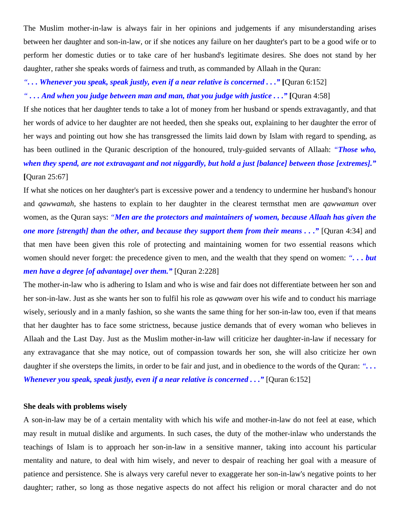The Muslim mother-in-law is always fair in her opinions and judgements if any misunderstanding arises between her daughter and son-in-law, or if she notices any failure on her daughter's part to be a good wife or to perform her domestic duties or to take care of her husband's legitimate desires. She does not stand by her daughter, rather she speaks words of fairness and truth, as commanded by Allaah in the Quran:

*". . . Whenever you speak, speak justly, even if a near relative is concerned . . ."* **[**Quran 6:152]

*" . . . And when you judge between man and man, that you judge with justice . . ."* **[**Quran 4:58]

If she notices that her daughter tends to take a lot of money from her husband or spends extravagantly, and that her words of advice to her daughter are not heeded, then she speaks out, explaining to her daughter the error of her ways and pointing out how she has transgressed the limits laid down by Islam with regard to spending, as has been outlined in the Quranic description of the honoured, truly-guided servants of Allaah: *"Those who, when they spend, are not extravagant and not niggardly, but hold a just [balance] between those [extremes]."* **[**Quran 25:67]

If what she notices on her daughter's part is excessive power and a tendency to undermine her husband's honour and *qawwamah*, she hastens to explain to her daughter in the clearest termsthat men are *qawwamun* over women, as the Quran says: *"Men are the protectors and maintainers of women, because Allaah has given the one more [strength] than the other, and because they support them from their means ...*" [Quran 4:34] and that men have been given this role of protecting and maintaining women for two essential reasons which women should never forget: the precedence given to men, and the wealth that they spend on women: *". . . but men have a degree [of advantage] over them.*" [Quran 2:228]

The mother-in-law who is adhering to Islam and who is wise and fair does not differentiate between her son and her son-in-law. Just as she wants her son to fulfil his role as *qawwam* over his wife and to conduct his marriage wisely, seriously and in a manly fashion, so she wants the same thing for her son-in-law too, even if that means that her daughter has to face some strictness, because justice demands that of every woman who believes in Allaah and the Last Day. Just as the Muslim mother-in-law will criticize her daughter-in-law if necessary for any extravagance that she may notice, out of compassion towards her son, she will also criticize her own daughter if she oversteps the limits, in order to be fair and just, and in obedience to the words of the Quran: "... *Whenever you speak, speak justly, even if a near relative is concerned ...*" [Quran 6:152]

### **She deals with problems wisely**

A son-in-law may be of a certain mentality with which his wife and mother-in-law do not feel at ease, which may result in mutual dislike and arguments. In such cases, the duty of the mother-inlaw who understands the teachings of Islam is to approach her son-in-law in a sensitive manner, taking into account his particular mentality and nature, to deal with him wisely, and never to despair of reaching her goal with a measure of patience and persistence. She is always very careful never to exaggerate her son-in-law's negative points to her daughter; rather, so long as those negative aspects do not affect his religion or moral character and do not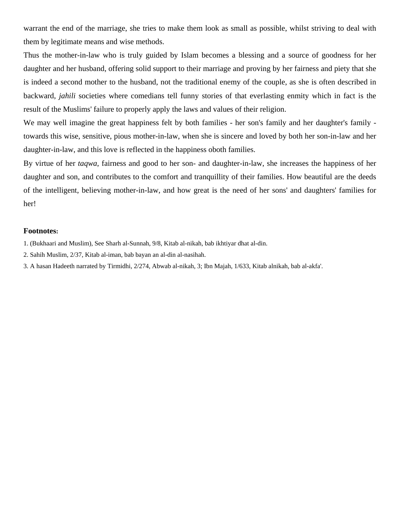warrant the end of the marriage, she tries to make them look as small as possible, whilst striving to deal with them by legitimate means and wise methods.

Thus the mother-in-law who is truly guided by Islam becomes a blessing and a source of goodness for her daughter and her husband, offering solid support to their marriage and proving by her fairness and piety that she is indeed a second mother to the husband, not the traditional enemy of the couple, as she is often described in backward, *jahili* societies where comedians tell funny stories of that everlasting enmity which in fact is the result of the Muslims' failure to properly apply the laws and values of their religion.

We may well imagine the great happiness felt by both families - her son's family and her daughter's family towards this wise, sensitive, pious mother-in-law, when she is sincere and loved by both her son-in-law and her daughter-in-law, and this love is reflected in the happiness oboth families.

By virtue of her *taqwa*, fairness and good to her son- and daughter-in-law, she increases the happiness of her daughter and son, and contributes to the comfort and tranquillity of their families. How beautiful are the deeds of the intelligent, believing mother-in-law, and how great is the need of her sons' and daughters' families for her!

### **Footnotes:**

- 1. (Bukhaari and Muslim), See Sharh al-Sunnah, 9/8, Kitab al-nikah, bab ikhtiyar dhat al-din.
- 2. Sahih Muslim, 2/37, Kitab al-iman, bab bayan an al-din al-nasihah.
- 3. A hasan Hadeeth narrated by Tirmidhi, 2/274, Abwab al-nikah, 3; Ibn Majah, 1/633, Kitab alnikah, bab al-akfa'.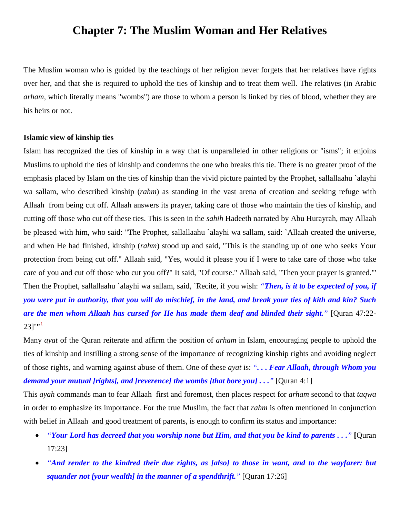### **Chapter 7: The Muslim Woman and Her Relatives**

The Muslim woman who is guided by the teachings of her religion never forgets that her relatives have rights over her, and that she is required to uphold the ties of kinship and to treat them well. The relatives (in Arabic *arham*, which literally means "wombs") are those to whom a person is linked by ties of blood, whether they are his heirs or not.

### **Islamic view of kinship ties**

Islam has recognized the ties of kinship in a way that is unparalleled in other religions or "isms"; it enjoins Muslims to uphold the ties of kinship and condemns the one who breaks this tie. There is no greater proof of the emphasis placed by Islam on the ties of kinship than the vivid picture painted by the Prophet, sallallaahu `alayhi wa sallam, who described kinship (*rahm*) as standing in the vast arena of creation and seeking refuge with Allaah from being cut off. Allaah answers its prayer, taking care of those who maintain the ties of kinship, and cutting off those who cut off these ties. This is seen in the *sahih* Hadeeth narrated by Abu Hurayrah, may Allaah be pleased with him, who said: "The Prophet, sallallaahu `alayhi wa sallam, said: `Allaah created the universe, and when He had finished, kinship (*rahm*) stood up and said, "This is the standing up of one who seeks Your protection from being cut off." Allaah said, "Yes, would it please you if I were to take care of those who take care of you and cut off those who cut you off?" It said, "Of course." Allaah said, "Then your prayer is granted."' Then the Prophet, sallallaahu `alayhi wa sallam, said, `Recite, if you wish: *"Then, is it to be expected of you, if you were put in authority, that you will do mischief, in the land, and break your ties of kith and kin? Such are the men whom Allaah has cursed for He has made them deaf and blinded their sight."* [Quran 47:22- 23]**'"**<sup>1</sup>

Many *ayat* of the Quran reiterate and affirm the position of *arham* in Islam, encouraging people to uphold the ties of kinship and instilling a strong sense of the importance of recognizing kinship rights and avoiding neglect of those rights, and warning against abuse of them. One of these *ayat* is: *". . . Fear Allaah, through Whom you demand your mutual [rights], and [reverence] the wombs [that bore you] . . ."* [Quran 4:1]

This *ayah* commands man to fear Allaah first and foremost, then places respect for *arham* second to that *taqwa*  in order to emphasize its importance. For the true Muslim, the fact that *rahm* is often mentioned in conjunction with belief in Allaah and good treatment of parents, is enough to confirm its status and importance:

- *"Your Lord has decreed that you worship none but Him, and that you be kind to parents . . ."* **[**Quran 17:23]
- *"And render to the kindred their due rights, as [also] to those in want, and to the wayfarer: but squander not [your wealth] in the manner of a spendthrift."* [Quran 17:26]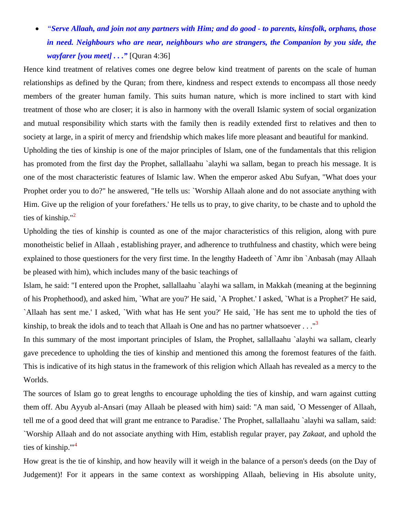• *"Serve Allaah, and join not any partners with Him; and do good - to parents, kinsfolk, orphans, those in need. Neighbours who are near, neighbours who are strangers, the Companion by you side, the wayfarer [you meet] . . ."* [Quran 4:36]

Hence kind treatment of relatives comes one degree below kind treatment of parents on the scale of human relationships as defined by the Quran; from there, kindness and respect extends to encompass all those needy members of the greater human family. This suits human nature, which is more inclined to start with kind treatment of those who are closer; it is also in harmony with the overall Islamic system of social organization and mutual responsibility which starts with the family then is readily extended first to relatives and then to society at large, in a spirit of mercy and friendship which makes life more pleasant and beautiful for mankind. Upholding the ties of kinship is one of the major principles of Islam, one of the fundamentals that this religion has promoted from the first day the Prophet, sallallaahu `alayhi wa sallam, began to preach his message. It is one of the most characteristic features of Islamic law. When the emperor asked Abu Sufyan, "What does your Prophet order you to do?" he answered, "He tells us: `Worship Allaah alone and do not associate anything with Him. Give up the religion of your forefathers.' He tells us to pray, to give charity, to be chaste and to uphold the ties of kinship."<sup>2</sup>

Upholding the ties of kinship is counted as one of the major characteristics of this religion, along with pure monotheistic belief in Allaah , establishing prayer, and adherence to truthfulness and chastity, which were being explained to those questioners for the very first time. In the lengthy Hadeeth of `Amr ibn `Anbasah (may Allaah be pleased with him), which includes many of the basic teachings of

Islam, he said: "I entered upon the Prophet, sallallaahu `alayhi wa sallam, in Makkah (meaning at the beginning of his Prophethood), and asked him, `What are you?' He said, `A Prophet.' I asked, `What is a Prophet?' He said, `Allaah has sent me.' I asked, `With what has He sent you?' He said, `He has sent me to uphold the ties of kinship, to break the idols and to teach that Allaah is One and has no partner whatsoever  $\ldots$ ."

In this summary of the most important principles of Islam, the Prophet, sallallaahu `alayhi wa sallam, clearly gave precedence to upholding the ties of kinship and mentioned this among the foremost features of the faith. This is indicative of its high status in the framework of this religion which Allaah has revealed as a mercy to the Worlds.

The sources of Islam go to great lengths to encourage upholding the ties of kinship, and warn against cutting them off. Abu Ayyub al-Ansari (may Allaah be pleased with him) said: "A man said, `O Messenger of Allaah, tell me of a good deed that will grant me entrance to Paradise.' The Prophet, sallallaahu `alayhi wa sallam, said: `Worship Allaah and do not associate anything with Him, establish regular prayer, pay *Zakaat*, and uphold the ties of kinship.'"<sup>4</sup>

How great is the tie of kinship, and how heavily will it weigh in the balance of a person's deeds (on the Day of Judgement)! For it appears in the same context as worshipping Allaah, believing in His absolute unity,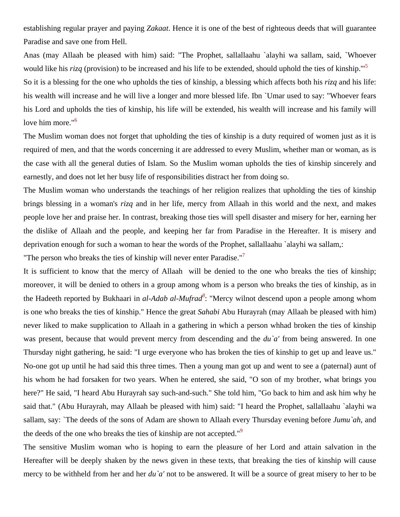establishing regular prayer and paying *Zakaat*. Hence it is one of the best of righteous deeds that will guarantee Paradise and save one from Hell.

Anas (may Allaah be pleased with him) said: "The Prophet, sallallaahu `alayhi wa sallam, said, `Whoever would like his *rizq* (provision) to be increased and his life to be extended, should uphold the ties of kinship.'"<sup>5</sup> So it is a blessing for the one who upholds the ties of kinship, a blessing which affects both his *rizq* and his life: his wealth will increase and he will live a longer and more blessed life. Ibn `Umar used to say: "Whoever fears his Lord and upholds the ties of kinship, his life will be extended, his wealth will increase and his family will love him more."<sup>6</sup>

The Muslim woman does not forget that upholding the ties of kinship is a duty required of women just as it is required of men, and that the words concerning it are addressed to every Muslim, whether man or woman, as is the case with all the general duties of Islam. So the Muslim woman upholds the ties of kinship sincerely and earnestly, and does not let her busy life of responsibilities distract her from doing so.

The Muslim woman who understands the teachings of her religion realizes that upholding the ties of kinship brings blessing in a woman's *rizq* and in her life, mercy from Allaah in this world and the next, and makes people love her and praise her. In contrast, breaking those ties will spell disaster and misery for her, earning her the dislike of Allaah and the people, and keeping her far from Paradise in the Hereafter. It is misery and deprivation enough for such a woman to hear the words of the Prophet, sallallaahu `alayhi wa sallam,:

"The person who breaks the ties of kinship will never enter Paradise."<sup>7</sup>

It is sufficient to know that the mercy of Allaah will be denied to the one who breaks the ties of kinship; moreover, it will be denied to others in a group among whom is a person who breaks the ties of kinship, as in the Hadeeth reported by Bukhaari in *al-Adab al-Mufrad*<sup>8</sup>: "Mercy wilnot descend upon a people among whom is one who breaks the ties of kinship." Hence the great *Sahabi* Abu Hurayrah (may Allaah be pleased with him) never liked to make supplication to Allaah in a gathering in which a person whhad broken the ties of kinship was present, because that would prevent mercy from descending and the  $du\alpha'$  from being answered. In one Thursday night gathering, he said: "I urge everyone who has broken the ties of kinship to get up and leave us." No-one got up until he had said this three times. Then a young man got up and went to see a (paternal) aunt of his whom he had forsaken for two years. When he entered, she said, "O son of my brother, what brings you here?" He said, "I heard Abu Hurayrah say such-and-such." She told him, "Go back to him and ask him why he said that." (Abu Hurayrah, may Allaah be pleased with him) said: "I heard the Prophet, sallallaahu `alayhi wa sallam, say: `The deeds of the sons of Adam are shown to Allaah every Thursday evening before *Jumu`ah*, and the deeds of the one who breaks the ties of kinship are not accepted."<sup>9</sup>

The sensitive Muslim woman who is hoping to earn the pleasure of her Lord and attain salvation in the Hereafter will be deeply shaken by the news given in these texts, that breaking the ties of kinship will cause mercy to be withheld from her and her *du`a'* not to be answered. It will be a source of great misery to her to be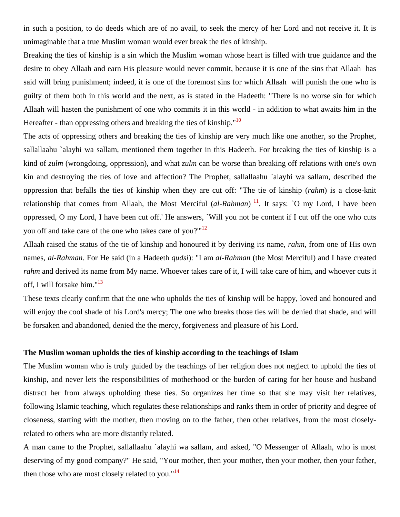in such a position, to do deeds which are of no avail, to seek the mercy of her Lord and not receive it. It is unimaginable that a true Muslim woman would ever break the ties of kinship.

Breaking the ties of kinship is a sin which the Muslim woman whose heart is filled with true guidance and the desire to obey Allaah and earn His pleasure would never commit, because it is one of the sins that Allaah has said will bring punishment; indeed, it is one of the foremost sins for which Allaah will punish the one who is guilty of them both in this world and the next, as is stated in the Hadeeth: "There is no worse sin for which Allaah will hasten the punishment of one who commits it in this world - in addition to what awaits him in the Hereafter - than oppressing others and breaking the ties of kinship."<sup>10</sup>

The acts of oppressing others and breaking the ties of kinship are very much like one another, so the Prophet, sallallaahu `alayhi wa sallam, mentioned them together in this Hadeeth. For breaking the ties of kinship is a kind of *zulm* (wrongdoing, oppression), and what *zulm* can be worse than breaking off relations with one's own kin and destroying the ties of love and affection? The Prophet, sallallaahu `alayhi wa sallam, described the oppression that befalls the ties of kinship when they are cut off: "The tie of kinship (*rahm*) is a close-knit relationship that comes from Allaah, the Most Merciful (*al-Rahman*)<sup>11</sup>. It says: `O my Lord, I have been oppressed, O my Lord, I have been cut off.' He answers, `Will you not be content if I cut off the one who cuts you off and take care of the one who takes care of you?'"<sup>12</sup>

Allaah raised the status of the tie of kinship and honoured it by deriving its name, *rahm*, from one of His own names, *al-Rahman*. For He said (in a Hadeeth *qudsi*): "I am *al-Rahman* (the Most Merciful) and I have created *rahm* and derived its name from My name. Whoever takes care of it, I will take care of him, and whoever cuts it off, I will forsake him."<sup>13</sup>

These texts clearly confirm that the one who upholds the ties of kinship will be happy, loved and honoured and will enjoy the cool shade of his Lord's mercy; The one who breaks those ties will be denied that shade, and will be forsaken and abandoned, denied the the mercy, forgiveness and pleasure of his Lord.

### **The Muslim woman upholds the ties of kinship according to the teachings of Islam**

The Muslim woman who is truly guided by the teachings of her religion does not neglect to uphold the ties of kinship, and never lets the responsibilities of motherhood or the burden of caring for her house and husband distract her from always upholding these ties. So organizes her time so that she may visit her relatives, following Islamic teaching, which regulates these relationships and ranks them in order of priority and degree of closeness, starting with the mother, then moving on to the father, then other relatives, from the most closelyrelated to others who are more distantly related.

A man came to the Prophet, sallallaahu `alayhi wa sallam, and asked, "O Messenger of Allaah, who is most deserving of my good company?" He said, "Your mother, then your mother, then your mother, then your father, then those who are most closely related to you." $14$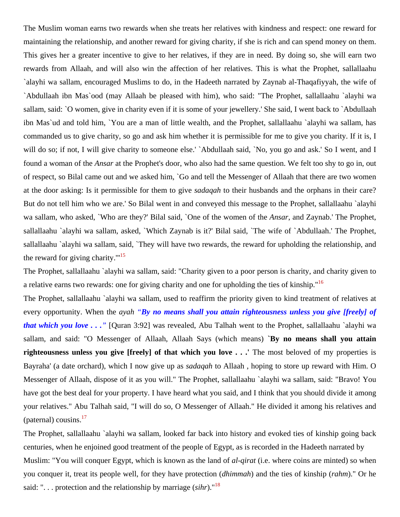The Muslim woman earns two rewards when she treats her relatives with kindness and respect: one reward for maintaining the relationship, and another reward for giving charity, if she is rich and can spend money on them. This gives her a greater incentive to give to her relatives, if they are in need. By doing so, she will earn two rewards from Allaah, and will also win the affection of her relatives. This is what the Prophet, sallallaahu `alayhi wa sallam, encouraged Muslims to do, in the Hadeeth narrated by Zaynab al-Thaqafiyyah, the wife of `Abdullaah ibn Mas`ood (may Allaah be pleased with him), who said: "The Prophet, sallallaahu `alayhi wa sallam, said: `O women, give in charity even if it is some of your jewellery.' She said, I went back to `Abdullaah ibn Mas`ud and told him, `You are a man of little wealth, and the Prophet, sallallaahu `alayhi wa sallam, has commanded us to give charity, so go and ask him whether it is permissible for me to give you charity. If it is, I will do so; if not, I will give charity to someone else.' `Abdullaah said, `No, you go and ask.' So I went, and I found a woman of the *Ansar* at the Prophet's door, who also had the same question. We felt too shy to go in, out of respect, so Bilal came out and we asked him, `Go and tell the Messenger of Allaah that there are two women at the door asking: Is it permissible for them to give *sadaqah* to their husbands and the orphans in their care? But do not tell him who we are.' So Bilal went in and conveyed this message to the Prophet, sallallaahu `alayhi wa sallam, who asked, `Who are they?' Bilal said, `One of the women of the *Ansar*, and Zaynab.' The Prophet, sallallaahu `alayhi wa sallam, asked, `Which Zaynab is it?' Bilal said, `The wife of `Abdullaah.' The Prophet, sallallaahu `alayhi wa sallam, said, `They will have two rewards, the reward for upholding the relationship, and the reward for giving charity. $15$ 

The Prophet, sallallaahu `alayhi wa sallam, said: "Charity given to a poor person is charity, and charity given to a relative earns two rewards: one for giving charity and one for upholding the ties of kinship."16

The Prophet, sallallaahu `alayhi wa sallam, used to reaffirm the priority given to kind treatment of relatives at every opportunity. When the *ayah "By no means shall you attain righteousness unless you give [freely] of that which you love . . ."* [Quran 3:92] was revealed, Abu Talhah went to the Prophet, sallallaahu `alayhi wa sallam, and said: "O Messenger of Allaah, Allaah Says (which means) **`By no means shall you attain righteousness unless you give [freely] of that which you love . . .'** The most beloved of my properties is Bayraha' (a date orchard), which I now give up as *sadaqah* to Allaah , hoping to store up reward with Him. O Messenger of Allaah, dispose of it as you will." The Prophet, sallallaahu `alayhi wa sallam, said: "Bravo! You have got the best deal for your property. I have heard what you said, and I think that you should divide it among your relatives." Abu Talhah said, "I will do so, O Messenger of Allaah." He divided it among his relatives and (paternal) cousins.17

The Prophet, sallallaahu `alayhi wa sallam, looked far back into history and evoked ties of kinship going back centuries, when he enjoined good treatment of the people of Egypt, as is recorded in the Hadeeth narrated by Muslim: "You will conquer Egypt, which is known as the land of *al-qirat* (i.e. where coins are minted) so when you conquer it, treat its people well, for they have protection (*dhimmah*) and the ties of kinship (*rahm*)." Or he said: ". . . protection and the relationship by marriage (*sihr*)."18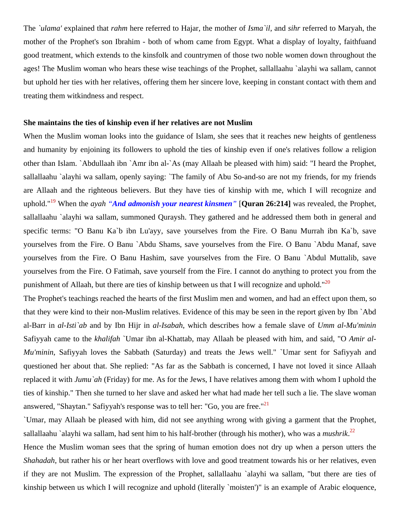The *`ulama'* explained that *rahm* here referred to Hajar, the mother of *Isma`il*, and *sihr* referred to Maryah, the mother of the Prophet's son Ibrahim - both of whom came from Egypt. What a display of loyalty, faithfuand good treatment, which extends to the kinsfolk and countrymen of those two noble women down throughout the ages! The Muslim woman who hears these wise teachings of the Prophet, sallallaahu `alayhi wa sallam, cannot but uphold her ties with her relatives, offering them her sincere love, keeping in constant contact with them and treating them witkindness and respect.

### **She maintains the ties of kinship even if her relatives are not Muslim**

When the Muslim woman looks into the guidance of Islam, she sees that it reaches new heights of gentleness and humanity by enjoining its followers to uphold the ties of kinship even if one's relatives follow a religion other than Islam. `Abdullaah ibn `Amr ibn al-`As (may Allaah be pleased with him) said: "I heard the Prophet, sallallaahu `alayhi wa sallam, openly saying: `The family of Abu So-and-so are not my friends, for my friends are Allaah and the righteous believers. But they have ties of kinship with me, which I will recognize and uphold."19 When the *ayah "And admonish your nearest kinsmen"* [**Quran 26:214]** was revealed, the Prophet, sallallaahu `alayhi wa sallam, summoned Quraysh. They gathered and he addressed them both in general and specific terms: "O Banu Ka`b ibn Lu'ayy, save yourselves from the Fire. O Banu Murrah ibn Ka`b, save yourselves from the Fire. O Banu `Abdu Shams, save yourselves from the Fire. O Banu `Abdu Manaf, save yourselves from the Fire. O Banu Hashim, save yourselves from the Fire. O Banu `Abdul Muttalib, save yourselves from the Fire. O Fatimah, save yourself from the Fire. I cannot do anything to protect you from the punishment of Allaah, but there are ties of kinship between us that I will recognize and uphold."<sup>20</sup>

The Prophet's teachings reached the hearts of the first Muslim men and women, and had an effect upon them, so that they were kind to their non-Muslim relatives. Evidence of this may be seen in the report given by Ibn `Abd al-Barr in *al-Isti`ab* and by Ibn Hijr in *al-Isabah*, which describes how a female slave of *Umm al-Mu'minin*  Safiyyah came to the *khalifah* `Umar ibn al-Khattab, may Allaah be pleased with him, and said, "O *Amir al-Mu'minin*, Safiyyah loves the Sabbath (Saturday) and treats the Jews well." `Umar sent for Safiyyah and questioned her about that. She replied: "As far as the Sabbath is concerned, I have not loved it since Allaah replaced it with *Jumu`ah* (Friday) for me. As for the Jews, I have relatives among them with whom I uphold the ties of kinship." Then she turned to her slave and asked her what had made her tell such a lie. The slave woman answered, "Shaytan." Safiyyah's response was to tell her: "Go, you are free." $^{21}$ 

`Umar, may Allaah be pleased with him, did not see anything wrong with giving a garment that the Prophet, sallallaahu `alayhi wa sallam, had sent him to his half-brother (through his mother), who was a *mushrik*.<sup>22</sup>

Hence the Muslim woman sees that the spring of human emotion does not dry up when a person utters the *Shahadah*, but rather his or her heart overflows with love and good treatment towards his or her relatives, even if they are not Muslim. The expression of the Prophet, sallallaahu `alayhi wa sallam, "but there are ties of kinship between us which I will recognize and uphold (literally `moisten')" is an example of Arabic eloquence,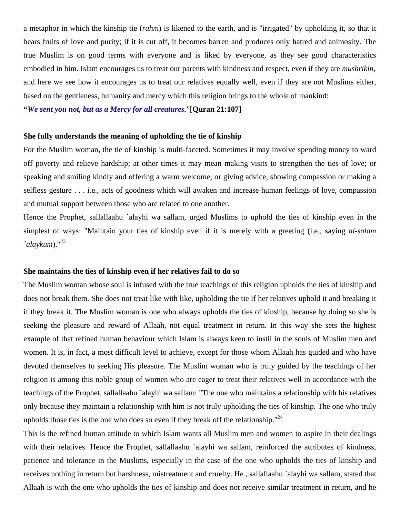a metaphor in which the kinship tie (*rahm*) is likened to the earth, and is "irrigated" by upholding it, so that it bears fruits of love and purity; if it is cut off, it becomes barren and produces only hatred and animosity. The true Muslim is on good terms with everyone and is liked by everyone, as they see good characteristics embodied in him. Islam encourages us to treat our parents with kindness and respect, even if they are *mushrikin*, and here we see how it encourages us to treat our relatives equally well, even if they are not Muslims either, based on the gentleness, humanity and mercy which this religion brings to the whole of mankind:

**"***We sent you not, but as a Mercy for all creatures.*"[**Quran 21:107**]

### **She fully understands the meaning of upholding the tie of kinship**

For the Muslim woman, the tie of kinship is multi-faceted. Sometimes it may involve spending money to ward off poverty and relieve hardship; at other times it may mean making visits to strengthen the ties of love; or speaking and smiling kindly and offering a warm welcome; or giving advice, showing compassion or making a selfless gesture . . . i.e., acts of goodness which will awaken and increase human feelings of love, compassion and mutual support between those who are related to one another.

Hence the Prophet, sallallaahu `alayhi wa sallam, urged Muslims to uphold the ties of kinship even in the simplest of ways: "Maintain your ties of kinship even if it is merely with a greeting (i.e., saying *al-salam `alaykum*)."<sup>23</sup>

### **She maintains the ties of kinship even if her relatives fail to do so**

The Muslim woman whose soul is infused with the true teachings of this religion upholds the ties of kinship and does not break them. She does not treat like with like, upholding the tie if her relatives uphold it and breaking it if they break it. The Muslim woman is one who always upholds the ties of kinship, because by doing so she is seeking the pleasure and reward of Allaah, not equal treatment in return. In this way she sets the highest example of that refined human behaviour which Islam is always keen to instil in the souls of Muslim men and women. It is, in fact, a most difficult level to achieve, except for those whom Allaah has guided and who have devoted themselves to seeking His pleasure. The Muslim woman who is truly guided by the teachings of her religion is among this noble group of women who are eager to treat their relatives well in accordance with the teachings of the Prophet, sallallaahu `alayhi wa sallam: "The one who maintains a relationship with his relatives only because they maintain a relationship with him is not truly upholding the ties of kinship. The one who truly upholds those ties is the one who does so even if they break off the relationship.<sup>"24</sup>

This is the refined human attitude to which Islam wants all Muslim men and women to aspire in their dealings with their relatives. Hence the Prophet, sallallaahu `alayhi wa sallam, reinforced the attributes of kindness, patience and tolerance in the Muslims, especially in the case of the one who upholds the ties of kinship and receives nothing in return but harshness, mistreatment and cruelty. He , sallallaahu `alayhi wa sallam, stated that Allaah is with the one who upholds the ties of kinship and does not receive similar treatment in return, and he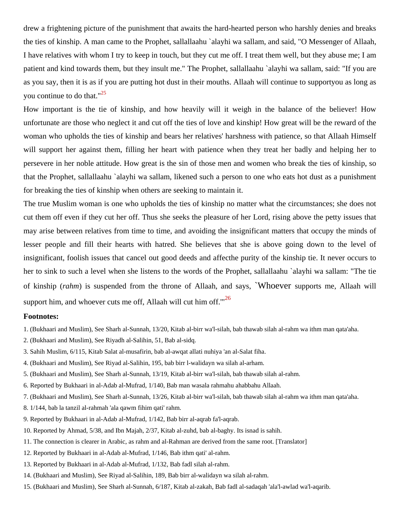drew a frightening picture of the punishment that awaits the hard-hearted person who harshly denies and breaks the ties of kinship. A man came to the Prophet, sallallaahu `alayhi wa sallam, and said, "O Messenger of Allaah, I have relatives with whom I try to keep in touch, but they cut me off. I treat them well, but they abuse me; I am patient and kind towards them, but they insult me." The Prophet, sallallaahu `alayhi wa sallam, said: "If you are as you say, then it is as if you are putting hot dust in their mouths. Allaah will continue to supportyou as long as you continue to do that."25

How important is the tie of kinship, and how heavily will it weigh in the balance of the believer! How unfortunate are those who neglect it and cut off the ties of love and kinship! How great will be the reward of the woman who upholds the ties of kinship and bears her relatives' harshness with patience, so that Allaah Himself will support her against them, filling her heart with patience when they treat her badly and helping her to persevere in her noble attitude. How great is the sin of those men and women who break the ties of kinship, so that the Prophet, sallallaahu `alayhi wa sallam, likened such a person to one who eats hot dust as a punishment for breaking the ties of kinship when others are seeking to maintain it.

The true Muslim woman is one who upholds the ties of kinship no matter what the circumstances; she does not cut them off even if they cut her off. Thus she seeks the pleasure of her Lord, rising above the petty issues that may arise between relatives from time to time, and avoiding the insignificant matters that occupy the minds of lesser people and fill their hearts with hatred. She believes that she is above going down to the level of insignificant, foolish issues that cancel out good deeds and affecthe purity of the kinship tie. It never occurs to her to sink to such a level when she listens to the words of the Prophet, sallallaahu `alayhi wa sallam: "The tie of kinship (*rahm*) is suspended from the throne of Allaah, and says, `Whoever supports me, Allaah will support him, and whoever cuts me off, Allaah will cut him off."<sup>26</sup>

### **Footnotes:**

- 1. (Bukhaari and Muslim), See Sharh al-Sunnah, 13/20, Kitab al-birr wa'l-silah, bab thawab silah al-rahm wa ithm man qata'aha.
- 2. (Bukhaari and Muslim), See Riyadh al-Salihin, 51, Bab al-sidq.
- 3. Sahih Muslim, 6/115, Kitab Salat al-musafirin, bab al-awqat allati nuhiya 'an al-Salat fiha.
- 4. (Bukhaari and Muslim), See Riyad al-Salihin, 195, bab birr l-walidayn wa silah al-arham.
- 5. (Bukhaari and Muslim), See Sharh al-Sunnah, 13/19, Kitab al-birr wa'l-silah, bab thawab silah al-rahm.
- 6. Reported by Bukhaari in al-Adab al-Mufrad, 1/140, Bab man wasala rahmahu ahabbahu Allaah.
- 7. (Bukhaari and Muslim), See Sharh al-Sunnah, 13/26, Kitab al-birr wa'l-silah, bab thawab silah al-rahm wa ithm man qata'aha.
- 8. 1/144, bab la tanzil al-rahmah 'ala qawm fihim qati' rahm.
- 9. Reported by Bukhaari in al-Adab al-Mufrad, 1/142, Bab birr al-aqrab fa'l-aqrab.
- 10. Reported by Ahmad, 5/38, and Ibn Majah, 2/37, Kitab al-zuhd, bab al-baghy. Its isnad is sahih.
- 11. The connection is clearer in Arabic, as rahm and al-Rahman are derived from the same root. [Translator]
- 12. Reported by Bukhaari in al-Adab al-Mufrad, 1/146, Bab ithm qati' al-rahm.
- 13. Reported by Bukhaari in al-Adab al-Mufrad, 1/132, Bab fadl silah al-rahm.
- 14. (Bukhaari and Muslim), See Riyad al-Salihin, 189, Bab birr al-walidayn wa silah al-rahm.
- 15. (Bukhaari and Muslim), See Sharh al-Sunnah, 6/187, Kitab al-zakah, Bab fadl al-sadaqah 'ala'l-awlad wa'l-aqarib.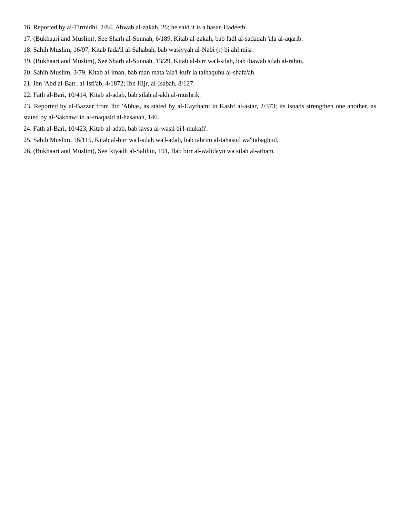- 16. Reported by al-Tirmidhi, 2/84, Abwab al-zakah, 26; he said it is a hasan Hadeeth.
- 17. (Bukhaari and Muslim), See Sharh al-Sunnah, 6/189, Kitab al-zakah, bab fadl al-sadaqah 'ala al-aqarib.
- 18. Sahih Muslim, 16/97, Kitab fada'il al-Sahabah, bab wasiyyah al-Nabi (r) bi ahl misr.
- 19. (Bukhaari and Muslim), See Sharh al-Sunnah, 13/29, Kitab al-birr wa'l-silah, bab thawab silah al-rahm.
- 20. Sahih Muslim, 3/79, Kitab al-iman, bab man mata 'ala'l-kufr la talhaquhu al-shafa'ah.
- 21. Ibn 'Abd al-Barr, al-Isti'ab, 4/1872; Ibn Hijr, al-Isabah, 8/127.
- 22. Fath al-Bari, 10/414, Kitab al-adab, bab silah al-akh al-mushrik.
- 23. Reported by al-Bazzar from Ibn 'Abbas, as stated by al-Haythami in Kashf al-astar, 2/373; its isnads strengthen one another, as
- stated by al-Sakhawi in al-maqasid al-hasanah, 146.
- 24. Fath al-Bari, 10/423, Kitab al-adab, bab laysa al-wasil bi'l-mukafi'.
- 25. Sahih Muslim, 16/115, Kitab al-birr wa'l-silah wa'l-adab, bab tahrim al-tahasud wa'ltabaghud.
- 26. (Bukhaari and Muslim), See Riyadh al-Salihin, 191, Bab birr al-walidayn wa silah al-arham.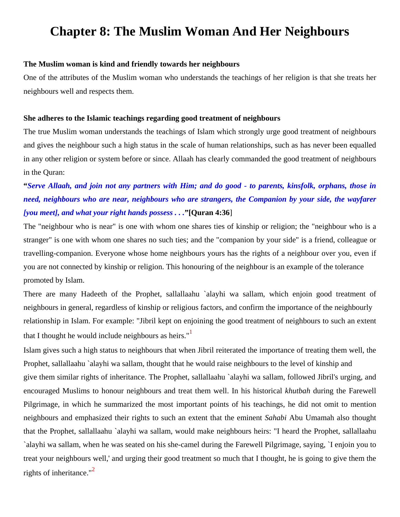## **Chapter 8: The Muslim Woman And Her Neighbours**

### **The Muslim woman is kind and friendly towards her neighbours**

One of the attributes of the Muslim woman who understands the teachings of her religion is that she treats her neighbours well and respects them.

### **She adheres to the Islamic teachings regarding good treatment of neighbours**

The true Muslim woman understands the teachings of Islam which strongly urge good treatment of neighbours and gives the neighbour such a high status in the scale of human relationships, such as has never been equalled in any other religion or system before or since. Allaah has clearly commanded the good treatment of neighbours in the Quran:

### **"***Serve Allaah, and join not any partners with Him; and do good - to parents, kinsfolk, orphans, those in need, neighbours who are near, neighbours who are strangers, the Companion by your side, the wayfarer [you meet], and what your right hands possess . . .***"[Quran 4:36**]

The "neighbour who is near" is one with whom one shares ties of kinship or religion; the "neighbour who is a stranger" is one with whom one shares no such ties; and the "companion by your side" is a friend, colleague or travelling-companion. Everyone whose home neighbours yours has the rights of a neighbour over you, even if you are not connected by kinship or religion. This honouring of the neighbour is an example of the tolerance promoted by Islam.

There are many Hadeeth of the Prophet, sallallaahu `alayhi wa sallam, which enjoin good treatment of neighbours in general, regardless of kinship or religious factors, and confirm the importance of the neighbourly relationship in Islam. For example: "Jibril kept on enjoining the good treatment of neighbours to such an extent that I thought he would include neighbours as heirs."<sup>1</sup>

Islam gives such a high status to neighbours that when Jibril reiterated the importance of treating them well, the Prophet, sallallaahu `alayhi wa sallam, thought that he would raise neighbours to the level of kinship and give them similar rights of inheritance. The Prophet, sallallaahu `alayhi wa sallam, followed Jibril's urging, and encouraged Muslims to honour neighbours and treat them well. In his historical *khutbah* during the Farewell Pilgrimage, in which he summarized the most important points of his teachings, he did not omit to mention neighbours and emphasized their rights to such an extent that the eminent *Sahabi* Abu Umamah also thought that the Prophet, sallallaahu `alayhi wa sallam, would make neighbours heirs: "I heard the Prophet, sallallaahu `alayhi wa sallam, when he was seated on his she-camel during the Farewell Pilgrimage, saying, `I enjoin you to treat your neighbours well,' and urging their good treatment so much that I thought, he is going to give them the rights of inheritance. $\frac{1}{2}$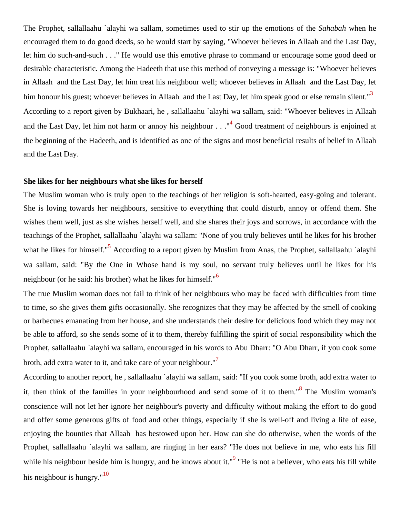The Prophet, sallallaahu `alayhi wa sallam, sometimes used to stir up the emotions of the *Sahabah* when he encouraged them to do good deeds, so he would start by saying, "Whoever believes in Allaah and the Last Day, let him do such-and-such . . ." He would use this emotive phrase to command or encourage some good deed or desirable characteristic. Among the Hadeeth that use this method of conveying a message is: "Whoever believes in Allaah and the Last Day, let him treat his neighbour well; whoever believes in Allaah and the Last Day, let him honour his guest; whoever believes in Allaah and the Last Day, let him speak good or else remain silent."<sup>3</sup> According to a report given by Bukhaari, he , sallallaahu `alayhi wa sallam, said: "Whoever believes in Allaah and the Last Day, let him not harm or annoy his neighbour  $\ldots$  "<sup>4</sup> Good treatment of neighbours is enjoined at the beginning of the Hadeeth, and is identified as one of the signs and most beneficial results of belief in Allaah and the Last Day.

### **She likes for her neighbours what she likes for herself**

The Muslim woman who is truly open to the teachings of her religion is soft-hearted, easy-going and tolerant. She is loving towards her neighbours, sensitive to everything that could disturb, annoy or offend them. She wishes them well, just as she wishes herself well, and she shares their joys and sorrows, in accordance with the teachings of the Prophet, sallallaahu `alayhi wa sallam: "None of you truly believes until he likes for his brother what he likes for himself."<sup>5</sup> According to a report given by Muslim from Anas, the Prophet, sallallaahu `alayhi wa sallam, said: "By the One in Whose hand is my soul, no servant truly believes until he likes for his neighbour (or he said: his brother) what he likes for himself."<sup>6</sup>

The true Muslim woman does not fail to think of her neighbours who may be faced with difficulties from time to time, so she gives them gifts occasionally. She recognizes that they may be affected by the smell of cooking or barbecues emanating from her house, and she understands their desire for delicious food which they may not be able to afford, so she sends some of it to them, thereby fulfilling the spirit of social responsibility which the Prophet, sallallaahu `alayhi wa sallam, encouraged in his words to Abu Dharr: "O Abu Dharr, if you cook some broth, add extra water to it, and take care of your neighbour."<sup>7</sup>

According to another report, he , sallallaahu `alayhi wa sallam, said: "If you cook some broth, add extra water to it, then think of the families in your neighbourhood and send some of it to them."<sup>8</sup> The Muslim woman's conscience will not let her ignore her neighbour's poverty and difficulty without making the effort to do good and offer some generous gifts of food and other things, especially if she is well-off and living a life of ease, enjoying the bounties that Allaah has bestowed upon her. How can she do otherwise, when the words of the Prophet, sallallaahu `alayhi wa sallam, are ringing in her ears? "He does not believe in me, who eats his fill while his neighbour beside him is hungry, and he knows about it."<sup>9</sup> "He is not a believer, who eats his fill while his neighbour is hungry." $10$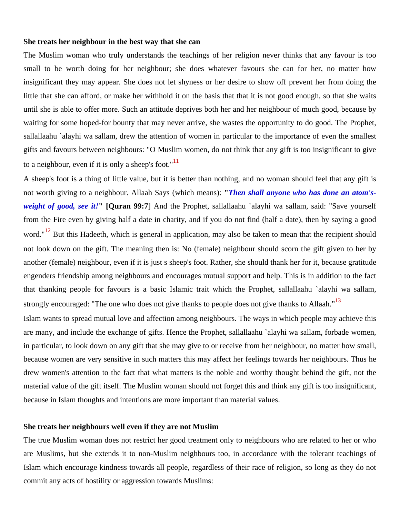#### **She treats her neighbour in the best way that she can**

The Muslim woman who truly understands the teachings of her religion never thinks that any favour is too small to be worth doing for her neighbour; she does whatever favours she can for her, no matter how insignificant they may appear. She does not let shyness or her desire to show off prevent her from doing the little that she can afford, or make her withhold it on the basis that that it is not good enough, so that she waits until she is able to offer more. Such an attitude deprives both her and her neighbour of much good, because by waiting for some hoped-for bounty that may never arrive, she wastes the opportunity to do good. The Prophet, sallallaahu `alayhi wa sallam, drew the attention of women in particular to the importance of even the smallest gifts and favours between neighbours: "O Muslim women, do not think that any gift is too insignificant to give to a neighbour, even if it is only a sheep's foot." $11$ 

A sheep's foot is a thing of little value, but it is better than nothing, and no woman should feel that any gift is not worth giving to a neighbour. Allaah Says (which means): **"***Then shall anyone who has done an atom'sweight of good, see it!***" [Quran 99:7**] And the Prophet, sallallaahu `alayhi wa sallam, said: "Save yourself from the Fire even by giving half a date in charity, and if you do not find (half a date), then by saying a good word."<sup>12</sup> But this Hadeeth, which is general in application, may also be taken to mean that the recipient should not look down on the gift. The meaning then is: No (female) neighbour should scorn the gift given to her by another (female) neighbour, even if it is just s sheep's foot. Rather, she should thank her for it, because gratitude engenders friendship among neighbours and encourages mutual support and help. This is in addition to the fact that thanking people for favours is a basic Islamic trait which the Prophet, sallallaahu `alayhi wa sallam, strongly encouraged: "The one who does not give thanks to people does not give thanks to Allaah."<sup>13</sup>

Islam wants to spread mutual love and affection among neighbours. The ways in which people may achieve this are many, and include the exchange of gifts. Hence the Prophet, sallallaahu `alayhi wa sallam, forbade women, in particular, to look down on any gift that she may give to or receive from her neighbour, no matter how small, because women are very sensitive in such matters this may affect her feelings towards her neighbours. Thus he drew women's attention to the fact that what matters is the noble and worthy thought behind the gift, not the material value of the gift itself. The Muslim woman should not forget this and think any gift is too insignificant, because in Islam thoughts and intentions are more important than material values.

### **She treats her neighbours well even if they are not Muslim**

The true Muslim woman does not restrict her good treatment only to neighbours who are related to her or who are Muslims, but she extends it to non-Muslim neighbours too, in accordance with the tolerant teachings of Islam which encourage kindness towards all people, regardless of their race of religion, so long as they do not commit any acts of hostility or aggression towards Muslims: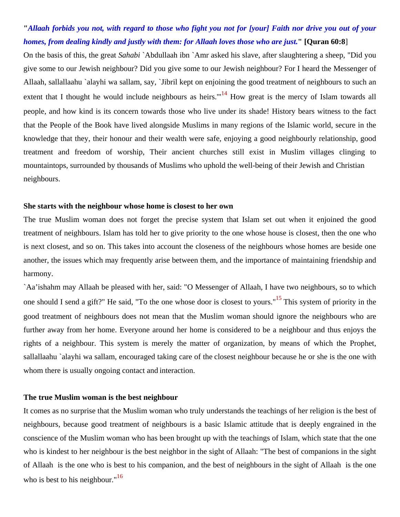### **"***Allaah forbids you not, with regard to those who fight you not for [your] Faith nor drive you out of your homes, from dealing kindly and justly with them: for Allaah loves those who are just.***" [Quran 60:8**]

On the basis of this, the great *Sahabi* `Abdullaah ibn `Amr asked his slave, after slaughtering a sheep, "Did you give some to our Jewish neighbour? Did you give some to our Jewish neighbour? For I heard the Messenger of Allaah, sallallaahu `alayhi wa sallam, say, `Jibril kept on enjoining the good treatment of neighbours to such an extent that I thought he would include neighbours as heirs."<sup>14</sup> How great is the mercy of Islam towards all people, and how kind is its concern towards those who live under its shade! History bears witness to the fact that the People of the Book have lived alongside Muslims in many regions of the Islamic world, secure in the knowledge that they, their honour and their wealth were safe, enjoying a good neighbourly relationship, good treatment and freedom of worship, Their ancient churches still exist in Muslim villages clinging to mountaintops, surrounded by thousands of Muslims who uphold the well-being of their Jewish and Christian neighbours.

### **She starts with the neighbour whose home is closest to her own**

The true Muslim woman does not forget the precise system that Islam set out when it enjoined the good treatment of neighbours. Islam has told her to give priority to the one whose house is closest, then the one who is next closest, and so on. This takes into account the closeness of the neighbours whose homes are beside one another, the issues which may frequently arise between them, and the importance of maintaining friendship and harmony.

`Aa'ishahm may Allaah be pleased with her, said: "O Messenger of Allaah, I have two neighbours, so to which one should I send a gift?" He said, "To the one whose door is closest to yours."<sup>15</sup> This system of priority in the good treatment of neighbours does not mean that the Muslim woman should ignore the neighbours who are further away from her home. Everyone around her home is considered to be a neighbour and thus enjoys the rights of a neighbour. This system is merely the matter of organization, by means of which the Prophet, sallallaahu `alayhi wa sallam, encouraged taking care of the closest neighbour because he or she is the one with whom there is usually ongoing contact and interaction.

### **The true Muslim woman is the best neighbour**

It comes as no surprise that the Muslim woman who truly understands the teachings of her religion is the best of neighbours, because good treatment of neighbours is a basic Islamic attitude that is deeply engrained in the conscience of the Muslim woman who has been brought up with the teachings of Islam, which state that the one who is kindest to her neighbour is the best neighbor in the sight of Allaah: "The best of companions in the sight of Allaah is the one who is best to his companion, and the best of neighbours in the sight of Allaah is the one who is best to his neighbour." $16$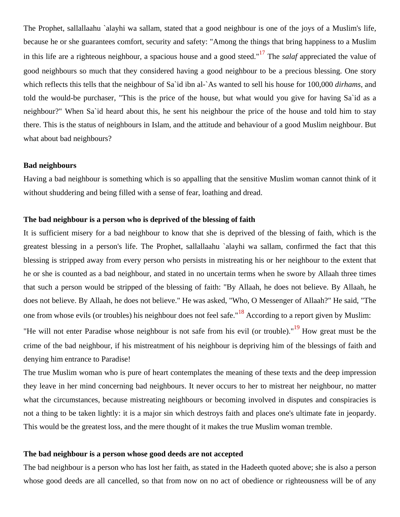The Prophet, sallallaahu `alayhi wa sallam, stated that a good neighbour is one of the joys of a Muslim's life, because he or she guarantees comfort, security and safety: "Among the things that bring happiness to a Muslim in this life are a righteous neighbour, a spacious house and a good steed."17 The *salaf* appreciated the value of good neighbours so much that they considered having a good neighbour to be a precious blessing. One story which reflects this tells that the neighbour of Sa`id ibn al-`As wanted to sell his house for 100,000 *dirhams*, and told the would-be purchaser, "This is the price of the house, but what would you give for having Sa`id as a neighbour?" When Sa`id heard about this, he sent his neighbour the price of the house and told him to stay there. This is the status of neighbours in Islam, and the attitude and behaviour of a good Muslim neighbour. But what about bad neighbours?

### **Bad neighbours**

Having a bad neighbour is something which is so appalling that the sensitive Muslim woman cannot think of it without shuddering and being filled with a sense of fear, loathing and dread.

### **The bad neighbour is a person who is deprived of the blessing of faith**

It is sufficient misery for a bad neighbour to know that she is deprived of the blessing of faith, which is the greatest blessing in a person's life. The Prophet, sallallaahu `alayhi wa sallam, confirmed the fact that this blessing is stripped away from every person who persists in mistreating his or her neighbour to the extent that he or she is counted as a bad neighbour, and stated in no uncertain terms when he swore by Allaah three times that such a person would be stripped of the blessing of faith: "By Allaah, he does not believe. By Allaah, he does not believe. By Allaah, he does not believe." He was asked, "Who, O Messenger of Allaah?" He said, "The one from whose evils (or troubles) his neighbour does not feel safe."<sup>18</sup> According to a report given by Muslim:

"He will not enter Paradise whose neighbour is not safe from his evil (or trouble)."<sup>19</sup> How great must be the crime of the bad neighbour, if his mistreatment of his neighbour is depriving him of the blessings of faith and denying him entrance to Paradise!

The true Muslim woman who is pure of heart contemplates the meaning of these texts and the deep impression they leave in her mind concerning bad neighbours. It never occurs to her to mistreat her neighbour, no matter what the circumstances, because mistreating neighbours or becoming involved in disputes and conspiracies is not a thing to be taken lightly: it is a major sin which destroys faith and places one's ultimate fate in jeopardy. This would be the greatest loss, and the mere thought of it makes the true Muslim woman tremble.

### **The bad neighbour is a person whose good deeds are not accepted**

The bad neighbour is a person who has lost her faith, as stated in the Hadeeth quoted above; she is also a person whose good deeds are all cancelled, so that from now on no act of obedience or righteousness will be of any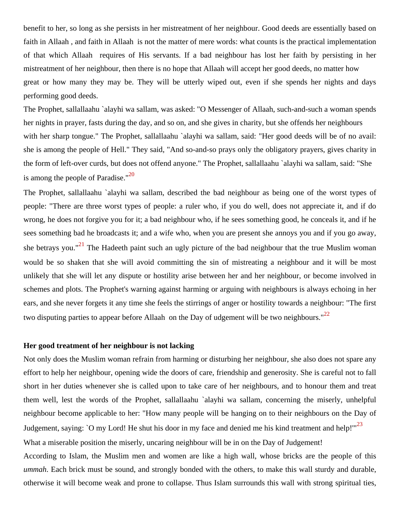benefit to her, so long as she persists in her mistreatment of her neighbour. Good deeds are essentially based on faith in Allaah , and faith in Allaah is not the matter of mere words: what counts is the practical implementation of that which Allaah requires of His servants. If a bad neighbour has lost her faith by persisting in her mistreatment of her neighbour, then there is no hope that Allaah will accept her good deeds, no matter how great or how many they may be. They will be utterly wiped out, even if she spends her nights and days performing good deeds.

The Prophet, sallallaahu `alayhi wa sallam, was asked: "O Messenger of Allaah, such-and-such a woman spends her nights in prayer, fasts during the day, and so on, and she gives in charity, but she offends her neighbours with her sharp tongue." The Prophet, sallallaahu `alayhi wa sallam, said: "Her good deeds will be of no avail: she is among the people of Hell." They said, "And so-and-so prays only the obligatory prayers, gives charity in the form of left-over curds, but does not offend anyone." The Prophet, sallallaahu `alayhi wa sallam, said: "She is among the people of Paradise." $^{20}$ 

The Prophet, sallallaahu `alayhi wa sallam, described the bad neighbour as being one of the worst types of people: "There are three worst types of people: a ruler who, if you do well, does not appreciate it, and if do wrong, he does not forgive you for it; a bad neighbour who, if he sees something good, he conceals it, and if he sees something bad he broadcasts it; and a wife who, when you are present she annoys you and if you go away, she betrays you."<sup>21</sup> The Hadeeth paint such an ugly picture of the bad neighbour that the true Muslim woman would be so shaken that she will avoid committing the sin of mistreating a neighbour and it will be most unlikely that she will let any dispute or hostility arise between her and her neighbour, or become involved in schemes and plots. The Prophet's warning against harming or arguing with neighbours is always echoing in her ears, and she never forgets it any time she feels the stirrings of anger or hostility towards a neighbour: "The first two disputing parties to appear before Allaah on the Day of udgement will be two neighbours."<sup>22</sup>

### **Her good treatment of her neighbour is not lacking**

Not only does the Muslim woman refrain from harming or disturbing her neighbour, she also does not spare any effort to help her neighbour, opening wide the doors of care, friendship and generosity. She is careful not to fall short in her duties whenever she is called upon to take care of her neighbours, and to honour them and treat them well, lest the words of the Prophet, sallallaahu `alayhi wa sallam, concerning the miserly, unhelpful neighbour become applicable to her: "How many people will be hanging on to their neighbours on the Day of Judgement, saying: `O my Lord! He shut his door in my face and denied me his kind treatment and help!"<sup>23</sup>

What a miserable position the miserly, uncaring neighbour will be in on the Day of Judgement!

According to Islam, the Muslim men and women are like a high wall, whose bricks are the people of this *ummah*. Each brick must be sound, and strongly bonded with the others, to make this wall sturdy and durable, otherwise it will become weak and prone to collapse. Thus Islam surrounds this wall with strong spiritual ties,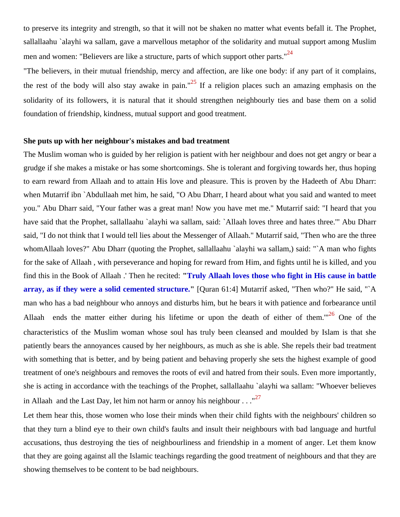to preserve its integrity and strength, so that it will not be shaken no matter what events befall it. The Prophet, sallallaahu `alayhi wa sallam, gave a marvellous metaphor of the solidarity and mutual support among Muslim men and women: "Believers are like a structure, parts of which support other parts."<sup>24</sup>

"The believers, in their mutual friendship, mercy and affection, are like one body: if any part of it complains, the rest of the body will also stay awake in pain."<sup>25</sup> If a religion places such an amazing emphasis on the solidarity of its followers, it is natural that it should strengthen neighbourly ties and base them on a solid foundation of friendship, kindness, mutual support and good treatment.

### **She puts up with her neighbour's mistakes and bad treatment**

The Muslim woman who is guided by her religion is patient with her neighbour and does not get angry or bear a grudge if she makes a mistake or has some shortcomings. She is tolerant and forgiving towards her, thus hoping to earn reward from Allaah and to attain His love and pleasure. This is proven by the Hadeeth of Abu Dharr: when Mutarrif ibn `Abdullaah met him, he said, "O Abu Dharr, I heard about what you said and wanted to meet you." Abu Dharr said, "Your father was a great man! Now you have met me." Mutarrif said: "I heard that you have said that the Prophet, sallallaahu `alayhi wa sallam, said: `Allaah loves three and hates three.'" Abu Dharr said, "I do not think that I would tell lies about the Messenger of Allaah." Mutarrif said, "Then who are the three whomAllaah loves?" Abu Dharr (quoting the Prophet, sallallaahu `alayhi wa sallam,) said: "`A man who fights for the sake of Allaah , with perseverance and hoping for reward from Him, and fights until he is killed, and you find this in the Book of Allaah .' Then he recited: **"Truly Allaah loves those who fight in His cause in battle array, as if they were a solid cemented structure."** [Quran 61:4] Mutarrif asked, "Then who?" He said, "`A man who has a bad neighbour who annoys and disturbs him, but he bears it with patience and forbearance until Allaah ends the matter either during his lifetime or upon the death of either of them."<sup>26</sup> One of the characteristics of the Muslim woman whose soul has truly been cleansed and moulded by Islam is that she patiently bears the annoyances caused by her neighbours, as much as she is able. She repels their bad treatment with something that is better, and by being patient and behaving properly she sets the highest example of good treatment of one's neighbours and removes the roots of evil and hatred from their souls. Even more importantly, she is acting in accordance with the teachings of the Prophet, sallallaahu `alayhi wa sallam: "Whoever believes in Allaah and the Last Day, let him not harm or annoy his neighbour  $\dots$ <sup>27</sup>

Let them hear this, those women who lose their minds when their child fights with the neighbours' children so that they turn a blind eye to their own child's faults and insult their neighbours with bad language and hurtful accusations, thus destroying the ties of neighbourliness and friendship in a moment of anger. Let them know that they are going against all the Islamic teachings regarding the good treatment of neighbours and that they are showing themselves to be content to be bad neighbours.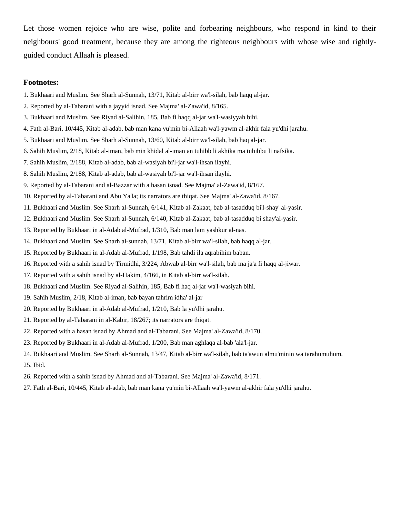Let those women rejoice who are wise, polite and forbearing neighbours, who respond in kind to their neighbours' good treatment, because they are among the righteous neighbours with whose wise and rightlyguided conduct Allaah is pleased.

#### **Footnotes:**

- 1. Bukhaari and Muslim. See Sharh al-Sunnah, 13/71, Kitab al-birr wa'l-silah, bab haqq al-jar.
- 2. Reported by al-Tabarani with a jayyid isnad. See Majma' al-Zawa'id, 8/165.
- 3. Bukhaari and Muslim. See Riyad al-Salihin, 185, Bab fi haqq al-jar wa'l-wasiyyah bihi.
- 4. Fath al-Bari, 10/445, Kitab al-adab, bab man kana yu'min bi-Allaah wa'l-yawm al-akhir fala yu'dhi jarahu.
- 5. Bukhaari and Muslim. See Sharh al-Sunnah, 13/60, Kitab al-birr wa'l-silah, bab haq al-jar.
- 6. Sahih Muslim, 2/18, Kitab al-iman, bab min khidal al-iman an tuhibb li akhika ma tuhibbu li nafsika.
- 7. Sahih Muslim, 2/188, Kitab al-adab, bab al-wasiyah bi'l-jar wa'l-ihsan ilayhi.
- 8. Sahih Muslim, 2/188, Kitab al-adab, bab al-wasiyah bi'l-jar wa'l-ihsan ilayhi.
- 9. Reported by al-Tabarani and al-Bazzar with a hasan isnad. See Majma' al-Zawa'id, 8/167.
- 10. Reported by al-Tabarani and Abu Ya'la; its narrators are thiqat. See Majma' al-Zawa'id, 8/167.
- 11. Bukhaari and Muslim. See Sharh al-Sunnah, 6/141, Kitab al-Zakaat, bab al-tasadduq bi'l-shay' al-yasir.
- 12. Bukhaari and Muslim. See Sharh al-Sunnah, 6/140, Kitab al-Zakaat, bab al-tasadduq bi shay'al-yasir.
- 13. Reported by Bukhaari in al-Adab al-Mufrad, 1/310, Bab man lam yashkur al-nas.
- 14. Bukhaari and Muslim. See Sharh al-sunnah, 13/71, Kitab al-birr wa'l-silah, bab haqq al-jar.
- 15. Reported by Bukhaari in al-Adab al-Mufrad, 1/198, Bab tahdi ila aqrabihim baban.
- 16. Reported with a sahih isnad by Tirmidhi, 3/224, Abwab al-birr wa'l-silah, bab ma ja'a fi haqq al-jiwar.
- 17. Reported with a sahih isnad by al-Hakim, 4/166, in Kitab al-birr wa'l-silah.
- 18. Bukhaari and Muslim. See Riyad al-Salihin, 185, Bab fi haq al-jar wa'l-wasiyah bihi.
- 19. Sahih Muslim, 2/18, Kitab al-iman, bab bayan tahrim idha' al-jar
- 20. Reported by Bukhaari in al-Adab al-Mufrad, 1/210, Bab la yu'dhi jarahu.
- 21. Reported by al-Tabarani in al-Kabir, 18/267; its narrators are thiqat.
- 22. Reported with a hasan isnad by Ahmad and al-Tabarani. See Majma' al-Zawa'id, 8/170.
- 23. Reported by Bukhaari in al-Adab al-Mufrad, 1/200, Bab man aghlaqa al-bab 'ala'l-jar.
- 24. Bukhaari and Muslim. See Sharh al-Sunnah, 13/47, Kitab al-birr wa'l-silah, bab ta'awun almu'minin wa tarahumuhum. 25. Ibid.
- 26. Reported with a sahih isnad by Ahmad and al-Tabarani. See Majma' al-Zawa'id, 8/171.
- 27. Fath al-Bari, 10/445, Kitab al-adab, bab man kana yu'min bi-Allaah wa'l-yawm al-akhir fala yu'dhi jarahu.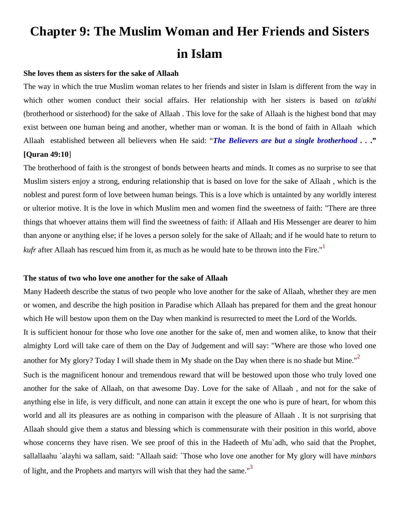# **Chapter 9: The Muslim Woman and Her Friends and Sisters in Islam**

# **She loves them as sisters for the sake of Allaah**

The way in which the true Muslim woman relates to her friends and sister in Islam is different from the way in which other women conduct their social affairs. Her relationship with her sisters is based on *ta'akhi*  (brotherhood or sisterhood) for the sake of Allaah . This love for the sake of Allaah is the highest bond that may exist between one human being and another, whether man or woman. It is the bond of faith in Allaah which Allaah established between all believers when He said: "*The Believers are but a single brotherhood . .* **." [Quran 49:10**]

The brotherhood of faith is the strongest of bonds between hearts and minds. It comes as no surprise to see that Muslim sisters enjoy a strong, enduring relationship that is based on love for the sake of Allaah , which is the noblest and purest form of love between human beings. This is a love which is untainted by any worldly interest or ulterior motive. It is the love in which Muslim men and women find the sweetness of faith: "There are three things that whoever attains them will find the sweetness of faith: if Allaah and His Messenger are dearer to him than anyone or anything else; if he loves a person solely for the sake of Allaah; and if he would hate to return to *kufr* after Allaah has rescued him from it, as much as he would hate to be thrown into the Fire."<sup>1</sup>

#### **The status of two who love one another for the sake of Allaah**

Many Hadeeth describe the status of two people who love another for the sake of Allaah, whether they are men or women, and describe the high position in Paradise which Allaah has prepared for them and the great honour which He will bestow upon them on the Day when mankind is resurrected to meet the Lord of the Worlds.

It is sufficient honour for those who love one another for the sake of, men and women alike, to know that their almighty Lord will take care of them on the Day of Judgement and will say: "Where are those who loved one another for My glory? Today I will shade them in My shade on the Day when there is no shade but Mine."<sup>2</sup>

Such is the magnificent honour and tremendous reward that will be bestowed upon those who truly loved one another for the sake of Allaah, on that awesome Day. Love for the sake of Allaah , and not for the sake of anything else in life, is very difficult, and none can attain it except the one who is pure of heart, for whom this world and all its pleasures are as nothing in comparison with the pleasure of Allaah . It is not surprising that Allaah should give them a status and blessing which is commensurate with their position in this world, above whose concerns they have risen. We see proof of this in the Hadeeth of Mu`adh, who said that the Prophet, sallallaahu `alayhi wa sallam, said: "Allaah said: `Those who love one another for My glory will have *minbars*  of light, and the Prophets and martyrs will wish that they had the same."<sup>3</sup>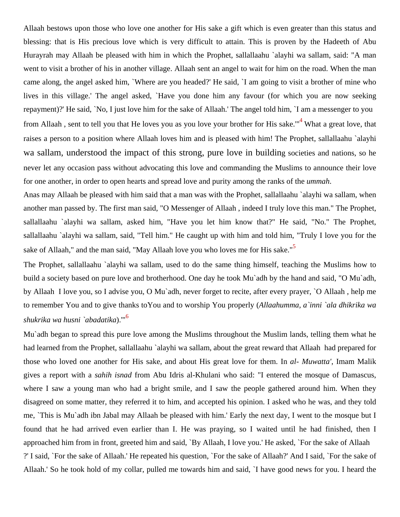Allaah bestows upon those who love one another for His sake a gift which is even greater than this status and blessing: that is His precious love which is very difficult to attain. This is proven by the Hadeeth of Abu Hurayrah may Allaah be pleased with him in which the Prophet, sallallaahu `alayhi wa sallam, said: "A man went to visit a brother of his in another village. Allaah sent an angel to wait for him on the road. When the man came along, the angel asked him, `Where are you headed?' He said, `I am going to visit a brother of mine who lives in this village.' The angel asked, `Have you done him any favour (for which you are now seeking repayment)?' He said, `No, I just love him for the sake of Allaah.' The angel told him, `I am a messenger to you from Allaah , sent to tell you that He loves you as you love your brother for His sake.'"4 What a great love, that raises a person to a position where Allaah loves him and is pleased with him! The Prophet, sallallaahu `alayhi wa sallam, understood the impact of this strong, pure love in building societies and nations, so he never let any occasion pass without advocating this love and commanding the Muslims to announce their love for one another, in order to open hearts and spread love and purity among the ranks of the *ummah*.

Anas may Allaah be pleased with him said that a man was with the Prophet, sallallaahu `alayhi wa sallam, when another man passed by. The first man said, "O Messenger of Allaah , indeed I truly love this man." The Prophet, sallallaahu `alayhi wa sallam, asked him, "Have you let him know that?" He said, "No." The Prophet, sallallaahu `alayhi wa sallam, said, "Tell him." He caught up with him and told him, "Truly I love you for the sake of Allaah," and the man said, "May Allaah love you who loves me for His sake."<sup>5</sup>

The Prophet, sallallaahu `alayhi wa sallam, used to do the same thing himself, teaching the Muslims how to build a society based on pure love and brotherhood. One day he took Mu`adh by the hand and said, "O Mu`adh, by Allaah I love you, so I advise you, O Mu`adh, never forget to recite, after every prayer, `O Allaah , help me to remember You and to give thanks toYou and to worship You properly (*Allaahumma, a`inni `ala dhikrika wa shukrika wa husni `abadatika*).'"<sup>6</sup>

Mu`adh began to spread this pure love among the Muslims throughout the Muslim lands, telling them what he had learned from the Prophet, sallallaahu `alayhi wa sallam, about the great reward that Allaah had prepared for those who loved one another for His sake, and about His great love for them. In *al- Muwatta'*, Imam Malik gives a report with a *sahih isnad* from Abu Idris al-Khulani who said: "I entered the mosque of Damascus, where I saw a young man who had a bright smile, and I saw the people gathered around him. When they disagreed on some matter, they referred it to him, and accepted his opinion. I asked who he was, and they told me, `This is Mu`adh ibn Jabal may Allaah be pleased with him.' Early the next day, I went to the mosque but I found that he had arrived even earlier than I. He was praying, so I waited until he had finished, then I approached him from in front, greeted him and said, `By Allaah, I love you.' He asked, `For the sake of Allaah ?' I said, `For the sake of Allaah.' He repeated his question, `For the sake of Allaah?' And I said, `For the sake of Allaah.' So he took hold of my collar, pulled me towards him and said, `I have good news for you. I heard the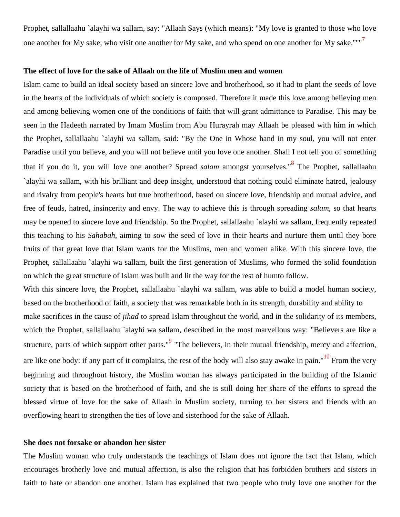Prophet, sallallaahu `alayhi wa sallam, say: "Allaah Says (which means): "My love is granted to those who love one another for My sake, who visit one another for My sake, and who spend on one another for My sake."""<sup>7</sup>

#### **The effect of love for the sake of Allaah on the life of Muslim men and women**

Islam came to build an ideal society based on sincere love and brotherhood, so it had to plant the seeds of love in the hearts of the individuals of which society is composed. Therefore it made this love among believing men and among believing women one of the conditions of faith that will grant admittance to Paradise. This may be seen in the Hadeeth narrated by Imam Muslim from Abu Hurayrah may Allaah be pleased with him in which the Prophet, sallallaahu `alayhi wa sallam, said: "By the One in Whose hand in my soul, you will not enter Paradise until you believe, and you will not believe until you love one another. Shall I not tell you of something that if you do it, you will love one another? Spread *salam* amongst yourselves."<sup>8</sup> The Prophet, sallallaahu `alayhi wa sallam, with his brilliant and deep insight, understood that nothing could eliminate hatred, jealousy and rivalry from people's hearts but true brotherhood, based on sincere love, friendship and mutual advice, and free of feuds, hatred, insincerity and envy. The way to achieve this is through spreading *salam*, so that hearts may be opened to sincere love and friendship. So the Prophet, sallallaahu `alayhi wa sallam, frequently repeated this teaching to his *Sahabah*, aiming to sow the seed of love in their hearts and nurture them until they bore fruits of that great love that Islam wants for the Muslims, men and women alike. With this sincere love, the Prophet, sallallaahu `alayhi wa sallam, built the first generation of Muslims, who formed the solid foundation on which the great structure of Islam was built and lit the way for the rest of humto follow.

With this sincere love, the Prophet, sallallaahu `alayhi wa sallam, was able to build a model human society, based on the brotherhood of faith, a society that was remarkable both in its strength, durability and ability to make sacrifices in the cause of *jihad* to spread Islam throughout the world, and in the solidarity of its members, which the Prophet, sallallaahu `alayhi wa sallam, described in the most marvellous way: "Believers are like a structure, parts of which support other parts."<sup>9</sup> "The believers, in their mutual friendship, mercy and affection, are like one body: if any part of it complains, the rest of the body will also stay awake in pain."<sup>10</sup> From the very beginning and throughout history, the Muslim woman has always participated in the building of the Islamic society that is based on the brotherhood of faith, and she is still doing her share of the efforts to spread the blessed virtue of love for the sake of Allaah in Muslim society, turning to her sisters and friends with an overflowing heart to strengthen the ties of love and sisterhood for the sake of Allaah.

#### **She does not forsake or abandon her sister**

The Muslim woman who truly understands the teachings of Islam does not ignore the fact that Islam, which encourages brotherly love and mutual affection, is also the religion that has forbidden brothers and sisters in faith to hate or abandon one another. Islam has explained that two people who truly love one another for the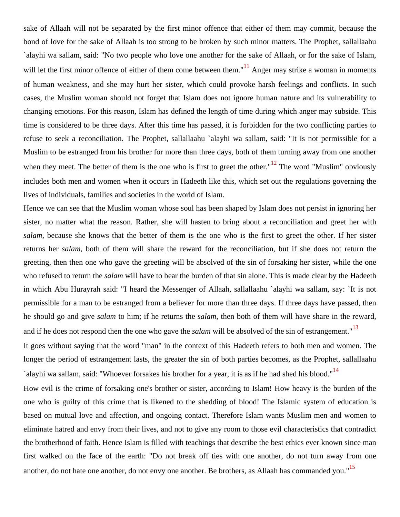sake of Allaah will not be separated by the first minor offence that either of them may commit, because the bond of love for the sake of Allaah is too strong to be broken by such minor matters. The Prophet, sallallaahu `alayhi wa sallam, said: "No two people who love one another for the sake of Allaah, or for the sake of Islam, will let the first minor offence of either of them come between them."<sup>11</sup> Anger may strike a woman in moments of human weakness, and she may hurt her sister, which could provoke harsh feelings and conflicts. In such cases, the Muslim woman should not forget that Islam does not ignore human nature and its vulnerability to changing emotions. For this reason, Islam has defined the length of time during which anger may subside. This time is considered to be three days. After this time has passed, it is forbidden for the two conflicting parties to refuse to seek a reconciliation. The Prophet, sallallaahu `alayhi wa sallam, said: "It is not permissible for a Muslim to be estranged from his brother for more than three days, both of them turning away from one another when they meet. The better of them is the one who is first to greet the other."<sup>12</sup> The word "Muslim" obviously includes both men and women when it occurs in Hadeeth like this, which set out the regulations governing the lives of individuals, families and societies in the world of Islam.

Hence we can see that the Muslim woman whose soul has been shaped by Islam does not persist in ignoring her sister, no matter what the reason. Rather, she will hasten to bring about a reconciliation and greet her with *salam*, because she knows that the better of them is the one who is the first to greet the other. If her sister returns her *salam*, both of them will share the reward for the reconciliation, but if she does not return the greeting, then then one who gave the greeting will be absolved of the sin of forsaking her sister, while the one who refused to return the *salam* will have to bear the burden of that sin alone. This is made clear by the Hadeeth in which Abu Hurayrah said: "I heard the Messenger of Allaah, sallallaahu `alayhi wa sallam, say: `It is not permissible for a man to be estranged from a believer for more than three days. If three days have passed, then he should go and give *salam* to him; if he returns the *salam*, then both of them will have share in the reward, and if he does not respond then the one who gave the *salam* will be absolved of the sin of estrangement."<sup>13</sup>

It goes without saying that the word "man" in the context of this Hadeeth refers to both men and women. The longer the period of estrangement lasts, the greater the sin of both parties becomes, as the Prophet, sallallaahu `alayhi wa sallam, said: "Whoever forsakes his brother for a year, it is as if he had shed his blood."<sup>14</sup>

How evil is the crime of forsaking one's brother or sister, according to Islam! How heavy is the burden of the one who is guilty of this crime that is likened to the shedding of blood! The Islamic system of education is based on mutual love and affection, and ongoing contact. Therefore Islam wants Muslim men and women to eliminate hatred and envy from their lives, and not to give any room to those evil characteristics that contradict the brotherhood of faith. Hence Islam is filled with teachings that describe the best ethics ever known since man first walked on the face of the earth: "Do not break off ties with one another, do not turn away from one another, do not hate one another, do not envy one another. Be brothers, as Allaah has commanded you."<sup>15</sup>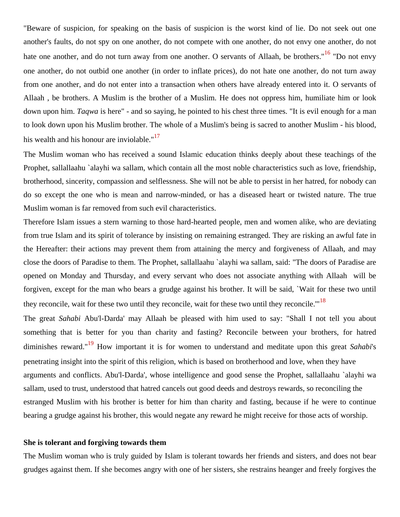"Beware of suspicion, for speaking on the basis of suspicion is the worst kind of lie. Do not seek out one another's faults, do not spy on one another, do not compete with one another, do not envy one another, do not hate one another, and do not turn away from one another. O servants of Allaah, be brothers."<sup>16</sup> "Do not envy one another, do not outbid one another (in order to inflate prices), do not hate one another, do not turn away from one another, and do not enter into a transaction when others have already entered into it. O servants of Allaah , be brothers. A Muslim is the brother of a Muslim. He does not oppress him, humiliate him or look down upon him. *Taqwa* is here" - and so saying, he pointed to his chest three times. "It is evil enough for a man to look down upon his Muslim brother. The whole of a Muslim's being is sacred to another Muslim - his blood, his wealth and his honour are inviolable." $17$ 

The Muslim woman who has received a sound Islamic education thinks deeply about these teachings of the Prophet, sallallaahu `alayhi wa sallam, which contain all the most noble characteristics such as love, friendship, brotherhood, sincerity, compassion and selflessness. She will not be able to persist in her hatred, for nobody can do so except the one who is mean and narrow-minded, or has a diseased heart or twisted nature. The true Muslim woman is far removed from such evil characteristics.

Therefore Islam issues a stern warning to those hard-hearted people, men and women alike, who are deviating from true Islam and its spirit of tolerance by insisting on remaining estranged. They are risking an awful fate in the Hereafter: their actions may prevent them from attaining the mercy and forgiveness of Allaah, and may close the doors of Paradise to them. The Prophet, sallallaahu `alayhi wa sallam, said: "The doors of Paradise are opened on Monday and Thursday, and every servant who does not associate anything with Allaah will be forgiven, except for the man who bears a grudge against his brother. It will be said, `Wait for these two until they reconcile, wait for these two until they reconcile, wait for these two until they reconcile."<sup>18</sup>

The great *Sahabi* Abu'l-Darda' may Allaah be pleased with him used to say: "Shall I not tell you about something that is better for you than charity and fasting? Reconcile between your brothers, for hatred diminishes reward."19 How important it is for women to understand and meditate upon this great *Sahabi*'s penetrating insight into the spirit of this religion, which is based on brotherhood and love, when they have arguments and conflicts. Abu'l-Darda', whose intelligence and good sense the Prophet, sallallaahu `alayhi wa sallam, used to trust, understood that hatred cancels out good deeds and destroys rewards, so reconciling the estranged Muslim with his brother is better for him than charity and fasting, because if he were to continue bearing a grudge against his brother, this would negate any reward he might receive for those acts of worship.

#### **She is tolerant and forgiving towards them**

The Muslim woman who is truly guided by Islam is tolerant towards her friends and sisters, and does not bear grudges against them. If she becomes angry with one of her sisters, she restrains heanger and freely forgives the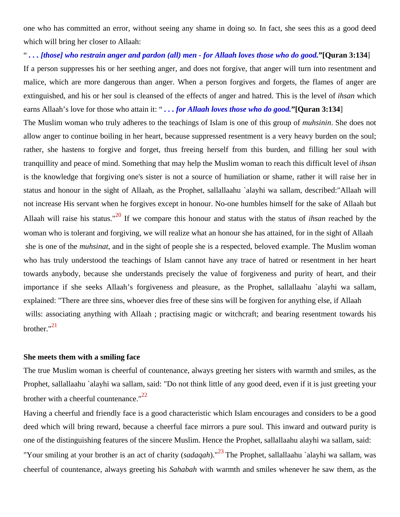one who has committed an error, without seeing any shame in doing so. In fact, she sees this as a good deed which will bring her closer to Allaah:

" *. . . [those] who restrain anger and pardon (all) men - for Allaah loves those who do good.***"[Quran 3:134**] If a person suppresses his or her seething anger, and does not forgive, that anger will turn into resentment and malice, which are more dangerous than anger. When a person forgives and forgets, the flames of anger are extinguished, and his or her soul is cleansed of the effects of anger and hatred. This is the level of *ihsan* which earns Allaah's love for those who attain it: "... *for Allaah loves those who do good.*"[**Quran 3:134**] The Muslim woman who truly adheres to the teachings of Islam is one of this group of *muhsinin*. She does not allow anger to continue boiling in her heart, because suppressed resentment is a very heavy burden on the soul; rather, she hastens to forgive and forget, thus freeing herself from this burden, and filling her soul with tranquillity and peace of mind. Something that may help the Muslim woman to reach this difficult level of *ihsan*  is the knowledge that forgiving one's sister is not a source of humiliation or shame, rather it will raise her in status and honour in the sight of Allaah, as the Prophet, sallallaahu `alayhi wa sallam, described:"Allaah will not increase His servant when he forgives except in honour. No-one humbles himself for the sake of Allaah but Allaah will raise his status."20 If we compare this honour and status with the status of *ihsan* reached by the woman who is tolerant and forgiving, we will realize what an honour she has attained, for in the sight of Allaah she is one of the *muhsinat*, and in the sight of people she is a respected, beloved example. The Muslim woman who has truly understood the teachings of Islam cannot have any trace of hatred or resentment in her heart towards anybody, because she understands precisely the value of forgiveness and purity of heart, and their importance if she seeks Allaah's forgiveness and pleasure, as the Prophet, sallallaahu `alayhi wa sallam, explained: "There are three sins, whoever dies free of these sins will be forgiven for anything else, if Allaah wills: associating anything with Allaah ; practising magic or witchcraft; and bearing resentment towards his brother."<sup>21</sup>

#### **She meets them with a smiling face**

The true Muslim woman is cheerful of countenance, always greeting her sisters with warmth and smiles, as the Prophet, sallallaahu `alayhi wa sallam, said: "Do not think little of any good deed, even if it is just greeting your brother with a cheerful countenance."<sup>22</sup>

Having a cheerful and friendly face is a good characteristic which Islam encourages and considers to be a good deed which will bring reward, because a cheerful face mirrors a pure soul. This inward and outward purity is one of the distinguishing features of the sincere Muslim. Hence the Prophet, sallallaahu alayhi wa sallam, said: "Your smiling at your brother is an act of charity (*sadaqah*)."<sup>23</sup> The Prophet, sallallaahu `alayhi wa sallam, was cheerful of countenance, always greeting his *Sahabah* with warmth and smiles whenever he saw them, as the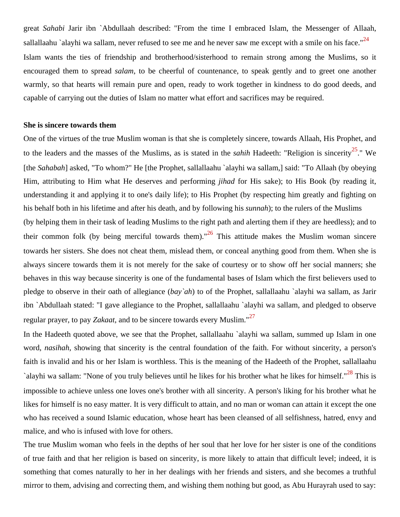great *Sahabi* Jarir ibn `Abdullaah described: "From the time I embraced Islam, the Messenger of Allaah, sallallaahu `alayhi wa sallam, never refused to see me and he never saw me except with a smile on his face."<sup>24</sup> Islam wants the ties of friendship and brotherhood/sisterhood to remain strong among the Muslims, so it encouraged them to spread *salam*, to be cheerful of countenance, to speak gently and to greet one another warmly, so that hearts will remain pure and open, ready to work together in kindness to do good deeds, and capable of carrying out the duties of Islam no matter what effort and sacrifices may be required.

#### **She is sincere towards them**

One of the virtues of the true Muslim woman is that she is completely sincere, towards Allaah, His Prophet, and to the leaders and the masses of the Muslims, as is stated in the *sahih* Hadeeth: "Religion is sincerity<sup>25</sup>." We [the *Sahabah*] asked, "To whom?" He [the Prophet, sallallaahu `alayhi wa sallam,] said: "To Allaah (by obeying Him, attributing to Him what He deserves and performing *jihad* for His sake); to His Book (by reading it, understanding it and applying it to one's daily life); to His Prophet (by respecting him greatly and fighting on his behalf both in his lifetime and after his death, and by following his *sunnah*); to the rulers of the Muslims (by helping them in their task of leading Muslims to the right path and alerting them if they are heedless); and to their common folk (by being merciful towards them).<sup>"26</sup> This attitude makes the Muslim woman sincere towards her sisters. She does not cheat them, mislead them, or conceal anything good from them. When she is always sincere towards them it is not merely for the sake of courtesy or to show off her social manners; she behaves in this way because sincerity is one of the fundamental bases of Islam which the first believers used to pledge to observe in their oath of allegiance (*bay`ah*) to of the Prophet, sallallaahu `alayhi wa sallam, as Jarir ibn `Abdullaah stated: "I gave allegiance to the Prophet, sallallaahu `alayhi wa sallam, and pledged to observe regular prayer, to pay *Zakaat*, and to be sincere towards every Muslim."<sup>27</sup>

In the Hadeeth quoted above, we see that the Prophet, sallallaahu `alayhi wa sallam, summed up Islam in one word, *nasihah*, showing that sincerity is the central foundation of the faith. For without sincerity, a person's faith is invalid and his or her Islam is worthless. This is the meaning of the Hadeeth of the Prophet, sallallaahu `alayhi wa sallam: "None of you truly believes until he likes for his brother what he likes for himself."28 This is impossible to achieve unless one loves one's brother with all sincerity. A person's liking for his brother what he likes for himself is no easy matter. It is very difficult to attain, and no man or woman can attain it except the one who has received a sound Islamic education, whose heart has been cleansed of all selfishness, hatred, envy and malice, and who is infused with love for others.

The true Muslim woman who feels in the depths of her soul that her love for her sister is one of the conditions of true faith and that her religion is based on sincerity, is more likely to attain that difficult level; indeed, it is something that comes naturally to her in her dealings with her friends and sisters, and she becomes a truthful mirror to them, advising and correcting them, and wishing them nothing but good, as Abu Hurayrah used to say: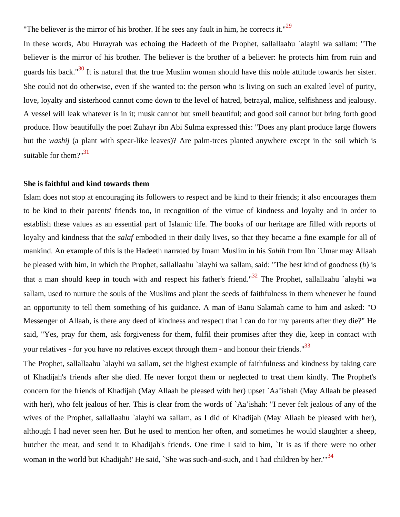"The believer is the mirror of his brother. If he sees any fault in him, he corrects it." $^{29}$ 

In these words, Abu Hurayrah was echoing the Hadeeth of the Prophet, sallallaahu `alayhi wa sallam: "The believer is the mirror of his brother. The believer is the brother of a believer: he protects him from ruin and guards his back."<sup>30</sup> It is natural that the true Muslim woman should have this noble attitude towards her sister. She could not do otherwise, even if she wanted to: the person who is living on such an exalted level of purity, love, loyalty and sisterhood cannot come down to the level of hatred, betrayal, malice, selfishness and jealousy. A vessel will leak whatever is in it; musk cannot but smell beautiful; and good soil cannot but bring forth good produce. How beautifully the poet Zuhayr ibn Abi Sulma expressed this: "Does any plant produce large flowers but the *washij* (a plant with spear-like leaves)? Are palm-trees planted anywhere except in the soil which is suitable for them?" $31$ 

## **She is faithful and kind towards them**

Islam does not stop at encouraging its followers to respect and be kind to their friends; it also encourages them to be kind to their parents' friends too, in recognition of the virtue of kindness and loyalty and in order to establish these values as an essential part of Islamic life. The books of our heritage are filled with reports of loyalty and kindness that the *salaf* embodied in their daily lives, so that they became a fine example for all of mankind. An example of this is the Hadeeth narrated by Imam Muslim in his *Sahih* from Ibn `Umar may Allaah be pleased with him, in which the Prophet, sallallaahu `alayhi wa sallam, said: "The best kind of goodness (*b*) is that a man should keep in touch with and respect his father's friend."<sup>32</sup> The Prophet, sallallaahu `alayhi wa sallam, used to nurture the souls of the Muslims and plant the seeds of faithfulness in them whenever he found an opportunity to tell them something of his guidance. A man of Banu Salamah came to him and asked: "O Messenger of Allaah, is there any deed of kindness and respect that I can do for my parents after they die?" He said, "Yes, pray for them, ask forgiveness for them, fulfil their promises after they die, keep in contact with your relatives - for you have no relatives except through them - and honour their friends." $33$ 

The Prophet, sallallaahu `alayhi wa sallam, set the highest example of faithfulness and kindness by taking care of Khadijah's friends after she died. He never forgot them or neglected to treat them kindly. The Prophet's concern for the friends of Khadijah (May Allaah be pleased with her) upset `Aa'ishah (May Allaah be pleased with her), who felt jealous of her. This is clear from the words of `Aa'ishah: "I never felt jealous of any of the wives of the Prophet, sallallaahu `alayhi wa sallam, as I did of Khadijah (May Allaah be pleased with her), although I had never seen her. But he used to mention her often, and sometimes he would slaughter a sheep, butcher the meat, and send it to Khadijah's friends. One time I said to him, `It is as if there were no other woman in the world but Khadijah!' He said, `She was such-and-such, and I had children by her.'"<sup>34</sup>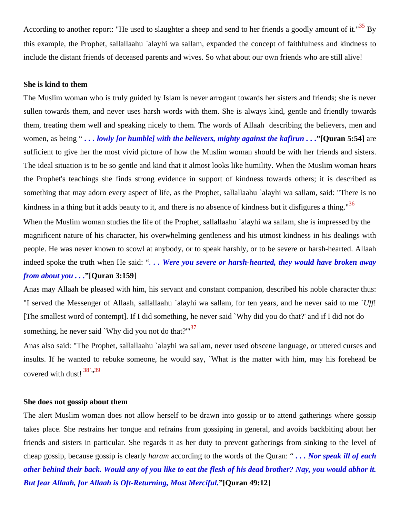According to another report: "He used to slaughter a sheep and send to her friends a goodly amount of it." $35$  By this example, the Prophet, sallallaahu `alayhi wa sallam, expanded the concept of faithfulness and kindness to include the distant friends of deceased parents and wives. So what about our own friends who are still alive!

#### **She is kind to them**

The Muslim woman who is truly guided by Islam is never arrogant towards her sisters and friends; she is never sullen towards them, and never uses harsh words with them. She is always kind, gentle and friendly towards them, treating them well and speaking nicely to them. The words of Allaah describing the believers, men and women, as being " *. . . lowly [or humble] with the believers, mighty against the kafirun . . .***"[Quran 5:54]** are sufficient to give her the most vivid picture of how the Muslim woman should be with her friends and sisters. The ideal situation is to be so gentle and kind that it almost looks like humility. When the Muslim woman hears the Prophet's teachings she finds strong evidence in support of kindness towards others; it is described as something that may adorn every aspect of life, as the Prophet, sallallaahu `alayhi wa sallam, said: "There is no kindness in a thing but it adds beauty to it, and there is no absence of kindness but it disfigures a thing."<sup>36</sup>

When the Muslim woman studies the life of the Prophet, sallallaahu `alayhi wa sallam, she is impressed by the magnificent nature of his character, his overwhelming gentleness and his utmost kindness in his dealings with people. He was never known to scowl at anybody, or to speak harshly, or to be severe or harsh-hearted. Allaah indeed spoke the truth when He said: "... Were you severe or harsh-hearted, they would have broken away

# *from about you . . .***"[Quran 3:159**]

Anas may Allaah be pleased with him, his servant and constant companion, described his noble character thus: "I served the Messenger of Allaah, sallallaahu `alayhi wa sallam, for ten years, and he never said to me `*Uff*! [The smallest word of contempt]. If I did something, he never said `Why did you do that?' and if I did not do something, he never said `Why did you not do that?'" $37$ 

Anas also said: "The Prophet, sallallaahu `alayhi wa sallam, never used obscene language, or uttered curses and insults. If he wanted to rebuke someone, he would say, `What is the matter with him, may his forehead be covered with dust!<sup>38'</sup>"<sup>39</sup>

#### **She does not gossip about them**

The alert Muslim woman does not allow herself to be drawn into gossip or to attend gatherings where gossip takes place. She restrains her tongue and refrains from gossiping in general, and avoids backbiting about her friends and sisters in particular. She regards it as her duty to prevent gatherings from sinking to the level of cheap gossip, because gossip is clearly *haram* according to the words of the Quran: " *. . . Nor speak ill of each other behind their back. Would any of you like to eat the flesh of his dead brother? Nay, you would abhor it. But fear Allaah, for Allaah is Oft-Returning, Most Merciful.***"[Quran 49:12**]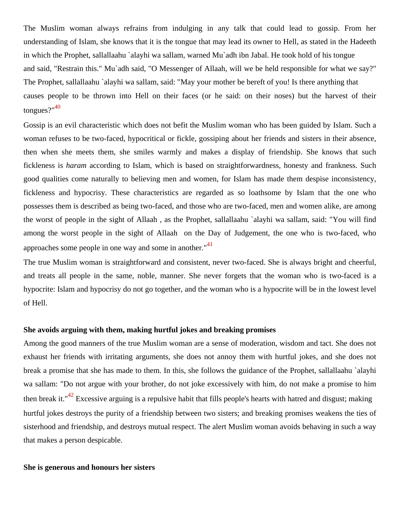The Muslim woman always refrains from indulging in any talk that could lead to gossip. From her understanding of Islam, she knows that it is the tongue that may lead its owner to Hell, as stated in the Hadeeth in which the Prophet, sallallaahu `alayhi wa sallam, warned Mu`adh ibn Jabal. He took hold of his tongue and said, "Restrain this." Mu`adh said, "O Messenger of Allaah, will we be held responsible for what we say?" The Prophet, sallallaahu `alayhi wa sallam, said: "May your mother be bereft of you! Is there anything that causes people to be thrown into Hell on their faces (or he said: on their noses) but the harvest of their tongues?"<sup>40</sup>

Gossip is an evil characteristic which does not befit the Muslim woman who has been guided by Islam. Such a woman refuses to be two-faced, hypocritical or fickle, gossiping about her friends and sisters in their absence, then when she meets them, she smiles warmly and makes a display of friendship. She knows that such fickleness is *haram* according to Islam, which is based on straightforwardness, honesty and frankness. Such good qualities come naturally to believing men and women, for Islam has made them despise inconsistency, fickleness and hypocrisy. These characteristics are regarded as so loathsome by Islam that the one who possesses them is described as being two-faced, and those who are two-faced, men and women alike, are among the worst of people in the sight of Allaah , as the Prophet, sallallaahu `alayhi wa sallam, said: "You will find among the worst people in the sight of Allaah on the Day of Judgement, the one who is two-faced, who approaches some people in one way and some in another. $141$ 

The true Muslim woman is straightforward and consistent, never two-faced. She is always bright and cheerful, and treats all people in the same, noble, manner. She never forgets that the woman who is two-faced is a hypocrite: Islam and hypocrisy do not go together, and the woman who is a hypocrite will be in the lowest level of Hell.

#### **She avoids arguing with them, making hurtful jokes and breaking promises**

Among the good manners of the true Muslim woman are a sense of moderation, wisdom and tact. She does not exhaust her friends with irritating arguments, she does not annoy them with hurtful jokes, and she does not break a promise that she has made to them. In this, she follows the guidance of the Prophet, sallallaahu `alayhi wa sallam: "Do not argue with your brother, do not joke excessively with him, do not make a promise to him then break it."<sup>42</sup> Excessive arguing is a repulsive habit that fills people's hearts with hatred and disgust; making hurtful jokes destroys the purity of a friendship between two sisters; and breaking promises weakens the ties of sisterhood and friendship, and destroys mutual respect. The alert Muslim woman avoids behaving in such a way that makes a person despicable.

#### **She is generous and honours her sisters**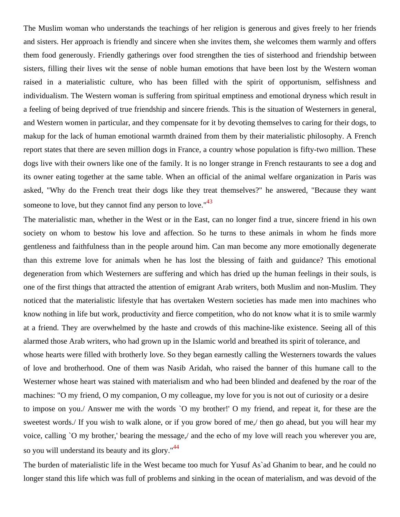The Muslim woman who understands the teachings of her religion is generous and gives freely to her friends and sisters. Her approach is friendly and sincere when she invites them, she welcomes them warmly and offers them food generously. Friendly gatherings over food strengthen the ties of sisterhood and friendship between sisters, filling their lives wit the sense of noble human emotions that have been lost by the Western woman raised in a materialistic culture, who has been filled with the spirit of opportunism, selfishness and individualism. The Western woman is suffering from spiritual emptiness and emotional dryness which result in a feeling of being deprived of true friendship and sincere friends. This is the situation of Westerners in general, and Western women in particular, and they compensate for it by devoting themselves to caring for their dogs, to makup for the lack of human emotional warmth drained from them by their materialistic philosophy. A French report states that there are seven million dogs in France, a country whose population is fifty-two million. These dogs live with their owners like one of the family. It is no longer strange in French restaurants to see a dog and its owner eating together at the same table. When an official of the animal welfare organization in Paris was asked, "Why do the French treat their dogs like they treat themselves?" he answered, "Because they want someone to love, but they cannot find any person to love."<sup>43</sup>

The materialistic man, whether in the West or in the East, can no longer find a true, sincere friend in his own society on whom to bestow his love and affection. So he turns to these animals in whom he finds more gentleness and faithfulness than in the people around him. Can man become any more emotionally degenerate than this extreme love for animals when he has lost the blessing of faith and guidance? This emotional degeneration from which Westerners are suffering and which has dried up the human feelings in their souls, is one of the first things that attracted the attention of emigrant Arab writers, both Muslim and non-Muslim. They noticed that the materialistic lifestyle that has overtaken Western societies has made men into machines who know nothing in life but work, productivity and fierce competition, who do not know what it is to smile warmly at a friend. They are overwhelmed by the haste and crowds of this machine-like existence. Seeing all of this alarmed those Arab writers, who had grown up in the Islamic world and breathed its spirit of tolerance, and whose hearts were filled with brotherly love. So they began earnestly calling the Westerners towards the values of love and brotherhood. One of them was Nasib Aridah, who raised the banner of this humane call to the Westerner whose heart was stained with materialism and who had been blinded and deafened by the roar of the machines: "O my friend, O my companion, O my colleague, my love for you is not out of curiosity or a desire to impose on you./ Answer me with the words `O my brother!' O my friend, and repeat it, for these are the sweetest words./ If you wish to walk alone, or if you grow bored of me,/ then go ahead, but you will hear my voice, calling `O my brother,' bearing the message,/ and the echo of my love will reach you wherever you are, so you will understand its beauty and its glory."<sup>44</sup>

The burden of materialistic life in the West became too much for Yusuf As`ad Ghanim to bear, and he could no longer stand this life which was full of problems and sinking in the ocean of materialism, and was devoid of the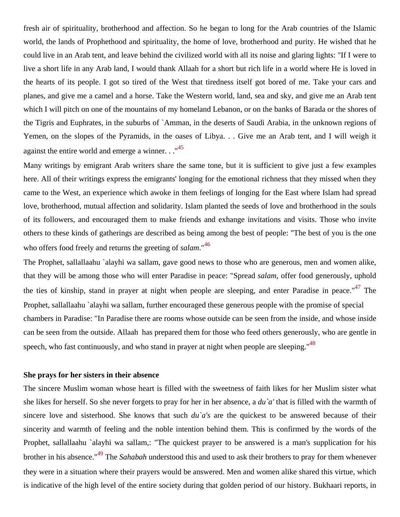fresh air of spirituality, brotherhood and affection. So he began to long for the Arab countries of the Islamic world, the lands of Prophethood and spirituality, the home of love, brotherhood and purity. He wished that he could live in an Arab tent, and leave behind the civilized world with all its noise and glaring lights: "If I were to live a short life in any Arab land, I would thank Allaah for a short but rich life in a world where He is loved in the hearts of its people. I got so tired of the West that tiredness itself got bored of me. Take your cars and planes, and give me a camel and a horse. Take the Western world, land, sea and sky, and give me an Arab tent which I will pitch on one of the mountains of my homeland Lebanon, or on the banks of Barada or the shores of the Tigris and Euphrates, in the suburbs of `Amman, in the deserts of Saudi Arabia, in the unknown regions of Yemen, on the slopes of the Pyramids, in the oases of Libya. . . Give me an Arab tent, and I will weigh it against the entire world and emerge a winner. . ."<sup>45</sup>

Many writings by emigrant Arab writers share the same tone, but it is sufficient to give just a few examples here. All of their writings express the emigrants' longing for the emotional richness that they missed when they came to the West, an experience which awoke in them feelings of longing for the East where Islam had spread love, brotherhood, mutual affection and solidarity. Islam planted the seeds of love and brotherhood in the souls of its followers, and encouraged them to make friends and exhange invitations and visits. Those who invite others to these kinds of gatherings are described as being among the best of people: "The best of you is the one who offers food freely and returns the greeting of *salam*."<sup>46</sup>

The Prophet, sallallaahu `alayhi wa sallam, gave good news to those who are generous, men and women alike, that they will be among those who will enter Paradise in peace: "Spread *salam*, offer food generously, uphold the ties of kinship, stand in prayer at night when people are sleeping, and enter Paradise in peace." $47$  The Prophet, sallallaahu `alayhi wa sallam, further encouraged these generous people with the promise of special chambers in Paradise: "In Paradise there are rooms whose outside can be seen from the inside, and whose inside can be seen from the outside. Allaah has prepared them for those who feed others generously, who are gentle in speech, who fast continuously, and who stand in prayer at night when people are sleeping."<sup>48</sup>

## **She prays for her sisters in their absence**

The sincere Muslim woman whose heart is filled with the sweetness of faith likes for her Muslim sister what she likes for herself. So she never forgets to pray for her in her absence, a *du`a'* that is filled with the warmth of sincere love and sisterhood. She knows that such *du`a's* are the quickest to be answered because of their sincerity and warmth of feeling and the noble intention behind them. This is confirmed by the words of the Prophet, sallallaahu `alayhi wa sallam,: "The quickest prayer to be answered is a man's supplication for his brother in his absence."49 The *Sahabah* understood this and used to ask their brothers to pray for them whenever they were in a situation where their prayers would be answered. Men and women alike shared this virtue, which is indicative of the high level of the entire society during that golden period of our history. Bukhaari reports, in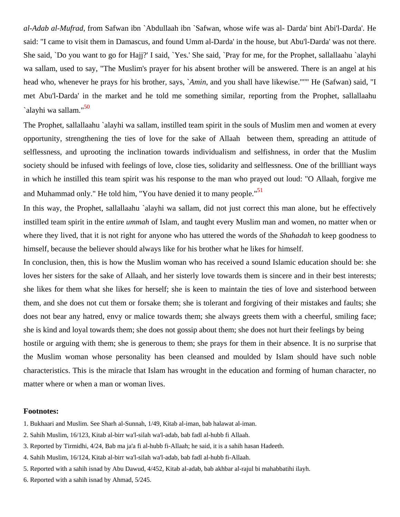*al-Adab al-Mufrad*, from Safwan ibn `Abdullaah ibn `Safwan, whose wife was al- Darda' bint Abi'l-Darda'. He said: "I came to visit them in Damascus, and found Umm al-Darda' in the house, but Abu'l-Darda' was not there. She said, `Do you want to go for Hajj?' I said, `Yes.' She said, `Pray for me, for the Prophet, sallallaahu `alayhi wa sallam, used to say, "The Muslim's prayer for his absent brother will be answered. There is an angel at his head who, whenever he prays for his brother, says, `*Amin*, and you shall have likewise.'"'" He (Safwan) said, "I met Abu'l-Darda' in the market and he told me something similar, reporting from the Prophet, sallallaahu `alayhi wa sallam."<sup>50</sup>

The Prophet, sallallaahu `alayhi wa sallam, instilled team spirit in the souls of Muslim men and women at every opportunity, strengthening the ties of love for the sake of Allaah between them, spreading an attitude of selflessness, and uprooting the inclination towards individualism and selfishness, in order that the Muslim society should be infused with feelings of love, close ties, solidarity and selflessness. One of the brillliant ways in which he instilled this team spirit was his response to the man who prayed out loud: "O Allaah, forgive me and Muhammad only." He told him, "You have denied it to many people."<sup>51</sup>

In this way, the Prophet, sallallaahu `alayhi wa sallam, did not just correct this man alone, but he effectively instilled team spirit in the entire *ummah* of Islam, and taught every Muslim man and women, no matter when or where they lived, that it is not right for anyone who has uttered the words of the *Shahadah* to keep goodness to himself, because the believer should always like for his brother what he likes for himself.

In conclusion, then, this is how the Muslim woman who has received a sound Islamic education should be: she loves her sisters for the sake of Allaah, and her sisterly love towards them is sincere and in their best interests; she likes for them what she likes for herself; she is keen to maintain the ties of love and sisterhood between them, and she does not cut them or forsake them; she is tolerant and forgiving of their mistakes and faults; she does not bear any hatred, envy or malice towards them; she always greets them with a cheerful, smiling face; she is kind and loyal towards them; she does not gossip about them; she does not hurt their feelings by being hostile or arguing with them; she is generous to them; she prays for them in their absence. It is no surprise that the Muslim woman whose personality has been cleansed and moulded by Islam should have such noble characteristics. This is the miracle that Islam has wrought in the education and forming of human character, no matter where or when a man or woman lives.

#### **Footnotes:**

- 1. Bukhaari and Muslim. See Sharh al-Sunnah, 1/49, Kitab al-iman, bab halawat al-iman.
- 2. Sahih Muslim, 16/123, Kitab al-birr wa'l-silah wa'l-adab, bab fadl al-hubb fi Allaah.
- 3. Reported by Tirmidhi, 4/24, Bab ma ja'a fi al-hubb fi-Allaah; he said, it is a sahih hasan Hadeeth.
- 4. Sahih Muslim, 16/124, Kitab al-birr wa'l-silah wa'l-adab, bab fadl al-hubb fi-Allaah.
- 5. Reported with a sahih isnad by Abu Dawud, 4/452, Kitab al-adab, bab akhbar al-rajul bi mahabbatihi ilayh.
- 6. Reported with a sahih isnad by Ahmad, 5/245.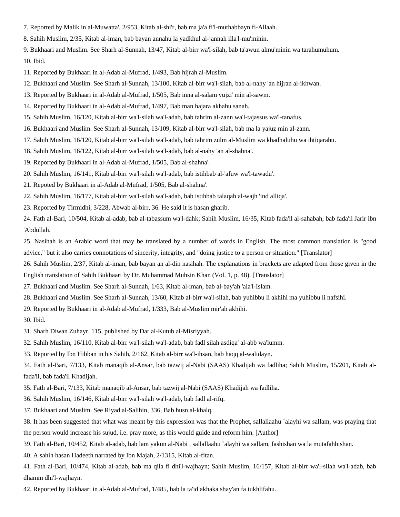- 7. Reported by Malik in al-Muwatta', 2/953, Kitab al-shi'r, bab ma ja'a fi'l-muthabbayn fi-Allaah.
- 8. Sahih Muslim, 2/35, Kitab al-iman, bab bayan annahu la yadkhul al-jannah illa'l-mu'minin.
- 9. Bukhaari and Muslim. See Sharh al-Sunnah, 13/47, Kitab al-birr wa'l-silah, bab ta'awun almu'minin wa tarahumuhum. 10. Ibid.
- 11. Reported by Bukhaari in al-Adab al-Mufrad, 1/493, Bab hijrah al-Muslim.
- 12. Bukhaari and Muslim. See Sharh al-Sunnah, 13/100, Kitab al-birr wa'l-silah, bab al-nahy 'an hijran al-ikhwan.
- 13. Reported by Bukhaari in al-Adab al-Mufrad, 1/505, Bab inna al-salam yujzi' min al-sawm.
- 14. Reported by Bukhaari in al-Adab al-Mufrad, 1/497, Bab man hajara akhahu sanah.
- 15. Sahih Muslim, 16/120, Kitab al-birr wa'l-silah wa'l-adab, bab tahrim al-zann wa'l-tajassus wa'l-tanafus.
- 16. Bukhaari and Muslim. See Sharh al-Sunnah, 13/109, Kitab al-birr wa'l-silah, bab ma la yajuz min al-zann.
- 17. Sahih Muslim, 16/120, Kitab al-birr wa'l-silah wa'l-adab, bab tahrim zulm al-Muslim wa khadhaluhu wa ihtiqarahu.
- 18. Sahih Muslim, 16/122, Kitab al-birr wa'l-silah wa'l-adab, bab al-nahy 'an al-shahna'.
- 19. Reported by Bukhaari in al-Adab al-Mufrad, 1/505, Bab al-shahna'.
- 20. Sahih Muslim, 16/141, Kitab al-birr wa'l-silah wa'l-adab, bab istihbab al-'afuw wa'l-tawadu'.
- 21. Repoted by Bukhaari in al-Adab al-Mufrad, 1/505, Bab al-shahna'.
- 22. Sahih Muslim, 16/177, Kitab al-birr wa'l-silah wa'l-adab, bab istihbab talaqah al-wajh 'ind alliqa'.
- 23. Reported by Tirmidhi, 3/228, Abwab al-birr, 36. He said it is hasan gharib.
- 24. Fath al-Bari, 10/504, Kitab al-adab, bab al-tabassum wa'l-dahk; Sahih Muslim, 16/35, Kitab fada'il al-sahabah, bab fada'il Jarir ibn 'Abdullah.
- 25. Nasihah is an Arabic word that may be translated by a number of words in English. The most common translation is "good advice," but it also carries connotations of sincerity, integrity, and "doing justice to a person or situation." [Translator]
- 26. Sahih Muslim, 2/37, Kitab al-iman, bab bayan an al-din nasihah. The explanations in brackets are adapted from those given in the
- English translation of Sahih Bukhaari by Dr. Muhammad Muhsin Khan (Vol. 1, p. 48). [Translator]
- 27. Bukhaari and Muslim. See Sharh al-Sunnah, 1/63, Kitab al-iman, bab al-bay'ah 'ala'l-Islam.
- 28. Bukhaari and Muslim. See Sharh al-Sunnah, 13/60, Kitab al-birr wa'l-silah, bab yuhibbu li akhihi ma yuhibbu li nafsihi.
- 29. Reported by Bukhaari in al-Adab al-Mufrad, 1/333, Bab al-Muslim mir'ah akhihi.

```
30. Ibid.
```
- 31. Sharh Diwan Zuhayr, 115, published by Dar al-Kutub al-Misriyyah.
- 32. Sahih Muslim, 16/110, Kitab al-birr wa'l-silah wa'l-adab, bab fadl silah asdiqa' al-abb wa'lumm.
- 33. Reported by Ibn Hibban in his Sahih, 2/162, Kitab al-birr wa'l-ihsan, bab haqq al-walidayn.
- 34. Fath al-Bari, 7/133, Kitab manaqib al-Ansar, bab tazwij al-Nabi (SAAS) Khadijah wa fadliha; Sahih Muslim, 15/201, Kitab alfada'il, bab fada'il Khadijah.
- 35. Fath al-Bari, 7/133, Kitab manaqib al-Ansar, bab tazwij al-Nabi (SAAS) Khadijah wa fadliha.
- 36. Sahih Muslim, 16/146, Kitab al-birr wa'l-silah wa'l-adab, bab fadl al-rifq.
- 37. Bukhaari and Muslim. See Riyad al-Salihin, 336, Bab husn al-khalq.
- 38. It has been suggested that what was meant by this expression was that the Prophet, sallallaahu `alayhi wa sallam, was praying that the person would increase his sujud, i.e. pray more, as this would guide and reform him. [Author]
- 39. Fath al-Bari, 10/452, Kitab al-adab, bab lam yakun al-Nabi , sallallaahu `alayhi wa sallam, fashishan wa la mutafahhishan.
- 40. A sahih hasan Hadeeth narrated by Ibn Majah, 2/1315, Kitab al-fitan.
- 41. Fath al-Bari, 10/474, Kitab al-adab, bab ma qila fi dhi'l-wajhayn; Sahih Muslim, 16/157, Kitab al-birr wa'l-silah wa'l-adab, bab dhamm dhi'l-wajhayn.
- 42. Reported by Bukhaari in al-Adab al-Mufrad, 1/485, bab la ta'id akhaka shay'an fa tukhlifahu.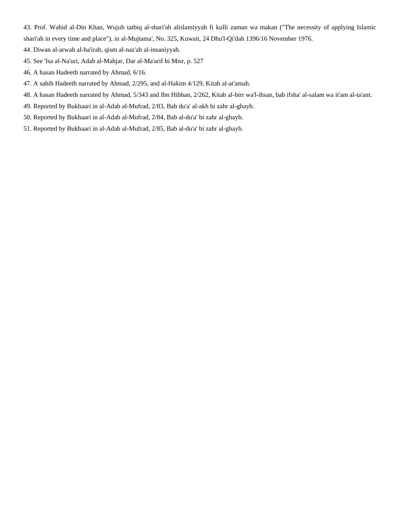- 43. Prof. Wahid al-Din Khan, Wujub tatbiq al-shari'ah alislamiyyah fi kulli zaman wa makan ("The necessity of applying Islamic shari'ah in every time and place"), in al-Mujtama', No. 325, Kuwait, 24 Dhu'l-Qi'dah 1396/16 November 1976.
- 44. Diwan al-arwah al-ha'irah, qism al-naz'ah al-insaniyyah.
- 45. See 'Isa al-Na'uri, Adab al-Mahjar, Dar al-Ma'arif bi Misr, p. 527
- 46. A hasan Hadeeth narrated by Ahmad, 6/16.
- 47. A sahih Hadeeth narrated by Ahmad, 2/295, and al-Hakim 4/129, Kitab al-at'amah.
- 48. A hasan Hadeeth narrated by Ahmad, 5/343 and Ibn Hibban, 2/262, Kitab al-birr wa'l-ihsan, bab ifsha' al-salam wa it'am al-ta'am.
- 49. Reported by Bukhaari in al-Adab al-Mufrad, 2/83, Bab du'a' al-akh bi zahr al-ghayb.
- 50. Reported by Bukhaari in al-Adab al-Mufrad, 2/84, Bab al-du'a' bi zahr al-ghayb.
- 51. Reported by Bukhaari in al-Adab al-Mufrad, 2/85, Bab al-du'a' bi zahr al-ghayb.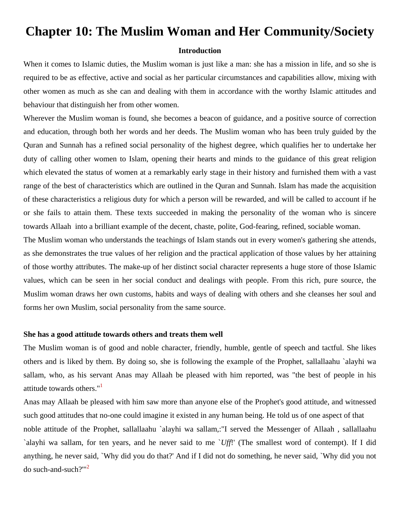# **Chapter 10: The Muslim Woman and Her Community/Society**

#### **Introduction**

When it comes to Islamic duties, the Muslim woman is just like a man: she has a mission in life, and so she is required to be as effective, active and social as her particular circumstances and capabilities allow, mixing with other women as much as she can and dealing with them in accordance with the worthy Islamic attitudes and behaviour that distinguish her from other women.

Wherever the Muslim woman is found, she becomes a beacon of guidance, and a positive source of correction and education, through both her words and her deeds. The Muslim woman who has been truly guided by the Quran and Sunnah has a refined social personality of the highest degree, which qualifies her to undertake her duty of calling other women to Islam, opening their hearts and minds to the guidance of this great religion which elevated the status of women at a remarkably early stage in their history and furnished them with a vast range of the best of characteristics which are outlined in the Quran and Sunnah. Islam has made the acquisition of these characteristics a religious duty for which a person will be rewarded, and will be called to account if he or she fails to attain them. These texts succeeded in making the personality of the woman who is sincere towards Allaah into a brilliant example of the decent, chaste, polite, God-fearing, refined, sociable woman.

The Muslim woman who understands the teachings of Islam stands out in every women's gathering she attends, as she demonstrates the true values of her religion and the practical application of those values by her attaining of those worthy attributes. The make-up of her distinct social character represents a huge store of those Islamic values, which can be seen in her social conduct and dealings with people. From this rich, pure source, the Muslim woman draws her own customs, habits and ways of dealing with others and she cleanses her soul and forms her own Muslim, social personality from the same source.

#### **She has a good attitude towards others and treats them well**

The Muslim woman is of good and noble character, friendly, humble, gentle of speech and tactful. She likes others and is liked by them. By doing so, she is following the example of the Prophet, sallallaahu `alayhi wa sallam, who, as his servant Anas may Allaah be pleased with him reported, was "the best of people in his attitude towards others."<sup>1</sup>

Anas may Allaah be pleased with him saw more than anyone else of the Prophet's good attitude, and witnessed such good attitudes that no-one could imagine it existed in any human being. He told us of one aspect of that noble attitude of the Prophet, sallallaahu `alayhi wa sallam,:"I served the Messenger of Allaah , sallallaahu `alayhi wa sallam, for ten years, and he never said to me `*Uff*!' (The smallest word of contempt). If I did anything, he never said, `Why did you do that?' And if I did not do something, he never said, `Why did you not do such-and-such?'"<sup>2</sup>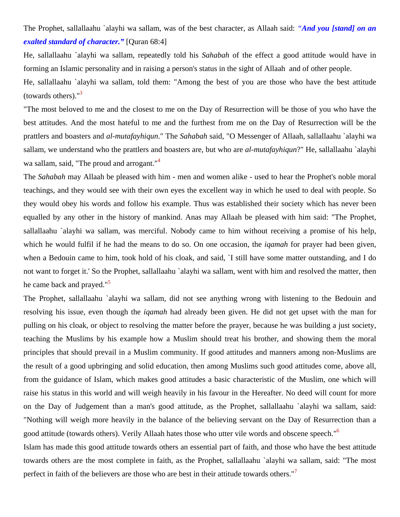The Prophet, sallallaahu `alayhi wa sallam, was of the best character, as Allaah said: *"And you [stand] on an exalted standard of character."* [Quran 68:4]

He, sallallaahu `alayhi wa sallam, repeatedly told his *Sahabah* of the effect a good attitude would have in forming an Islamic personality and in raising a person's status in the sight of Allaah and of other people.

He, sallallaahu `alayhi wa sallam, told them: "Among the best of you are those who have the best attitude (towards others)."<sup>3</sup>

"The most beloved to me and the closest to me on the Day of Resurrection will be those of you who have the best attitudes. And the most hateful to me and the furthest from me on the Day of Resurrection will be the prattlers and boasters and *al-mutafayhiqun*." The *Sahabah* said, "O Messenger of Allaah, sallallaahu `alayhi wa sallam, we understand who the prattlers and boasters are, but who are *al-mutafayhiqun*?" He, sallallaahu `alayhi wa sallam, said, "The proud and arrogant."<sup>4</sup>

The *Sahabah* may Allaah be pleased with him - men and women alike - used to hear the Prophet's noble moral teachings, and they would see with their own eyes the excellent way in which he used to deal with people. So they would obey his words and follow his example. Thus was established their society which has never been equalled by any other in the history of mankind. Anas may Allaah be pleased with him said: "The Prophet, sallallaahu `alayhi wa sallam, was merciful. Nobody came to him without receiving a promise of his help, which he would fulfil if he had the means to do so. On one occasion, the *iqamah* for prayer had been given, when a Bedouin came to him, took hold of his cloak, and said, `I still have some matter outstanding, and I do not want to forget it.' So the Prophet, sallallaahu `alayhi wa sallam, went with him and resolved the matter, then he came back and prayed."<sup>5</sup>

The Prophet, sallallaahu `alayhi wa sallam, did not see anything wrong with listening to the Bedouin and resolving his issue, even though the *iqamah* had already been given. He did not get upset with the man for pulling on his cloak, or object to resolving the matter before the prayer, because he was building a just society, teaching the Muslims by his example how a Muslim should treat his brother, and showing them the moral principles that should prevail in a Muslim community. If good attitudes and manners among non-Muslims are the result of a good upbringing and solid education, then among Muslims such good attitudes come, above all, from the guidance of Islam, which makes good attitudes a basic characteristic of the Muslim, one which will raise his status in this world and will weigh heavily in his favour in the Hereafter. No deed will count for more on the Day of Judgement than a man's good attitude, as the Prophet, sallallaahu `alayhi wa sallam, said: "Nothing will weigh more heavily in the balance of the believing servant on the Day of Resurrection than a good attitude (towards others). Verily Allaah hates those who utter vile words and obscene speech."<sup>6</sup>

Islam has made this good attitude towards others an essential part of faith, and those who have the best attitude towards others are the most complete in faith, as the Prophet, sallallaahu `alayhi wa sallam, said: "The most perfect in faith of the believers are those who are best in their attitude towards others."<sup>7</sup>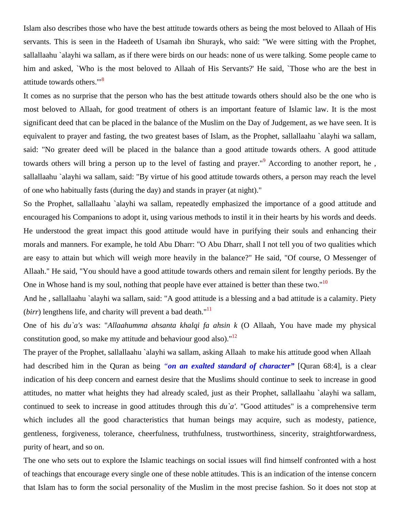Islam also describes those who have the best attitude towards others as being the most beloved to Allaah of His servants. This is seen in the Hadeeth of Usamah ibn Shurayk, who said: "We were sitting with the Prophet, sallallaahu `alayhi wa sallam, as if there were birds on our heads: none of us were talking. Some people came to him and asked, `Who is the most beloved to Allaah of His Servants?' He said, `Those who are the best in attitude towards others.'"<sup>8</sup>

It comes as no surprise that the person who has the best attitude towards others should also be the one who is most beloved to Allaah, for good treatment of others is an important feature of Islamic law. It is the most significant deed that can be placed in the balance of the Muslim on the Day of Judgement, as we have seen. It is equivalent to prayer and fasting, the two greatest bases of Islam, as the Prophet, sallallaahu `alayhi wa sallam, said: "No greater deed will be placed in the balance than a good attitude towards others. A good attitude towards others will bring a person up to the level of fasting and prayer."<sup>9</sup> According to another report, he, sallallaahu `alayhi wa sallam, said: "By virtue of his good attitude towards others, a person may reach the level of one who habitually fasts (during the day) and stands in prayer (at night)."

So the Prophet, sallallaahu `alayhi wa sallam, repeatedly emphasized the importance of a good attitude and encouraged his Companions to adopt it, using various methods to instil it in their hearts by his words and deeds. He understood the great impact this good attitude would have in purifying their souls and enhancing their morals and manners. For example, he told Abu Dharr: "O Abu Dharr, shall I not tell you of two qualities which are easy to attain but which will weigh more heavily in the balance?" He said, "Of course, O Messenger of Allaah." He said, "You should have a good attitude towards others and remain silent for lengthy periods. By the One in Whose hand is my soul, nothing that people have ever attained is better than these two."<sup>10</sup>

And he , sallallaahu `alayhi wa sallam, said: "A good attitude is a blessing and a bad attitude is a calamity. Piety ( $birr$ ) lengthens life, and charity will prevent a bad death."<sup>11</sup>

One of his *du`a's* was: "*Allaahumma ahsanta khalqi fa ahsin k* (O Allaah, You have made my physical constitution good, so make my attitude and behaviour good also)." $12$ 

The prayer of the Prophet, sallallaahu `alayhi wa sallam, asking Allaah to make his attitude good when Allaah had described him in the Quran as being *"on an exalted standard of character"* [Quran 68:4], is a clear indication of his deep concern and earnest desire that the Muslims should continue to seek to increase in good attitudes, no matter what heights they had already scaled, just as their Prophet, sallallaahu `alayhi wa sallam, continued to seek to increase in good attitudes through this *du`a'*. "Good attitudes" is a comprehensive term which includes all the good characteristics that human beings may acquire, such as modesty, patience, gentleness, forgiveness, tolerance, cheerfulness, truthfulness, trustworthiness, sincerity, straightforwardness, purity of heart, and so on.

The one who sets out to explore the Islamic teachings on social issues will find himself confronted with a host of teachings that encourage every single one of these noble attitudes. This is an indication of the intense concern that Islam has to form the social personality of the Muslim in the most precise fashion. So it does not stop at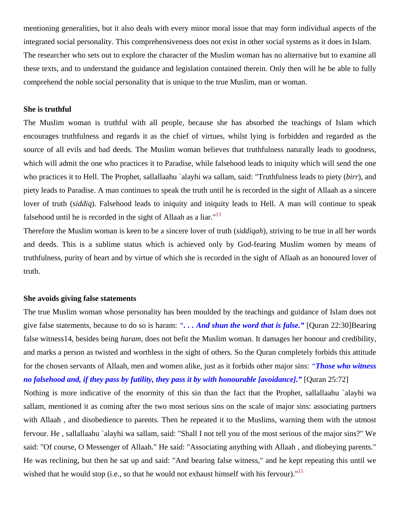mentioning generalities, but it also deals with every minor moral issue that may form individual aspects of the integrated social personality. This comprehensiveness does not exist in other social systems as it does in Islam. The researcher who sets out to explore the character of the Muslim woman has no alternative but to examine all these texts, and to understand the guidance and legislation contained therein. Only then will he be able to fully comprehend the noble social personality that is unique to the true Muslim, man or woman.

#### **She is truthful**

The Muslim woman is truthful with all people, because she has absorbed the teachings of Islam which encourages truthfulness and regards it as the chief of virtues, whilst lying is forbidden and regarded as the source of all evils and bad deeds. The Muslim woman believes that truthfulness naturally leads to goodness, which will admit the one who practices it to Paradise, while falsehood leads to iniquity which will send the one who practices it to Hell. The Prophet, sallallaahu `alayhi wa sallam, said: "Truthfulness leads to piety (*birr*), and piety leads to Paradise. A man continues to speak the truth until he is recorded in the sight of Allaah as a sincere lover of truth (*siddiq*). Falsehood leads to iniquity and iniquity leads to Hell. A man will continue to speak falsehood until he is recorded in the sight of Allaah as a liar."<sup>13</sup>

Therefore the Muslim woman is keen to be a sincere lover of truth (*siddiqah*), striving to be true in all her words and deeds. This is a sublime status which is achieved only by God-fearing Muslim women by means of truthfulness, purity of heart and by virtue of which she is recorded in the sight of Allaah as an honoured lover of truth.

# **She avoids giving false statements**

The true Muslim woman whose personality has been moulded by the teachings and guidance of Islam does not give false statements, because to do so is haram: *". . . And shun the word that is false."* [Quran 22:30]Bearing false witness14, besides being *haram*, does not befit the Muslim woman. It damages her honour and credibility, and marks a person as twisted and worthless in the sight of others. So the Quran completely forbids this attitude for the chosen servants of Allaah, men and women alike, just as it forbids other major sins: *"Those who witness no falsehood and, if they pass by futility, they pass it by with honourable [avoidance]."* [Quran 25:72]

Nothing is more indicative of the enormity of this sin than the fact that the Prophet, sallallaahu `alayhi wa sallam, mentioned it as coming after the two most serious sins on the scale of major sins: associating partners with Allaah , and disobedience to parents. Then he repeated it to the Muslims, warning them with the utmost fervour. He , sallallaahu `alayhi wa sallam, said: "Shall I not tell you of the most serious of the major sins?" We said: "Of course, O Messenger of Allaah." He said: "Associating anything with Allaah , and diobeying parents." He was reclining, but then he sat up and said: "And bearing false witness," and he kept repeating this until we wished that he would stop (i.e., so that he would not exhaust himself with his fervour)." $15$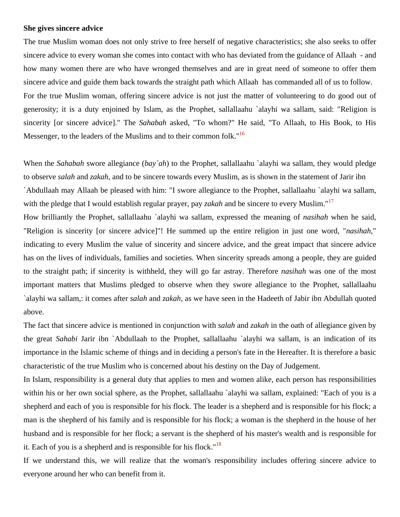#### **She gives sincere advice**

The true Muslim woman does not only strive to free herself of negative characteristics; she also seeks to offer sincere advice to every woman she comes into contact with who has deviated from the guidance of Allaah - and how many women there are who have wronged themselves and are in great need of someone to offer them sincere advice and guide them back towards the straight path which Allaah has commanded all of us to follow. For the true Muslim woman, offering sincere advice is not just the matter of volunteering to do good out of generosity; it is a duty enjoined by Islam, as the Prophet, sallallaahu `alayhi wa sallam, said: "Religion is sincerity [or sincere advice]." The *Sahabah* asked, "To whom?" He said, "To Allaah, to His Book, to His Messenger, to the leaders of the Muslims and to their common folk."<sup>16</sup>

When the *Sahabah* swore allegiance (*bay*`ah) to the Prophet, sallallaahu `alayhi wa sallam, they would pledge to observe *salah* and *zakah*, and to be sincere towards every Muslim, as is shown in the statement of Jarir ibn `Abdullaah may Allaah be pleased with him: "I swore allegiance to the Prophet, sallallaahu `alayhi wa sallam, with the pledge that I would establish regular prayer, pay *zakah* and be sincere to every Muslim."<sup>17</sup> How brilliantly the Prophet, sallallaahu `alayhi wa sallam, expressed the meaning of *nasihah* when he said, "Religion is sincerity [or sincere advice]"! He summed up the entire religion in just one word, "*nasihah,*" indicating to every Muslim the value of sincerity and sincere advice, and the great impact that sincere advice has on the lives of individuals, families and societies. When sincerity spreads among a people, they are guided to the straight path; if sincerity is withheld, they will go far astray. Therefore *nasihah* was one of the most important matters that Muslims pledged to observe when they swore allegiance to the Prophet, sallallaahu `alayhi wa sallam,: it comes after *salah* and *zakah*, as we have seen in the Hadeeth of Jabir ibn Abdullah quoted above.

The fact that sincere advice is mentioned in conjunction with *salah* and *zakah* in the oath of allegiance given by the great *Sahabi* Jarir ibn `Abdullaah to the Prophet, sallallaahu `alayhi wa sallam, is an indication of its importance in the Islamic scheme of things and in deciding a person's fate in the Hereafter. It is therefore a basic characteristic of the true Muslim who is concerned about his destiny on the Day of Judgement.

In Islam, responsibility is a general duty that applies to men and women alike, each person has responsibilities within his or her own social sphere, as the Prophet, sallallaahu `alayhi wa sallam, explained: "Each of you is a shepherd and each of you is responsible for his flock. The leader is a shepherd and is responsible for his flock; a man is the shepherd of his family and is responsible for his flock; a woman is the shepherd in the house of her husband and is responsible for her flock; a servant is the shepherd of his master's wealth and is responsible for it. Each of you is a shepherd and is responsible for his flock." $18$ 

If we understand this, we will realize that the woman's responsibility includes offering sincere advice to everyone around her who can benefit from it.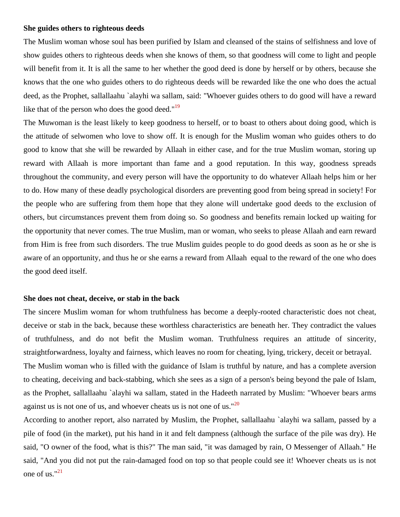#### **She guides others to righteous deeds**

The Muslim woman whose soul has been purified by Islam and cleansed of the stains of selfishness and love of show guides others to righteous deeds when she knows of them, so that goodness will come to light and people will benefit from it. It is all the same to her whether the good deed is done by herself or by others, because she knows that the one who guides others to do righteous deeds will be rewarded like the one who does the actual deed, as the Prophet, sallallaahu `alayhi wa sallam, said: "Whoever guides others to do good will have a reward like that of the person who does the good deed." $19$ 

The Muwoman is the least likely to keep goodness to herself, or to boast to others about doing good, which is the attitude of selwomen who love to show off. It is enough for the Muslim woman who guides others to do good to know that she will be rewarded by Allaah in either case, and for the true Muslim woman, storing up reward with Allaah is more important than fame and a good reputation. In this way, goodness spreads throughout the community, and every person will have the opportunity to do whatever Allaah helps him or her to do. How many of these deadly psychological disorders are preventing good from being spread in society! For the people who are suffering from them hope that they alone will undertake good deeds to the exclusion of others, but circumstances prevent them from doing so. So goodness and benefits remain locked up waiting for the opportunity that never comes. The true Muslim, man or woman, who seeks to please Allaah and earn reward from Him is free from such disorders. The true Muslim guides people to do good deeds as soon as he or she is aware of an opportunity, and thus he or she earns a reward from Allaah equal to the reward of the one who does the good deed itself.

# **She does not cheat, deceive, or stab in the back**

The sincere Muslim woman for whom truthfulness has become a deeply-rooted characteristic does not cheat, deceive or stab in the back, because these worthless characteristics are beneath her. They contradict the values of truthfulness, and do not befit the Muslim woman. Truthfulness requires an attitude of sincerity, straightforwardness, loyalty and fairness, which leaves no room for cheating, lying, trickery, deceit or betrayal. The Muslim woman who is filled with the guidance of Islam is truthful by nature, and has a complete aversion to cheating, deceiving and back-stabbing, which she sees as a sign of a person's being beyond the pale of Islam, as the Prophet, sallallaahu `alayhi wa sallam, stated in the Hadeeth narrated by Muslim: "Whoever bears arms against us is not one of us, and whoever cheats us is not one of us." $20$ 

According to another report, also narrated by Muslim, the Prophet, sallallaahu `alayhi wa sallam, passed by a pile of food (in the market), put his hand in it and felt dampness (although the surface of the pile was dry). He said, "O owner of the food, what is this?" The man said, "it was damaged by rain, O Messenger of Allaah." He said, "And you did not put the rain-damaged food on top so that people could see it! Whoever cheats us is not one of us."<sup>21</sup>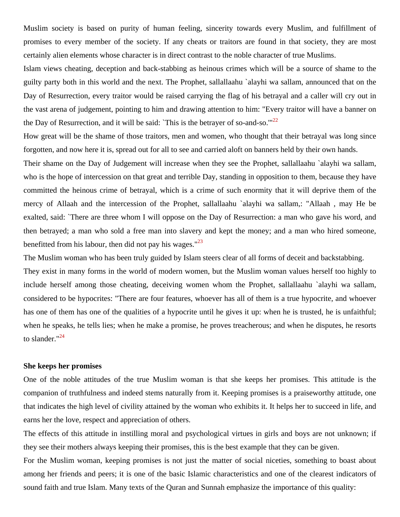Muslim society is based on purity of human feeling, sincerity towards every Muslim, and fulfillment of promises to every member of the society. If any cheats or traitors are found in that society, they are most certainly alien elements whose character is in direct contrast to the noble character of true Muslims.

Islam views cheating, deception and back-stabbing as heinous crimes which will be a source of shame to the guilty party both in this world and the next. The Prophet, sallallaahu `alayhi wa sallam, announced that on the Day of Resurrection, every traitor would be raised carrying the flag of his betrayal and a caller will cry out in the vast arena of judgement, pointing to him and drawing attention to him: "Every traitor will have a banner on the Day of Resurrection, and it will be said: 'This is the betrayer of so-and-so.''<sup>22</sup>

How great will be the shame of those traitors, men and women, who thought that their betrayal was long since forgotten, and now here it is, spread out for all to see and carried aloft on banners held by their own hands.

Their shame on the Day of Judgement will increase when they see the Prophet, sallallaahu `alayhi wa sallam, who is the hope of intercession on that great and terrible Day, standing in opposition to them, because they have committed the heinous crime of betrayal, which is a crime of such enormity that it will deprive them of the mercy of Allaah and the intercession of the Prophet, sallallaahu `alayhi wa sallam,: "Allaah , may He be exalted, said: `There are three whom I will oppose on the Day of Resurrection: a man who gave his word, and then betrayed; a man who sold a free man into slavery and kept the money; and a man who hired someone, benefitted from his labour, then did not pay his wages." $^{23}$ 

The Muslim woman who has been truly guided by Islam steers clear of all forms of deceit and backstabbing. They exist in many forms in the world of modern women, but the Muslim woman values herself too highly to include herself among those cheating, deceiving women whom the Prophet, sallallaahu `alayhi wa sallam, considered to be hypocrites: "There are four features, whoever has all of them is a true hypocrite, and whoever has one of them has one of the qualities of a hypocrite until he gives it up: when he is trusted, he is unfaithful; when he speaks, he tells lies; when he make a promise, he proves treacherous; and when he disputes, he resorts to slander."<sup>24</sup>

# **She keeps her promises**

One of the noble attitudes of the true Muslim woman is that she keeps her promises. This attitude is the companion of truthfulness and indeed stems naturally from it. Keeping promises is a praiseworthy attitude, one that indicates the high level of civility attained by the woman who exhibits it. It helps her to succeed in life, and earns her the love, respect and appreciation of others.

The effects of this attitude in instilling moral and psychological virtues in girls and boys are not unknown; if they see their mothers always keeping their promises, this is the best example that they can be given.

For the Muslim woman, keeping promises is not just the matter of social niceties, something to boast about among her friends and peers; it is one of the basic Islamic characteristics and one of the clearest indicators of sound faith and true Islam. Many texts of the Quran and Sunnah emphasize the importance of this quality: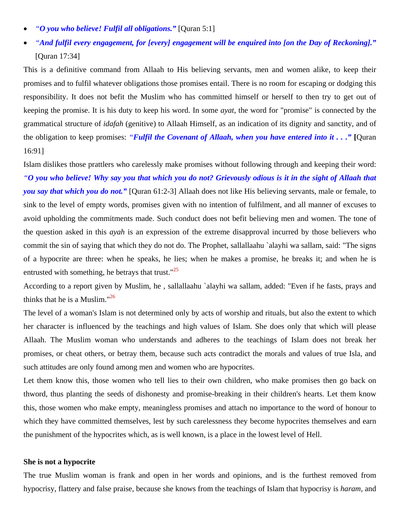- *"O you who believe! Fulfil all obligations."* [Quran 5:1]
- *"And fulfil every engagement, for [every] engagement will be enquired into [on the Day of Reckoning]."* [Quran 17:34]

This is a definitive command from Allaah to His believing servants, men and women alike, to keep their promises and to fulfil whatever obligations those promises entail. There is no room for escaping or dodging this responsibility. It does not befit the Muslim who has committed himself or herself to then try to get out of keeping the promise. It is his duty to keep his word. In some *ayat*, the word for "promise" is connected by the grammatical structure of *idafah* (genitive) to Allaah Himself, as an indication of its dignity and sanctity, and of the obligation to keep promises: *"Fulfil the Covenant of Allaah, when you have entered into it . . ."* **[**Quran 16:91]

Islam dislikes those prattlers who carelessly make promises without following through and keeping their word: *"O you who believe! Why say you that which you do not? Grievously odious is it in the sight of Allaah that you say that which you do not."* [Quran 61:2-3] Allaah does not like His believing servants, male or female, to sink to the level of empty words, promises given with no intention of fulfilment, and all manner of excuses to avoid upholding the commitments made. Such conduct does not befit believing men and women. The tone of the question asked in this *ayah* is an expression of the extreme disapproval incurred by those believers who commit the sin of saying that which they do not do. The Prophet, sallallaahu `alayhi wa sallam, said: "The signs of a hypocrite are three: when he speaks, he lies; when he makes a promise, he breaks it; and when he is entrusted with something, he betrays that trust." $25$ 

According to a report given by Muslim, he , sallallaahu `alayhi wa sallam, added: "Even if he fasts, prays and thinks that he is a Muslim." $^{26}$ 

The level of a woman's Islam is not determined only by acts of worship and rituals, but also the extent to which her character is influenced by the teachings and high values of Islam. She does only that which will please Allaah. The Muslim woman who understands and adheres to the teachings of Islam does not break her promises, or cheat others, or betray them, because such acts contradict the morals and values of true Isla, and such attitudes are only found among men and women who are hypocrites.

Let them know this, those women who tell lies to their own children, who make promises then go back on thword, thus planting the seeds of dishonesty and promise-breaking in their children's hearts. Let them know this, those women who make empty, meaningless promises and attach no importance to the word of honour to which they have committed themselves, lest by such carelessness they become hypocrites themselves and earn the punishment of the hypocrites which, as is well known, is a place in the lowest level of Hell.

# **She is not a hypocrite**

The true Muslim woman is frank and open in her words and opinions, and is the furthest removed from hypocrisy, flattery and false praise, because she knows from the teachings of Islam that hypocrisy is *haram*, and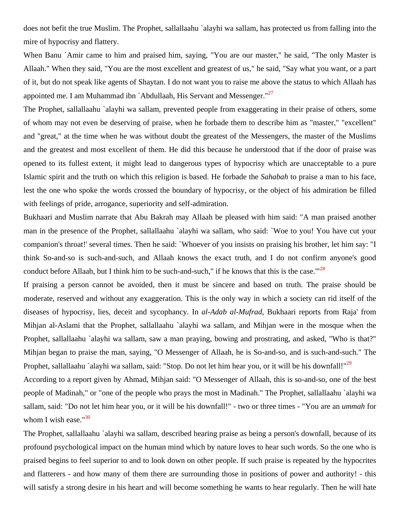does not befit the true Muslim. The Prophet, sallallaahu `alayhi wa sallam, has protected us from falling into the mire of hypocrisy and flattery.

When Banu `Amir came to him and praised him, saying, "You are our master," he said, "The only Master is Allaah." When they said, "You are the most excellent and greatest of us," he said, "Say what you want, or a part of it, but do not speak like agents of Shaytan. I do not want you to raise me above the status to which Allaah has appointed me. I am Muhammad ibn `Abdullaah, His Servant and Messenger."<sup>27</sup>

The Prophet, sallallaahu `alayhi wa sallam, prevented people from exaggerating in their praise of others, some of whom may not even be deserving of praise, when he forbade them to describe him as "master," "excellent" and "great," at the time when he was without doubt the greatest of the Messengers, the master of the Muslims and the greatest and most excellent of them. He did this because he understood that if the door of praise was opened to its fullest extent, it might lead to dangerous types of hypocrisy which are unacceptable to a pure Islamic spirit and the truth on which this religion is based. He forbade the *Sahabah* to praise a man to his face, lest the one who spoke the words crossed the boundary of hypocrisy, or the object of his admiration be filled with feelings of pride, arrogance, superiority and self-admiration.

Bukhaari and Muslim narrate that Abu Bakrah may Allaah be pleased with him said: "A man praised another man in the presence of the Prophet, sallallaahu `alayhi wa sallam, who said: `Woe to you! You have cut your companion's throat!' several times. Then he said: `Whoever of you insists on praising his brother, let him say: "I think So-and-so is such-and-such, and Allaah knows the exact truth, and I do not confirm anyone's good conduct before Allaah, but I think him to be such-and-such," if he knows that this is the case."<sup>28</sup>

If praising a person cannot be avoided, then it must be sincere and based on truth. The praise should be moderate, reserved and without any exaggeration. This is the only way in which a society can rid itself of the diseases of hypocrisy, lies, deceit and sycophancy. In *al-Adab al-Mufrad*, Bukhaari reports from Raja' from Mihjan al-Aslami that the Prophet, sallallaahu `alayhi wa sallam, and Mihjan were in the mosque when the Prophet, sallallaahu `alayhi wa sallam, saw a man praying, bowing and prostrating, and asked, "Who is that?" Mihjan began to praise the man, saying, "O Messenger of Allaah, he is So-and-so, and is such-and-such." The Prophet, sallallaahu `alayhi wa sallam, said: "Stop. Do not let him hear you, or it will be his downfall!"<sup>29</sup>

According to a report given by Ahmad, Mihjan said: "O Messenger of Allaah, this is so-and-so, one of the best people of Madinah," or "one of the people who prays the most in Madinah." The Prophet, sallallaahu `alayhi wa sallam, said: "Do not let him hear you, or it will be his downfall!" - two or three times - "You are an *ummah* for whom I wish ease. $1^{30}$ 

The Prophet, sallallaahu `alayhi wa sallam, described hearing praise as being a person's downfall, because of its profound psychological impact on the human mind which by nature loves to hear such words. So the one who is praised begins to feel superior to and to look down on other people. If such praise is repeated by the hypocrites and flatterers - and how many of them there are surrounding those in positions of power and authority! - this will satisfy a strong desire in his heart and will become something he wants to hear regularly. Then he will hate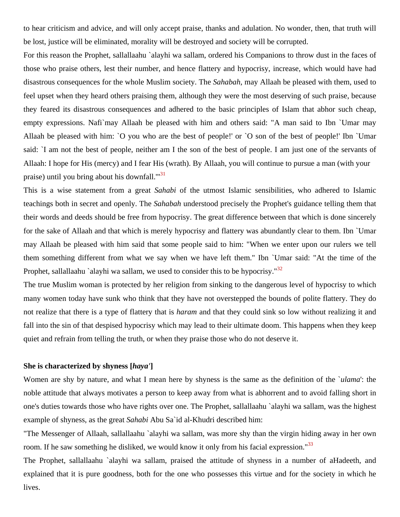to hear criticism and advice, and will only accept praise, thanks and adulation. No wonder, then, that truth will be lost, justice will be eliminated, morality will be destroyed and society will be corrupted.

For this reason the Prophet, sallallaahu `alayhi wa sallam, ordered his Companions to throw dust in the faces of those who praise others, lest their number, and hence flattery and hypocrisy, increase, which would have had disastrous consequences for the whole Muslim society. The *Sahabah*, may Allaah be pleased with them, used to feel upset when they heard others praising them, although they were the most deserving of such praise, because they feared its disastrous consequences and adhered to the basic principles of Islam that abhor such cheap, empty expressions. Nafi`may Allaah be pleased with him and others said: "A man said to Ibn `Umar may Allaah be pleased with him: `O you who are the best of people!' or `O son of the best of people!' Ibn `Umar said: `I am not the best of people, neither am I the son of the best of people. I am just one of the servants of Allaah: I hope for His (mercy) and I fear His (wrath). By Allaah, you will continue to pursue a man (with your praise) until you bring about his downfall."<sup>31</sup>

This is a wise statement from a great *Sahabi* of the utmost Islamic sensibilities, who adhered to Islamic teachings both in secret and openly. The *Sahabah* understood precisely the Prophet's guidance telling them that their words and deeds should be free from hypocrisy. The great difference between that which is done sincerely for the sake of Allaah and that which is merely hypocrisy and flattery was abundantly clear to them. Ibn `Umar may Allaah be pleased with him said that some people said to him: "When we enter upon our rulers we tell them something different from what we say when we have left them." Ibn `Umar said: "At the time of the Prophet, sallallaahu `alayhi wa sallam, we used to consider this to be hypocrisy." $32$ 

The true Muslim woman is protected by her religion from sinking to the dangerous level of hypocrisy to which many women today have sunk who think that they have not overstepped the bounds of polite flattery. They do not realize that there is a type of flattery that is *haram* and that they could sink so low without realizing it and fall into the sin of that despised hypocrisy which may lead to their ultimate doom. This happens when they keep quiet and refrain from telling the truth, or when they praise those who do not deserve it.

# **She is characterized by shyness [***haya'***]**

Women are shy by nature, and what I mean here by shyness is the same as the definition of the `*ulama*': the noble attitude that always motivates a person to keep away from what is abhorrent and to avoid falling short in one's duties towards those who have rights over one. The Prophet, sallallaahu `alayhi wa sallam, was the highest example of shyness, as the great *Sahabi* Abu Sa`id al-Khudri described him:

"The Messenger of Allaah, sallallaahu `alayhi wa sallam, was more shy than the virgin hiding away in her own room. If he saw something he disliked, we would know it only from his facial expression."<sup>33</sup>

The Prophet, sallallaahu `alayhi wa sallam, praised the attitude of shyness in a number of aHadeeth, and explained that it is pure goodness, both for the one who possesses this virtue and for the society in which he lives.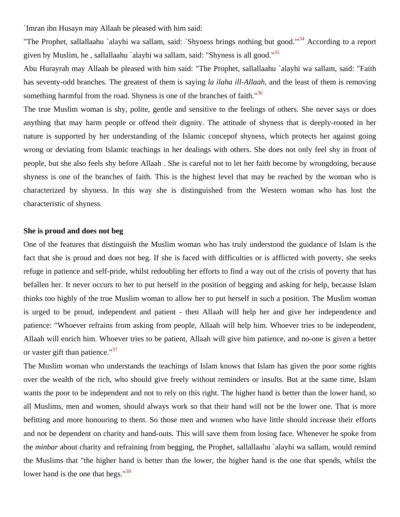`Imran ibn Husayn may Allaah be pleased with him said:

"The Prophet, sallallaahu `alayhi wa sallam, said: `Shyness brings nothing but good."<sup>34</sup> According to a report given by Muslim, he , sallallaahu `alayhi wa sallam, said: "Shyness is all good."35

Abu Hurayrah may Allaah be pleased with him said: "The Prophet, sallallaahu `alayhi wa sallam, said: "Faith has seventy-odd branches. The greatest of them is saying *la ilaha ill-Allaah*, and the least of them is removing something harmful from the road. Shyness is one of the branches of faith."<sup>36</sup>

The true Muslim woman is shy, polite, gentle and sensitive to the feelings of others. She never says or does anything that may harm people or offend their dignity. The attitude of shyness that is deeply-rooted in her nature is supported by her understanding of the Islamic concepof shyness, which protects her against going wrong or deviating from Islamic teachings in her dealings with others. She does not only feel shy in front of people, but she also feels shy before Allaah . She is careful not to let her faith become by wrongdoing, because shyness is one of the branches of faith. This is the highest level that may be reached by the woman who is characterized by shyness. In this way she is distinguished from the Western woman who has lost the characteristic of shyness.

#### **She is proud and does not beg**

One of the features that distinguish the Muslim woman who has truly understood the guidance of Islam is the fact that she is proud and does not beg. If she is faced with difficulties or is afflicted with poverty, she seeks refuge in patience and self-pride, whilst redoubling her efforts to find a way out of the crisis of poverty that has befallen her. It never occurs to her to put herself in the position of begging and asking for help, because Islam thinks too highly of the true Muslim woman to allow her to put herself in such a position. The Muslim woman is urged to be proud, independent and patient - then Allaah will help her and give her independence and patience: "Whoever refrains from asking from people, Allaah will help him. Whoever tries to be independent, Allaah will enrich him. Whoever tries to be patient, Allaah will give him patience, and no-one is given a better or vaster gift than patience."<sup>37</sup>

The Muslim woman who understands the teachings of Islam knows that Islam has given the poor some rights over the wealth of the rich, who should give freely without reminders or insults. But at the same time, Islam wants the poor to be independent and not to rely on this right. The higher hand is better than the lower hand, so all Muslims, men and women, should always work so that their hand will not be the lower one. That is more befitting and more honouring to them. So those men and women who have little should increase their efforts and not be dependent on charity and hand-outs. This will save them from losing face. Whenever he spoke from the *minbar* about charity and refraining from begging, the Prophet, sallallaahu `alayhi wa sallam, would remind the Muslims that "the higher hand is better than the lower, the higher hand is the one that spends, whilst the lower hand is the one that begs."<sup>38</sup>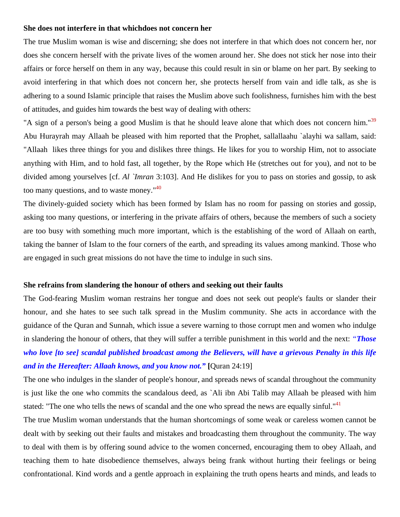#### **She does not interfere in that whichdoes not concern her**

The true Muslim woman is wise and discerning; she does not interfere in that which does not concern her, nor does she concern herself with the private lives of the women around her. She does not stick her nose into their affairs or force herself on them in any way, because this could result in sin or blame on her part. By seeking to avoid interfering in that which does not concern her, she protects herself from vain and idle talk, as she is adhering to a sound Islamic principle that raises the Muslim above such foolishness, furnishes him with the best of attitudes, and guides him towards the best way of dealing with others:

"A sign of a person's being a good Muslim is that he should leave alone that which does not concern him."<sup>39</sup> Abu Hurayrah may Allaah be pleased with him reported that the Prophet, sallallaahu `alayhi wa sallam, said: "Allaah likes three things for you and dislikes three things. He likes for you to worship Him, not to associate anything with Him, and to hold fast, all together, by the Rope which He (stretches out for you), and not to be divided among yourselves [cf. *Al `Imran* 3:103]. And He dislikes for you to pass on stories and gossip, to ask too many questions, and to waste money."<sup>40</sup>

The divinely-guided society which has been formed by Islam has no room for passing on stories and gossip, asking too many questions, or interfering in the private affairs of others, because the members of such a society are too busy with something much more important, which is the establishing of the word of Allaah on earth, taking the banner of Islam to the four corners of the earth, and spreading its values among mankind. Those who are engaged in such great missions do not have the time to indulge in such sins.

#### **She refrains from slandering the honour of others and seeking out their faults**

The God-fearing Muslim woman restrains her tongue and does not seek out people's faults or slander their honour, and she hates to see such talk spread in the Muslim community. She acts in accordance with the guidance of the Quran and Sunnah, which issue a severe warning to those corrupt men and women who indulge in slandering the honour of others, that they will suffer a terrible punishment in this world and the next: *"Those who love [to see] scandal published broadcast among the Believers, will have a grievous Penalty in this life and in the Hereafter: Allaah knows, and you know not."* **[**Quran 24:19]

The one who indulges in the slander of people's honour, and spreads news of scandal throughout the community is just like the one who commits the scandalous deed, as `Ali ibn Abi Talib may Allaah be pleased with him stated: "The one who tells the news of scandal and the one who spread the news are equally sinful." $41$ 

The true Muslim woman understands that the human shortcomings of some weak or careless women cannot be dealt with by seeking out their faults and mistakes and broadcasting them throughout the community. The way to deal with them is by offering sound advice to the women concerned, encouraging them to obey Allaah, and teaching them to hate disobedience themselves, always being frank without hurting their feelings or being confrontational. Kind words and a gentle approach in explaining the truth opens hearts and minds, and leads to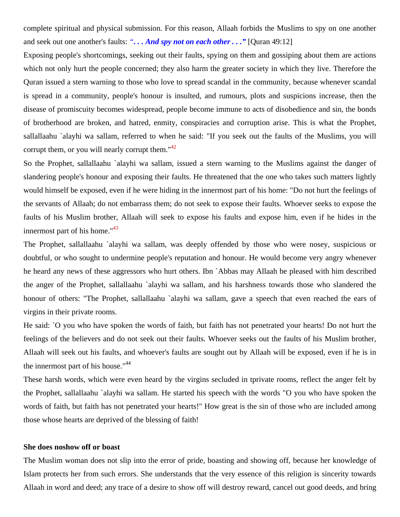complete spiritual and physical submission. For this reason, Allaah forbids the Muslims to spy on one another and seek out one another's faults: *". . . And spy not on each other . . ."* [Quran 49:12]

Exposing people's shortcomings, seeking out their faults, spying on them and gossiping about them are actions which not only hurt the people concerned; they also harm the greater society in which they live. Therefore the Quran issued a stern warning to those who love to spread scandal in the community, because whenever scandal is spread in a community, people's honour is insulted, and rumours, plots and suspicions increase, then the disease of promiscuity becomes widespread, people become immune to acts of disobedience and sin, the bonds of brotherhood are broken, and hatred, enmity, conspiracies and corruption arise. This is what the Prophet, sallallaahu `alayhi wa sallam, referred to when he said: "If you seek out the faults of the Muslims, you will corrupt them, or you will nearly corrupt them. $142$ 

So the Prophet, sallallaahu `alayhi wa sallam, issued a stern warning to the Muslims against the danger of slandering people's honour and exposing their faults. He threatened that the one who takes such matters lightly would himself be exposed, even if he were hiding in the innermost part of his home: "Do not hurt the feelings of the servants of Allaah; do not embarrass them; do not seek to expose their faults. Whoever seeks to expose the faults of his Muslim brother, Allaah will seek to expose his faults and expose him, even if he hides in the innermost part of his home."<sup>43</sup>

The Prophet, sallallaahu `alayhi wa sallam, was deeply offended by those who were nosey, suspicious or doubtful, or who sought to undermine people's reputation and honour. He would become very angry whenever he heard any news of these aggressors who hurt others. Ibn `Abbas may Allaah be pleased with him described the anger of the Prophet, sallallaahu `alayhi wa sallam, and his harshness towards those who slandered the honour of others: "The Prophet, sallallaahu `alayhi wa sallam, gave a speech that even reached the ears of virgins in their private rooms.

He said: `O you who have spoken the words of faith, but faith has not penetrated your hearts! Do not hurt the feelings of the believers and do not seek out their faults. Whoever seeks out the faults of his Muslim brother, Allaah will seek out his faults, and whoever's faults are sought out by Allaah will be exposed, even if he is in the innermost part of his house."<sup>44</sup>

These harsh words, which were even heard by the virgins secluded in tprivate rooms, reflect the anger felt by the Prophet, sallallaahu `alayhi wa sallam. He started his speech with the words "O you who have spoken the words of faith, but faith has not penetrated your hearts!" How great is the sin of those who are included among those whose hearts are deprived of the blessing of faith!

#### **She does noshow off or boast**

The Muslim woman does not slip into the error of pride, boasting and showing off, because her knowledge of Islam protects her from such errors. She understands that the very essence of this religion is sincerity towards Allaah in word and deed; any trace of a desire to show off will destroy reward, cancel out good deeds, and bring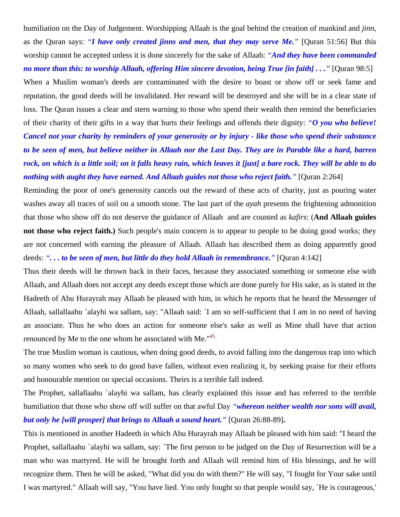humiliation on the Day of Judgement. Worshipping Allaah is the goal behind the creation of mankind and *jinn*, as the Quran says: *"I have only created jinns and men, that they may serve Me."* [Quran 51:56] But this worship cannot be accepted unless it is done sincerely for the sake of Allaah: *"And they have been commanded no more than this: to worship Allaah, offering Him sincere devotion, being True [in faith] . . ."* [Quran 98:5] When a Muslim woman's deeds are contaminated with the desire to boast or show off or seek fame and reputation, the good deeds will be invalidated. Her reward will be destroyed and she will be in a clear state of loss. The Quran issues a clear and stern warning to those who spend their wealth then remind the beneficiaries of their charity of their gifts in a way that hurts their feelings and offends their dignity: *"O you who believe! Cancel not your charity by reminders of your generosity or by injury - like those who spend their substance to be seen of men, but believe neither in Allaah nor the Last Day. They are in Parable like a hard, barren rock, on which is a little soil; on it falls heavy rain, which leaves it [just] a bare rock. They will be able to do nothing with aught they have earned. And Allaah guides not those who reject faith."* [Quran 2:264]

Reminding the poor of one's generosity cancels out the reward of these acts of charity, just as pouring water washes away all traces of soil on a smooth stone. The last part of the *ayah* presents the frightening admonition that those who show off do not deserve the guidance of Allaah and are counted as *kafirs*: (**And Allaah guides not those who reject faith.**) Such people's main concern is to appear to people to be doing good works; they are not concerned with earning the pleasure of Allaah. Allaah has described them as doing apparently good deeds: *". . . to be seen of men, but little do they hold Allaah in remembrance."* [Quran 4:142]

Thus their deeds will be thrown back in their faces, because they associated something or someone else with Allaah, and Allaah does not accept any deeds except those which are done purely for His sake, as is stated in the Hadeeth of Abu Hurayrah may Allaah be pleased with him, in which he reports that he heard the Messenger of Allaah, sallallaahu `alayhi wa sallam, say: "Allaah said: `I am so self-sufficient that I am in no need of having an associate. Thus he who does an action for someone else's sake as well as Mine shall have that action renounced by Me to the one whom he associated with Me."<sup>45</sup>

The true Muslim woman is cautious, when doing good deeds, to avoid falling into the dangerous trap into which so many women who seek to do good have fallen, without even realizing it, by seeking praise for their efforts and honourable mention on special occasions. Theirs is a terrible fall indeed.

The Prophet, sallallaahu `alayhi wa sallam, has clearly explained this issue and has referred to the terrible humiliation that those who show off will suffer on that awful Day *"whereon neither wealth nor sons will avail, but only he [will prosper] that brings to Allaah a sound heart."* [Quran 26:88-89]**.**

This is mentioned in another Hadeeth in which Abu Hurayrah may Allaah be pleased with him said: "I heard the Prophet, sallallaahu `alayhi wa sallam, say: `The first person to be judged on the Day of Resurrection will be a man who was martyred. He will be brought forth and Allaah will remind him of His blessings, and he will recognize them. Then he will be asked, "What did you do with them?" He will say, "I fought for Your sake until I was martyred." Allaah will say, "You have lied. You only fought so that people would say, `He is courageous,'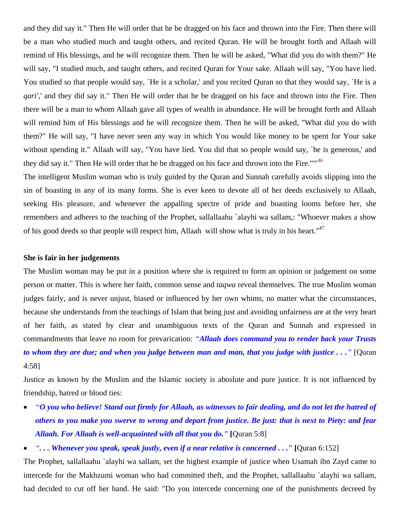and they did say it." Then He will order that he be dragged on his face and thrown into the Fire. Then there will be a man who studied much and taught others, and recited Quran. He will be brought forth and Allaah will remind of His blessings, and he will recognize them. Then he will be asked, "What did you do with them?" He will say, "I studied much, and taught others, and recited Ouran for Your sake. Allaah will say, "You have lied. You studied so that people would say, `He is a scholar,' and you recited Quran so that they would say, `He is a *qari'*,' and they did say it.'' Then He will order that he be dragged on his face and thrown into the Fire. Then there will be a man to whom Allaah gave all types of wealth in abundance. He will be brought forth and Allaah will remind him of His blessings and he will recognize them. Then he will be asked, "What did you do with them?" He will say, "I have never seen any way in which You would like money to be spent for Your sake without spending it." Allaah will say, "You have lied. You did that so people would say, `he is generous,' and they did say it." Then He will order that he be dragged on his face and thrown into the Fire.""<sup>46</sup>

The intelligent Muslim woman who is truly guided by the Quran and Sunnah carefully avoids slipping into the sin of boasting in any of its many forms. She is ever keen to devote all of her deeds exclusively to Allaah, seeking His pleasure, and whenever the appalling spectre of pride and boasting looms before her, she remembers and adheres to the teaching of the Prophet, sallallaahu `alayhi wa sallam,: "Whoever makes a show of his good deeds so that people will respect him, Allaah will show what is truly in his heart."<sup>47</sup>

#### **She is fair in her judgements**

The Muslim woman may be put in a position where she is required to form an opinion or judgement on some person or matter. This is where her faith, common sense and *taqwa* reveal themselves. The true Muslim woman judges fairly, and is never unjust, biased or influenced by her own whims, no matter what the circumstances, because she understands from the teachings of Islam that being just and avoiding unfairness are at the very heart of her faith, as stated by clear and unambiguous texts of the Quran and Sunnah and expressed in commandments that leave no room for prevarication: *"Allaah does command you to render back your Trusts to whom they are due; and when you judge between man and man, that you judge with justice . . ."* [Quran 4:58]

Justice as known by the Muslim and the Islamic society is aboslute and pure justice. It is not influenced by friendship, hatred or blood ties:

- *"O you who believe! Stand out firmly for Allaah, as witnesses to fair dealing, and do not let the hatred of others to you make you swerve to wrong and depart from justice. Be just: that is next to Piety: and fear Allaah. For Allaah is well-acquainted with all that you do."* **[**Quran 5:8]
- *". . . Whenever you speak, speak justly, even if a near relative is concerned . . ."* **[**Quran 6:152]

The Prophet, sallallaahu `alayhi wa sallam, set the highest example of justice when Usamah ibn Zayd came to intercede for the Makhzumi woman who had committed theft, and the Prophet, sallallaahu `alayhi wa sallam, had decided to cut off her hand. He said: "Do you intercede concerning one of the punishments decreed by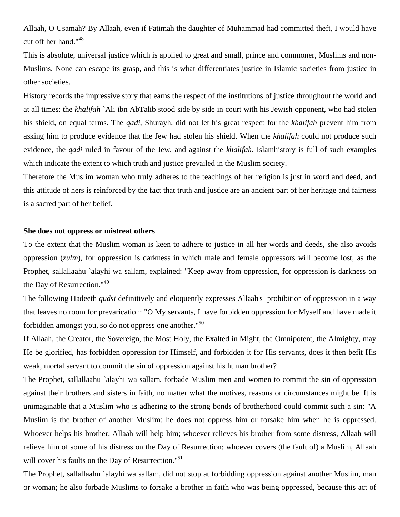Allaah, O Usamah? By Allaah, even if Fatimah the daughter of Muhammad had committed theft, I would have cut off her hand."<sup>48</sup>

This is absolute, universal justice which is applied to great and small, prince and commoner, Muslims and non-Muslims. None can escape its grasp, and this is what differentiates justice in Islamic societies from justice in other societies.

History records the impressive story that earns the respect of the institutions of justice throughout the world and at all times: the *khalifah* `Ali ibn AbTalib stood side by side in court with his Jewish opponent, who had stolen his shield, on equal terms. The *qadi*, Shurayh, did not let his great respect for the *khalifah* prevent him from asking him to produce evidence that the Jew had stolen his shield. When the *khalifah* could not produce such evidence, the *qadi* ruled in favour of the Jew, and against the *khalifah*. Islamhistory is full of such examples which indicate the extent to which truth and justice prevailed in the Muslim society.

Therefore the Muslim woman who truly adheres to the teachings of her religion is just in word and deed, and this attitude of hers is reinforced by the fact that truth and justice are an ancient part of her heritage and fairness is a sacred part of her belief.

#### **She does not oppress or mistreat others**

To the extent that the Muslim woman is keen to adhere to justice in all her words and deeds, she also avoids oppression (*zulm*), for oppression is darkness in which male and female oppressors will become lost, as the Prophet, sallallaahu `alayhi wa sallam, explained: "Keep away from oppression, for oppression is darkness on the Day of Resurrection."49

The following Hadeeth *qudsi* definitively and eloquently expresses Allaah's prohibition of oppression in a way that leaves no room for prevarication: "O My servants, I have forbidden oppression for Myself and have made it forbidden amongst you, so do not oppress one another."50

If Allaah, the Creator, the Sovereign, the Most Holy, the Exalted in Might, the Omnipotent, the Almighty, may He be glorified, has forbidden oppression for Himself, and forbidden it for His servants, does it then befit His weak, mortal servant to commit the sin of oppression against his human brother?

The Prophet, sallallaahu `alayhi wa sallam, forbade Muslim men and women to commit the sin of oppression against their brothers and sisters in faith, no matter what the motives, reasons or circumstances might be. It is unimaginable that a Muslim who is adhering to the strong bonds of brotherhood could commit such a sin: "A Muslim is the brother of another Muslim: he does not oppress him or forsake him when he is oppressed. Whoever helps his brother, Allaah will help him; whoever relieves his brother from some distress, Allaah will relieve him of some of his distress on the Day of Resurrection; whoever covers (the fault of) a Muslim, Allaah will cover his faults on the Day of Resurrection."<sup>51</sup>

The Prophet, sallallaahu `alayhi wa sallam, did not stop at forbidding oppression against another Muslim, man or woman; he also forbade Muslims to forsake a brother in faith who was being oppressed, because this act of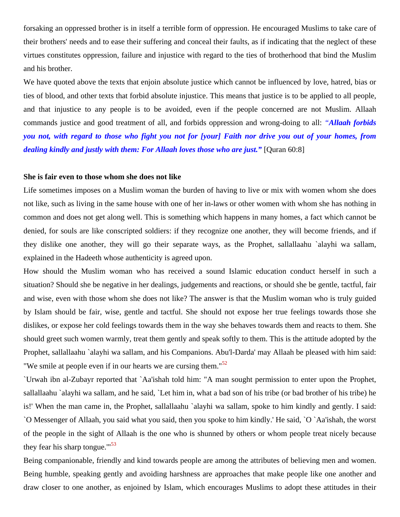forsaking an oppressed brother is in itself a terrible form of oppression. He encouraged Muslims to take care of their brothers' needs and to ease their suffering and conceal their faults, as if indicating that the neglect of these virtues constitutes oppression, failure and injustice with regard to the ties of brotherhood that bind the Muslim and his brother.

We have quoted above the texts that enjoin absolute justice which cannot be influenced by love, hatred, bias or ties of blood, and other texts that forbid absolute injustice. This means that justice is to be applied to all people, and that injustice to any people is to be avoided, even if the people concerned are not Muslim. Allaah commands justice and good treatment of all, and forbids oppression and wrong-doing to all: *"Allaah forbids you not, with regard to those who fight you not for [your] Faith nor drive you out of your homes, from dealing kindly and justly with them: For Allaah loves those who are just."* [Quran 60:8]

#### **She is fair even to those whom she does not like**

Life sometimes imposes on a Muslim woman the burden of having to live or mix with women whom she does not like, such as living in the same house with one of her in-laws or other women with whom she has nothing in common and does not get along well. This is something which happens in many homes, a fact which cannot be denied, for souls are like conscripted soldiers: if they recognize one another, they will become friends, and if they dislike one another, they will go their separate ways, as the Prophet, sallallaahu `alayhi wa sallam, explained in the Hadeeth whose authenticity is agreed upon.

How should the Muslim woman who has received a sound Islamic education conduct herself in such a situation? Should she be negative in her dealings, judgements and reactions, or should she be gentle, tactful, fair and wise, even with those whom she does not like? The answer is that the Muslim woman who is truly guided by Islam should be fair, wise, gentle and tactful. She should not expose her true feelings towards those she dislikes, or expose her cold feelings towards them in the way she behaves towards them and reacts to them. She should greet such women warmly, treat them gently and speak softly to them. This is the attitude adopted by the Prophet, sallallaahu `alayhi wa sallam, and his Companions. Abu'l-Darda' may Allaah be pleased with him said: "We smile at people even if in our hearts we are cursing them."<sup>52</sup>

`Urwah ibn al-Zubayr reported that `Aa'ishah told him: "A man sought permission to enter upon the Prophet, sallallaahu `alayhi wa sallam, and he said, `Let him in, what a bad son of his tribe (or bad brother of his tribe) he is!' When the man came in, the Prophet, sallallaahu `alayhi wa sallam, spoke to him kindly and gently. I said: `O Messenger of Allaah, you said what you said, then you spoke to him kindly.' He said, `O `Aa'ishah, the worst of the people in the sight of Allaah is the one who is shunned by others or whom people treat nicely because they fear his sharp tongue.'"<sup>53</sup>

Being companionable, friendly and kind towards people are among the attributes of believing men and women. Being humble, speaking gently and avoiding harshness are approaches that make people like one another and draw closer to one another, as enjoined by Islam, which encourages Muslims to adopt these attitudes in their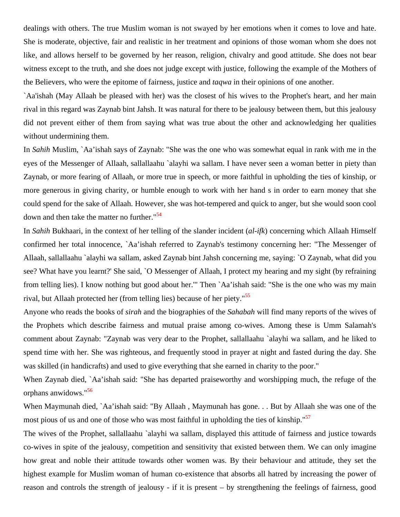dealings with others. The true Muslim woman is not swayed by her emotions when it comes to love and hate. She is moderate, objective, fair and realistic in her treatment and opinions of those woman whom she does not like, and allows herself to be governed by her reason, religion, chivalry and good attitude. She does not bear witness except to the truth, and she does not judge except with justice, following the example of the Mothers of the Believers, who were the epitome of fairness, justice and *taqwa* in their opinions of one another.

`Aa'ishah (May Allaah be pleased with her) was the closest of his wives to the Prophet's heart, and her main rival in this regard was Zaynab bint Jahsh. It was natural for there to be jealousy between them, but this jealousy did not prevent either of them from saying what was true about the other and acknowledging her qualities without undermining them.

In *Sahih* Muslim, `Aa'ishah says of Zaynab: "She was the one who was somewhat equal in rank with me in the eyes of the Messenger of Allaah, sallallaahu `alayhi wa sallam. I have never seen a woman better in piety than Zaynab, or more fearing of Allaah, or more true in speech, or more faithful in upholding the ties of kinship, or more generous in giving charity, or humble enough to work with her hand s in order to earn money that she could spend for the sake of Allaah. However, she was hot-tempered and quick to anger, but she would soon cool down and then take the matter no further."<sup>54</sup>

In *Sahih* Bukhaari, in the context of her telling of the slander incident (*al-ifk*) concerning which Allaah Himself confirmed her total innocence, `Aa'ishah referred to Zaynab's testimony concerning her: "The Messenger of Allaah, sallallaahu `alayhi wa sallam, asked Zaynab bint Jahsh concerning me, saying: `O Zaynab, what did you see? What have you learnt?' She said, `O Messenger of Allaah, I protect my hearing and my sight (by refraining from telling lies). I know nothing but good about her.'" Then `Aa'ishah said: "She is the one who was my main rival, but Allaah protected her (from telling lies) because of her piety."55

Anyone who reads the books of *sirah* and the biographies of the *Sahabah* will find many reports of the wives of the Prophets which describe fairness and mutual praise among co-wives. Among these is Umm Salamah's comment about Zaynab: "Zaynab was very dear to the Prophet, sallallaahu `alayhi wa sallam, and he liked to spend time with her. She was righteous, and frequently stood in prayer at night and fasted during the day. She was skilled (in handicrafts) and used to give everything that she earned in charity to the poor."

When Zaynab died, `Aa'ishah said: "She has departed praiseworthy and worshipping much, the refuge of the orphans anwidows."<sup>56</sup>

When Maymunah died, `Aa'ishah said: "By Allaah , Maymunah has gone. . . But by Allaah she was one of the most pious of us and one of those who was most faithful in upholding the ties of kinship."<sup>57</sup>

The wives of the Prophet, sallallaahu `alayhi wa sallam, displayed this attitude of fairness and justice towards co-wives in spite of the jealousy, competition and sensitivity that existed between them. We can only imagine how great and noble their attitude towards other women was. By their behaviour and attitude, they set the highest example for Muslim woman of human co-existence that absorbs all hatred by increasing the power of reason and controls the strength of jealousy - if it is present – by strengthening the feelings of fairness, good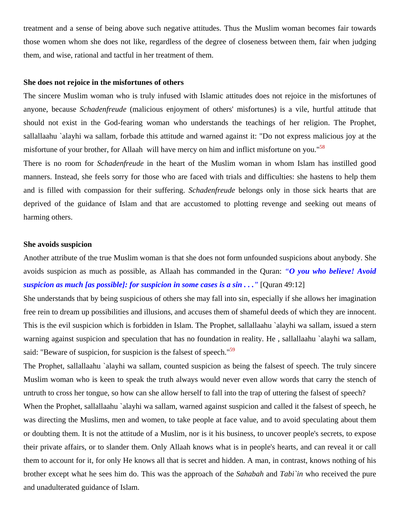treatment and a sense of being above such negative attitudes. Thus the Muslim woman becomes fair towards those women whom she does not like, regardless of the degree of closeness between them, fair when judging them, and wise, rational and tactful in her treatment of them.

#### **She does not rejoice in the misfortunes of others**

The sincere Muslim woman who is truly infused with Islamic attitudes does not rejoice in the misfortunes of anyone, because *Schadenfreude* (malicious enjoyment of others' misfortunes) is a vile, hurtful attitude that should not exist in the God-fearing woman who understands the teachings of her religion. The Prophet, sallallaahu `alayhi wa sallam, forbade this attitude and warned against it: "Do not express malicious joy at the misfortune of your brother, for Allaah will have mercy on him and inflict misfortune on you."<sup>58</sup>

There is no room for *Schadenfreude* in the heart of the Muslim woman in whom Islam has instilled good manners. Instead, she feels sorry for those who are faced with trials and difficulties: she hastens to help them and is filled with compassion for their suffering. *Schadenfreude* belongs only in those sick hearts that are deprived of the guidance of Islam and that are accustomed to plotting revenge and seeking out means of harming others.

#### **She avoids suspicion**

Another attribute of the true Muslim woman is that she does not form unfounded suspicions about anybody. She avoids suspicion as much as possible, as Allaah has commanded in the Quran: *"O you who believe! Avoid suspicion as much [as possible]: for suspicion in some cases is a sin . . ."* [Quran 49:12]

She understands that by being suspicious of others she may fall into sin, especially if she allows her imagination free rein to dream up possibilities and illusions, and accuses them of shameful deeds of which they are innocent. This is the evil suspicion which is forbidden in Islam. The Prophet, sallallaahu `alayhi wa sallam, issued a stern warning against suspicion and speculation that has no foundation in reality. He, sallallaahu `alayhi wa sallam, said: "Beware of suspicion, for suspicion is the falsest of speech."<sup>59</sup>

The Prophet, sallallaahu `alayhi wa sallam, counted suspicion as being the falsest of speech. The truly sincere Muslim woman who is keen to speak the truth always would never even allow words that carry the stench of untruth to cross her tongue, so how can she allow herself to fall into the trap of uttering the falsest of speech?

When the Prophet, sallallaahu `alayhi wa sallam, warned against suspicion and called it the falsest of speech, he was directing the Muslims, men and women, to take people at face value, and to avoid speculating about them or doubting them. It is not the attitude of a Muslim, nor is it his business, to uncover people's secrets, to expose their private affairs, or to slander them. Only Allaah knows what is in people's hearts, and can reveal it or call them to account for it, for only He knows all that is secret and hidden. A man, in contrast, knows nothing of his brother except what he sees him do. This was the approach of the *Sahabah* and *Tabi`in* who received the pure and unadulterated guidance of Islam.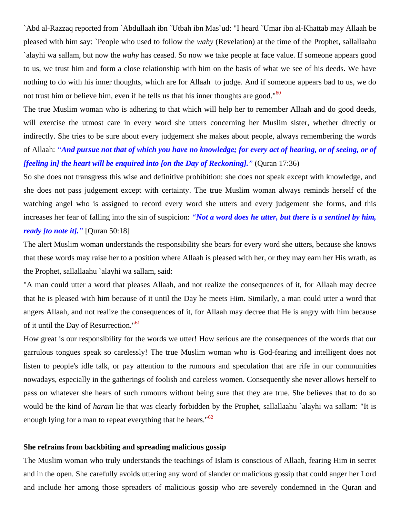`Abd al-Razzaq reported from `Abdullaah ibn `Utbah ibn Mas`ud: "I heard `Umar ibn al-Khattab may Allaah be pleased with him say: `People who used to follow the *wahy* (Revelation) at the time of the Prophet, sallallaahu `alayhi wa sallam, but now the *wahy* has ceased. So now we take people at face value. If someone appears good to us, we trust him and form a close relationship with him on the basis of what we see of his deeds. We have nothing to do with his inner thoughts, which are for Allaah to judge. And if someone appears bad to us, we do not trust him or believe him, even if he tells us that his inner thoughts are good."<sup>60</sup>

The true Muslim woman who is adhering to that which will help her to remember Allaah and do good deeds, will exercise the utmost care in every word she utters concerning her Muslim sister, whether directly or indirectly. She tries to be sure about every judgement she makes about people, always remembering the words of Allaah: *"And pursue not that of which you have no knowledge; for every act of hearing, or of seeing, or of [feeling in] the heart will be enquired into [on the Day of Reckoning]."* (Quran 17:36)

So she does not transgress this wise and definitive prohibition: she does not speak except with knowledge, and she does not pass judgement except with certainty. The true Muslim woman always reminds herself of the watching angel who is assigned to record every word she utters and every judgement she forms, and this increases her fear of falling into the sin of suspicion: *"Not a word does he utter, but there is a sentinel by him, ready [to note it]."* [Quran 50:18]

The alert Muslim woman understands the responsibility she bears for every word she utters, because she knows that these words may raise her to a position where Allaah is pleased with her, or they may earn her His wrath, as the Prophet, sallallaahu `alayhi wa sallam, said:

"A man could utter a word that pleases Allaah, and not realize the consequences of it, for Allaah may decree that he is pleased with him because of it until the Day he meets Him. Similarly, a man could utter a word that angers Allaah, and not realize the consequences of it, for Allaah may decree that He is angry with him because of it until the Day of Resurrection."61

How great is our responsibility for the words we utter! How serious are the consequences of the words that our garrulous tongues speak so carelessly! The true Muslim woman who is God-fearing and intelligent does not listen to people's idle talk, or pay attention to the rumours and speculation that are rife in our communities nowadays, especially in the gatherings of foolish and careless women. Consequently she never allows herself to pass on whatever she hears of such rumours without being sure that they are true. She believes that to do so would be the kind of *haram* lie that was clearly forbidden by the Prophet, sallallaahu `alayhi wa sallam: "It is enough lying for a man to repeat everything that he hears."<sup>62</sup>

#### **She refrains from backbiting and spreading malicious gossip**

The Muslim woman who truly understands the teachings of Islam is conscious of Allaah, fearing Him in secret and in the open. She carefully avoids uttering any word of slander or malicious gossip that could anger her Lord and include her among those spreaders of malicious gossip who are severely condemned in the Quran and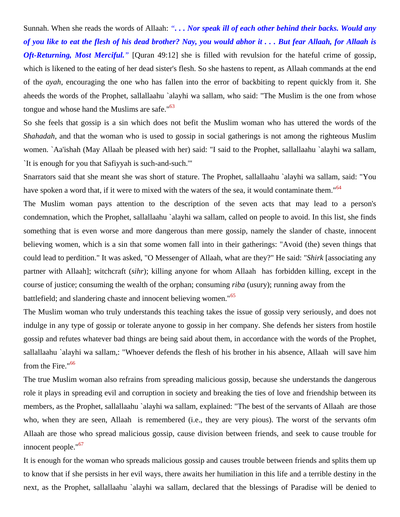Sunnah. When she reads the words of Allaah: *". . . Nor speak ill of each other behind their backs. Would any of you like to eat the flesh of his dead brother? Nay, you would abhor it . . . But fear Allaah, for Allaah is Oft-Returning, Most Merciful."* [Quran 49:12] she is filled with revulsion for the hateful crime of gossip, which is likened to the eating of her dead sister's flesh. So she hastens to repent, as Allaah commands at the end of the *ayah*, encouraging the one who has fallen into the error of backbiting to repent quickly from it. She aheeds the words of the Prophet, sallallaahu `alayhi wa sallam, who said: "The Muslim is the one from whose tongue and whose hand the Muslims are safe."<sup>63</sup>

So she feels that gossip is a sin which does not befit the Muslim woman who has uttered the words of the *Shahadah*, and that the woman who is used to gossip in social gatherings is not among the righteous Muslim women. `Aa'ishah (May Allaah be pleased with her) said: "I said to the Prophet, sallallaahu `alayhi wa sallam, `It is enough for you that Safiyyah is such-and-such.'"

Snarrators said that she meant she was short of stature. The Prophet, sallallaahu `alayhi wa sallam, said: "You have spoken a word that, if it were to mixed with the waters of the sea, it would contaminate them."<sup>64</sup>

The Muslim woman pays attention to the description of the seven acts that may lead to a person's condemnation, which the Prophet, sallallaahu `alayhi wa sallam, called on people to avoid. In this list, she finds something that is even worse and more dangerous than mere gossip, namely the slander of chaste, innocent believing women, which is a sin that some women fall into in their gatherings: "Avoid (the) seven things that could lead to perdition." It was asked, "O Messenger of Allaah, what are they?" He said: "*Shirk* [associating any partner with Allaah]; witchcraft (*sihr*); killing anyone for whom Allaah has forbidden killing, except in the course of justice; consuming the wealth of the orphan; consuming *riba* (usury); running away from the battlefield; and slandering chaste and innocent believing women."<sup>65</sup>

The Muslim woman who truly understands this teaching takes the issue of gossip very seriously, and does not indulge in any type of gossip or tolerate anyone to gossip in her company. She defends her sisters from hostile gossip and refutes whatever bad things are being said about them, in accordance with the words of the Prophet, sallallaahu `alayhi wa sallam,: "Whoever defends the flesh of his brother in his absence, Allaah will save him from the Fire."<sup>66</sup>

The true Muslim woman also refrains from spreading malicious gossip, because she understands the dangerous role it plays in spreading evil and corruption in society and breaking the ties of love and friendship between its members, as the Prophet, sallallaahu `alayhi wa sallam, explained: "The best of the servants of Allaah are those who, when they are seen, Allaah is remembered (i.e., they are very pious). The worst of the servants ofm Allaah are those who spread malicious gossip, cause division between friends, and seek to cause trouble for innocent people."<sup>67</sup>

It is enough for the woman who spreads malicious gossip and causes trouble between friends and splits them up to know that if she persists in her evil ways, there awaits her humiliation in this life and a terrible destiny in the next, as the Prophet, sallallaahu `alayhi wa sallam, declared that the blessings of Paradise will be denied to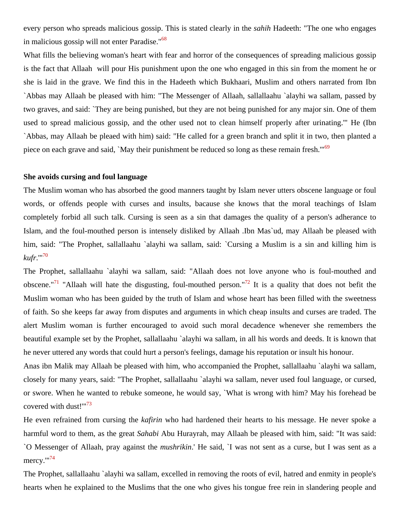every person who spreads malicious gossip. This is stated clearly in the *sahih* Hadeeth: "The one who engages in malicious gossip will not enter Paradise."68

What fills the believing woman's heart with fear and horror of the consequences of spreading malicious gossip is the fact that Allaah will pour His punishment upon the one who engaged in this sin from the moment he or she is laid in the grave. We find this in the Hadeeth which Bukhaari, Muslim and others narrated from Ibn `Abbas may Allaah be pleased with him: "The Messenger of Allaah, sallallaahu `alayhi wa sallam, passed by two graves, and said: `They are being punished, but they are not being punished for any major sin. One of them used to spread malicious gossip, and the other used not to clean himself properly after urinating.'" He (Ibn `Abbas, may Allaah be pleaed with him) said: "He called for a green branch and split it in two, then planted a piece on each grave and said, `May their punishment be reduced so long as these remain fresh.'"<sup>69</sup>

#### **She avoids cursing and foul language**

The Muslim woman who has absorbed the good manners taught by Islam never utters obscene language or foul words, or offends people with curses and insults, bacause she knows that the moral teachings of Islam completely forbid all such talk. Cursing is seen as a sin that damages the quality of a person's adherance to Islam, and the foul-mouthed person is intensely disliked by Allaah .Ibn Mas`ud, may Allaah be pleased with him, said: "The Prophet, sallallaahu `alayhi wa sallam, said: `Cursing a Muslim is a sin and killing him is *kufr*.'"<sup>70</sup>

The Prophet, sallallaahu `alayhi wa sallam, said: "Allaah does not love anyone who is foul-mouthed and obscene."<sup>71</sup> "Allaah will hate the disgusting, foul-mouthed person."<sup>72</sup> It is a quality that does not befit the Muslim woman who has been guided by the truth of Islam and whose heart has been filled with the sweetness of faith. So she keeps far away from disputes and arguments in which cheap insults and curses are traded. The alert Muslim woman is further encouraged to avoid such moral decadence whenever she remembers the beautiful example set by the Prophet, sallallaahu `alayhi wa sallam, in all his words and deeds. It is known that he never uttered any words that could hurt a person's feelings, damage his reputation or insult his honour.

Anas ibn Malik may Allaah be pleased with him, who accompanied the Prophet, sallallaahu `alayhi wa sallam, closely for many years, said: "The Prophet, sallallaahu `alayhi wa sallam, never used foul language, or cursed, or swore. When he wanted to rebuke someone, he would say, `What is wrong with him? May his forehead be covered with dust!'"<sup>73</sup>

He even refrained from cursing the *kafirin* who had hardened their hearts to his message. He never spoke a harmful word to them, as the great *Sahabi* Abu Hurayrah, may Allaah be pleased with him, said: "It was said: `O Messenger of Allaah, pray against the *mushrikin*.' He said, `I was not sent as a curse, but I was sent as a mercy."<sup>74</sup>

The Prophet, sallallaahu `alayhi wa sallam, excelled in removing the roots of evil, hatred and enmity in people's hearts when he explained to the Muslims that the one who gives his tongue free rein in slandering people and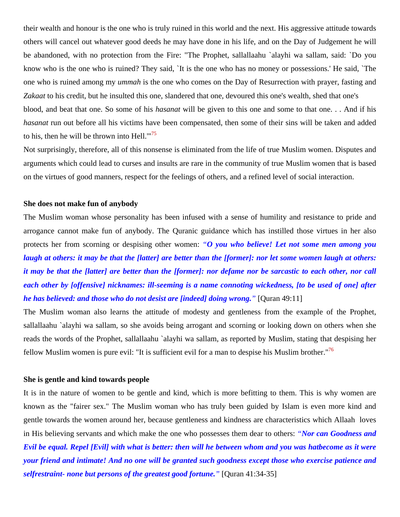their wealth and honour is the one who is truly ruined in this world and the next. His aggressive attitude towards others will cancel out whatever good deeds he may have done in his life, and on the Day of Judgement he will be abandoned, with no protection from the Fire: "The Prophet, sallallaahu `alayhi wa sallam, said: `Do you know who is the one who is ruined? They said, `It is the one who has no money or possessions.' He said, `The one who is ruined among my *ummah* is the one who comes on the Day of Resurrection with prayer, fasting and *Zakaat* to his credit, but he insulted this one, slandered that one, devoured this one's wealth, shed that one's blood, and beat that one. So some of his *hasanat* will be given to this one and some to that one. . . And if his *hasanat* run out before all his victims have been compensated, then some of their sins will be taken and added to his, then he will be thrown into Hell. $^{\prime\prime}$ <sup>75</sup>

Not surprisingly, therefore, all of this nonsense is eliminated from the life of true Muslim women. Disputes and arguments which could lead to curses and insults are rare in the community of true Muslim women that is based on the virtues of good manners, respect for the feelings of others, and a refined level of social interaction.

#### **She does not make fun of anybody**

The Muslim woman whose personality has been infused with a sense of humility and resistance to pride and arrogance cannot make fun of anybody. The Quranic guidance which has instilled those virtues in her also protects her from scorning or despising other women: *"O you who believe! Let not some men among you laugh at others: it may be that the [latter] are better than the [former]: nor let some women laugh at others: it may be that the [latter] are better than the [former]: nor defame nor be sarcastic to each other, nor call each other by [offensive] nicknames: ill-seeming is a name connoting wickedness, [to be used of one] after he has believed: and those who do not desist are [indeed] doing wrong."* [Quran 49:11]

The Muslim woman also learns the attitude of modesty and gentleness from the example of the Prophet, sallallaahu `alayhi wa sallam, so she avoids being arrogant and scorning or looking down on others when she reads the words of the Prophet, sallallaahu `alayhi wa sallam, as reported by Muslim, stating that despising her fellow Muslim women is pure evil: "It is sufficient evil for a man to despise his Muslim brother."<sup>76</sup>

#### **She is gentle and kind towards people**

It is in the nature of women to be gentle and kind, which is more befitting to them. This is why women are known as the "fairer sex." The Muslim woman who has truly been guided by Islam is even more kind and gentle towards the women around her, because gentleness and kindness are characteristics which Allaah loves in His believing servants and which make the one who possesses them dear to others: *"Nor can Goodness and Evil be equal. Repel [Evil] with what is better: then will he between whom and you was hatbecome as it were your friend and intimate! And no one will be granted such goodness except those who exercise patience and selfrestraint- none but persons of the greatest good fortune."* [Quran 41:34-35]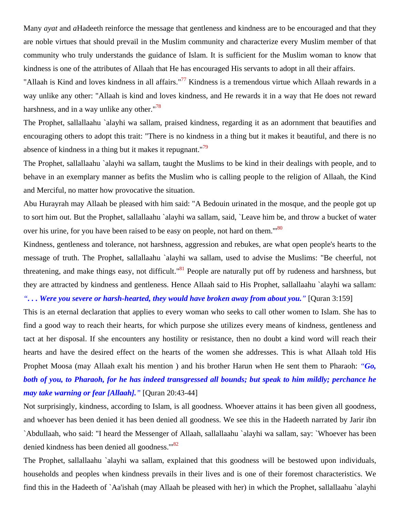Many *ayat* and *a*Hadeeth reinforce the message that gentleness and kindness are to be encouraged and that they are noble virtues that should prevail in the Muslim community and characterize every Muslim member of that community who truly understands the guidance of Islam. It is sufficient for the Muslim woman to know that kindness is one of the attributes of Allaah that He has encouraged His servants to adopt in all their affairs.

"Allaah is Kind and loves kindness in all affairs."<sup>77</sup> Kindness is a tremendous virtue which Allaah rewards in a way unlike any other: "Allaah is kind and loves kindness, and He rewards it in a way that He does not reward harshness, and in a way unlike any other."<sup>78</sup>

The Prophet, sallallaahu `alayhi wa sallam, praised kindness, regarding it as an adornment that beautifies and encouraging others to adopt this trait: "There is no kindness in a thing but it makes it beautiful, and there is no absence of kindness in a thing but it makes it repugnant."<sup>79</sup>

The Prophet, sallallaahu `alayhi wa sallam, taught the Muslims to be kind in their dealings with people, and to behave in an exemplary manner as befits the Muslim who is calling people to the religion of Allaah, the Kind and Merciful, no matter how provocative the situation.

Abu Hurayrah may Allaah be pleased with him said: "A Bedouin urinated in the mosque, and the people got up to sort him out. But the Prophet, sallallaahu `alayhi wa sallam, said, `Leave him be, and throw a bucket of water over his urine, for you have been raised to be easy on people, not hard on them."<sup>80</sup>

Kindness, gentleness and tolerance, not harshness, aggression and rebukes, are what open people's hearts to the message of truth. The Prophet, sallallaahu `alayhi wa sallam, used to advise the Muslims: "Be cheerful, not threatening, and make things easy, not difficult."<sup>81</sup> People are naturally put off by rudeness and harshness, but they are attracted by kindness and gentleness. Hence Allaah said to His Prophet, sallallaahu `alayhi wa sallam:

## *". . . Were you severe or harsh-hearted, they would have broken away from about you."* [Quran 3:159]

This is an eternal declaration that applies to every woman who seeks to call other women to Islam. She has to find a good way to reach their hearts, for which purpose she utilizes every means of kindness, gentleness and tact at her disposal. If she encounters any hostility or resistance, then no doubt a kind word will reach their hearts and have the desired effect on the hearts of the women she addresses. This is what Allaah told His Prophet Moosa (may Allaah exalt his mention ) and his brother Harun when He sent them to Pharaoh: *"Go, both of you, to Pharaoh, for he has indeed transgressed all bounds; but speak to him mildly; perchance he may take warning or fear [Allaah]."* [Quran 20:43-44]

Not surprisingly, kindness, according to Islam, is all goodness. Whoever attains it has been given all goodness, and whoever has been denied it has been denied all goodness. We see this in the Hadeeth narrated by Jarir ibn `Abdullaah, who said: "I heard the Messenger of Allaah, sallallaahu `alayhi wa sallam, say: `Whoever has been denied kindness has been denied all goodness."<sup>82</sup>

The Prophet, sallallaahu `alayhi wa sallam, explained that this goodness will be bestowed upon individuals, households and peoples when kindness prevails in their lives and is one of their foremost characteristics. We find this in the Hadeeth of `Aa'ishah (may Allaah be pleased with her) in which the Prophet, sallallaahu `alayhi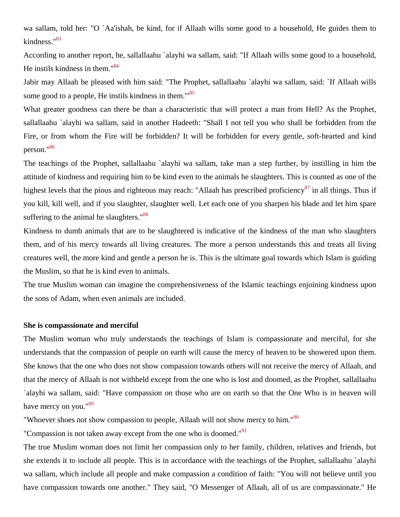wa sallam, told her: "O `Aa'ishah, be kind, for if Allaah wills some good to a household, He guides them to kindness."83

According to another report, he, sallallaahu `alayhi wa sallam, said: "If Allaah wills some good to a household, He instils kindness in them."84

Jabir may Allaah be pleased with him said: "The Prophet, sallallaahu `alayhi wa sallam, said: `If Allaah wills some good to a people, He instils kindness in them.'"<sup>85</sup>

What greater goodness can there be than a characteristic that will protect a man from Hell? As the Prophet, sallallaahu `alayhi wa sallam, said in another Hadeeth: "Shall I not tell you who shall be forbidden from the Fire, or from whom the Fire will be forbidden? It will be forbidden for every gentle, soft-hearted and kind person."86

The teachings of the Prophet, sallallaahu `alayhi wa sallam, take man a step further, by instilling in him the attitude of kindness and requiring him to be kind even to the animals he slaughters. This is counted as one of the highest levels that the pious and righteous may reach: "Allaah has prescribed proficiency<sup>87</sup> in all things. Thus if you kill, kill well, and if you slaughter, slaughter well. Let each one of you sharpen his blade and let him spare suffering to the animal he slaughters."<sup>88</sup>

Kindness to dumb animals that are to be slaughtered is indicative of the kindness of the man who slaughters them, and of his mercy towards all living creatures. The more a person understands this and treats all living creatures well, the more kind and gentle a person he is. This is the ultimate goal towards which Islam is guiding the Muslim, so that he is kind even to animals.

The true Muslim woman can imagine the comprehensiveness of the Islamic teachings enjoining kindness upon the sons of Adam, when even animals are included.

#### **She is compassionate and merciful**

The Muslim woman who truly understands the teachings of Islam is compassionate and merciful, for she understands that the compassion of people on earth will cause the mercy of heaven to be showered upon them. She knows that the one who does not show compassion towards others will not receive the mercy of Allaah, and that the mercy of Allaah is not withheld except from the one who is lost and doomed, as the Prophet, sallallaahu `alayhi wa sallam, said: "Have compassion on those who are on earth so that the One Who is in heaven will have mercy on you."<sup>89</sup>

"Whoever shoes not show compassion to people, Allaah will not show mercy to him."<sup>90</sup>

"Compassion is not taken away except from the one who is doomed."<sup>91</sup>

The true Muslim woman does not limit her compassion only to her family, children, relatives and friends, but she extends it to include all people. This is in accordance with the teachings of the Prophet, sallallaahu `alayhi wa sallam, which include all people and make compassion a condition of faith: "You will not believe until you have compassion towards one another." They said, "O Messenger of Allaah, all of us are compassionate." He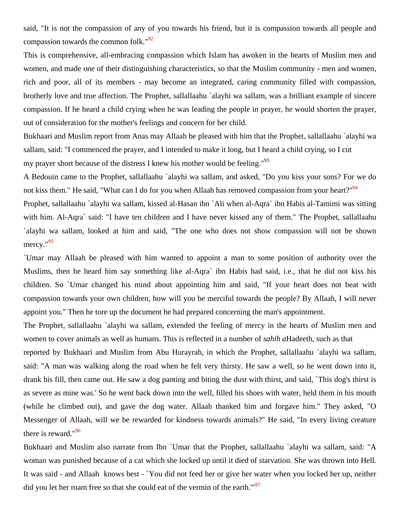said, "It is not the compassion of any of you towards his friend, but it is compassion towards all people and compassion towards the common folk."<sup>92</sup>

This is comprehensive, all-embracing compassion which Islam has awoken in the hearts of Muslim men and women, and made one of their distinguishing characteristics, so that the Muslim community - men and women, rich and poor, all of its members - may become an integrated, caring community filled with compassion, brotherly love and true affection. The Prophet, sallallaahu `alayhi wa sallam, was a brilliant example of sincere compassion. If he heard a child crying when he was leading the people in prayer, he would shorten the prayer, out of consideration for the mother's feelings and concern for her child.

Bukhaari and Muslim report from Anas may Allaah be pleased with him that the Prophet, sallallaahu `alayhi wa sallam, said: "I commenced the prayer, and I intended to make it long, but I heard a child crying, so I cut my prayer short because of the distress I knew his mother would be feeling."<sup>93</sup>

A Bedouin came to the Prophet, sallallaahu `alayhi wa sallam, and asked, "Do you kiss your sons? For we do not kiss them." He said, "What can I do for you when Allaah has removed compassion from your heart?"<sup>94</sup> Prophet, sallallaahu `alayhi wa sallam, kissed al-Hasan ibn `Ali when al-Aqra` ibn Habis al-Tamimi was sitting with him. Al-Aqra` said: "I have ten children and I have never kissed any of them." The Prophet, sallallaahu `alayhi wa sallam, looked at him and said, "The one who does not show compassion will not be shown mercy."<sup>95</sup>

`Umar may Allaah be pleased with him wanted to appoint a man to some position of authority over the Muslims, then he heard him say something like al-Aqra` ibn Habis had said, i.e., that he did not kiss his children. So `Umar changed his mind about appointing him and said, "If your heart does not beat with compassion towards your own children, how will you be merciful towards the people? By Allaah, I will never appoint you." Then he tore up the document he had prepared concerning the man's appointment.

The Prophet, sallallaahu `alayhi wa sallam, extended the feeling of mercy in the hearts of Muslim men and women to cover animals as well as humans. This is reflected in a number of *sahih a*Hadeeth, such as that

reported by Bukhaari and Muslim from Abu Hurayrah, in which the Prophet, sallallaahu `alayhi wa sallam, said: "A man was walking along the road when he felt very thirsty. He saw a well, so he went down into it, drank his fill, then came out. He saw a dog panting and biting the dust with thirst, and said, `This dog's thirst is as severe as mine was.' So he went back down into the well, filled his shoes with water, held them in his mouth (while he climbed out), and gave the dog water. Allaah thanked him and forgave him." They asked, "O Messenger of Allaah, will we be rewarded for kindness towards animals?" He said, "In every living creature there is reward." $96$ 

Bukhaari and Muslim also narrate from Ibn `Umar that the Prophet, sallallaahu `alayhi wa sallam, said: "A woman was punished because of a cat which she locked up until it died of starvation. She was thrown into Hell. It was said - and Allaah knows best - `You did not feed her or give her water when you locked her up, neither did you let her roam free so that she could eat of the vermin of the earth. $197$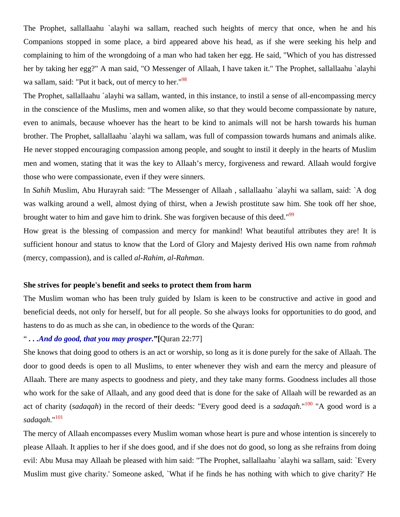The Prophet, sallallaahu `alayhi wa sallam, reached such heights of mercy that once, when he and his Companions stopped in some place, a bird appeared above his head, as if she were seeking his help and complaining to him of the wrongdoing of a man who had taken her egg. He said, "Which of you has distressed her by taking her egg?" A man said, "O Messenger of Allaah, I have taken it." The Prophet, sallallaahu `alayhi wa sallam, said: "Put it back, out of mercy to her."<sup>98</sup>

The Prophet, sallallaahu `alayhi wa sallam, wanted, in this instance, to instil a sense of all-encompassing mercy in the conscience of the Muslims, men and women alike, so that they would become compassionate by nature, even to animals, because whoever has the heart to be kind to animals will not be harsh towards his human brother. The Prophet, sallallaahu `alayhi wa sallam, was full of compassion towards humans and animals alike. He never stopped encouraging compassion among people, and sought to instil it deeply in the hearts of Muslim men and women, stating that it was the key to Allaah's mercy, forgiveness and reward. Allaah would forgive those who were compassionate, even if they were sinners.

In *Sahih* Muslim, Abu Hurayrah said: "The Messenger of Allaah , sallallaahu `alayhi wa sallam, said: `A dog was walking around a well, almost dying of thirst, when a Jewish prostitute saw him. She took off her shoe, brought water to him and gave him to drink. She was forgiven because of this deed."<sup>99</sup>

How great is the blessing of compassion and mercy for mankind! What beautiful attributes they are! It is sufficient honour and status to know that the Lord of Glory and Majesty derived His own name from *rahmah*  (mercy, compassion), and is called *al-Rahim, al-Rahman*.

#### **She strives for people's benefit and seeks to protect them from harm**

The Muslim woman who has been truly guided by Islam is keen to be constructive and active in good and beneficial deeds, not only for herself, but for all people. So she always looks for opportunities to do good, and hastens to do as much as she can, in obedience to the words of the Quran:

## " *. . .And do good, that you may prosper.***"[**Quran 22:77]

She knows that doing good to others is an act or worship, so long as it is done purely for the sake of Allaah. The door to good deeds is open to all Muslims, to enter whenever they wish and earn the mercy and pleasure of Allaah. There are many aspects to goodness and piety, and they take many forms. Goodness includes all those who work for the sake of Allaah, and any good deed that is done for the sake of Allaah will be rewarded as an act of charity (*sadaqah*) in the record of their deeds: "Every good deed is a *sadaqah*."100 "A good word is a *sadaqah*."<sup>101</sup>

The mercy of Allaah encompasses every Muslim woman whose heart is pure and whose intention is sincerely to please Allaah. It applies to her if she does good, and if she does not do good, so long as she refrains from doing evil: Abu Musa may Allaah be pleased with him said: "The Prophet, sallallaahu `alayhi wa sallam, said: `Every Muslim must give charity.' Someone asked, `What if he finds he has nothing with which to give charity?' He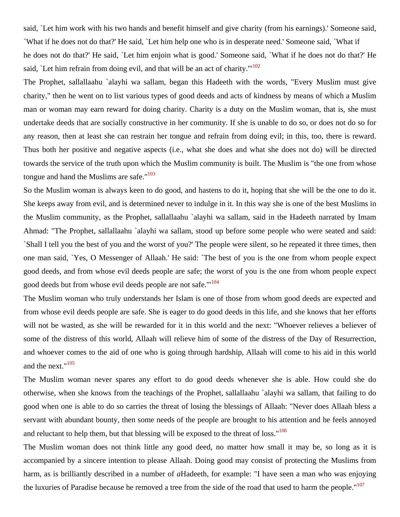said, `Let him work with his two hands and benefit himself and give charity (from his earnings).' Someone said, `What if he does not do that?' He said, `Let him help one who is in desperate need.' Someone said, `What if he does not do that?' He said, `Let him enjoin what is good.' Someone said, `What if he does not do that?' He said, `Let him refrain from doing evil, and that will be an act of charity. $^{\text{102}}$ 

The Prophet, sallallaahu `alayhi wa sallam, began this Hadeeth with the words, "Every Muslim must give charity," then he went on to list various types of good deeds and acts of kindness by means of which a Muslim man or woman may earn reward for doing charity. Charity is a duty on the Muslim woman, that is, she must undertake deeds that are socially constructive in her community. If she is unable to do so, or does not do so for any reason, then at least she can restrain her tongue and refrain from doing evil; in this, too, there is reward. Thus both her positive and negative aspects (i.e., what she does and what she does not do) will be directed towards the service of the truth upon which the Muslim community is built. The Muslim is "the one from whose tongue and hand the Muslims are safe." $103$ 

So the Muslim woman is always keen to do good, and hastens to do it, hoping that she will be the one to do it. She keeps away from evil, and is determined never to indulge in it. In this way she is one of the best Muslims in the Muslim community, as the Prophet, sallallaahu `alayhi wa sallam, said in the Hadeeth narrated by Imam Ahmad: "The Prophet, sallallaahu `alayhi wa sallam, stood up before some people who were seated and said: `Shall I tell you the best of you and the worst of you?' The people were silent, so he repeated it three times, then one man said, `Yes, O Messenger of Allaah.' He said: `The best of you is the one from whom people expect good deeds, and from whose evil deeds people are safe; the worst of you is the one from whom people expect good deeds but from whose evil deeds people are not safe."<sup>104</sup>

The Muslim woman who truly understands her Islam is one of those from whom good deeds are expected and from whose evil deeds people are safe. She is eager to do good deeds in this life, and she knows that her efforts will not be wasted, as she will be rewarded for it in this world and the next: "Whoever relieves a believer of some of the distress of this world, Allaah will relieve him of some of the distress of the Day of Resurrection, and whoever comes to the aid of one who is going through hardship, Allaah will come to his aid in this world and the next."<sup>105</sup>

The Muslim woman never spares any effort to do good deeds whenever she is able. How could she do otherwise, when she knows from the teachings of the Prophet, sallallaahu `alayhi wa sallam, that failing to do good when one is able to do so carries the threat of losing the blessings of Allaah: "Never does Allaah bless a servant with abundant bounty, then some needs of the people are brought to his attention and he feels annoyed and reluctant to help them, but that blessing will be exposed to the threat of loss."<sup>106</sup>

The Muslim woman does not think little any good deed, no matter how small it may be, so long as it is accompanied by a sincere intention to please Allaah. Doing good may consist of protecting the Muslims from harm, as is brilliantly described in a number of *a*Hadeeth, for example: "I have seen a man who was enjoying the luxuries of Paradise because he removed a tree from the side of the road that used to harm the people."<sup>107</sup>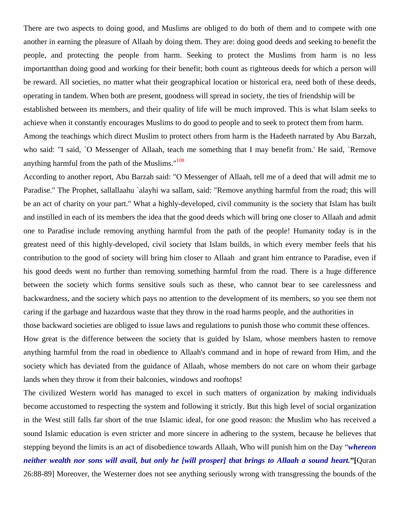There are two aspects to doing good, and Muslims are obliged to do both of them and to compete with one another in earning the pleasure of Allaah by doing them. They are: doing good deeds and seeking to benefit the people, and protecting the people from harm. Seeking to protect the Muslims from harm is no less importantthan doing good and working for their benefit; both count as righteous deeds for which a person will be reward. All societies, no matter what their geographical location or historical era, need both of these deeds, operating in tandem. When both are present, goodness will spread in society, the ties of friendship will be established between its members, and their quality of life will be much improved. This is what Islam seeks to achieve when it constantly encourages Muslims to do good to people and to seek to protect them from harm. Among the teachings which direct Muslim to protect others from harm is the Hadeeth narrated by Abu Barzah, who said: "I said, `O Messenger of Allaah, teach me something that I may benefit from.' He said, `Remove anything harmful from the path of the Muslims."108

According to another report, Abu Barzah said: "O Messenger of Allaah, tell me of a deed that will admit me to Paradise." The Prophet, sallallaahu `alayhi wa sallam, said: "Remove anything harmful from the road; this will be an act of charity on your part." What a highly-developed, civil community is the society that Islam has built and instilled in each of its members the idea that the good deeds which will bring one closer to Allaah and admit one to Paradise include removing anything harmful from the path of the people! Humanity today is in the greatest need of this highly-developed, civil society that Islam builds, in which every member feels that his contribution to the good of society will bring him closer to Allaah and grant him entrance to Paradise, even if his good deeds went no further than removing something harmful from the road. There is a huge difference between the society which forms sensitive souls such as these, who cannot bear to see carelessness and backwardness, and the society which pays no attention to the development of its members, so you see them not caring if the garbage and hazardous waste that they throw in the road harms people, and the authorities in those backward societies are obliged to issue laws and regulations to punish those who commit these offences. How great is the difference between the society that is guided by Islam, whose members hasten to remove anything harmful from the road in obedience to Allaah's command and in hope of reward from Him, and the society which has deviated from the guidance of Allaah, whose members do not care on whom their garbage lands when they throw it from their balconies, windows and rooftops!

The civilized Western world has managed to excel in such matters of organization by making individuals become accustomed to respecting the system and following it strictly. But this high level of social organization in the West still falls far short of the true Islamic ideal, for one good reason: the Muslim who has received a sound Islamic education is even stricter and more sincere in adhering to the system, because he believes that stepping beyond the limits is an act of disobedience towards Allaah, Who will punish him on the Day "*whereon neither wealth nor sons will avail, but only he [will prosper] that brings to Allaah a sound heart.***"[**Quran 26:88-89] Moreover, the Westerner does not see anything seriously wrong with transgressing the bounds of the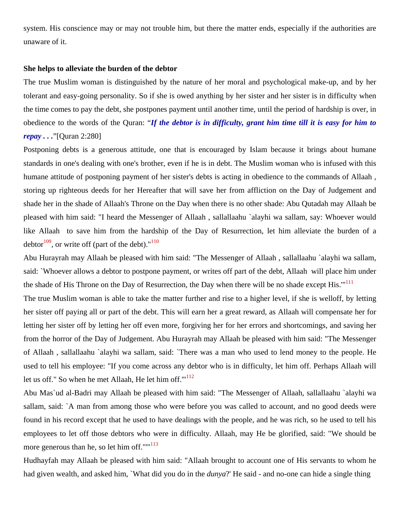system. His conscience may or may not trouble him, but there the matter ends, especially if the authorities are unaware of it.

#### **She helps to alleviate the burden of the debtor**

The true Muslim woman is distinguished by the nature of her moral and psychological make-up, and by her tolerant and easy-going personality. So if she is owed anything by her sister and her sister is in difficulty when the time comes to pay the debt, she postpones payment until another time, until the period of hardship is over, in obedience to the words of the Quran: "*If the debtor is in difficulty, grant him time till it is easy for him to repay . . .*"[Quran 2:280]

Postponing debts is a generous attitude, one that is encouraged by Islam because it brings about humane standards in one's dealing with one's brother, even if he is in debt. The Muslim woman who is infused with this humane attitude of postponing payment of her sister's debts is acting in obedience to the commands of Allaah , storing up righteous deeds for her Hereafter that will save her from affliction on the Day of Judgement and shade her in the shade of Allaah's Throne on the Day when there is no other shade: Abu Qutadah may Allaah be pleased with him said: "I heard the Messenger of Allaah , sallallaahu `alayhi wa sallam, say: Whoever would like Allaah to save him from the hardship of the Day of Resurrection, let him alleviate the burden of a debtor<sup>109</sup>, or write off (part of the debt)."<sup>110</sup>

Abu Hurayrah may Allaah be pleased with him said: "The Messenger of Allaah , sallallaahu `alayhi wa sallam, said: `Whoever allows a debtor to postpone payment, or writes off part of the debt, Allaah will place him under the shade of His Throne on the Day of Resurrection, the Day when there will be no shade except His."<sup>111</sup>

The true Muslim woman is able to take the matter further and rise to a higher level, if she is welloff, by letting her sister off paying all or part of the debt. This will earn her a great reward, as Allaah will compensate her for letting her sister off by letting her off even more, forgiving her for her errors and shortcomings, and saving her from the horror of the Day of Judgement. Abu Hurayrah may Allaah be pleased with him said: "The Messenger of Allaah , sallallaahu `alayhi wa sallam, said: `There was a man who used to lend money to the people. He used to tell his employee: "If you come across any debtor who is in difficulty, let him off. Perhaps Allaah will let us off." So when he met Allaah, He let him off."<sup>112</sup>

Abu Mas`ud al-Badri may Allaah be pleased with him said: "The Messenger of Allaah, sallallaahu `alayhi wa sallam, said: `A man from among those who were before you was called to account, and no good deeds were found in his record except that he used to have dealings with the people, and he was rich, so he used to tell his employees to let off those debtors who were in difficulty. Allaah, may He be glorified, said: "We should be more generous than he, so let him off.""<sup>113</sup>

Hudhayfah may Allaah be pleased with him said: "Allaah brought to account one of His servants to whom he had given wealth, and asked him, `What did you do in the *dunya*?' He said - and no-one can hide a single thing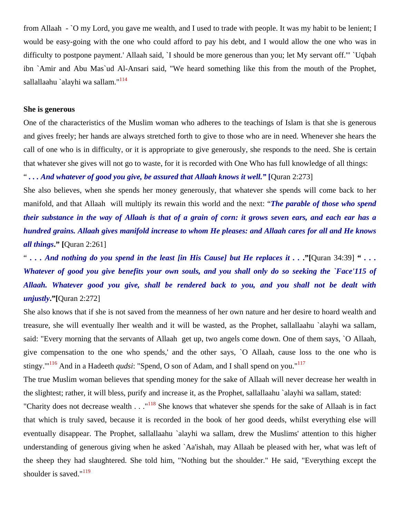from Allaah - `O my Lord, you gave me wealth, and I used to trade with people. It was my habit to be lenient; I would be easy-going with the one who could afford to pay his debt, and I would allow the one who was in difficulty to postpone payment.' Allaah said, `I should be more generous than you; let My servant off.'" `Uqbah ibn `Amir and Abu Mas`ud Al-Ansari said, "We heard something like this from the mouth of the Prophet, sallallaahu `alayhi wa sallam."<sup>114</sup>

#### **She is generous**

One of the characteristics of the Muslim woman who adheres to the teachings of Islam is that she is generous and gives freely; her hands are always stretched forth to give to those who are in need. Whenever she hears the call of one who is in difficulty, or it is appropriate to give generously, she responds to the need. She is certain that whatever she gives will not go to waste, for it is recorded with One Who has full knowledge of all things:

" *. . . And whatever of good you give, be assured that Allaah knows it well."* **[**Quran 2:273]

She also believes, when she spends her money generously, that whatever she spends will come back to her manifold, and that Allaah will multiply its rewain this world and the next: "*The parable of those who spend their substance in the way of Allaah is that of a grain of corn: it grows seven ears, and each ear has a hundred grains. Allaah gives manifold increase to whom He pleases: and Allaah cares for all and He knows all things***." [**Quran 2:261]

" *. . . And nothing do you spend in the least [in His Cause] but He replaces it . .* **."[**Quran 34:39] **"** *. . . Whatever of good you give benefits your own souls, and you shall only do so seeking the `Face'115 of Allaah. Whatever good you give, shall be rendered back to you, and you shall not be dealt with unjustly***."[**Quran 2:272]

She also knows that if she is not saved from the meanness of her own nature and her desire to hoard wealth and treasure, she will eventually lher wealth and it will be wasted, as the Prophet, sallallaahu `alayhi wa sallam, said: "Every morning that the servants of Allaah get up, two angels come down. One of them says, `O Allaah, give compensation to the one who spends,' and the other says, `O Allaah, cause loss to the one who is stingy.'"116 And in a Hadeeth *qudsi*: "Spend, O son of Adam, and I shall spend on you."117

The true Muslim woman believes that spending money for the sake of Allaah will never decrease her wealth in the slightest; rather, it will bless, purify and increase it, as the Prophet, sallallaahu `alayhi wa sallam, stated:

"Charity does not decrease wealth . . ."<sup>118</sup> She knows that whatever she spends for the sake of Allaah is in fact that which is truly saved, because it is recorded in the book of her good deeds, whilst everything else will eventually disappear. The Prophet, sallallaahu `alayhi wa sallam, drew the Muslims' attention to this higher understanding of generous giving when he asked `Aa'ishah, may Allaah be pleased with her, what was left of the sheep they had slaughtered. She told him, "Nothing but the shoulder." He said, "Everything except the shoulder is saved." $119$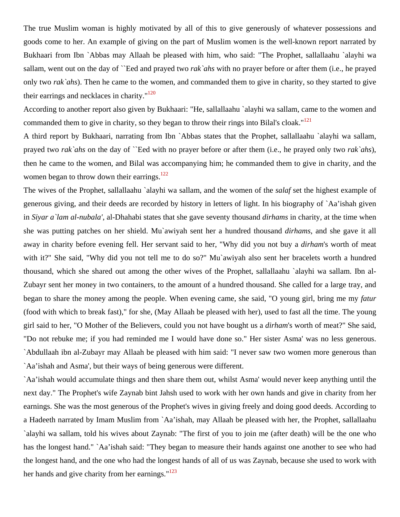The true Muslim woman is highly motivated by all of this to give generously of whatever possessions and goods come to her. An example of giving on the part of Muslim women is the well-known report narrated by Bukhaari from Ibn `Abbas may Allaah be pleased with him, who said: "The Prophet, sallallaahu `alayhi wa sallam, went out on the day of ``Eed and prayed two *rak`ahs* with no prayer before or after them (i.e., he prayed only two *rak`ahs*). Then he came to the women, and commanded them to give in charity, so they started to give their earrings and necklaces in charity."<sup>120</sup>

According to another report also given by Bukhaari: "He, sallallaahu `alayhi wa sallam, came to the women and commanded them to give in charity, so they began to throw their rings into Bilal's cloak."<sup>121</sup>

A third report by Bukhaari, narrating from Ibn `Abbas states that the Prophet, sallallaahu `alayhi wa sallam, prayed two *rak`ahs* on the day of ``Eed with no prayer before or after them (i.e., he prayed only two *rak`ahs*), then he came to the women, and Bilal was accompanying him; he commanded them to give in charity, and the women began to throw down their earrings.<sup>122</sup>

The wives of the Prophet, sallallaahu `alayhi wa sallam, and the women of the *salaf* set the highest example of generous giving, and their deeds are recorded by history in letters of light. In his biography of `Aa'ishah given in *Siyar a`lam al-nubala'*, al-Dhahabi states that she gave seventy thousand *dirhams* in charity, at the time when she was putting patches on her shield. Mu`awiyah sent her a hundred thousand *dirhams*, and she gave it all away in charity before evening fell. Her servant said to her, "Why did you not buy a *dirham*'s worth of meat with it?" She said, "Why did you not tell me to do so?" Mu`awiyah also sent her bracelets worth a hundred thousand, which she shared out among the other wives of the Prophet, sallallaahu `alayhi wa sallam. Ibn al-Zubayr sent her money in two containers, to the amount of a hundred thousand. She called for a large tray, and began to share the money among the people. When evening came, she said, "O young girl, bring me my *fatur*  (food with which to break fast)," for she, (May Allaah be pleased with her), used to fast all the time. The young girl said to her, "O Mother of the Believers, could you not have bought us a *dirham*'s worth of meat?" She said, "Do not rebuke me; if you had reminded me I would have done so." Her sister Asma' was no less generous. `Abdullaah ibn al-Zubayr may Allaah be pleased with him said: "I never saw two women more generous than `Aa'ishah and Asma', but their ways of being generous were different.

`Aa'ishah would accumulate things and then share them out, whilst Asma' would never keep anything until the next day." The Prophet's wife Zaynab bint Jahsh used to work with her own hands and give in charity from her earnings. She was the most generous of the Prophet's wives in giving freely and doing good deeds. According to a Hadeeth narrated by Imam Muslim from `Aa'ishah, may Allaah be pleased with her, the Prophet, sallallaahu `alayhi wa sallam, told his wives about Zaynab: "The first of you to join me (after death) will be the one who has the longest hand." `Aa'ishah said: "They began to measure their hands against one another to see who had the longest hand, and the one who had the longest hands of all of us was Zaynab, because she used to work with her hands and give charity from her earnings." $123$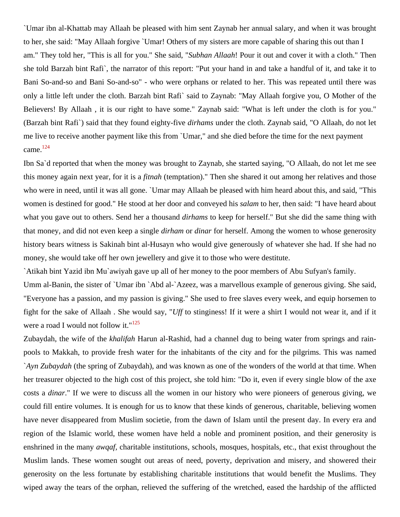`Umar ibn al-Khattab may Allaah be pleased with him sent Zaynab her annual salary, and when it was brought to her, she said: "May Allaah forgive `Umar! Others of my sisters are more capable of sharing this out than I am." They told her, "This is all for you." She said, "*Subhan Allaah*! Pour it out and cover it with a cloth." Then she told Barzah bint Rafi`, the narrator of this report: "Put your hand in and take a handful of it, and take it to Bani So-and-so and Bani So-and-so" - who were orphans or related to her. This was repeated until there was only a little left under the cloth. Barzah bint Rafi` said to Zaynab: "May Allaah forgive you, O Mother of the Believers! By Allaah , it is our right to have some." Zaynab said: "What is left under the cloth is for you." (Barzah bint Rafi`) said that they found eighty-five *dirhams* under the cloth. Zaynab said, "O Allaah, do not let me live to receive another payment like this from `Umar," and she died before the time for the next payment came. 124

Ibn Sa`d reported that when the money was brought to Zaynab, she started saying, "O Allaah, do not let me see this money again next year, for it is a *fitnah* (temptation)." Then she shared it out among her relatives and those who were in need, until it was all gone. `Umar may Allaah be pleased with him heard about this, and said, "This women is destined for good." He stood at her door and conveyed his *salam* to her, then said: "I have heard about what you gave out to others. Send her a thousand *dirhams* to keep for herself." But she did the same thing with that money, and did not even keep a single *dirham* or *dinar* for herself. Among the women to whose generosity history bears witness is Sakinah bint al-Husayn who would give generously of whatever she had. If she had no money, she would take off her own jewellery and give it to those who were destitute.

`Atikah bint Yazid ibn Mu`awiyah gave up all of her money to the poor members of Abu Sufyan's family.

Umm al-Banin, the sister of `Umar ibn `Abd al-`Azeez, was a marvellous example of generous giving. She said, "Everyone has a passion, and my passion is giving." She used to free slaves every week, and equip horsemen to fight for the sake of Allaah . She would say, "*Uff* to stinginess! If it were a shirt I would not wear it, and if it were a road I would not follow it."<sup>125</sup>

Zubaydah, the wife of the *khalifah* Harun al-Rashid, had a channel dug to being water from springs and rainpools to Makkah, to provide fresh water for the inhabitants of the city and for the pilgrims. This was named `*Ayn Zubaydah* (the spring of Zubaydah), and was known as one of the wonders of the world at that time. When her treasurer objected to the high cost of this project, she told him: "Do it, even if every single blow of the axe costs a *dinar*." If we were to discuss all the women in our history who were pioneers of generous giving, we could fill entire volumes. It is enough for us to know that these kinds of generous, charitable, believing women have never disappeared from Muslim societie, from the dawn of Islam until the present day. In every era and region of the Islamic world, these women have held a noble and prominent position, and their generosity is enshrined in the many *awqaf,* charitable institutions, schools, mosques, hospitals, etc., that exist throughout the Muslim lands. These women sought out areas of need, poverty, deprivation and misery, and showered their generosity on the less fortunate by establishing charitable institutions that would benefit the Muslims. They wiped away the tears of the orphan, relieved the suffering of the wretched, eased the hardship of the afflicted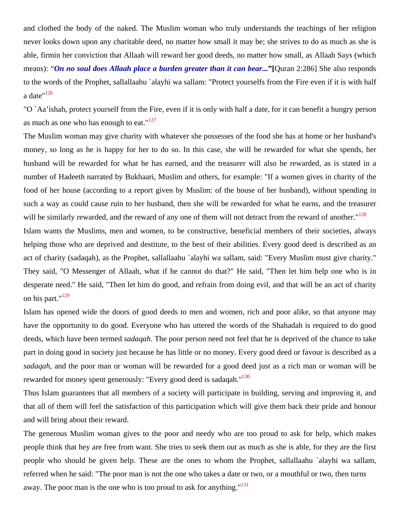and clothed the body of the naked. The Muslim woman who truly understands the teachings of her religion never looks down upon any charitable deed, no matter how small it may be; she strives to do as much as she is able, firmin her conviction that Allaah will reward her good deeds, no matter how small, as Allaah Says (which means): "*On no soul does Allaah place a burden greater than it can bear...***"[**Quran 2:286] She also responds to the words of the Prophet, sallallaahu `alayhi wa sallam: "Protect yourselfs from the Fire even if it is with half a date  $^{\rm n126}$ 

"O `Aa'ishah, protect yourself from the Fire, even if it is only with half a date, for it can benefit a hungry person as much as one who has enough to eat." $127$ 

The Muslim woman may give charity with whatever she possesses of the food she has at home or her husband's money, so long as he is happy for her to do so. In this case, she will be rewarded for what she spends, her husband will be rewarded for what he has earned, and the treasurer will also be rewarded, as is stated in a number of Hadeeth narrated by Bukhaari, Muslim and others, for example: "If a women gives in charity of the food of her house (according to a report given by Muslim: of the house of her husband), without spending in such a way as could cause ruin to her husband, then she will be rewarded for what he earns, and the treasurer will be similarly rewarded, and the reward of any one of them will not detract from the reward of another."<sup>128</sup>

Islam wants the Muslims, men and women, to be constructive, beneficial members of their societies, always helping those who are deprived and destitute, to the best of their abilities. Every good deed is described as an act of charity (sadaqah), as the Prophet, sallallaahu `alayhi wa sallam, said: "Every Muslim must give charity." They said, "O Messenger of Allaah, what if he cannot do that?" He said, "Then let him help one who is in desperate need." He said, "Then let him do good, and refrain from doing evil, and that will be an act of charity on his part."129

Islam has opened wide the doors of good deeds to men and women, rich and poor alike, so that anyone may have the opportunity to do good. Everyone who has uttered the words of the Shahadah is required to do good deeds, which have been termed *sadaqah*. The poor person need not feel that he is deprived of the chance to take part in doing good in society just because he has little or no money. Every good deed or favour is described as a *sadaqah*, and the poor man or woman will be rewarded for a good deed just as a rich man or woman will be rewarded for money spent generously: "Every good deed is sadaqah."<sup>130</sup>

Thus Islam guarantees that all members of a society will participate in building, serving and improving it, and that all of them will feel the satisfaction of this participation which will give them back their pride and honour and will bring about their reward.

The generous Muslim woman gives to the poor and needy who are too proud to ask for help, which makes people think that hey are free from want. She tries to seek them out as much as she is able, for they are the first people who should be given help. These are the ones to whom the Prophet, sallallaahu `alayhi wa sallam, referred when he said: "The poor man is not the one who takes a date or two, or a mouthful or two, then turns away. The poor man is the one who is too proud to ask for anything."<sup>131</sup>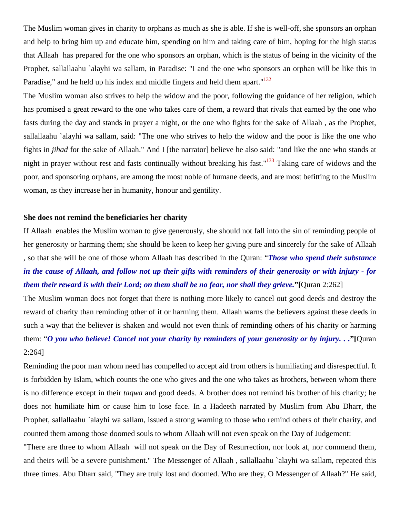The Muslim woman gives in charity to orphans as much as she is able. If she is well-off, she sponsors an orphan and help to bring him up and educate him, spending on him and taking care of him, hoping for the high status that Allaah has prepared for the one who sponsors an orphan, which is the status of being in the vicinity of the Prophet, sallallaahu `alayhi wa sallam, in Paradise: "I and the one who sponsors an orphan will be like this in Paradise," and he held up his index and middle fingers and held them apart."<sup>132</sup>

The Muslim woman also strives to help the widow and the poor, following the guidance of her religion, which has promised a great reward to the one who takes care of them, a reward that rivals that earned by the one who fasts during the day and stands in prayer a night, or the one who fights for the sake of Allaah , as the Prophet, sallallaahu `alayhi wa sallam, said: "The one who strives to help the widow and the poor is like the one who fights in *jihad* for the sake of Allaah." And I [the narrator] believe he also said: "and like the one who stands at night in prayer without rest and fasts continually without breaking his fast."133 Taking care of widows and the poor, and sponsoring orphans, are among the most noble of humane deeds, and are most befitting to the Muslim woman, as they increase her in humanity, honour and gentility.

#### **She does not remind the beneficiaries her charity**

If Allaah enables the Muslim woman to give generously, she should not fall into the sin of reminding people of her generosity or harming them; she should be keen to keep her giving pure and sincerely for the sake of Allaah , so that she will be one of those whom Allaah has described in the Quran: "*Those who spend their substance in the cause of Allaah, and follow not up their gifts with reminders of their generosity or with injury - for them their reward is with their Lord; on them shall be no fear, nor shall they grieve.***"[**Quran 2:262]

The Muslim woman does not forget that there is nothing more likely to cancel out good deeds and destroy the reward of charity than reminding other of it or harming them. Allaah warns the believers against these deeds in such a way that the believer is shaken and would not even think of reminding others of his charity or harming them: "*O you who believe! Cancel not your charity by reminders of your generosity or by injury. . .***"[**Quran 2:264]

Reminding the poor man whom need has compelled to accept aid from others is humiliating and disrespectful. It is forbidden by Islam, which counts the one who gives and the one who takes as brothers, between whom there is no difference except in their *taqwa* and good deeds. A brother does not remind his brother of his charity; he does not humiliate him or cause him to lose face. In a Hadeeth narrated by Muslim from Abu Dharr, the Prophet, sallallaahu `alayhi wa sallam, issued a strong warning to those who remind others of their charity, and counted them among those doomed souls to whom Allaah will not even speak on the Day of Judgement:

"There are three to whom Allaah will not speak on the Day of Resurrection, nor look at, nor commend them, and theirs will be a severe punishment." The Messenger of Allaah , sallallaahu `alayhi wa sallam, repeated this three times. Abu Dharr said, "They are truly lost and doomed. Who are they, O Messenger of Allaah?" He said,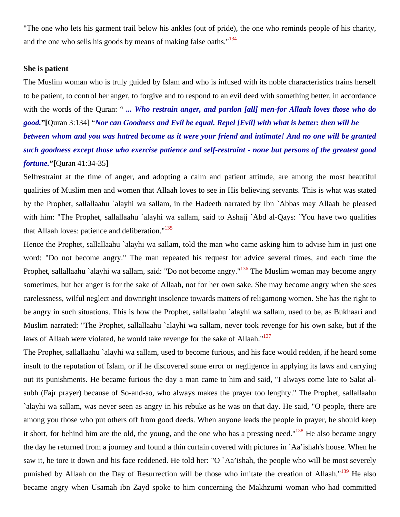"The one who lets his garment trail below his ankles (out of pride), the one who reminds people of his charity, and the one who sells his goods by means of making false oaths."<sup>134</sup>

#### **She is patient**

The Muslim woman who is truly guided by Islam and who is infused with its noble characteristics trains herself to be patient, to control her anger, to forgive and to respond to an evil deed with something better, in accordance with the words of the Quran: "... Who restrain anger, and pardon [all] men-for Allaah loves those who do *good.***"[**Quran 3:134] "*Nor can Goodness and Evil be equal. Repel [Evil] with what is better: then will he between whom and you was hatred become as it were your friend and intimate! And no one will be granted such goodness except those who exercise patience and self-restraint - none but persons of the greatest good fortune.***"[**Quran 41:34-35]

Selfrestraint at the time of anger, and adopting a calm and patient attitude, are among the most beautiful qualities of Muslim men and women that Allaah loves to see in His believing servants. This is what was stated by the Prophet, sallallaahu `alayhi wa sallam, in the Hadeeth narrated by Ibn `Abbas may Allaah be pleased with him: "The Prophet, sallallaahu `alayhi wa sallam, said to Ashaji `Abd al-Qays: `You have two qualities that Allaah loves: patience and deliberation."<sup>135</sup>

Hence the Prophet, sallallaahu `alayhi wa sallam, told the man who came asking him to advise him in just one word: "Do not become angry." The man repeated his request for advice several times, and each time the Prophet, sallallaahu `alayhi wa sallam, said: "Do not become angry."<sup>136</sup> The Muslim woman may become angry sometimes, but her anger is for the sake of Allaah, not for her own sake. She may become angry when she sees carelessness, wilful neglect and downright insolence towards matters of religamong women. She has the right to be angry in such situations. This is how the Prophet, sallallaahu `alayhi wa sallam, used to be, as Bukhaari and Muslim narrated: "The Prophet, sallallaahu `alayhi wa sallam, never took revenge for his own sake, but if the laws of Allaah were violated, he would take revenge for the sake of Allaah."<sup>137</sup>

The Prophet, sallallaahu `alayhi wa sallam, used to become furious, and his face would redden, if he heard some insult to the reputation of Islam, or if he discovered some error or negligence in applying its laws and carrying out its punishments. He became furious the day a man came to him and said, "I always come late to Salat alsubh (Fajr prayer) because of So-and-so, who always makes the prayer too lenghty." The Prophet, sallallaahu `alayhi wa sallam, was never seen as angry in his rebuke as he was on that day. He said, "O people, there are among you those who put others off from good deeds. When anyone leads the people in prayer, he should keep it short, for behind him are the old, the young, and the one who has a pressing need."<sup>138</sup> He also became angry the day he returned from a journey and found a thin curtain covered with pictures in `Aa'ishah's house. When he saw it, he tore it down and his face reddened. He told her: "O `Aa'ishah, the people who will be most severely punished by Allaah on the Day of Resurrection will be those who imitate the creation of Allaah."<sup>139</sup> He also became angry when Usamah ibn Zayd spoke to him concerning the Makhzumi woman who had committed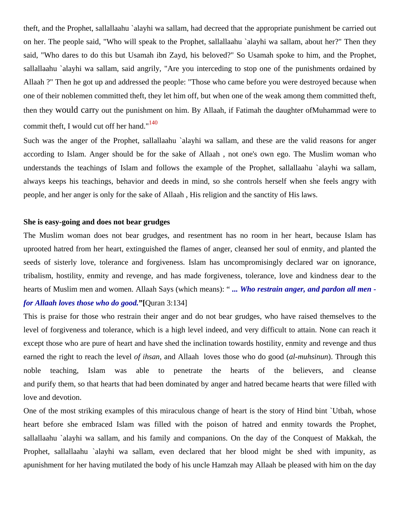theft, and the Prophet, sallallaahu `alayhi wa sallam, had decreed that the appropriate punishment be carried out on her. The people said, "Who will speak to the Prophet, sallallaahu `alayhi wa sallam, about her?" Then they said, "Who dares to do this but Usamah ibn Zayd, his beloved?" So Usamah spoke to him, and the Prophet, sallallaahu `alayhi wa sallam, said angrily, "Are you interceding to stop one of the punishments ordained by Allaah ?" Then he got up and addressed the people: "Those who came before you were destroyed because when one of their noblemen committed theft, they let him off, but when one of the weak among them committed theft, then they would carry out the punishment on him. By Allaah, if Fatimah the daughter ofMuhammad were to commit theft, I would cut off her hand."<sup>140</sup>

Such was the anger of the Prophet, sallallaahu `alayhi wa sallam, and these are the valid reasons for anger according to Islam. Anger should be for the sake of Allaah , not one's own ego. The Muslim woman who understands the teachings of Islam and follows the example of the Prophet, sallallaahu `alayhi wa sallam, always keeps his teachings, behavior and deeds in mind, so she controls herself when she feels angry with people, and her anger is only for the sake of Allaah , His religion and the sanctity of His laws.

#### **She is easy-going and does not bear grudges**

The Muslim woman does not bear grudges, and resentment has no room in her heart, because Islam has uprooted hatred from her heart, extinguished the flames of anger, cleansed her soul of enmity, and planted the seeds of sisterly love, tolerance and forgiveness. Islam has uncompromisingly declared war on ignorance, tribalism, hostility, enmity and revenge, and has made forgiveness, tolerance, love and kindness dear to the hearts of Muslim men and women. Allaah Says (which means): " *... Who restrain anger, and pardon all men for Allaah loves those who do good.***"[**Quran 3:134]

This is praise for those who restrain their anger and do not bear grudges, who have raised themselves to the level of forgiveness and tolerance, which is a high level indeed, and very difficult to attain. None can reach it except those who are pure of heart and have shed the inclination towards hostility, enmity and revenge and thus earned the right to reach the level *of ihsan*, and Allaah loves those who do good (*al-muhsinun*). Through this noble teaching, Islam was able to penetrate the hearts of the believers, and cleanse and purify them, so that hearts that had been dominated by anger and hatred became hearts that were filled with love and devotion.

One of the most striking examples of this miraculous change of heart is the story of Hind bint `Utbah, whose heart before she embraced Islam was filled with the poison of hatred and enmity towards the Prophet, sallallaahu `alayhi wa sallam, and his family and companions. On the day of the Conquest of Makkah, the Prophet, sallallaahu `alayhi wa sallam, even declared that her blood might be shed with impunity, as apunishment for her having mutilated the body of his uncle Hamzah may Allaah be pleased with him on the day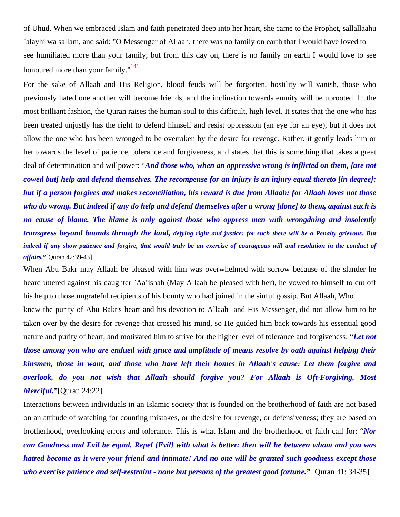of Uhud. When we embraced Islam and faith penetrated deep into her heart, she came to the Prophet, sallallaahu `alayhi wa sallam, and said: "O Messenger of Allaah, there was no family on earth that I would have loved to see humiliated more than your family, but from this day on, there is no family on earth I would love to see honoured more than your family."<sup>141</sup>

For the sake of Allaah and His Religion, blood feuds will be forgotten, hostility will vanish, those who previously hated one another will become friends, and the inclination towards enmity will be uprooted. In the most brilliant fashion, the Quran raises the human soul to this difficult, high level. It states that the one who has been treated unjustly has the right to defend himself and resist oppression (an eye for an eye), but it does not allow the one who has been wronged to be overtaken by the desire for revenge. Rather, it gently leads him or her towards the level of patience, tolerance and forgiveness, and states that this is something that takes a great deal of determination and willpower: "*And those who, when an oppressive wrong is inflicted on them, [are not cowed but] help and defend themselves. The recompense for an injury is an injury equal thereto [in degree]: but if a person forgives and makes reconciliation, his reward is due from Allaah: for Allaah loves not those who do wrong. But indeed if any do help and defend themselves after a wrong [done] to them, against such is no cause of blame. The blame is only against those who oppress men with wrongdoing and insolently transgress beyond bounds through the land, defying right and justice: for such there will be a Penalty grievous. But indeed if any show patience and forgive, that would truly be an exercise of courageous will and resolution in the conduct of affairs.***"**[Quran 42:39-43]

When Abu Bakr may Allaah be pleased with him was overwhelmed with sorrow because of the slander he heard uttered against his daughter `Aa'ishah (May Allaah be pleased with her), he vowed to himself to cut off his help to those ungrateful recipients of his bounty who had joined in the sinful gossip. But Allaah, Who

knew the purity of Abu Bakr's heart and his devotion to Allaah and His Messenger, did not allow him to be taken over by the desire for revenge that crossed his mind, so He guided him back towards his essential good nature and purity of heart, and motivated him to strive for the higher level of tolerance and forgiveness: "*Let not those among you who are endued with grace and amplitude of means resolve by oath against helping their kinsmen, those in want, and those who have left their homes in Allaah's cause: Let them forgive and overlook, do you not wish that Allaah should forgive you? For Allaah is Oft-Forgiving, Most Merciful.***"[**Quran 24:22]

Interactions between individuals in an Islamic society that is founded on the brotherhood of faith are not based on an attitude of watching for counting mistakes, or the desire for revenge, or defensiveness; they are based on brotherhood, overlooking errors and tolerance. This is what Islam and the brotherhood of faith call for: "*Nor can Goodness and Evil be equal. Repel [Evil] with what is better: then will he between whom and you was hatred become as it were your friend and intimate! And no one will be granted such goodness except those who exercise patience and self-restraint - none but persons of the greatest good fortune."* [Quran 41: 34-35]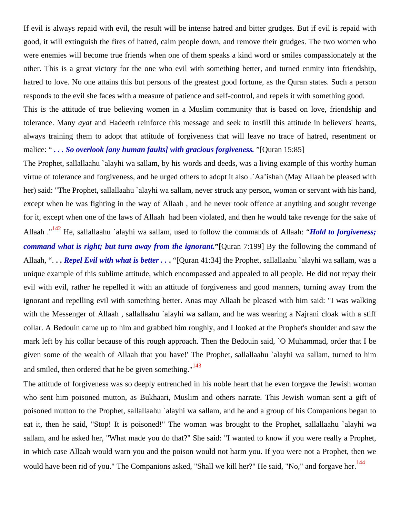If evil is always repaid with evil, the result will be intense hatred and bitter grudges. But if evil is repaid with good, it will extinguish the fires of hatred, calm people down, and remove their grudges. The two women who were enemies will become true friends when one of them speaks a kind word or smiles compassionately at the other. This is a great victory for the one who evil with something better, and turned enmity into friendship, hatred to love. No one attains this but persons of the greatest good fortune, as the Quran states. Such a person responds to the evil she faces with a measure of patience and self-control, and repels it with something good.

This is the attitude of true believing women in a Muslim community that is based on love, friendship and tolerance. Many *ayat* and Hadeeth reinforce this message and seek to instill this attitude in believers' hearts, always training them to adopt that attitude of forgiveness that will leave no trace of hatred, resentment or malice: " *. . . So overlook [any human faults] with gracious forgiveness.* "[Quran 15:85]

The Prophet, sallallaahu `alayhi wa sallam, by his words and deeds, was a living example of this worthy human virtue of tolerance and forgiveness, and he urged others to adopt it also .`Aa'ishah (May Allaah be pleased with her) said: "The Prophet, sallallaahu `alayhi wa sallam, never struck any person, woman or servant with his hand, except when he was fighting in the way of Allaah , and he never took offence at anything and sought revenge for it, except when one of the laws of Allaah had been violated, and then he would take revenge for the sake of Allaah ."142 He, sallallaahu `alayhi wa sallam, used to follow the commands of Allaah: "*Hold to forgiveness; command what is right; but turn away from the ignorant.***"[**Quran 7:199] By the following the command of Allaah, ". **. .** *Repel Evil with what is better . .* **.** "[Quran 41:34] the Prophet, sallallaahu `alayhi wa sallam, was a unique example of this sublime attitude, which encompassed and appealed to all people. He did not repay their evil with evil, rather he repelled it with an attitude of forgiveness and good manners, turning away from the ignorant and repelling evil with something better. Anas may Allaah be pleased with him said: "I was walking with the Messenger of Allaah, sallallaahu `alayhi wa sallam, and he was wearing a Najrani cloak with a stiff collar. A Bedouin came up to him and grabbed him roughly, and I looked at the Prophet's shoulder and saw the mark left by his collar because of this rough approach. Then the Bedouin said, `O Muhammad, order that I be given some of the wealth of Allaah that you have!' The Prophet, sallallaahu `alayhi wa sallam, turned to him and smiled, then ordered that he be given something."<sup>143</sup>

The attitude of forgiveness was so deeply entrenched in his noble heart that he even forgave the Jewish woman who sent him poisoned mutton, as Bukhaari, Muslim and others narrate. This Jewish woman sent a gift of poisoned mutton to the Prophet, sallallaahu `alayhi wa sallam, and he and a group of his Companions began to eat it, then he said, "Stop! It is poisoned!" The woman was brought to the Prophet, sallallaahu `alayhi wa sallam, and he asked her, "What made you do that?" She said: "I wanted to know if you were really a Prophet, in which case Allaah would warn you and the poison would not harm you. If you were not a Prophet, then we would have been rid of you." The Companions asked, "Shall we kill her?" He said, "No," and forgave her.<sup>144</sup>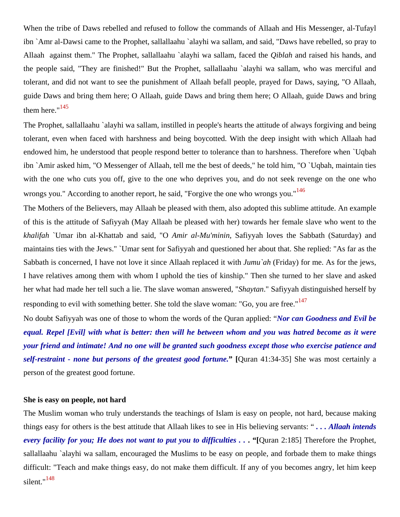When the tribe of Daws rebelled and refused to follow the commands of Allaah and His Messenger, al-Tufayl ibn `Amr al-Dawsi came to the Prophet, sallallaahu `alayhi wa sallam, and said, "Daws have rebelled, so pray to Allaah against them." The Prophet, sallallaahu `alayhi wa sallam, faced the *Qiblah* and raised his hands, and the people said, "They are finished!" But the Prophet, sallallaahu `alayhi wa sallam, who was merciful and tolerant, and did not want to see the punishment of Allaah befall people, prayed for Daws, saying, "O Allaah, guide Daws and bring them here; O Allaah, guide Daws and bring them here; O Allaah, guide Daws and bring them here." $145$ 

The Prophet, sallallaahu `alayhi wa sallam, instilled in people's hearts the attitude of always forgiving and being tolerant, even when faced with harshness and being boycotted. With the deep insight with which Allaah had endowed him, he understood that people respond better to tolerance than to harshness. Therefore when `Uqbah ibn `Amir asked him, "O Messenger of Allaah, tell me the best of deeds," he told him, "O `Uqbah, maintain ties with the one who cuts you off, give to the one who deprives you, and do not seek revenge on the one who wrongs you." According to another report, he said, "Forgive the one who wrongs you."<sup>146</sup>

The Mothers of the Believers, may Allaah be pleased with them, also adopted this sublime attitude. An example of this is the attitude of Safiyyah (May Allaah be pleased with her) towards her female slave who went to the *khalifah* `Umar ibn al-Khattab and said, "O *Amir al-Mu'minin*, Safiyyah loves the Sabbath (Saturday) and maintains ties with the Jews." `Umar sent for Safiyyah and questioned her about that. She replied: "As far as the Sabbath is concerned, I have not love it since Allaah replaced it with *Jumu`ah* (Friday) for me. As for the jews, I have relatives among them with whom I uphold the ties of kinship." Then she turned to her slave and asked her what had made her tell such a lie. The slave woman answered, "*Shaytan*." Safiyyah distinguished herself by responding to evil with something better. She told the slave woman: "Go, you are free."<sup>147</sup>

No doubt Safiyyah was one of those to whom the words of the Quran applied: "*Nor can Goodness and Evil be equal. Repel [Evil] with what is better: then will he between whom and you was hatred become as it were your friend and intimate! And no one will be granted such goodness except those who exercise patience and self-restraint - none but persons of the greatest good fortune.***" [**Quran 41:34-35] She was most certainly a person of the greatest good fortune.

## **She is easy on people, not hard**

The Muslim woman who truly understands the teachings of Islam is easy on people, not hard, because making things easy for others is the best attitude that Allaah likes to see in His believing servants: " *. . . Allaah intends every facility for you; He does not want to put you to difficulties ...* "[Quran 2:185] Therefore the Prophet, sallallaahu `alayhi wa sallam, encouraged the Muslims to be easy on people, and forbade them to make things difficult: "Teach and make things easy, do not make them difficult. If any of you becomes angry, let him keep silent."<sup>148</sup>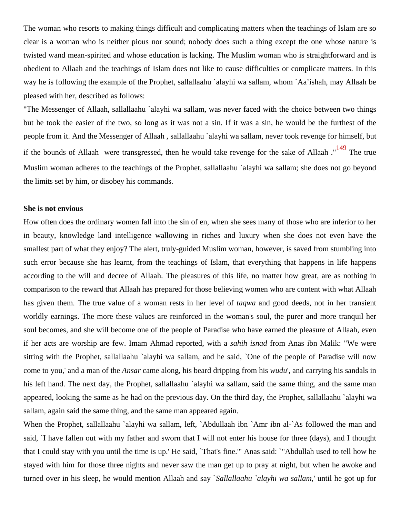The woman who resorts to making things difficult and complicating matters when the teachings of Islam are so clear is a woman who is neither pious nor sound; nobody does such a thing except the one whose nature is twisted wand mean-spirited and whose education is lacking. The Muslim woman who is straightforward and is obedient to Allaah and the teachings of Islam does not like to cause difficulties or complicate matters. In this way he is following the example of the Prophet, sallallaahu `alayhi wa sallam, whom `Aa'ishah, may Allaah be pleased with her, described as follows:

"The Messenger of Allaah, sallallaahu `alayhi wa sallam, was never faced with the choice between two things but he took the easier of the two, so long as it was not a sin. If it was a sin, he would be the furthest of the people from it. And the Messenger of Allaah , sallallaahu `alayhi wa sallam, never took revenge for himself, but if the bounds of Allaah were transgressed, then he would take revenge for the sake of Allaah ."<sup>149</sup> The true Muslim woman adheres to the teachings of the Prophet, sallallaahu `alayhi wa sallam; she does not go beyond the limits set by him, or disobey his commands.

#### **She is not envious**

How often does the ordinary women fall into the sin of en, when she sees many of those who are inferior to her in beauty, knowledge land intelligence wallowing in riches and luxury when she does not even have the smallest part of what they enjoy? The alert, truly-guided Muslim woman, however, is saved from stumbling into such error because she has learnt, from the teachings of Islam, that everything that happens in life happens according to the will and decree of Allaah. The pleasures of this life, no matter how great, are as nothing in comparison to the reward that Allaah has prepared for those believing women who are content with what Allaah has given them. The true value of a woman rests in her level of *taqwa* and good deeds, not in her transient worldly earnings. The more these values are reinforced in the woman's soul, the purer and more tranquil her soul becomes, and she will become one of the people of Paradise who have earned the pleasure of Allaah, even if her acts are worship are few. Imam Ahmad reported, with a *sahih isnad* from Anas ibn Malik: "We were sitting with the Prophet, sallallaahu `alayhi wa sallam, and he said, `One of the people of Paradise will now come to you,' and a man of the *Ansar* came along, his beard dripping from his *wudu*', and carrying his sandals in his left hand. The next day, the Prophet, sallallaahu `alayhi wa sallam, said the same thing, and the same man appeared, looking the same as he had on the previous day. On the third day, the Prophet, sallallaahu `alayhi wa sallam, again said the same thing, and the same man appeared again.

When the Prophet, sallallaahu `alayhi wa sallam, left, `Abdullaah ibn `Amr ibn al-`As followed the man and said, `I have fallen out with my father and sworn that I will not enter his house for three (days), and I thought that I could stay with you until the time is up.' He said, `That's fine.'" Anas said: `"Abdullah used to tell how he stayed with him for those three nights and never saw the man get up to pray at night, but when he awoke and turned over in his sleep, he would mention Allaah and say `*Sallallaahu `alayhi wa sallam*,' until he got up for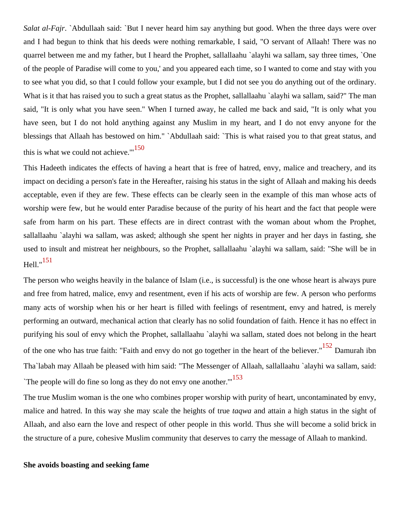*Salat al-Fajr*. `Abdullaah said: `But I never heard him say anything but good. When the three days were over and I had begun to think that his deeds were nothing remarkable, I said, "O servant of Allaah! There was no quarrel between me and my father, but I heard the Prophet, sallallaahu `alayhi wa sallam, say three times, `One of the people of Paradise will come to you,' and you appeared each time, so I wanted to come and stay with you to see what you did, so that I could follow your example, but I did not see you do anything out of the ordinary. What is it that has raised you to such a great status as the Prophet, sallallaahu `alayhi wa sallam, said?" The man said, "It is only what you have seen." When I turned away, he called me back and said, "It is only what you have seen, but I do not hold anything against any Muslim in my heart, and I do not envy anyone for the blessings that Allaah has bestowed on him." `Abdullaah said: `This is what raised you to that great status, and this is what we could not achieve. $150$ 

This Hadeeth indicates the effects of having a heart that is free of hatred, envy, malice and treachery, and its impact on deciding a person's fate in the Hereafter, raising his status in the sight of Allaah and making his deeds acceptable, even if they are few. These effects can be clearly seen in the example of this man whose acts of worship were few, but he would enter Paradise because of the purity of his heart and the fact that people were safe from harm on his part. These effects are in direct contrast with the woman about whom the Prophet, sallallaahu `alayhi wa sallam, was asked; although she spent her nights in prayer and her days in fasting, she used to insult and mistreat her neighbours, so the Prophet, sallallaahu `alayhi wa sallam, said: "She will be in Hell."151

The person who weighs heavily in the balance of Islam (i.e., is successful) is the one whose heart is always pure and free from hatred, malice, envy and resentment, even if his acts of worship are few. A person who performs many acts of worship when his or her heart is filled with feelings of resentment, envy and hatred, is merely performing an outward, mechanical action that clearly has no solid foundation of faith. Hence it has no effect in purifying his soul of envy which the Prophet, sallallaahu `alayhi wa sallam, stated does not belong in the heart of the one who has true faith: "Faith and envy do not go together in the heart of the believer."<sup>152</sup> Damurah ibn Tha`labah may Allaah be pleased with him said: "The Messenger of Allaah, sallallaahu `alayhi wa sallam, said: `The people will do fine so long as they do not envy one another."<sup>153</sup>

The true Muslim woman is the one who combines proper worship with purity of heart, uncontaminated by envy, malice and hatred. In this way she may scale the heights of true *taqwa* and attain a high status in the sight of Allaah, and also earn the love and respect of other people in this world. Thus she will become a solid brick in the structure of a pure, cohesive Muslim community that deserves to carry the message of Allaah to mankind.

## **She avoids boasting and seeking fame**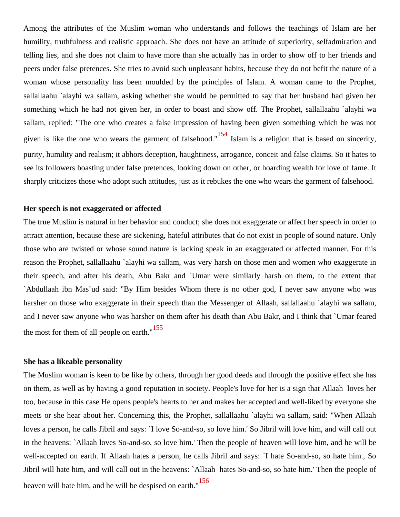Among the attributes of the Muslim woman who understands and follows the teachings of Islam are her humility, truthfulness and realistic approach. She does not have an attitude of superiority, selfadmiration and telling lies, and she does not claim to have more than she actually has in order to show off to her friends and peers under false pretences. She tries to avoid such unpleasant habits, because they do not befit the nature of a woman whose personality has been moulded by the principles of Islam. A woman came to the Prophet, sallallaahu `alayhi wa sallam, asking whether she would be permitted to say that her husband had given her something which he had not given her, in order to boast and show off. The Prophet, sallallaahu `alayhi wa sallam, replied: "The one who creates a false impression of having been given something which he was not given is like the one who wears the garment of falsehood." $154$  Islam is a religion that is based on sincerity, purity, humility and realism; it abhors deception, haughtiness, arrogance, conceit and false claims. So it hates to see its followers boasting under false pretences, looking down on other, or hoarding wealth for love of fame. It sharply criticizes those who adopt such attitudes, just as it rebukes the one who wears the garment of falsehood.

#### **Her speech is not exaggerated or affected**

The true Muslim is natural in her behavior and conduct; she does not exaggerate or affect her speech in order to attract attention, because these are sickening, hateful attributes that do not exist in people of sound nature. Only those who are twisted or whose sound nature is lacking speak in an exaggerated or affected manner. For this reason the Prophet, sallallaahu `alayhi wa sallam, was very harsh on those men and women who exaggerate in their speech, and after his death, Abu Bakr and `Umar were similarly harsh on them, to the extent that `Abdullaah ibn Mas`ud said: "By Him besides Whom there is no other god, I never saw anyone who was harsher on those who exaggerate in their speech than the Messenger of Allaah, sallallaahu `alayhi wa sallam, and I never saw anyone who was harsher on them after his death than Abu Bakr, and I think that `Umar feared the most for them of all people on earth."<sup>155</sup>

#### **She has a likeable personality**

The Muslim woman is keen to be like by others, through her good deeds and through the positive effect she has on them, as well as by having a good reputation in society. People's love for her is a sign that Allaah loves her too, because in this case He opens people's hearts to her and makes her accepted and well-liked by everyone she meets or she hear about her. Concerning this, the Prophet, sallallaahu `alayhi wa sallam, said: "When Allaah loves a person, he calls Jibril and says: `I love So-and-so, so love him.' So Jibril will love him, and will call out in the heavens: `Allaah loves So-and-so, so love him.' Then the people of heaven will love him, and he will be well-accepted on earth. If Allaah hates a person, he calls Jibril and says: `I hate So-and-so, so hate him., So Jibril will hate him, and will call out in the heavens: `Allaah hates So-and-so, so hate him.' Then the people of heaven will hate him, and he will be despised on earth."<sup>156</sup>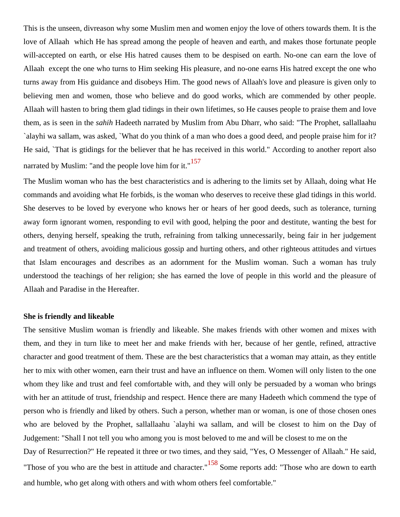This is the unseen, divreason why some Muslim men and women enjoy the love of others towards them. It is the love of Allaah which He has spread among the people of heaven and earth, and makes those fortunate people will-accepted on earth, or else His hatred causes them to be despised on earth. No-one can earn the love of Allaah except the one who turns to Him seeking His pleasure, and no-one earns His hatred except the one who turns away from His guidance and disobeys Him. The good news of Allaah's love and pleasure is given only to believing men and women, those who believe and do good works, which are commended by other people. Allaah will hasten to bring them glad tidings in their own lifetimes, so He causes people to praise them and love them, as is seen in the *sahih* Hadeeth narrated by Muslim from Abu Dharr, who said: "The Prophet, sallallaahu `alayhi wa sallam, was asked, `What do you think of a man who does a good deed, and people praise him for it? He said, `That is gtidings for the believer that he has received in this world." According to another report also narrated by Muslim: "and the people love him for it."<sup>157</sup>

The Muslim woman who has the best characteristics and is adhering to the limits set by Allaah, doing what He commands and avoiding what He forbids, is the woman who deserves to receive these glad tidings in this world. She deserves to be loved by everyone who knows her or hears of her good deeds, such as tolerance, turning away form ignorant women, responding to evil with good, helping the poor and destitute, wanting the best for others, denying herself, speaking the truth, refraining from talking unnecessarily, being fair in her judgement and treatment of others, avoiding malicious gossip and hurting others, and other righteous attitudes and virtues that Islam encourages and describes as an adornment for the Muslim woman. Such a woman has truly understood the teachings of her religion; she has earned the love of people in this world and the pleasure of Allaah and Paradise in the Hereafter.

#### **She is friendly and likeable**

The sensitive Muslim woman is friendly and likeable. She makes friends with other women and mixes with them, and they in turn like to meet her and make friends with her, because of her gentle, refined, attractive character and good treatment of them. These are the best characteristics that a woman may attain, as they entitle her to mix with other women, earn their trust and have an influence on them. Women will only listen to the one whom they like and trust and feel comfortable with, and they will only be persuaded by a woman who brings with her an attitude of trust, friendship and respect. Hence there are many Hadeeth which commend the type of person who is friendly and liked by others. Such a person, whether man or woman, is one of those chosen ones who are beloved by the Prophet, sallallaahu `alayhi wa sallam, and will be closest to him on the Day of Judgement: "Shall I not tell you who among you is most beloved to me and will be closest to me on the Day of Resurrection?" He repeated it three or two times, and they said, "Yes, O Messenger of Allaah." He said, "Those of you who are the best in attitude and character."<sup>158</sup> Some reports add: "Those who are down to earth and humble, who get along with others and with whom others feel comfortable."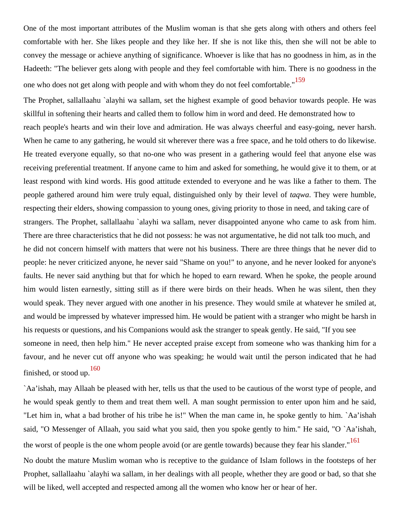One of the most important attributes of the Muslim woman is that she gets along with others and others feel comfortable with her. She likes people and they like her. If she is not like this, then she will not be able to convey the message or achieve anything of significance. Whoever is like that has no goodness in him, as in the Hadeeth: "The believer gets along with people and they feel comfortable with him. There is no goodness in the one who does not get along with people and with whom they do not feel comfortable."<sup>159</sup>

The Prophet, sallallaahu `alayhi wa sallam, set the highest example of good behavior towards people. He was skillful in softening their hearts and called them to follow him in word and deed. He demonstrated how to reach people's hearts and win their love and admiration. He was always cheerful and easy-going, never harsh. When he came to any gathering, he would sit wherever there was a free space, and he told others to do likewise. He treated everyone equally, so that no-one who was present in a gathering would feel that anyone else was receiving preferential treatment. If anyone came to him and asked for something, he would give it to them, or at least respond with kind words. His good attitude extended to everyone and he was like a father to them. The people gathered around him were truly equal, distinguished only by their level of *taqwa*. They were humble, respecting their elders, showing compassion to young ones, giving priority to those in need, and taking care of strangers. The Prophet, sallallaahu `alayhi wa sallam, never disappointed anyone who came to ask from him. There are three characteristics that he did not possess: he was not argumentative, he did not talk too much, and he did not concern himself with matters that were not his business. There are three things that he never did to people: he never criticized anyone, he never said "Shame on you!" to anyone, and he never looked for anyone's faults. He never said anything but that for which he hoped to earn reward. When he spoke, the people around him would listen earnestly, sitting still as if there were birds on their heads. When he was silent, then they would speak. They never argued with one another in his presence. They would smile at whatever he smiled at, and would be impressed by whatever impressed him. He would be patient with a stranger who might be harsh in his requests or questions, and his Companions would ask the stranger to speak gently. He said, "If you see someone in need, then help him." He never accepted praise except from someone who was thanking him for a favour, and he never cut off anyone who was speaking; he would wait until the person indicated that he had finished, or stood up.<sup>160</sup>

`Aa'ishah, may Allaah be pleased with her, tells us that the used to be cautious of the worst type of people, and he would speak gently to them and treat them well. A man sought permission to enter upon him and he said, "Let him in, what a bad brother of his tribe he is!" When the man came in, he spoke gently to him. `Aa'ishah said, "O Messenger of Allaah, you said what you said, then you spoke gently to him." He said, "O `Aa'ishah, the worst of people is the one whom people avoid (or are gentle towards) because they fear his slander."<sup>161</sup>

No doubt the mature Muslim woman who is receptive to the guidance of Islam follows in the footsteps of her Prophet, sallallaahu `alayhi wa sallam, in her dealings with all people, whether they are good or bad, so that she will be liked, well accepted and respected among all the women who know her or hear of her.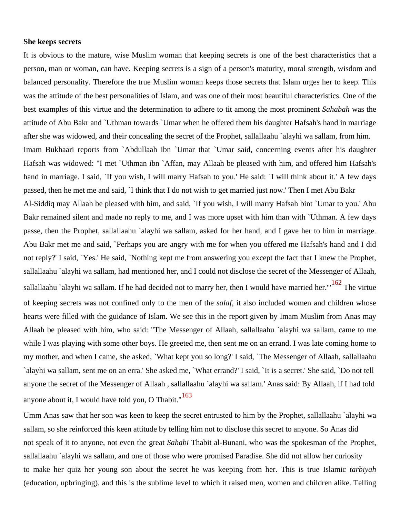#### **She keeps secrets**

It is obvious to the mature, wise Muslim woman that keeping secrets is one of the best characteristics that a person, man or woman, can have. Keeping secrets is a sign of a person's maturity, moral strength, wisdom and balanced personality. Therefore the true Muslim woman keeps those secrets that Islam urges her to keep. This was the attitude of the best personalities of Islam, and was one of their most beautiful characteristics. One of the best examples of this virtue and the determination to adhere to tit among the most prominent *Sahabah* was the attitude of Abu Bakr and `Uthman towards `Umar when he offered them his daughter Hafsah's hand in marriage after she was widowed, and their concealing the secret of the Prophet, sallallaahu `alayhi wa sallam, from him. Imam Bukhaari reports from `Abdullaah ibn `Umar that `Umar said, concerning events after his daughter Hafsah was widowed: "I met `Uthman ibn `Affan, may Allaah be pleased with him, and offered him Hafsah's hand in marriage. I said, `If you wish, I will marry Hafsah to you.' He said: `I will think about it.' A few days passed, then he met me and said, `I think that I do not wish to get married just now.' Then I met Abu Bakr Al-Siddiq may Allaah be pleased with him, and said, `If you wish, I will marry Hafsah bint `Umar to you.' Abu Bakr remained silent and made no reply to me, and I was more upset with him than with `Uthman. A few days passe, then the Prophet, sallallaahu `alayhi wa sallam, asked for her hand, and I gave her to him in marriage. Abu Bakr met me and said, `Perhaps you are angry with me for when you offered me Hafsah's hand and I did not reply?' I said, `Yes.' He said, `Nothing kept me from answering you except the fact that I knew the Prophet, sallallaahu `alayhi wa sallam, had mentioned her, and I could not disclose the secret of the Messenger of Allaah, sallallaahu `alayhi wa sallam. If he had decided not to marry her, then I would have married her." $162$  The virtue of keeping secrets was not confined only to the men of the *salaf*, it also included women and children whose hearts were filled with the guidance of Islam. We see this in the report given by Imam Muslim from Anas may Allaah be pleased with him, who said: "The Messenger of Allaah, sallallaahu `alayhi wa sallam, came to me while I was playing with some other boys. He greeted me, then sent me on an errand. I was late coming home to my mother, and when I came, she asked, `What kept you so long?' I said, `The Messenger of Allaah, sallallaahu `alayhi wa sallam, sent me on an erra.' She asked me, `What errand?' I said, `It is a secret.' She said, `Do not tell anyone the secret of the Messenger of Allaah , sallallaahu `alayhi wa sallam.' Anas said: By Allaah, if I had told anyone about it, I would have told you, O Thabit."<sup>163</sup>

Umm Anas saw that her son was keen to keep the secret entrusted to him by the Prophet, sallallaahu `alayhi wa sallam, so she reinforced this keen attitude by telling him not to disclose this secret to anyone. So Anas did not speak of it to anyone, not even the great *Sahabi* Thabit al-Bunani, who was the spokesman of the Prophet, sallallaahu `alayhi wa sallam, and one of those who were promised Paradise. She did not allow her curiosity to make her quiz her young son about the secret he was keeping from her. This is true Islamic *tarbiyah*  (education, upbringing), and this is the sublime level to which it raised men, women and children alike. Telling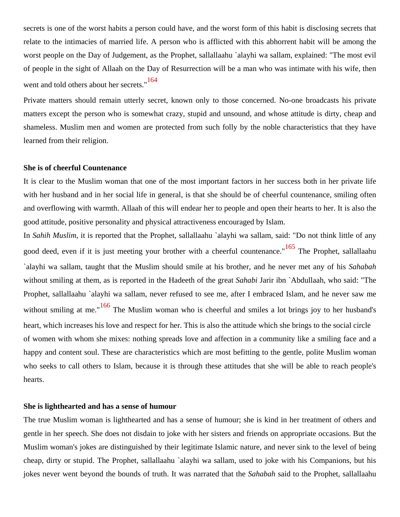secrets is one of the worst habits a person could have, and the worst form of this habit is disclosing secrets that relate to the intimacies of married life. A person who is afflicted with this abhorrent habit will be among the worst people on the Day of Judgement, as the Prophet, sallallaahu `alayhi wa sallam, explained: "The most evil of people in the sight of Allaah on the Day of Resurrection will be a man who was intimate with his wife, then went and told others about her secrets."<sup>164</sup>

Private matters should remain utterly secret, known only to those concerned. No-one broadcasts his private matters except the person who is somewhat crazy, stupid and unsound, and whose attitude is dirty, cheap and shameless. Muslim men and women are protected from such folly by the noble characteristics that they have learned from their religion.

#### **She is of cheerful Countenance**

It is clear to the Muslim woman that one of the most important factors in her success both in her private life with her husband and in her social life in general, is that she should be of cheerful countenance, smiling often and overflowing with warmth. Allaah of this will endear her to people and open their hearts to her. It is also the good attitude, positive personality and physical attractiveness encouraged by Islam.

In *Sahih Muslim*, it is reported that the Prophet, sallallaahu `alayhi wa sallam, said: "Do not think little of any good deed, even if it is just meeting your brother with a cheerful countenance."<sup>165</sup> The Prophet, sallallaahu `alayhi wa sallam, taught that the Muslim should smile at his brother, and he never met any of his *Sahabah*  without smiling at them, as is reported in the Hadeeth of the great *Sahabi* Jarir ibn `Abdullaah, who said: "The Prophet, sallallaahu `alayhi wa sallam, never refused to see me, after I embraced Islam, and he never saw me without smiling at me."<sup>166</sup> The Muslim woman who is cheerful and smiles a lot brings joy to her husband's heart, which increases his love and respect for her. This is also the attitude which she brings to the social circle of women with whom she mixes: nothing spreads love and affection in a community like a smiling face and a happy and content soul. These are characteristics which are most befitting to the gentle, polite Muslim woman who seeks to call others to Islam, because it is through these attitudes that she will be able to reach people's hearts.

#### **She is lighthearted and has a sense of humour**

The true Muslim woman is lighthearted and has a sense of humour; she is kind in her treatment of others and gentle in her speech. She does not disdain to joke with her sisters and friends on appropriate occasions. But the Muslim woman's jokes are distinguished by their legitimate Islamic nature, and never sink to the level of being cheap, dirty or stupid. The Prophet, sallallaahu `alayhi wa sallam, used to joke with his Companions, but his jokes never went beyond the bounds of truth. It was narrated that the *Sahabah* said to the Prophet, sallallaahu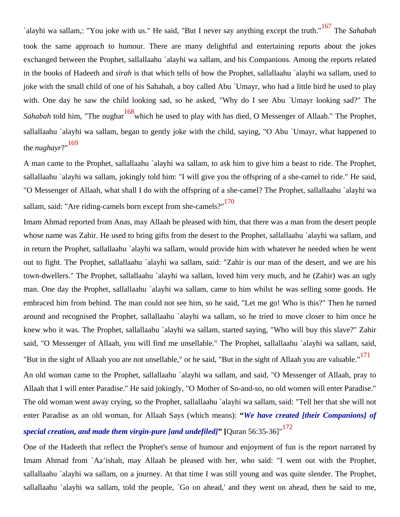`alayhi wa sallam,: "You joke with us." He said, "But I never say anything except the truth."167 The *Sahabah*  took the same approach to humour. There are many delightful and entertaining reports about the jokes exchanged between the Prophet, sallallaahu `alayhi wa sallam, and his Companions. Among the reports related in the books of Hadeeth and *sirah* is that which tells of how the Prophet, sallallaahu `alayhi wa sallam, used to joke with the small child of one of his Sahabah, a boy called Abu `Umayr, who had a little bird he used to play with. One day he saw the child looking sad, so he asked, "Why do I see Abu `Umayr looking sad?" The *Sahabah* told him, "The nughar<sup>168</sup> which he used to play with has died, O Messenger of Allaah." The Prophet, sallallaahu `alayhi wa sallam, began to gently joke with the child, saying, "O Abu `Umayr, what happened to the *nughayr*?"<sup>169</sup>

A man came to the Prophet, sallallaahu `alayhi wa sallam, to ask him to give him a beast to ride. The Prophet, sallallaahu `alayhi wa sallam, jokingly told him: "I will give you the offspring of a she-camel to ride." He said, "O Messenger of Allaah, what shall I do with the offspring of a she-camel? The Prophet, sallallaahu `alayhi wa sallam, said: "Are riding-camels born except from she-camels?"<sup>170</sup>

Imam Ahmad reported from Anas, may Allaah be pleased with him, that there was a man from the desert people whose name was Zahir. He used to bring gifts from the desert to the Prophet, sallallaahu `alayhi wa sallam, and in return the Prophet, sallallaahu `alayhi wa sallam, would provide him with whatever he needed when he went out to fight. The Prophet, sallallaahu `alayhi wa sallam, said: "Zahir is our man of the desert, and we are his town-dwellers." The Prophet, sallallaahu `alayhi wa sallam, loved him very much, and he (Zahir) was an ugly man. One day the Prophet, sallallaahu `alayhi wa sallam, came to him whilst he was selling some goods. He embraced him from behind. The man could not see him, so he said, "Let me go! Who is this?" Then he turned around and recognised the Prophet, sallallaahu `alayhi wa sallam, so he tried to move closer to him once he knew who it was. The Prophet, sallallaahu `alayhi wa sallam, started saying, "Who will buy this slave?" Zahir said, "O Messenger of Allaah, you will find me unsellable." The Prophet, sallallaahu `alayhi wa sallam, said, "But in the sight of Allaah you are not unsellable," or he said, "But in the sight of Allaah you are valuable." $171$ 

An old woman came to the Prophet, sallallaahu `alayhi wa sallam, and said, "O Messenger of Allaah, pray to Allaah that I will enter Paradise." He said jokingly, "O Mother of So-and-so, no old women will enter Paradise." The old woman went away crying, so the Prophet, sallallaahu `alayhi wa sallam, said: "Tell her that she will not enter Paradise as an old woman, for Allaah Says (which means): **"***We have created [their Companions] of* 

# *special creation, and made them virgin-pure [and undefiled]***" [**Quran 56:35-36]"<sup>172</sup>

One of the Hadeeth that reflect the Prophet's sense of humour and enjoyment of fun is the report narrated by Imam Ahmad from `Aa'ishah, may Allaah be pleased with her, who said: "I went out with the Prophet, sallallaahu `alayhi wa sallam, on a journey. At that time I was still young and was quite slender. The Prophet, sallallaahu `alayhi wa sallam, told the people, `Go on ahead,' and they went on ahead, then he said to me,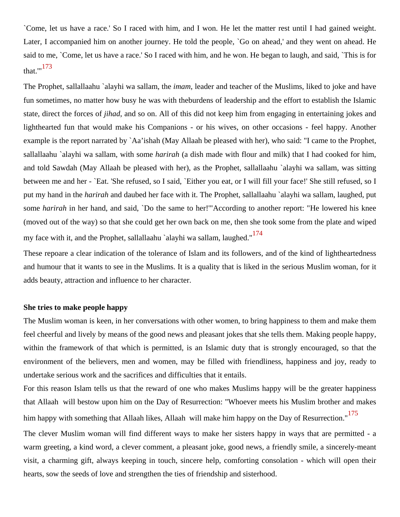`Come, let us have a race.' So I raced with him, and I won. He let the matter rest until I had gained weight. Later, I accompanied him on another journey. He told the people, `Go on ahead,' and they went on ahead. He said to me, `Come, let us have a race.' So I raced with him, and he won. He began to laugh, and said, `This is for that.'"<sup>173</sup>

The Prophet, sallallaahu `alayhi wa sallam, the *imam*, leader and teacher of the Muslims, liked to joke and have fun sometimes, no matter how busy he was with theburdens of leadership and the effort to establish the Islamic state, direct the forces of *jihad*, and so on. All of this did not keep him from engaging in entertaining jokes and lighthearted fun that would make his Companions - or his wives, on other occasions - feel happy. Another example is the report narrated by `Aa'ishah (May Allaah be pleased with her), who said: "I came to the Prophet, sallallaahu `alayhi wa sallam, with some *harirah* (a dish made with flour and milk) that I had cooked for him, and told Sawdah (May Allaah be pleased with her), as the Prophet, sallallaahu `alayhi wa sallam, was sitting between me and her - `Eat. 'She refused, so I said, `Either you eat, or I will fill your face!' She still refused, so I put my hand in the *harirah* and daubed her face with it. The Prophet, sallallaahu `alayhi wa sallam, laughed, put some *harirah* in her hand, and said, `Do the same to her!'"According to another report: "He lowered his knee (moved out of the way) so that she could get her own back on me, then she took some from the plate and wiped my face with it, and the Prophet, sallallaahu `alayhi wa sallam, laughed."<sup>174</sup>

These repoare a clear indication of the tolerance of Islam and its followers, and of the kind of lightheartedness and humour that it wants to see in the Muslims. It is a quality that is liked in the serious Muslim woman, for it adds beauty, attraction and influence to her character.

## **She tries to make people happy**

The Muslim woman is keen, in her conversations with other women, to bring happiness to them and make them feel cheerful and lively by means of the good news and pleasant jokes that she tells them. Making people happy, within the framework of that which is permitted, is an Islamic duty that is strongly encouraged, so that the environment of the believers, men and women, may be filled with friendliness, happiness and joy, ready to undertake serious work and the sacrifices and difficulties that it entails.

For this reason Islam tells us that the reward of one who makes Muslims happy will be the greater happiness that Allaah will bestow upon him on the Day of Resurrection: "Whoever meets his Muslim brother and makes him happy with something that Allaah likes, Allaah will make him happy on the Day of Resurrection."<sup>175</sup>

The clever Muslim woman will find different ways to make her sisters happy in ways that are permitted - a warm greeting, a kind word, a clever comment, a pleasant joke, good news, a friendly smile, a sincerely-meant visit, a charming gift, always keeping in touch, sincere help, comforting consolation - which will open their hearts, sow the seeds of love and strengthen the ties of friendship and sisterhood.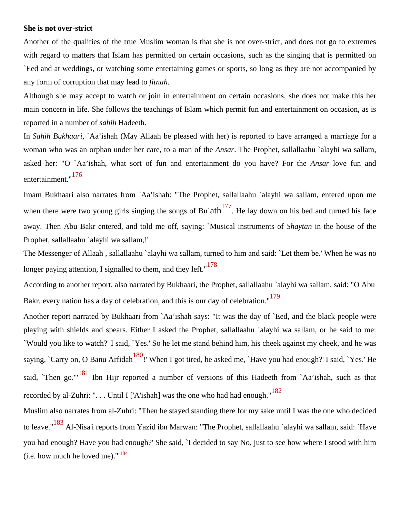#### **She is not over-strict**

Another of the qualities of the true Muslim woman is that she is not over-strict, and does not go to extremes with regard to matters that Islam has permitted on certain occasions, such as the singing that is permitted on `Eed and at weddings, or watching some entertaining games or sports, so long as they are not accompanied by any form of corruption that may lead to *fitnah*.

Although she may accept to watch or join in entertainment on certain occasions, she does not make this her main concern in life. She follows the teachings of Islam which permit fun and entertainment on occasion, as is reported in a number of *sahih* Hadeeth.

In *Sahih Bukhaari*, `Aa'ishah (May Allaah be pleased with her) is reported to have arranged a marriage for a woman who was an orphan under her care, to a man of the *Ansar*. The Prophet, sallallaahu `alayhi wa sallam, asked her: "O `Aa'ishah, what sort of fun and entertainment do you have? For the *Ansar* love fun and entertainment."<sup>176</sup>

Imam Bukhaari also narrates from `Aa'ishah: "The Prophet, sallallaahu `alayhi wa sallam, entered upon me when there were two young girls singing the songs of Bu`ath<sup>177</sup>. He lay down on his bed and turned his face away. Then Abu Bakr entered, and told me off, saying: `Musical instruments of *Shaytan* in the house of the Prophet, sallallaahu `alayhi wa sallam,!'

The Messenger of Allaah , sallallaahu `alayhi wa sallam, turned to him and said: `Let them be.' When he was no longer paying attention, I signalled to them, and they left."<sup>178</sup>

According to another report, also narrated by Bukhaari, the Prophet, sallallaahu `alayhi wa sallam, said: "O Abu Bakr, every nation has a day of celebration, and this is our day of celebration."<sup>179</sup>

Another report narrated by Bukhaari from `Aa'ishah says: "It was the day of `Eed, and the black people were playing with shields and spears. Either I asked the Prophet, sallallaahu `alayhi wa sallam, or he said to me: `Would you like to watch?' I said, `Yes.' So he let me stand behind him, his cheek against my cheek, and he was saying, `Carry on, O Banu Arfidah<sup>180</sup>!' When I got tired, he asked me, `Have you had enough?' I said, `Yes.' He said, `Then go.'"<sup>181</sup> Ibn Hijr reported a number of versions of this Hadeeth from `Aa'ishah, such as that recorded by al-Zuhri: "... Until I ['A'ishah] was the one who had had enough." $182$ 

Muslim also narrates from al-Zuhri: "Then he stayed standing there for my sake until I was the one who decided to leave."<sup>183</sup> Al-Nisa'i reports from Yazid ibn Marwan: "The Prophet, sallallaahu `alayhi wa sallam, said: `Have you had enough? Have you had enough?' She said, `I decided to say No, just to see how where I stood with him (i.e. how much he loved me). $184$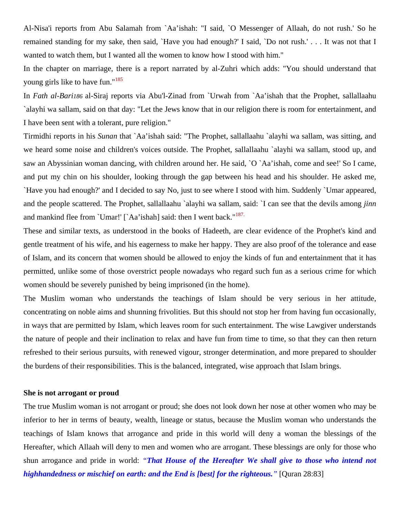Al-Nisa'i reports from Abu Salamah from `Aa'ishah: "I said, `O Messenger of Allaah, do not rush.' So he remained standing for my sake, then said, `Have you had enough?' I said, `Do not rush.' . . . It was not that I wanted to watch them, but I wanted all the women to know how I stood with him."

In the chapter on marriage, there is a report narrated by al-Zuhri which adds: "You should understand that young girls like to have fun."<sup>185</sup>

In *Fath al-Bari186* al-Siraj reports via Abu'l-Zinad from `Urwah from `Aa'ishah that the Prophet, sallallaahu `alayhi wa sallam, said on that day: "Let the Jews know that in our religion there is room for entertainment, and I have been sent with a tolerant, pure religion."

Tirmidhi reports in his *Sunan* that `Aa'ishah said: "The Prophet, sallallaahu `alayhi wa sallam, was sitting, and we heard some noise and children's voices outside. The Prophet, sallallaahu `alayhi wa sallam, stood up, and saw an Abyssinian woman dancing, with children around her. He said, `O `Aa'ishah, come and see!' So I came, and put my chin on his shoulder, looking through the gap between his head and his shoulder. He asked me, `Have you had enough?' and I decided to say No, just to see where I stood with him. Suddenly `Umar appeared, and the people scattered. The Prophet, sallallaahu `alayhi wa sallam, said: `I can see that the devils among *jinn*  and mankind flee from `Umar!' [`Aa'ishah] said: then I went back."<sup>187.</sup>

These and similar texts, as understood in the books of Hadeeth, are clear evidence of the Prophet's kind and gentle treatment of his wife, and his eagerness to make her happy. They are also proof of the tolerance and ease of Islam, and its concern that women should be allowed to enjoy the kinds of fun and entertainment that it has permitted, unlike some of those overstrict people nowadays who regard such fun as a serious crime for which women should be severely punished by being imprisoned (in the home).

The Muslim woman who understands the teachings of Islam should be very serious in her attitude, concentrating on noble aims and shunning frivolities. But this should not stop her from having fun occasionally, in ways that are permitted by Islam, which leaves room for such entertainment. The wise Lawgiver understands the nature of people and their inclination to relax and have fun from time to time, so that they can then return refreshed to their serious pursuits, with renewed vigour, stronger determination, and more prepared to shoulder the burdens of their responsibilities. This is the balanced, integrated, wise approach that Islam brings.

### **She is not arrogant or proud**

The true Muslim woman is not arrogant or proud; she does not look down her nose at other women who may be inferior to her in terms of beauty, wealth, lineage or status, because the Muslim woman who understands the teachings of Islam knows that arrogance and pride in this world will deny a woman the blessings of the Hereafter, which Allaah will deny to men and women who are arrogant. These blessings are only for those who shun arrogance and pride in world: *"That House of the Hereafter We shall give to those who intend not highhandedness or mischief on earth: and the End is [best] for the righteous."* [Quran 28:83]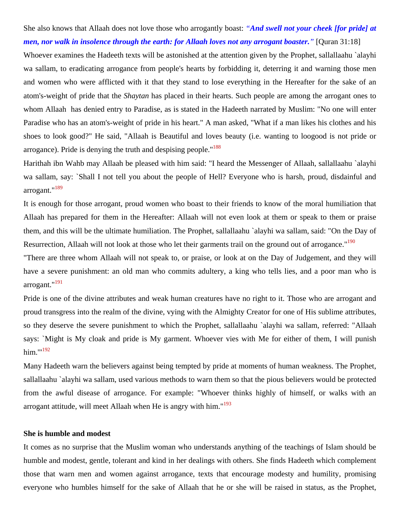She also knows that Allaah does not love those who arrogantly boast: *"And swell not your cheek [for pride] at men, nor walk in insolence through the earth: for Allaah loves not any arrogant boaster."* [Quran 31:18]

Whoever examines the Hadeeth texts will be astonished at the attention given by the Prophet, sallallaahu `alayhi wa sallam, to eradicating arrogance from people's hearts by forbidding it, deterring it and warning those men and women who were afflicted with it that they stand to lose everything in the Hereafter for the sake of an atom's-weight of pride that the *Shaytan* has placed in their hearts. Such people are among the arrogant ones to whom Allaah has denied entry to Paradise, as is stated in the Hadeeth narrated by Muslim: "No one will enter Paradise who has an atom's-weight of pride in his heart." A man asked, "What if a man likes his clothes and his shoes to look good?" He said, "Allaah is Beautiful and loves beauty (i.e. wanting to loogood is not pride or arrogance). Pride is denying the truth and despising people."188

Harithah ibn Wahb may Allaah be pleased with him said: "I heard the Messenger of Allaah, sallallaahu `alayhi wa sallam, say: `Shall I not tell you about the people of Hell? Everyone who is harsh, proud, disdainful and arrogant."<sup>189</sup>

It is enough for those arrogant, proud women who boast to their friends to know of the moral humiliation that Allaah has prepared for them in the Hereafter: Allaah will not even look at them or speak to them or praise them, and this will be the ultimate humiliation. The Prophet, sallallaahu `alayhi wa sallam, said: "On the Day of Resurrection, Allaah will not look at those who let their garments trail on the ground out of arrogance."<sup>190</sup>

"There are three whom Allaah will not speak to, or praise, or look at on the Day of Judgement, and they will have a severe punishment: an old man who commits adultery, a king who tells lies, and a poor man who is arrogant."<sup>191</sup>

Pride is one of the divine attributes and weak human creatures have no right to it. Those who are arrogant and proud transgress into the realm of the divine, vying with the Almighty Creator for one of His sublime attributes, so they deserve the severe punishment to which the Prophet, sallallaahu `alayhi wa sallam, referred: "Allaah says: `Might is My cloak and pride is My garment. Whoever vies with Me for either of them, I will punish him.'"<sup>192</sup>

Many Hadeeth warn the believers against being tempted by pride at moments of human weakness. The Prophet, sallallaahu `alayhi wa sallam, used various methods to warn them so that the pious believers would be protected from the awful disease of arrogance. For example: "Whoever thinks highly of himself, or walks with an arrogant attitude, will meet Allaah when He is angry with him."<sup>193</sup>

#### **She is humble and modest**

It comes as no surprise that the Muslim woman who understands anything of the teachings of Islam should be humble and modest, gentle, tolerant and kind in her dealings with others. She finds Hadeeth which complement those that warn men and women against arrogance, texts that encourage modesty and humility, promising everyone who humbles himself for the sake of Allaah that he or she will be raised in status, as the Prophet,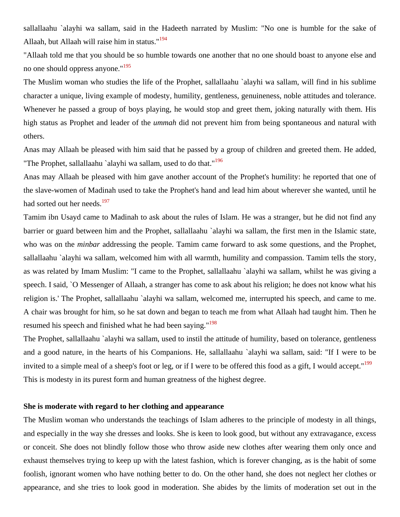sallallaahu `alayhi wa sallam, said in the Hadeeth narrated by Muslim: "No one is humble for the sake of Allaah, but Allaah will raise him in status."<sup>194</sup>

"Allaah told me that you should be so humble towards one another that no one should boast to anyone else and no one should oppress anyone."<sup>195</sup>

The Muslim woman who studies the life of the Prophet, sallallaahu `alayhi wa sallam, will find in his sublime character a unique, living example of modesty, humility, gentleness, genuineness, noble attitudes and tolerance. Whenever he passed a group of boys playing, he would stop and greet them, joking naturally with them. His high status as Prophet and leader of the *ummah* did not prevent him from being spontaneous and natural with others.

Anas may Allaah be pleased with him said that he passed by a group of children and greeted them. He added, "The Prophet, sallallaahu `alayhi wa sallam, used to do that."<sup>196</sup>

Anas may Allaah be pleased with him gave another account of the Prophet's humility: he reported that one of the slave-women of Madinah used to take the Prophet's hand and lead him about wherever she wanted, until he had sorted out her needs.<sup>197</sup>

Tamim ibn Usayd came to Madinah to ask about the rules of Islam. He was a stranger, but he did not find any barrier or guard between him and the Prophet, sallallaahu `alayhi wa sallam, the first men in the Islamic state, who was on the *minbar* addressing the people. Tamim came forward to ask some questions, and the Prophet, sallallaahu `alayhi wa sallam, welcomed him with all warmth, humility and compassion. Tamim tells the story, as was related by Imam Muslim: "I came to the Prophet, sallallaahu `alayhi wa sallam, whilst he was giving a speech. I said, `O Messenger of Allaah, a stranger has come to ask about his religion; he does not know what his religion is.' The Prophet, sallallaahu `alayhi wa sallam, welcomed me, interrupted his speech, and came to me. A chair was brought for him, so he sat down and began to teach me from what Allaah had taught him. Then he resumed his speech and finished what he had been saying."<sup>198</sup>

The Prophet, sallallaahu `alayhi wa sallam, used to instil the attitude of humility, based on tolerance, gentleness and a good nature, in the hearts of his Companions. He, sallallaahu `alayhi wa sallam, said: "If I were to be invited to a simple meal of a sheep's foot or leg, or if I were to be offered this food as a gift, I would accept."<sup>199</sup> This is modesty in its purest form and human greatness of the highest degree.

## **She is moderate with regard to her clothing and appearance**

The Muslim woman who understands the teachings of Islam adheres to the principle of modesty in all things, and especially in the way she dresses and looks. She is keen to look good, but without any extravagance, excess or conceit. She does not blindly follow those who throw aside new clothes after wearing them only once and exhaust themselves trying to keep up with the latest fashion, which is forever changing, as is the habit of some foolish, ignorant women who have nothing better to do. On the other hand, she does not neglect her clothes or appearance, and she tries to look good in moderation. She abides by the limits of moderation set out in the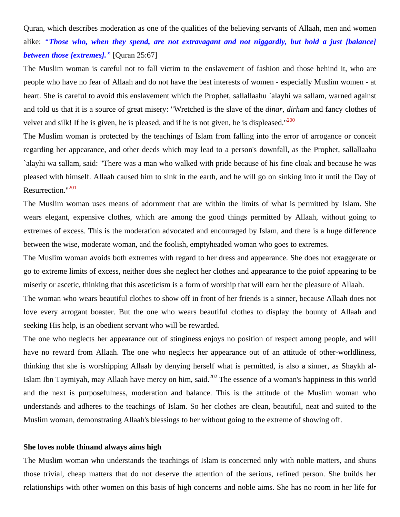Quran, which describes moderation as one of the qualities of the believing servants of Allaah, men and women alike: *"Those who, when they spend, are not extravagant and not niggardly, but hold a just [balance] between those [extremes]."* [Quran 25:67]

The Muslim woman is careful not to fall victim to the enslavement of fashion and those behind it, who are people who have no fear of Allaah and do not have the best interests of women - especially Muslim women - at heart. She is careful to avoid this enslavement which the Prophet, sallallaahu `alayhi wa sallam, warned against and told us that it is a source of great misery: "Wretched is the slave of the *dinar*, *dirham* and fancy clothes of velvet and silk! If he is given, he is pleased, and if he is not given, he is displeased."<sup>200</sup>

The Muslim woman is protected by the teachings of Islam from falling into the error of arrogance or conceit regarding her appearance, and other deeds which may lead to a person's downfall, as the Prophet, sallallaahu `alayhi wa sallam, said: "There was a man who walked with pride because of his fine cloak and because he was pleased with himself. Allaah caused him to sink in the earth, and he will go on sinking into it until the Day of Resurrection."<sup>201</sup>

The Muslim woman uses means of adornment that are within the limits of what is permitted by Islam. She wears elegant, expensive clothes, which are among the good things permitted by Allaah, without going to extremes of excess. This is the moderation advocated and encouraged by Islam, and there is a huge difference between the wise, moderate woman, and the foolish, emptyheaded woman who goes to extremes.

The Muslim woman avoids both extremes with regard to her dress and appearance. She does not exaggerate or go to extreme limits of excess, neither does she neglect her clothes and appearance to the poiof appearing to be miserly or ascetic, thinking that this asceticism is a form of worship that will earn her the pleasure of Allaah.

The woman who wears beautiful clothes to show off in front of her friends is a sinner, because Allaah does not love every arrogant boaster. But the one who wears beautiful clothes to display the bounty of Allaah and seeking His help, is an obedient servant who will be rewarded.

The one who neglects her appearance out of stinginess enjoys no position of respect among people, and will have no reward from Allaah. The one who neglects her appearance out of an attitude of other-worldliness, thinking that she is worshipping Allaah by denying herself what is permitted, is also a sinner, as Shaykh al-Islam Ibn Taymiyah, may Allaah have mercy on him, said.<sup>202</sup> The essence of a woman's happiness in this world and the next is purposefulness, moderation and balance. This is the attitude of the Muslim woman who understands and adheres to the teachings of Islam. So her clothes are clean, beautiful, neat and suited to the Muslim woman, demonstrating Allaah's blessings to her without going to the extreme of showing off.

#### **She loves noble thinand always aims high**

The Muslim woman who understands the teachings of Islam is concerned only with noble matters, and shuns those trivial, cheap matters that do not deserve the attention of the serious, refined person. She builds her relationships with other women on this basis of high concerns and noble aims. She has no room in her life for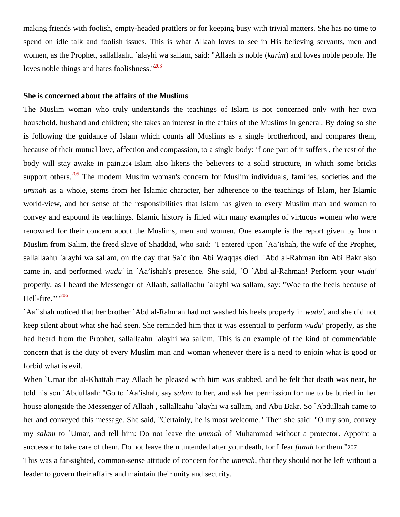making friends with foolish, empty-headed prattlers or for keeping busy with trivial matters. She has no time to spend on idle talk and foolish issues. This is what Allaah loves to see in His believing servants, men and women, as the Prophet, sallallaahu `alayhi wa sallam, said: "Allaah is noble (*karim*) and loves noble people. He loves noble things and hates foolishness."<sup>203</sup>

#### **She is concerned about the affairs of the Muslims**

The Muslim woman who truly understands the teachings of Islam is not concerned only with her own household, husband and children; she takes an interest in the affairs of the Muslims in general. By doing so she is following the guidance of Islam which counts all Muslims as a single brotherhood, and compares them, because of their mutual love, affection and compassion, to a single body: if one part of it suffers , the rest of the body will stay awake in pain.204 Islam also likens the believers to a solid structure, in which some bricks support others.<sup>205</sup> The modern Muslim woman's concern for Muslim individuals, families, societies and the *ummah* as a whole, stems from her Islamic character, her adherence to the teachings of Islam, her Islamic world-view, and her sense of the responsibilities that Islam has given to every Muslim man and woman to convey and expound its teachings. Islamic history is filled with many examples of virtuous women who were renowned for their concern about the Muslims, men and women. One example is the report given by Imam Muslim from Salim, the freed slave of Shaddad, who said: "I entered upon `Aa'ishah, the wife of the Prophet, sallallaahu `alayhi wa sallam, on the day that Sa`d ibn Abi Waqqas died. `Abd al-Rahman ibn Abi Bakr also came in, and performed *wudu'* in `Aa'ishah's presence. She said, `O `Abd al-Rahman! Perform your *wudu'*  properly, as I heard the Messenger of Allaah, sallallaahu `alayhi wa sallam, say: "Woe to the heels because of Hell-fire.""<sup>206</sup>

`Aa'ishah noticed that her brother `Abd al-Rahman had not washed his heels properly in *wudu'*, and she did not keep silent about what she had seen. She reminded him that it was essential to perform *wudu'* properly, as she had heard from the Prophet, sallallaahu `alayhi wa sallam. This is an example of the kind of commendable concern that is the duty of every Muslim man and woman whenever there is a need to enjoin what is good or forbid what is evil.

When `Umar ibn al-Khattab may Allaah be pleased with him was stabbed, and he felt that death was near, he told his son `Abdullaah: "Go to `Aa'ishah, say *salam* to her, and ask her permission for me to be buried in her house alongside the Messenger of Allaah , sallallaahu `alayhi wa sallam, and Abu Bakr. So `Abdullaah came to her and conveyed this message. She said, "Certainly, he is most welcome." Then she said: "O my son, convey my *salam* to `Umar, and tell him: Do not leave the *ummah* of Muhammad without a protector. Appoint a successor to take care of them. Do not leave them untended after your death, for I fear *fitnah* for them."207 This was a far-sighted, common-sense attitude of concern for the *ummah*, that they should not be left without a leader to govern their affairs and maintain their unity and security.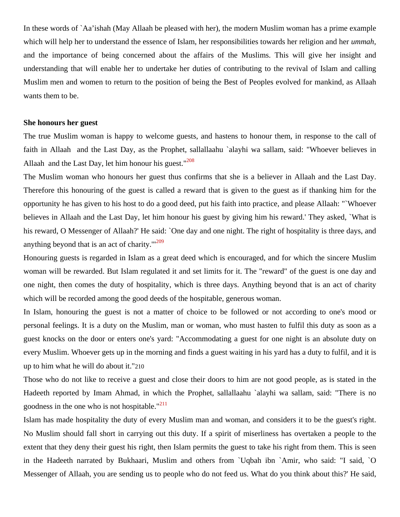In these words of `Aa'ishah (May Allaah be pleased with her), the modern Muslim woman has a prime example which will help her to understand the essence of Islam, her responsibilities towards her religion and her *ummah*, and the importance of being concerned about the affairs of the Muslims. This will give her insight and understanding that will enable her to undertake her duties of contributing to the revival of Islam and calling Muslim men and women to return to the position of being the Best of Peoples evolved for mankind, as Allaah wants them to be.

#### **She honours her guest**

The true Muslim woman is happy to welcome guests, and hastens to honour them, in response to the call of faith in Allaah and the Last Day, as the Prophet, sallallaahu `alayhi wa sallam, said: "Whoever believes in Allaah and the Last Day, let him honour his guest." $208$ 

The Muslim woman who honours her guest thus confirms that she is a believer in Allaah and the Last Day. Therefore this honouring of the guest is called a reward that is given to the guest as if thanking him for the opportunity he has given to his host to do a good deed, put his faith into practice, and please Allaah: "`Whoever believes in Allaah and the Last Day, let him honour his guest by giving him his reward.' They asked, `What is his reward, O Messenger of Allaah?' He said: `One day and one night. The right of hospitality is three days, and anything beyond that is an act of charity. $1209$ 

Honouring guests is regarded in Islam as a great deed which is encouraged, and for which the sincere Muslim woman will be rewarded. But Islam regulated it and set limits for it. The "reward" of the guest is one day and one night, then comes the duty of hospitality, which is three days. Anything beyond that is an act of charity which will be recorded among the good deeds of the hospitable, generous woman.

In Islam, honouring the guest is not a matter of choice to be followed or not according to one's mood or personal feelings. It is a duty on the Muslim, man or woman, who must hasten to fulfil this duty as soon as a guest knocks on the door or enters one's yard: "Accommodating a guest for one night is an absolute duty on every Muslim. Whoever gets up in the morning and finds a guest waiting in his yard has a duty to fulfil, and it is up to him what he will do about it."210

Those who do not like to receive a guest and close their doors to him are not good people, as is stated in the Hadeeth reported by Imam Ahmad, in which the Prophet, sallallaahu `alayhi wa sallam, said: "There is no goodness in the one who is not hospitable."<sup>211</sup>

Islam has made hospitality the duty of every Muslim man and woman, and considers it to be the guest's right. No Muslim should fall short in carrying out this duty. If a spirit of miserliness has overtaken a people to the extent that they deny their guest his right, then Islam permits the guest to take his right from them. This is seen in the Hadeeth narrated by Bukhaari, Muslim and others from `Uqbah ibn `Amir, who said: "I said, `O Messenger of Allaah, you are sending us to people who do not feed us. What do you think about this?' He said,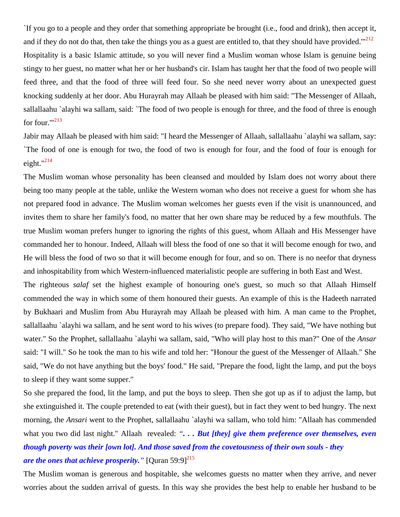`If you go to a people and they order that something appropriate be brought (i.e., food and drink), then accept it, and if they do not do that, then take the things you as a guest are entitled to, that they should have provided. $1^{212}$ Hospitality is a basic Islamic attitude, so you will never find a Muslim woman whose Islam is genuine being stingy to her guest, no matter what her or her husband's cir. Islam has taught her that the food of two people will feed three, and that the food of three will feed four. So she need never worry about an unexpected guest knocking suddenly at her door. Abu Hurayrah may Allaah be pleased with him said: "The Messenger of Allaah, sallallaahu `alayhi wa sallam, said: `The food of two people is enough for three, and the food of three is enough for four." $^{213}$ 

Jabir may Allaah be pleased with him said: "I heard the Messenger of Allaah, sallallaahu `alayhi wa sallam, say: `The food of one is enough for two, the food of two is enough for four, and the food of four is enough for eight."214

The Muslim woman whose personality has been cleansed and moulded by Islam does not worry about there being too many people at the table, unlike the Western woman who does not receive a guest for whom she has not prepared food in advance. The Muslim woman welcomes her guests even if the visit is unannounced, and invites them to share her family's food, no matter that her own share may be reduced by a few mouthfuls. The true Muslim woman prefers hunger to ignoring the rights of this guest, whom Allaah and His Messenger have commanded her to honour. Indeed, Allaah will bless the food of one so that it will become enough for two, and He will bless the food of two so that it will become enough for four, and so on. There is no neefor that dryness and inhospitability from which Western-influenced materialistic people are suffering in both East and West.

The righteous *salaf* set the highest example of honouring one's guest, so much so that Allaah Himself commended the way in which some of them honoured their guests. An example of this is the Hadeeth narrated by Bukhaari and Muslim from Abu Hurayrah may Allaah be pleased with him. A man came to the Prophet, sallallaahu `alayhi wa sallam, and he sent word to his wives (to prepare food). They said, "We have nothing but water." So the Prophet, sallallaahu `alayhi wa sallam, said, "Who will play host to this man?" One of the *Ansar* said: "I will." So he took the man to his wife and told her: "Honour the guest of the Messenger of Allaah." She said, "We do not have anything but the boys' food." He said, "Prepare the food, light the lamp, and put the boys to sleep if they want some supper."

So she prepared the food, lit the lamp, and put the boys to sleep. Then she got up as if to adjust the lamp, but she extinguished it. The couple pretended to eat (with their guest), but in fact they went to bed hungry. The next morning, the *Ansari* went to the Prophet, sallallaahu `alayhi wa sallam, who told him: "Allaah has commended what you two did last night." Allaah revealed: "... But [they] give them preference over themselves, even *though poverty was their [own lot]. And those saved from the covetousness of their own souls - they are the ones that achieve prosperity.*<sup>"</sup> [Quran 59:9]<sup>215</sup>

The Muslim woman is generous and hospitable, she welcomes guests no matter when they arrive, and never worries about the sudden arrival of guests. In this way she provides the best help to enable her husband to be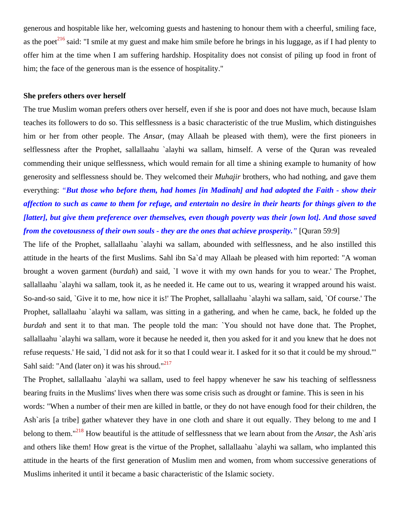generous and hospitable like her, welcoming guests and hastening to honour them with a cheerful, smiling face, as the poet<sup>216</sup> said: "I smile at my guest and make him smile before he brings in his luggage, as if I had plenty to offer him at the time when I am suffering hardship. Hospitality does not consist of piling up food in front of him; the face of the generous man is the essence of hospitality."

#### **She prefers others over herself**

The true Muslim woman prefers others over herself, even if she is poor and does not have much, because Islam teaches its followers to do so. This selflessness is a basic characteristic of the true Muslim, which distinguishes him or her from other people. The *Ansar*, (may Allaah be pleased with them), were the first pioneers in selflessness after the Prophet, sallallaahu `alayhi wa sallam, himself. A verse of the Quran was revealed commending their unique selflessness, which would remain for all time a shining example to humanity of how generosity and selflessness should be. They welcomed their *Muhajir* brothers, who had nothing, and gave them everything: *"But those who before them, had homes [in Madinah] and had adopted the Faith - show their affection to such as came to them for refuge, and entertain no desire in their hearts for things given to the [latter], but give them preference over themselves, even though poverty was their [own lot]. And those saved from the covetousness of their own souls - they are the ones that achieve prosperity."* [Quran 59:9]

The life of the Prophet, sallallaahu `alayhi wa sallam, abounded with selflessness, and he also instilled this attitude in the hearts of the first Muslims. Sahl ibn Sa`d may Allaah be pleased with him reported: "A woman brought a woven garment (*burdah*) and said, `I wove it with my own hands for you to wear.' The Prophet, sallallaahu `alayhi wa sallam, took it, as he needed it. He came out to us, wearing it wrapped around his waist. So-and-so said, `Give it to me, how nice it is!' The Prophet, sallallaahu `alayhi wa sallam, said, `Of course.' The Prophet, sallallaahu `alayhi wa sallam, was sitting in a gathering, and when he came, back, he folded up the *burdah* and sent it to that man. The people told the man: `You should not have done that. The Prophet, sallallaahu `alayhi wa sallam, wore it because he needed it, then you asked for it and you knew that he does not refuse requests.' He said, `I did not ask for it so that I could wear it. I asked for it so that it could be my shroud.'" Sahl said: "And (later on) it was his shroud."<sup>217</sup>

The Prophet, sallallaahu `alayhi wa sallam, used to feel happy whenever he saw his teaching of selflessness bearing fruits in the Muslims' lives when there was some crisis such as drought or famine. This is seen in his words: "When a number of their men are killed in battle, or they do not have enough food for their children, the Ash`aris [a tribe] gather whatever they have in one cloth and share it out equally. They belong to me and I belong to them."218 How beautiful is the attitude of selflessness that we learn about from the *Ansar*, the Ash`aris and others like them! How great is the virtue of the Prophet, sallallaahu `alayhi wa sallam, who implanted this attitude in the hearts of the first generation of Muslim men and women, from whom successive generations of Muslims inherited it until it became a basic characteristic of the Islamic society.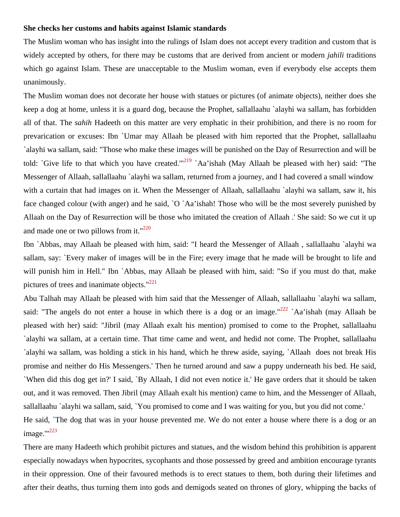### **She checks her customs and habits against Islamic standards**

The Muslim woman who has insight into the rulings of Islam does not accept every tradition and custom that is widely accepted by others, for there may be customs that are derived from ancient or modern *jahili* traditions which go against Islam. These are unacceptable to the Muslim woman, even if everybody else accepts them unanimously.

The Muslim woman does not decorate her house with statues or pictures (of animate objects), neither does she keep a dog at home, unless it is a guard dog, because the Prophet, sallallaahu `alayhi wa sallam, has forbidden all of that. The *sahih* Hadeeth on this matter are very emphatic in their prohibition, and there is no room for prevarication or excuses: Ibn `Umar may Allaah be pleased with him reported that the Prophet, sallallaahu `alayhi wa sallam, said: "Those who make these images will be punished on the Day of Resurrection and will be told: `Give life to that which you have created.'"<sup>219</sup> `Aa'ishah (May Allaah be pleased with her) said: "The Messenger of Allaah, sallallaahu `alayhi wa sallam, returned from a journey, and I had covered a small window with a curtain that had images on it. When the Messenger of Allaah, sallallaahu `alayhi wa sallam, saw it, his face changed colour (with anger) and he said, `O `Aa'ishah! Those who will be the most severely punished by Allaah on the Day of Resurrection will be those who imitated the creation of Allaah .' She said: So we cut it up and made one or two pillows from it."220

Ibn `Abbas, may Allaah be pleased with him, said: "I heard the Messenger of Allaah , sallallaahu `alayhi wa sallam, say: `Every maker of images will be in the Fire; every image that he made will be brought to life and will punish him in Hell." Ibn `Abbas, may Allaah be pleased with him, said: "So if you must do that, make pictures of trees and inanimate objects."<sup>221</sup>

Abu Talhah may Allaah be pleased with him said that the Messenger of Allaah, sallallaahu `alayhi wa sallam, said: "The angels do not enter a house in which there is a dog or an image." $^{222}$  `Aa'ishah (may Allaah be pleased with her) said: "Jibril (may Allaah exalt his mention) promised to come to the Prophet, sallallaahu `alayhi wa sallam, at a certain time. That time came and went, and hedid not come. The Prophet, sallallaahu `alayhi wa sallam, was holding a stick in his hand, which he threw aside, saying, `Allaah does not break His promise and neither do His Messengers.' Then he turned around and saw a puppy underneath his bed. He said, `When did this dog get in?' I said, `By Allaah, I did not even notice it.' He gave orders that it should be taken out, and it was removed. Then Jibril (may Allaah exalt his mention) came to him, and the Messenger of Allaah, sallallaahu `alayhi wa sallam, said, `You promised to come and I was waiting for you, but you did not come.'

He said, `The dog that was in your house prevented me. We do not enter a house where there is a dog or an image."<sup>223</sup>

There are many Hadeeth which prohibit pictures and statues, and the wisdom behind this prohibition is apparent especially nowadays when hypocrites, sycophants and those possessed by greed and ambition encourage tyrants in their oppression. One of their favoured methods is to erect statues to them, both during their lifetimes and after their deaths, thus turning them into gods and demigods seated on thrones of glory, whipping the backs of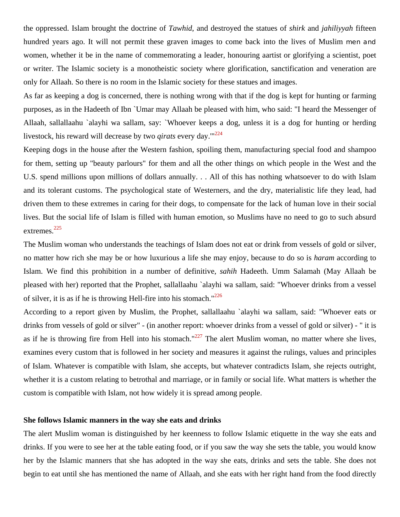the oppressed. Islam brought the doctrine of *Tawhid*, and destroyed the statues of *shirk* and *jahiliyyah* fifteen hundred years ago. It will not permit these graven images to come back into the lives of Muslim men and women, whether it be in the name of commemorating a leader, honouring aartist or glorifying a scientist, poet or writer. The Islamic society is a monotheistic society where glorification, sanctification and veneration are only for Allaah. So there is no room in the Islamic society for these statues and images.

As far as keeping a dog is concerned, there is nothing wrong with that if the dog is kept for hunting or farming purposes, as in the Hadeeth of Ibn `Umar may Allaah be pleased with him, who said: "I heard the Messenger of Allaah, sallallaahu `alayhi wa sallam, say: `Whoever keeps a dog, unless it is a dog for hunting or herding livestock, his reward will decrease by two *qirats* every day.'"<sup>224</sup>

Keeping dogs in the house after the Western fashion, spoiling them, manufacturing special food and shampoo for them, setting up "beauty parlours" for them and all the other things on which people in the West and the U.S. spend millions upon millions of dollars annually. . . All of this has nothing whatsoever to do with Islam and its tolerant customs. The psychological state of Westerners, and the dry, materialistic life they lead, had driven them to these extremes in caring for their dogs, to compensate for the lack of human love in their social lives. But the social life of Islam is filled with human emotion, so Muslims have no need to go to such absurd extremes.<sup>225</sup>

The Muslim woman who understands the teachings of Islam does not eat or drink from vessels of gold or silver, no matter how rich she may be or how luxurious a life she may enjoy, because to do so is *haram* according to Islam. We find this prohibition in a number of definitive, *sahih* Hadeeth. Umm Salamah (May Allaah be pleased with her) reported that the Prophet, sallallaahu `alayhi wa sallam, said: "Whoever drinks from a vessel of silver, it is as if he is throwing Hell-fire into his stomach."226

According to a report given by Muslim, the Prophet, sallallaahu `alayhi wa sallam, said: "Whoever eats or drinks from vessels of gold or silver" - (in another report: whoever drinks from a vessel of gold or silver) - " it is as if he is throwing fire from Hell into his stomach." $^{227}$  The alert Muslim woman, no matter where she lives, examines every custom that is followed in her society and measures it against the rulings, values and principles of Islam. Whatever is compatible with Islam, she accepts, but whatever contradicts Islam, she rejects outright, whether it is a custom relating to betrothal and marriage, or in family or social life. What matters is whether the custom is compatible with Islam, not how widely it is spread among people.

## **She follows Islamic manners in the way she eats and drinks**

The alert Muslim woman is distinguished by her keenness to follow Islamic etiquette in the way she eats and drinks. If you were to see her at the table eating food, or if you saw the way she sets the table, you would know her by the Islamic manners that she has adopted in the way she eats, drinks and sets the table. She does not begin to eat until she has mentioned the name of Allaah, and she eats with her right hand from the food directly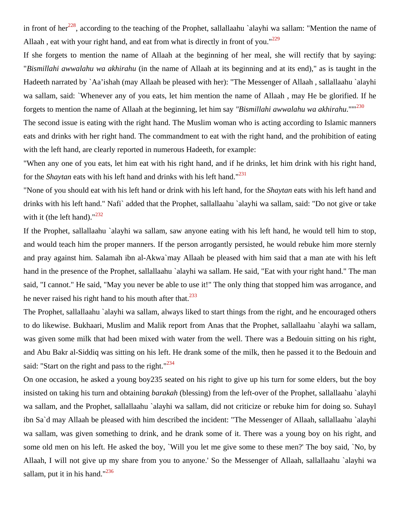in front of her<sup>228</sup>, according to the teaching of the Prophet, sallallaahu `alayhi wa sallam: "Mention the name of Allaah, eat with your right hand, and eat from what is directly in front of you."<sup>229</sup>

If she forgets to mention the name of Allaah at the beginning of her meal, she will rectify that by saying: "*Bismillahi awwalahu wa akhirahu* (in the name of Allaah at its beginning and at its end)," as is taught in the Hadeeth narrated by `Aa'ishah (may Allaah be pleased with her): "The Messenger of Allaah , sallallaahu `alayhi wa sallam, said: `Whenever any of you eats, let him mention the name of Allaah , may He be glorified. If he forgets to mention the name of Allaah at the beginning, let him say *"Bismillahi awwalahu wa akhirahu*.""<sup>230</sup>

The second issue is eating with the right hand. The Muslim woman who is acting according to Islamic manners eats and drinks with her right hand. The commandment to eat with the right hand, and the prohibition of eating with the left hand, are clearly reported in numerous Hadeeth, for example:

"When any one of you eats, let him eat with his right hand, and if he drinks, let him drink with his right hand, for the *Shaytan* eats with his left hand and drinks with his left hand."<sup>231</sup>

"None of you should eat with his left hand or drink with his left hand, for the *Shaytan* eats with his left hand and drinks with his left hand." Nafi` added that the Prophet, sallallaahu `alayhi wa sallam, said: "Do not give or take with it (the left hand)." $^{232}$ 

If the Prophet, sallallaahu `alayhi wa sallam, saw anyone eating with his left hand, he would tell him to stop, and would teach him the proper manners. If the person arrogantly persisted, he would rebuke him more sternly and pray against him. Salamah ibn al-Akwa`may Allaah be pleased with him said that a man ate with his left hand in the presence of the Prophet, sallallaahu `alayhi wa sallam. He said, "Eat with your right hand." The man said, "I cannot." He said, "May you never be able to use it!" The only thing that stopped him was arrogance, and he never raised his right hand to his mouth after that. $^{233}$ 

The Prophet, sallallaahu `alayhi wa sallam, always liked to start things from the right, and he encouraged others to do likewise. Bukhaari, Muslim and Malik report from Anas that the Prophet, sallallaahu `alayhi wa sallam, was given some milk that had been mixed with water from the well. There was a Bedouin sitting on his right, and Abu Bakr al-Siddiq was sitting on his left. He drank some of the milk, then he passed it to the Bedouin and said: "Start on the right and pass to the right."<sup>234</sup>

On one occasion, he asked a young boy235 seated on his right to give up his turn for some elders, but the boy insisted on taking his turn and obtaining *barakah* (blessing) from the left-over of the Prophet, sallallaahu `alayhi wa sallam, and the Prophet, sallallaahu `alayhi wa sallam, did not criticize or rebuke him for doing so. Suhayl ibn Sa`d may Allaah be pleased with him described the incident: "The Messenger of Allaah, sallallaahu `alayhi wa sallam, was given something to drink, and he drank some of it. There was a young boy on his right, and some old men on his left. He asked the boy, `Will you let me give some to these men?' The boy said, `No, by Allaah, I will not give up my share from you to anyone.' So the Messenger of Allaah, sallallaahu `alayhi wa sallam, put it in his hand." $^{236}$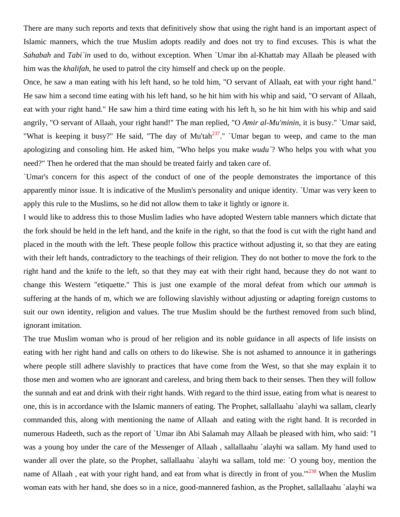There are many such reports and texts that definitively show that using the right hand is an important aspect of Islamic manners, which the true Muslim adopts readily and does not try to find excuses. This is what the *Sahabah* and *Tabi`in* used to do, without exception. When `Umar ibn al-Khattab may Allaah be pleased with him was the *khalifah*, he used to patrol the city himself and check up on the people.

Once, he saw a man eating with his left hand, so he told him, "O servant of Allaah, eat with your right hand." He saw him a second time eating with his left hand, so he hit him with his whip and said, "O servant of Allaah, eat with your right hand." He saw him a third time eating with his left h, so he hit him with his whip and said angrily, "O servant of Allaah, your right hand!" The man replied, "O *Amir al-Mu'minin*, it is busy." `Umar said, "What is keeping it busy?" He said, "The day of Mu'tah<sup>237</sup>." `Umar began to weep, and came to the man apologizing and consoling him. He asked him, "Who helps you make *wudu`*? Who helps you with what you need?" Then he ordered that the man should be treated fairly and taken care of.

`Umar's concern for this aspect of the conduct of one of the people demonstrates the importance of this apparently minor issue. It is indicative of the Muslim's personality and unique identity. `Umar was very keen to apply this rule to the Muslims, so he did not allow them to take it lightly or ignore it.

I would like to address this to those Muslim ladies who have adopted Western table manners which dictate that the fork should be held in the left hand, and the knife in the right, so that the food is cut with the right hand and placed in the mouth with the left. These people follow this practice without adjusting it, so that they are eating with their left hands, contradictory to the teachings of their religion. They do not bother to move the fork to the right hand and the knife to the left, so that they may eat with their right hand, because they do not want to change this Western "etiquette." This is just one example of the moral defeat from which our *ummah* is suffering at the hands of m, which we are following slavishly without adjusting or adapting foreign customs to suit our own identity, religion and values. The true Muslim should be the furthest removed from such blind, ignorant imitation.

The true Muslim woman who is proud of her religion and its noble guidance in all aspects of life insists on eating with her right hand and calls on others to do likewise. She is not ashamed to announce it in gatherings where people still adhere slavishly to practices that have come from the West, so that she may explain it to those men and women who are ignorant and careless, and bring them back to their senses. Then they will follow the sunnah and eat and drink with their right hands. With regard to the third issue, eating from what is nearest to one, this is in accordance with the Islamic manners of eating. The Prophet, sallallaahu `alayhi wa sallam, clearly commanded this, along with mentioning the name of Allaah and eating with the right hand. It is recorded in numerous Hadeeth, such as the report of `Umar ibn Abi Salamah may Allaah be pleased with him, who said: "I was a young boy under the care of the Messenger of Allaah, sallallaahu `alayhi wa sallam. My hand used to wander all over the plate, so the Prophet, sallallaahu `alayhi wa sallam, told me: `O young boy, mention the name of Allaah, eat with your right hand, and eat from what is directly in front of you."<sup>238</sup> When the Muslim woman eats with her hand, she does so in a nice, good-mannered fashion, as the Prophet, sallallaahu `alayhi wa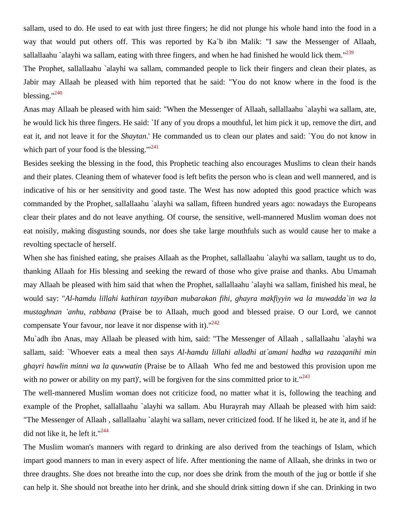sallam, used to do. He used to eat with just three fingers; he did not plunge his whole hand into the food in a way that would put others off. This was reported by Ka`b ibn Malik: "I saw the Messenger of Allaah, sallallaahu `alayhi wa sallam, eating with three fingers, and when he had finished he would lick them."<sup>239</sup>

The Prophet, sallallaahu `alayhi wa sallam, commanded people to lick their fingers and clean their plates, as Jabir may Allaah be pleased with him reported that he said: "You do not know where in the food is the blessing."<sup>240</sup>

Anas may Allaah be pleased with him said: "When the Messenger of Allaah, sallallaahu `alayhi wa sallam, ate, he would lick his three fingers. He said: `If any of you drops a mouthful, let him pick it up, remove the dirt, and eat it, and not leave it for the *Shaytan*.' He commanded us to clean our plates and said: `You do not know in which part of your food is the blessing."<sup>241</sup>

Besides seeking the blessing in the food, this Prophetic teaching also encourages Muslims to clean their hands and their plates. Cleaning them of whatever food is left befits the person who is clean and well mannered, and is indicative of his or her sensitivity and good taste. The West has now adopted this good practice which was commanded by the Prophet, sallallaahu `alayhi wa sallam, fifteen hundred years ago: nowadays the Europeans clear their plates and do not leave anything. Of course, the sensitive, well-mannered Muslim woman does not eat noisily, making disgusting sounds, nor does she take large mouthfuls such as would cause her to make a revolting spectacle of herself.

When she has finished eating, she praises Allaah as the Prophet, sallallaahu `alayhi wa sallam, taught us to do, thanking Allaah for His blessing and seeking the reward of those who give praise and thanks. Abu Umamah may Allaah be pleased with him said that when the Prophet, sallallaahu `alayhi wa sallam, finished his meal, he would say: "*Al-hamdu lillahi kathiran tayyiban mubarakan fihi, ghayra makfiyyin wa la muwadda`in wa la mustaghnan `anhu, rabbana* (Praise be to Allaah, much good and blessed praise. O our Lord, we cannot compensate Your favour, nor leave it nor dispense with it).  $1^{242}$ 

Mu`adh ibn Anas, may Allaah be pleased with him, said: "The Messenger of Allaah , sallallaahu `alayhi wa sallam, said: `Whoever eats a meal then says *Al-hamdu lillahi alladhi at`amani hadha wa razaqanihi min ghayri hawlin minni wa la quwwatin* (Praise be to Allaah Who fed me and bestowed this provision upon me with no power or ability on my part)', will be forgiven for the sins committed prior to it." $^{243}$ 

The well-mannered Muslim woman does not criticize food, no matter what it is, following the teaching and example of the Prophet, sallallaahu `alayhi wa sallam. Abu Hurayrah may Allaah be pleased with him said: "The Messenger of Allaah, sallallaahu `alayhi wa sallam, never criticized food. If he liked it, he ate it, and if he did not like it, he left it."<sup>244</sup>

The Muslim woman's manners with regard to drinking are also derived from the teachings of Islam, which impart good manners to man in every aspect of life. After mentioning the name of Allaah, she drinks in two or three draughts. She does not breathe into the cup, nor does she drink from the mouth of the jug or bottle if she can help it. She should not breathe into her drink, and she should drink sitting down if she can. Drinking in two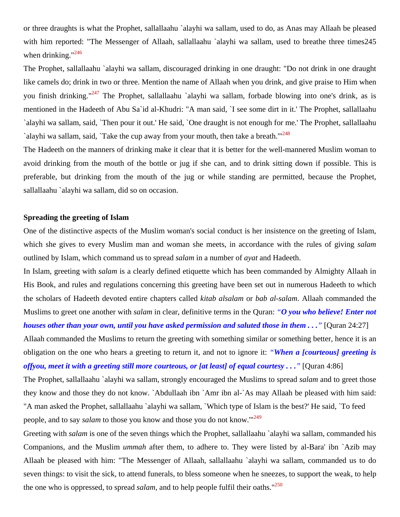or three draughts is what the Prophet, sallallaahu `alayhi wa sallam, used to do, as Anas may Allaah be pleased with him reported: "The Messenger of Allaah, sallallaahu `alayhi wa sallam, used to breathe three times245 when drinking." $^{246}$ 

The Prophet, sallallaahu `alayhi wa sallam, discouraged drinking in one draught: "Do not drink in one draught like camels do; drink in two or three. Mention the name of Allaah when you drink, and give praise to Him when you finish drinking."247 The Prophet, sallallaahu `alayhi wa sallam, forbade blowing into one's drink, as is mentioned in the Hadeeth of Abu Sa`id al-Khudri: "A man said, `I see some dirt in it.' The Prophet, sallallaahu `alayhi wa sallam, said, `Then pour it out.' He said, `One draught is not enough for me.' The Prophet, sallallaahu `alayhi wa sallam, said, `Take the cup away from your mouth, then take a breath. $1248$ 

The Hadeeth on the manners of drinking make it clear that it is better for the well-mannered Muslim woman to avoid drinking from the mouth of the bottle or jug if she can, and to drink sitting down if possible. This is preferable, but drinking from the mouth of the jug or while standing are permitted, because the Prophet, sallallaahu `alayhi wa sallam, did so on occasion.

#### **Spreading the greeting of Islam**

One of the distinctive aspects of the Muslim woman's social conduct is her insistence on the greeting of Islam, which she gives to every Muslim man and woman she meets, in accordance with the rules of giving *salam*  outlined by Islam, which command us to spread *salam* in a number of *ayat* and Hadeeth.

In Islam, greeting with *salam* is a clearly defined etiquette which has been commanded by Almighty Allaah in His Book, and rules and regulations concerning this greeting have been set out in numerous Hadeeth to which the scholars of Hadeeth devoted entire chapters called *kitab alsalam* or *bab al-salam*. Allaah commanded the Muslims to greet one another with *salam* in clear, definitive terms in the Quran: *"O you who believe! Enter not houses other than your own, until you have asked permission and saluted those in them . . ."* [Quran 24:27] Allaah commanded the Muslims to return the greeting with something similar or something better, hence it is an obligation on the one who hears a greeting to return it, and not to ignore it: *"When a [courteous] greeting is offyou, meet it with a greeting still more courteous, or [at least] of equal courtesy . . ."* [Quran 4:86]

The Prophet, sallallaahu `alayhi wa sallam, strongly encouraged the Muslims to spread *salam* and to greet those they know and those they do not know. `Abdullaah ibn `Amr ibn al-`As may Allaah be pleased with him said: "A man asked the Prophet, sallallaahu `alayhi wa sallam, `Which type of Islam is the best?' He said, `To feed people, and to say *salam* to those you know and those you do not know.'"<sup>249</sup>

Greeting with *salam* is one of the seven things which the Prophet, sallallaahu `alayhi wa sallam, commanded his Companions, and the Muslim *ummah* after them, to adhere to. They were listed by al-Bara' ibn `Azib may Allaah be pleased with him: "The Messenger of Allaah, sallallaahu `alayhi wa sallam, commanded us to do seven things: to visit the sick, to attend funerals, to bless someone when he sneezes, to support the weak, to help the one who is oppressed, to spread *salam*, and to help people fulfil their oaths."250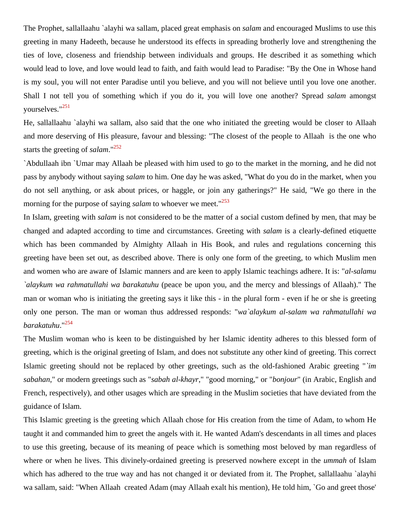The Prophet, sallallaahu `alayhi wa sallam, placed great emphasis on *salam* and encouraged Muslims to use this greeting in many Hadeeth, because he understood its effects in spreading brotherly love and strengthening the ties of love, closeness and friendship between individuals and groups. He described it as something which would lead to love, and love would lead to faith, and faith would lead to Paradise: "By the One in Whose hand is my soul, you will not enter Paradise until you believe, and you will not believe until you love one another. Shall I not tell you of something which if you do it, you will love one another? Spread *salam* amongst yourselves."251

He, sallallaahu `alayhi wa sallam, also said that the one who initiated the greeting would be closer to Allaah and more deserving of His pleasure, favour and blessing: "The closest of the people to Allaah is the one who starts the greeting of *salam*."<sup>252</sup>

`Abdullaah ibn `Umar may Allaah be pleased with him used to go to the market in the morning, and he did not pass by anybody without saying *salam* to him. One day he was asked, "What do you do in the market, when you do not sell anything, or ask about prices, or haggle, or join any gatherings?" He said, "We go there in the morning for the purpose of saying *salam* to whoever we meet."<sup>253</sup>

In Islam, greeting with *salam* is not considered to be the matter of a social custom defined by men, that may be changed and adapted according to time and circumstances. Greeting with *salam* is a clearly-defined etiquette which has been commanded by Almighty Allaah in His Book, and rules and regulations concerning this greeting have been set out, as described above. There is only one form of the greeting, to which Muslim men and women who are aware of Islamic manners and are keen to apply Islamic teachings adhere. It is: "*al-salamu `alaykum wa rahmatullahi wa barakatuhu* (peace be upon you, and the mercy and blessings of Allaah)." The man or woman who is initiating the greeting says it like this - in the plural form - even if he or she is greeting only one person. The man or woman thus addressed responds: "*wa`alaykum al-salam wa rahmatullahi wa barakatuhu*."<sup>254</sup>

The Muslim woman who is keen to be distinguished by her Islamic identity adheres to this blessed form of greeting, which is the original greeting of Islam, and does not substitute any other kind of greeting. This correct Islamic greeting should not be replaced by other greetings, such as the old-fashioned Arabic greeting "*`im sabahan*," or modern greetings such as "*sabah al-khayr*," "good morning," or "*bonjour*" (in Arabic, English and French, respectively), and other usages which are spreading in the Muslim societies that have deviated from the guidance of Islam.

This Islamic greeting is the greeting which Allaah chose for His creation from the time of Adam, to whom He taught it and commanded him to greet the angels with it. He wanted Adam's descendants in all times and places to use this greeting, because of its meaning of peace which is something most beloved by man regardless of where or when he lives. This divinely-ordained greeting is preserved nowhere except in the *ummah* of Islam which has adhered to the true way and has not changed it or deviated from it. The Prophet, sallallaahu `alayhi wa sallam, said: "When Allaah created Adam (may Allaah exalt his mention), He told him, `Go and greet those'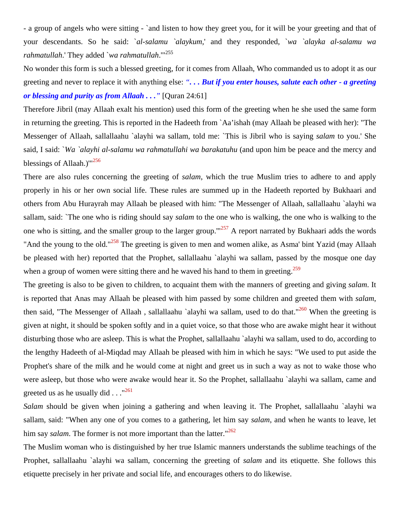- a group of angels who were sitting - `and listen to how they greet you, for it will be your greeting and that of your descendants. So he said: `*al-salamu `alaykum*,' and they responded, `*wa `alayka al-salamu wa rahmatullah*.' They added `*wa rahmatullah*.'"<sup>255</sup>

No wonder this form is such a blessed greeting, for it comes from Allaah, Who commanded us to adopt it as our greeting and never to replace it with anything else: *". . . But if you enter houses, salute each other - a greeting or blessing and purity as from Allaah . . ."* [Quran 24:61]

Therefore Jibril (may Allaah exalt his mention) used this form of the greeting when he she used the same form in returning the greeting. This is reported in the Hadeeth from `Aa'ishah (may Allaah be pleased with her): "The Messenger of Allaah, sallallaahu `alayhi wa sallam, told me: `This is Jibril who is saying *salam* to you.' She said, I said: `*Wa `alayhi al-salamu wa rahmatullahi wa barakatuhu* (and upon him be peace and the mercy and blessings of Allaah.)"<sup>256</sup>

There are also rules concerning the greeting of *salam*, which the true Muslim tries to adhere to and apply properly in his or her own social life. These rules are summed up in the Hadeeth reported by Bukhaari and others from Abu Hurayrah may Allaah be pleased with him: "The Messenger of Allaah, sallallaahu `alayhi wa sallam, said: `The one who is riding should say *salam* to the one who is walking, the one who is walking to the one who is sitting, and the smaller group to the larger group."<sup>257</sup> A report narrated by Bukhaari adds the words "And the young to the old."<sup>258</sup> The greeting is given to men and women alike, as Asma' bint Yazid (may Allaah be pleased with her) reported that the Prophet, sallallaahu `alayhi wa sallam, passed by the mosque one day when a group of women were sitting there and he waved his hand to them in greeting.<sup>259</sup>

The greeting is also to be given to children, to acquaint them with the manners of greeting and giving *salam*. It is reported that Anas may Allaah be pleased with him passed by some children and greeted them with *salam*, then said, "The Messenger of Allaah, sallallaahu `alayhi wa sallam, used to do that."<sup>260</sup> When the greeting is given at night, it should be spoken softly and in a quiet voice, so that those who are awake might hear it without disturbing those who are asleep. This is what the Prophet, sallallaahu `alayhi wa sallam, used to do, according to the lengthy Hadeeth of al-Miqdad may Allaah be pleased with him in which he says: "We used to put aside the Prophet's share of the milk and he would come at night and greet us in such a way as not to wake those who were asleep, but those who were awake would hear it. So the Prophet, sallallaahu `alayhi wa sallam, came and greeted us as he usually did  $\ldots$ <sup>261</sup>

*Salam* should be given when joining a gathering and when leaving it. The Prophet, sallallaahu `alayhi wa sallam, said: "When any one of you comes to a gathering, let him say *salam*, and when he wants to leave, let him say *salam*. The former is not more important than the latter."<sup>262</sup>

The Muslim woman who is distinguished by her true Islamic manners understands the sublime teachings of the Prophet, sallallaahu `alayhi wa sallam, concerning the greeting of *salam* and its etiquette. She follows this etiquette precisely in her private and social life, and encourages others to do likewise.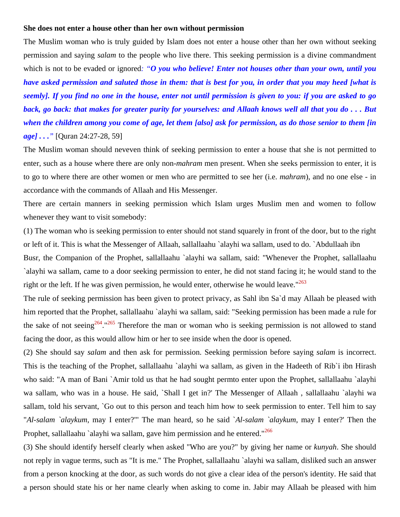#### **She does not enter a house other than her own without permission**

The Muslim woman who is truly guided by Islam does not enter a house other than her own without seeking permission and saying *salam* to the people who live there. This seeking permission is a divine commandment which is not to be evaded or ignored*: "O you who believe! Enter not houses other than your own, until you have asked permission and saluted those in them: that is best for you, in order that you may heed [what is seemly]. If you find no one in the house, enter not until permission is given to you: if you are asked to go back, go back: that makes for greater purity for yourselves: and Allaah knows well all that you do . . . But when the children among you come of age, let them [also] ask for permission, as do those senior to them [in age] . . ."* [Quran 24:27-28, 59]

The Muslim woman should neveven think of seeking permission to enter a house that she is not permitted to enter, such as a house where there are only non-*mahram* men present. When she seeks permission to enter, it is to go to where there are other women or men who are permitted to see her (i.e. *mahram*), and no one else - in accordance with the commands of Allaah and His Messenger.

There are certain manners in seeking permission which Islam urges Muslim men and women to follow whenever they want to visit somebody:

(1) The woman who is seeking permission to enter should not stand squarely in front of the door, but to the right or left of it. This is what the Messenger of Allaah, sallallaahu `alayhi wa sallam, used to do. `Abdullaah ibn Busr, the Companion of the Prophet, sallallaahu `alayhi wa sallam, said: "Whenever the Prophet, sallallaahu `alayhi wa sallam, came to a door seeking permission to enter, he did not stand facing it; he would stand to the right or the left. If he was given permission, he would enter, otherwise he would leave." $263$ 

The rule of seeking permission has been given to protect privacy, as Sahl ibn Sa`d may Allaah be pleased with him reported that the Prophet, sallallaahu `alayhi wa sallam, said: "Seeking permission has been made a rule for the sake of not seeing<sup>264</sup>.<sup>"265</sup> Therefore the man or woman who is seeking permission is not allowed to stand facing the door, as this would allow him or her to see inside when the door is opened.

(2) She should say *salam* and then ask for permission. Seeking permission before saying *salam* is incorrect. This is the teaching of the Prophet, sallallaahu `alayhi wa sallam, as given in the Hadeeth of Rib`i ibn Hirash who said: "A man of Bani `Amir told us that he had sought permto enter upon the Prophet, sallallaahu `alayhi wa sallam, who was in a house. He said, `Shall I get in?' The Messenger of Allaah , sallallaahu `alayhi wa sallam, told his servant, `Go out to this person and teach him how to seek permission to enter. Tell him to say "*Al-salam `alaykum*, may I enter?"' The man heard, so he said `*Al-salam `alaykum*, may I enter?' Then the Prophet, sallallaahu `alayhi wa sallam, gave him permission and he entered."<sup>266</sup>

(3) She should identify herself clearly when asked "Who are you?" by giving her name or *kunyah*. She should not reply in vague terms, such as "It is me." The Prophet, sallallaahu `alayhi wa sallam, disliked such an answer from a person knocking at the door, as such words do not give a clear idea of the person's identity. He said that a person should state his or her name clearly when asking to come in. Jabir may Allaah be pleased with him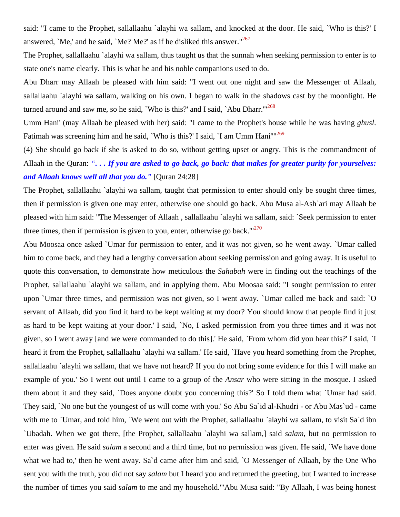said: "I came to the Prophet, sallallaahu `alayhi wa sallam, and knocked at the door. He said, `Who is this?' I answered, `Me,' and he said, `Me? Me?' as if he disliked this answer."<sup>267</sup>

The Prophet, sallallaahu `alayhi wa sallam, thus taught us that the sunnah when seeking permission to enter is to state one's name clearly. This is what he and his noble companions used to do.

Abu Dharr may Allaah be pleased with him said: "I went out one night and saw the Messenger of Allaah, sallallaahu `alayhi wa sallam, walking on his own. I began to walk in the shadows cast by the moonlight. He turned around and saw me, so he said, `Who is this?' and I said, `Abu Dharr.'"<sup>268</sup>

Umm Hani' (may Allaah be pleased with her) said: "I came to the Prophet's house while he was having *ghusl*. Fatimah was screening him and he said, `Who is this?' I said, `I am Umm Hani''"<sup>269</sup>

(4) She should go back if she is asked to do so, without getting upset or angry. This is the commandment of Allaah in the Quran: "... If you are asked to go back, go back: that makes for greater purity for yourselves: *and Allaah knows well all that you do."* [Quran 24:28]

The Prophet, sallallaahu `alayhi wa sallam, taught that permission to enter should only be sought three times, then if permission is given one may enter, otherwise one should go back. Abu Musa al-Ash`ari may Allaah be pleased with him said: "The Messenger of Allaah , sallallaahu `alayhi wa sallam, said: `Seek permission to enter three times, then if permission is given to you, enter, otherwise go back. $1270$ 

Abu Moosaa once asked `Umar for permission to enter, and it was not given, so he went away. `Umar called him to come back, and they had a lengthy conversation about seeking permission and going away. It is useful to quote this conversation, to demonstrate how meticulous the *Sahabah* were in finding out the teachings of the Prophet, sallallaahu `alayhi wa sallam, and in applying them. Abu Moosaa said: "I sought permission to enter upon `Umar three times, and permission was not given, so I went away. `Umar called me back and said: `O servant of Allaah, did you find it hard to be kept waiting at my door? You should know that people find it just as hard to be kept waiting at your door.' I said, `No, I asked permission from you three times and it was not given, so I went away [and we were commanded to do this].' He said, `From whom did you hear this?' I said, `I heard it from the Prophet, sallallaahu `alayhi wa sallam.' He said, `Have you heard something from the Prophet, sallallaahu `alayhi wa sallam, that we have not heard? If you do not bring some evidence for this I will make an example of you.' So I went out until I came to a group of the *Ansar* who were sitting in the mosque. I asked them about it and they said, `Does anyone doubt you concerning this?' So I told them what `Umar had said. They said, `No one but the youngest of us will come with you.' So Abu Sa`id al-Khudri - or Abu Mas`ud - came with me to `Umar, and told him, `We went out with the Prophet, sallallaahu `alayhi wa sallam, to visit Sa`d ibn `Ubadah. When we got there, [the Prophet, sallallaahu `alayhi wa sallam,] said *salam*, but no permission to enter was given. He said *salam* a second and a third time, but no permission was given. He said, `We have done what we had to,' then he went away. Sa`d came after him and said, `O Messenger of Allaah, by the One Who sent you with the truth, you did not say *salam* but I heard you and returned the greeting, but I wanted to increase the number of times you said *salam* to me and my household.'"Abu Musa said: "By Allaah, I was being honest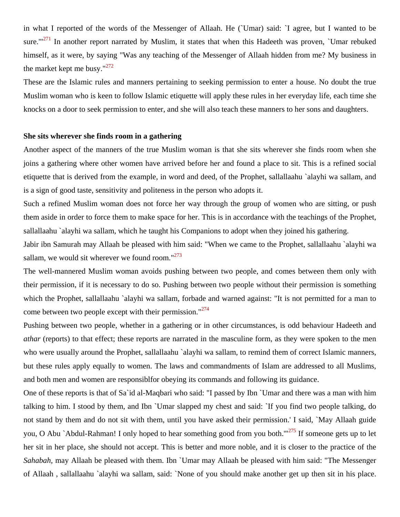in what I reported of the words of the Messenger of Allaah. He (`Umar) said: `I agree, but I wanted to be sure."<sup>271</sup> In another report narrated by Muslim, it states that when this Hadeeth was proven, `Umar rebuked himself, as it were, by saying "Was any teaching of the Messenger of Allaah hidden from me? My business in the market kept me busy."<sup>272</sup>

These are the Islamic rules and manners pertaining to seeking permission to enter a house. No doubt the true Muslim woman who is keen to follow Islamic etiquette will apply these rules in her everyday life, each time she knocks on a door to seek permission to enter, and she will also teach these manners to her sons and daughters.

#### **She sits wherever she finds room in a gathering**

Another aspect of the manners of the true Muslim woman is that she sits wherever she finds room when she joins a gathering where other women have arrived before her and found a place to sit. This is a refined social etiquette that is derived from the example, in word and deed, of the Prophet, sallallaahu `alayhi wa sallam, and is a sign of good taste, sensitivity and politeness in the person who adopts it.

Such a refined Muslim woman does not force her way through the group of women who are sitting, or push them aside in order to force them to make space for her. This is in accordance with the teachings of the Prophet, sallallaahu `alayhi wa sallam, which he taught his Companions to adopt when they joined his gathering.

Jabir ibn Samurah may Allaah be pleased with him said: "When we came to the Prophet, sallallaahu `alayhi wa sallam, we would sit wherever we found room." $273$ 

The well-mannered Muslim woman avoids pushing between two people, and comes between them only with their permission, if it is necessary to do so. Pushing between two people without their permission is something which the Prophet, sallallaahu `alayhi wa sallam, forbade and warned against: "It is not permitted for a man to come between two people except with their permission."<sup>274</sup>

Pushing between two people, whether in a gathering or in other circumstances, is odd behaviour Hadeeth and *athar* (reports) to that effect; these reports are narrated in the masculine form, as they were spoken to the men who were usually around the Prophet, sallallaahu `alayhi wa sallam, to remind them of correct Islamic manners, but these rules apply equally to women. The laws and commandments of Islam are addressed to all Muslims, and both men and women are responsiblfor obeying its commands and following its guidance.

One of these reports is that of Sa`id al-Maqbari who said: "I passed by Ibn `Umar and there was a man with him talking to him. I stood by them, and Ibn `Umar slapped my chest and said: `If you find two people talking, do not stand by them and do not sit with them, until you have asked their permission.' I said, `May Allaah guide you, O Abu `Abdul-Rahman! I only hoped to hear something good from you both."<sup>275</sup> If someone gets up to let her sit in her place, she should not accept. This is better and more noble, and it is closer to the practice of the *Sahabah*, may Allaah be pleased with them. Ibn `Umar may Allaah be pleased with him said: "The Messenger of Allaah , sallallaahu `alayhi wa sallam, said: `None of you should make another get up then sit in his place.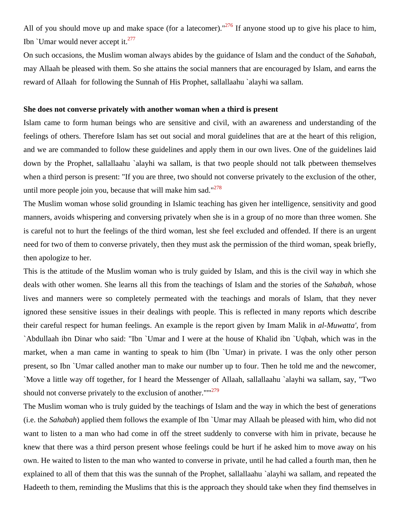All of you should move up and make space (for a latecomer)."<sup>276</sup> If anyone stood up to give his place to him, Ibn `Umar would never accept it.<sup>277</sup>

On such occasions, the Muslim woman always abides by the guidance of Islam and the conduct of the *Sahabah*, may Allaah be pleased with them. So she attains the social manners that are encouraged by Islam, and earns the reward of Allaah for following the Sunnah of His Prophet, sallallaahu `alayhi wa sallam.

### **She does not converse privately with another woman when a third is present**

Islam came to form human beings who are sensitive and civil, with an awareness and understanding of the feelings of others. Therefore Islam has set out social and moral guidelines that are at the heart of this religion, and we are commanded to follow these guidelines and apply them in our own lives. One of the guidelines laid down by the Prophet, sallallaahu `alayhi wa sallam, is that two people should not talk pbetween themselves when a third person is present: "If you are three, two should not converse privately to the exclusion of the other, until more people join you, because that will make him sad."<sup>278</sup>

The Muslim woman whose solid grounding in Islamic teaching has given her intelligence, sensitivity and good manners, avoids whispering and conversing privately when she is in a group of no more than three women. She is careful not to hurt the feelings of the third woman, lest she feel excluded and offended. If there is an urgent need for two of them to converse privately, then they must ask the permission of the third woman, speak briefly, then apologize to her.

This is the attitude of the Muslim woman who is truly guided by Islam, and this is the civil way in which she deals with other women. She learns all this from the teachings of Islam and the stories of the *Sahabah*, whose lives and manners were so completely permeated with the teachings and morals of Islam, that they never ignored these sensitive issues in their dealings with people. This is reflected in many reports which describe their careful respect for human feelings. An example is the report given by Imam Malik in *al-Muwatta'*, from `Abdullaah ibn Dinar who said: "Ibn `Umar and I were at the house of Khalid ibn `Uqbah, which was in the market, when a man came in wanting to speak to him (Ibn `Umar) in private. I was the only other person present, so Ibn `Umar called another man to make our number up to four. Then he told me and the newcomer, `Move a little way off together, for I heard the Messenger of Allaah, sallallaahu `alayhi wa sallam, say, "Two should not converse privately to the exclusion of another." $10^{279}$ 

The Muslim woman who is truly guided by the teachings of Islam and the way in which the best of generations (i.e. the *Sahabah*) applied them follows the example of Ibn `Umar may Allaah be pleased with him, who did not want to listen to a man who had come in off the street suddenly to converse with him in private, because he knew that there was a third person present whose feelings could be hurt if he asked him to move away on his own. He waited to listen to the man who wanted to converse in private, until he had called a fourth man, then he explained to all of them that this was the sunnah of the Prophet, sallallaahu `alayhi wa sallam, and repeated the Hadeeth to them, reminding the Muslims that this is the approach they should take when they find themselves in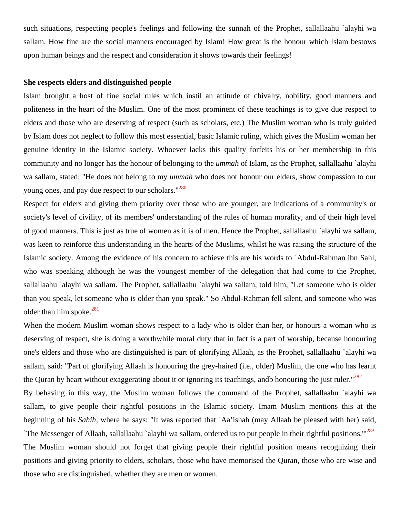such situations, respecting people's feelings and following the sunnah of the Prophet, sallallaahu `alayhi wa sallam. How fine are the social manners encouraged by Islam! How great is the honour which Islam bestows upon human beings and the respect and consideration it shows towards their feelings!

#### **She respects elders and distinguished people**

Islam brought a host of fine social rules which instil an attitude of chivalry, nobility, good manners and politeness in the heart of the Muslim. One of the most prominent of these teachings is to give due respect to elders and those who are deserving of respect (such as scholars, etc.) The Muslim woman who is truly guided by Islam does not neglect to follow this most essential, basic Islamic ruling, which gives the Muslim woman her genuine identity in the Islamic society. Whoever lacks this quality forfeits his or her membership in this community and no longer has the honour of belonging to the *ummah* of Islam, as the Prophet, sallallaahu `alayhi wa sallam, stated: "He does not belong to my *ummah* who does not honour our elders, show compassion to our young ones, and pay due respect to our scholars."<sup>280</sup>

Respect for elders and giving them priority over those who are younger, are indications of a community's or society's level of civility, of its members' understanding of the rules of human morality, and of their high level of good manners. This is just as true of women as it is of men. Hence the Prophet, sallallaahu `alayhi wa sallam, was keen to reinforce this understanding in the hearts of the Muslims, whilst he was raising the structure of the Islamic society. Among the evidence of his concern to achieve this are his words to `Abdul-Rahman ibn Sahl, who was speaking although he was the youngest member of the delegation that had come to the Prophet, sallallaahu `alayhi wa sallam. The Prophet, sallallaahu `alayhi wa sallam, told him, "Let someone who is older than you speak, let someone who is older than you speak." So Abdul-Rahman fell silent, and someone who was older than him spoke. $^{281}$ 

When the modern Muslim woman shows respect to a lady who is older than her, or honours a woman who is deserving of respect, she is doing a worthwhile moral duty that in fact is a part of worship, because honouring one's elders and those who are distinguished is part of glorifying Allaah, as the Prophet, sallallaahu `alayhi wa sallam, said: "Part of glorifying Allaah is honouring the grey-haired (i.e., older) Muslim, the one who has learnt the Quran by heart without exaggerating about it or ignoring its teachings, andb honouring the just ruler.<sup> $1282$ </sup>

By behaving in this way, the Muslim woman follows the command of the Prophet, sallallaahu `alayhi wa sallam, to give people their rightful positions in the Islamic society. Imam Muslim mentions this at the beginning of his *Sahih*, where he says: "It was reported that `Aa'ishah (may Allaah be pleased with her) said, `The Messenger of Allaah, sallallaahu `alayhi wa sallam, ordered us to put people in their rightful positions.'"<sup>283</sup> The Muslim woman should not forget that giving people their rightful position means recognizing their

positions and giving priority to elders, scholars, those who have memorised the Quran, those who are wise and those who are distinguished, whether they are men or women.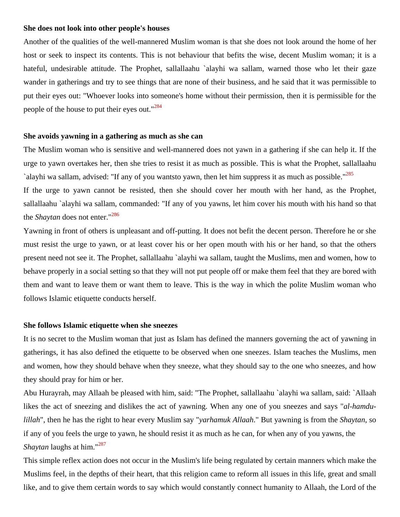#### **She does not look into other people's houses**

Another of the qualities of the well-mannered Muslim woman is that she does not look around the home of her host or seek to inspect its contents. This is not behaviour that befits the wise, decent Muslim woman; it is a hateful, undesirable attitude. The Prophet, sallallaahu `alayhi wa sallam, warned those who let their gaze wander in gatherings and try to see things that are none of their business, and he said that it was permissible to put their eyes out: "Whoever looks into someone's home without their permission, then it is permissible for the people of the house to put their eyes out."284

#### **She avoids yawning in a gathering as much as she can**

The Muslim woman who is sensitive and well-mannered does not yawn in a gathering if she can help it. If the urge to yawn overtakes her, then she tries to resist it as much as possible. This is what the Prophet, sallallaahu `alayhi wa sallam, advised: "If any of you wantsto yawn, then let him suppress it as much as possible."<sup>285</sup>

If the urge to yawn cannot be resisted, then she should cover her mouth with her hand, as the Prophet, sallallaahu `alayhi wa sallam, commanded: "If any of you yawns, let him cover his mouth with his hand so that the *Shaytan* does not enter."<sup>286</sup>

Yawning in front of others is unpleasant and off-putting. It does not befit the decent person. Therefore he or she must resist the urge to yawn, or at least cover his or her open mouth with his or her hand, so that the others present need not see it. The Prophet, sallallaahu `alayhi wa sallam, taught the Muslims, men and women, how to behave properly in a social setting so that they will not put people off or make them feel that they are bored with them and want to leave them or want them to leave. This is the way in which the polite Muslim woman who follows Islamic etiquette conducts herself.

#### **She follows Islamic etiquette when she sneezes**

It is no secret to the Muslim woman that just as Islam has defined the manners governing the act of yawning in gatherings, it has also defined the etiquette to be observed when one sneezes. Islam teaches the Muslims, men and women, how they should behave when they sneeze, what they should say to the one who sneezes, and how they should pray for him or her.

Abu Hurayrah, may Allaah be pleased with him, said: "The Prophet, sallallaahu `alayhi wa sallam, said: `Allaah likes the act of sneezing and dislikes the act of yawning. When any one of you sneezes and says "*al-hamdulillah*", then he has the right to hear every Muslim say "*yarhamuk Allaah*." But yawning is from the *Shaytan*, so if any of you feels the urge to yawn, he should resist it as much as he can, for when any of you yawns, the *Shaytan* laughs at him."<sup>287</sup>

This simple reflex action does not occur in the Muslim's life being regulated by certain manners which make the Muslims feel, in the depths of their heart, that this religion came to reform all issues in this life, great and small like, and to give them certain words to say which would constantly connect humanity to Allaah, the Lord of the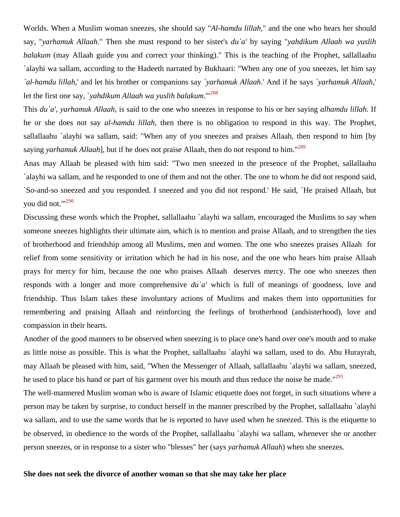Worlds. When a Muslim woman sneezes, she should say "*Al-hamdu lillah*," and the one who hears her should say, "*yarhamuk Allaah*." Then she must respond to her sister's *du`a'* by saying "*yahdikum Allaah wa yuslih balakum* (may Allaah guide you and correct your thinking)." This is the teaching of the Prophet, sallallaahu `alayhi wa sallam, according to the Hadeeth narrated by Bukhaari: "When any one of you sneezes, let him say *`al-hamdu lillah*,' and let his brother or companions say *`yarhamuk Allaah*.' And if he says *`yarhamuk Allaah*,' let the first one say, `*yahdikum Allaah wa yuslih balakum*.'"<sup>288</sup>

This *du`a'*, *yarhamuk Allaah*, is said to the one who sneezes in response to his or her saying *alhamdu lillah*. If he or she does not say *al-hamdu lillah*, then there is no obligation to respond in this way. The Prophet, sallallaahu `alayhi wa sallam, said: "When any of you sneezes and praises Allaah, then respond to him [by saying *yarhamuk Allaah*], but if he does not praise Allaah, then do not respond to him."<sup>289</sup>

Anas may Allaah be pleased with him said: "Two men sneezed in the presence of the Prophet, sallallaahu `alayhi wa sallam, and he responded to one of them and not the other. The one to whom he did not respond said, `So-and-so sneezed and you responded. I sneezed and you did not respond.' He said, `He praised Allaah, but you did not."<sup>290</sup>

Discussing these words which the Prophet, sallallaahu `alayhi wa sallam, encouraged the Muslims to say when someone sneezes highlights their ultimate aim, which is to mention and praise Allaah, and to strengthen the ties of brotherhood and friendship among all Muslims, men and women. The one who sneezes praises Allaah for relief from some sensitivity or irritation which he had in his nose, and the one who hears him praise Allaah prays for mercy for him, because the one who praises Allaah deserves mercy. The one who sneezes then responds with a longer and more comprehensive *du`a'* which is full of meanings of goodness, love and friendship. Thus Islam takes these involuntary actions of Muslims and makes them into opportunities for remembering and praising Allaah and reinforcing the feelings of brotherhood (andsisterhood), love and compassion in their hearts.

Another of the good manners to be observed when sneezing is to place one's hand over one's mouth and to make as little noise as possible. This is what the Prophet, sallallaahu `alayhi wa sallam, used to do. Abu Hurayrah, may Allaah be pleased with him, said, "When the Messenger of Allaah, sallallaahu `alayhi wa sallam, sneezed, he used to place his hand or part of his garment over his mouth and thus reduce the noise he made."<sup>291</sup>

The well-mannered Muslim woman who is aware of Islamic etiquette does not forget, in such situations where a person may be taken by surprise, to conduct herself in the manner prescribed by the Prophet, sallallaahu `alayhi wa sallam, and to use the same words that he is reported to have used when he sneezed. This is the etiquette to be observed, in obedience to the words of the Prophet, sallallaahu `alayhi wa sallam, whenever she or another person sneezes, or in response to a sister who "blesses" her (says *yarhamuk Allaah*) when she sneezes.

## **She does not seek the divorce of another woman so that she may take her place**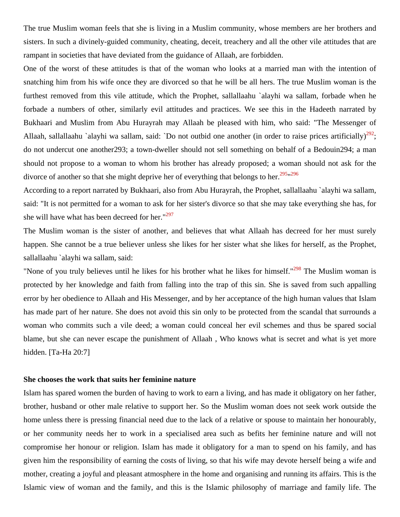The true Muslim woman feels that she is living in a Muslim community, whose members are her brothers and sisters. In such a divinely-guided community, cheating, deceit, treachery and all the other vile attitudes that are rampant in societies that have deviated from the guidance of Allaah, are forbidden.

One of the worst of these attitudes is that of the woman who looks at a married man with the intention of snatching him from his wife once they are divorced so that he will be all hers. The true Muslim woman is the furthest removed from this vile attitude, which the Prophet, sallallaahu `alayhi wa sallam, forbade when he forbade a numbers of other, similarly evil attitudes and practices. We see this in the Hadeeth narrated by Bukhaari and Muslim from Abu Hurayrah may Allaah be pleased with him, who said: "The Messenger of Allaah, sallallaahu `alayhi wa sallam, said: `Do not outbid one another (in order to raise prices artificially)<sup>292</sup>; do not undercut one another293; a town-dweller should not sell something on behalf of a Bedouin294; a man should not propose to a woman to whom his brother has already proposed; a woman should not ask for the divorce of another so that she might deprive her of everything that belongs to her.<sup>295</sup><sup>1296</sup>

According to a report narrated by Bukhaari, also from Abu Hurayrah, the Prophet, sallallaahu `alayhi wa sallam, said: "It is not permitted for a woman to ask for her sister's divorce so that she may take everything she has, for she will have what has been decreed for her."<sup>297</sup>

The Muslim woman is the sister of another, and believes that what Allaah has decreed for her must surely happen. She cannot be a true believer unless she likes for her sister what she likes for herself, as the Prophet, sallallaahu `alayhi wa sallam, said:

"None of you truly believes until he likes for his brother what he likes for himself."<sup>298</sup> The Muslim woman is protected by her knowledge and faith from falling into the trap of this sin. She is saved from such appalling error by her obedience to Allaah and His Messenger, and by her acceptance of the high human values that Islam has made part of her nature. She does not avoid this sin only to be protected from the scandal that surrounds a woman who commits such a vile deed; a woman could conceal her evil schemes and thus be spared social blame, but she can never escape the punishment of Allaah , Who knows what is secret and what is yet more hidden. [Ta-Ha 20:7]

### **She chooses the work that suits her feminine nature**

Islam has spared women the burden of having to work to earn a living, and has made it obligatory on her father, brother, husband or other male relative to support her. So the Muslim woman does not seek work outside the home unless there is pressing financial need due to the lack of a relative or spouse to maintain her honourably, or her community needs her to work in a specialised area such as befits her feminine nature and will not compromise her honour or religion. Islam has made it obligatory for a man to spend on his family, and has given him the responsibility of earning the costs of living, so that his wife may devote herself being a wife and mother, creating a joyful and pleasant atmosphere in the home and organising and running its affairs. This is the Islamic view of woman and the family, and this is the Islamic philosophy of marriage and family life. The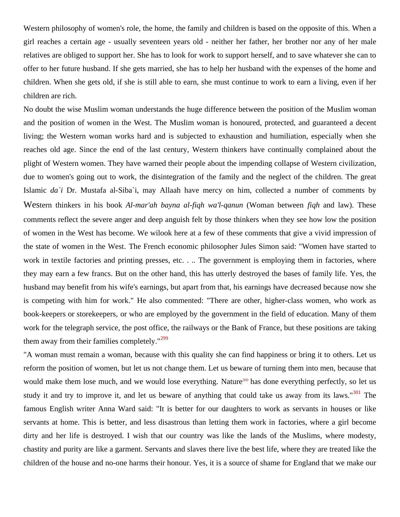Western philosophy of women's role, the home, the family and children is based on the opposite of this. When a girl reaches a certain age - usually seventeen years old - neither her father, her brother nor any of her male relatives are obliged to support her. She has to look for work to support herself, and to save whatever she can to offer to her future husband. If she gets married, she has to help her husband with the expenses of the home and children. When she gets old, if she is still able to earn, she must continue to work to earn a living, even if her children are rich.

No doubt the wise Muslim woman understands the huge difference between the position of the Muslim woman and the position of women in the West. The Muslim woman is honoured, protected, and guaranteed a decent living; the Western woman works hard and is subjected to exhaustion and humiliation, especially when she reaches old age. Since the end of the last century, Western thinkers have continually complained about the plight of Western women. They have warned their people about the impending collapse of Western civilization, due to women's going out to work, the disintegration of the family and the neglect of the children. The great Islamic *da`i* Dr. Mustafa al-Siba`i, may Allaah have mercy on him, collected a number of comments by Western thinkers in his book *Al-mar'ah bayna al-fiqh wa'l-qanun* (Woman between *fiqh* and law). These comments reflect the severe anger and deep anguish felt by those thinkers when they see how low the position of women in the West has become. We wilook here at a few of these comments that give a vivid impression of the state of women in the West. The French economic philosopher Jules Simon said: "Women have started to work in textile factories and printing presses, etc. . .. The government is employing them in factories, where they may earn a few francs. But on the other hand, this has utterly destroyed the bases of family life. Yes, the husband may benefit from his wife's earnings, but apart from that, his earnings have decreased because now she is competing with him for work." He also commented: "There are other, higher-class women, who work as book-keepers or storekeepers, or who are employed by the government in the field of education. Many of them work for the telegraph service, the post office, the railways or the Bank of France, but these positions are taking them away from their families completely."<sup>299</sup>

"A woman must remain a woman, because with this quality she can find happiness or bring it to others. Let us reform the position of women, but let us not change them. Let us beware of turning them into men, because that would make them lose much, and we would lose everything. Nature<sup>300</sup> has done everything perfectly, so let us study it and try to improve it, and let us beware of anything that could take us away from its laws."<sup>301</sup> The famous English writer Anna Ward said: "It is better for our daughters to work as servants in houses or like servants at home. This is better, and less disastrous than letting them work in factories, where a girl become dirty and her life is destroyed. I wish that our country was like the lands of the Muslims, where modesty, chastity and purity are like a garment. Servants and slaves there live the best life, where they are treated like the children of the house and no-one harms their honour. Yes, it is a source of shame for England that we make our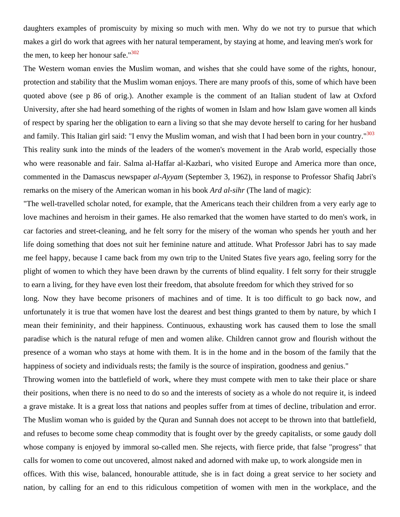daughters examples of promiscuity by mixing so much with men. Why do we not try to pursue that which makes a girl do work that agrees with her natural temperament, by staying at home, and leaving men's work for the men, to keep her honour safe."302

The Western woman envies the Muslim woman, and wishes that she could have some of the rights, honour, protection and stability that the Muslim woman enjoys. There are many proofs of this, some of which have been quoted above (see p 86 of orig.). Another example is the comment of an Italian student of law at Oxford University, after she had heard something of the rights of women in Islam and how Islam gave women all kinds of respect by sparing her the obligation to earn a living so that she may devote herself to caring for her husband and family. This Italian girl said: "I envy the Muslim woman, and wish that I had been born in your country."<sup>303</sup> This reality sunk into the minds of the leaders of the women's movement in the Arab world, especially those who were reasonable and fair. Salma al-Haffar al-Kazbari, who visited Europe and America more than once, commented in the Damascus newspaper *al-Ayyam* (September 3, 1962), in response to Professor Shafiq Jabri's remarks on the misery of the American woman in his book *Ard al-sihr* (The land of magic):

"The well-travelled scholar noted, for example, that the Americans teach their children from a very early age to love machines and heroism in their games. He also remarked that the women have started to do men's work, in car factories and street-cleaning, and he felt sorry for the misery of the woman who spends her youth and her life doing something that does not suit her feminine nature and attitude. What Professor Jabri has to say made me feel happy, because I came back from my own trip to the United States five years ago, feeling sorry for the plight of women to which they have been drawn by the currents of blind equality. I felt sorry for their struggle to earn a living, for they have even lost their freedom, that absolute freedom for which they strived for so

long. Now they have become prisoners of machines and of time. It is too difficult to go back now, and unfortunately it is true that women have lost the dearest and best things granted to them by nature, by which I mean their femininity, and their happiness. Continuous, exhausting work has caused them to lose the small paradise which is the natural refuge of men and women alike. Children cannot grow and flourish without the presence of a woman who stays at home with them. It is in the home and in the bosom of the family that the happiness of society and individuals rests; the family is the source of inspiration, goodness and genius."

Throwing women into the battlefield of work, where they must compete with men to take their place or share their positions, when there is no need to do so and the interests of society as a whole do not require it, is indeed a grave mistake. It is a great loss that nations and peoples suffer from at times of decline, tribulation and error. The Muslim woman who is guided by the Quran and Sunnah does not accept to be thrown into that battlefield, and refuses to become some cheap commodity that is fought over by the greedy capitalists, or some gaudy doll whose company is enjoyed by immoral so-called men. She rejects, with fierce pride, that false "progress" that calls for women to come out uncovered, almost naked and adorned with make up, to work alongside men in offices. With this wise, balanced, honourable attitude, she is in fact doing a great service to her society and nation, by calling for an end to this ridiculous competition of women with men in the workplace, and the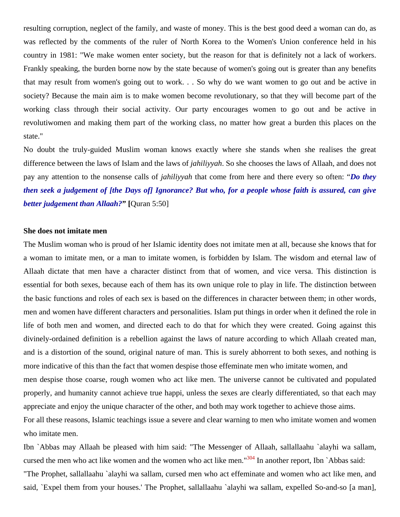resulting corruption, neglect of the family, and waste of money. This is the best good deed a woman can do, as was reflected by the comments of the ruler of North Korea to the Women's Union conference held in his country in 1981: "We make women enter society, but the reason for that is definitely not a lack of workers. Frankly speaking, the burden borne now by the state because of women's going out is greater than any benefits that may result from women's going out to work. . . So why do we want women to go out and be active in society? Because the main aim is to make women become revolutionary, so that they will become part of the working class through their social activity. Our party encourages women to go out and be active in revolutiwomen and making them part of the working class, no matter how great a burden this places on the state."

No doubt the truly-guided Muslim woman knows exactly where she stands when she realises the great difference between the laws of Islam and the laws of *jahiliyyah*. So she chooses the laws of Allaah, and does not pay any attention to the nonsense calls of *jahiliyyah* that come from here and there every so often: "*Do they then seek a judgement of [the Days of] Ignorance? But who, for a people whose faith is assured, can give better judgement than Allaah?***" [**Quran 5:50]

### **She does not imitate men**

The Muslim woman who is proud of her Islamic identity does not imitate men at all, because she knows that for a woman to imitate men, or a man to imitate women, is forbidden by Islam. The wisdom and eternal law of Allaah dictate that men have a character distinct from that of women, and vice versa. This distinction is essential for both sexes, because each of them has its own unique role to play in life. The distinction between the basic functions and roles of each sex is based on the differences in character between them; in other words, men and women have different characters and personalities. Islam put things in order when it defined the role in life of both men and women, and directed each to do that for which they were created. Going against this divinely-ordained definition is a rebellion against the laws of nature according to which Allaah created man, and is a distortion of the sound, original nature of man. This is surely abhorrent to both sexes, and nothing is more indicative of this than the fact that women despise those effeminate men who imitate women, and men despise those coarse, rough women who act like men. The universe cannot be cultivated and populated properly, and humanity cannot achieve true happi, unless the sexes are clearly differentiated, so that each may appreciate and enjoy the unique character of the other, and both may work together to achieve those aims. For all these reasons, Islamic teachings issue a severe and clear warning to men who imitate women and women who imitate men.

Ibn `Abbas may Allaah be pleased with him said: "The Messenger of Allaah, sallallaahu `alayhi wa sallam, cursed the men who act like women and the women who act like men."<sup>304</sup> In another report, Ibn `Abbas said: "The Prophet, sallallaahu `alayhi wa sallam, cursed men who act effeminate and women who act like men, and said, `Expel them from your houses.' The Prophet, sallallaahu `alayhi wa sallam, expelled So-and-so [a man],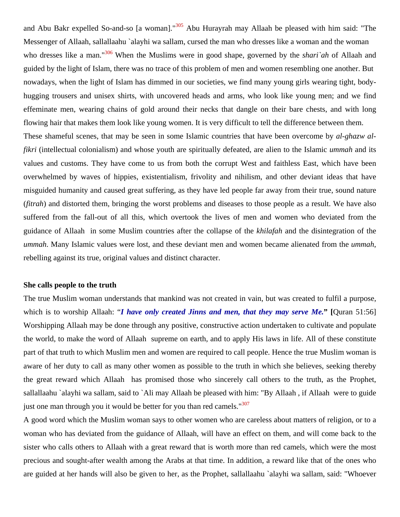and Abu Bakr expelled So-and-so [a woman]."<sup>305</sup> Abu Hurayrah may Allaah be pleased with him said: "The Messenger of Allaah, sallallaahu `alayhi wa sallam, cursed the man who dresses like a woman and the woman who dresses like a man."<sup>306</sup> When the Muslims were in good shape, governed by the *shari* ah of Allaah and guided by the light of Islam, there was no trace of this problem of men and women resembling one another. But nowadays, when the light of Islam has dimmed in our societies, we find many young girls wearing tight, bodyhugging trousers and unisex shirts, with uncovered heads and arms, who look like young men; and we find effeminate men, wearing chains of gold around their necks that dangle on their bare chests, and with long flowing hair that makes them look like young women. It is very difficult to tell the difference between them. These shameful scenes, that may be seen in some Islamic countries that have been overcome by *al-ghazw alfikri* (intellectual colonialism) and whose youth are spiritually defeated, are alien to the Islamic *ummah* and its values and customs. They have come to us from both the corrupt West and faithless East, which have been overwhelmed by waves of hippies, existentialism, frivolity and nihilism, and other deviant ideas that have misguided humanity and caused great suffering, as they have led people far away from their true, sound nature (*fitrah*) and distorted them, bringing the worst problems and diseases to those people as a result. We have also suffered from the fall-out of all this, which overtook the lives of men and women who deviated from the guidance of Allaah in some Muslim countries after the collapse of the *khilafah* and the disintegration of the *ummah*. Many Islamic values were lost, and these deviant men and women became alienated from the *ummah*, rebelling against its true, original values and distinct character.

### **She calls people to the truth**

The true Muslim woman understands that mankind was not created in vain, but was created to fulfil a purpose, which is to worship Allaah: "*I have only created Jinns and men, that they may serve Me.*" [Quran 51:56] Worshipping Allaah may be done through any positive, constructive action undertaken to cultivate and populate the world, to make the word of Allaah supreme on earth, and to apply His laws in life. All of these constitute part of that truth to which Muslim men and women are required to call people. Hence the true Muslim woman is aware of her duty to call as many other women as possible to the truth in which she believes, seeking thereby the great reward which Allaah has promised those who sincerely call others to the truth, as the Prophet, sallallaahu `alayhi wa sallam, said to `Ali may Allaah be pleased with him: "By Allaah, if Allaah were to guide just one man through you it would be better for you than red camels." $307$ 

A good word which the Muslim woman says to other women who are careless about matters of religion, or to a woman who has deviated from the guidance of Allaah, will have an effect on them, and will come back to the sister who calls others to Allaah with a great reward that is worth more than red camels, which were the most precious and sought-after wealth among the Arabs at that time. In addition, a reward like that of the ones who are guided at her hands will also be given to her, as the Prophet, sallallaahu `alayhi wa sallam, said: "Whoever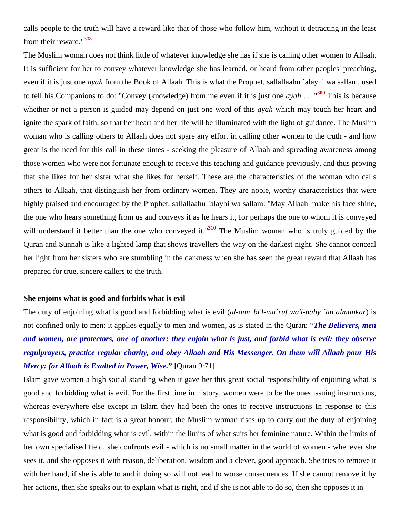calls people to the truth will have a reward like that of those who follow him, without it detracting in the least from their reward."308

The Muslim woman does not think little of whatever knowledge she has if she is calling other women to Allaah. It is sufficient for her to convey whatever knowledge she has learned, or heard from other peoples' preaching, even if it is just one *ayah* from the Book of Allaah. This is what the Prophet, sallallaahu `alayhi wa sallam, used to tell his Companions to do: "Convey (knowledge) from me even if it is just one *ayah* . . ."**<sup>309</sup>** This is because whether or not a person is guided may depend on just one word of this *ayah* which may touch her heart and ignite the spark of faith, so that her heart and her life will be illuminated with the light of guidance. The Muslim woman who is calling others to Allaah does not spare any effort in calling other women to the truth - and how great is the need for this call in these times - seeking the pleasure of Allaah and spreading awareness among those women who were not fortunate enough to receive this teaching and guidance previously, and thus proving that she likes for her sister what she likes for herself. These are the characteristics of the woman who calls others to Allaah, that distinguish her from ordinary women. They are noble, worthy characteristics that were highly praised and encouraged by the Prophet, sallallaahu `alayhi wa sallam: "May Allaah make his face shine, the one who hears something from us and conveys it as he hears it, for perhaps the one to whom it is conveyed will understand it better than the one who conveyed it."<sup>310</sup> The Muslim woman who is truly guided by the Quran and Sunnah is like a lighted lamp that shows travellers the way on the darkest night. She cannot conceal her light from her sisters who are stumbling in the darkness when she has seen the great reward that Allaah has prepared for true, sincere callers to the truth.

### **She enjoins what is good and forbids what is evil**

The duty of enjoining what is good and forbidding what is evil (*al-amr bi'l-ma`ruf wa'l-nahy `an almunkar*) is not confined only to men; it applies equally to men and women, as is stated in the Quran: "*The Believers, men and women, are protectors, one of another: they enjoin what is just, and forbid what is evil: they observe regulprayers, practice regular charity, and obey Allaah and His Messenger. On them will Allaah pour His Mercy: for Allaah is Exalted in Power, Wise.***" [**Quran 9:71]

Islam gave women a high social standing when it gave her this great social responsibility of enjoining what is good and forbidding what is evil. For the first time in history, women were to be the ones issuing instructions, whereas everywhere else except in Islam they had been the ones to receive instructions In response to this responsibility, which in fact is a great honour, the Muslim woman rises up to carry out the duty of enjoining what is good and forbidding what is evil, within the limits of what suits her feminine nature. Within the limits of her own specialised field, she confronts evil - which is no small matter in the world of women - whenever she sees it, and she opposes it with reason, deliberation, wisdom and a clever, good approach. She tries to remove it with her hand, if she is able to and if doing so will not lead to worse consequences. If she cannot remove it by her actions, then she speaks out to explain what is right, and if she is not able to do so, then she opposes it in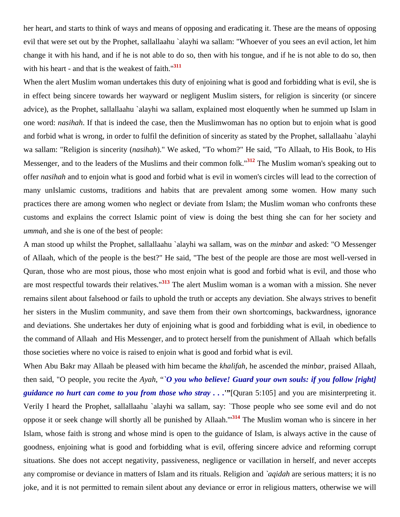her heart, and starts to think of ways and means of opposing and eradicating it. These are the means of opposing evil that were set out by the Prophet, sallallaahu `alayhi wa sallam: "Whoever of you sees an evil action, let him change it with his hand, and if he is not able to do so, then with his tongue, and if he is not able to do so, then with his heart - and that is the weakest of faith."**<sup>311</sup>**

When the alert Muslim woman undertakes this duty of enjoining what is good and forbidding what is evil, she is in effect being sincere towards her wayward or negligent Muslim sisters, for religion is sincerity (or sincere advice), as the Prophet, sallallaahu `alayhi wa sallam, explained most eloquently when he summed up Islam in one word: *nasihah*. If that is indeed the case, then the Muslimwoman has no option but to enjoin what is good and forbid what is wrong, in order to fulfil the definition of sincerity as stated by the Prophet, sallallaahu `alayhi wa sallam: "Religion is sincerity (*nasihah*)." We asked, "To whom?" He said, "To Allaah, to His Book, to His Messenger, and to the leaders of the Muslims and their common folk."**<sup>312</sup>** The Muslim woman's speaking out to offer *nasihah* and to enjoin what is good and forbid what is evil in women's circles will lead to the correction of many unIslamic customs, traditions and habits that are prevalent among some women. How many such practices there are among women who neglect or deviate from Islam; the Muslim woman who confronts these customs and explains the correct Islamic point of view is doing the best thing she can for her society and *ummah*, and she is one of the best of people:

A man stood up whilst the Prophet, sallallaahu `alayhi wa sallam, was on the *minbar* and asked: "O Messenger of Allaah, which of the people is the best?" He said, "The best of the people are those are most well-versed in Quran, those who are most pious, those who most enjoin what is good and forbid what is evil, and those who are most respectful towards their relatives."**<sup>313</sup>** The alert Muslim woman is a woman with a mission. She never remains silent about falsehood or fails to uphold the truth or accepts any deviation. She always strives to benefit her sisters in the Muslim community, and save them from their own shortcomings, backwardness, ignorance and deviations. She undertakes her duty of enjoining what is good and forbidding what is evil, in obedience to the command of Allaah and His Messenger, and to protect herself from the punishment of Allaah which befalls those societies where no voice is raised to enjoin what is good and forbid what is evil.

When Abu Bakr may Allaah be pleased with him became the *khalifah*, he ascended the *minbar*, praised Allaah, then said, "O people, you recite the *Ayah*, "*`O you who believe! Guard your own souls: if you follow [right] guidance no hurt can come to you from those who stray . . ."<sup>"</sup>[Quran 5:105] and you are misinterpreting it.* Verily I heard the Prophet, sallallaahu `alayhi wa sallam, say: `Those people who see some evil and do not oppose it or seek change will shortly all be punished by Allaah.'"**<sup>314</sup>** The Muslim woman who is sincere in her Islam, whose faith is strong and whose mind is open to the guidance of Islam, is always active in the cause of goodness, enjoining what is good and forbidding what is evil, offering sincere advice and reforming corrupt situations. She does not accept negativity, passiveness, negligence or vacillation in herself, and never accepts any compromise or deviance in matters of Islam and its rituals. Religion and *`aqidah* are serious matters; it is no joke, and it is not permitted to remain silent about any deviance or error in religious matters, otherwise we will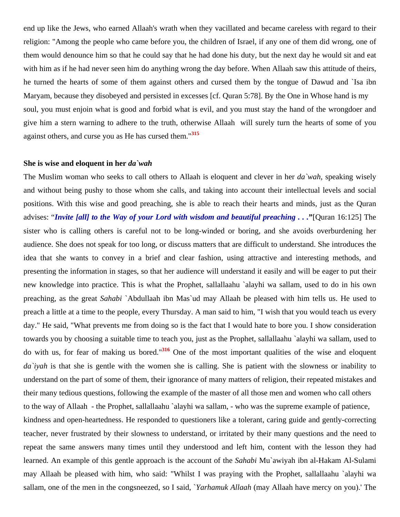end up like the Jews, who earned Allaah's wrath when they vacillated and became careless with regard to their religion: "Among the people who came before you, the children of Israel, if any one of them did wrong, one of them would denounce him so that he could say that he had done his duty, but the next day he would sit and eat with him as if he had never seen him do anything wrong the day before. When Allaah saw this attitude of theirs, he turned the hearts of some of them against others and cursed them by the tongue of Dawud and `Isa ibn Maryam, because they disobeyed and persisted in excesses [cf. Quran 5:78]. By the One in Whose hand is my soul, you must enjoin what is good and forbid what is evil, and you must stay the hand of the wrongdoer and give him a stern warning to adhere to the truth, otherwise Allaah will surely turn the hearts of some of you against others, and curse you as He has cursed them."**<sup>315</sup>**

### **She is wise and eloquent in her** *da`wah*

The Muslim woman who seeks to call others to Allaah is eloquent and clever in her *da`wah*, speaking wisely and without being pushy to those whom she calls, and taking into account their intellectual levels and social positions. With this wise and good preaching, she is able to reach their hearts and minds, just as the Quran advises: "*Invite [all] to the Way of your Lord with wisdom and beautiful preaching . . .***"**[Quran 16:125] The sister who is calling others is careful not to be long-winded or boring, and she avoids overburdening her audience. She does not speak for too long, or discuss matters that are difficult to understand. She introduces the idea that she wants to convey in a brief and clear fashion, using attractive and interesting methods, and presenting the information in stages, so that her audience will understand it easily and will be eager to put their new knowledge into practice. This is what the Prophet, sallallaahu `alayhi wa sallam, used to do in his own preaching, as the great *Sahabi* `Abdullaah ibn Mas`ud may Allaah be pleased with him tells us. He used to preach a little at a time to the people, every Thursday. A man said to him, "I wish that you would teach us every day." He said, "What prevents me from doing so is the fact that I would hate to bore you. I show consideration towards you by choosing a suitable time to teach you, just as the Prophet, sallallaahu `alayhi wa sallam, used to do with us, for fear of making us bored."**<sup>316</sup>** One of the most important qualities of the wise and eloquent da`iyah is that she is gentle with the women she is calling. She is patient with the slowness or inability to understand on the part of some of them, their ignorance of many matters of religion, their repeated mistakes and their many tedious questions, following the example of the master of all those men and women who call others to the way of Allaah - the Prophet, sallallaahu `alayhi wa sallam, - who was the supreme example of patience, kindness and open-heartedness. He responded to questioners like a tolerant, caring guide and gently-correcting teacher, never frustrated by their slowness to understand, or irritated by their many questions and the need to repeat the same answers many times until they understood and left him, content with the lesson they had learned. An example of this gentle approach is the account of the *Sahabi* Mu`awiyah ibn al-Hakam Al-Sulami may Allaah be pleased with him, who said: "Whilst I was praying with the Prophet, sallallaahu `alayhi wa sallam, one of the men in the congsneezed, so I said, `*Yarhamuk Allaah* (may Allaah have mercy on you).' The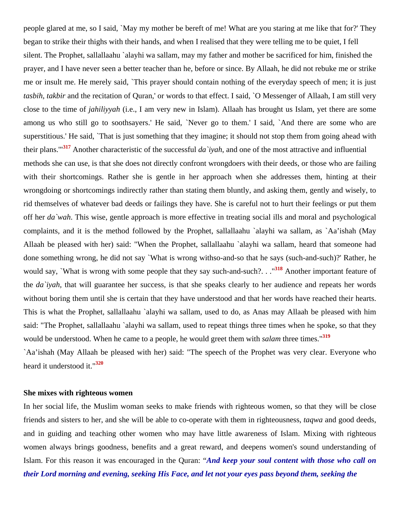people glared at me, so I said, `May my mother be bereft of me! What are you staring at me like that for?' They began to strike their thighs with their hands, and when I realised that they were telling me to be quiet, I fell silent. The Prophet, sallallaahu `alayhi wa sallam, may my father and mother be sacrificed for him, finished the prayer, and I have never seen a better teacher than he, before or since. By Allaah, he did not rebuke me or strike me or insult me. He merely said, `This prayer should contain nothing of the everyday speech of men; it is just *tasbih*, *takbir* and the recitation of Quran,' or words to that effect. I said, `O Messenger of Allaah, I am still very close to the time of *jahiliyyah* (i.e., I am very new in Islam). Allaah has brought us Islam, yet there are some among us who still go to soothsayers.' He said, `Never go to them.' I said, `And there are some who are superstitious.' He said, `That is just something that they imagine; it should not stop them from going ahead with their plans.'"**<sup>317</sup>** Another characteristic of the successful *da`iyah*, and one of the most attractive and influential methods she can use, is that she does not directly confront wrongdoers with their deeds, or those who are failing with their shortcomings. Rather she is gentle in her approach when she addresses them, hinting at their wrongdoing or shortcomings indirectly rather than stating them bluntly, and asking them, gently and wisely, to rid themselves of whatever bad deeds or failings they have. She is careful not to hurt their feelings or put them off her *da`wah*. This wise, gentle approach is more effective in treating social ills and moral and psychological complaints, and it is the method followed by the Prophet, sallallaahu `alayhi wa sallam, as `Aa'ishah (May Allaah be pleased with her) said: "When the Prophet, sallallaahu `alayhi wa sallam, heard that someone had done something wrong, he did not say `What is wrong withso-and-so that he says (such-and-such)?' Rather, he would say, `What is wrong with some people that they say such-and-such?. . ."**<sup>318</sup>** Another important feature of the *da`iyah,* that will guarantee her success*,* is that she speaks clearly to her audience and repeats her words without boring them until she is certain that they have understood and that her words have reached their hearts. This is what the Prophet, sallallaahu `alayhi wa sallam, used to do, as Anas may Allaah be pleased with him said: "The Prophet, sallallaahu `alayhi wa sallam, used to repeat things three times when he spoke, so that they would be understood. When he came to a people, he would greet them with *salam* three times."**<sup>319</sup>**

`Aa'ishah (May Allaah be pleased with her) said: "The speech of the Prophet was very clear. Everyone who heard it understood it."**<sup>320</sup>**

## **She mixes with righteous women**

In her social life, the Muslim woman seeks to make friends with righteous women, so that they will be close friends and sisters to her, and she will be able to co-operate with them in righteousness, *taqwa* and good deeds, and in guiding and teaching other women who may have little awareness of Islam. Mixing with righteous women always brings goodness, benefits and a great reward, and deepens women's sound understanding of Islam. For this reason it was encouraged in the Quran: "*And keep your soul content with those who call on their Lord morning and evening, seeking His Face, and let not your eyes pass beyond them, seeking the*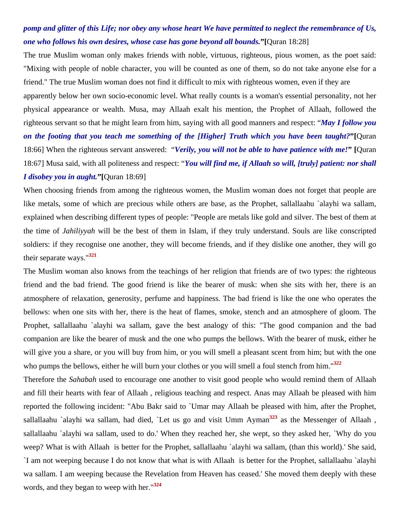# *pomp and glitter of this Life; nor obey any whose heart We have permitted to neglect the remembrance of Us, one who follows his own desires, whose case has gone beyond all bounds.***"[**Quran 18:28]

The true Muslim woman only makes friends with noble, virtuous, righteous, pious women, as the poet said: "Mixing with people of noble character, you will be counted as one of them, so do not take anyone else for a friend." The true Muslim woman does not find it difficult to mix with righteous women, even if they are

apparently below her own socio-economic level. What really counts is a woman's essential personality, not her physical appearance or wealth. Musa, may Allaah exalt his mention, the Prophet of Allaah, followed the righteous servant so that he might learn from him, saying with all good manners and respect: "*May I follow you on the footing that you teach me something of the [Higher] Truth which you have been taught?***"[**Quran 18:66] When the righteous servant answered: "*Verily, you will not be able to have patience with me!***" [**Quran 18:67] Musa said, with all politeness and respect: "*You will find me, if Allaah so will, [truly] patient: nor shall I disobey you in aught.***"[**Quran 18:69]

When choosing friends from among the righteous women, the Muslim woman does not forget that people are like metals, some of which are precious while others are base, as the Prophet, sallallaahu `alayhi wa sallam, explained when describing different types of people: "People are metals like gold and silver. The best of them at the time of *Jahiliyyah* will be the best of them in Islam, if they truly understand. Souls are like conscripted soldiers: if they recognise one another, they will become friends, and if they dislike one another, they will go their separate ways."**<sup>321</sup>**

The Muslim woman also knows from the teachings of her religion that friends are of two types: the righteous friend and the bad friend. The good friend is like the bearer of musk: when she sits with her, there is an atmosphere of relaxation, generosity, perfume and happiness. The bad friend is like the one who operates the bellows: when one sits with her, there is the heat of flames, smoke, stench and an atmosphere of gloom. The Prophet, sallallaahu `alayhi wa sallam, gave the best analogy of this: "The good companion and the bad companion are like the bearer of musk and the one who pumps the bellows. With the bearer of musk, either he will give you a share, or you will buy from him, or you will smell a pleasant scent from him; but with the one who pumps the bellows, either he will burn your clothes or you will smell a foul stench from him."**<sup>322</sup>**

Therefore the *Sahabah* used to encourage one another to visit good people who would remind them of Allaah and fill their hearts with fear of Allaah , religious teaching and respect. Anas may Allaah be pleased with him reported the following incident: "Abu Bakr said to `Umar may Allaah be pleased with him, after the Prophet, sallallaahu `alayhi wa sallam, had died, `Let us go and visit Umm Ayman<sup>323</sup> as the Messenger of Allaah, sallallaahu `alayhi wa sallam, used to do.' When they reached her, she wept, so they asked her, `Why do you weep? What is with Allaah is better for the Prophet, sallallaahu `alayhi wa sallam, (than this world).' She said, `I am not weeping because I do not know that what is with Allaah is better for the Prophet, sallallaahu `alayhi wa sallam. I am weeping because the Revelation from Heaven has ceased.' She moved them deeply with these words, and they began to weep with her."**<sup>324</sup>**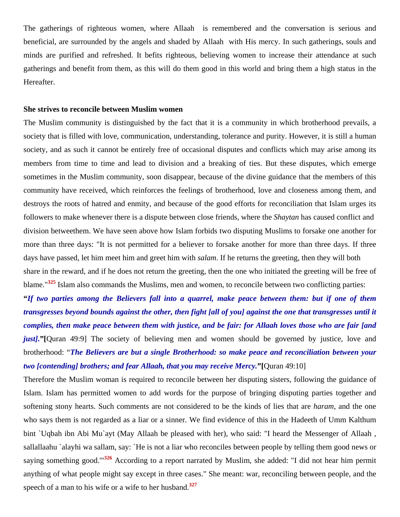The gatherings of righteous women, where Allaah is remembered and the conversation is serious and beneficial, are surrounded by the angels and shaded by Allaah with His mercy. In such gatherings, souls and minds are purified and refreshed. It befits righteous, believing women to increase their attendance at such gatherings and benefit from them, as this will do them good in this world and bring them a high status in the Hereafter.

### **She strives to reconcile between Muslim women**

The Muslim community is distinguished by the fact that it is a community in which brotherhood prevails, a society that is filled with love, communication, understanding, tolerance and purity. However, it is still a human society, and as such it cannot be entirely free of occasional disputes and conflicts which may arise among its members from time to time and lead to division and a breaking of ties. But these disputes, which emerge sometimes in the Muslim community, soon disappear, because of the divine guidance that the members of this community have received, which reinforces the feelings of brotherhood, love and closeness among them, and destroys the roots of hatred and enmity, and because of the good efforts for reconciliation that Islam urges its followers to make whenever there is a dispute between close friends, where the *Shaytan* has caused conflict and division betweethem. We have seen above how Islam forbids two disputing Muslims to forsake one another for more than three days: "It is not permitted for a believer to forsake another for more than three days. If three days have passed, let him meet him and greet him with *salam*. If he returns the greeting, then they will both share in the reward, and if he does not return the greeting, then the one who initiated the greeting will be free of blame."**<sup>325</sup>** Islam also commands the Muslims, men and women, to reconcile between two conflicting parties:

**"***If two parties among the Believers fall into a quarrel, make peace between them: but if one of them transgresses beyond bounds against the other, then fight [all of you] against the one that transgresses until it complies, then make peace between them with justice, and be fair: for Allaah loves those who are fair [and just].*"[Ouran 49:9] The society of believing men and women should be governed by justice, love and brotherhood: "*The Believers are but a single Brotherhood: so make peace and reconciliation between your two [contending] brothers; and fear Allaah, that you may receive Mercy.***"[**Quran 49:10]

Therefore the Muslim woman is required to reconcile between her disputing sisters, following the guidance of Islam. Islam has permitted women to add words for the purpose of bringing disputing parties together and softening stony hearts. Such comments are not considered to be the kinds of lies that are *haram*, and the one who says them is not regarded as a liar or a sinner. We find evidence of this in the Hadeeth of Umm Kalthum bint `Uqbah ibn Abi Mu`ayt (May Allaah be pleased with her), who said: "I heard the Messenger of Allaah , sallallaahu `alayhi wa sallam, say: `He is not a liar who reconciles between people by telling them good news or saying something good.'"**<sup>326</sup>** According to a report narrated by Muslim, she added: "I did not hear him permit anything of what people might say except in three cases." She meant: war, reconciling between people, and the speech of a man to his wife or a wife to her husband.**<sup>327</sup>**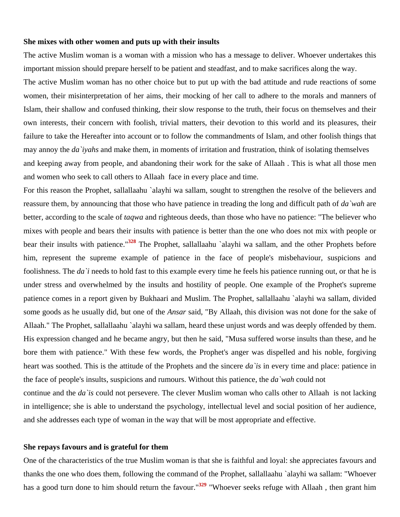#### **She mixes with other women and puts up with their insults**

The active Muslim woman is a woman with a mission who has a message to deliver. Whoever undertakes this important mission should prepare herself to be patient and steadfast, and to make sacrifices along the way.

The active Muslim woman has no other choice but to put up with the bad attitude and rude reactions of some women, their misinterpretation of her aims, their mocking of her call to adhere to the morals and manners of Islam, their shallow and confused thinking, their slow response to the truth, their focus on themselves and their own interests, their concern with foolish, trivial matters, their devotion to this world and its pleasures, their failure to take the Hereafter into account or to follow the commandments of Islam, and other foolish things that may annoy the *da`iyahs* and make them, in moments of irritation and frustration, think of isolating themselves and keeping away from people, and abandoning their work for the sake of Allaah . This is what all those men and women who seek to call others to Allaah face in every place and time.

For this reason the Prophet, sallallaahu `alayhi wa sallam, sought to strengthen the resolve of the believers and reassure them, by announcing that those who have patience in treading the long and difficult path of *da`wah* are better, according to the scale of *taqwa* and righteous deeds, than those who have no patience: "The believer who mixes with people and bears their insults with patience is better than the one who does not mix with people or bear their insults with patience."**<sup>328</sup>** The Prophet, sallallaahu `alayhi wa sallam, and the other Prophets before him, represent the supreme example of patience in the face of people's misbehaviour, suspicions and foolishness. The *da`i* needs to hold fast to this example every time he feels his patience running out, or that he is under stress and overwhelmed by the insults and hostility of people. One example of the Prophet's supreme patience comes in a report given by Bukhaari and Muslim. The Prophet, sallallaahu `alayhi wa sallam, divided some goods as he usually did, but one of the *Ansar* said, "By Allaah, this division was not done for the sake of Allaah." The Prophet, sallallaahu `alayhi wa sallam, heard these unjust words and was deeply offended by them. His expression changed and he became angry, but then he said, "Musa suffered worse insults than these, and he bore them with patience." With these few words, the Prophet's anger was dispelled and his noble, forgiving heart was soothed. This is the attitude of the Prophets and the sincere *da`is* in every time and place: patience in the face of people's insults, suspicions and rumours. Without this patience, the *da`wah* could not continue and the *da`is* could not persevere. The clever Muslim woman who calls other to Allaah is not lacking in intelligence; she is able to understand the psychology, intellectual level and social position of her audience, and she addresses each type of woman in the way that will be most appropriate and effective.

#### **She repays favours and is grateful for them**

One of the characteristics of the true Muslim woman is that she is faithful and loyal: she appreciates favours and thanks the one who does them, following the command of the Prophet, sallallaahu `alayhi wa sallam: "Whoever has a good turn done to him should return the favour."**<sup>329</sup>** "Whoever seeks refuge with Allaah , then grant him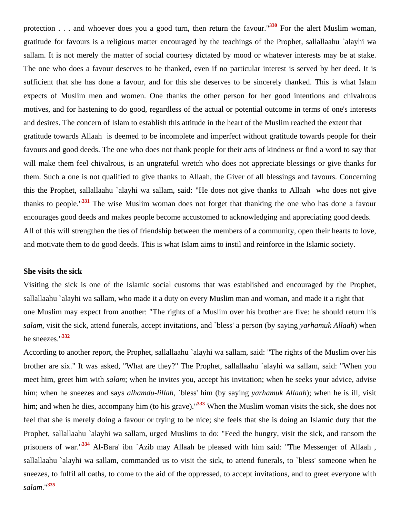protection . . . and whoever does you a good turn, then return the favour."**<sup>330</sup>** For the alert Muslim woman, gratitude for favours is a religious matter encouraged by the teachings of the Prophet, sallallaahu `alayhi wa sallam. It is not merely the matter of social courtesy dictated by mood or whatever interests may be at stake. The one who does a favour deserves to be thanked, even if no particular interest is served by her deed. It is sufficient that she has done a favour, and for this she deserves to be sincerely thanked. This is what Islam expects of Muslim men and women. One thanks the other person for her good intentions and chivalrous motives, and for hastening to do good, regardless of the actual or potential outcome in terms of one's interests and desires. The concern of Islam to establish this attitude in the heart of the Muslim reached the extent that gratitude towards Allaah is deemed to be incomplete and imperfect without gratitude towards people for their favours and good deeds. The one who does not thank people for their acts of kindness or find a word to say that will make them feel chivalrous, is an ungrateful wretch who does not appreciate blessings or give thanks for them. Such a one is not qualified to give thanks to Allaah, the Giver of all blessings and favours. Concerning this the Prophet, sallallaahu `alayhi wa sallam, said: "He does not give thanks to Allaah who does not give thanks to people."**<sup>331</sup>** The wise Muslim woman does not forget that thanking the one who has done a favour encourages good deeds and makes people become accustomed to acknowledging and appreciating good deeds. All of this will strengthen the ties of friendship between the members of a community, open their hearts to love, and motivate them to do good deeds. This is what Islam aims to instil and reinforce in the Islamic society.

## **She visits the sick**

Visiting the sick is one of the Islamic social customs that was established and encouraged by the Prophet, sallallaahu `alayhi wa sallam, who made it a duty on every Muslim man and woman, and made it a right that one Muslim may expect from another: "The rights of a Muslim over his brother are five: he should return his *salam*, visit the sick, attend funerals, accept invitations, and `bless' a person (by saying *yarhamuk Allaah*) when he sneezes."**<sup>332</sup>**

According to another report, the Prophet, sallallaahu `alayhi wa sallam, said: "The rights of the Muslim over his brother are six." It was asked, "What are they?" The Prophet, sallallaahu `alayhi wa sallam, said: "When you meet him, greet him with *salam*; when he invites you, accept his invitation; when he seeks your advice, advise him; when he sneezes and says *alhamdu-lillah*, `bless' him (by saying *yarhamuk Allaah*); when he is ill, visit him; and when he dies, accompany him (to his grave)."**<sup>333</sup>** When the Muslim woman visits the sick, she does not feel that she is merely doing a favour or trying to be nice; she feels that she is doing an Islamic duty that the Prophet, sallallaahu `alayhi wa sallam, urged Muslims to do: "Feed the hungry, visit the sick, and ransom the prisoners of war."**<sup>334</sup>** Al-Bara' ibn `Azib may Allaah be pleased with him said: "The Messenger of Allaah , sallallaahu `alayhi wa sallam, commanded us to visit the sick, to attend funerals, to `bless' someone when he sneezes, to fulfil all oaths, to come to the aid of the oppressed, to accept invitations, and to greet everyone with *salam*."**<sup>335</sup>**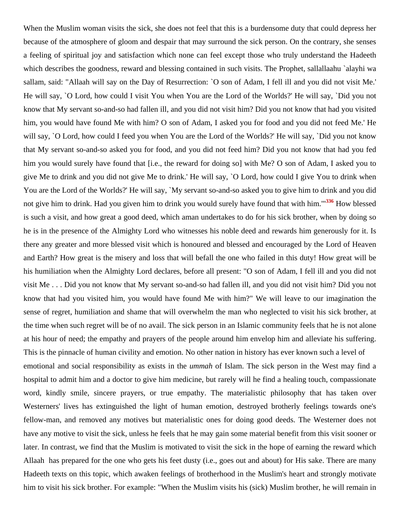When the Muslim woman visits the sick, she does not feel that this is a burdensome duty that could depress her because of the atmosphere of gloom and despair that may surround the sick person. On the contrary, she senses a feeling of spiritual joy and satisfaction which none can feel except those who truly understand the Hadeeth which describes the goodness, reward and blessing contained in such visits. The Prophet, sallallaahu `alayhi wa sallam, said: "Allaah will say on the Day of Resurrection: `O son of Adam, I fell ill and you did not visit Me.' He will say, `O Lord, how could I visit You when You are the Lord of the Worlds?' He will say, `Did you not know that My servant so-and-so had fallen ill, and you did not visit him? Did you not know that had you visited him, you would have found Me with him? O son of Adam, I asked you for food and you did not feed Me.' He will say, `O Lord, how could I feed you when You are the Lord of the Worlds?' He will say, `Did you not know that My servant so-and-so asked you for food, and you did not feed him? Did you not know that had you fed him you would surely have found that [i.e., the reward for doing so] with Me? O son of Adam, I asked you to give Me to drink and you did not give Me to drink.' He will say, `O Lord, how could I give You to drink when You are the Lord of the Worlds?' He will say, `My servant so-and-so asked you to give him to drink and you did not give him to drink. Had you given him to drink you would surely have found that with him.'"**<sup>336</sup>** How blessed is such a visit, and how great a good deed, which aman undertakes to do for his sick brother, when by doing so he is in the presence of the Almighty Lord who witnesses his noble deed and rewards him generously for it. Is there any greater and more blessed visit which is honoured and blessed and encouraged by the Lord of Heaven and Earth? How great is the misery and loss that will befall the one who failed in this duty! How great will be his humiliation when the Almighty Lord declares, before all present: "O son of Adam, I fell ill and you did not visit Me . . . Did you not know that My servant so-and-so had fallen ill, and you did not visit him? Did you not know that had you visited him, you would have found Me with him?" We will leave to our imagination the sense of regret, humiliation and shame that will overwhelm the man who neglected to visit his sick brother, at the time when such regret will be of no avail. The sick person in an Islamic community feels that he is not alone at his hour of need; the empathy and prayers of the people around him envelop him and alleviate his suffering. This is the pinnacle of human civility and emotion. No other nation in history has ever known such a level of emotional and social responsibility as exists in the *ummah* of Islam. The sick person in the West may find a hospital to admit him and a doctor to give him medicine, but rarely will he find a healing touch, compassionate word, kindly smile, sincere prayers, or true empathy. The materialistic philosophy that has taken over Westerners' lives has extinguished the light of human emotion, destroyed brotherly feelings towards one's fellow-man, and removed any motives but materialistic ones for doing good deeds. The Westerner does not have any motive to visit the sick, unless he feels that he may gain some material benefit from this visit sooner or later. In contrast, we find that the Muslim is motivated to visit the sick in the hope of earning the reward which Allaah has prepared for the one who gets his feet dusty (i.e., goes out and about) for His sake. There are many Hadeeth texts on this topic, which awaken feelings of brotherhood in the Muslim's heart and strongly motivate

him to visit his sick brother. For example: "When the Muslim visits his (sick) Muslim brother, he will remain in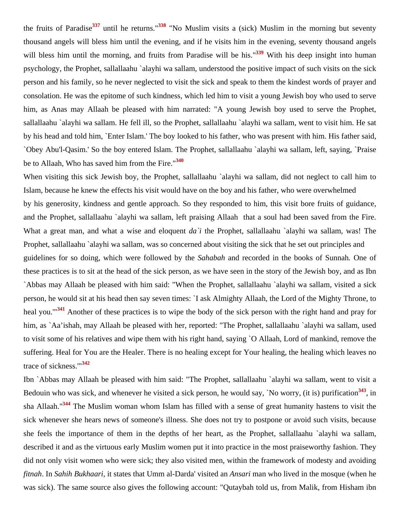the fruits of Paradise**<sup>337</sup>** until he returns."**<sup>338</sup>** "No Muslim visits a (sick) Muslim in the morning but seventy thousand angels will bless him until the evening, and if he visits him in the evening, seventy thousand angels will bless him until the morning, and fruits from Paradise will be his.<sup>"339</sup> With his deep insight into human psychology, the Prophet, sallallaahu `alayhi wa sallam, understood the positive impact of such visits on the sick person and his family, so he never neglected to visit the sick and speak to them the kindest words of prayer and consolation. He was the epitome of such kindness, which led him to visit a young Jewish boy who used to serve him, as Anas may Allaah be pleased with him narrated: "A young Jewish boy used to serve the Prophet, sallallaahu `alayhi wa sallam. He fell ill, so the Prophet, sallallaahu `alayhi wa sallam, went to visit him. He sat by his head and told him, `Enter Islam.' The boy looked to his father, who was present with him. His father said, `Obey Abu'l-Qasim.' So the boy entered Islam. The Prophet, sallallaahu `alayhi wa sallam, left, saying, `Praise be to Allaah, Who has saved him from the Fire."**<sup>340</sup>**

When visiting this sick Jewish boy, the Prophet, sallallaahu `alayhi wa sallam, did not neglect to call him to Islam, because he knew the effects his visit would have on the boy and his father, who were overwhelmed by his generosity, kindness and gentle approach. So they responded to him, this visit bore fruits of guidance, and the Prophet, sallallaahu `alayhi wa sallam, left praising Allaah that a soul had been saved from the Fire. What a great man, and what a wise and eloquent *da`i* the Prophet, sallallaahu `alayhi wa sallam, was! The Prophet, sallallaahu `alayhi wa sallam, was so concerned about visiting the sick that he set out principles and guidelines for so doing, which were followed by the *Sahabah* and recorded in the books of Sunnah*.* One of these practices is to sit at the head of the sick person, as we have seen in the story of the Jewish boy, and as Ibn `Abbas may Allaah be pleased with him said: "When the Prophet, sallallaahu `alayhi wa sallam, visited a sick person, he would sit at his head then say seven times: `I ask Almighty Allaah, the Lord of the Mighty Throne, to heal you.'"**<sup>341</sup>** Another of these practices is to wipe the body of the sick person with the right hand and pray for him, as `Aa'ishah, may Allaah be pleased with her, reported: "The Prophet, sallallaahu `alayhi wa sallam, used to visit some of his relatives and wipe them with his right hand, saying `O Allaah, Lord of mankind, remove the suffering. Heal for You are the Healer. There is no healing except for Your healing, the healing which leaves no trace of sickness.'"**<sup>342</sup>**

Ibn `Abbas may Allaah be pleased with him said: "The Prophet, sallallaahu `alayhi wa sallam, went to visit a Bedouin who was sick, and whenever he visited a sick person, he would say, `No worry, (it is) purification**<sup>343</sup>**, in sha Allaah."**<sup>344</sup>** The Muslim woman whom Islam has filled with a sense of great humanity hastens to visit the sick whenever she hears news of someone's illness. She does not try to postpone or avoid such visits, because she feels the importance of them in the depths of her heart, as the Prophet, sallallaahu `alayhi wa sallam, described it and as the virtuous early Muslim women put it into practice in the most praiseworthy fashion. They did not only visit women who were sick; they also visited men, within the framework of modesty and avoiding *fitnah*. In *Sahih Bukhaari*, it states that Umm al-Darda' visited an *Ansari* man who lived in the mosque (when he was sick). The same source also gives the following account: "Qutaybah told us, from Malik, from Hisham ibn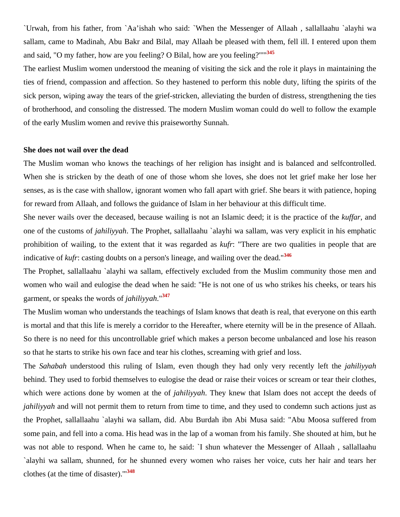`Urwah, from his father, from `Aa'ishah who said: `When the Messenger of Allaah , sallallaahu `alayhi wa sallam, came to Madinah, Abu Bakr and Bilal, may Allaah be pleased with them, fell ill. I entered upon them and said, "O my father, how are you feeling? O Bilal, how are you feeling?"'"**<sup>345</sup>**

The earliest Muslim women understood the meaning of visiting the sick and the role it plays in maintaining the ties of friend, compassion and affection. So they hastened to perform this noble duty, lifting the spirits of the sick person, wiping away the tears of the grief-stricken, alleviating the burden of distress, strengthening the ties of brotherhood, and consoling the distressed. The modern Muslim woman could do well to follow the example of the early Muslim women and revive this praiseworthy Sunnah.

#### **She does not wail over the dead**

The Muslim woman who knows the teachings of her religion has insight and is balanced and selfcontrolled. When she is stricken by the death of one of those whom she loves, she does not let grief make her lose her senses, as is the case with shallow, ignorant women who fall apart with grief. She bears it with patience, hoping for reward from Allaah, and follows the guidance of Islam in her behaviour at this difficult time.

She never wails over the deceased, because wailing is not an Islamic deed; it is the practice of the *kuffar*, and one of the customs of *jahiliyyah*. The Prophet, sallallaahu `alayhi wa sallam, was very explicit in his emphatic prohibition of wailing, to the extent that it was regarded as *kufr*: "There are two qualities in people that are indicative of *kufr*: casting doubts on a person's lineage, and wailing over the dead."**<sup>346</sup>**

The Prophet, sallallaahu `alayhi wa sallam, effectively excluded from the Muslim community those men and women who wail and eulogise the dead when he said: "He is not one of us who strikes his cheeks, or tears his garment, or speaks the words of *jahiliyyah*."**<sup>347</sup>**

The Muslim woman who understands the teachings of Islam knows that death is real, that everyone on this earth is mortal and that this life is merely a corridor to the Hereafter, where eternity will be in the presence of Allaah. So there is no need for this uncontrollable grief which makes a person become unbalanced and lose his reason so that he starts to strike his own face and tear his clothes, screaming with grief and loss.

The *Sahabah* understood this ruling of Islam, even though they had only very recently left the *jahiliyyah*  behind. They used to forbid themselves to eulogise the dead or raise their voices or scream or tear their clothes, which were actions done by women at the of *jahiliyyah*. They knew that Islam does not accept the deeds of *jahiliyyah* and will not permit them to return from time to time, and they used to condemn such actions just as the Prophet, sallallaahu `alayhi wa sallam, did. Abu Burdah ibn Abi Musa said: "Abu Moosa suffered from some pain, and fell into a coma. His head was in the lap of a woman from his family. She shouted at him, but he was not able to respond. When he came to, he said: `I shun whatever the Messenger of Allaah , sallallaahu `alayhi wa sallam, shunned, for he shunned every women who raises her voice, cuts her hair and tears her clothes (at the time of disaster).'"**<sup>348</sup>**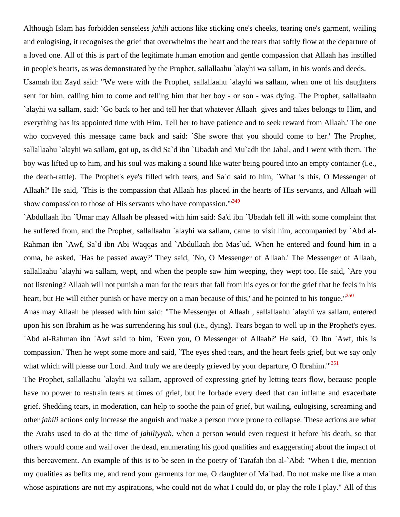Although Islam has forbidden senseless *jahili* actions like sticking one's cheeks, tearing one's garment, wailing and eulogising, it recognises the grief that overwhelms the heart and the tears that softly flow at the departure of a loved one. All of this is part of the legitimate human emotion and gentle compassion that Allaah has instilled in people's hearts, as was demonstrated by the Prophet, sallallaahu `alayhi wa sallam, in his words and deeds.

Usamah ibn Zayd said: "We were with the Prophet, sallallaahu `alayhi wa sallam, when one of his daughters sent for him, calling him to come and telling him that her boy - or son - was dying. The Prophet, sallallaahu `alayhi wa sallam, said: `Go back to her and tell her that whatever Allaah gives and takes belongs to Him, and everything has its appointed time with Him. Tell her to have patience and to seek reward from Allaah.' The one who conveyed this message came back and said: `She swore that you should come to her.' The Prophet, sallallaahu `alayhi wa sallam, got up, as did Sa`d ibn `Ubadah and Mu`adh ibn Jabal, and I went with them. The boy was lifted up to him, and his soul was making a sound like water being poured into an empty container (i.e., the death-rattle). The Prophet's eye's filled with tears, and Sa`d said to him, `What is this, O Messenger of Allaah?' He said, `This is the compassion that Allaah has placed in the hearts of His servants, and Allaah will show compassion to those of His servants who have compassion.'"**<sup>349</sup>**

`Abdullaah ibn `Umar may Allaah be pleased with him said: Sa'd ibn `Ubadah fell ill with some complaint that he suffered from, and the Prophet, sallallaahu `alayhi wa sallam, came to visit him, accompanied by `Abd al-Rahman ibn `Awf, Sa`d ibn Abi Waqqas and `Abdullaah ibn Mas`ud. When he entered and found him in a coma, he asked, `Has he passed away?' They said, `No, O Messenger of Allaah.' The Messenger of Allaah, sallallaahu `alayhi wa sallam, wept, and when the people saw him weeping, they wept too. He said, `Are you not listening? Allaah will not punish a man for the tears that fall from his eyes or for the grief that he feels in his heart, but He will either punish or have mercy on a man because of this,' and he pointed to his tongue."**<sup>350</sup>**

Anas may Allaah be pleased with him said: "The Messenger of Allaah , sallallaahu `alayhi wa sallam, entered upon his son Ibrahim as he was surrendering his soul (i.e., dying). Tears began to well up in the Prophet's eyes. `Abd al-Rahman ibn `Awf said to him, `Even you, O Messenger of Allaah?' He said, `O Ibn `Awf, this is compassion.' Then he wept some more and said, `The eyes shed tears, and the heart feels grief, but we say only what which will please our Lord. And truly we are deeply grieved by your departure, O Ibrahim."<sup>351</sup>

The Prophet, sallallaahu `alayhi wa sallam, approved of expressing grief by letting tears flow, because people have no power to restrain tears at times of grief, but he forbade every deed that can inflame and exacerbate grief. Shedding tears, in moderation, can help to soothe the pain of grief, but wailing, eulogising, screaming and other *jahili* actions only increase the anguish and make a person more prone to collapse. These actions are what the Arabs used to do at the time of *jahiliyyah*, when a person would even request it before his death, so that others would come and wail over the dead, enumerating his good qualities and exaggerating about the impact of this bereavement. An example of this is to be seen in the poetry of Tarafah ibn al-`Abd: "When I die, mention my qualities as befits me, and rend your garments for me, O daughter of Ma`bad. Do not make me like a man whose aspirations are not my aspirations, who could not do what I could do, or play the role I play." All of this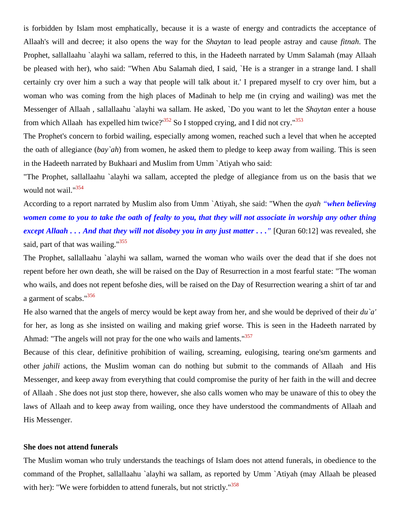is forbidden by Islam most emphatically, because it is a waste of energy and contradicts the acceptance of Allaah's will and decree; it also opens the way for the *Shaytan* to lead people astray and cause *fitnah*. The Prophet, sallallaahu `alayhi wa sallam, referred to this, in the Hadeeth narrated by Umm Salamah (may Allaah be pleased with her), who said: "When Abu Salamah died, I said, `He is a stranger in a strange land. I shall certainly cry over him a such a way that people will talk about it.' I prepared myself to cry over him, but a woman who was coming from the high places of Madinah to help me (in crying and wailing) was met the Messenger of Allaah , sallallaahu `alayhi wa sallam. He asked, `Do you want to let the *Shaytan* enter a house from which Allaah has expelled him twice?<sup>352</sup> So I stopped crying, and I did not cry.<sup>353</sup>

The Prophet's concern to forbid wailing, especially among women, reached such a level that when he accepted the oath of allegiance (*bay`ah*) from women, he asked them to pledge to keep away from wailing. This is seen in the Hadeeth narrated by Bukhaari and Muslim from Umm `Atiyah who said:

"The Prophet, sallallaahu `alayhi wa sallam, accepted the pledge of allegiance from us on the basis that we would not wail."<sup>354</sup>

According to a report narrated by Muslim also from Umm `Atiyah, she said: "When the *ayah "when believing women come to you to take the oath of fealty to you, that they will not associate in worship any other thing except Allaah . . . And that they will not disobey you in any just matter . . ."* [Quran 60:12] was revealed, she said, part of that was wailing."<sup>355</sup>

The Prophet, sallallaahu `alayhi wa sallam, warned the woman who wails over the dead that if she does not repent before her own death, she will be raised on the Day of Resurrection in a most fearful state: "The woman who wails, and does not repent befoshe dies, will be raised on the Day of Resurrection wearing a shirt of tar and a garment of scabs."356

He also warned that the angels of mercy would be kept away from her, and she would be deprived of their *du`a'*  for her, as long as she insisted on wailing and making grief worse. This is seen in the Hadeeth narrated by Ahmad: "The angels will not pray for the one who wails and laments."<sup>357</sup>

Because of this clear, definitive prohibition of wailing, screaming, eulogising, tearing one'sm garments and other *jahili* actions, the Muslim woman can do nothing but submit to the commands of Allaah and His Messenger, and keep away from everything that could compromise the purity of her faith in the will and decree of Allaah . She does not just stop there, however, she also calls women who may be unaware of this to obey the laws of Allaah and to keep away from wailing, once they have understood the commandments of Allaah and His Messenger.

#### **She does not attend funerals**

The Muslim woman who truly understands the teachings of Islam does not attend funerals, in obedience to the command of the Prophet, sallallaahu `alayhi wa sallam, as reported by Umm `Atiyah (may Allaah be pleased with her): "We were forbidden to attend funerals, but not strictly." $358$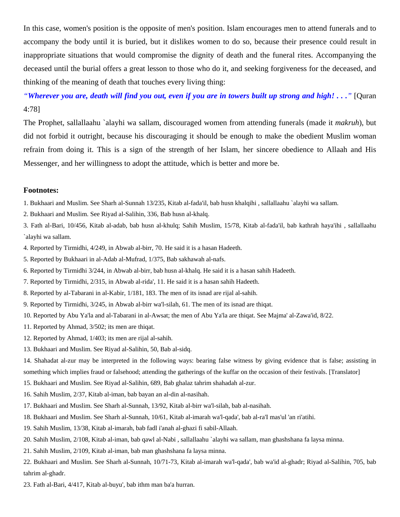In this case, women's position is the opposite of men's position. Islam encourages men to attend funerals and to accompany the body until it is buried, but it dislikes women to do so, because their presence could result in inappropriate situations that would compromise the dignity of death and the funeral rites. Accompanying the deceased until the burial offers a great lesson to those who do it, and seeking forgiveness for the deceased, and thinking of the meaning of death that touches every living thing:

*"Wherever you are, death will find you out, even if you are in towers built up strong and high! . . ."* [Quran 4:78]

The Prophet, sallallaahu `alayhi wa sallam, discouraged women from attending funerals (made it *makruh*), but did not forbid it outright, because his discouraging it should be enough to make the obedient Muslim woman refrain from doing it. This is a sign of the strength of her Islam, her sincere obedience to Allaah and His Messenger, and her willingness to adopt the attitude, which is better and more be.

#### **Footnotes:**

1. Bukhaari and Muslim. See Sharh al-Sunnah 13/235, Kitab al-fada'il, bab husn khalqihi , sallallaahu `alayhi wa sallam.

2. Bukhaari and Muslim. See Riyad al-Salihin, 336, Bab husn al-khalq.

3. Fath al-Bari, 10/456, Kitab al-adab, bab husn al-khulq; Sahih Muslim, 15/78, Kitab al-fada'il, bab kathrah haya'ihi , sallallaahu `alayhi wa sallam.

4. Reported by Tirmidhi, 4/249, in Abwab al-birr, 70. He said it is a hasan Hadeeth.

5. Reported by Bukhaari in al-Adab al-Mufrad, 1/375, Bab sakhawah al-nafs.

6. Reported by Tirmidhi 3/244, in Abwab al-birr, bab husn al-khalq. He said it is a hasan sahih Hadeeth.

7. Reported by Tirmidhi, 2/315, in Abwab al-rida', 11. He said it is a hasan sahih Hadeeth.

8. Reported by al-Tabarani in al-Kabir, 1/181, 183. The men of its isnad are rijal al-sahih.

9. Reported by Tirmidhi, 3/245, in Abwab al-birr wa'l-silah, 61. The men of its isnad are thiqat.

10. Reported by Abu Ya'la and al-Tabarani in al-Awsat; the men of Abu Ya'la are thiqat. See Majma' al-Zawa'id, 8/22.

11. Reported by Ahmad, 3/502; its men are thiqat.

12. Reported by Ahmad, 1/403; its men are rijal al-sahih.

13. Bukhaari and Muslim. See Riyad al-Salihin, 50, Bab al-sidq.

14. Shahadat al-zur may be interpreted in the following ways: bearing false witness by giving evidence that is false; assisting in something which implies fraud or falsehood; attending the gatherings of the kuffar on the occasion of their festivals. [Translator]

15. Bukhaari and Muslim. See Riyad al-Salihin, 689, Bab ghalaz tahrim shahadah al-zur.

16. Sahih Muslim, 2/37, Kitab al-iman, bab bayan an al-din al-nasihah.

17. Bukhaari and Muslim. See Sharh al-Sunnah, 13/92, Kitab al-birr wa'l-silah, bab al-nasihah.

18. Bukhaari and Muslim. See Sharh al-Sunnah, 10/61, Kitab al-imarah wa'l-qada', bab al-ra'I mas'ul 'an ri'atihi.

19. Sahih Muslim, 13/38, Kitab al-imarah, bab fadl i'anah al-ghazi fi sabil-Allaah.

20. Sahih Muslim, 2/108, Kitab al-iman, bab qawl al-Nabi , sallallaahu `alayhi wa sallam, man ghashshana fa laysa minna.

21. Sahih Muslim, 2/109, Kitab al-iman, bab man ghashshana fa laysa minna.

22. Bukhaari and Muslim. See Sharh al-Sunnah, 10/71-73, Kitab al-imarah wa'l-qada', bab wa'id al-ghadr; Riyad al-Salihin, 705, bab tahrim al-ghadr.

23. Fath al-Bari, 4/417, Kitab al-buyu', bab ithm man ba'a hurran.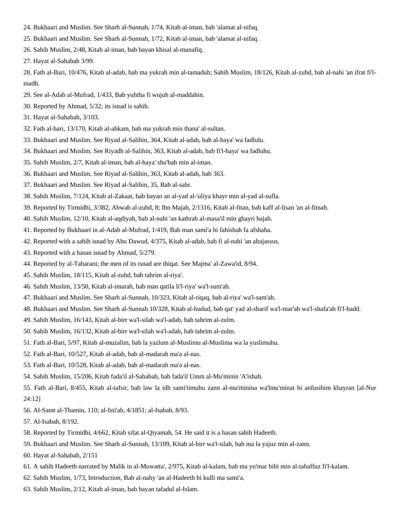- 24. Bukhaari and Muslim. See Sharh al-Sunnah, 1/74, Kitab al-iman, bab 'alamat al-nifaq.
- 25. Bukhaari and Muslim. See Sharh al-Sunnah, 1/72, Kitab al-iman, bab 'alamat al-nifaq.
- 26. Sahih Muslim, 2/48, Kitab al-iman, bab bayan khisal al-munafiq.
- 27. Hayat al-Sahabah 3/99.

28. Fath al-Bari, 10/476, Kitab al-adab, bab ma yukrah min al-tamaduh; Sahih Muslim, 18/126, Kitab al-zuhd, bab al-nahi 'an ifrat fi'lmadh.

- 29. See al-Adab al-Mufrad, 1/433, Bab yuhtha fi wujuh al-maddahin.
- 30. Reported by Ahmad, 5/32; its isnad is sahih.
- 31. Hayat al-Sahabah, 3/103.
- 32. Fath al-bari, 13/170, Kitab al-ahkam, bab ma yukrah min thana' al-sultan.
- 33. Bukhaari and Muslim. See Riyad al-Salihin, 364, Kitab al-adab, bab al-haya' wa fadlulu.
- 34. Bukhaari and Muslim. See Riyadh al-Salihin, 363, Kitab al-adab, bab fi'l-haya' wa fadluhu.
- 35. Sahih Muslim, 2/7, Kitab al-iman, bab al-haya' shu'bah min al-iman.
- 36. Bukhaari and Muslim. See Riyad al-Salihin, 363, Kitab al-adab, bab 363.
- 37. Bukhaari and Muslim. See Riyad al-Salihin, 35, Bab al-sabr.
- 38. Sahih Muslim, 7/124, Kitab al-Zakaat, bab bayan an al-yad al-'uliya khayr min al-yad al-sufla.
- 39. Reported by Tirmidhi, 3/382, Abwab al-zuhd, 8; Ibn Majah, 2/1316, Kitab al-fitan, bab kaff al-lisan 'an al-fitnah.
- 40. Sahih Muslim, 12/10, Kitab al-aqdiyah, bab al-nahi 'an kathrah al-masa'il min ghayri hajah.
- 41. Reported by Bukhaari in al-Adab al-Mufrad, 1/419, Bab man sami'a bi fahishah fa afshaha.
- 42. Reported with a sahih isnad by Abu Dawud, 4/375, Kitab al-adab, bab fi al-nahi 'an altajassus.
- 43. Reported with a hasan isnad by Ahmad, 5/279.
- 44. Reported by al-Tabarani; the men of its isnad are thiqat. See Majma' al-Zawa'id, 8/94.
- 45. Sahih Muslim, 18/115, Kitab al-zuhd, bab tahrim al-riya'.
- 46. Sahih Muslim, 13/50, Kitab al-imarah, bab man qatila li'l-riya' wa'l-sum'ah.
- 47. Bukhaari and Muslim. See Sharh al-Sunnah, 10/323, Kitab al-riqaq, bab al-riya' wa'l-sam'ah.
- 48. Bukhaari and Muslim. See Sharh al-Sunnah 10/328, Kitab al-hudud, bab qat' yad al-sharif wa'l-mar'ah wa'l-shafa'ah fi'l-hadd.
- 49. Sahih Muslim, 16/143, Kitab al-birr wa'l-silah wa'l-adab, bab tahrim al-zulm.
- 50. Sahih Muslim, 16/132, Kitab al-birr wa'l-silah wa'l-adab, bab tahrim al-zulm.
- 51. Fath al-Bari, 5/97, Kitab al-muzalim, bab la yazlum al-Muslimu al-Muslima wa la yuslimuhu.
- 52. Fath al-Bari, 10/527, Kitab al-adab, bab al-madarah ma'a al-nas.
- 53. Fath al-Bari, 10/528, Kitab al-adab, bab al-madarah ma'a al-nas.
- 54. Sahih Muslim, 15/206, Kitab fada'il al-Sahabah, bab fada'il Umm al-Mu'minin 'A'ishah.
- 55. Fath al-Bari, 8/455, Kitab al-tafsir, bab law la idh sami'timuhu zann al-mu'minina wa'lmu'minat bi anfusihim khayran [al-Nur 24:12]
- 56. Al-Samt al-Thamin, 110; al-Isti'ab, 4/1851; al-Isabah, 8/93.
- 57. Al-Isabah, 8/192.
- 58. Reported by Tirmidhi, 4/662, Kitab sifat al-Qiyamah, 54. He said it is a hasan sahih Hadeeth.
- 59. Bukhaari and Muslim. See Sharh al-Sunnah, 13/109, Kitab al-birr wa'l-silah, bab ma la yajuz min al-zann.
- 60. Hayat al-Sahabah, 2/151
- 61. A sahih Hadeeth narrated by Malik in al-Muwatta', 2/975, Kitab al-kalam, bab ma yu'mar bihi min al-tahaffuz fi'l-kalam.
- 62. Sahih Muslim, 1/73, Introduction, Bab al-nahy 'an al-Hadeeth bi kulli ma sami'a.
- 63. Sahih Muslim, 2/12, Kitab al-iman, bab bayan tafadul al-Islam.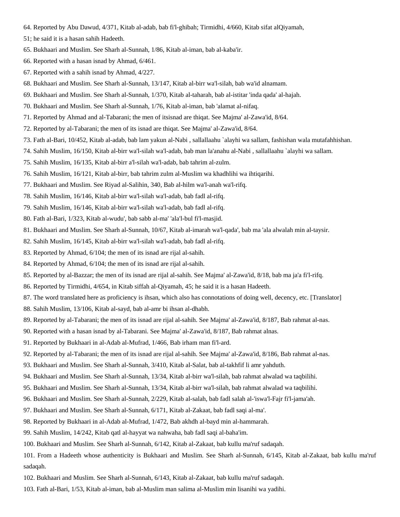- 64. Reported by Abu Dawud, 4/371, Kitab al-adab, bab fi'l-ghibah; Tirmidhi, 4/660, Kitab sifat alQiyamah,
- 51; he said it is a hasan sahih Hadeeth.
- 65. Bukhaari and Muslim. See Sharh al-Sunnah, 1/86, Kitab al-iman, bab al-kaba'ir.
- 66. Reported with a hasan isnad by Ahmad, 6/461.
- 67. Reported with a sahih isnad by Ahmad, 4/227.
- 68. Bukhaari and Muslim. See Sharh al-Sunnah, 13/147, Kitab al-birr wa'l-silah, bab wa'id alnamam.
- 69. Bukhaari and Muslim. See Sharh al-Sunnah, 1/370, Kitab al-taharah, bab al-istitar 'inda qada' al-hajah.
- 70. Bukhaari and Muslim. See Sharh al-Sunnah, 1/76, Kitab al-iman, bab 'alamat al-nifaq.
- 71. Reported by Ahmad and al-Tabarani; the men of itsisnad are thiqat. See Majma' al-Zawa'id, 8/64.
- 72. Reported by al-Tabarani; the men of its isnad are thiqat. See Majma' al-Zawa'id, 8/64.
- 73. Fath al-Bari, 10/452, Kitab al-adab, bab lam yakun al-Nabi , sallallaahu `alayhi wa sallam, fashishan wala mutafahhishan.
- 74. Sahih Muslim, 16/150, Kitab al-birr wa'l-silah wa'l-adab, bab man la'anahu al-Nabi , sallallaahu `alayhi wa sallam.
- 75. Sahih Muslim, 16/135, Kitab al-birr a'l-silah wa'l-adab, bab tahrim al-zulm.
- 76. Sahih Muslim, 16/121, Kitab al-birr, bab tahrim zulm al-Muslim wa khadhlihi wa ihtiqarihi.
- 77. Bukhaari and Muslim. See Riyad al-Salihin, 340, Bab al-hilm wa'l-anah wa'l-rifq.
- 78. Sahih Muslim, 16/146, Kitab al-birr wa'l-silah wa'l-adab, bab fadl al-rifq.
- 79. Sahih Muslim, 16/146, Kitab al-birr wa'l-silah wa'l-adab, bab fadl al-rifq.
- 80. Fath al-Bari, 1/323, Kitab al-wudu', bab sabb al-ma' 'ala'l-bul fi'l-masjid.
- 81. Bukhaari and Muslim. See Sharh al-Sunnah, 10/67, Kitab al-imarah wa'l-qada', bab ma 'ala alwalah min al-taysir.
- 82. Sahih Muslim, 16/145, Kitab al-birr wa'l-silah wa'l-adab, bab fadl al-rifq.
- 83. Reported by Ahmad, 6/104; the men of its isnad are rijal al-sahih.
- 84. Reported by Ahmad, 6/104; the men of its isnad are rijal al-sahih.
- 85. Reported by al-Bazzar; the men of its isnad are rijal al-sahih. See Majma' al-Zawa'id, 8/18, bab ma ja'a fi'l-rifq.
- 86. Reported by Tirmidhi, 4/654, in Kitab siffah al-Qiyamah, 45; he said it is a hasan Hadeeth.
- 87. The word translated here as proficiency is ihsan, which also has connotations of doing well, decency, etc. [Translator]
- 88. Sahih Muslim, 13/106, Kitab al-sayd, bab al-amr bi ihsan al-dhabh.
- 89. Reported by al-Tabarani; the men of its isnad are rijal al-sahih. See Majma' al-Zawa'id, 8/187, Bab rahmat al-nas.
- 90. Reported with a hasan isnad by al-Tabarani. See Majma' al-Zawa'id, 8/187, Bab rahmat alnas.
- 91. Reported by Bukhaari in al-Adab al-Mufrad, 1/466, Bab irham man fi'l-ard.
- 92. Reported by al-Tabarani; the men of its isnad are rijal al-sahih. See Majma' al-Zawa'id, 8/186, Bab rahmat al-nas.
- 93. Bukhaari and Muslim. See Sharh al-Sunnah, 3/410, Kitab al-Salat, bab al-takhfif li amr yahduth.
- 94. Bukhaari and Muslim. See Sharh al-Sunnah, 13/34, Kitab al-birr wa'l-silah, bab rahmat alwalad wa taqbilihi.
- 95. Bukhaari and Muslim. See Sharh al-Sunnah, 13/34, Kitab al-birr wa'l-silah, bab rahmat alwalad wa taqbilihi.
- 96. Bukhaari and Muslim. See Sharh al-Sunnah, 2/229, Kitab al-salah, bab fadl salah al-'iswa'l-Fajr fi'l-jama'ah.
- 97. Bukhaari and Muslim. See Sharh al-Sunnah, 6/171, Kitab al-Zakaat, bab fadl saqi al-ma'.
- 98. Reported by Bukhaari in al-Adab al-Mufrad, 1/472, Bab akhdh al-bayd min al-hammarah.
- 99. Sahih Muslim, 14/242, Kitab qatl al-hayyat wa nahwaha, bab fadl saqi al-baha'im.
- 100. Bukhaari and Muslim. See Sharh al-Sunnah, 6/142, Kitab al-Zakaat, bab kullu ma'ruf sadaqah.
- 101. From a Hadeeth whose authenticity is Bukhaari and Muslim. See Sharh al-Sunnah, 6/145, Kitab al-Zakaat, bab kullu ma'ruf sadaqah.
- 102. Bukhaari and Muslim. See Sharh al-Sunnah, 6/143, Kitab al-Zakaat, bab kullu ma'ruf sadaqah.
- 103. Fath al-Bari, 1/53, Kitab al-iman, bab al-Muslim man salima al-Muslim min lisanihi wa yadihi.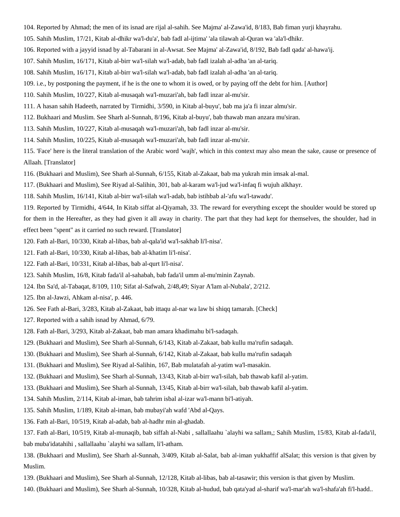- 104. Reported by Ahmad; the men of its isnad are rijal al-sahih. See Majma' al-Zawa'id, 8/183, Bab fiman yurji khayrahu.
- 105. Sahih Muslim, 17/21, Kitab al-dhikr wa'l-du'a', bab fadl al-ijtima' 'ala tilawah al-Quran wa 'ala'l-dhikr.
- 106. Reported with a jayyid isnad by al-Tabarani in al-Awsat. See Majma' al-Zawa'id, 8/192, Bab fadl qada' al-hawa'ij.
- 107. Sahih Muslim, 16/171, Kitab al-birr wa'l-silah wa'l-adab, bab fadl izalah al-adha 'an al-tariq.
- 108. Sahih Muslim, 16/171, Kitab al-birr wa'l-silah wa'l-adab, bab fadl izalah al-adha 'an al-tariq.
- 109. i.e., by postponing the payment, if he is the one to whom it is owed, or by paying off the debt for him. [Author]
- 110. Sahih Muslim, 10/227, Kitab al-musaqah wa'l-muzari'ah, bab fadl inzar al-mu'sir.
- 111. A hasan sahih Hadeeth, narrated by Tirmidhi, 3/590, in Kitab al-buyu', bab ma ja'a fi inzar almu'sir.
- 112. Bukhaari and Muslim. See Sharh al-Sunnah, 8/196, Kitab al-buyu', bab thawab man anzara mu'siran.
- 113. Sahih Muslim, 10/227, Kitab al-musaqah wa'l-muzari'ah, bab fadl inzar al-mu'sir.
- 114. Sahih Muslim, 10/225, Kitab al-musaqah wa'l-muzari'ah, bab fadl inzar al-mu'sir.
- 115. 'Face' here is the literal translation of the Arabic word 'wajh', which in this context may also mean the sake, cause or presence of Allaah. [Translator]
- 116. (Bukhaari and Muslim), See Sharh al-Sunnah, 6/155, Kitab al-Zakaat, bab ma yukrah min imsak al-mal.
- 117. (Bukhaari and Muslim), See Riyad al-Salihin, 301, bab al-karam wa'l-jud wa'l-infaq fi wujuh alkhayr.
- 118. Sahih Muslim, 16/141, Kitab al-birr wa'l-silah wa'l-adab, bab istihbab al-'afu wa'l-tawadu'.

119. Reported by Tirmidhi, 4/644, In Kitab siffat al-Qiyamah, 33. The reward for everything except the shoulder would be stored up for them in the Hereafter, as they had given it all away in charity. The part that they had kept for themselves, the shoulder, had in effect been "spent" as it carried no such reward. [Translator]

- 120. Fath al-Bari, 10/330, Kitab al-libas, bab al-qala'id wa'l-sakhab li'l-nisa'.
- 121. Fath al-Bari, 10/330, Kitab al-libas, bab al-khatim li'l-nisa'.
- 122. Fath al-Bari, 10/331, Kitab al-libas, bab al-qurt li'l-nisa'.
- 123. Sahih Muslim, 16/8, Kitab fada'il al-sahabah, bab fada'il umm al-mu'minin Zaynab.
- 124. Ibn Sa'd, al-Tabaqat, 8/109, 110; Sifat al-Safwah, 2/48,49; Siyar A'lam al-Nubala', 2/212.
- 125. Ibn al-Jawzi, Ahkam al-nisa', p. 446.
- 126. See Fath al-Bari, 3/283, Kitab al-Zakaat, bab ittaqu al-nar wa law bi shiqq tamarah. [Check]
- 127. Reported with a sahih isnad by Ahmad, 6/79.
- 128. Fath al-Bari, 3/293, Kitab al-Zakaat, bab man amara khadimahu bi'l-sadaqah.
- 129. (Bukhaari and Muslim), See Sharh al-Sunnah, 6/143, Kitab al-Zakaat, bab kullu ma'rufin sadaqah.
- 130. (Bukhaari and Muslim), See Sharh al-Sunnah, 6/142, Kitab al-Zakaat, bab kullu ma'rufin sadaqah
- 131. (Bukhaari and Muslim), See Riyad al-Salihin, 167, Bab mulatafah al-yatim wa'l-masakin.
- 132. (Bukhaari and Muslim), See Sharh al-Sunnah, 13/43, Kitab al-birr wa'l-silah, bab thawab kafil al-yatim.
- 133. (Bukhaari and Muslim), See Sharh al-Sunnah, 13/45, Kitab al-birr wa'l-silah, bab thawab kafil al-yatim.
- 134. Sahih Muslim, 2/114, Kitab al-iman, bab tahrim isbal al-izar wa'l-mann bi'l-atiyah.
- 135. Sahih Muslim, 1/189, Kitab al-iman, bab mubayi'ah wafd 'Abd al-Qays.
- 136. Fath al-Bari, 10/519, Kitab al-adab, bab al-hadhr min al-ghadab.

137. Fath al-Bari, 10/519, Kitab al-munaqib, bab siffah al-Nabi , sallallaahu `alayhi wa sallam,; Sahih Muslim, 15/83, Kitab al-fada'il, bab muba'idatahihi , sallallaahu `alayhi wa sallam, li'l-atham.

138. (Bukhaari and Muslim), See Sharh al-Sunnah, 3/409, Kitab al-Salat, bab al-iman yukhaffif alSalat; this version is that given by Muslim.

- 139. (Bukhaari and Muslim), See Sharh al-Sunnah, 12/128, Kitab al-libas, bab al-tasawir; this version is that given by Muslim.
- 140. (Bukhaari and Muslim), See Sharh al-Sunnah, 10/328, Kitab al-hudud, bab qata'yad al-sharif wa'l-mar'ah wa'l-shafa'ah fi'l-hadd..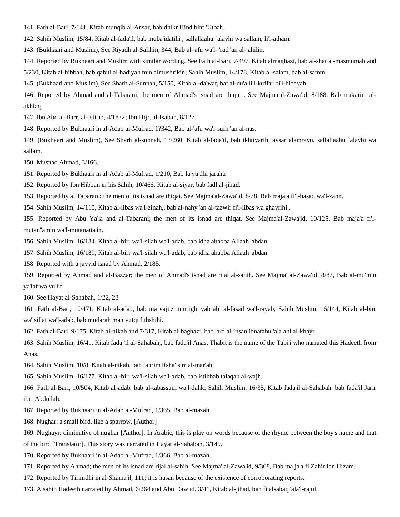- 141. Fath al-Bari, 7/141, Kitab munqib al-Ansar, bab dhikr Hind bint 'Utbah.
- 142. Sahih Muslim, 15/84, Kitab al-fada'il, bab muba'idatihi , sallallaahu `alayhi wa sallam, li'l-atham.
- 143. (Bukhaari and Muslim), See Riyadh al-Salihin, 344, Bab al-'afu wa'l- 'rad 'an al-jahilin.
- 144. Reported by Bukhaari and Muslim with similar wording. See Fath al-Bari, 7/497, Kitab almaghazi, bab al-shat al-masmumah and
- 5/230, Kitab al-hibbah, bab qabul al-hadiyah min almushrikin; Sahih Muslim, 14/178, Kitab al-salam, bab al-samm.
- 145. (Bukhaari and Muslim), See Sharh al-Sunnah, 5/150, Kitab al-da'wat, bat al-du'a li'l-kuffar bi'l-hidayah
- 146. Reported by Ahmad and al-Tabarani; the men of Ahmad's isnad are thiqat . See Majma'al-Zawa'id, 8/188, Bab makarim alakhlaq.
- 147. Ibn'Abd al-Barr, al-Isti'ab, 4/1872; Ibn Hijr, al-Isabah, 8/127.
- 148. Reported by Bukhaari in al-Adab al-Mufrad, 1?342, Bab al-'afu wa'l-sufh 'an al-nas.
- 149. (Bukhaari and Muslim), See Sharh al-sunnah, 13/260, Kitab al-fada'il, bab ikhtiyarihi aysar alamrayn, sallallaahu `alayhi wa sallam.
- 150. Musnad Ahmad, 3/166.
- 151. Reported by Bukhaari in al-Adab al-Mufrad, 1/210, Bab la yu'dhi jarahu
- 152. Reported by Ibn Hibban in his Sahih, 10/466, Kitab al-siyar, bab fadl al-jihad.
- 153. Reported by al Tabarani; the men of its isnad are thiqat. See Majma'al-Zawa'id, 8/78, Bab maja'a fi'l-hasad wa'l-zann.
- 154. Sahih Muslim, 14/110, Kitab al-libas wa'l-zinah,, bab al-nahy 'an al-tazwir fi'l-libas wa ghayrihi..
- 155. Reported by Abu Ya'la and al-Tabarani; the men of its isnad are thiqat. See Majma'al-Zawa'id, 10/125, Bab maja'a fi'lmutan''amin wa'l-mutanatta'in.
- 156. Sahih Muslim, 16/184, Kitab al-birr wa'l-silah wa'l-adab, bab idha ahabba Allaah 'abdan.
- 157. Sahih Muslim, 16/189, Kitab al-birr wa'l-silah wa'l-adab, bab idha ahabba Allaah 'abdan
- 158. Reported with a jayyid isnad by Ahmad, 2/185.
- 159. Reported by Ahmad and al-Bazzar; the men of Ahmad's isnad are rijal al-sahih. See Majma' al-Zawa'id, 8/87, Bab al-mu'min ya'laf wa yu'lif.
- 160. See Hayat al-Sahabah, 1/22, 23
- 161. Fath al-Bari, 10/471, Kitab al-adab, bab ma yajuz min ightiyab ahl al-fasad wa'l-rayab; Sahih Muslim, 16/144, Kitab al-birr wa'lsillat wa'l-adab, bab mudarah man yutqi fuhshihi.
- 162. Fath al-Bari, 9/175, Kitab al-nikah and 7/317, Kitab al-baghazi, bab 'ard al-insan ibnatahu 'ala ahl al-khayr
- 163. Sahih Muslim, 16/41, Kitab fada 'il al-Sahabah,, bab fada'il Anas. Thabit is the name of the Tabi'i who narrated this Hadeeth from Anas.
- 164. Sahih Muslim, 10/8, Kitab al-nikah, bab tahrim ifsha' sirr al-mar'ah.
- 165. Sahih Muslim, 16/177, Kitab al-birr wa'l-silah wa'l-adab, bab istihbab talaqah al-wajh.
- 166. Fath al-Bari, 10/504, Kitab al-adab, bab al-tabassum wa'l-dahk; Sahih Muslim, 16/35, Kitab fada'il al-Sahabah, bab fada'il Jarir ibn 'Abdullah.
- 167. Reported by Bukhaari in al-Adab al-Mufrad, 1/365, Bab al-mazah.
- 168. Nughar: a small bird, like a sparrow. [Author]
- 169. Nughayr: diminutive of nughar [Author]. In Arabic, this is play on words because of the rhyme between the boy's name and that of the bird [Translator]. This story was narrated in Hayat al-Sahabah, 3/149.
- 170. Reported by Bukhaari in al-Adab al-Mufrad, 1/366, Bab al-mazah.
- 171. Reported by Ahmad; the men of its isnad are rijal al-sahih. See Majma' al-Zawa'id, 9/368, Bab ma ja'a fi Zahir ibn Hizam.
- 172. Reported by Tirmidhi in al-Shama'il, 111; it is hasan because of the existence of corroborating reports.
- 173. A sahih Hadeeth narrated by Ahmad, 6/264 and Abu Dawud, 3/41, Kitab al-jihad, bab fi alsabaq 'ala'l-rajul.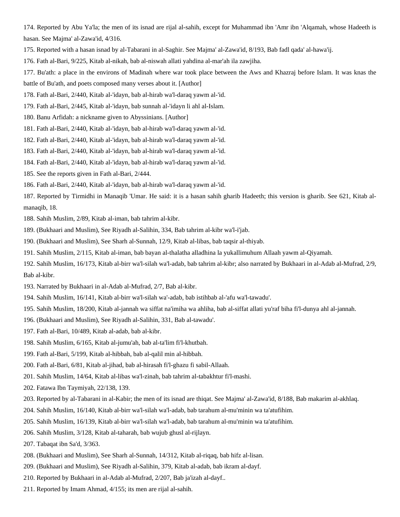174. Reported by Abu Ya'la; the men of its isnad are rijal al-sahih, except for Muhammad ibn 'Amr ibn 'Alqamah, whose Hadeeth is hasan. See Majma' al-Zawa'id, 4/316.

- 175. Reported with a hasan isnad by al-Tabarani in al-Saghir. See Majma' al-Zawa'id, 8/193, Bab fadl qada' al-hawa'ij.
- 176. Fath al-Bari, 9/225, Kitab al-nikah, bab al-niswah allati yahdina al-mar'ah ila zawjiha.
- 177. Bu'ath: a place in the environs of Madinah where war took place between the Aws and Khazraj before Islam. It was knas the battle of Bu'ath, and poets composed many verses about it. [Author]
- 178. Fath al-Bari, 2/440, Kitab al-'idayn, bab al-hirab wa'l-daraq yawm al-'id.
- 179. Fath al-Bari, 2/445, Kitab al-'idayn, bab sunnah al-'idayn li ahl al-Islam.
- 180. Banu Arfidah: a nickname given to Abyssinians. [Author]
- 181. Fath al-Bari, 2/440, Kitab al-'idayn, bab al-hirab wa'l-daraq yawm al-'id.
- 182. Fath al-Bari, 2/440, Kitab al-'idayn, bab al-hirab wa'l-daraq yawm al-'id.
- 183. Fath al-Bari, 2/440, Kitab al-'idayn, bab al-hirab wa'l-daraq yawm al-'id.
- 184. Fath al-Bari, 2/440, Kitab al-'idayn, bab al-hirab wa'l-daraq yawm al-'id.
- 185. See the reports given in Fath al-Bari, 2/444.
- 186. Fath al-Bari, 2/440, Kitab al-'idayn, bab al-hirab wa'l-daraq yawm al-'id.

187. Reported by Tirmidhi in Manaqib 'Umar. He said: it is a hasan sahih gharib Hadeeth; this version is gharib. See 621, Kitab almanaqib, 18.

- 188. Sahih Muslim, 2/89, Kitab al-iman, bab tahrim al-kibr.
- 189. (Bukhaari and Muslim), See Riyadh al-Salihin, 334, Bab tahrim al-kibr wa'l-i'jab.
- 190. (Bukhaari and Muslim), See Sharh al-Sunnah, 12/9, Kitab al-libas, bab taqsir al-thiyab.
- 191. Sahih Muslim, 2/115, Kitab al-iman, bab bayan al-thalatha alladhina la yukallimuhum Allaah yawm al-Qiyamah.
- 192. Sahih Muslim, 16/173, Kitab al-birr wa'l-silah wa'l-adab, bab tahrim al-kibr; also narrated by Bukhaari in al-Adab al-Mufrad, 2/9, Bab al-kibr.
- 193. Narrated by Bukhaari in al-Adab al-Mufrad, 2/7, Bab al-kibr.
- 194. Sahih Muslim, 16/141, Kitab al-birr wa'l-silah wa'-adab, bab istihbab al-'afu wa'l-tawadu'.
- 195. Sahih Muslim, 18/200, Kitab al-jannah wa siffat na'imiha wa ahliha, bab al-siffat allati yu'raf biha fi'l-dunya ahl al-jannah.
- 196. (Bukhaari and Muslim), See Riyadh al-Salihin, 331, Bab al-tawadu'.
- 197. Fath al-Bari, 10/489, Kitab al-adab, bab al-kibr.
- 198. Sahih Muslim, 6/165, Kitab al-jumu'ah, bab al-ta'lim fi'l-khutbah.
- 199. Fath al-Bari, 5/199, Kitab al-hibbah, bab al-qalil min al-hibbah.
- 200. Fath al-Bari, 6/81, Kitab al-jihad, bab al-hirasah fi'l-ghazu fi sabil-Allaah.
- 201. Sahih Muslim, 14/64, Kitab al-libas wa'l-zinah, bab tahrim al-tabakhtur fi'l-mashi.
- 202. Fatawa Ibn Taymiyah, 22/138, 139.
- 203. Reported by al-Tabarani in al-Kabir; the men of its isnad are thiqat. See Majma' al-Zawa'id, 8/188, Bab makarim al-akhlaq.
- 204. Sahih Muslim, 16/140, Kitab al-birr wa'l-silah wa'l-adab, bab tarahum al-mu'minin wa ta'atufihim.
- 205. Sahih Muslim, 16/139, Kitab al-birr wa'l-silah wa'l-adab, bab tarahum al-mu'minin wa ta'atufihim.
- 206. Sahih Muslim, 3/128, Kitab al-taharah, bab wujub ghusl al-rijlayn.
- 207. Tabaqat ibn Sa'd, 3/363.
- 208. (Bukhaari and Muslim), See Sharh al-Sunnah, 14/312, Kitab al-riqaq, bab hifz al-lisan.
- 209. (Bukhaari and Muslim), See Riyadh al-Salihin, 379, Kitab al-adab, bab ikram al-dayf.
- 210. Reported by Bukhaari in al-Adab al-Mufrad, 2/207, Bab ja'izah al-dayf..
- 211. Reported by Imam Ahmad, 4/155; its men are rijal al-sahih.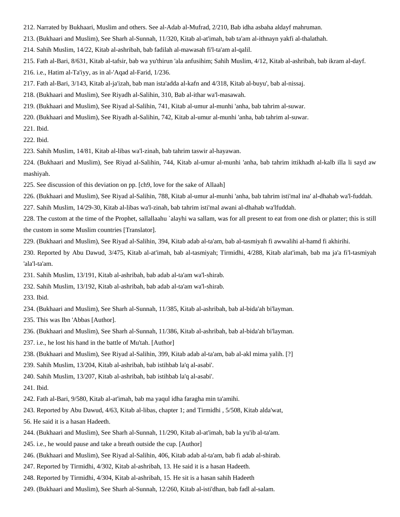- 212. Narrated by Bukhaari, Muslim and others. See al-Adab al-Mufrad, 2/210, Bab idha asbaha aldayf mahruman.
- 213. (Bukhaari and Muslim), See Sharh al-Sunnah, 11/320, Kitab al-at'imah, bab ta'am al-ithnayn yakfi al-thalathah.
- 214. Sahih Muslim, 14/22, Kitab al-ashribah, bab fadilah al-mawasah fi'l-ta'am al-qalil.
- 215. Fath al-Bari, 8/631, Kitab al-tafsir, bab wa yu'thirun 'ala anfusihim; Sahih Muslim, 4/12, Kitab al-ashribah, bab ikram al-dayf.
- 216. i.e., Hatim al-Ta'iyy, as in al-'Aqad al-Farid, 1/236.
- 217. Fath al-Bari, 3/143, Kitab al-ja'izah, bab man ista'adda al-kafn and 4/318, Kitab al-buyu', bab al-nissaj.
- 218. (Bukhaari and Muslim), See Riyadh al-Salihin, 310, Bab al-ithar wa'l-masawah.
- 219. (Bukhaari and Muslim), See Riyad al-Salihin, 741, Kitab al-umur al-munhi 'anha, bab tahrim al-suwar.
- 220. (Bukhaari and Muslim), See Riyadh al-Salihin, 742, Kitab al-umur al-munhi 'anha, bab tahrim al-suwar.
- 221. Ibid.
- 222. Ibid.
- 223. Sahih Muslim, 14/81, Kitab al-libas wa'l-zinah, bab tahrim taswir al-hayawan.

224. (Bukhaari and Muslim), See Riyad al-Salihin, 744, Kitab al-umur al-munhi 'anha, bab tahrim ittikhadh al-kalb illa li sayd aw mashiyah.

- 225. See discussion of this deviation on pp. [ch9, love for the sake of Allaah]
- 226. (Bukhaari and Muslim), See Riyad al-Salihin, 788, Kitab al-umur al-munhi 'anha, bab tahrim isti'mal ina' al-dhahab wa'l-fuddah.
- 227. Sahih Muslim, 14/29-30, Kitab al-libas wa'l-zinah, bab tahrim isti'mal awani al-dhahab wa'lfuddah.
- 228. The custom at the time of the Prophet, sallallaahu `alayhi wa sallam, was for all present to eat from one dish or platter; this is still the custom in some Muslim countries [Translator].
- 229. (Bukhaari and Muslim), See Riyad al-Salihin, 394, Kitab adab al-ta'am, bab al-tasmiyah fi awwalihi al-hamd fi akhirihi.
- 230. Reported by Abu Dawud, 3/475, Kitab al-at'imah, bab al-tasmiyah; Tirmidhi, 4/288, Kitab alat'imah, bab ma ja'a fi'l-tasmiyah 'ala'l-ta'am.
- 231. Sahih Muslim, 13/191, Kitab al-ashribah, bab adab al-ta'am wa'l-shirab.
- 232. Sahih Muslim, 13/192, Kitab al-ashribah, bab adab al-ta'am wa'l-shirab.
- 233. Ibid.
- 234. (Bukhaari and Muslim), See Sharh al-Sunnah, 11/385, Kitab al-ashribah, bab al-bida'ah bi'layman.
- 235. This was Ibn 'Abbas [Author].
- 236. (Bukhaari and Muslim), See Sharh al-Sunnah, 11/386, Kitab al-ashribah, bab al-bida'ah bi'layman.
- 237. i.e., he lost his hand in the battle of Mu'tah. [Author]
- 238. (Bukhaari and Muslim), See Riyad al-Salihin, 399, Kitab adab al-ta'am, bab al-akl mima yalih. [?]
- 239. Sahih Muslim, 13/204, Kitab al-ashribah, bab istihbab la'q al-asabi'.
- 240. Sahih Muslim, 13/207, Kitab al-ashribah, bab istihbab la'q al-asabi'.

241. Ibid.

- 242. Fath al-Bari, 9/580, Kitab al-at'imah, bab ma yaqul idha faragha min ta'amihi.
- 243. Reported by Abu Dawud, 4/63, Kitab al-libas, chapter 1; and Tirmidhi , 5/508, Kitab alda'wat,
- 56. He said it is a hasan Hadeeth.
- 244. (Bukhaari and Muslim), See Sharh al-Sunnah, 11/290, Kitab al-at'imah, bab la yu'ib al-ta'am.
- 245. i.e., he would pause and take a breath outside the cup. [Author]
- 246. (Bukhaari and Muslim), See Riyad al-Salihin, 406, Kitab adab al-ta'am, bab fi adab al-shirab.
- 247. Reported by Tirmidhi, 4/302, Kitab al-ashribah, 13. He said it is a hasan Hadeeth.
- 248. Reported by Tirmidhi, 4/304, Kitab al-ashribah, 15. He sit is a hasan sahih Hadeeth
- 249. (Bukhaari and Muslim), See Sharh al-Sunnah, 12/260, Kitab al-isti'dhan, bab fadl al-salam.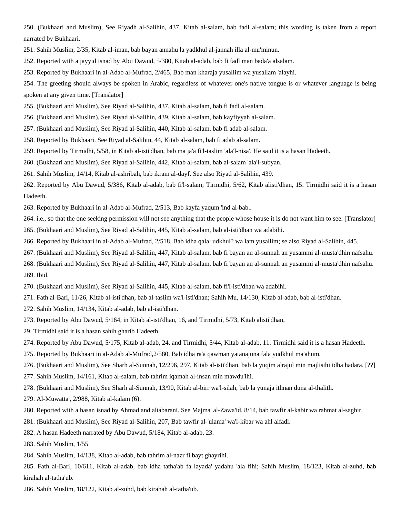250. (Bukhaari and Muslim), See Riyadh al-Salihin, 437, Kitab al-salam, bab fadl al-salam; this wording is taken from a report narrated by Bukhaari.

- 251. Sahih Muslim, 2/35, Kitab al-iman, bab bayan annahu la yadkhul al-jannah illa al-mu'minun.
- 252. Reported with a jayyid isnad by Abu Dawud, 5/380, Kitab al-adab, bab fi fadl man bada'a alsalam.
- 253. Reported by Bukhaari in al-Adab al-Mufrad, 2/465, Bab man kharaja yusallim wa yusallam 'alayhi.
- 254. The greeting should always be spoken in Arabic, regardless of whatever one's native tongue is or whatever language is being spoken at any given time. [Translator]
- 255. (Bukhaari and Muslim), See Riyad al-Salihin, 437, Kitab al-salam, bab fi fadl al-salam.
- 256. (Bukhaari and Muslim), See Riyad al-Salihin, 439, Kitab al-salam, bab kayfiyyah al-salam.
- 257. (Bukhaari and Muslim), See Riyad al-Salihin, 440, Kitab al-salam, bab fi adab al-salam.
- 258. Reported by Bukhaari. See Riyad al-Salihin, 44, Kitab al-salam, bab fi adab al-salam.
- 259. Reported by Tirmidhi, 5/58, in Kitab al-isti'dhan, bab ma ja'a fi'l-taslim 'ala'l-nisa'. He said it is a hasan Hadeeth.
- 260. (Bukhaari and Muslim), See Riyad al-Salihin, 442, Kitab al-salam, bab al-salam 'ala'l-subyan.
- 261. Sahih Muslim, 14/14, Kitab al-ashribah, bab ikram al-dayf. See also Riyad al-Salihin, 439.
- 262. Reported by Abu Dawud, 5/386, Kitab al-adab, bab fi'l-salam; Tirmidhi, 5/62, Kitab alisti'dhan, 15. Tirmidhi said it is a hasan Hadeeth.
- 263. Reported by Bukhaari in al-Adab al-Mufrad, 2/513, Bab kayfa yaqum 'ind al-bab..
- 264. i.e., so that the one seeking permission will not see anything that the people whose house it is do not want him to see. [Translator]
- 265. (Bukhaari and Muslim), See Riyad al-Salihin, 445, Kitab al-salam, bab al-isti'dhan wa adabihi.
- 266. Reported by Bukhaari in al-Adab al-Mufrad, 2/518, Bab idha qala: udkhul? wa lam yusallim; se also Riyad al-Salihin, 445.
- 267. (Bukhaari and Muslim), See Riyad al-Salihin, 447, Kitab al-salam, bab fi bayan an al-sunnah an yusammi al-musta'dhin nafsahu.
- 268. (Bukhaari and Muslim), See Riyad al-Salihin, 447, Kitab al-salam, bab fi bayan an al-sunnah an yusammi al-musta'dhin nafsahu.
- 269. Ibid.
- 270. (Bukhaari and Muslim), See Riyad al-Salihin, 445, Kitab al-salam, bab fi'l-isti'dhan wa adabihi.
- 271. Fath al-Bari, 11/26, Kitab al-isti'dhan, bab al-taslim wa'l-isti'dhan; Sahih Mu, 14/130, Kitab al-adab, bab al-isti'dhan.
- 272. Sahih Muslim, 14/134, Kitab al-adab, bab al-isti'dhan.
- 273. Reported by Abu Dawud, 5/164, in Kitab al-isti'dhan, 16, and Tirmidhi, 5/73, Kitab alisti'dhan,
- 29. Tirmidhi said it is a hasan sahih gharib Hadeeth.
- 274. Reported by Abu Dawud, 5/175, Kitab al-adab, 24, and Tirmidhi, 5/44, Kitab al-adab, 11. Tirmidhi said it is a hasan Hadeeth.
- 275. Reported by Bukhaari in al-Adab al-Mufrad,2/580, Bab idha ra'a qawman yatanajuna fala yudkhul ma'ahum.
- 276. (Bukhaari and Muslim), See Sharh al-Sunnah, 12/296, 297, Kitab al-isti'dhan, bab la yuqim alrajul min majlisihi idha hadara. [??]
- 277. Sahih Muslim, 14/161, Kitab al-salam, bab tahrim iqamah al-insan min mawdu'ihi.
- 278. (Bukhaari and Muslim), See Sharh al-Sunnah, 13/90, Kitab al-birr wa'l-silah, bab la yunaja ithnan duna al-thalith.
- 279. Al-Muwatta', 2/988, Kitab al-kalam (6).
- 280. Reported with a hasan isnad by Ahmad and altabarani. See Majma' al-Zawa'id, 8/14, bab tawfir al-kabir wa rahmat al-saghir.
- 281. (Bukhaari and Muslim), See Riyad al-Salihin, 207, Bab tawfir al-'ulama' wa'l-kibar wa ahl alfadl.
- 282. A hasan Hadeeth narrated by Abu Dawud, 5/184, Kitab al-adab, 23.
- 283. Sahih Muslim, 1/55
- 284. Sahih Muslim, 14/138, Kitab al-adab, bab tahrim al-nazr fi bayt ghayrihi.
- 285. Fath al-Bari, 10/611, Kitab al-adab, bab idha tatha'ab fa layada' yadahu 'ala fihi; Sahih Muslim, 18/123, Kitab al-zuhd, bab kirahah al-tatha'ub.
- 286. Sahih Muslim, 18/122, Kitab al-zuhd, bab kirahah al-tatha'ub.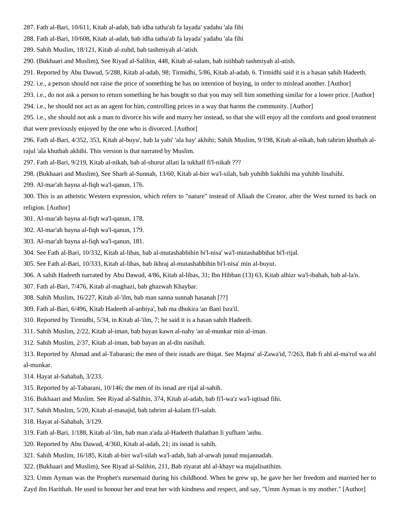- 287. Fath al-Bari, 10/611, Kitab al-adab, bab idha tatha'ab fa layada' yadahu 'ala fihi
- 288. Fath al-Bari, 10/608, Kitab al-adab, bab idha tatha'ab fa layada' yadahu 'ala fihi
- 289. Sahih Muslim, 18/121, Kitab al-zuhd, bab tashmiyah al-'atish.
- 290. (Bukhaari and Muslim), See Riyad al-Salihin, 448, Kitab al-salam, bab istihbab tashmiyah al-atish.
- 291. Reported by Abu Dawud, 5/288, Kitab al-adab, 98; Tirmidhi, 5/86, Kitab al-adab, 6. Tirmidhi said it is a hasan sahih Hadeeth.
- 292. i.e., a person should not raise the price of something he has no intention of buying, in order to mislead another. [Author]
- 293. i.e., do not ask a person to return something he has bought so that you may sell him something similar for a lower price. [Author]
- 294. i.e., he should not act as an agent for him, controlling prices in a way that harms the community. [Author]
- 295. i.e., she should not ask a man to divorce his wife and marry her instead, so that she will enjoy all the comforts and good treatment that were previously enjoyed by the one who is divorced. [Author]
- 296. Fath al-Bari, 4/352, 353, Kitab al-buyu', bab la yabi' 'ala bay' akhihi; Sahih Muslim, 9/198, Kitab al-nikah, bab tahrim khutbah alrajul 'ala khutbah akhihi. This version is that narrated by Muslim.
- 297. Fath al-Bari, 9/219, Kitab al-nikah, bab al-shurut allati la tukhall fi'l-nikah ???
- 298. (Bukhaari and Muslim), See Sharh al-Sunnah, 13/60, Kitab al-birr wa'l-silah, bab yuhibb liakhihi ma yuhibb linafsihi.
- 299. Al-mar'ah bayna al-fiqh wa'l-qanun, 176.

300. This is an atheistic Western expression, which refers to "nature" instead of Allaah the Creator, after the West turned its back on religion. [Author]

- 301. Al-mar'ah bayna al-fiqh wa'l-qanun, 178.
- 302. Al-mar'ah bayna al-fiqh wa'l-qanun, 179.
- 303. Al-mar'ah bayna al-fiqh wa'l-qanun, 181.
- 304. See Fath al-Bari, 10/332, Kitab al-libas, bab al-mutashabbihin bi'l-nisa' wa'l-mutashabbihat bi'l-rijal.
- 305. See Fath al-Bari, 10/333, Kitab al-libas, bab ikhraj al-mutashabbihin bi'l-nisa' min al-buyut.
- 306. A sahih Hadeeth narrated by Abu Dawud, 4/86, Kitab al-libas, 31; Ibn Hibban (13) 63, Kitab alhizr wa'l-ibahah, bab al-la'n.
- 307. Fath al-Bari, 7/476, Kitab al-maghazi, bab ghazwah Khaybar.
- 308. Sahih Muslim, 16/227, Kitab al-'ilm, bab man sanna sunnah hasanah [??]
- 309. Fath al-Bari, 6/496, Kitab Hadeeth al-anbiya', bab ma dhukira 'an Bani Isra'il.
- 310. Reported by Tirmidhi, 5/34, in Kitab al-'ilm, 7; he said it is a hasan sahih Hadeeth.
- 311. Sahih Muslim, 2/22, Kitab al-iman, bab bayan kawn al-nahy 'an al-munkar min al-iman.
- 312. Sahih Muslim, 2/37, Kitab al-iman, bab bayan an al-din nasihah.
- 313. Reported by Ahmad and al-Tabarani; the men of their isnads are thiqat. See Majma' al-Zawa'id, 7/263, Bab fi ahl al-ma'ruf wa ahl al-munkar.
- 314. Hayat al-Sahabah, 3/233.
- 315. Reported by al-Tabarani, 10/146; the men of its isnad are rijal al-sahih.
- 316. Bukhaari and Muslim. See Riyad al-Salihin, 374, Kitab al-adab, bab fi'l-wa'z wa'l-iqtisad fihi.
- 317. Sahih Muslim, 5/20, Kitab al-masajid, bab tahrim al-kalam fi'l-salah.
- 318. Hayat al-Sahabah, 3/129.
- 319. Fath al-Bari, 1/188, Kitab al-'ilm, bab man a'ada al-Hadeeth thalathan li yufham 'anhu.
- 320. Reported by Abu Dawud, 4/360, Kitab al-adab, 21; its isnad is sahih.
- 321. Sahih Muslim, 16/185, Kitab al-birr wa'l-silah wa'l-adab, bab al-arwah junud mujannadah.
- 322. (Bukhaari and Muslim), See Riyad al-Salihin, 211, Bab ziyarat ahl al-khayr wa majalisatihim.
- 323. Umm Ayman was the Prophet's nursemaid during his childhood. When he grew up, he gave her her freedom and married her to
- Zayd ibn Harithah. He used to honour her and treat her with kindness and respect, and say, "Umm Ayman is my mother." [Author]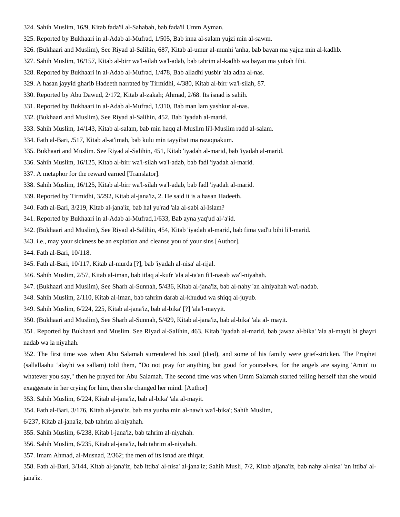- 324. Sahih Muslim, 16/9, Kitab fada'il al-Sahabah, bab fada'il Umm Ayman.
- 325. Reported by Bukhaari in al-Adab al-Mufrad, 1/505, Bab inna al-salam yujzi min al-sawm.
- 326. (Bukhaari and Muslim), See Riyad al-Salihin, 687, Kitab al-umur al-munhi 'anha, bab bayan ma yajuz min al-kadhb.
- 327. Sahih Muslim, 16/157, Kitab al-birr wa'l-silah wa'l-adab, bab tahrim al-kadhb wa bayan ma yubah fihi.
- 328. Reported by Bukhaari in al-Adab al-Mufrad, 1/478, Bab alladhi yusbir 'ala adha al-nas.
- 329. A hasan jayyid gharib Hadeeth narrated by Tirmidhi, 4/380, Kitab al-birr wa'l-silah, 87.
- 330. Reported by Abu Dawud, 2/172, Kitab al-zakah; Ahmad, 2/68. Its isnad is sahih.
- 331. Reported by Bukhaari in al-Adab al-Mufrad, 1/310, Bab man lam yashkur al-nas.
- 332. (Bukhaari and Muslim), See Riyad al-Salihin, 452, Bab 'iyadah al-marid.
- 333. Sahih Muslim, 14/143, Kitab al-salam, bab min haqq al-Muslim li'l-Muslim radd al-salam.
- 334. Fath al-Bari, /517, Kitab al-at'imah, bab kulu min tayyibat ma razaqnakum.
- 335. Bukhaari and Muslim. See Riyad al-Salihin, 451, Kitab 'iyadah al-marid, bab 'iyadah al-marid.
- 336. Sahih Muslim, 16/125, Kitab al-birr wa'l-silah wa'l-adab, bab fadl 'iyadah al-marid.
- 337. A metaphor for the reward earned [Translator].
- 338. Sahih Muslim, 16/125, Kitab al-birr wa'l-silah wa'l-adab, bab fadl 'iyadah al-marid.
- 339. Reported by Tirmidhi, 3/292, Kitab al-jana'iz, 2. He said it is a hasan Hadeeth.
- 340. Fath al-Bari, 3/219, Kitab al-jana'iz, bab hal yu'rad 'ala al-sabi al-Islam?
- 341. Reported by Bukhaari in al-Adab al-Mufrad,1/633, Bab ayna yaq'ud al-'a'id.
- 342. (Bukhaari and Muslim), See Riyad al-Salihin, 454, Kitab 'iyadah al-marid, bab fima yad'u bihi li'l-marid.
- 343. i.e., may your sickness be an expiation and cleanse you of your sins [Author].
- 344. Fath al-Bari, 10/118.
- 345. Fath al-Bari, 10/117, Kitab al-murda [?], bab 'iyadah al-nisa' al-rijal.
- 346. Sahih Muslim, 2/57, Kitab al-iman, bab itlaq al-kufr 'ala al-ta'an fi'l-nasab wa'l-niyahah.
- 347. (Bukhaari and Muslim), See Sharh al-Sunnah, 5/436, Kitab al-jana'iz, bab al-nahy 'an alniyahah wa'l-nadab.
- 348. Sahih Muslim, 2/110, Kitab al-iman, bab tahrim darab al-khudud wa shiqq al-juyub.
- 349. Sahih Muslim, 6/224, 225, Kitab al-jana'iz, bab al-bika' [?] 'ala'l-mayyit.
- 350. (Bukhaari and Muslim), See Sharh al-Sunnah, 5/429, Kitab al-jana'iz, bab al-bika' 'ala al- mayit.

351. Reported by Bukhaari and Muslim. See Riyad al-Salihin, 463, Kitab 'iyadah al-marid, bab jawaz al-bika' 'ala al-mayit bi ghayri nadab wa la niyahah.

352. The first time was when Abu Salamah surrendered his soul (died), and some of his family were grief-stricken. The Prophet (sallallaahu 'alayhi wa sallam) told them, "Do not pray for anything but good for yourselves, for the angels are saying 'Amin' to whatever you say," then he prayed for Abu Salamah. The second time was when Umm Salamah started telling herself that she would exaggerate in her crying for him, then she changed her mind. [Author]

- 353. Sahih Muslim, 6/224, Kitab al-jana'iz, bab al-bika' 'ala al-mayit.
- 354. Fath al-Bari, 3/176, Kitab al-jana'iz, bab ma yunha min al-nawh wa'l-bika'; Sahih Muslim,
- 6/237, Kitab al-jana'iz, bab tahrim al-niyahah.
- 355. Sahih Muslim, 6/238, Kitab l-jana'iz, bab tahrim al-niyahah.
- 356. Sahih Muslim, 6/235, Kitab al-jana'iz, bab tahrim al-niyahah.
- 357. Imam Ahmad, al-Musnad, 2/362; the men of its isnad are thiqat.

358. Fath al-Bari, 3/144, Kitab al-jana'iz, bab ittiba' al-nisa' al-jana'iz; Sahih Musli, 7/2, Kitab aljana'iz, bab nahy al-nisa' 'an ittiba' aljana'iz.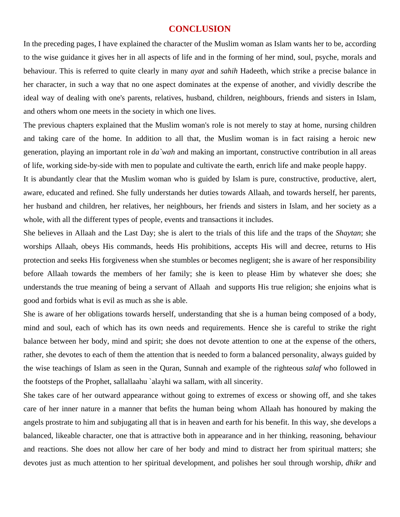## **CONCLUSION**

In the preceding pages, I have explained the character of the Muslim woman as Islam wants her to be, according to the wise guidance it gives her in all aspects of life and in the forming of her mind, soul, psyche, morals and behaviour. This is referred to quite clearly in many *ayat* and *sahih* Hadeeth, which strike a precise balance in her character, in such a way that no one aspect dominates at the expense of another, and vividly describe the ideal way of dealing with one's parents, relatives, husband, children, neighbours, friends and sisters in Islam, and others whom one meets in the society in which one lives.

The previous chapters explained that the Muslim woman's role is not merely to stay at home, nursing children and taking care of the home. In addition to all that, the Muslim woman is in fact raising a heroic new generation, playing an important role in *da`wah* and making an important, constructive contribution in all areas of life, working side-by-side with men to populate and cultivate the earth, enrich life and make people happy.

It is abundantly clear that the Muslim woman who is guided by Islam is pure, constructive, productive, alert, aware, educated and refined. She fully understands her duties towards Allaah, and towards herself, her parents, her husband and children, her relatives, her neighbours, her friends and sisters in Islam, and her society as a whole, with all the different types of people, events and transactions it includes.

She believes in Allaah and the Last Day; she is alert to the trials of this life and the traps of the *Shaytan*; she worships Allaah, obeys His commands, heeds His prohibitions, accepts His will and decree, returns to His protection and seeks His forgiveness when she stumbles or becomes negligent; she is aware of her responsibility before Allaah towards the members of her family; she is keen to please Him by whatever she does; she understands the true meaning of being a servant of Allaah and supports His true religion; she enjoins what is good and forbids what is evil as much as she is able.

She is aware of her obligations towards herself, understanding that she is a human being composed of a body, mind and soul, each of which has its own needs and requirements. Hence she is careful to strike the right balance between her body, mind and spirit; she does not devote attention to one at the expense of the others, rather, she devotes to each of them the attention that is needed to form a balanced personality, always guided by the wise teachings of Islam as seen in the Quran, Sunnah and example of the righteous *salaf* who followed in the footsteps of the Prophet, sallallaahu `alayhi wa sallam, with all sincerity.

She takes care of her outward appearance without going to extremes of excess or showing off, and she takes care of her inner nature in a manner that befits the human being whom Allaah has honoured by making the angels prostrate to him and subjugating all that is in heaven and earth for his benefit. In this way, she develops a balanced, likeable character, one that is attractive both in appearance and in her thinking, reasoning, behaviour and reactions. She does not allow her care of her body and mind to distract her from spiritual matters; she devotes just as much attention to her spiritual development, and polishes her soul through worship, *dhikr* and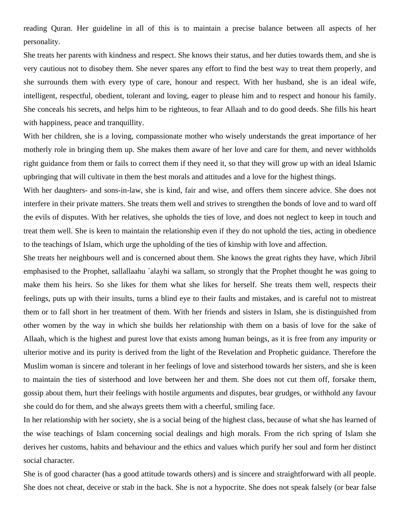reading Quran. Her guideline in all of this is to maintain a precise balance between all aspects of her personality.

She treats her parents with kindness and respect. She knows their status, and her duties towards them, and she is very cautious not to disobey them. She never spares any effort to find the best way to treat them properly, and she surrounds them with every type of care, honour and respect. With her husband, she is an ideal wife, intelligent, respectful, obedient, tolerant and loving, eager to please him and to respect and honour his family. She conceals his secrets, and helps him to be righteous, to fear Allaah and to do good deeds. She fills his heart with happiness, peace and tranquillity.

With her children, she is a loving, compassionate mother who wisely understands the great importance of her motherly role in bringing them up. She makes them aware of her love and care for them, and never withholds right guidance from them or fails to correct them if they need it, so that they will grow up with an ideal Islamic upbringing that will cultivate in them the best morals and attitudes and a love for the highest things.

With her daughters- and sons-in-law, she is kind, fair and wise, and offers them sincere advice. She does not interfere in their private matters. She treats them well and strives to strengthen the bonds of love and to ward off the evils of disputes. With her relatives, she upholds the ties of love, and does not neglect to keep in touch and treat them well. She is keen to maintain the relationship even if they do not uphold the ties, acting in obedience to the teachings of Islam, which urge the upholding of the ties of kinship with love and affection.

She treats her neighbours well and is concerned about them. She knows the great rights they have, which Jibril emphasised to the Prophet, sallallaahu `alayhi wa sallam, so strongly that the Prophet thought he was going to make them his heirs. So she likes for them what she likes for herself. She treats them well, respects their feelings, puts up with their insults, turns a blind eye to their faults and mistakes, and is careful not to mistreat them or to fall short in her treatment of them. With her friends and sisters in Islam, she is distinguished from other women by the way in which she builds her relationship with them on a basis of love for the sake of Allaah, which is the highest and purest love that exists among human beings, as it is free from any impurity or ulterior motive and its purity is derived from the light of the Revelation and Prophetic guidance. Therefore the Muslim woman is sincere and tolerant in her feelings of love and sisterhood towards her sisters, and she is keen to maintain the ties of sisterhood and love between her and them. She does not cut them off, forsake them, gossip about them, hurt their feelings with hostile arguments and disputes, bear grudges, or withhold any favour she could do for them, and she always greets them with a cheerful, smiling face.

In her relationship with her society, she is a social being of the highest class, because of what she has learned of the wise teachings of Islam concerning social dealings and high morals. From the rich spring of Islam she derives her customs, habits and behaviour and the ethics and values which purify her soul and form her distinct social character.

She is of good character (has a good attitude towards others) and is sincere and straightforward with all people. She does not cheat, deceive or stab in the back. She is not a hypocrite. She does not speak falsely (or bear false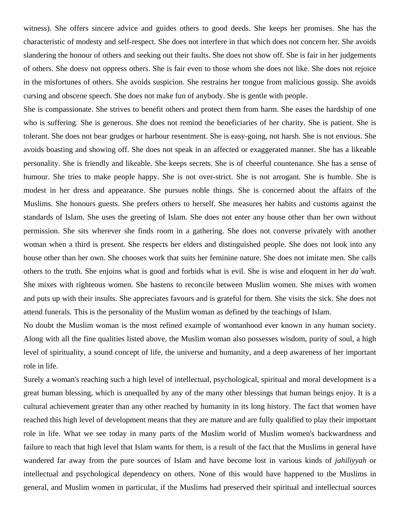witness). She offers sincere advice and guides others to good deeds. She keeps her promises. She has the characteristic of modesty and self-respect. She does not interfere in that which does not concern her. She avoids slandering the honour of others and seeking out their faults. She does not show off. She is fair in her judgements of others. She doesv not oppress others. She is fair even to those whom she does not like. She does not rejoice in the misfortunes of others. She avoids suspicion. She restrains her tongue from malicious gossip. She avoids cursing and obscene speech. She does not make fun of anybody. She is gentle with people.

She is compassionate. She strives to benefit others and protect them from harm. She eases the hardship of one who is suffering. She is generous. She does not remind the beneficiaries of her charity. She is patient. She is tolerant. She does not bear grudges or harbour resentment. She is easy-going, not harsh. She is not envious. She avoids boasting and showing off. She does not speak in an affected or exaggerated manner. She has a likeable personality. She is friendly and likeable. She keeps secrets. She is of cheerful countenance. She has a sense of humour. She tries to make people happy. She is not over-strict. She is not arrogant. She is humble. She is modest in her dress and appearance. She pursues noble things. She is concerned about the affairs of the Muslims. She honours guests. She prefers others to herself. She measures her habits and customs against the standards of Islam. She uses the greeting of Islam. She does not enter any house other than her own without permission. She sits wherever she finds room in a gathering. She does not converse privately with another woman when a third is present. She respects her elders and distinguished people. She does not look into any house other than her own. She chooses work that suits her feminine nature. She does not imitate men. She calls others to the truth. She enjoins what is good and forbids what is evil. She is wise and eloquent in her *da`wah*. She mixes with righteous women. She hastens to reconcile between Muslim women. She mixes with women and puts up with their insults. She appreciates favours and is grateful for them. She visits the sick. She does not attend funerals. This is the personality of the Muslim woman as defined by the teachings of Islam.

No doubt the Muslim woman is the most refined example of womanhood ever known in any human society. Along with all the fine qualities listed above, the Muslim woman also possesses wisdom, purity of soul, a high level of spirituality, a sound concept of life, the universe and humanity, and a deep awareness of her important role in life.

Surely a woman's reaching such a high level of intellectual, psychological, spiritual and moral development is a great human blessing, which is unequalled by any of the many other blessings that human beings enjoy. It is a cultural achievement greater than any other reached by humanity in its long history. The fact that women have reached this high level of development means that they are mature and are fully qualified to play their important role in life. What we see today in many parts of the Muslim world of Muslim women's backwardness and failure to reach that high level that Islam wants for them, is a result of the fact that the Muslims in general have wandered far away from the pure sources of Islam and have become lost in various kinds of *jahiliyyah* or intellectual and psychological dependency on others. None of this would have happened to the Muslims in general, and Muslim women in particular, if the Muslims had preserved their spiritual and intellectual sources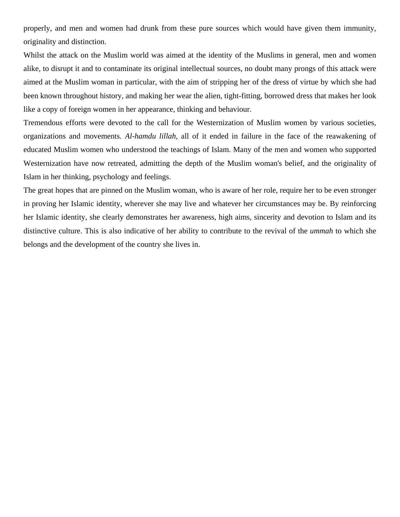properly, and men and women had drunk from these pure sources which would have given them immunity, originality and distinction.

Whilst the attack on the Muslim world was aimed at the identity of the Muslims in general, men and women alike, to disrupt it and to contaminate its original intellectual sources, no doubt many prongs of this attack were aimed at the Muslim woman in particular, with the aim of stripping her of the dress of virtue by which she had been known throughout history, and making her wear the alien, tight-fitting, borrowed dress that makes her look like a copy of foreign women in her appearance, thinking and behaviour.

Tremendous efforts were devoted to the call for the Westernization of Muslim women by various societies, organizations and movements. *Al-hamdu lillah*, all of it ended in failure in the face of the reawakening of educated Muslim women who understood the teachings of Islam. Many of the men and women who supported Westernization have now retreated, admitting the depth of the Muslim woman's belief, and the originality of Islam in her thinking, psychology and feelings.

The great hopes that are pinned on the Muslim woman, who is aware of her role, require her to be even stronger in proving her Islamic identity, wherever she may live and whatever her circumstances may be. By reinforcing her Islamic identity, she clearly demonstrates her awareness, high aims, sincerity and devotion to Islam and its distinctive culture. This is also indicative of her ability to contribute to the revival of the *ummah* to which she belongs and the development of the country she lives in.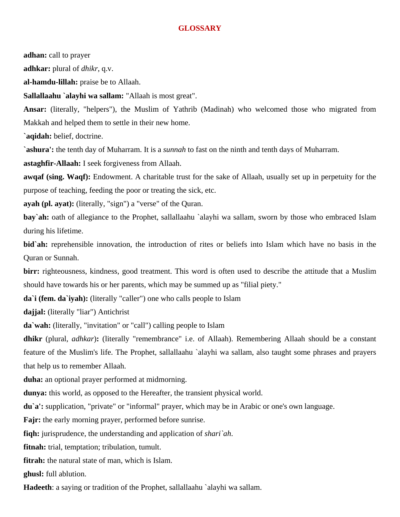## **GLOSSARY**

**adhan:** call to prayer **adhkar:** plural of *dhikr*, q.v. **al-hamdu-lillah:** praise be to Allaah. **Sallallaahu `alayhi wa sallam:** "Allaah is most great". **Ansar:** (literally, "helpers"), the Muslim of Yathrib (Madinah) who welcomed those who migrated from Makkah and helped them to settle in their new home. **`aqidah:** belief, doctrine. **`ashura':** the tenth day of Muharram. It is a *sunnah* to fast on the ninth and tenth days of Muharram. **astaghfir-Allaah:** I seek forgiveness from Allaah. **awqaf (sing. Waqf):** Endowment. A charitable trust for the sake of Allaah, usually set up in perpetuity for the purpose of teaching, feeding the poor or treating the sick, etc.

**ayah (pl. ayat):** (literally, "sign") a "verse" of the Quran.

**bay`ah:** oath of allegiance to the Prophet, sallallaahu `alayhi wa sallam, sworn by those who embraced Islam during his lifetime.

**bid`ah:** reprehensible innovation, the introduction of rites or beliefs into Islam which have no basis in the Quran or Sunnah.

**birr:** righteousness, kindness, good treatment. This word is often used to describe the attitude that a Muslim should have towards his or her parents, which may be summed up as "filial piety."

da'i (fem. da'iyah): (literally "caller") one who calls people to Islam

**dajjal:** (literally "liar") Antichrist

da' wah: (literally, "invitation" or "call") calling people to Islam

**dhikr** (plural, *adhkar*)**:** (literally "remembrance" i.e. of Allaah). Remembering Allaah should be a constant feature of the Muslim's life. The Prophet, sallallaahu `alayhi wa sallam, also taught some phrases and prayers that help us to remember Allaah.

**duha:** an optional prayer performed at midmorning.

**dunya:** this world, as opposed to the Hereafter, the transient physical world.

**du`a':** supplication, "private" or "informal" prayer, which may be in Arabic or one's own language.

Fajr: the early morning prayer, performed before sunrise.

**fiqh:** jurisprudence, the understanding and application of *shari`ah*.

**fitnah:** trial, temptation; tribulation, tumult.

**fitrah:** the natural state of man, which is Islam.

**ghusl:** full ablution.

**Hadeeth**: a saying or tradition of the Prophet, sallallaahu `alayhi wa sallam.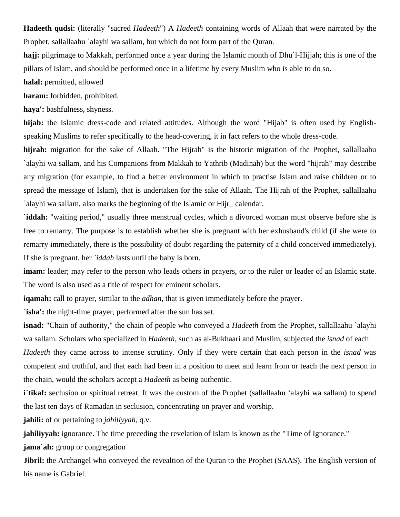**Hadeeth qudsi:** (literally "sacred *Hadeeth*") A *Hadeeth* containing words of Allaah that were narrated by the Prophet, sallallaahu `alayhi wa sallam, but which do not form part of the Quran.

**hajj:** pilgrimage to Makkah, performed once a year during the Islamic month of Dhu`l-Hijjah; this is one of the pillars of Islam, and should be performed once in a lifetime by every Muslim who is able to do so.

**halal:** permitted, allowed

**haram:** forbidden, prohibited.

**haya':** bashfulness, shyness.

**hijab:** the Islamic dress-code and related attitudes. Although the word "Hijab" is often used by Englishspeaking Muslims to refer specifically to the head-covering, it in fact refers to the whole dress-code.

**hijrah:** migration for the sake of Allaah. "The Hijrah" is the historic migration of the Prophet, sallallaahu `alayhi wa sallam, and his Companions from Makkah to Yathrib (Madinah) but the word "hijrah" may describe any migration (for example, to find a better environment in which to practise Islam and raise children or to spread the message of Islam), that is undertaken for the sake of Allaah. The Hijrah of the Prophet, sallallaahu `alayhi wa sallam, also marks the beginning of the Islamic or Hijr\_ calendar.

**`iddah:** "waiting period," usually three menstrual cycles, which a divorced woman must observe before she is free to remarry. The purpose is to establish whether she is pregnant with her exhusband's child (if she were to remarry immediately, there is the possibility of doubt regarding the paternity of a child conceived immediately). If she is pregnant, her *`iddah* lasts until the baby is born.

**imam:** leader; may refer to the person who leads others in prayers, or to the ruler or leader of an Islamic state. The word is also used as a title of respect for eminent scholars.

**iqamah:** call to prayer, similar to the *adhan*, that is given immediately before the prayer.

**`isha':** the night-time prayer, performed after the sun has set.

**isnad:** "Chain of authority," the chain of people who conveyed a *Hadeeth* from the Prophet, sallallaahu `alayhi wa sallam. Scholars who specialized in *Hadeeth*, such as al-Bukhaari and Muslim, subjected the *isnad* of each *Hadeeth* they came across to intense scrutiny. Only if they were certain that each person in the *isnad* was competent and truthful, and that each had been in a position to meet and learn from or teach the next person in the chain, would the scholars accept a *Hadeeth* as being authentic.

**i`tikaf:** seclusion or spiritual retreat. It was the custom of the Prophet (sallallaahu 'alayhi wa sallam) to spend the last ten days of Ramadan in seclusion, concentrating on prayer and worship.

**jahili:** of or pertaining to *jahiliyyah*, q.v.

**jahiliyyah:** ignorance. The time preceding the revelation of Islam is known as the "Time of Ignorance."

**jama ah:** group or congregation

**Jibril:** the Archangel who conveyed the revealtion of the Quran to the Prophet (SAAS). The English version of his name is Gabriel.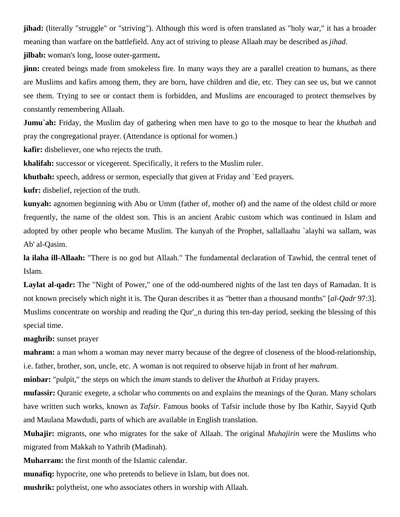**jihad:** (literally "struggle" or "striving"). Although this word is often translated as "holy war," it has a broader meaning than warfare on the battlefield. Any act of striving to please Allaah may be described as *jihad*. **jilbab:** woman's long, loose outer-garment**.** 

**jinn:** created beings made from smokeless fire. In many ways they are a parallel creation to humans, as there are Muslims and kafirs among them, they are born, have children and die, etc. They can see us, but we cannot see them. Trying to see or contact them is forbidden, and Muslims are encouraged to protect themselves by constantly remembering Allaah.

**Jumu`ah:** Friday, the Muslim day of gathering when men have to go to the mosque to hear the *khutbah* and pray the congregational prayer. (Attendance is optional for women.)

**kafir:** disbeliever, one who rejects the truth.

**khalifah:** successor or vicegerent. Specifically, it refers to the Muslim ruler.

**khutbah:** speech, address or sermon, especially that given at Friday and `Eed prayers.

**kufr:** disbelief, rejection of the truth.

**kunyah:** agnomen beginning with Abu or Umm (father of, mother of) and the name of the oldest child or more frequently, the name of the oldest son. This is an ancient Arabic custom which was continued in Islam and adopted by other people who became Muslim. The kunyah of the Prophet, sallallaahu `alayhi wa sallam, was Ab' al-Qasim.

**la ilaha ill-Allaah:** "There is no god but Allaah." The fundamental declaration of Tawhid, the central tenet of Islam.

**Laylat al-qadr:** The "Night of Power," one of the odd-numbered nights of the last ten days of Ramadan. It is not known precisely which night it is. The Quran describes it as "better than a thousand months" [*al-Qadr* 97:3]. Muslims concentrate on worship and reading the Qur'\_n during this ten-day period, seeking the blessing of this special time.

## **maghrib:** sunset prayer

**mahram:** a man whom a woman may never marry because of the degree of closeness of the blood-relationship,

i.e. father, brother, son, uncle, etc. A woman is not required to observe hijab in front of her *mahram*.

**minbar:** "pulpit," the steps on which the *imam* stands to deliver the *khutbah* at Friday prayers.

**mufassir:** Quranic exegete, a scholar who comments on and explains the meanings of the Quran. Many scholars have written such works, known as *Tafsir*. Famous books of Tafsir include those by Ibn Kathir, Sayyid Qutb and Maulana Mawdudi, parts of which are available in English translation.

**Muhajir:** migrants, one who migrates for the sake of Allaah. The original *Muhajirin* were the Muslims who migrated from Makkah to Yathrib (Madinah).

**Muharram:** the first month of the Islamic calendar.

**munafiq:** hypocrite, one who pretends to believe in Islam, but does not.

**mushrik:** polytheist, one who associates others in worship with Allaah.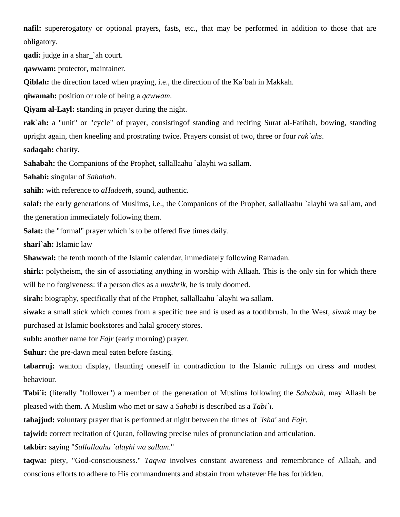**nafil:** supererogatory or optional prayers, fasts, etc., that may be performed in addition to those that are obligatory.

**qadi:** judge in a shar `ah court.

**qawwam:** protector, maintainer.

**Qiblah:** the direction faced when praying, i.e., the direction of the Ka`bah in Makkah.

**qiwamah:** position or role of being a *qawwam*.

**Qiyam al-Layl:** standing in prayer during the night.

**rak`ah:** a "unit" or "cycle" of prayer, consistingof standing and reciting Surat al-Fatihah, bowing, standing upright again, then kneeling and prostrating twice. Prayers consist of two, three or four *rak`ahs*. **sadaqah:** charity.

Sahabah: the Companions of the Prophet, sallallaahu `alayhi wa sallam.

**Sahabi:** singular of *Sahabah*.

**sahih:** with reference to *aHadeeth*, sound, authentic.

**salaf:** the early generations of Muslims, i.e., the Companions of the Prophet, sallallaahu `alayhi wa sallam, and the generation immediately following them.

**Salat:** the "formal" prayer which is to be offered five times daily.

**shari`ah:** Islamic law

**Shawwal:** the tenth month of the Islamic calendar, immediately following Ramadan.

**shirk:** polytheism, the sin of associating anything in worship with Allaah. This is the only sin for which there will be no forgiveness: if a person dies as a *mushrik*, he is truly doomed.

sirah: biography, specifically that of the Prophet, sallallaahu `alayhi wa sallam.

**siwak:** a small stick which comes from a specific tree and is used as a toothbrush. In the West, *siwak* may be purchased at Islamic bookstores and halal grocery stores.

**subh:** another name for *Fajr* (early morning) prayer.

**Suhur:** the pre-dawn meal eaten before fasting.

**tabarruj:** wanton display, flaunting oneself in contradiction to the Islamic rulings on dress and modest behaviour.

**Tabi`i:** (literally "follower") a member of the generation of Muslims following the *Sahabah*, may Allaah be pleased with them. A Muslim who met or saw a *Sahabi* is described as a *Tabi`i*.

**tahajjud:** voluntary prayer that is performed at night between the times of *`isha'* and *Fajr*.

**tajwid:** correct recitation of Quran, following precise rules of pronunciation and articulation.

**takbir:** saying "*Sallallaahu `alayhi wa sallam*."

**taqwa:** piety, "God-consciousness." *Taqwa* involves constant awareness and remembrance of Allaah, and conscious efforts to adhere to His commandments and abstain from whatever He has forbidden.